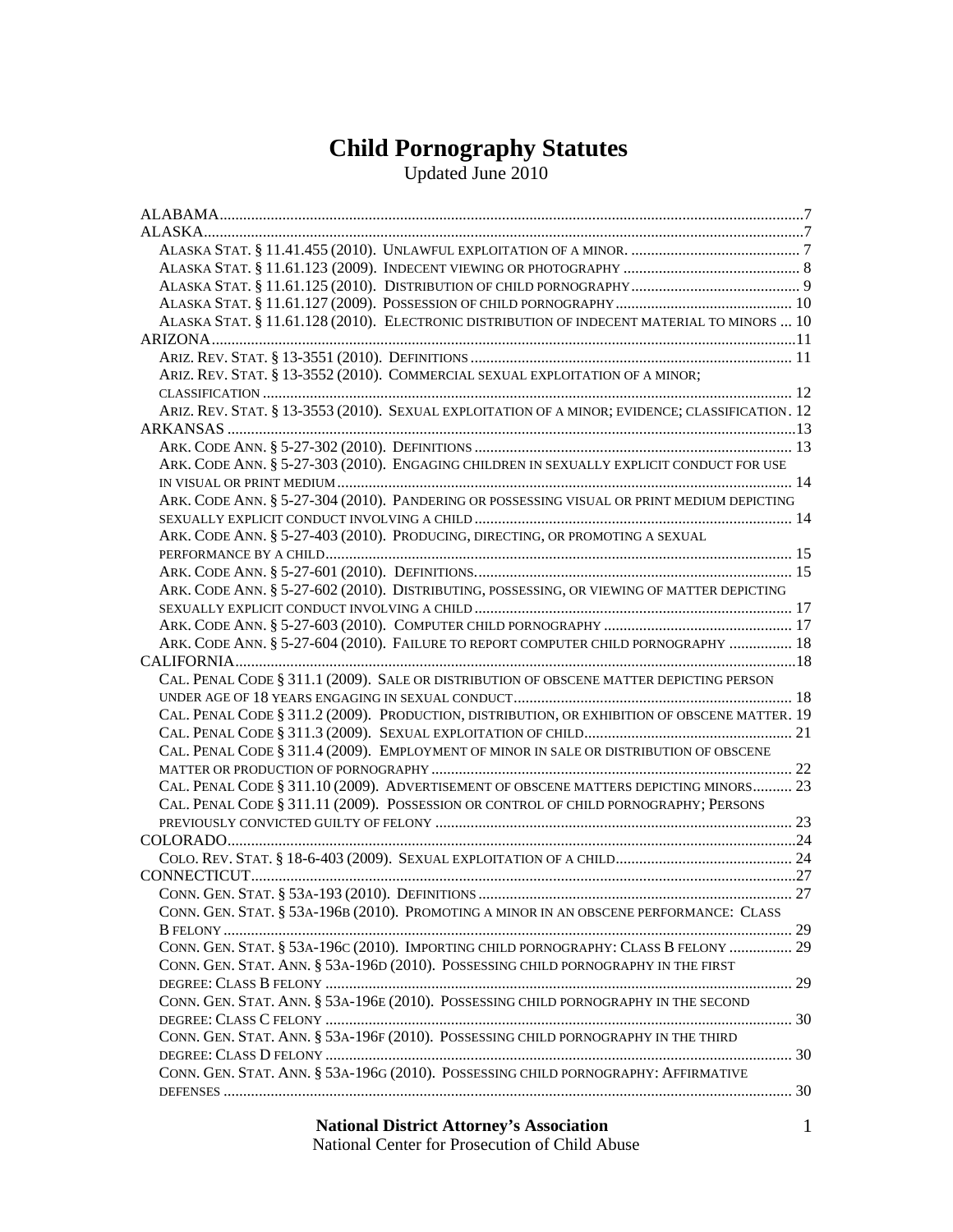# **Child Pornography Statutes**

Updated June 2010

| ALASKA STAT. § 11.61.128 (2010). ELECTRONIC DISTRIBUTION OF INDECENT MATERIAL TO MINORS  10     |  |
|-------------------------------------------------------------------------------------------------|--|
|                                                                                                 |  |
|                                                                                                 |  |
| ARIZ. REV. STAT. § 13-3552 (2010). COMMERCIAL SEXUAL EXPLOITATION OF A MINOR;                   |  |
|                                                                                                 |  |
| ARIZ. REV. STAT. § 13-3553 (2010). SEXUAL EXPLOITATION OF A MINOR; EVIDENCE; CLASSIFICATION. 12 |  |
|                                                                                                 |  |
|                                                                                                 |  |
| ARK. CODE ANN. § 5-27-303 (2010). ENGAGING CHILDREN IN SEXUALLY EXPLICIT CONDUCT FOR USE        |  |
|                                                                                                 |  |
| ARK. CODE ANN. § 5-27-304 (2010). PANDERING OR POSSESSING VISUAL OR PRINT MEDIUM DEPICTING      |  |
|                                                                                                 |  |
| ARK. CODE ANN. § 5-27-403 (2010). PRODUCING, DIRECTING, OR PROMOTING A SEXUAL                   |  |
|                                                                                                 |  |
|                                                                                                 |  |
| ARK. CODE ANN. § 5-27-602 (2010). DISTRIBUTING, POSSESSING, OR VIEWING OF MATTER DEPICTING      |  |
|                                                                                                 |  |
|                                                                                                 |  |
| ARK. CODE ANN. § 5-27-604 (2010). FAILURE TO REPORT COMPUTER CHILD PORNOGRAPHY  18              |  |
|                                                                                                 |  |
| CAL. PENAL CODE § 311.1 (2009). SALE OR DISTRIBUTION OF OBSCENE MATTER DEPICTING PERSON         |  |
|                                                                                                 |  |
| CAL. PENAL CODE § 311.2 (2009). PRODUCTION, DISTRIBUTION, OR EXHIBITION OF OBSCENE MATTER. 19   |  |
|                                                                                                 |  |
| CAL. PENAL CODE § 311.4 (2009). EMPLOYMENT OF MINOR IN SALE OR DISTRIBUTION OF OBSCENE          |  |
|                                                                                                 |  |
| CAL. PENAL CODE § 311.10 (2009). ADVERTISEMENT OF OBSCENE MATTERS DEPICTING MINORS 23           |  |
| CAL. PENAL CODE § 311.11 (2009). POSSESSION OR CONTROL OF CHILD PORNOGRAPHY; PERSONS            |  |
|                                                                                                 |  |
|                                                                                                 |  |
|                                                                                                 |  |
|                                                                                                 |  |
| CONN. GEN. STAT. § 53A-196B (2010). PROMOTING A MINOR IN AN OBSCENE PERFORMANCE: CLASS          |  |
|                                                                                                 |  |
| CONN. GEN. STAT. § 53A-196C (2010). IMPORTING CHILD PORNOGRAPHY: CLASS B FELONY  29             |  |
| CONN. GEN. STAT. ANN. § 53A-196D (2010). POSSESSING CHILD PORNOGRAPHY IN THE FIRST              |  |
|                                                                                                 |  |
| CONN. GEN. STAT. ANN. § 53A-196E (2010). POSSESSING CHILD PORNOGRAPHY IN THE SECOND             |  |
|                                                                                                 |  |
| CONN. GEN. STAT. ANN. § 53A-196F (2010). POSSESSING CHILD PORNOGRAPHY IN THE THIRD              |  |
|                                                                                                 |  |
| CONN. GEN. STAT. ANN. § 53A-196G (2010). POSSESSING CHILD PORNOGRAPHY: AFFIRMATIVE              |  |
|                                                                                                 |  |
|                                                                                                 |  |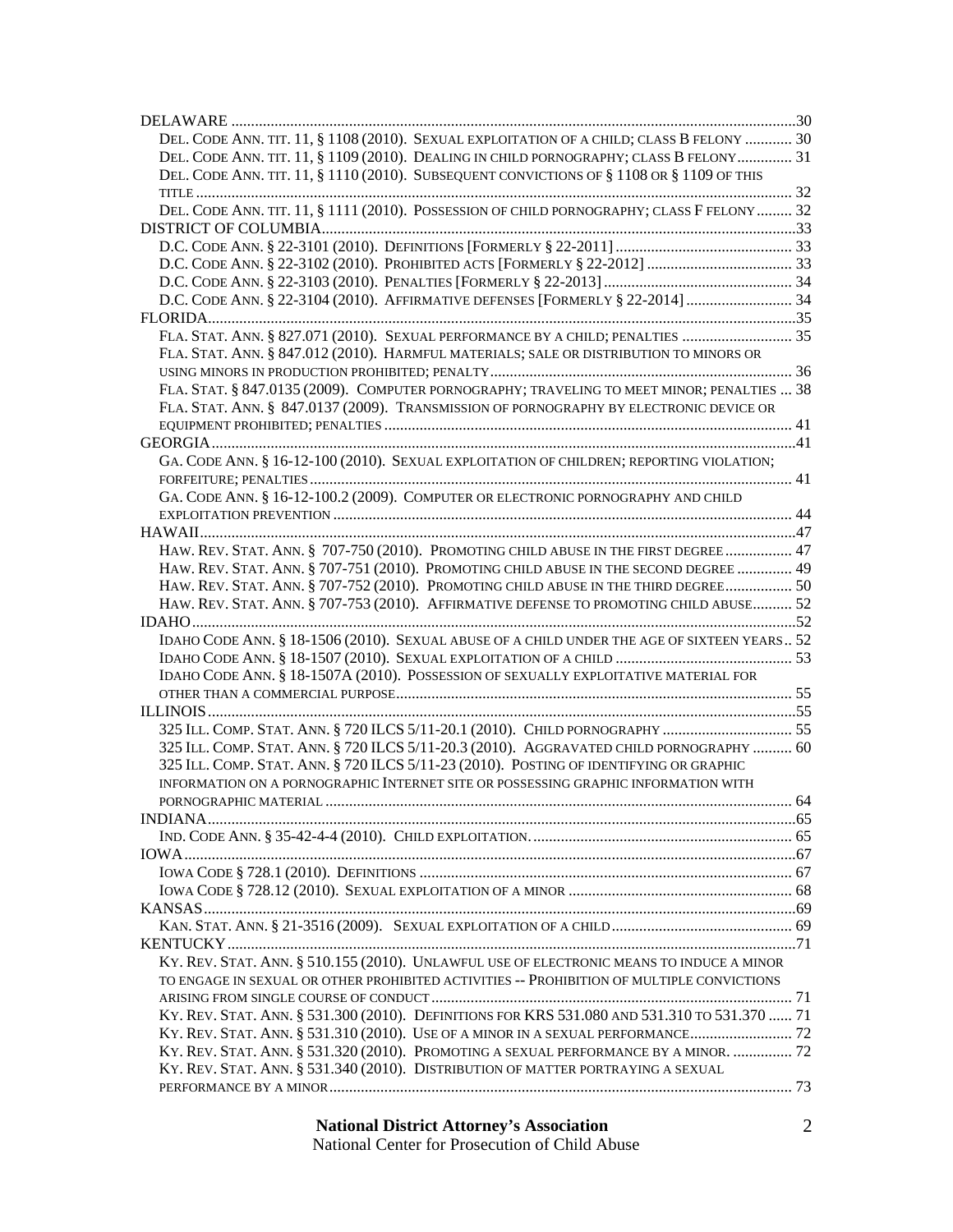| DEL. CODE ANN. TIT. 11, § 1108 (2010). SEXUAL EXPLOITATION OF A CHILD; CLASS B FELONY  30    |  |
|----------------------------------------------------------------------------------------------|--|
| DEL. CODE ANN. TIT. 11, § 1109 (2010). DEALING IN CHILD PORNOGRAPHY; CLASS B FELONY 31       |  |
| DEL. CODE ANN. TIT. 11, § 1110 (2010). SUBSEQUENT CONVICTIONS OF § 1108 OR § 1109 OF THIS    |  |
|                                                                                              |  |
| DEL. CODE ANN. TIT. 11, § 1111 (2010). POSSESSION OF CHILD PORNOGRAPHY; CLASS F FELONY  32   |  |
|                                                                                              |  |
|                                                                                              |  |
|                                                                                              |  |
|                                                                                              |  |
| D.C. CODE ANN. § 22-3104 (2010). AFFIRMATIVE DEFENSES [FORMERLY § 22-2014]  34               |  |
|                                                                                              |  |
| FLA. STAT. ANN. § 827.071 (2010). SEXUAL PERFORMANCE BY A CHILD; PENALTIES  35               |  |
| FLA. STAT. ANN. § 847.012 (2010). HARMFUL MATERIALS; SALE OR DISTRIBUTION TO MINORS OR       |  |
|                                                                                              |  |
| FLA. STAT. § 847.0135 (2009). COMPUTER PORNOGRAPHY; TRAVELING TO MEET MINOR; PENALTIES  38   |  |
| FLA. STAT. ANN. § 847.0137 (2009). TRANSMISSION OF PORNOGRAPHY BY ELECTRONIC DEVICE OR       |  |
|                                                                                              |  |
|                                                                                              |  |
| GA. CODE ANN. § 16-12-100 (2010). SEXUAL EXPLOITATION OF CHILDREN; REPORTING VIOLATION;      |  |
|                                                                                              |  |
| GA. CODE ANN. § 16-12-100.2 (2009). COMPUTER OR ELECTRONIC PORNOGRAPHY AND CHILD             |  |
|                                                                                              |  |
|                                                                                              |  |
| HAW. REV. STAT. ANN. § 707-750 (2010). PROMOTING CHILD ABUSE IN THE FIRST DEGREE  47         |  |
| HAW. REV. STAT. ANN. § 707-751 (2010). PROMOTING CHILD ABUSE IN THE SECOND DEGREE  49        |  |
| HAW. REV. STAT. ANN. § 707-752 (2010). PROMOTING CHILD ABUSE IN THE THIRD DEGREE 50          |  |
| HAW. REV. STAT. ANN. § 707-753 (2010). AFFIRMATIVE DEFENSE TO PROMOTING CHILD ABUSE 52       |  |
|                                                                                              |  |
| IDAHO CODE ANN. § 18-1506 (2010). SEXUAL ABUSE OF A CHILD UNDER THE AGE OF SIXTEEN YEARS 52  |  |
|                                                                                              |  |
| IDAHO CODE ANN. § 18-1507A (2010). POSSESSION OF SEXUALLY EXPLOITATIVE MATERIAL FOR          |  |
|                                                                                              |  |
|                                                                                              |  |
| 325 ILL. COMP. STAT. ANN. § 720 ILCS 5/11-20.1 (2010). CHILD PORNOGRAPHY  55                 |  |
| 325 ILL. COMP. STAT. ANN. § 720 ILCS 5/11-20.3 (2010). AGGRAVATED CHILD PORNOGRAPHY  60      |  |
| 325 ILL. COMP. STAT. ANN. § 720 ILCS 5/11-23 (2010). POSTING OF IDENTIFYING OR GRAPHIC       |  |
| INFORMATION ON A PORNOGRAPHIC INTERNET SITE OR POSSESSING GRAPHIC INFORMATION WITH           |  |
|                                                                                              |  |
|                                                                                              |  |
|                                                                                              |  |
|                                                                                              |  |
|                                                                                              |  |
|                                                                                              |  |
|                                                                                              |  |
|                                                                                              |  |
|                                                                                              |  |
| KY. REV. STAT. ANN. § 510.155 (2010). UNLAWFUL USE OF ELECTRONIC MEANS TO INDUCE A MINOR     |  |
| TO ENGAGE IN SEXUAL OR OTHER PROHIBITED ACTIVITIES -- PROHIBITION OF MULTIPLE CONVICTIONS    |  |
|                                                                                              |  |
| KY. REV. STAT. ANN. § 531.300 (2010). DEFINITIONS FOR KRS 531.080 AND 531.310 TO 531.370  71 |  |
| KY. REV. STAT. ANN. § 531.310 (2010). USE OF A MINOR IN A SEXUAL PERFORMANCE 72              |  |
| KY. REV. STAT. ANN. § 531.320 (2010). PROMOTING A SEXUAL PERFORMANCE BY A MINOR.  72         |  |
| KY. REV. STAT. ANN. § 531.340 (2010). DISTRIBUTION OF MATTER PORTRAYING A SEXUAL             |  |
|                                                                                              |  |
|                                                                                              |  |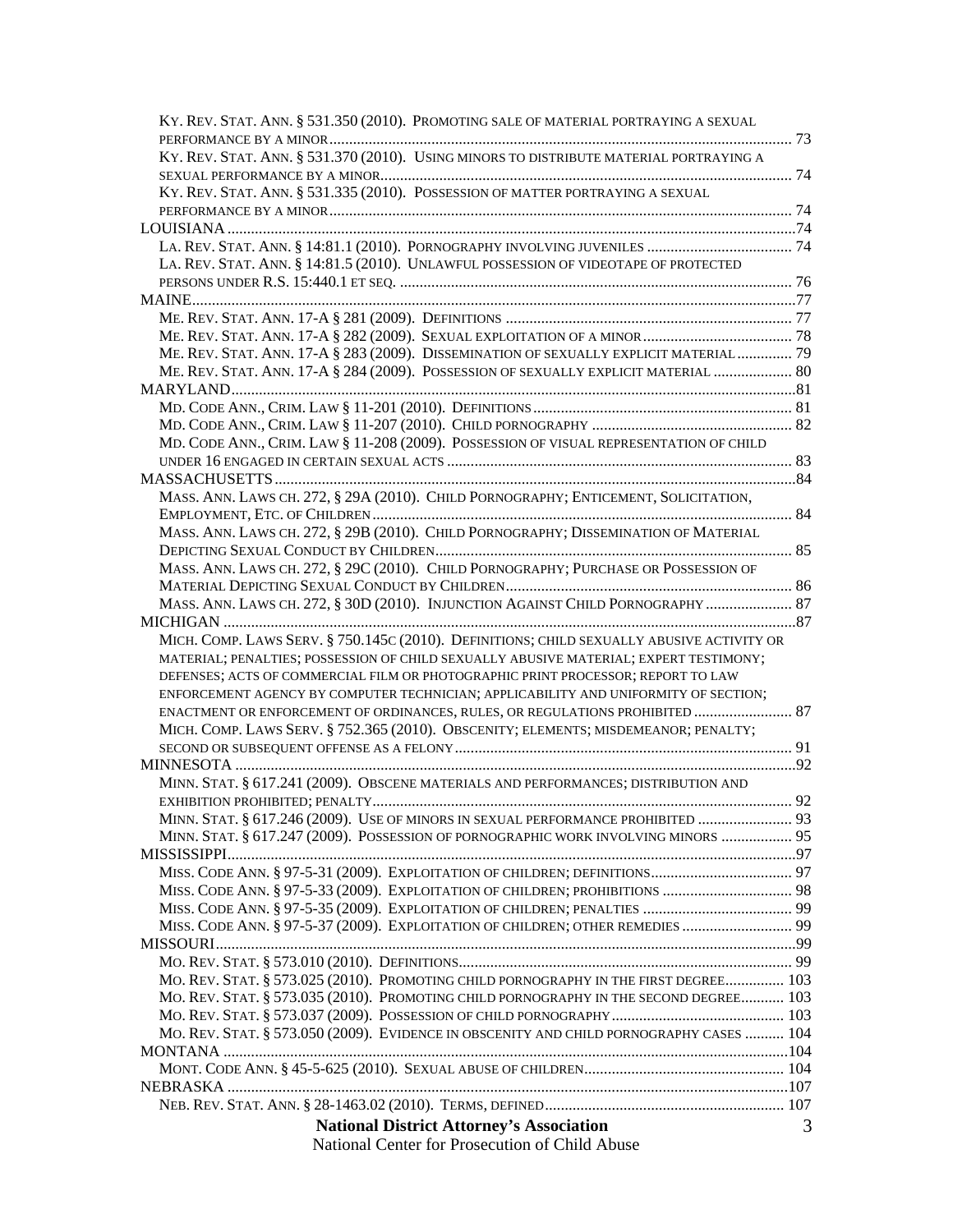| <b>National District Attorney's Association</b>                                           | 3 |
|-------------------------------------------------------------------------------------------|---|
|                                                                                           |   |
|                                                                                           |   |
|                                                                                           |   |
|                                                                                           |   |
|                                                                                           |   |
| MO. REV. STAT. § 573.050 (2009). EVIDENCE IN OBSCENITY AND CHILD PORNOGRAPHY CASES  104   |   |
|                                                                                           |   |
| MO. REV. STAT. § 573.035 (2010). PROMOTING CHILD PORNOGRAPHY IN THE SECOND DEGREE 103     |   |
| MO. REV. STAT. § 573.025 (2010). PROMOTING CHILD PORNOGRAPHY IN THE FIRST DEGREE 103      |   |
|                                                                                           |   |
|                                                                                           |   |
| MISS. CODE ANN. § 97-5-37 (2009). EXPLOITATION OF CHILDREN; OTHER REMEDIES  99            |   |
|                                                                                           |   |
| MISS. CODE ANN. § 97-5-33 (2009). EXPLOITATION OF CHILDREN; PROHIBITIONS  98              |   |
|                                                                                           |   |
|                                                                                           |   |
| MINN. STAT. § 617.247 (2009). POSSESSION OF PORNOGRAPHIC WORK INVOLVING MINORS  95        |   |
| MINN. STAT. § 617.246 (2009). USE OF MINORS IN SEXUAL PERFORMANCE PROHIBITED  93          |   |
|                                                                                           |   |
| MINN. STAT. § 617.241 (2009). OBSCENE MATERIALS AND PERFORMANCES; DISTRIBUTION AND        |   |
|                                                                                           |   |
|                                                                                           |   |
| MICH. COMP. LAWS SERV. § 752.365 (2010). OBSCENITY; ELEMENTS; MISDEMEANOR; PENALTY;       |   |
| ENACTMENT OR ENFORCEMENT OF ORDINANCES, RULES, OR REGULATIONS PROHIBITED  87              |   |
| ENFORCEMENT AGENCY BY COMPUTER TECHNICIAN; APPLICABILITY AND UNIFORMITY OF SECTION;       |   |
| DEFENSES; ACTS OF COMMERCIAL FILM OR PHOTOGRAPHIC PRINT PROCESSOR; REPORT TO LAW          |   |
| MATERIAL; PENALTIES; POSSESSION OF CHILD SEXUALLY ABUSIVE MATERIAL; EXPERT TESTIMONY;     |   |
| MICH. COMP. LAWS SERV. § 750.145c (2010). DEFINITIONS; CHILD SEXUALLY ABUSIVE ACTIVITY OR |   |
|                                                                                           |   |
| MASS. ANN. LAWS CH. 272, § 30D (2010). INJUNCTION AGAINST CHILD PORNOGRAPHY  87           |   |
|                                                                                           |   |
| MASS. ANN. LAWS CH. 272, § 29C (2010). CHILD PORNOGRAPHY; PURCHASE OR POSSESSION OF       |   |
|                                                                                           |   |
| MASS. ANN. LAWS CH. 272, § 29B (2010). CHILD PORNOGRAPHY; DISSEMINATION OF MATERIAL       |   |
|                                                                                           |   |
| MASS. ANN. LAWS CH. 272, § 29A (2010). CHILD PORNOGRAPHY; ENTICEMENT, SOLICITATION,       |   |
|                                                                                           |   |
|                                                                                           |   |
| MD. CODE ANN., CRIM. LAW § 11-208 (2009). POSSESSION OF VISUAL REPRESENTATION OF CHILD    |   |
|                                                                                           |   |
|                                                                                           |   |
|                                                                                           |   |
| ME. REV. STAT. ANN. 17-A § 284 (2009). POSSESSION OF SEXUALLY EXPLICIT MATERIAL  80       |   |
| ME. REV. STAT. ANN. 17-A § 283 (2009). DISSEMINATION OF SEXUALLY EXPLICIT MATERIAL  79    |   |
|                                                                                           |   |
|                                                                                           |   |
|                                                                                           |   |
|                                                                                           |   |
| LA. REV. STAT. ANN. § 14:81.5 (2010). UNLAWFUL POSSESSION OF VIDEOTAPE OF PROTECTED       |   |
| LA. REV. STAT. ANN. § 14:81.1 (2010). PORNOGRAPHY INVOLVING JUVENILES  74                 |   |
|                                                                                           |   |
|                                                                                           |   |
| KY. REV. STAT. ANN. § 531.335 (2010). POSSESSION OF MATTER PORTRAYING A SEXUAL            |   |
|                                                                                           |   |
| KY. REV. STAT. ANN. § 531.370 (2010). USING MINORS TO DISTRIBUTE MATERIAL PORTRAYING A    |   |
|                                                                                           |   |
| KY. REV. STAT. ANN. § 531.350 (2010). PROMOTING SALE OF MATERIAL PORTRAYING A SEXUAL      |   |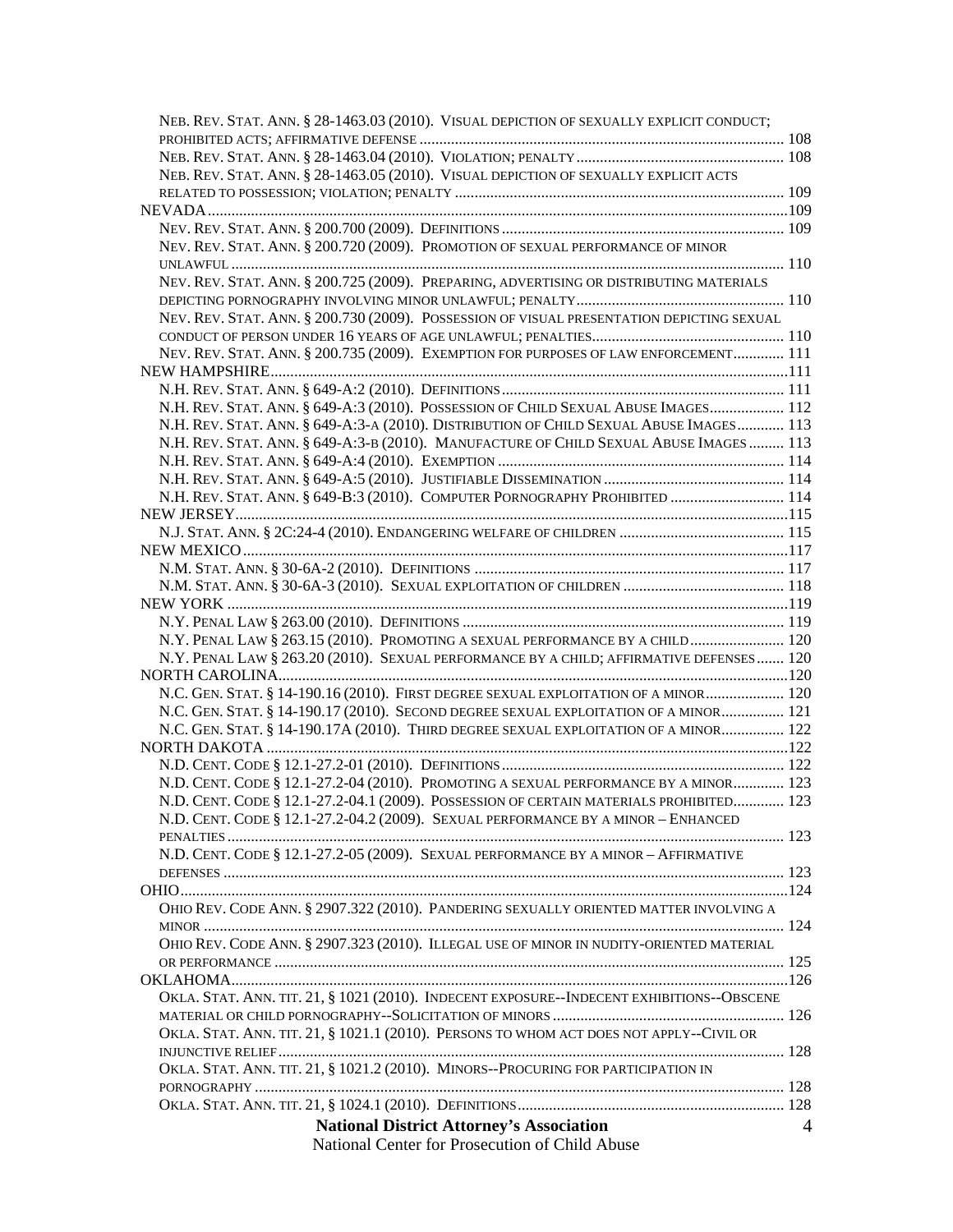| <b>National District Attorney's Association</b>                                           |                |
|-------------------------------------------------------------------------------------------|----------------|
|                                                                                           | $\overline{4}$ |
|                                                                                           |                |
|                                                                                           |                |
| OKLA. STAT. ANN. TIT. 21, § 1021.2 (2010). MINORS--PROCURING FOR PARTICIPATION IN         |                |
|                                                                                           |                |
| OKLA. STAT. ANN. TIT. 21, § 1021.1 (2010). PERSONS TO WHOM ACT DOES NOT APPLY--CIVIL OR   |                |
|                                                                                           |                |
| OKLA. STAT. ANN. TIT. 21, § 1021 (2010). INDECENT EXPOSURE--INDECENT EXHIBITIONS--OBSCENE |                |
|                                                                                           |                |
|                                                                                           |                |
| OHIO REV. CODE ANN. § 2907.323 (2010). ILLEGAL USE OF MINOR IN NUDITY-ORIENTED MATERIAL   |                |
|                                                                                           |                |
| OHIO REV. CODE ANN. § 2907.322 (2010). PANDERING SEXUALLY ORIENTED MATTER INVOLVING A     |                |
|                                                                                           |                |
|                                                                                           |                |
| N.D. CENT. CODE § 12.1-27.2-05 (2009). SEXUAL PERFORMANCE BY A MINOR - AFFIRMATIVE        |                |
|                                                                                           |                |
| N.D. CENT. CODE § 12.1-27.2-04.2 (2009). SEXUAL PERFORMANCE BY A MINOR - ENHANCED         |                |
| N.D. CENT. CODE § 12.1-27.2-04.1 (2009). POSSESSION OF CERTAIN MATERIALS PROHIBITED 123   |                |
| N.D. CENT. CODE § 12.1-27.2-04 (2010). PROMOTING A SEXUAL PERFORMANCE BY A MINOR 123      |                |
|                                                                                           |                |
|                                                                                           |                |
| N.C. GEN. STAT. § 14-190.17A (2010). THIRD DEGREE SEXUAL EXPLOITATION OF A MINOR 122      |                |
| N.C. GEN. STAT. § 14-190.17 (2010). SECOND DEGREE SEXUAL EXPLOITATION OF A MINOR 121      |                |
| N.C. GEN. STAT. § 14-190.16 (2010). FIRST DEGREE SEXUAL EXPLOITATION OF A MINOR 120       |                |
|                                                                                           |                |
| N.Y. PENAL LAW § 263.20 (2010). SEXUAL PERFORMANCE BY A CHILD; AFFIRMATIVE DEFENSES  120  |                |
| N.Y. PENAL LAW § 263.15 (2010). PROMOTING A SEXUAL PERFORMANCE BY A CHILD 120             |                |
|                                                                                           |                |
|                                                                                           |                |
|                                                                                           |                |
|                                                                                           |                |
|                                                                                           |                |
|                                                                                           |                |
|                                                                                           |                |
| N.H. REV. STAT. ANN. § 649-B:3 (2010). COMPUTER PORNOGRAPHY PROHIBITED  114               |                |
|                                                                                           |                |
|                                                                                           |                |
| N.H. REV. STAT. ANN. § 649-A:3-B (2010). MANUFACTURE OF CHILD SEXUAL ABUSE IMAGES  113    |                |
| N.H. REV. STAT. ANN. § 649-A:3-A (2010). DISTRIBUTION OF CHILD SEXUAL ABUSE IMAGES 113    |                |
| N.H. REV. STAT. ANN. § 649-A:3 (2010). POSSESSION OF CHILD SEXUAL ABUSE IMAGES 112        |                |
|                                                                                           |                |
|                                                                                           |                |
| NEV. REV. STAT. ANN. § 200.735 (2009). EXEMPTION FOR PURPOSES OF LAW ENFORCEMENT 111      |                |
|                                                                                           |                |
| NEV. REV. STAT. ANN. § 200.730 (2009). POSSESSION OF VISUAL PRESENTATION DEPICTING SEXUAL |                |
|                                                                                           |                |
| NEV. REV. STAT. ANN. § 200.725 (2009). PREPARING, ADVERTISING OR DISTRIBUTING MATERIALS   |                |
| NEV. REV. STAT. ANN. § 200.720 (2009). PROMOTION OF SEXUAL PERFORMANCE OF MINOR           |                |
|                                                                                           |                |
|                                                                                           |                |
|                                                                                           |                |
| NEB. REV. STAT. ANN. § 28-1463.05 (2010). VISUAL DEPICTION OF SEXUALLY EXPLICIT ACTS      |                |
|                                                                                           |                |
|                                                                                           |                |
| NEB. REV. STAT. ANN. § 28-1463.03 (2010). VISUAL DEPICTION OF SEXUALLY EXPLICIT CONDUCT;  |                |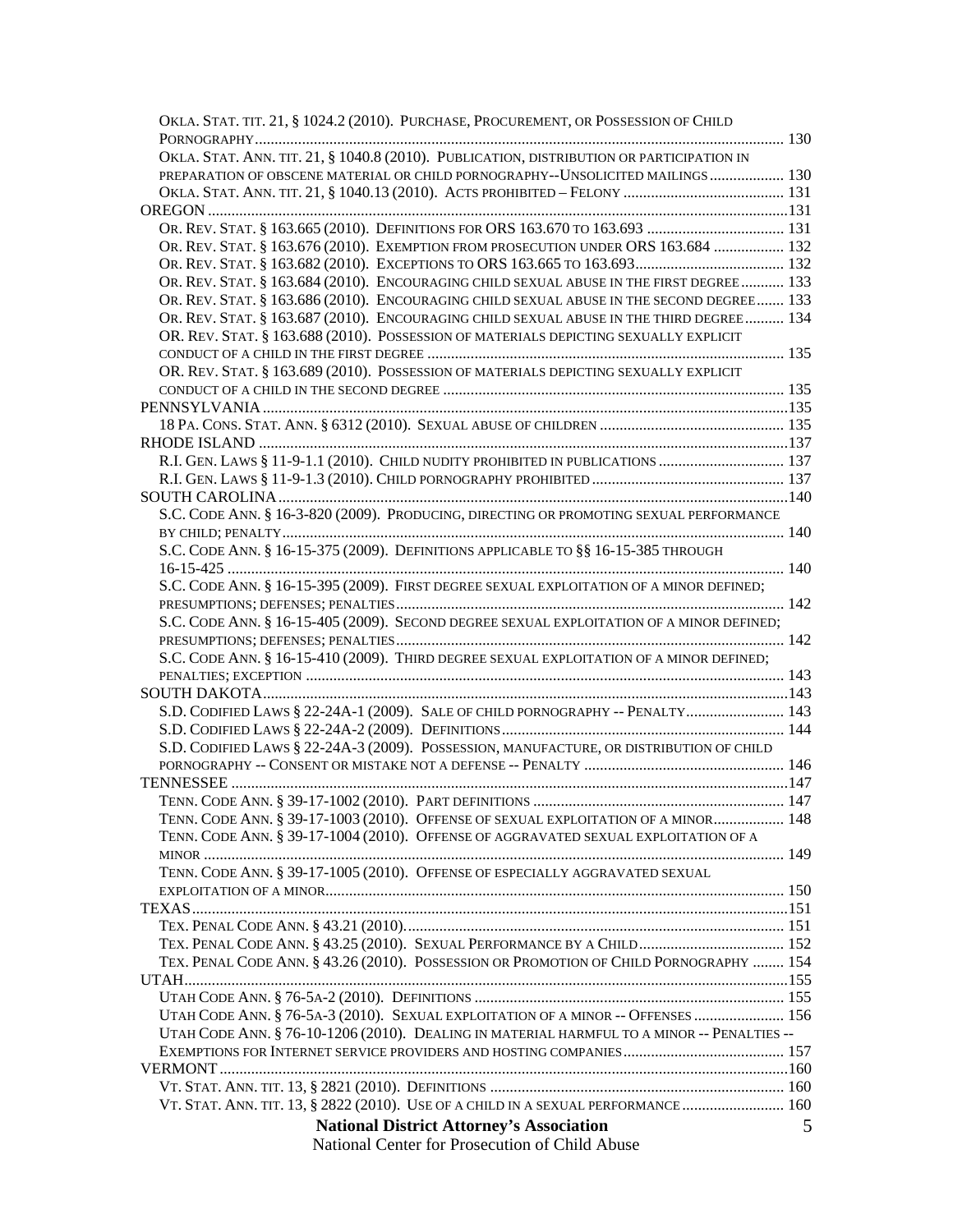| OKLA. STAT. TIT. 21, § 1024.2 (2010). PURCHASE, PROCUREMENT, OR POSSESSION OF CHILD        |   |
|--------------------------------------------------------------------------------------------|---|
|                                                                                            |   |
| OKLA. STAT. ANN. TIT. 21, § 1040.8 (2010). PUBLICATION, DISTRIBUTION OR PARTICIPATION IN   |   |
| PREPARATION OF OBSCENE MATERIAL OR CHILD PORNOGRAPHY--UNSOLICITED MAILINGS  130            |   |
|                                                                                            |   |
|                                                                                            |   |
|                                                                                            |   |
| OR. REV. STAT. § 163.676 (2010). EXEMPTION FROM PROSECUTION UNDER ORS 163.684  132         |   |
|                                                                                            |   |
| OR. REV. STAT. § 163.684 (2010). ENCOURAGING CHILD SEXUAL ABUSE IN THE FIRST DEGREE  133   |   |
| OR. REV. STAT. § 163.686 (2010). ENCOURAGING CHILD SEXUAL ABUSE IN THE SECOND DEGREE 133   |   |
| OR. REV. STAT. § 163.687 (2010). ENCOURAGING CHILD SEXUAL ABUSE IN THE THIRD DEGREE 134    |   |
| OR. REV. STAT. § 163.688 (2010). POSSESSION OF MATERIALS DEPICTING SEXUALLY EXPLICIT       |   |
|                                                                                            |   |
| OR. REV. STAT. § 163.689 (2010). POSSESSION OF MATERIALS DEPICTING SEXUALLY EXPLICIT       |   |
|                                                                                            |   |
|                                                                                            |   |
|                                                                                            |   |
|                                                                                            |   |
| R.I. GEN. LAWS § 11-9-1.1 (2010). CHILD NUDITY PROHIBITED IN PUBLICATIONS  137             |   |
|                                                                                            |   |
|                                                                                            |   |
| S.C. CODE ANN. § 16-3-820 (2009). PRODUCING, DIRECTING OR PROMOTING SEXUAL PERFORMANCE     |   |
|                                                                                            |   |
| S.C. CODE ANN. § 16-15-375 (2009). DEFINITIONS APPLICABLE TO § § 16-15-385 THROUGH         |   |
|                                                                                            |   |
| S.C. CODE ANN. § 16-15-395 (2009). FIRST DEGREE SEXUAL EXPLOITATION OF A MINOR DEFINED;    |   |
|                                                                                            |   |
| S.C. CODE ANN. § 16-15-405 (2009). SECOND DEGREE SEXUAL EXPLOITATION OF A MINOR DEFINED;   |   |
|                                                                                            |   |
| S.C. CODE ANN. § 16-15-410 (2009). THIRD DEGREE SEXUAL EXPLOITATION OF A MINOR DEFINED;    |   |
|                                                                                            |   |
|                                                                                            |   |
| S.D. CODIFIED LAWS § 22-24A-1 (2009). SALE OF CHILD PORNOGRAPHY -- PENALTY  143            |   |
|                                                                                            |   |
| S.D. CODIFIED LAWS § 22-24A-3 (2009). POSSESSION, MANUFACTURE, OR DISTRIBUTION OF CHILD    |   |
|                                                                                            |   |
|                                                                                            |   |
|                                                                                            |   |
| TENN. CODE ANN. § 39-17-1003 (2010). OFFENSE OF SEXUAL EXPLOITATION OF A MINOR 148         |   |
| TENN. CODE ANN. § 39-17-1004 (2010). OFFENSE OF AGGRAVATED SEXUAL EXPLOITATION OF A        |   |
|                                                                                            |   |
| TENN. CODE ANN. § 39-17-1005 (2010). OFFENSE OF ESPECIALLY AGGRAVATED SEXUAL               |   |
|                                                                                            |   |
|                                                                                            |   |
|                                                                                            |   |
| TEX. PENAL CODE ANN. § 43.25 (2010). SEXUAL PERFORMANCE BY A CHILD 152                     |   |
| TEX. PENAL CODE ANN. § 43.26 (2010). POSSESSION OR PROMOTION OF CHILD PORNOGRAPHY  154     |   |
|                                                                                            |   |
|                                                                                            |   |
| UTAH CODE ANN. § 76-5A-3 (2010). SEXUAL EXPLOITATION OF A MINOR -- OFFENSES  156           |   |
| UTAH CODE ANN. § 76-10-1206 (2010). DEALING IN MATERIAL HARMFUL TO A MINOR -- PENALTIES -- |   |
|                                                                                            |   |
|                                                                                            |   |
|                                                                                            |   |
| VT. STAT. ANN. TIT. 13, § 2822 (2010). USE OF A CHILD IN A SEXUAL PERFORMANCE  160         |   |
|                                                                                            |   |
| <b>National District Attorney's Association</b>                                            | 5 |
| National Center for Prosecution of Child Abuse                                             |   |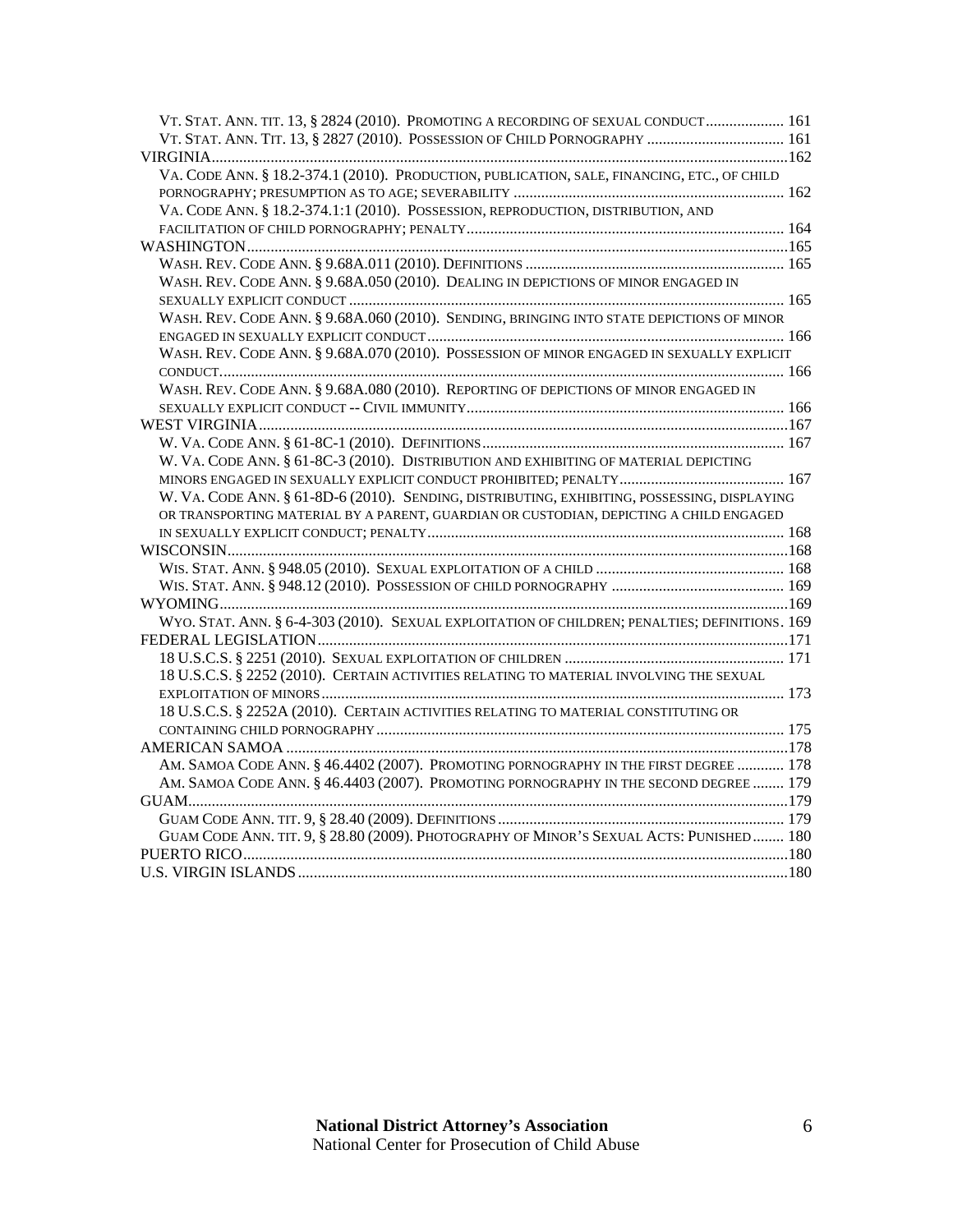| VT. STAT. ANN. TIT. 13, § 2824 (2010). PROMOTING A RECORDING OF SEXUAL CONDUCT 161             |  |
|------------------------------------------------------------------------------------------------|--|
|                                                                                                |  |
|                                                                                                |  |
| VA. CODE ANN. § 18.2-374.1 (2010). PRODUCTION, PUBLICATION, SALE, FINANCING, ETC., OF CHILD    |  |
|                                                                                                |  |
| VA. CODE ANN. § 18.2-374.1:1 (2010). POSSESSION, REPRODUCTION, DISTRIBUTION, AND               |  |
|                                                                                                |  |
|                                                                                                |  |
|                                                                                                |  |
| WASH. REV. CODE ANN. § 9.68A.050 (2010). DEALING IN DEPICTIONS OF MINOR ENGAGED IN             |  |
|                                                                                                |  |
| WASH. REV. CODE ANN. § 9.68A.060 (2010). SENDING, BRINGING INTO STATE DEPICTIONS OF MINOR      |  |
|                                                                                                |  |
| WASH. REV. CODE ANN. § 9.68A.070 (2010). POSSESSION OF MINOR ENGAGED IN SEXUALLY EXPLICIT      |  |
|                                                                                                |  |
| WASH. REV. CODE ANN. § 9.68A.080 (2010). REPORTING OF DEPICTIONS OF MINOR ENGAGED IN           |  |
|                                                                                                |  |
|                                                                                                |  |
|                                                                                                |  |
| W. VA. CODE ANN. § 61-8C-3 (2010). DISTRIBUTION AND EXHIBITING OF MATERIAL DEPICTING           |  |
|                                                                                                |  |
| W. VA. CODE ANN. § 61-8D-6 (2010). SENDING, DISTRIBUTING, EXHIBITING, POSSESSING, DISPLAYING   |  |
| OR TRANSPORTING MATERIAL BY A PARENT, GUARDIAN OR CUSTODIAN, DEPICTING A CHILD ENGAGED         |  |
|                                                                                                |  |
|                                                                                                |  |
|                                                                                                |  |
|                                                                                                |  |
|                                                                                                |  |
| WYO. STAT. ANN. § 6-4-303 (2010). SEXUAL EXPLOITATION OF CHILDREN; PENALTIES; DEFINITIONS. 169 |  |
|                                                                                                |  |
|                                                                                                |  |
| 18 U.S.C.S. § 2252 (2010). CERTAIN ACTIVITIES RELATING TO MATERIAL INVOLVING THE SEXUAL        |  |
|                                                                                                |  |
| 18 U.S.C.S. § 2252A (2010). CERTAIN ACTIVITIES RELATING TO MATERIAL CONSTITUTING OR            |  |
|                                                                                                |  |
|                                                                                                |  |
| AM. SAMOA CODE ANN. § 46.4402 (2007). PROMOTING PORNOGRAPHY IN THE FIRST DEGREE  178           |  |
| AM. SAMOA CODE ANN. § 46.4403 (2007). PROMOTING PORNOGRAPHY IN THE SECOND DEGREE  179          |  |
|                                                                                                |  |
|                                                                                                |  |
| GUAM CODE ANN. TIT. 9, § 28.80 (2009). PHOTOGRAPHY OF MINOR'S SEXUAL ACTS: PUNISHED 180        |  |
|                                                                                                |  |
|                                                                                                |  |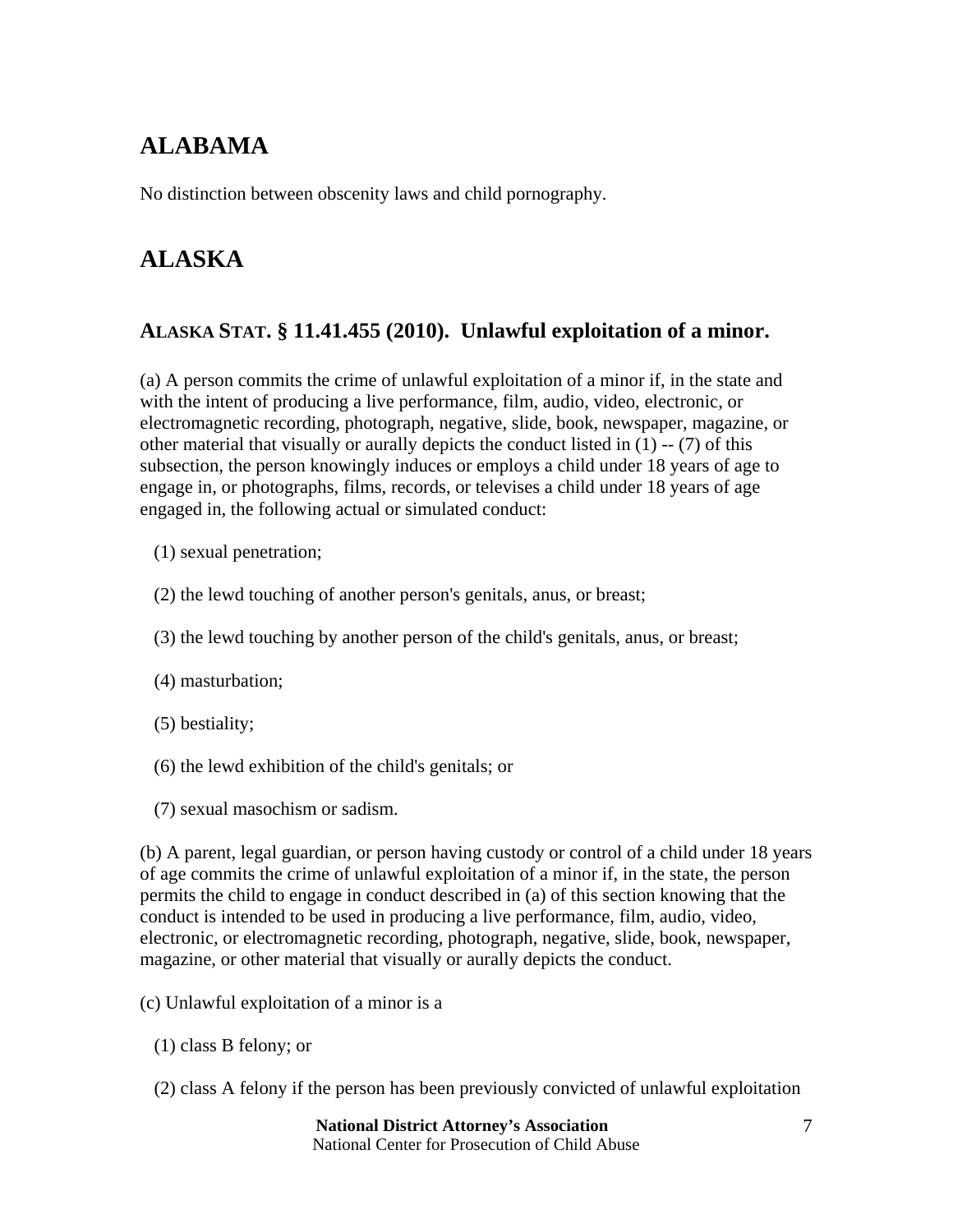# **ALABAMA**

No distinction between obscenity laws and child pornography.

# **ALASKA**

# **ALASKA STAT. § 11.41.455 (2010). Unlawful exploitation of a minor.**

(a) A person commits the crime of unlawful exploitation of a minor if, in the state and with the intent of producing a live performance, film, audio, video, electronic, or electromagnetic recording, photograph, negative, slide, book, newspaper, magazine, or other material that visually or aurally depicts the conduct listed in (1) -- (7) of this subsection, the person knowingly induces or employs a child under 18 years of age to engage in, or photographs, films, records, or televises a child under 18 years of age engaged in, the following actual or simulated conduct:

- (1) sexual penetration;
- (2) the lewd touching of another person's genitals, anus, or breast;
- (3) the lewd touching by another person of the child's genitals, anus, or breast;
- (4) masturbation;
- (5) bestiality;
- (6) the lewd exhibition of the child's genitals; or
- (7) sexual masochism or sadism.

(b) A parent, legal guardian, or person having custody or control of a child under 18 years of age commits the crime of unlawful exploitation of a minor if, in the state, the person permits the child to engage in conduct described in (a) of this section knowing that the conduct is intended to be used in producing a live performance, film, audio, video, electronic, or electromagnetic recording, photograph, negative, slide, book, newspaper, magazine, or other material that visually or aurally depicts the conduct.

- (c) Unlawful exploitation of a minor is a
	- (1) class B felony; or
	- (2) class A felony if the person has been previously convicted of unlawful exploitation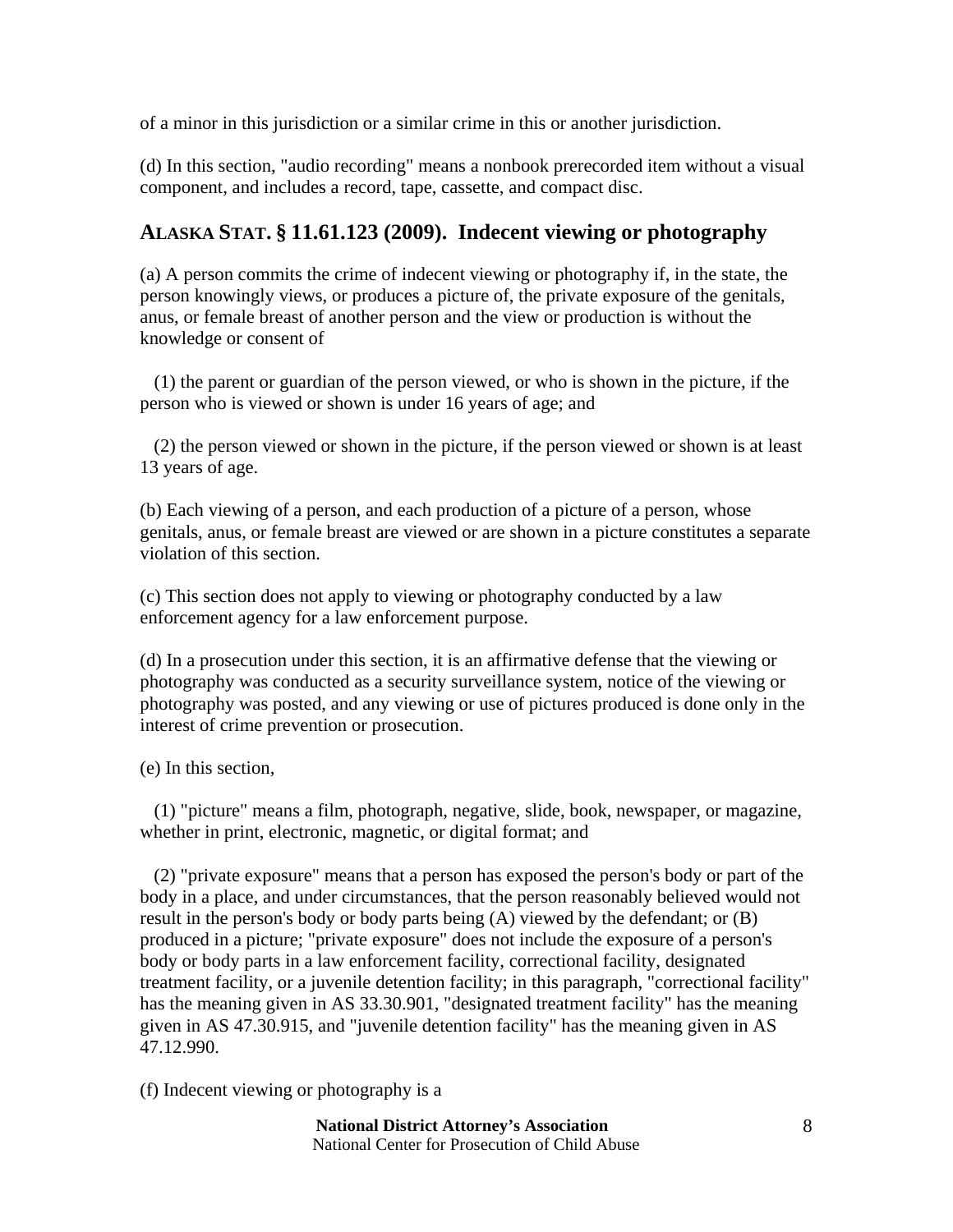of a minor in this jurisdiction or a similar crime in this or another jurisdiction.

(d) In this section, "audio recording" means a nonbook prerecorded item without a visual component, and includes a record, tape, cassette, and compact disc.

### **ALASKA STAT. § 11.61.123 (2009). Indecent viewing or photography**

(a) A person commits the crime of indecent viewing or photography if, in the state, the person knowingly views, or produces a picture of, the private exposure of the genitals, anus, or female breast of another person and the view or production is without the knowledge or consent of

 (1) the parent or guardian of the person viewed, or who is shown in the picture, if the person who is viewed or shown is under 16 years of age; and

 (2) the person viewed or shown in the picture, if the person viewed or shown is at least 13 years of age.

(b) Each viewing of a person, and each production of a picture of a person, whose genitals, anus, or female breast are viewed or are shown in a picture constitutes a separate violation of this section.

(c) This section does not apply to viewing or photography conducted by a law enforcement agency for a law enforcement purpose.

(d) In a prosecution under this section, it is an affirmative defense that the viewing or photography was conducted as a security surveillance system, notice of the viewing or photography was posted, and any viewing or use of pictures produced is done only in the interest of crime prevention or prosecution.

(e) In this section,

 (1) "picture" means a film, photograph, negative, slide, book, newspaper, or magazine, whether in print, electronic, magnetic, or digital format; and

 (2) "private exposure" means that a person has exposed the person's body or part of the body in a place, and under circumstances, that the person reasonably believed would not result in the person's body or body parts being (A) viewed by the defendant; or (B) produced in a picture; "private exposure" does not include the exposure of a person's body or body parts in a law enforcement facility, correctional facility, designated treatment facility, or a juvenile detention facility; in this paragraph, "correctional facility" has the meaning given in AS 33.30.901, "designated treatment facility" has the meaning given in AS 47.30.915, and "juvenile detention facility" has the meaning given in AS 47.12.990.

(f) Indecent viewing or photography is a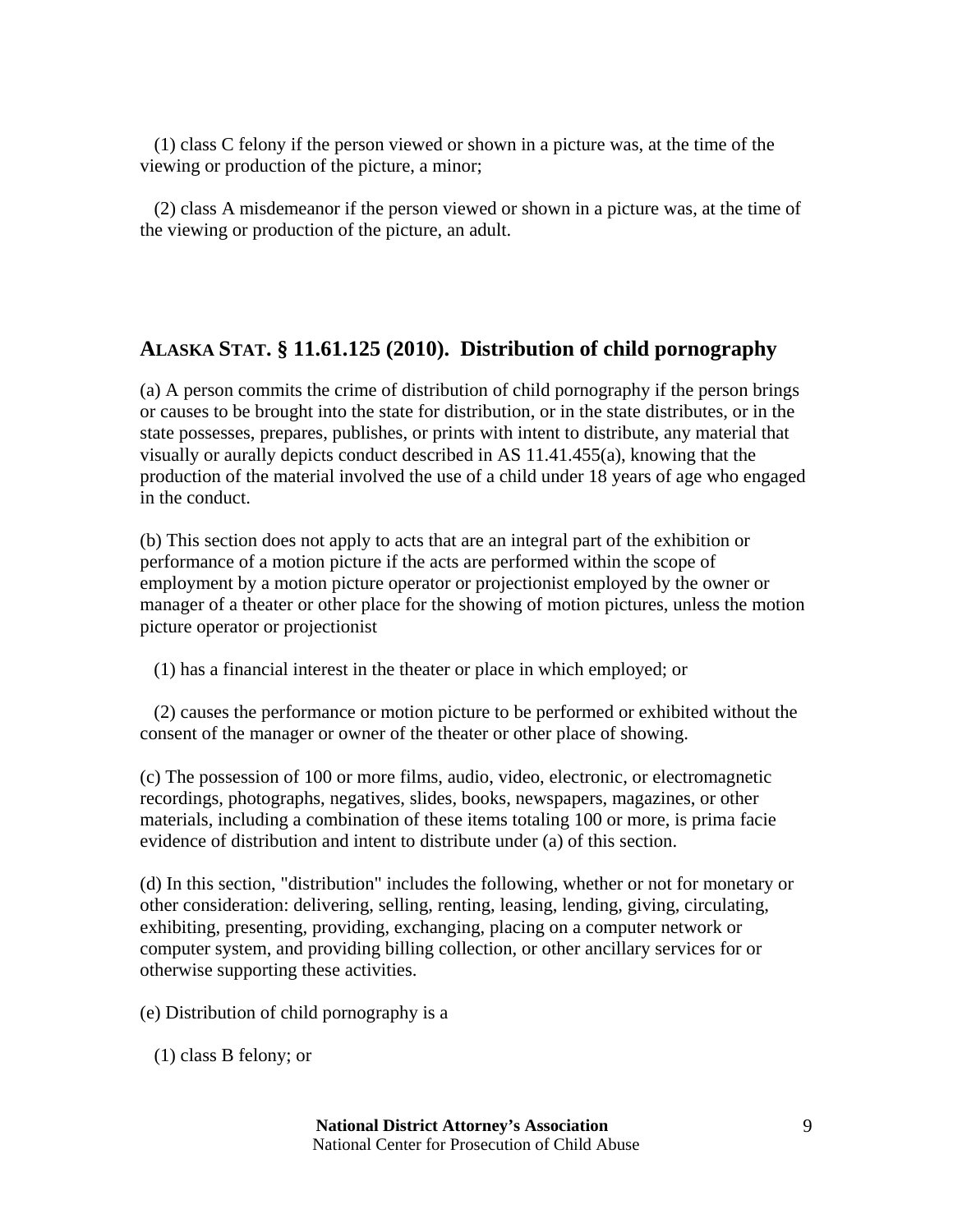(1) class C felony if the person viewed or shown in a picture was, at the time of the viewing or production of the picture, a minor;

 (2) class A misdemeanor if the person viewed or shown in a picture was, at the time of the viewing or production of the picture, an adult.

### **ALASKA STAT. § 11.61.125 (2010). Distribution of child pornography**

(a) A person commits the crime of distribution of child pornography if the person brings or causes to be brought into the state for distribution, or in the state distributes, or in the state possesses, prepares, publishes, or prints with intent to distribute, any material that visually or aurally depicts conduct described in AS 11.41.455(a), knowing that the production of the material involved the use of a child under 18 years of age who engaged in the conduct.

(b) This section does not apply to acts that are an integral part of the exhibition or performance of a motion picture if the acts are performed within the scope of employment by a motion picture operator or projectionist employed by the owner or manager of a theater or other place for the showing of motion pictures, unless the motion picture operator or projectionist

(1) has a financial interest in the theater or place in which employed; or

 (2) causes the performance or motion picture to be performed or exhibited without the consent of the manager or owner of the theater or other place of showing.

(c) The possession of 100 or more films, audio, video, electronic, or electromagnetic recordings, photographs, negatives, slides, books, newspapers, magazines, or other materials, including a combination of these items totaling 100 or more, is prima facie evidence of distribution and intent to distribute under (a) of this section.

(d) In this section, "distribution" includes the following, whether or not for monetary or other consideration: delivering, selling, renting, leasing, lending, giving, circulating, exhibiting, presenting, providing, exchanging, placing on a computer network or computer system, and providing billing collection, or other ancillary services for or otherwise supporting these activities.

(e) Distribution of child pornography is a

(1) class B felony; or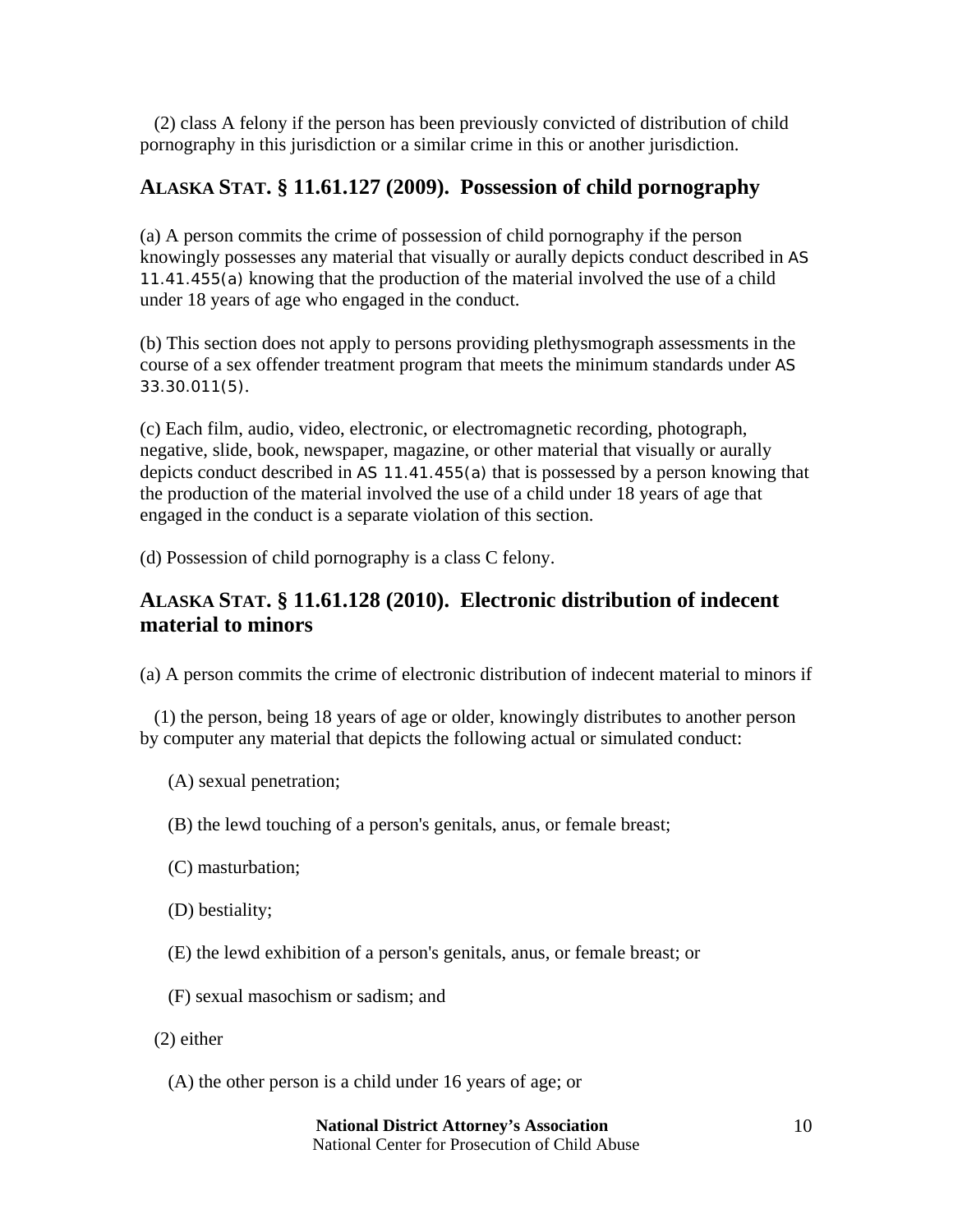(2) class A felony if the person has been previously convicted of distribution of child pornography in this jurisdiction or a similar crime in this or another jurisdiction.

## **ALASKA STAT. § 11.61.127 (2009). Possession of child pornography**

(a) A person commits the crime of possession of child pornography if the person knowingly possesses any material that visually or aurally depicts conduct described in AS 11.41.455(a) knowing that the production of the material involved the use of a child under 18 years of age who engaged in the conduct.

(b) This section does not apply to persons providing plethysmograph assessments in the course of a sex offender treatment program that meets the minimum standards under AS 33.30.011(5).

(c) Each film, audio, video, electronic, or electromagnetic recording, photograph, negative, slide, book, newspaper, magazine, or other material that visually or aurally depicts conduct described in AS 11.41.455(a) that is possessed by a person knowing that the production of the material involved the use of a child under 18 years of age that engaged in the conduct is a separate violation of this section.

(d) Possession of child pornography is a class C felony.

### **ALASKA STAT. § 11.61.128 (2010). Electronic distribution of indecent material to minors**

(a) A person commits the crime of electronic distribution of indecent material to minors if

 (1) the person, being 18 years of age or older, knowingly distributes to another person by computer any material that depicts the following actual or simulated conduct:

- (A) sexual penetration;
- (B) the lewd touching of a person's genitals, anus, or female breast;
- (C) masturbation;
- (D) bestiality;
- (E) the lewd exhibition of a person's genitals, anus, or female breast; or
- (F) sexual masochism or sadism; and
- (2) either
	- (A) the other person is a child under 16 years of age; or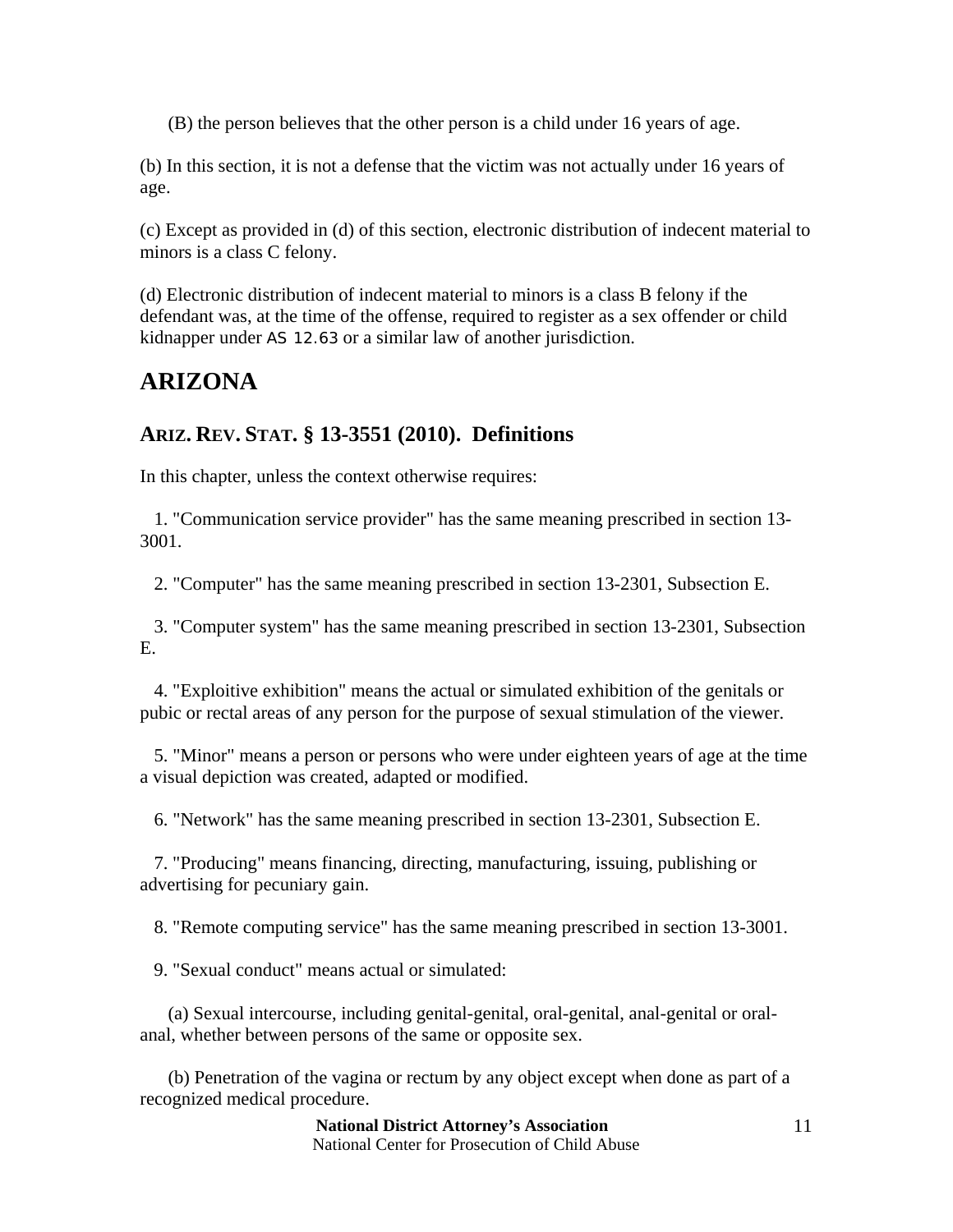(B) the person believes that the other person is a child under 16 years of age.

(b) In this section, it is not a defense that the victim was not actually under 16 years of age.

(c) Except as provided in (d) of this section, electronic distribution of indecent material to minors is a class C felony.

(d) Electronic distribution of indecent material to minors is a class B felony if the defendant was, at the time of the offense, required to register as a sex offender or child kidnapper under AS 12.63 or a similar law of another jurisdiction.

# **ARIZONA**

## **ARIZ. REV. STAT. § 13-3551 (2010). Definitions**

In this chapter, unless the context otherwise requires:

 1. "Communication service provider" has the same meaning prescribed in section 13- 3001.

2. "Computer" has the same meaning prescribed in section 13-2301, Subsection E.

 3. "Computer system" has the same meaning prescribed in section 13-2301, Subsection E.

 4. "Exploitive exhibition" means the actual or simulated exhibition of the genitals or pubic or rectal areas of any person for the purpose of sexual stimulation of the viewer.

 5. "Minor" means a person or persons who were under eighteen years of age at the time a visual depiction was created, adapted or modified.

6. "Network" has the same meaning prescribed in section 13-2301, Subsection E.

 7. "Producing" means financing, directing, manufacturing, issuing, publishing or advertising for pecuniary gain.

8. "Remote computing service" has the same meaning prescribed in section 13-3001.

9. "Sexual conduct" means actual or simulated:

 (a) Sexual intercourse, including genital-genital, oral-genital, anal-genital or oralanal, whether between persons of the same or opposite sex.

 (b) Penetration of the vagina or rectum by any object except when done as part of a recognized medical procedure.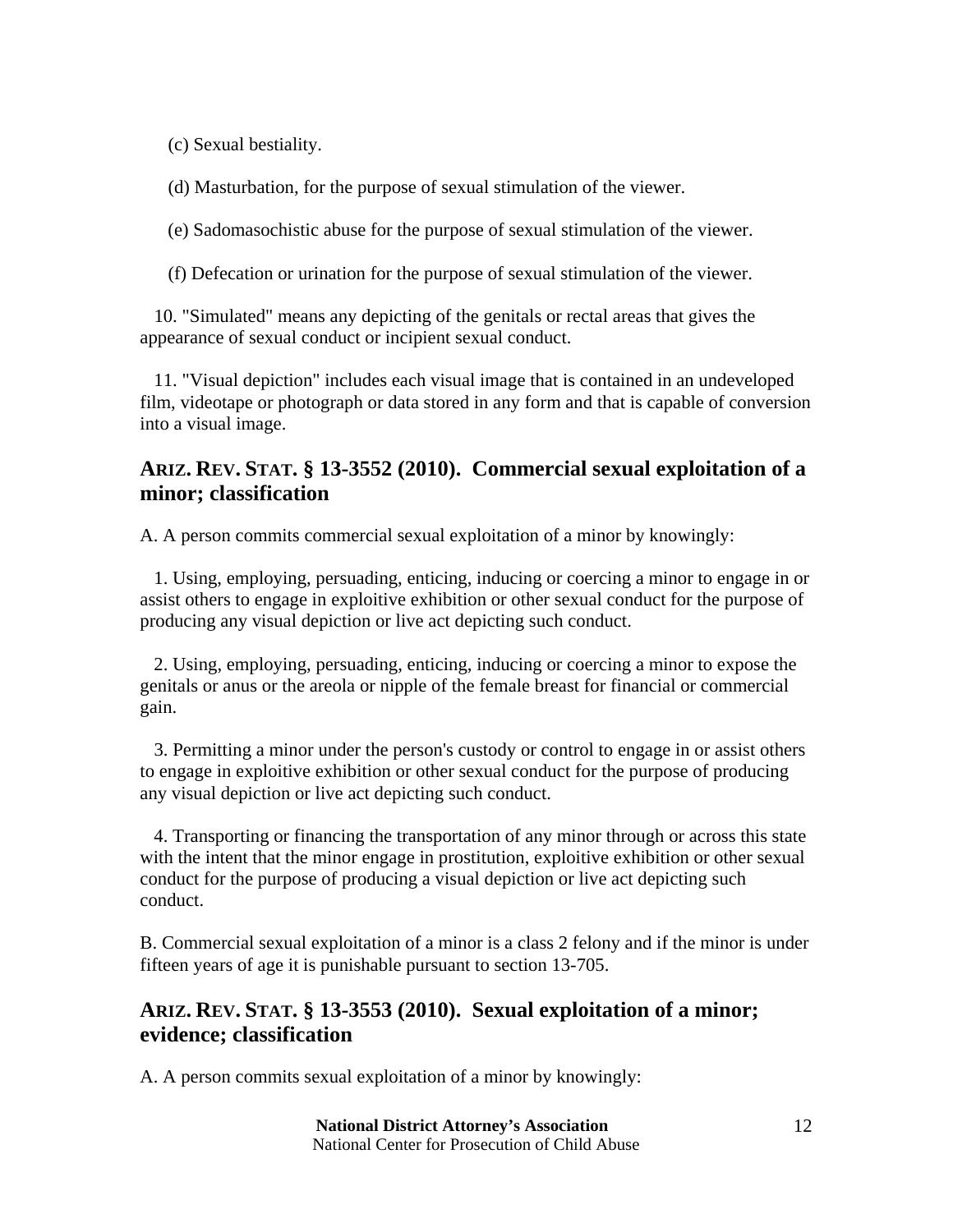(c) Sexual bestiality.

(d) Masturbation, for the purpose of sexual stimulation of the viewer.

(e) Sadomasochistic abuse for the purpose of sexual stimulation of the viewer.

(f) Defecation or urination for the purpose of sexual stimulation of the viewer.

 10. "Simulated" means any depicting of the genitals or rectal areas that gives the appearance of sexual conduct or incipient sexual conduct.

 11. "Visual depiction" includes each visual image that is contained in an undeveloped film, videotape or photograph or data stored in any form and that is capable of conversion into a visual image.

#### **ARIZ. REV. STAT. § 13-3552 (2010). Commercial sexual exploitation of a minor; classification**

A. A person commits commercial sexual exploitation of a minor by knowingly:

 1. Using, employing, persuading, enticing, inducing or coercing a minor to engage in or assist others to engage in exploitive exhibition or other sexual conduct for the purpose of producing any visual depiction or live act depicting such conduct.

 2. Using, employing, persuading, enticing, inducing or coercing a minor to expose the genitals or anus or the areola or nipple of the female breast for financial or commercial gain.

 3. Permitting a minor under the person's custody or control to engage in or assist others to engage in exploitive exhibition or other sexual conduct for the purpose of producing any visual depiction or live act depicting such conduct.

 4. Transporting or financing the transportation of any minor through or across this state with the intent that the minor engage in prostitution, exploitive exhibition or other sexual conduct for the purpose of producing a visual depiction or live act depicting such conduct.

B. Commercial sexual exploitation of a minor is a class 2 felony and if the minor is under fifteen years of age it is punishable pursuant to section 13-705.

### **ARIZ. REV. STAT. § 13-3553 (2010). Sexual exploitation of a minor; evidence; classification**

A. A person commits sexual exploitation of a minor by knowingly: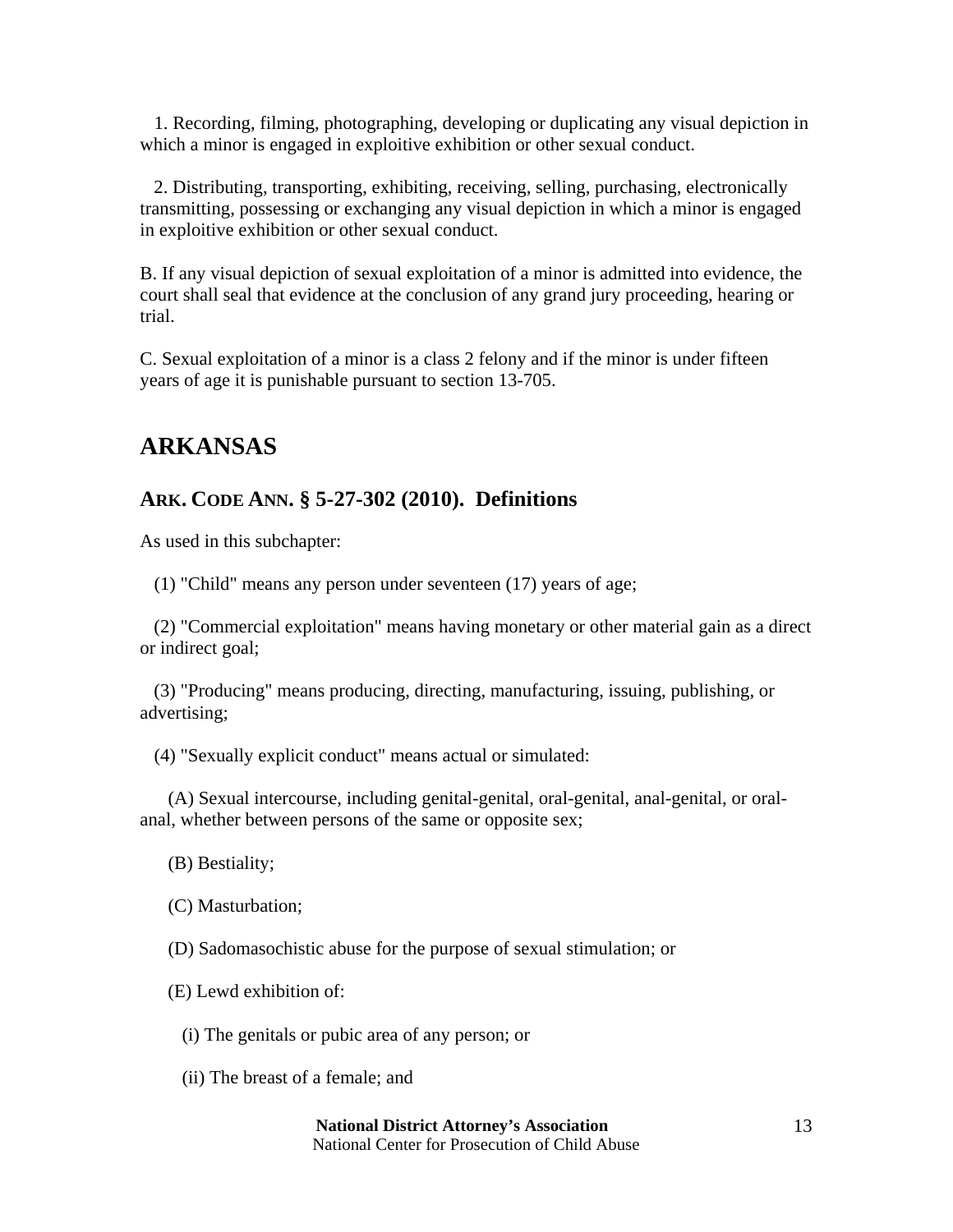1. Recording, filming, photographing, developing or duplicating any visual depiction in which a minor is engaged in exploitive exhibition or other sexual conduct.

 2. Distributing, transporting, exhibiting, receiving, selling, purchasing, electronically transmitting, possessing or exchanging any visual depiction in which a minor is engaged in exploitive exhibition or other sexual conduct.

B. If any visual depiction of sexual exploitation of a minor is admitted into evidence, the court shall seal that evidence at the conclusion of any grand jury proceeding, hearing or trial.

C. Sexual exploitation of a minor is a class 2 felony and if the minor is under fifteen years of age it is punishable pursuant to section 13-705.

# **ARKANSAS**

## **ARK. CODE ANN. § 5-27-302 (2010). Definitions**

As used in this subchapter:

(1) "Child" means any person under seventeen (17) years of age;

 (2) "Commercial exploitation" means having monetary or other material gain as a direct or indirect goal;

 (3) "Producing" means producing, directing, manufacturing, issuing, publishing, or advertising;

(4) "Sexually explicit conduct" means actual or simulated:

 (A) Sexual intercourse, including genital-genital, oral-genital, anal-genital, or oralanal, whether between persons of the same or opposite sex;

(B) Bestiality;

(C) Masturbation;

(D) Sadomasochistic abuse for the purpose of sexual stimulation; or

(E) Lewd exhibition of:

(i) The genitals or pubic area of any person; or

(ii) The breast of a female; and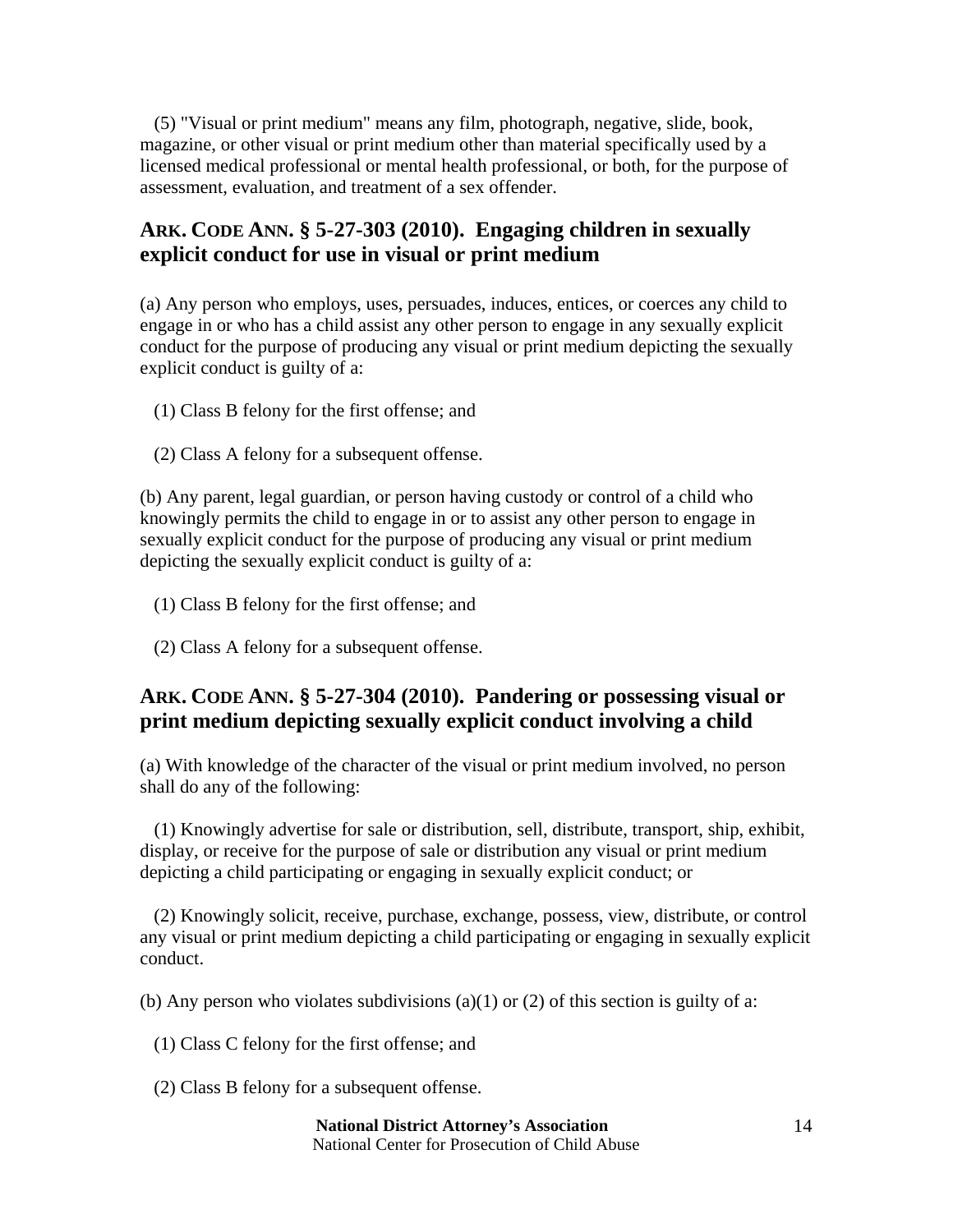(5) "Visual or print medium" means any film, photograph, negative, slide, book, magazine, or other visual or print medium other than material specifically used by a licensed medical professional or mental health professional, or both, for the purpose of assessment, evaluation, and treatment of a sex offender.

# **ARK. CODE ANN. § 5-27-303 (2010). Engaging children in sexually explicit conduct for use in visual or print medium**

(a) Any person who employs, uses, persuades, induces, entices, or coerces any child to engage in or who has a child assist any other person to engage in any sexually explicit conduct for the purpose of producing any visual or print medium depicting the sexually explicit conduct is guilty of a:

- (1) Class B felony for the first offense; and
- (2) Class A felony for a subsequent offense.

(b) Any parent, legal guardian, or person having custody or control of a child who knowingly permits the child to engage in or to assist any other person to engage in sexually explicit conduct for the purpose of producing any visual or print medium depicting the sexually explicit conduct is guilty of a:

- (1) Class B felony for the first offense; and
- (2) Class A felony for a subsequent offense.

### **ARK. CODE ANN. § 5-27-304 (2010). Pandering or possessing visual or print medium depicting sexually explicit conduct involving a child**

(a) With knowledge of the character of the visual or print medium involved, no person shall do any of the following:

 (1) Knowingly advertise for sale or distribution, sell, distribute, transport, ship, exhibit, display, or receive for the purpose of sale or distribution any visual or print medium depicting a child participating or engaging in sexually explicit conduct; or

 (2) Knowingly solicit, receive, purchase, exchange, possess, view, distribute, or control any visual or print medium depicting a child participating or engaging in sexually explicit conduct.

(b) Any person who violates subdivisions (a)(1) or (2) of this section is guilty of a:

(1) Class C felony for the first offense; and

(2) Class B felony for a subsequent offense.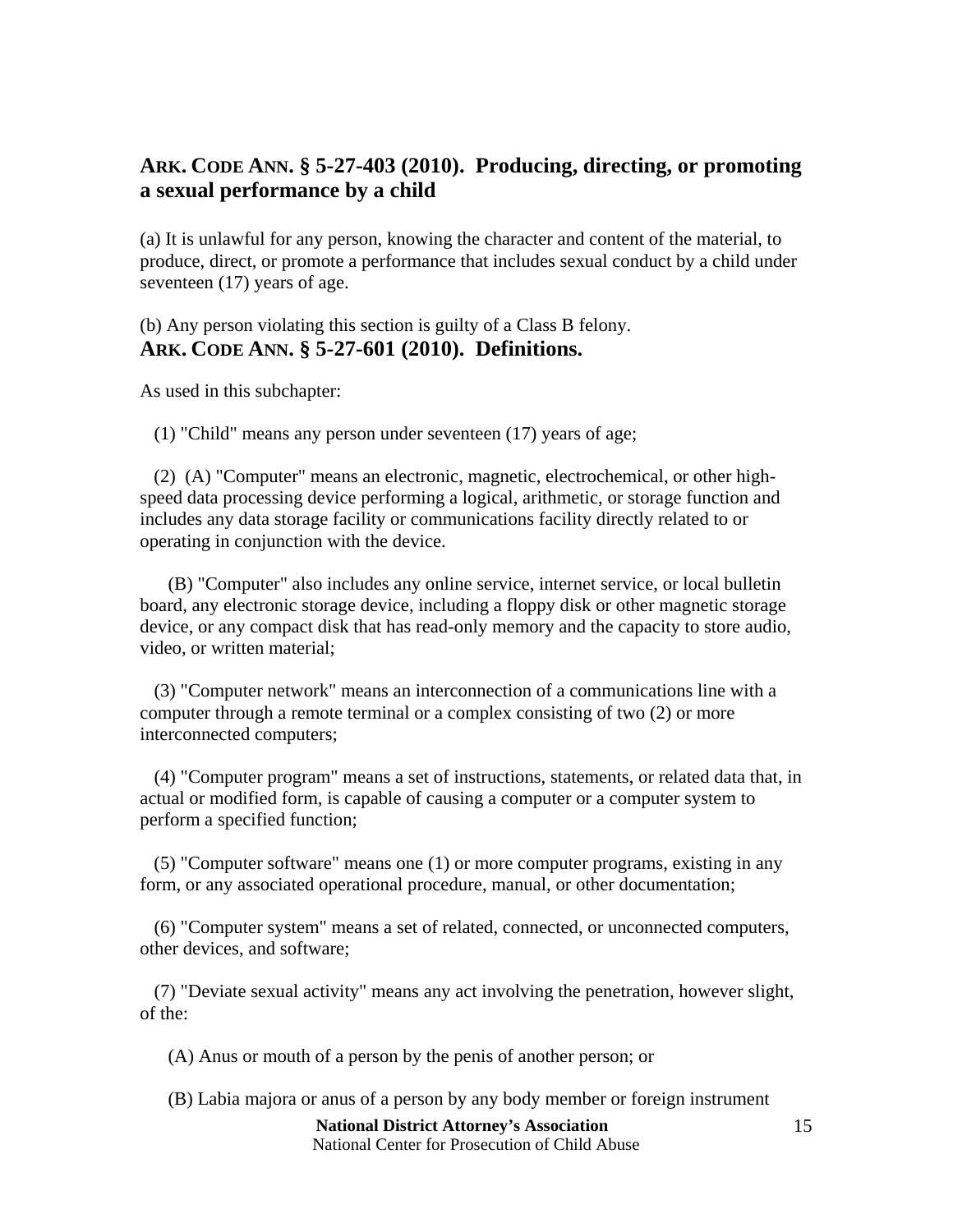# **ARK. CODE ANN. § 5-27-403 (2010). Producing, directing, or promoting a sexual performance by a child**

(a) It is unlawful for any person, knowing the character and content of the material, to produce, direct, or promote a performance that includes sexual conduct by a child under seventeen (17) years of age.

(b) Any person violating this section is guilty of a Class B felony. **ARK. CODE ANN. § 5-27-601 (2010). Definitions.**

As used in this subchapter:

(1) "Child" means any person under seventeen (17) years of age;

 (2) (A) "Computer" means an electronic, magnetic, electrochemical, or other highspeed data processing device performing a logical, arithmetic, or storage function and includes any data storage facility or communications facility directly related to or operating in conjunction with the device.

 (B) "Computer" also includes any online service, internet service, or local bulletin board, any electronic storage device, including a floppy disk or other magnetic storage device, or any compact disk that has read-only memory and the capacity to store audio, video, or written material;

 (3) "Computer network" means an interconnection of a communications line with a computer through a remote terminal or a complex consisting of two (2) or more interconnected computers;

 (4) "Computer program" means a set of instructions, statements, or related data that, in actual or modified form, is capable of causing a computer or a computer system to perform a specified function;

 (5) "Computer software" means one (1) or more computer programs, existing in any form, or any associated operational procedure, manual, or other documentation;

 (6) "Computer system" means a set of related, connected, or unconnected computers, other devices, and software;

 (7) "Deviate sexual activity" means any act involving the penetration, however slight, of the:

(A) Anus or mouth of a person by the penis of another person; or

(B) Labia majora or anus of a person by any body member or foreign instrument

**National District Attorney's Association**  National Center for Prosecution of Child Abuse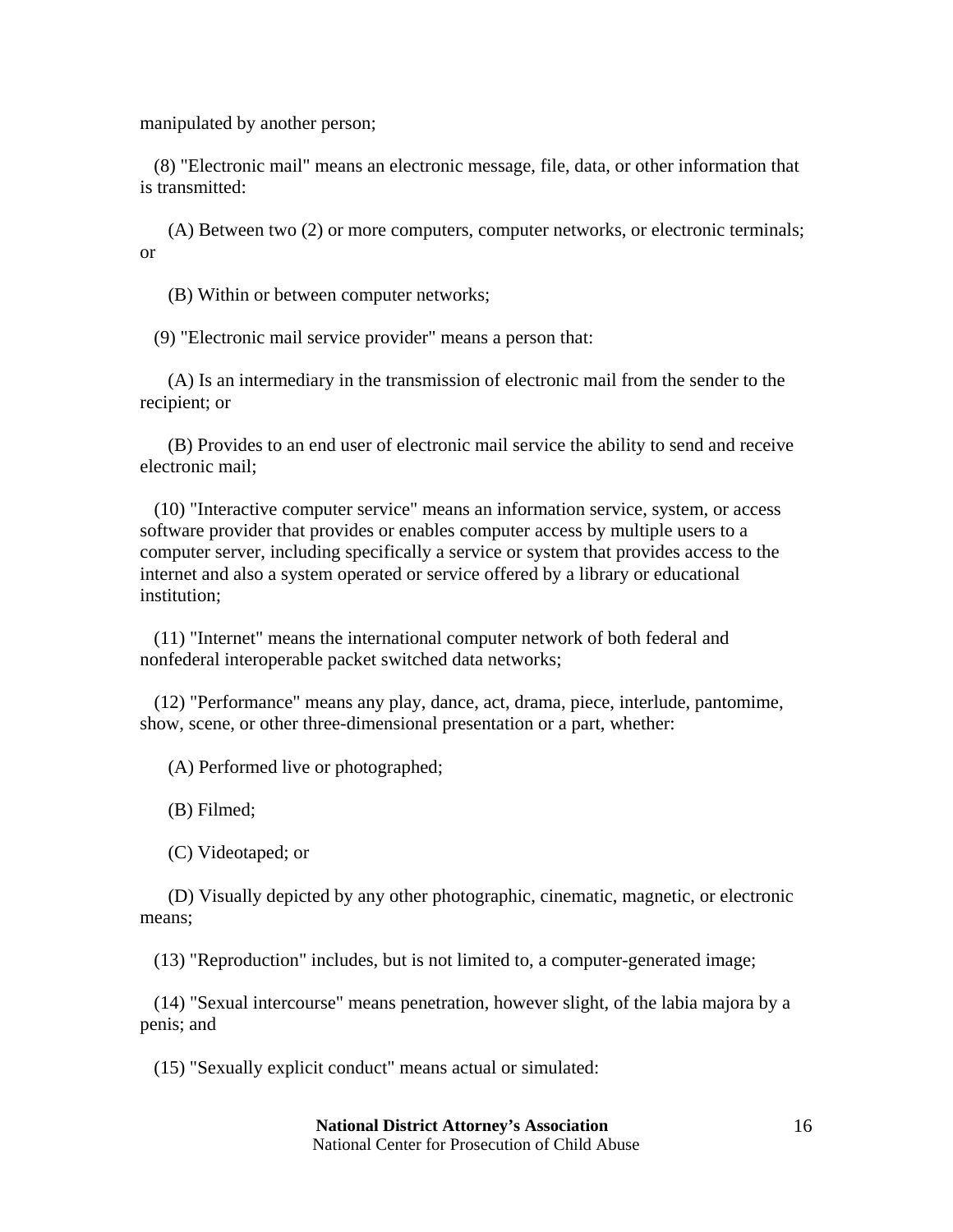manipulated by another person;

 (8) "Electronic mail" means an electronic message, file, data, or other information that is transmitted:

 (A) Between two (2) or more computers, computer networks, or electronic terminals; or

(B) Within or between computer networks;

(9) "Electronic mail service provider" means a person that:

 (A) Is an intermediary in the transmission of electronic mail from the sender to the recipient; or

 (B) Provides to an end user of electronic mail service the ability to send and receive electronic mail;

 (10) "Interactive computer service" means an information service, system, or access software provider that provides or enables computer access by multiple users to a computer server, including specifically a service or system that provides access to the internet and also a system operated or service offered by a library or educational institution;

 (11) "Internet" means the international computer network of both federal and nonfederal interoperable packet switched data networks;

 (12) "Performance" means any play, dance, act, drama, piece, interlude, pantomime, show, scene, or other three-dimensional presentation or a part, whether:

(A) Performed live or photographed;

(B) Filmed;

(C) Videotaped; or

 (D) Visually depicted by any other photographic, cinematic, magnetic, or electronic means;

(13) "Reproduction" includes, but is not limited to, a computer-generated image;

 (14) "Sexual intercourse" means penetration, however slight, of the labia majora by a penis; and

(15) "Sexually explicit conduct" means actual or simulated: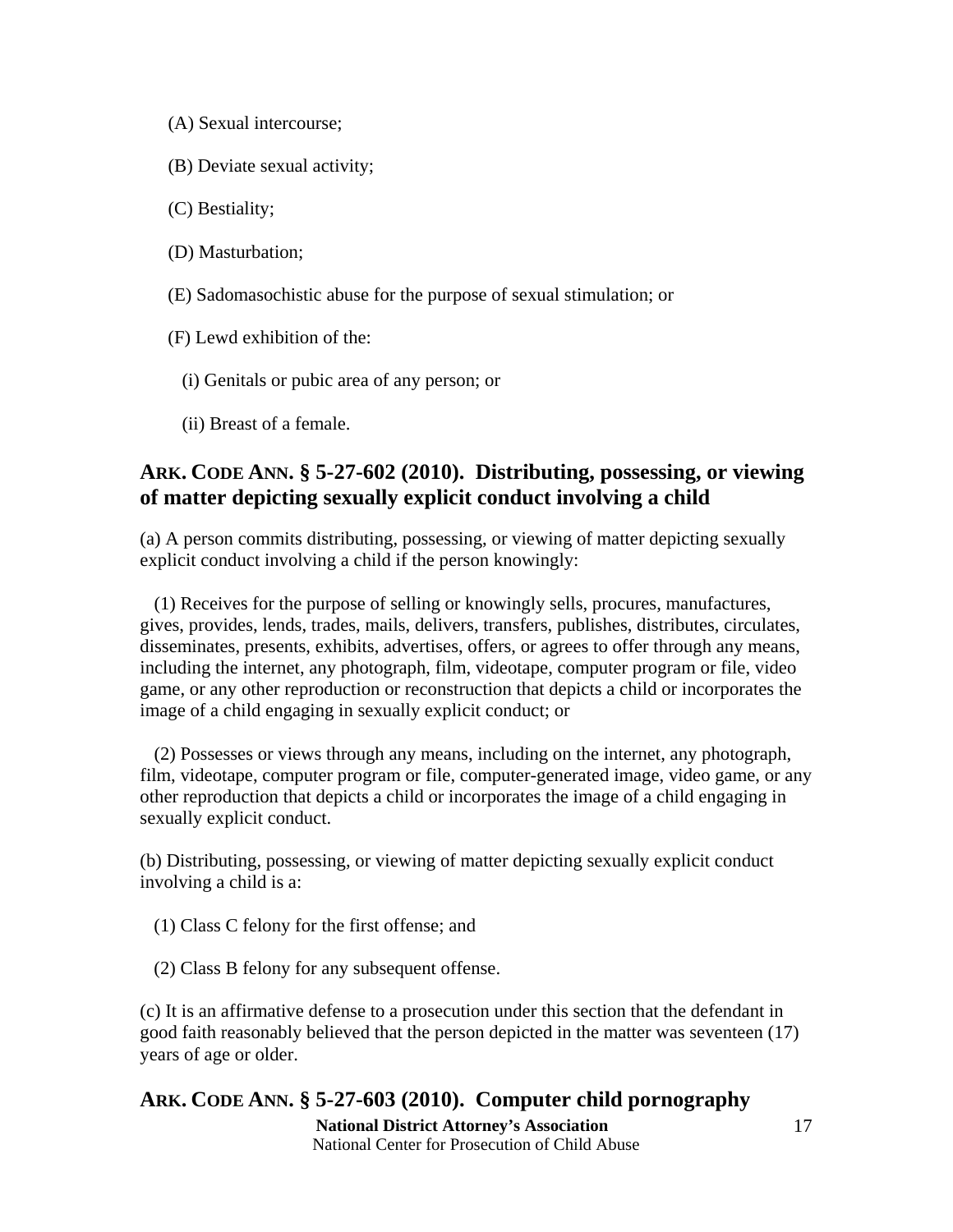- (A) Sexual intercourse;
- (B) Deviate sexual activity;
- (C) Bestiality;
- (D) Masturbation;
- (E) Sadomasochistic abuse for the purpose of sexual stimulation; or
- (F) Lewd exhibition of the:
	- (i) Genitals or pubic area of any person; or
	- (ii) Breast of a female.

### **ARK. CODE ANN. § 5-27-602 (2010). Distributing, possessing, or viewing of matter depicting sexually explicit conduct involving a child**

(a) A person commits distributing, possessing, or viewing of matter depicting sexually explicit conduct involving a child if the person knowingly:

 (1) Receives for the purpose of selling or knowingly sells, procures, manufactures, gives, provides, lends, trades, mails, delivers, transfers, publishes, distributes, circulates, disseminates, presents, exhibits, advertises, offers, or agrees to offer through any means, including the internet, any photograph, film, videotape, computer program or file, video game, or any other reproduction or reconstruction that depicts a child or incorporates the image of a child engaging in sexually explicit conduct; or

 (2) Possesses or views through any means, including on the internet, any photograph, film, videotape, computer program or file, computer-generated image, video game, or any other reproduction that depicts a child or incorporates the image of a child engaging in sexually explicit conduct.

(b) Distributing, possessing, or viewing of matter depicting sexually explicit conduct involving a child is a:

- (1) Class C felony for the first offense; and
- (2) Class B felony for any subsequent offense.

(c) It is an affirmative defense to a prosecution under this section that the defendant in good faith reasonably believed that the person depicted in the matter was seventeen (17) years of age or older.

#### **ARK. CODE ANN. § 5-27-603 (2010). Computer child pornography**

**National District Attorney's Association**  National Center for Prosecution of Child Abuse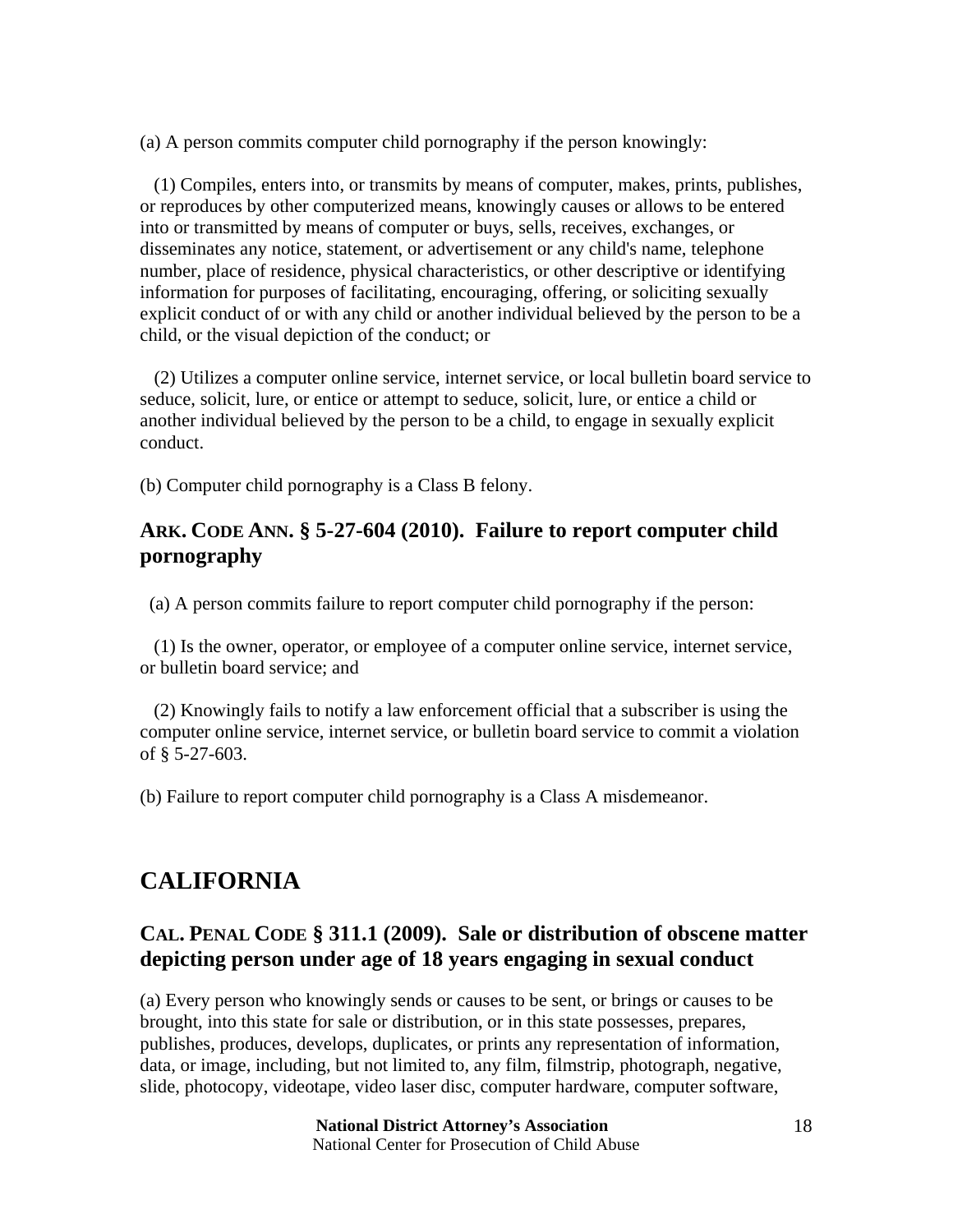(a) A person commits computer child pornography if the person knowingly:

 (1) Compiles, enters into, or transmits by means of computer, makes, prints, publishes, or reproduces by other computerized means, knowingly causes or allows to be entered into or transmitted by means of computer or buys, sells, receives, exchanges, or disseminates any notice, statement, or advertisement or any child's name, telephone number, place of residence, physical characteristics, or other descriptive or identifying information for purposes of facilitating, encouraging, offering, or soliciting sexually explicit conduct of or with any child or another individual believed by the person to be a child, or the visual depiction of the conduct; or

 (2) Utilizes a computer online service, internet service, or local bulletin board service to seduce, solicit, lure, or entice or attempt to seduce, solicit, lure, or entice a child or another individual believed by the person to be a child, to engage in sexually explicit conduct.

(b) Computer child pornography is a Class B felony.

### **ARK. CODE ANN. § 5-27-604 (2010). Failure to report computer child pornography**

(a) A person commits failure to report computer child pornography if the person:

 (1) Is the owner, operator, or employee of a computer online service, internet service, or bulletin board service; and

 (2) Knowingly fails to notify a law enforcement official that a subscriber is using the computer online service, internet service, or bulletin board service to commit a violation of § 5-27-603.

(b) Failure to report computer child pornography is a Class A misdemeanor.

# **CALIFORNIA**

### **CAL. PENAL CODE § 311.1 (2009). Sale or distribution of obscene matter depicting person under age of 18 years engaging in sexual conduct**

(a) Every person who knowingly sends or causes to be sent, or brings or causes to be brought, into this state for sale or distribution, or in this state possesses, prepares, publishes, produces, develops, duplicates, or prints any representation of information, data, or image, including, but not limited to, any film, filmstrip, photograph, negative, slide, photocopy, videotape, video laser disc, computer hardware, computer software,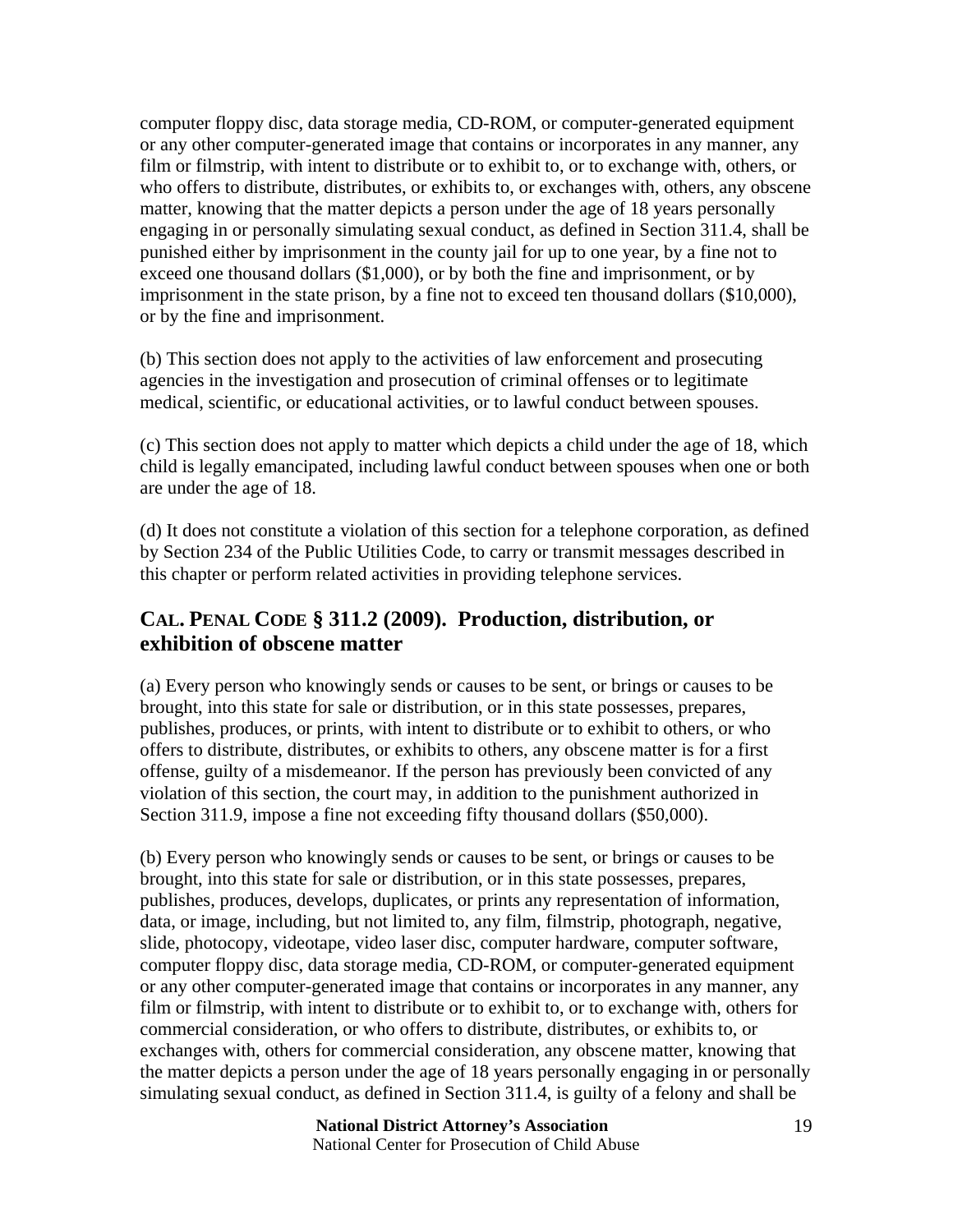computer floppy disc, data storage media, CD-ROM, or computer-generated equipment or any other computer-generated image that contains or incorporates in any manner, any film or filmstrip, with intent to distribute or to exhibit to, or to exchange with, others, or who offers to distribute, distributes, or exhibits to, or exchanges with, others, any obscene matter, knowing that the matter depicts a person under the age of 18 years personally engaging in or personally simulating sexual conduct, as defined in Section 311.4, shall be punished either by imprisonment in the county jail for up to one year, by a fine not to exceed one thousand dollars (\$1,000), or by both the fine and imprisonment, or by imprisonment in the state prison, by a fine not to exceed ten thousand dollars (\$10,000), or by the fine and imprisonment.

(b) This section does not apply to the activities of law enforcement and prosecuting agencies in the investigation and prosecution of criminal offenses or to legitimate medical, scientific, or educational activities, or to lawful conduct between spouses.

(c) This section does not apply to matter which depicts a child under the age of 18, which child is legally emancipated, including lawful conduct between spouses when one or both are under the age of 18.

(d) It does not constitute a violation of this section for a telephone corporation, as defined by Section 234 of the Public Utilities Code, to carry or transmit messages described in this chapter or perform related activities in providing telephone services.

### **CAL. PENAL CODE § 311.2 (2009). Production, distribution, or exhibition of obscene matter**

(a) Every person who knowingly sends or causes to be sent, or brings or causes to be brought, into this state for sale or distribution, or in this state possesses, prepares, publishes, produces, or prints, with intent to distribute or to exhibit to others, or who offers to distribute, distributes, or exhibits to others, any obscene matter is for a first offense, guilty of a misdemeanor. If the person has previously been convicted of any violation of this section, the court may, in addition to the punishment authorized in Section 311.9, impose a fine not exceeding fifty thousand dollars (\$50,000).

(b) Every person who knowingly sends or causes to be sent, or brings or causes to be brought, into this state for sale or distribution, or in this state possesses, prepares, publishes, produces, develops, duplicates, or prints any representation of information, data, or image, including, but not limited to, any film, filmstrip, photograph, negative, slide, photocopy, videotape, video laser disc, computer hardware, computer software, computer floppy disc, data storage media, CD-ROM, or computer-generated equipment or any other computer-generated image that contains or incorporates in any manner, any film or filmstrip, with intent to distribute or to exhibit to, or to exchange with, others for commercial consideration, or who offers to distribute, distributes, or exhibits to, or exchanges with, others for commercial consideration, any obscene matter, knowing that the matter depicts a person under the age of 18 years personally engaging in or personally simulating sexual conduct, as defined in Section 311.4, is guilty of a felony and shall be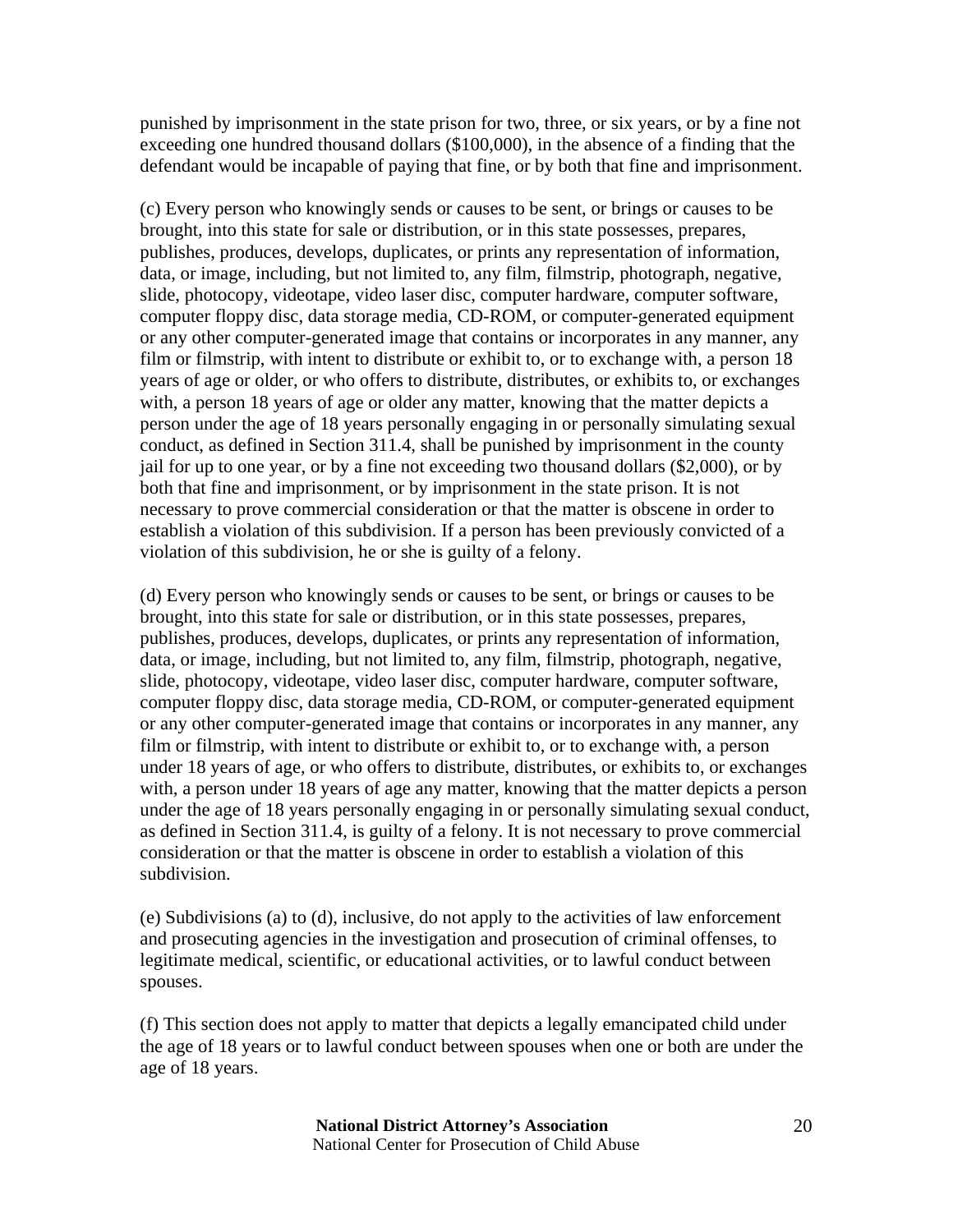punished by imprisonment in the state prison for two, three, or six years, or by a fine not exceeding one hundred thousand dollars (\$100,000), in the absence of a finding that the defendant would be incapable of paying that fine, or by both that fine and imprisonment.

(c) Every person who knowingly sends or causes to be sent, or brings or causes to be brought, into this state for sale or distribution, or in this state possesses, prepares, publishes, produces, develops, duplicates, or prints any representation of information, data, or image, including, but not limited to, any film, filmstrip, photograph, negative, slide, photocopy, videotape, video laser disc, computer hardware, computer software, computer floppy disc, data storage media, CD-ROM, or computer-generated equipment or any other computer-generated image that contains or incorporates in any manner, any film or filmstrip, with intent to distribute or exhibit to, or to exchange with, a person 18 years of age or older, or who offers to distribute, distributes, or exhibits to, or exchanges with, a person 18 years of age or older any matter, knowing that the matter depicts a person under the age of 18 years personally engaging in or personally simulating sexual conduct, as defined in Section 311.4, shall be punished by imprisonment in the county jail for up to one year, or by a fine not exceeding two thousand dollars (\$2,000), or by both that fine and imprisonment, or by imprisonment in the state prison. It is not necessary to prove commercial consideration or that the matter is obscene in order to establish a violation of this subdivision. If a person has been previously convicted of a violation of this subdivision, he or she is guilty of a felony.

(d) Every person who knowingly sends or causes to be sent, or brings or causes to be brought, into this state for sale or distribution, or in this state possesses, prepares, publishes, produces, develops, duplicates, or prints any representation of information, data, or image, including, but not limited to, any film, filmstrip, photograph, negative, slide, photocopy, videotape, video laser disc, computer hardware, computer software, computer floppy disc, data storage media, CD-ROM, or computer-generated equipment or any other computer-generated image that contains or incorporates in any manner, any film or filmstrip, with intent to distribute or exhibit to, or to exchange with, a person under 18 years of age, or who offers to distribute, distributes, or exhibits to, or exchanges with, a person under 18 years of age any matter, knowing that the matter depicts a person under the age of 18 years personally engaging in or personally simulating sexual conduct, as defined in Section 311.4, is guilty of a felony. It is not necessary to prove commercial consideration or that the matter is obscene in order to establish a violation of this subdivision.

(e) Subdivisions (a) to (d), inclusive, do not apply to the activities of law enforcement and prosecuting agencies in the investigation and prosecution of criminal offenses, to legitimate medical, scientific, or educational activities, or to lawful conduct between spouses.

(f) This section does not apply to matter that depicts a legally emancipated child under the age of 18 years or to lawful conduct between spouses when one or both are under the age of 18 years.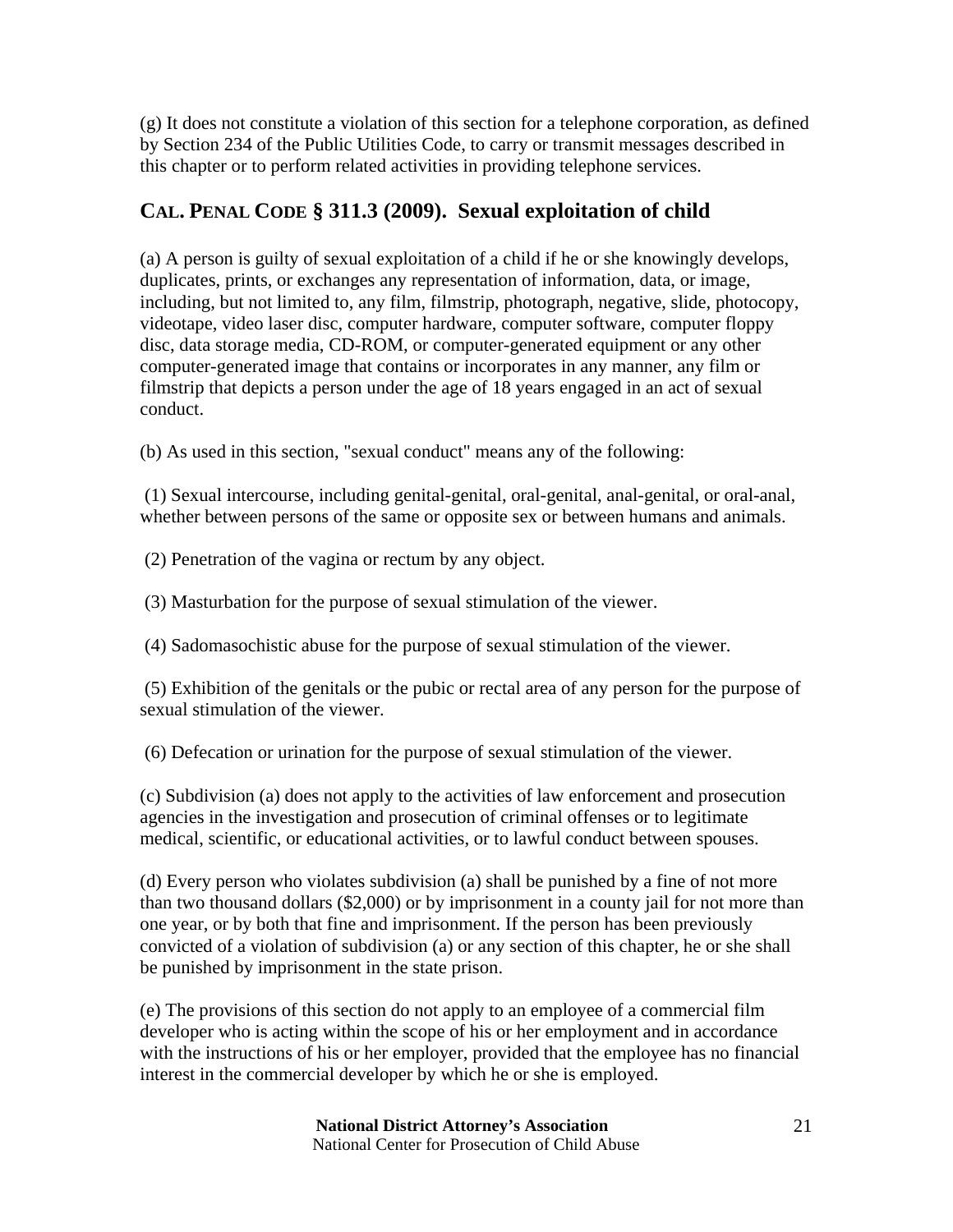(g) It does not constitute a violation of this section for a telephone corporation, as defined by Section 234 of the Public Utilities Code, to carry or transmit messages described in this chapter or to perform related activities in providing telephone services.

# **CAL. PENAL CODE § 311.3 (2009). Sexual exploitation of child**

(a) A person is guilty of sexual exploitation of a child if he or she knowingly develops, duplicates, prints, or exchanges any representation of information, data, or image, including, but not limited to, any film, filmstrip, photograph, negative, slide, photocopy, videotape, video laser disc, computer hardware, computer software, computer floppy disc, data storage media, CD-ROM, or computer-generated equipment or any other computer-generated image that contains or incorporates in any manner, any film or filmstrip that depicts a person under the age of 18 years engaged in an act of sexual conduct.

(b) As used in this section, "sexual conduct" means any of the following:

 (1) Sexual intercourse, including genital-genital, oral-genital, anal-genital, or oral-anal, whether between persons of the same or opposite sex or between humans and animals.

(2) Penetration of the vagina or rectum by any object.

(3) Masturbation for the purpose of sexual stimulation of the viewer.

(4) Sadomasochistic abuse for the purpose of sexual stimulation of the viewer.

 (5) Exhibition of the genitals or the pubic or rectal area of any person for the purpose of sexual stimulation of the viewer.

(6) Defecation or urination for the purpose of sexual stimulation of the viewer.

(c) Subdivision (a) does not apply to the activities of law enforcement and prosecution agencies in the investigation and prosecution of criminal offenses or to legitimate medical, scientific, or educational activities, or to lawful conduct between spouses.

(d) Every person who violates subdivision (a) shall be punished by a fine of not more than two thousand dollars (\$2,000) or by imprisonment in a county jail for not more than one year, or by both that fine and imprisonment. If the person has been previously convicted of a violation of subdivision (a) or any section of this chapter, he or she shall be punished by imprisonment in the state prison.

(e) The provisions of this section do not apply to an employee of a commercial film developer who is acting within the scope of his or her employment and in accordance with the instructions of his or her employer, provided that the employee has no financial interest in the commercial developer by which he or she is employed.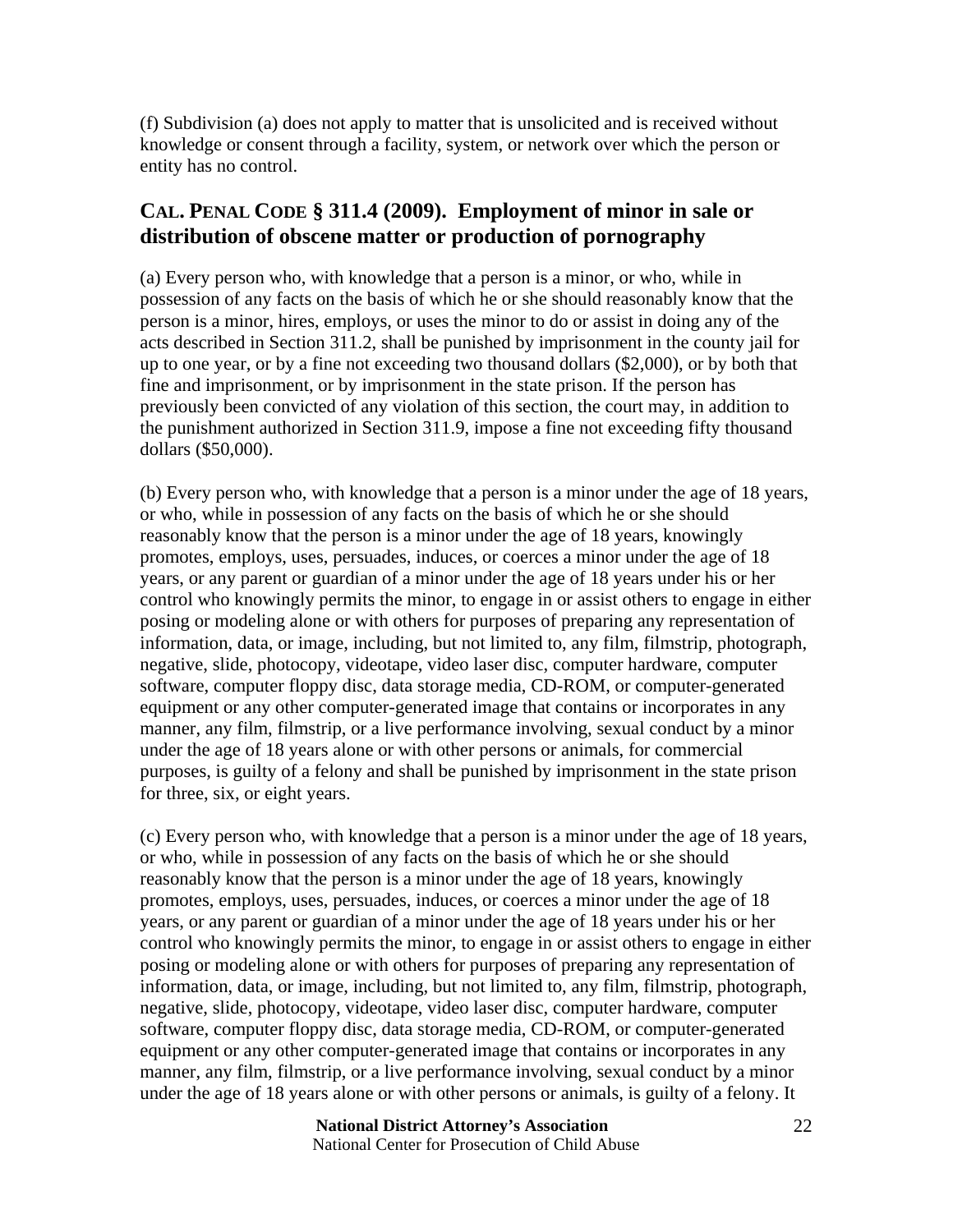(f) Subdivision (a) does not apply to matter that is unsolicited and is received without knowledge or consent through a facility, system, or network over which the person or entity has no control.

### **CAL. PENAL CODE § 311.4 (2009). Employment of minor in sale or distribution of obscene matter or production of pornography**

(a) Every person who, with knowledge that a person is a minor, or who, while in possession of any facts on the basis of which he or she should reasonably know that the person is a minor, hires, employs, or uses the minor to do or assist in doing any of the acts described in Section 311.2, shall be punished by imprisonment in the county jail for up to one year, or by a fine not exceeding two thousand dollars (\$2,000), or by both that fine and imprisonment, or by imprisonment in the state prison. If the person has previously been convicted of any violation of this section, the court may, in addition to the punishment authorized in Section 311.9, impose a fine not exceeding fifty thousand dollars (\$50,000).

(b) Every person who, with knowledge that a person is a minor under the age of 18 years, or who, while in possession of any facts on the basis of which he or she should reasonably know that the person is a minor under the age of 18 years, knowingly promotes, employs, uses, persuades, induces, or coerces a minor under the age of 18 years, or any parent or guardian of a minor under the age of 18 years under his or her control who knowingly permits the minor, to engage in or assist others to engage in either posing or modeling alone or with others for purposes of preparing any representation of information, data, or image, including, but not limited to, any film, filmstrip, photograph, negative, slide, photocopy, videotape, video laser disc, computer hardware, computer software, computer floppy disc, data storage media, CD-ROM, or computer-generated equipment or any other computer-generated image that contains or incorporates in any manner, any film, filmstrip, or a live performance involving, sexual conduct by a minor under the age of 18 years alone or with other persons or animals, for commercial purposes, is guilty of a felony and shall be punished by imprisonment in the state prison for three, six, or eight years.

(c) Every person who, with knowledge that a person is a minor under the age of 18 years, or who, while in possession of any facts on the basis of which he or she should reasonably know that the person is a minor under the age of 18 years, knowingly promotes, employs, uses, persuades, induces, or coerces a minor under the age of 18 years, or any parent or guardian of a minor under the age of 18 years under his or her control who knowingly permits the minor, to engage in or assist others to engage in either posing or modeling alone or with others for purposes of preparing any representation of information, data, or image, including, but not limited to, any film, filmstrip, photograph, negative, slide, photocopy, videotape, video laser disc, computer hardware, computer software, computer floppy disc, data storage media, CD-ROM, or computer-generated equipment or any other computer-generated image that contains or incorporates in any manner, any film, filmstrip, or a live performance involving, sexual conduct by a minor under the age of 18 years alone or with other persons or animals, is guilty of a felony. It

> **National District Attorney's Association**  National Center for Prosecution of Child Abuse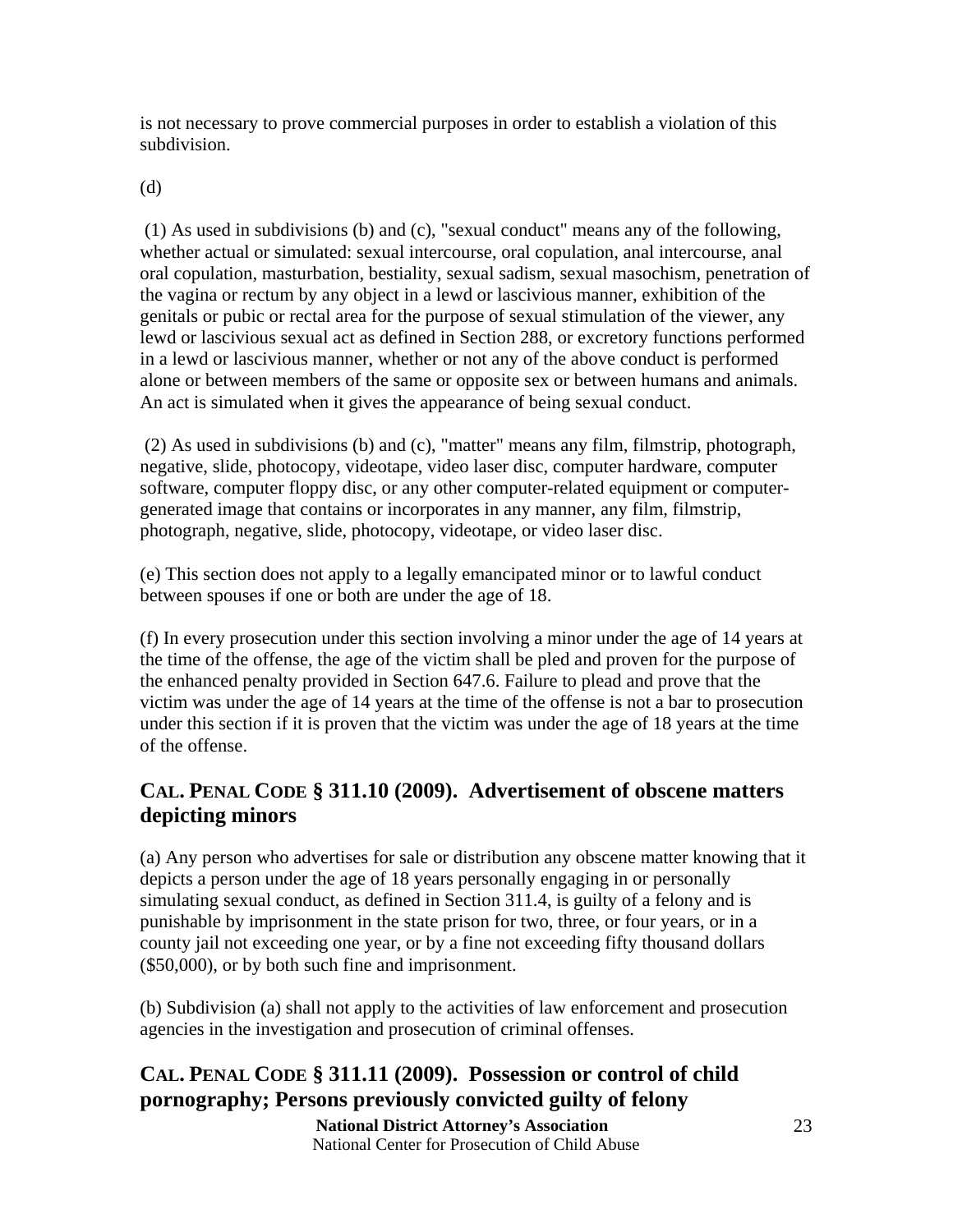is not necessary to prove commercial purposes in order to establish a violation of this subdivision.

#### (d)

 (1) As used in subdivisions (b) and (c), "sexual conduct" means any of the following, whether actual or simulated: sexual intercourse, oral copulation, anal intercourse, anal oral copulation, masturbation, bestiality, sexual sadism, sexual masochism, penetration of the vagina or rectum by any object in a lewd or lascivious manner, exhibition of the genitals or pubic or rectal area for the purpose of sexual stimulation of the viewer, any lewd or lascivious sexual act as defined in Section 288, or excretory functions performed in a lewd or lascivious manner, whether or not any of the above conduct is performed alone or between members of the same or opposite sex or between humans and animals. An act is simulated when it gives the appearance of being sexual conduct.

 (2) As used in subdivisions (b) and (c), "matter" means any film, filmstrip, photograph, negative, slide, photocopy, videotape, video laser disc, computer hardware, computer software, computer floppy disc, or any other computer-related equipment or computergenerated image that contains or incorporates in any manner, any film, filmstrip, photograph, negative, slide, photocopy, videotape, or video laser disc.

(e) This section does not apply to a legally emancipated minor or to lawful conduct between spouses if one or both are under the age of 18.

(f) In every prosecution under this section involving a minor under the age of 14 years at the time of the offense, the age of the victim shall be pled and proven for the purpose of the enhanced penalty provided in Section 647.6. Failure to plead and prove that the victim was under the age of 14 years at the time of the offense is not a bar to prosecution under this section if it is proven that the victim was under the age of 18 years at the time of the offense.

## **CAL. PENAL CODE § 311.10 (2009). Advertisement of obscene matters depicting minors**

(a) Any person who advertises for sale or distribution any obscene matter knowing that it depicts a person under the age of 18 years personally engaging in or personally simulating sexual conduct, as defined in Section 311.4, is guilty of a felony and is punishable by imprisonment in the state prison for two, three, or four years, or in a county jail not exceeding one year, or by a fine not exceeding fifty thousand dollars (\$50,000), or by both such fine and imprisonment.

(b) Subdivision (a) shall not apply to the activities of law enforcement and prosecution agencies in the investigation and prosecution of criminal offenses.

# **CAL. PENAL CODE § 311.11 (2009). Possession or control of child pornography; Persons previously convicted guilty of felony**

**National District Attorney's Association**  National Center for Prosecution of Child Abuse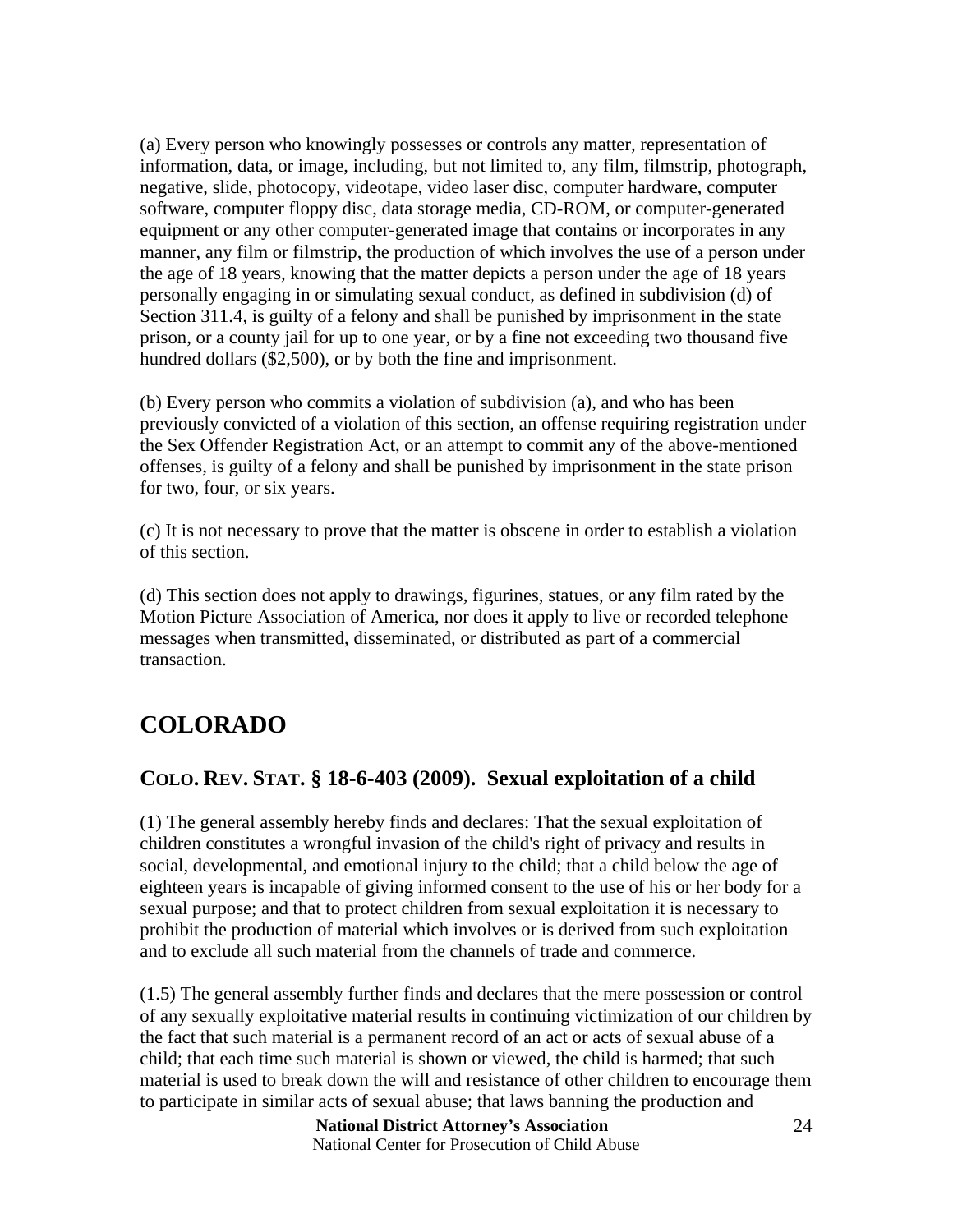(a) Every person who knowingly possesses or controls any matter, representation of information, data, or image, including, but not limited to, any film, filmstrip, photograph, negative, slide, photocopy, videotape, video laser disc, computer hardware, computer software, computer floppy disc, data storage media, CD-ROM, or computer-generated equipment or any other computer-generated image that contains or incorporates in any manner, any film or filmstrip, the production of which involves the use of a person under the age of 18 years, knowing that the matter depicts a person under the age of 18 years personally engaging in or simulating sexual conduct, as defined in subdivision (d) of Section 311.4, is guilty of a felony and shall be punished by imprisonment in the state prison, or a county jail for up to one year, or by a fine not exceeding two thousand five hundred dollars (\$2,500), or by both the fine and imprisonment.

(b) Every person who commits a violation of subdivision (a), and who has been previously convicted of a violation of this section, an offense requiring registration under the Sex Offender Registration Act, or an attempt to commit any of the above-mentioned offenses, is guilty of a felony and shall be punished by imprisonment in the state prison for two, four, or six years.

(c) It is not necessary to prove that the matter is obscene in order to establish a violation of this section.

(d) This section does not apply to drawings, figurines, statues, or any film rated by the Motion Picture Association of America, nor does it apply to live or recorded telephone messages when transmitted, disseminated, or distributed as part of a commercial transaction.

# **COLORADO**

# **COLO. REV. STAT. § 18-6-403 (2009). Sexual exploitation of a child**

(1) The general assembly hereby finds and declares: That the sexual exploitation of children constitutes a wrongful invasion of the child's right of privacy and results in social, developmental, and emotional injury to the child; that a child below the age of eighteen years is incapable of giving informed consent to the use of his or her body for a sexual purpose; and that to protect children from sexual exploitation it is necessary to prohibit the production of material which involves or is derived from such exploitation and to exclude all such material from the channels of trade and commerce.

(1.5) The general assembly further finds and declares that the mere possession or control of any sexually exploitative material results in continuing victimization of our children by the fact that such material is a permanent record of an act or acts of sexual abuse of a child; that each time such material is shown or viewed, the child is harmed; that such material is used to break down the will and resistance of other children to encourage them to participate in similar acts of sexual abuse; that laws banning the production and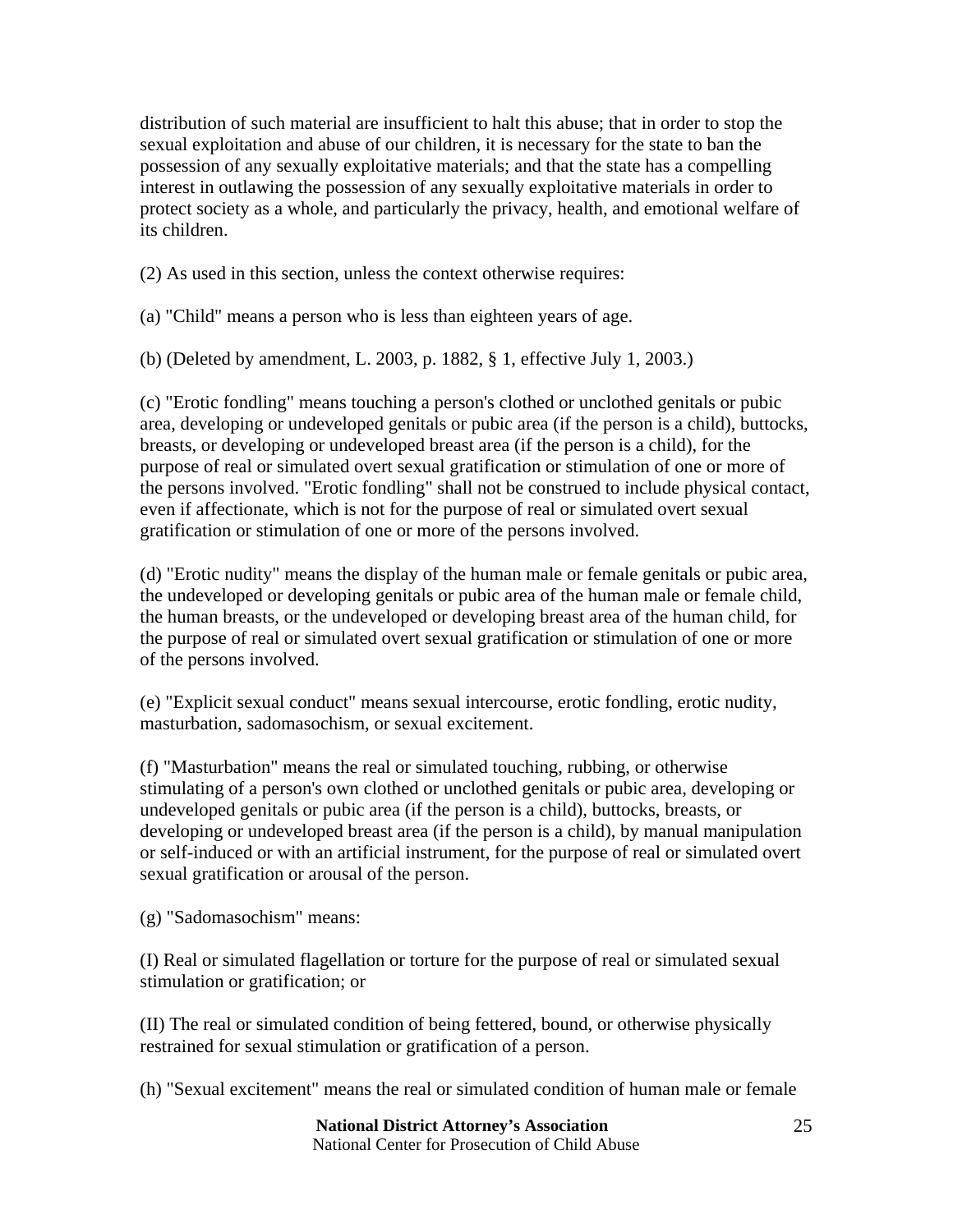distribution of such material are insufficient to halt this abuse; that in order to stop the sexual exploitation and abuse of our children, it is necessary for the state to ban the possession of any sexually exploitative materials; and that the state has a compelling interest in outlawing the possession of any sexually exploitative materials in order to protect society as a whole, and particularly the privacy, health, and emotional welfare of its children.

(2) As used in this section, unless the context otherwise requires:

(a) "Child" means a person who is less than eighteen years of age.

(b) (Deleted by amendment, L. 2003, p. 1882, § 1, effective July 1, 2003.)

(c) "Erotic fondling" means touching a person's clothed or unclothed genitals or pubic area, developing or undeveloped genitals or pubic area (if the person is a child), buttocks, breasts, or developing or undeveloped breast area (if the person is a child), for the purpose of real or simulated overt sexual gratification or stimulation of one or more of the persons involved. "Erotic fondling" shall not be construed to include physical contact, even if affectionate, which is not for the purpose of real or simulated overt sexual gratification or stimulation of one or more of the persons involved.

(d) "Erotic nudity" means the display of the human male or female genitals or pubic area, the undeveloped or developing genitals or pubic area of the human male or female child, the human breasts, or the undeveloped or developing breast area of the human child, for the purpose of real or simulated overt sexual gratification or stimulation of one or more of the persons involved.

(e) "Explicit sexual conduct" means sexual intercourse, erotic fondling, erotic nudity, masturbation, sadomasochism, or sexual excitement.

(f) "Masturbation" means the real or simulated touching, rubbing, or otherwise stimulating of a person's own clothed or unclothed genitals or pubic area, developing or undeveloped genitals or pubic area (if the person is a child), buttocks, breasts, or developing or undeveloped breast area (if the person is a child), by manual manipulation or self-induced or with an artificial instrument, for the purpose of real or simulated overt sexual gratification or arousal of the person.

(g) "Sadomasochism" means:

(I) Real or simulated flagellation or torture for the purpose of real or simulated sexual stimulation or gratification; or

(II) The real or simulated condition of being fettered, bound, or otherwise physically restrained for sexual stimulation or gratification of a person.

(h) "Sexual excitement" means the real or simulated condition of human male or female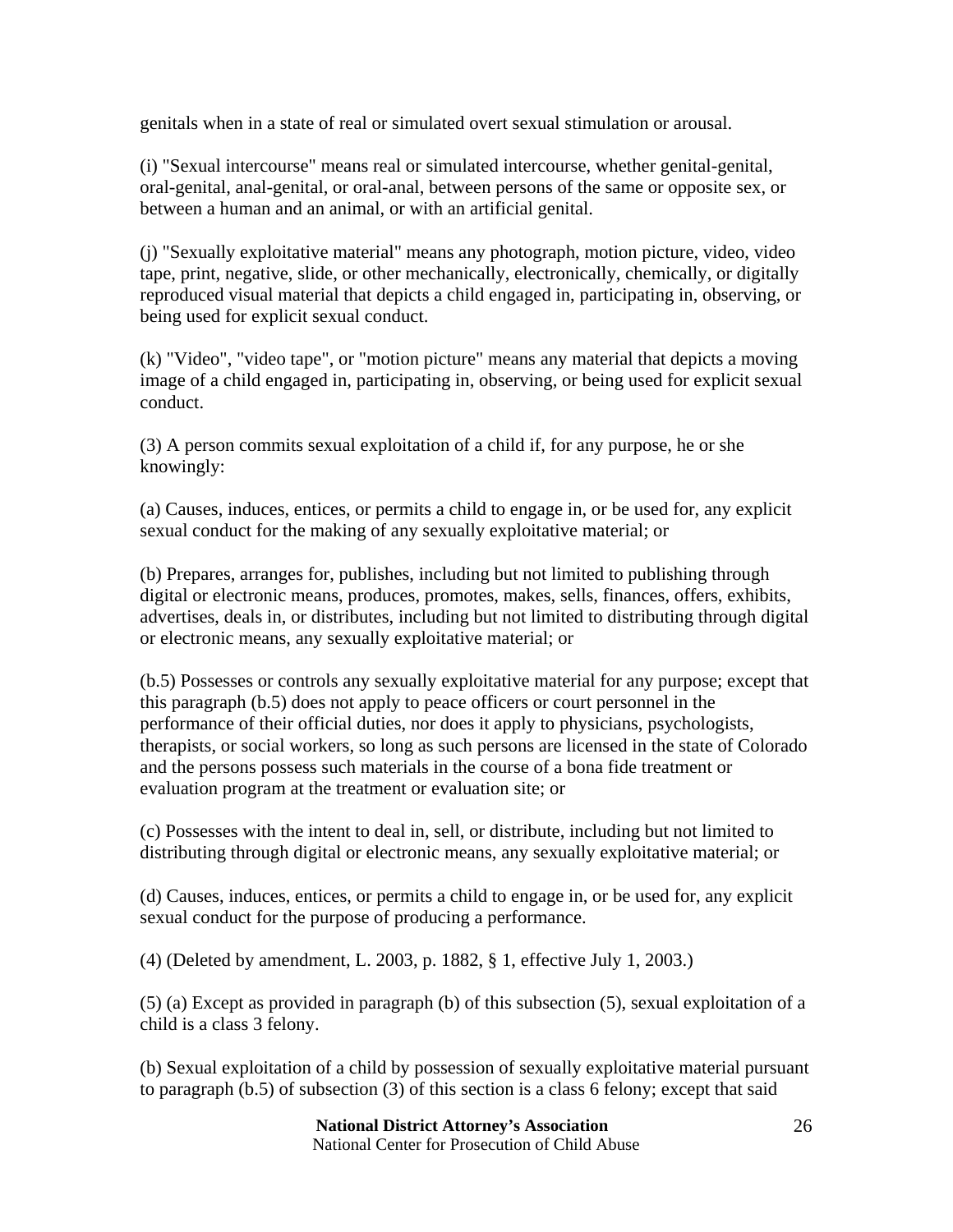genitals when in a state of real or simulated overt sexual stimulation or arousal.

(i) "Sexual intercourse" means real or simulated intercourse, whether genital-genital, oral-genital, anal-genital, or oral-anal, between persons of the same or opposite sex, or between a human and an animal, or with an artificial genital.

(j) "Sexually exploitative material" means any photograph, motion picture, video, video tape, print, negative, slide, or other mechanically, electronically, chemically, or digitally reproduced visual material that depicts a child engaged in, participating in, observing, or being used for explicit sexual conduct.

(k) "Video", "video tape", or "motion picture" means any material that depicts a moving image of a child engaged in, participating in, observing, or being used for explicit sexual conduct.

(3) A person commits sexual exploitation of a child if, for any purpose, he or she knowingly:

(a) Causes, induces, entices, or permits a child to engage in, or be used for, any explicit sexual conduct for the making of any sexually exploitative material; or

(b) Prepares, arranges for, publishes, including but not limited to publishing through digital or electronic means, produces, promotes, makes, sells, finances, offers, exhibits, advertises, deals in, or distributes, including but not limited to distributing through digital or electronic means, any sexually exploitative material; or

(b.5) Possesses or controls any sexually exploitative material for any purpose; except that this paragraph (b.5) does not apply to peace officers or court personnel in the performance of their official duties, nor does it apply to physicians, psychologists, therapists, or social workers, so long as such persons are licensed in the state of Colorado and the persons possess such materials in the course of a bona fide treatment or evaluation program at the treatment or evaluation site; or

(c) Possesses with the intent to deal in, sell, or distribute, including but not limited to distributing through digital or electronic means, any sexually exploitative material; or

(d) Causes, induces, entices, or permits a child to engage in, or be used for, any explicit sexual conduct for the purpose of producing a performance.

(4) (Deleted by amendment, L. 2003, p. 1882, § 1, effective July 1, 2003.)

(5) (a) Except as provided in paragraph (b) of this subsection (5), sexual exploitation of a child is a class 3 felony.

(b) Sexual exploitation of a child by possession of sexually exploitative material pursuant to paragraph (b.5) of subsection (3) of this section is a class 6 felony; except that said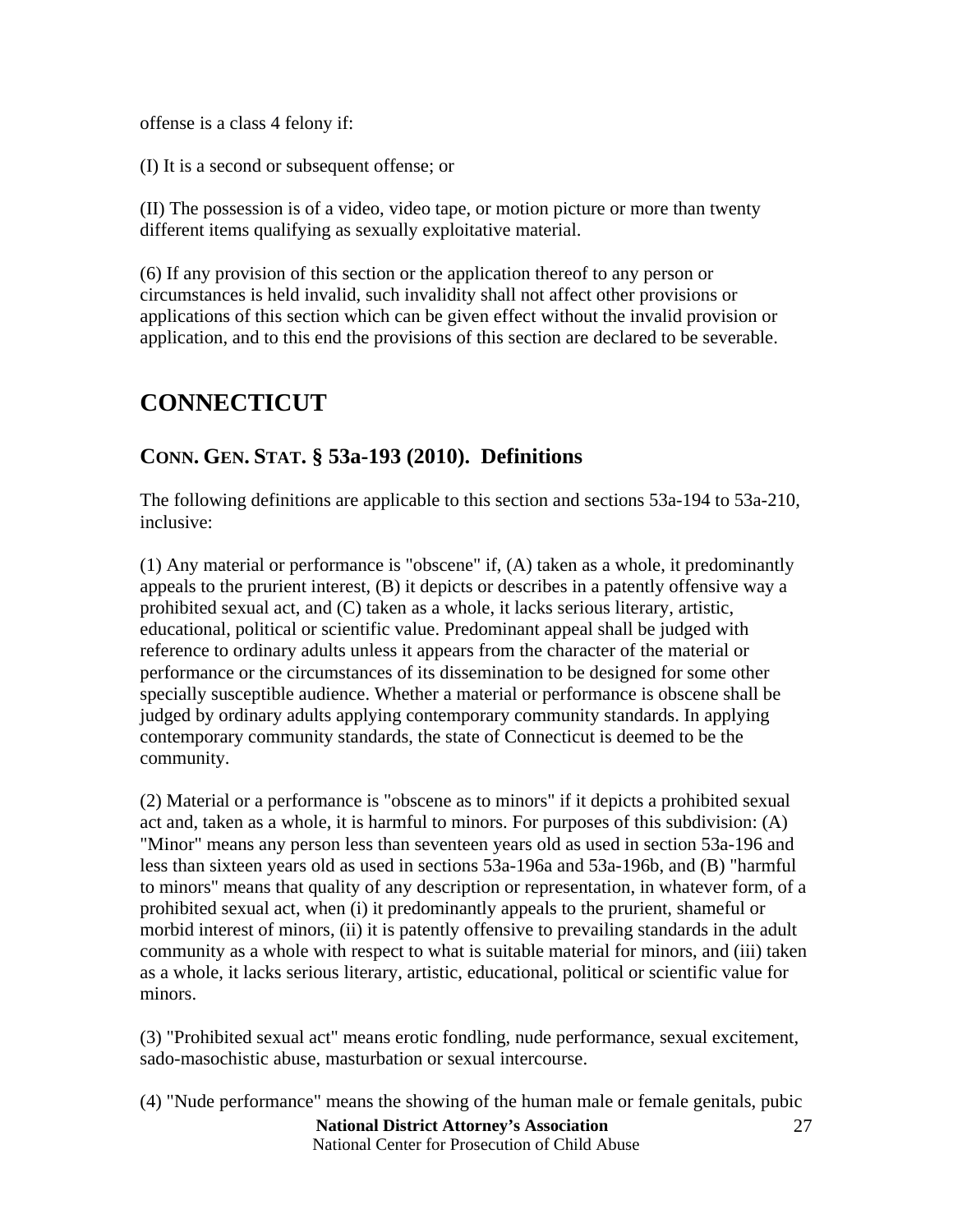offense is a class 4 felony if:

(I) It is a second or subsequent offense; or

(II) The possession is of a video, video tape, or motion picture or more than twenty different items qualifying as sexually exploitative material.

(6) If any provision of this section or the application thereof to any person or circumstances is held invalid, such invalidity shall not affect other provisions or applications of this section which can be given effect without the invalid provision or application, and to this end the provisions of this section are declared to be severable.

# **CONNECTICUT**

# **CONN. GEN. STAT. § 53a-193 (2010). Definitions**

The following definitions are applicable to this section and sections 53a-194 to 53a-210, inclusive:

(1) Any material or performance is "obscene" if, (A) taken as a whole, it predominantly appeals to the prurient interest, (B) it depicts or describes in a patently offensive way a prohibited sexual act, and (C) taken as a whole, it lacks serious literary, artistic, educational, political or scientific value. Predominant appeal shall be judged with reference to ordinary adults unless it appears from the character of the material or performance or the circumstances of its dissemination to be designed for some other specially susceptible audience. Whether a material or performance is obscene shall be judged by ordinary adults applying contemporary community standards. In applying contemporary community standards, the state of Connecticut is deemed to be the community.

(2) Material or a performance is "obscene as to minors" if it depicts a prohibited sexual act and, taken as a whole, it is harmful to minors. For purposes of this subdivision: (A) "Minor" means any person less than seventeen years old as used in section 53a-196 and less than sixteen years old as used in sections 53a-196a and 53a-196b, and (B) "harmful to minors" means that quality of any description or representation, in whatever form, of a prohibited sexual act, when (i) it predominantly appeals to the prurient, shameful or morbid interest of minors, (ii) it is patently offensive to prevailing standards in the adult community as a whole with respect to what is suitable material for minors, and (iii) taken as a whole, it lacks serious literary, artistic, educational, political or scientific value for minors.

(3) "Prohibited sexual act" means erotic fondling, nude performance, sexual excitement, sado-masochistic abuse, masturbation or sexual intercourse.

**National District Attorney's Association**  National Center for Prosecution of Child Abuse 27 (4) "Nude performance" means the showing of the human male or female genitals, pubic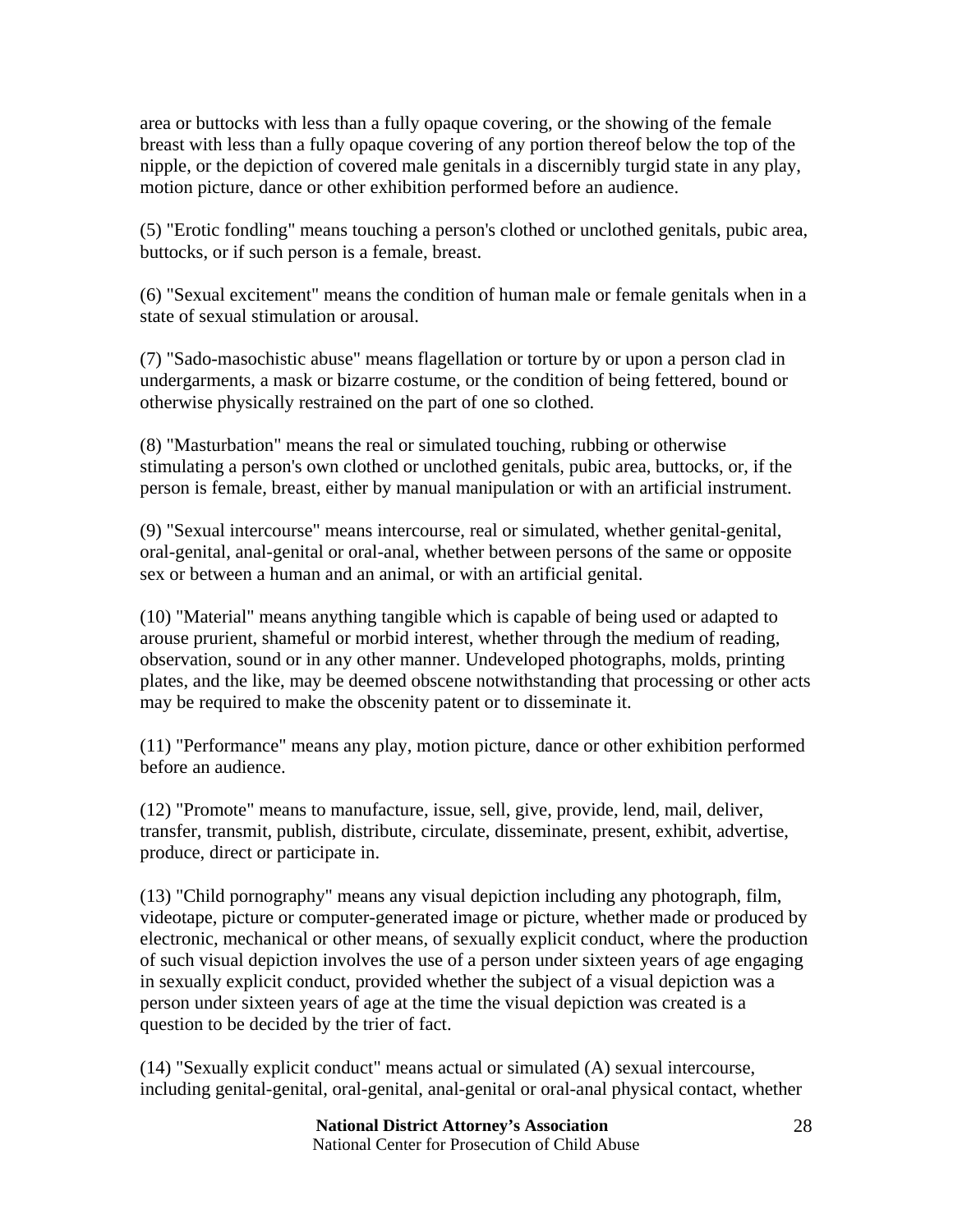area or buttocks with less than a fully opaque covering, or the showing of the female breast with less than a fully opaque covering of any portion thereof below the top of the nipple, or the depiction of covered male genitals in a discernibly turgid state in any play, motion picture, dance or other exhibition performed before an audience.

(5) "Erotic fondling" means touching a person's clothed or unclothed genitals, pubic area, buttocks, or if such person is a female, breast.

(6) "Sexual excitement" means the condition of human male or female genitals when in a state of sexual stimulation or arousal.

(7) "Sado-masochistic abuse" means flagellation or torture by or upon a person clad in undergarments, a mask or bizarre costume, or the condition of being fettered, bound or otherwise physically restrained on the part of one so clothed.

(8) "Masturbation" means the real or simulated touching, rubbing or otherwise stimulating a person's own clothed or unclothed genitals, pubic area, buttocks, or, if the person is female, breast, either by manual manipulation or with an artificial instrument.

(9) "Sexual intercourse" means intercourse, real or simulated, whether genital-genital, oral-genital, anal-genital or oral-anal, whether between persons of the same or opposite sex or between a human and an animal, or with an artificial genital.

(10) "Material" means anything tangible which is capable of being used or adapted to arouse prurient, shameful or morbid interest, whether through the medium of reading, observation, sound or in any other manner. Undeveloped photographs, molds, printing plates, and the like, may be deemed obscene notwithstanding that processing or other acts may be required to make the obscenity patent or to disseminate it.

(11) "Performance" means any play, motion picture, dance or other exhibition performed before an audience.

(12) "Promote" means to manufacture, issue, sell, give, provide, lend, mail, deliver, transfer, transmit, publish, distribute, circulate, disseminate, present, exhibit, advertise, produce, direct or participate in.

(13) "Child pornography" means any visual depiction including any photograph, film, videotape, picture or computer-generated image or picture, whether made or produced by electronic, mechanical or other means, of sexually explicit conduct, where the production of such visual depiction involves the use of a person under sixteen years of age engaging in sexually explicit conduct, provided whether the subject of a visual depiction was a person under sixteen years of age at the time the visual depiction was created is a question to be decided by the trier of fact.

(14) "Sexually explicit conduct" means actual or simulated (A) sexual intercourse, including genital-genital, oral-genital, anal-genital or oral-anal physical contact, whether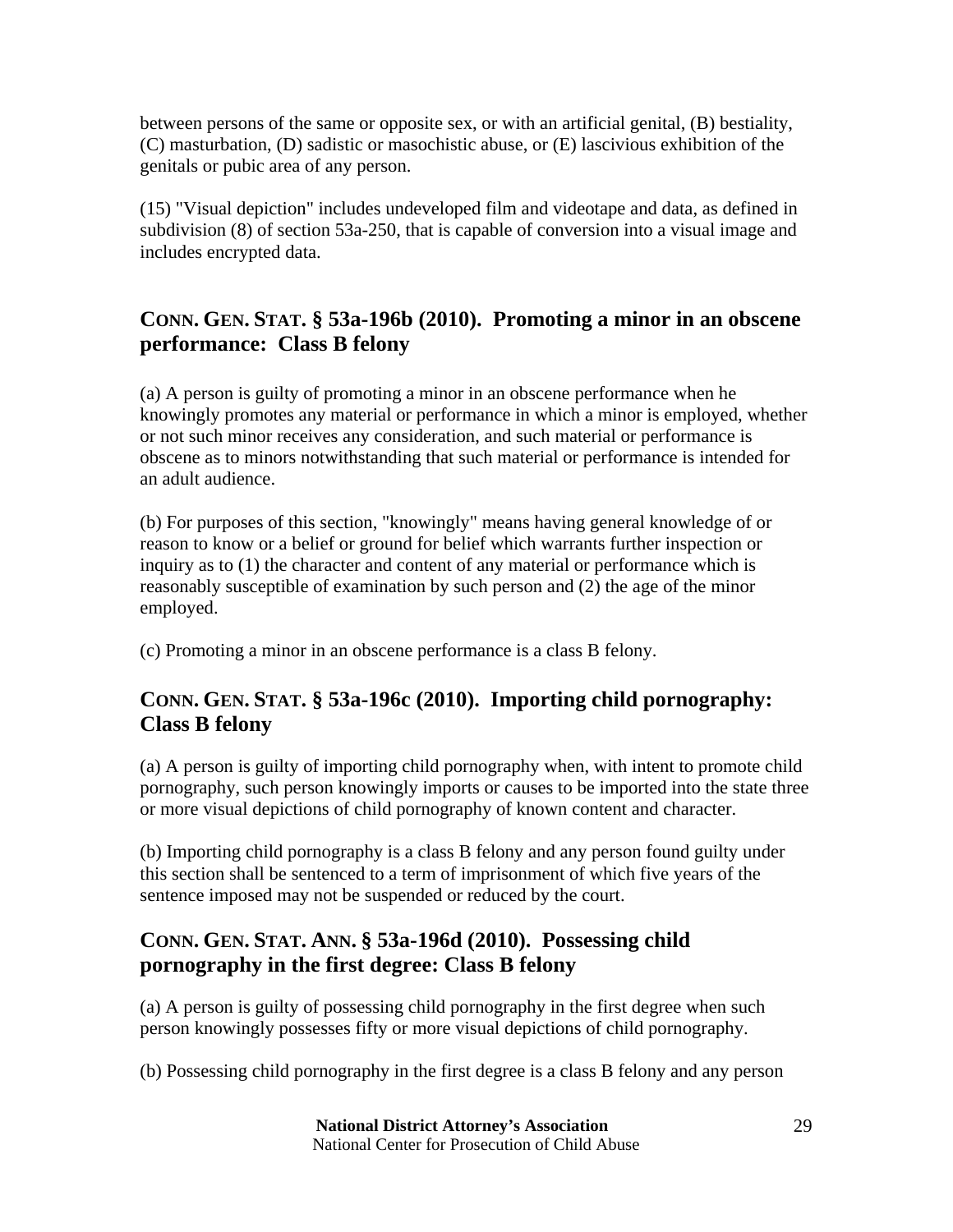between persons of the same or opposite sex, or with an artificial genital, (B) bestiality, (C) masturbation, (D) sadistic or masochistic abuse, or (E) lascivious exhibition of the genitals or pubic area of any person.

(15) "Visual depiction" includes undeveloped film and videotape and data, as defined in subdivision (8) of section 53a-250, that is capable of conversion into a visual image and includes encrypted data.

# **CONN. GEN. STAT. § 53a-196b (2010). Promoting a minor in an obscene performance: Class B felony**

(a) A person is guilty of promoting a minor in an obscene performance when he knowingly promotes any material or performance in which a minor is employed, whether or not such minor receives any consideration, and such material or performance is obscene as to minors notwithstanding that such material or performance is intended for an adult audience.

(b) For purposes of this section, "knowingly" means having general knowledge of or reason to know or a belief or ground for belief which warrants further inspection or inquiry as to (1) the character and content of any material or performance which is reasonably susceptible of examination by such person and (2) the age of the minor employed.

(c) Promoting a minor in an obscene performance is a class B felony.

## **CONN. GEN. STAT. § 53a-196c (2010). Importing child pornography: Class B felony**

(a) A person is guilty of importing child pornography when, with intent to promote child pornography, such person knowingly imports or causes to be imported into the state three or more visual depictions of child pornography of known content and character.

(b) Importing child pornography is a class B felony and any person found guilty under this section shall be sentenced to a term of imprisonment of which five years of the sentence imposed may not be suspended or reduced by the court.

# **CONN. GEN. STAT. ANN. § 53a-196d (2010). Possessing child pornography in the first degree: Class B felony**

(a) A person is guilty of possessing child pornography in the first degree when such person knowingly possesses fifty or more visual depictions of child pornography.

(b) Possessing child pornography in the first degree is a class B felony and any person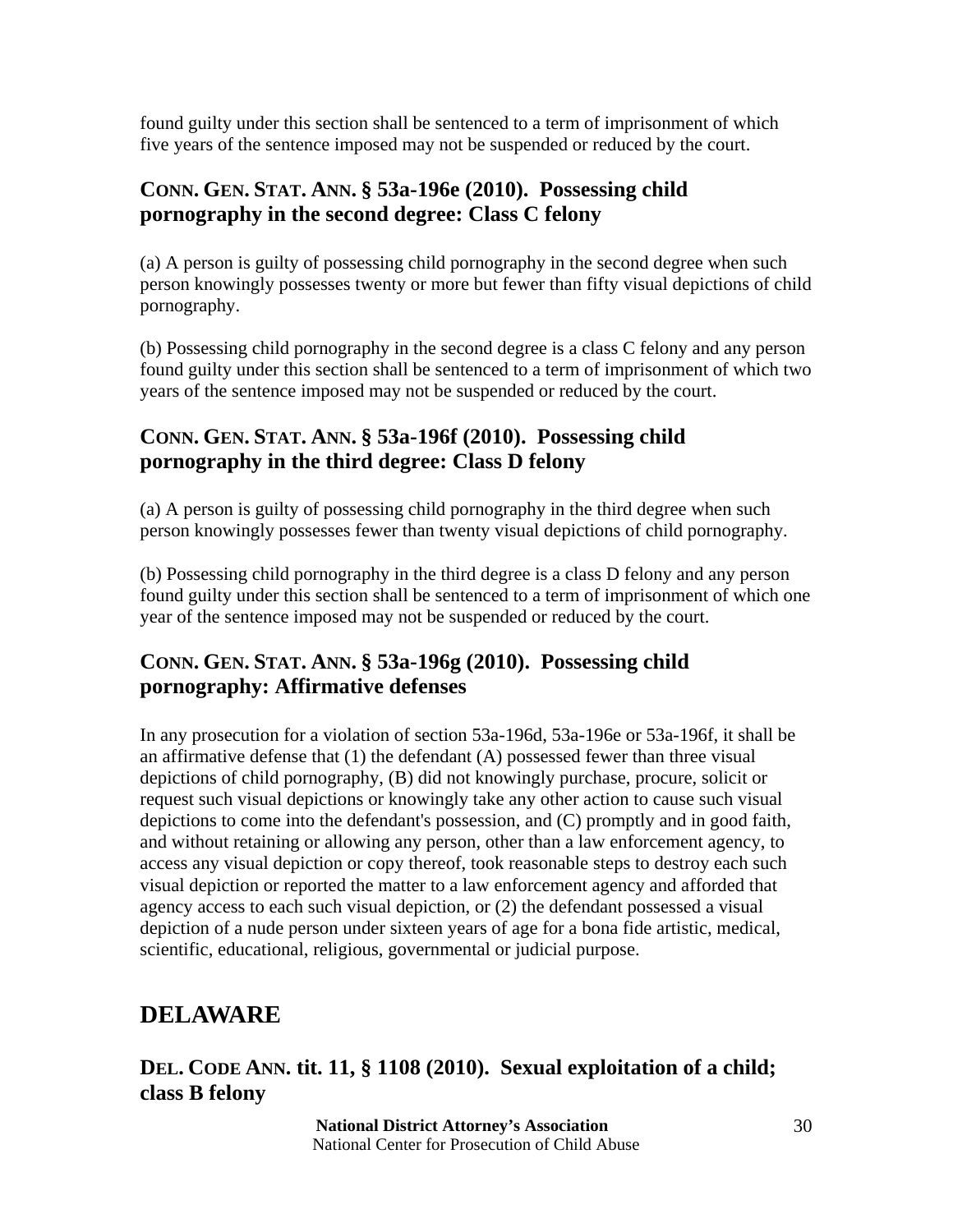found guilty under this section shall be sentenced to a term of imprisonment of which five years of the sentence imposed may not be suspended or reduced by the court.

### **CONN. GEN. STAT. ANN. § 53a-196e (2010). Possessing child pornography in the second degree: Class C felony**

(a) A person is guilty of possessing child pornography in the second degree when such person knowingly possesses twenty or more but fewer than fifty visual depictions of child pornography.

(b) Possessing child pornography in the second degree is a class C felony and any person found guilty under this section shall be sentenced to a term of imprisonment of which two years of the sentence imposed may not be suspended or reduced by the court.

# **CONN. GEN. STAT. ANN. § 53a-196f (2010). Possessing child pornography in the third degree: Class D felony**

(a) A person is guilty of possessing child pornography in the third degree when such person knowingly possesses fewer than twenty visual depictions of child pornography.

(b) Possessing child pornography in the third degree is a class D felony and any person found guilty under this section shall be sentenced to a term of imprisonment of which one year of the sentence imposed may not be suspended or reduced by the court.

# **CONN. GEN. STAT. ANN. § 53a-196g (2010). Possessing child pornography: Affirmative defenses**

In any prosecution for a violation of section 53a-196d, 53a-196e or 53a-196f, it shall be an affirmative defense that  $(1)$  the defendant  $(A)$  possessed fewer than three visual depictions of child pornography, (B) did not knowingly purchase, procure, solicit or request such visual depictions or knowingly take any other action to cause such visual depictions to come into the defendant's possession, and (C) promptly and in good faith, and without retaining or allowing any person, other than a law enforcement agency, to access any visual depiction or copy thereof, took reasonable steps to destroy each such visual depiction or reported the matter to a law enforcement agency and afforded that agency access to each such visual depiction, or (2) the defendant possessed a visual depiction of a nude person under sixteen years of age for a bona fide artistic, medical, scientific, educational, religious, governmental or judicial purpose.

# **DELAWARE**

### **DEL. CODE ANN. tit. 11, § 1108 (2010). Sexual exploitation of a child; class B felony**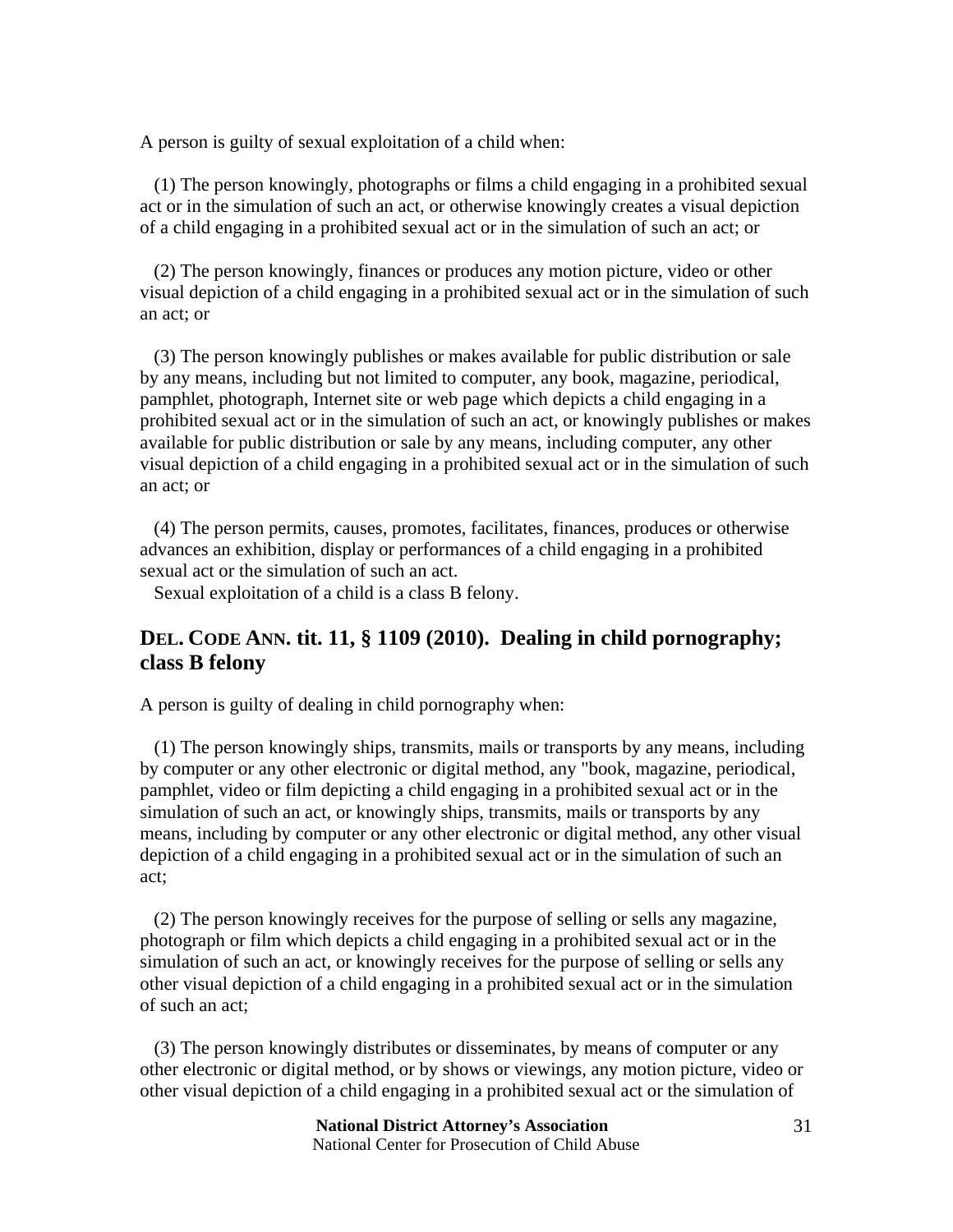A person is guilty of sexual exploitation of a child when:

 (1) The person knowingly, photographs or films a child engaging in a prohibited sexual act or in the simulation of such an act, or otherwise knowingly creates a visual depiction of a child engaging in a prohibited sexual act or in the simulation of such an act; or

 (2) The person knowingly, finances or produces any motion picture, video or other visual depiction of a child engaging in a prohibited sexual act or in the simulation of such an act; or

 (3) The person knowingly publishes or makes available for public distribution or sale by any means, including but not limited to computer, any book, magazine, periodical, pamphlet, photograph, Internet site or web page which depicts a child engaging in a prohibited sexual act or in the simulation of such an act, or knowingly publishes or makes available for public distribution or sale by any means, including computer, any other visual depiction of a child engaging in a prohibited sexual act or in the simulation of such an act; or

 (4) The person permits, causes, promotes, facilitates, finances, produces or otherwise advances an exhibition, display or performances of a child engaging in a prohibited sexual act or the simulation of such an act.

Sexual exploitation of a child is a class B felony.

#### **DEL. CODE ANN. tit. 11, § 1109 (2010). Dealing in child pornography; class B felony**

A person is guilty of dealing in child pornography when:

 (1) The person knowingly ships, transmits, mails or transports by any means, including by computer or any other electronic or digital method, any "book, magazine, periodical, pamphlet, video or film depicting a child engaging in a prohibited sexual act or in the simulation of such an act, or knowingly ships, transmits, mails or transports by any means, including by computer or any other electronic or digital method, any other visual depiction of a child engaging in a prohibited sexual act or in the simulation of such an act;

 (2) The person knowingly receives for the purpose of selling or sells any magazine, photograph or film which depicts a child engaging in a prohibited sexual act or in the simulation of such an act, or knowingly receives for the purpose of selling or sells any other visual depiction of a child engaging in a prohibited sexual act or in the simulation of such an act;

 (3) The person knowingly distributes or disseminates, by means of computer or any other electronic or digital method, or by shows or viewings, any motion picture, video or other visual depiction of a child engaging in a prohibited sexual act or the simulation of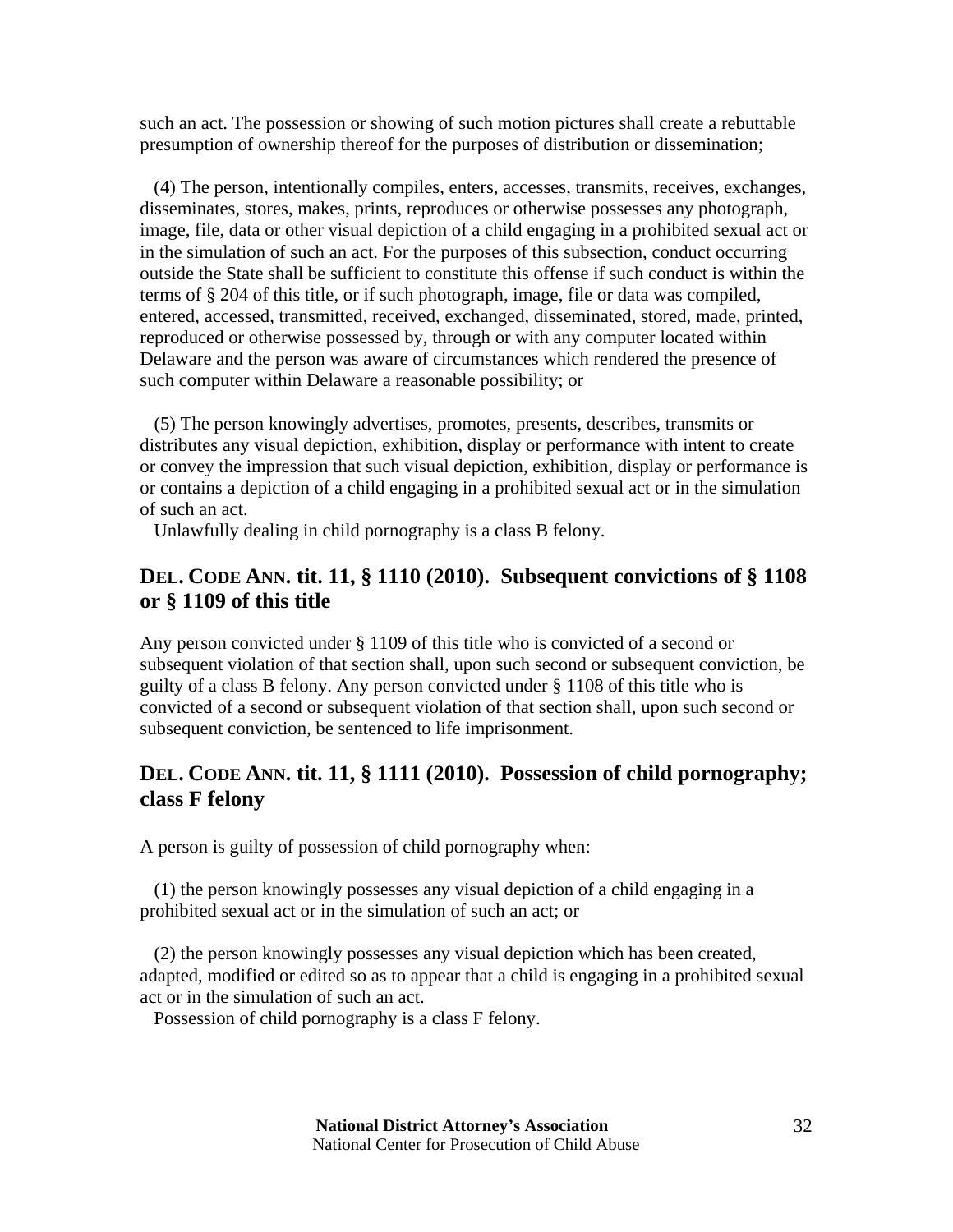such an act. The possession or showing of such motion pictures shall create a rebuttable presumption of ownership thereof for the purposes of distribution or dissemination;

 (4) The person, intentionally compiles, enters, accesses, transmits, receives, exchanges, disseminates, stores, makes, prints, reproduces or otherwise possesses any photograph, image, file, data or other visual depiction of a child engaging in a prohibited sexual act or in the simulation of such an act. For the purposes of this subsection, conduct occurring outside the State shall be sufficient to constitute this offense if such conduct is within the terms of § 204 of this title, or if such photograph, image, file or data was compiled, entered, accessed, transmitted, received, exchanged, disseminated, stored, made, printed, reproduced or otherwise possessed by, through or with any computer located within Delaware and the person was aware of circumstances which rendered the presence of such computer within Delaware a reasonable possibility; or

 (5) The person knowingly advertises, promotes, presents, describes, transmits or distributes any visual depiction, exhibition, display or performance with intent to create or convey the impression that such visual depiction, exhibition, display or performance is or contains a depiction of a child engaging in a prohibited sexual act or in the simulation of such an act.

Unlawfully dealing in child pornography is a class B felony.

#### **DEL. CODE ANN. tit. 11, § 1110 (2010). Subsequent convictions of § 1108 or § 1109 of this title**

Any person convicted under § 1109 of this title who is convicted of a second or subsequent violation of that section shall, upon such second or subsequent conviction, be guilty of a class B felony. Any person convicted under § 1108 of this title who is convicted of a second or subsequent violation of that section shall, upon such second or subsequent conviction, be sentenced to life imprisonment.

#### **DEL. CODE ANN. tit. 11, § 1111 (2010). Possession of child pornography; class F felony**

A person is guilty of possession of child pornography when:

 (1) the person knowingly possesses any visual depiction of a child engaging in a prohibited sexual act or in the simulation of such an act; or

 (2) the person knowingly possesses any visual depiction which has been created, adapted, modified or edited so as to appear that a child is engaging in a prohibited sexual act or in the simulation of such an act.

Possession of child pornography is a class F felony.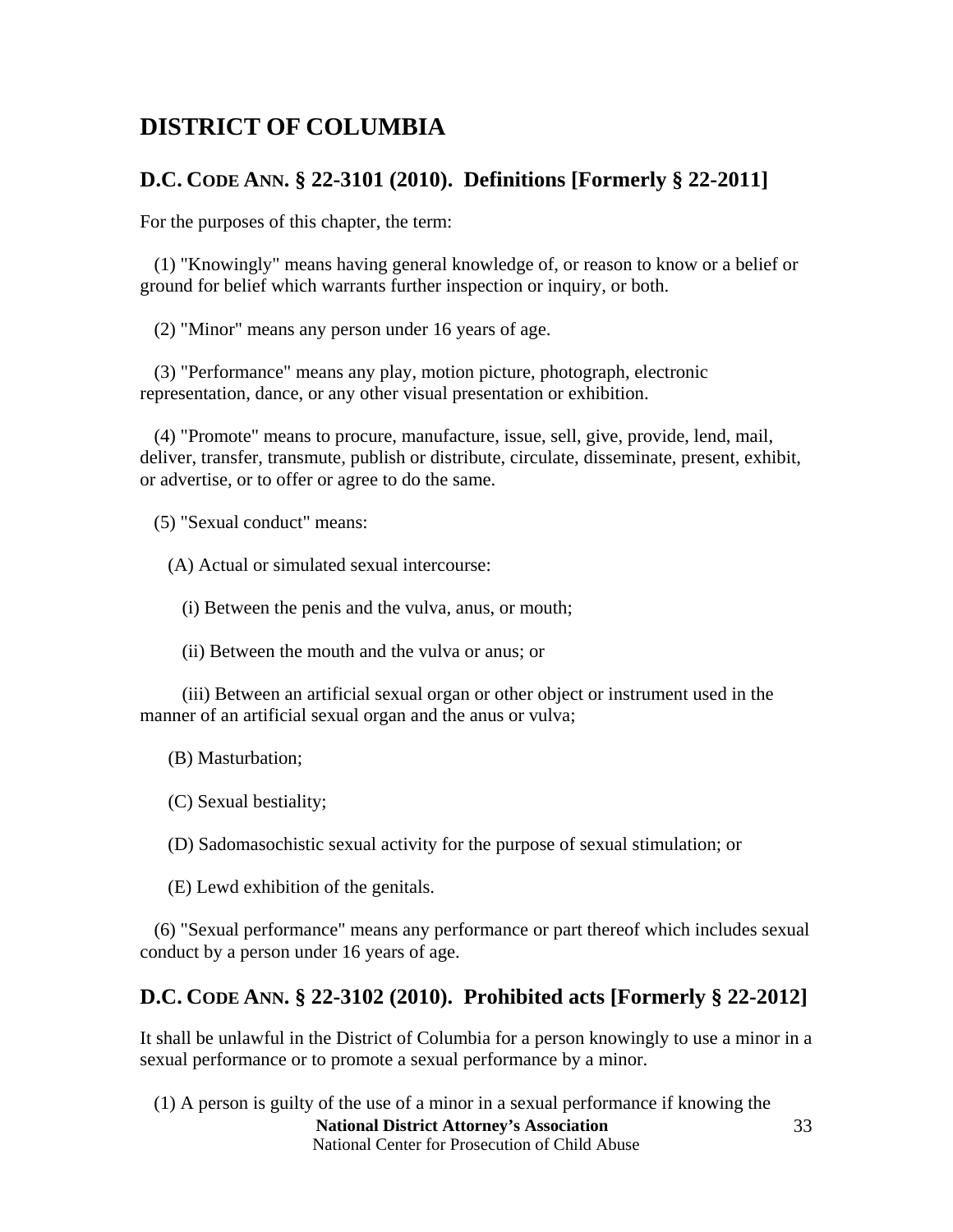# **DISTRICT OF COLUMBIA**

### **D.C. CODE ANN. § 22-3101 (2010). Definitions [Formerly § 22-2011]**

For the purposes of this chapter, the term:

 (1) "Knowingly" means having general knowledge of, or reason to know or a belief or ground for belief which warrants further inspection or inquiry, or both.

(2) "Minor" means any person under 16 years of age.

 (3) "Performance" means any play, motion picture, photograph, electronic representation, dance, or any other visual presentation or exhibition.

 (4) "Promote" means to procure, manufacture, issue, sell, give, provide, lend, mail, deliver, transfer, transmute, publish or distribute, circulate, disseminate, present, exhibit, or advertise, or to offer or agree to do the same.

(5) "Sexual conduct" means:

(A) Actual or simulated sexual intercourse:

(i) Between the penis and the vulva, anus, or mouth;

(ii) Between the mouth and the vulva or anus; or

 (iii) Between an artificial sexual organ or other object or instrument used in the manner of an artificial sexual organ and the anus or vulva;

(B) Masturbation;

(C) Sexual bestiality;

(D) Sadomasochistic sexual activity for the purpose of sexual stimulation; or

(E) Lewd exhibition of the genitals.

 (6) "Sexual performance" means any performance or part thereof which includes sexual conduct by a person under 16 years of age.

#### **D.C. CODE ANN. § 22-3102 (2010). Prohibited acts [Formerly § 22-2012]**

It shall be unlawful in the District of Columbia for a person knowingly to use a minor in a sexual performance or to promote a sexual performance by a minor.

**National District Attorney's Association**  National Center for Prosecution of Child Abuse (1) A person is guilty of the use of a minor in a sexual performance if knowing the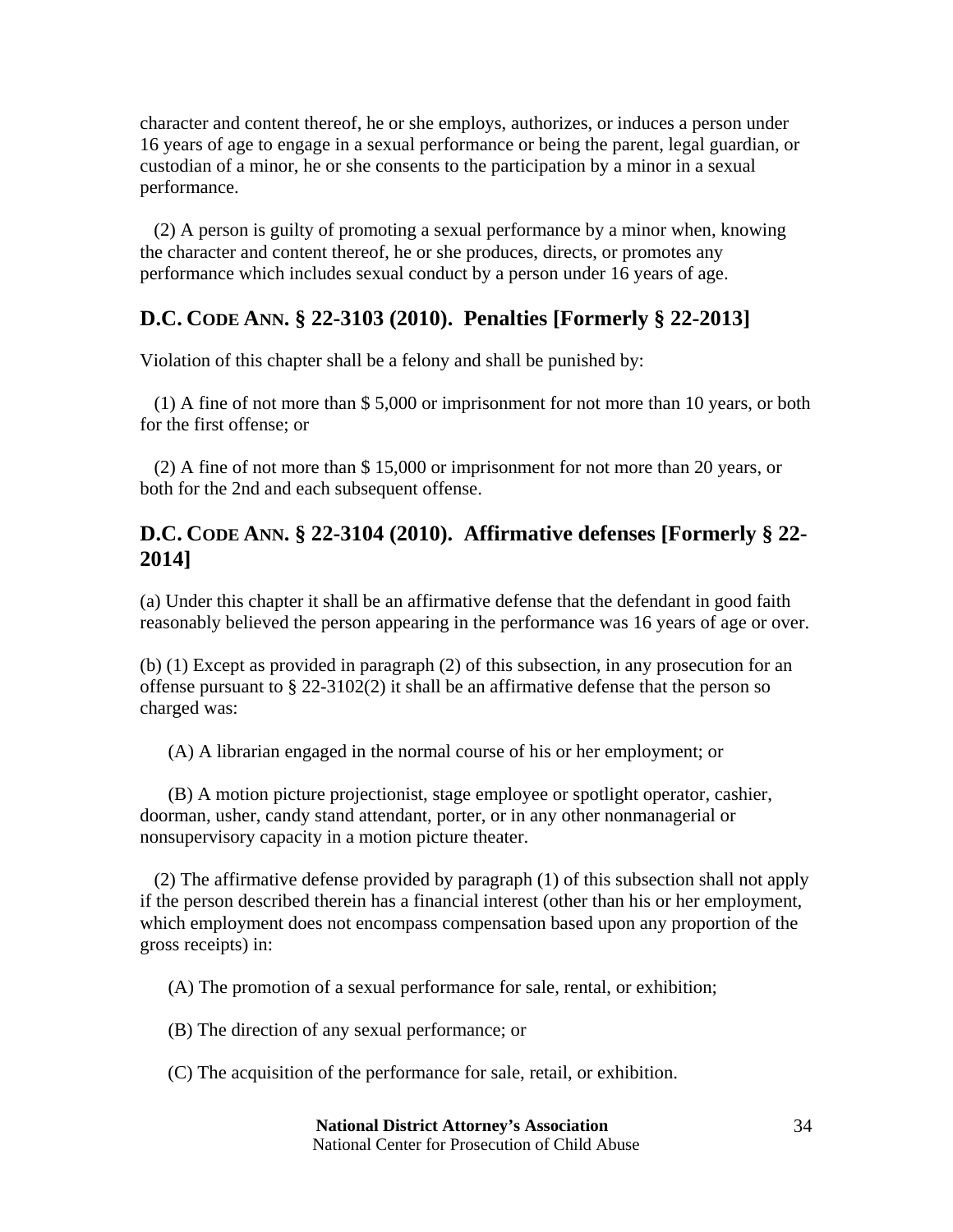character and content thereof, he or she employs, authorizes, or induces a person under 16 years of age to engage in a sexual performance or being the parent, legal guardian, or custodian of a minor, he or she consents to the participation by a minor in a sexual performance.

 (2) A person is guilty of promoting a sexual performance by a minor when, knowing the character and content thereof, he or she produces, directs, or promotes any performance which includes sexual conduct by a person under 16 years of age.

### **D.C. CODE ANN. § 22-3103 (2010). Penalties [Formerly § 22-2013]**

Violation of this chapter shall be a felony and shall be punished by:

 (1) A fine of not more than \$ 5,000 or imprisonment for not more than 10 years, or both for the first offense; or

 (2) A fine of not more than \$ 15,000 or imprisonment for not more than 20 years, or both for the 2nd and each subsequent offense.

### **D.C. CODE ANN. § 22-3104 (2010). Affirmative defenses [Formerly § 22- 2014]**

(a) Under this chapter it shall be an affirmative defense that the defendant in good faith reasonably believed the person appearing in the performance was 16 years of age or over.

(b) (1) Except as provided in paragraph (2) of this subsection, in any prosecution for an offense pursuant to  $\S 22-3102(2)$  it shall be an affirmative defense that the person so charged was:

(A) A librarian engaged in the normal course of his or her employment; or

 (B) A motion picture projectionist, stage employee or spotlight operator, cashier, doorman, usher, candy stand attendant, porter, or in any other nonmanagerial or nonsupervisory capacity in a motion picture theater.

 (2) The affirmative defense provided by paragraph (1) of this subsection shall not apply if the person described therein has a financial interest (other than his or her employment, which employment does not encompass compensation based upon any proportion of the gross receipts) in:

(A) The promotion of a sexual performance for sale, rental, or exhibition;

(B) The direction of any sexual performance; or

(C) The acquisition of the performance for sale, retail, or exhibition.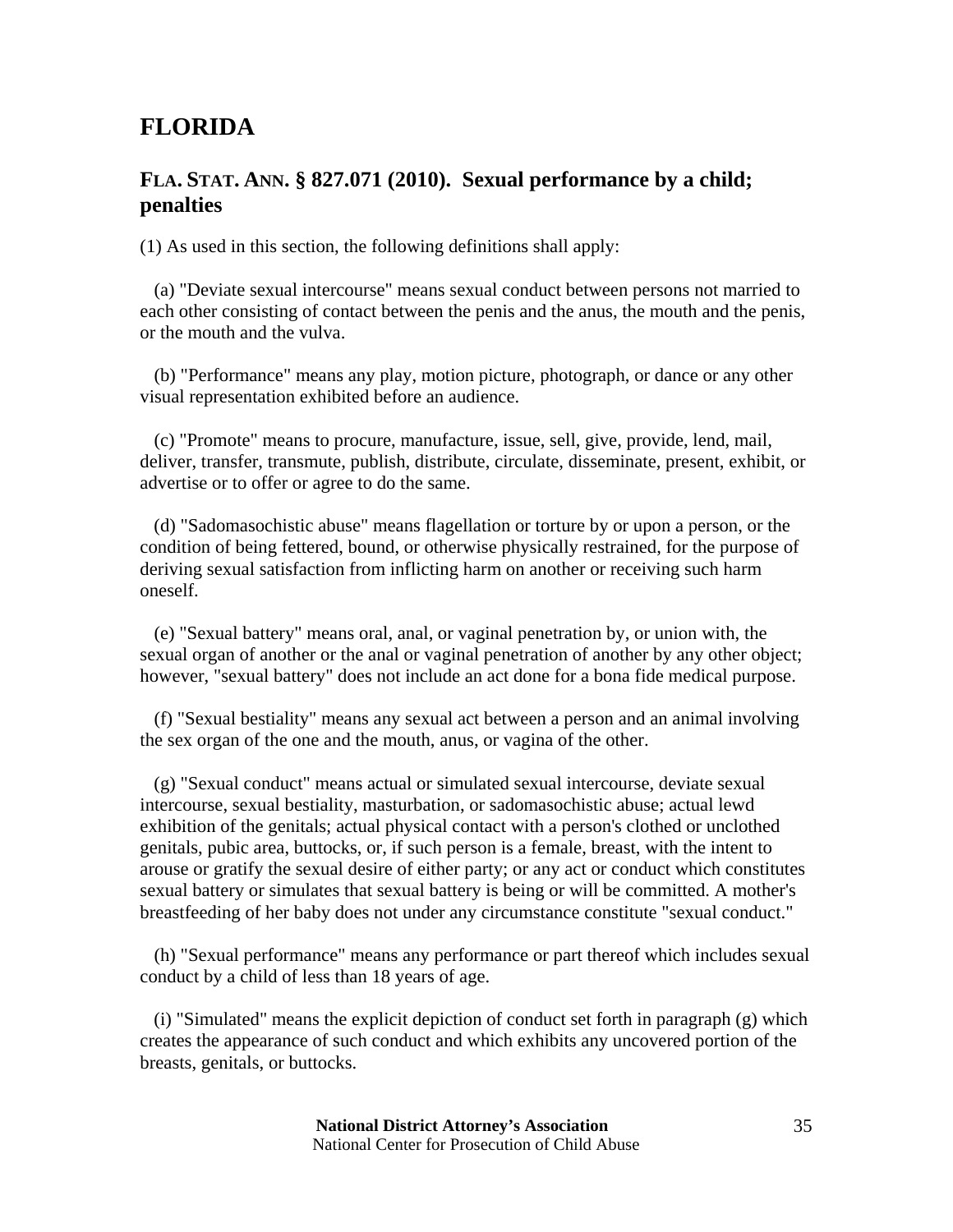# **FLORIDA**

### **FLA. STAT. ANN. § 827.071 (2010). Sexual performance by a child; penalties**

(1) As used in this section, the following definitions shall apply:

 (a) "Deviate sexual intercourse" means sexual conduct between persons not married to each other consisting of contact between the penis and the anus, the mouth and the penis, or the mouth and the vulva.

 (b) "Performance" means any play, motion picture, photograph, or dance or any other visual representation exhibited before an audience.

 (c) "Promote" means to procure, manufacture, issue, sell, give, provide, lend, mail, deliver, transfer, transmute, publish, distribute, circulate, disseminate, present, exhibit, or advertise or to offer or agree to do the same.

 (d) "Sadomasochistic abuse" means flagellation or torture by or upon a person, or the condition of being fettered, bound, or otherwise physically restrained, for the purpose of deriving sexual satisfaction from inflicting harm on another or receiving such harm oneself.

 (e) "Sexual battery" means oral, anal, or vaginal penetration by, or union with, the sexual organ of another or the anal or vaginal penetration of another by any other object; however, "sexual battery" does not include an act done for a bona fide medical purpose.

 (f) "Sexual bestiality" means any sexual act between a person and an animal involving the sex organ of the one and the mouth, anus, or vagina of the other.

 (g) "Sexual conduct" means actual or simulated sexual intercourse, deviate sexual intercourse, sexual bestiality, masturbation, or sadomasochistic abuse; actual lewd exhibition of the genitals; actual physical contact with a person's clothed or unclothed genitals, pubic area, buttocks, or, if such person is a female, breast, with the intent to arouse or gratify the sexual desire of either party; or any act or conduct which constitutes sexual battery or simulates that sexual battery is being or will be committed. A mother's breastfeeding of her baby does not under any circumstance constitute "sexual conduct."

 (h) "Sexual performance" means any performance or part thereof which includes sexual conduct by a child of less than 18 years of age.

 (i) "Simulated" means the explicit depiction of conduct set forth in paragraph (g) which creates the appearance of such conduct and which exhibits any uncovered portion of the breasts, genitals, or buttocks.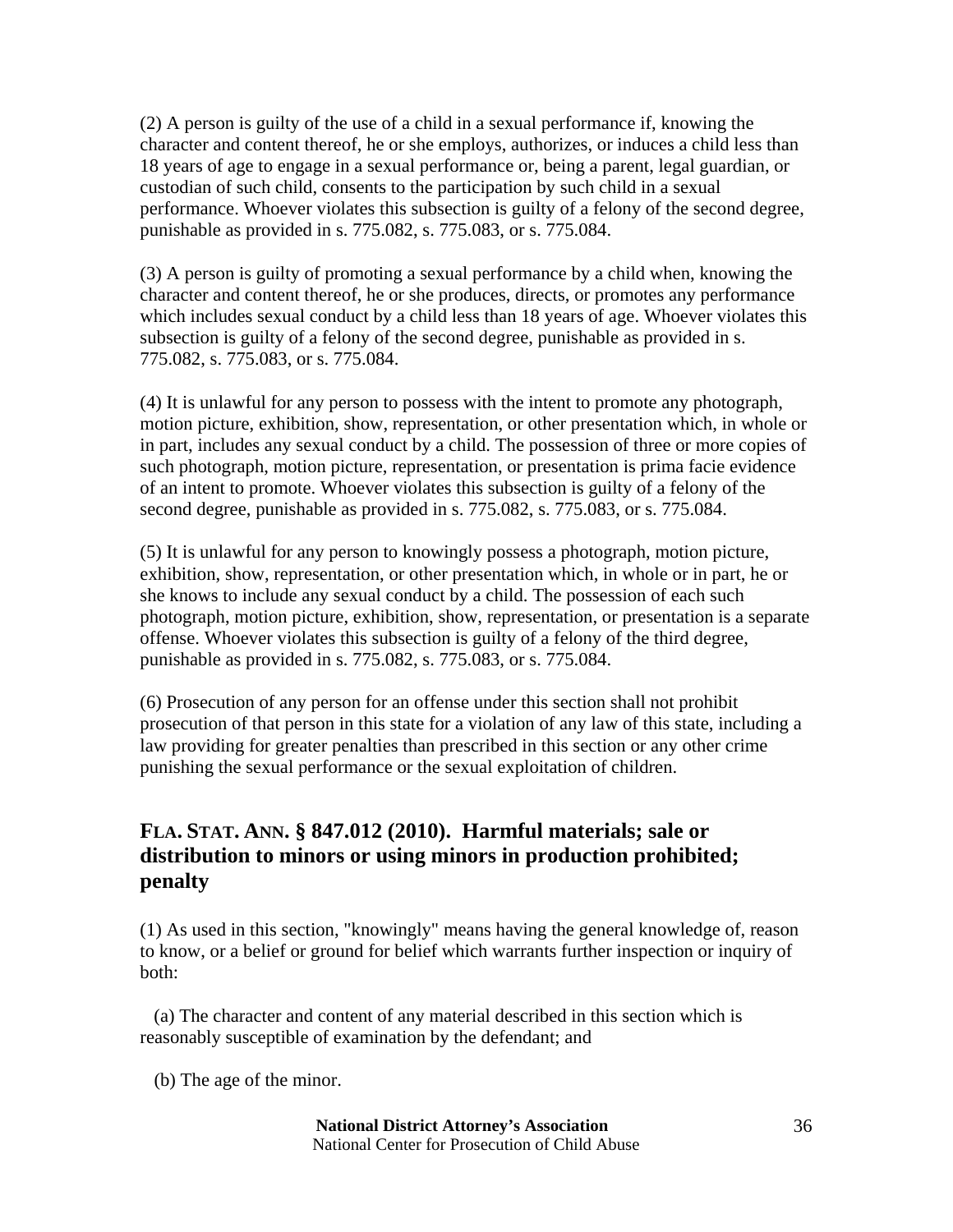(2) A person is guilty of the use of a child in a sexual performance if, knowing the character and content thereof, he or she employs, authorizes, or induces a child less than 18 years of age to engage in a sexual performance or, being a parent, legal guardian, or custodian of such child, consents to the participation by such child in a sexual performance. Whoever violates this subsection is guilty of a felony of the second degree, punishable as provided in s. 775.082, s. 775.083, or s. 775.084.

(3) A person is guilty of promoting a sexual performance by a child when, knowing the character and content thereof, he or she produces, directs, or promotes any performance which includes sexual conduct by a child less than 18 years of age. Whoever violates this subsection is guilty of a felony of the second degree, punishable as provided in s. 775.082, s. 775.083, or s. 775.084.

(4) It is unlawful for any person to possess with the intent to promote any photograph, motion picture, exhibition, show, representation, or other presentation which, in whole or in part, includes any sexual conduct by a child. The possession of three or more copies of such photograph, motion picture, representation, or presentation is prima facie evidence of an intent to promote. Whoever violates this subsection is guilty of a felony of the second degree, punishable as provided in s. 775.082, s. 775.083, or s. 775.084.

(5) It is unlawful for any person to knowingly possess a photograph, motion picture, exhibition, show, representation, or other presentation which, in whole or in part, he or she knows to include any sexual conduct by a child. The possession of each such photograph, motion picture, exhibition, show, representation, or presentation is a separate offense. Whoever violates this subsection is guilty of a felony of the third degree, punishable as provided in s. 775.082, s. 775.083, or s. 775.084.

(6) Prosecution of any person for an offense under this section shall not prohibit prosecution of that person in this state for a violation of any law of this state, including a law providing for greater penalties than prescribed in this section or any other crime punishing the sexual performance or the sexual exploitation of children.

## **FLA. STAT. ANN. § 847.012 (2010). Harmful materials; sale or distribution to minors or using minors in production prohibited; penalty**

(1) As used in this section, "knowingly" means having the general knowledge of, reason to know, or a belief or ground for belief which warrants further inspection or inquiry of both:

 (a) The character and content of any material described in this section which is reasonably susceptible of examination by the defendant; and

(b) The age of the minor.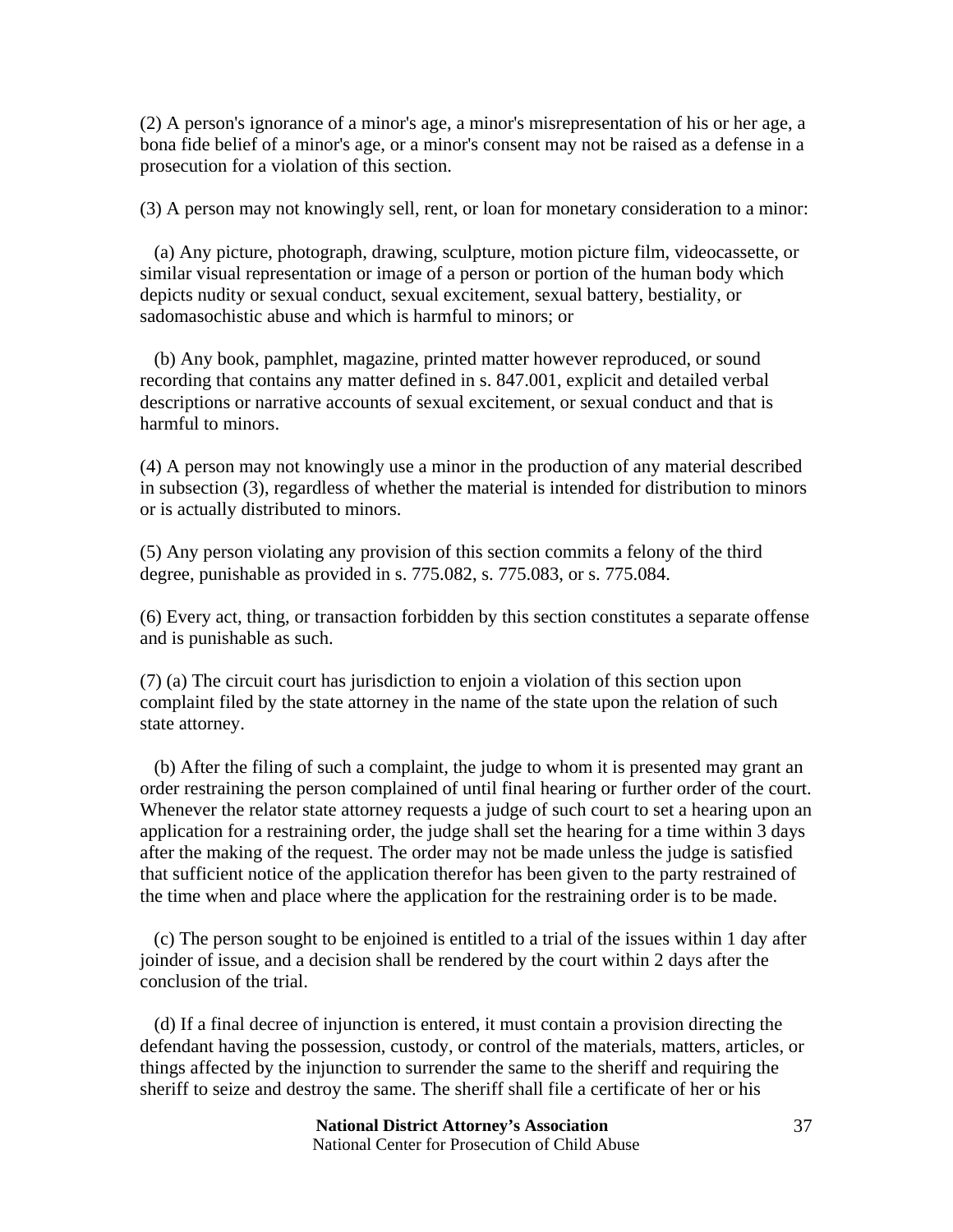(2) A person's ignorance of a minor's age, a minor's misrepresentation of his or her age, a bona fide belief of a minor's age, or a minor's consent may not be raised as a defense in a prosecution for a violation of this section.

(3) A person may not knowingly sell, rent, or loan for monetary consideration to a minor:

 (a) Any picture, photograph, drawing, sculpture, motion picture film, videocassette, or similar visual representation or image of a person or portion of the human body which depicts nudity or sexual conduct, sexual excitement, sexual battery, bestiality, or sadomasochistic abuse and which is harmful to minors; or

 (b) Any book, pamphlet, magazine, printed matter however reproduced, or sound recording that contains any matter defined in s. 847.001, explicit and detailed verbal descriptions or narrative accounts of sexual excitement, or sexual conduct and that is harmful to minors.

(4) A person may not knowingly use a minor in the production of any material described in subsection (3), regardless of whether the material is intended for distribution to minors or is actually distributed to minors.

(5) Any person violating any provision of this section commits a felony of the third degree, punishable as provided in s. 775.082, s. 775.083, or s. 775.084.

(6) Every act, thing, or transaction forbidden by this section constitutes a separate offense and is punishable as such.

(7) (a) The circuit court has jurisdiction to enjoin a violation of this section upon complaint filed by the state attorney in the name of the state upon the relation of such state attorney.

 (b) After the filing of such a complaint, the judge to whom it is presented may grant an order restraining the person complained of until final hearing or further order of the court. Whenever the relator state attorney requests a judge of such court to set a hearing upon an application for a restraining order, the judge shall set the hearing for a time within 3 days after the making of the request. The order may not be made unless the judge is satisfied that sufficient notice of the application therefor has been given to the party restrained of the time when and place where the application for the restraining order is to be made.

 (c) The person sought to be enjoined is entitled to a trial of the issues within 1 day after joinder of issue, and a decision shall be rendered by the court within 2 days after the conclusion of the trial.

 (d) If a final decree of injunction is entered, it must contain a provision directing the defendant having the possession, custody, or control of the materials, matters, articles, or things affected by the injunction to surrender the same to the sheriff and requiring the sheriff to seize and destroy the same. The sheriff shall file a certificate of her or his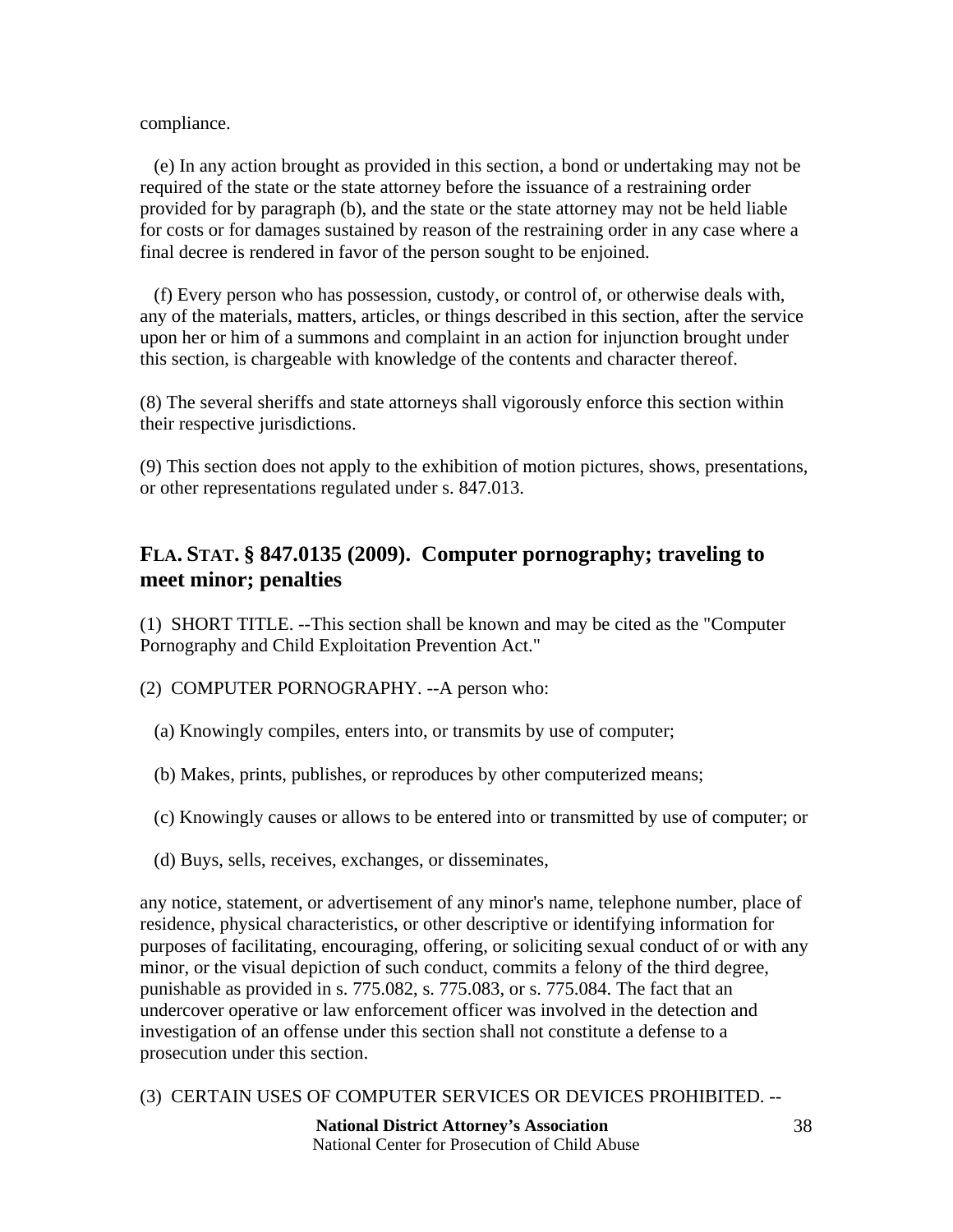compliance.

 (e) In any action brought as provided in this section, a bond or undertaking may not be required of the state or the state attorney before the issuance of a restraining order provided for by paragraph (b), and the state or the state attorney may not be held liable for costs or for damages sustained by reason of the restraining order in any case where a final decree is rendered in favor of the person sought to be enjoined.

 (f) Every person who has possession, custody, or control of, or otherwise deals with, any of the materials, matters, articles, or things described in this section, after the service upon her or him of a summons and complaint in an action for injunction brought under this section, is chargeable with knowledge of the contents and character thereof.

(8) The several sheriffs and state attorneys shall vigorously enforce this section within their respective jurisdictions.

(9) This section does not apply to the exhibition of motion pictures, shows, presentations, or other representations regulated under s. 847.013.

#### **FLA. STAT. § 847.0135 (2009). Computer pornography; traveling to meet minor; penalties**

(1) SHORT TITLE. --This section shall be known and may be cited as the "Computer Pornography and Child Exploitation Prevention Act."

(2) COMPUTER PORNOGRAPHY. --A person who:

- (a) Knowingly compiles, enters into, or transmits by use of computer;
- (b) Makes, prints, publishes, or reproduces by other computerized means;
- (c) Knowingly causes or allows to be entered into or transmitted by use of computer; or
- (d) Buys, sells, receives, exchanges, or disseminates,

any notice, statement, or advertisement of any minor's name, telephone number, place of residence, physical characteristics, or other descriptive or identifying information for purposes of facilitating, encouraging, offering, or soliciting sexual conduct of or with any minor, or the visual depiction of such conduct, commits a felony of the third degree, punishable as provided in s. 775.082, s. 775.083, or s. 775.084. The fact that an undercover operative or law enforcement officer was involved in the detection and investigation of an offense under this section shall not constitute a defense to a prosecution under this section.

(3) CERTAIN USES OF COMPUTER SERVICES OR DEVICES PROHIBITED. --

**National District Attorney's Association**  National Center for Prosecution of Child Abuse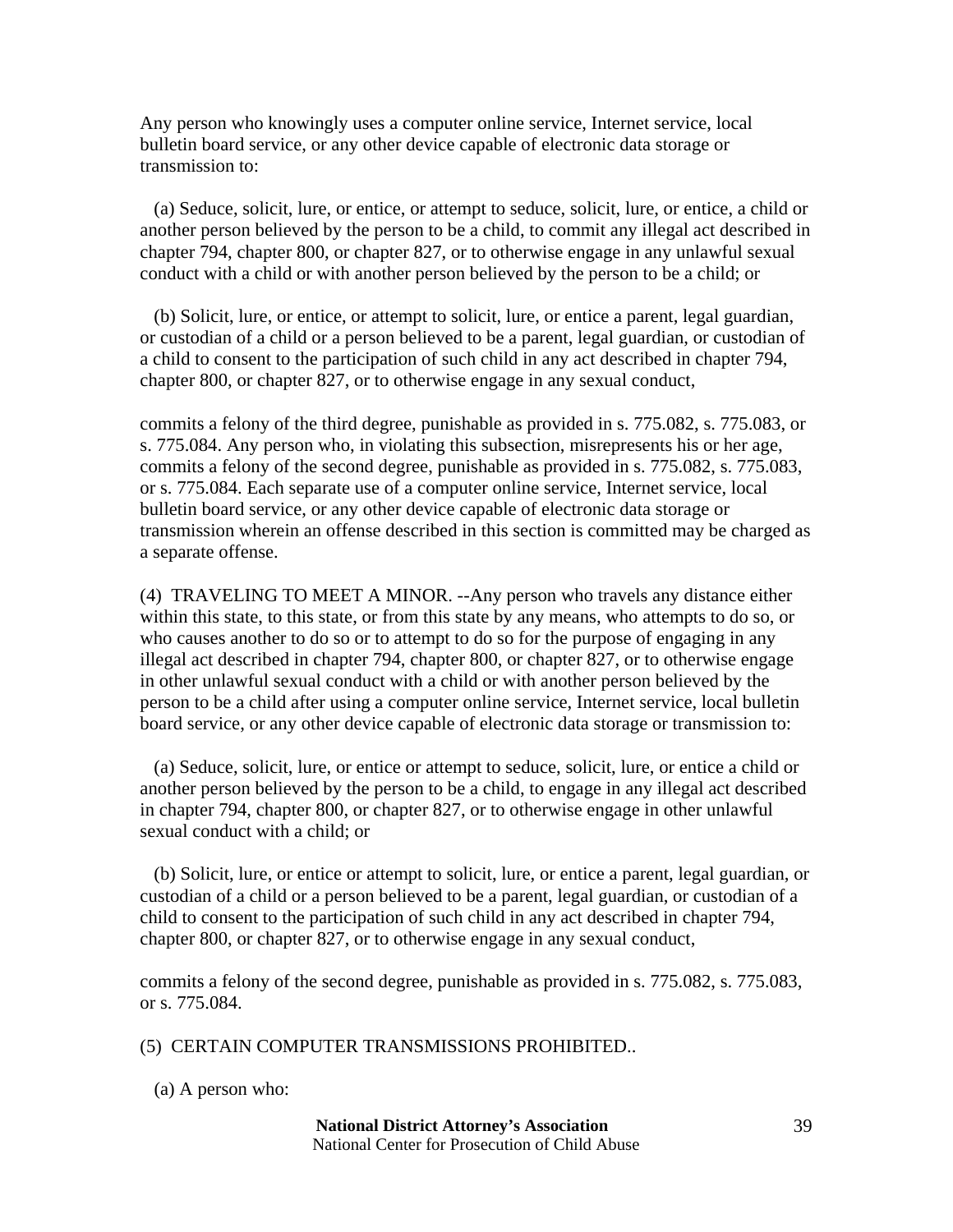Any person who knowingly uses a computer online service, Internet service, local bulletin board service, or any other device capable of electronic data storage or transmission to:

 (a) Seduce, solicit, lure, or entice, or attempt to seduce, solicit, lure, or entice, a child or another person believed by the person to be a child, to commit any illegal act described in chapter 794, chapter 800, or chapter 827, or to otherwise engage in any unlawful sexual conduct with a child or with another person believed by the person to be a child; or

 (b) Solicit, lure, or entice, or attempt to solicit, lure, or entice a parent, legal guardian, or custodian of a child or a person believed to be a parent, legal guardian, or custodian of a child to consent to the participation of such child in any act described in chapter 794, chapter 800, or chapter 827, or to otherwise engage in any sexual conduct,

commits a felony of the third degree, punishable as provided in s. 775.082, s. 775.083, or s. 775.084. Any person who, in violating this subsection, misrepresents his or her age, commits a felony of the second degree, punishable as provided in s. 775.082, s. 775.083, or s. 775.084. Each separate use of a computer online service, Internet service, local bulletin board service, or any other device capable of electronic data storage or transmission wherein an offense described in this section is committed may be charged as a separate offense.

(4) TRAVELING TO MEET A MINOR. --Any person who travels any distance either within this state, to this state, or from this state by any means, who attempts to do so, or who causes another to do so or to attempt to do so for the purpose of engaging in any illegal act described in chapter 794, chapter 800, or chapter 827, or to otherwise engage in other unlawful sexual conduct with a child or with another person believed by the person to be a child after using a computer online service, Internet service, local bulletin board service, or any other device capable of electronic data storage or transmission to:

 (a) Seduce, solicit, lure, or entice or attempt to seduce, solicit, lure, or entice a child or another person believed by the person to be a child, to engage in any illegal act described in chapter 794, chapter 800, or chapter 827, or to otherwise engage in other unlawful sexual conduct with a child; or

 (b) Solicit, lure, or entice or attempt to solicit, lure, or entice a parent, legal guardian, or custodian of a child or a person believed to be a parent, legal guardian, or custodian of a child to consent to the participation of such child in any act described in chapter 794, chapter 800, or chapter 827, or to otherwise engage in any sexual conduct,

commits a felony of the second degree, punishable as provided in s. 775.082, s. 775.083, or s. 775.084.

#### (5) CERTAIN COMPUTER TRANSMISSIONS PROHIBITED..

(a) A person who: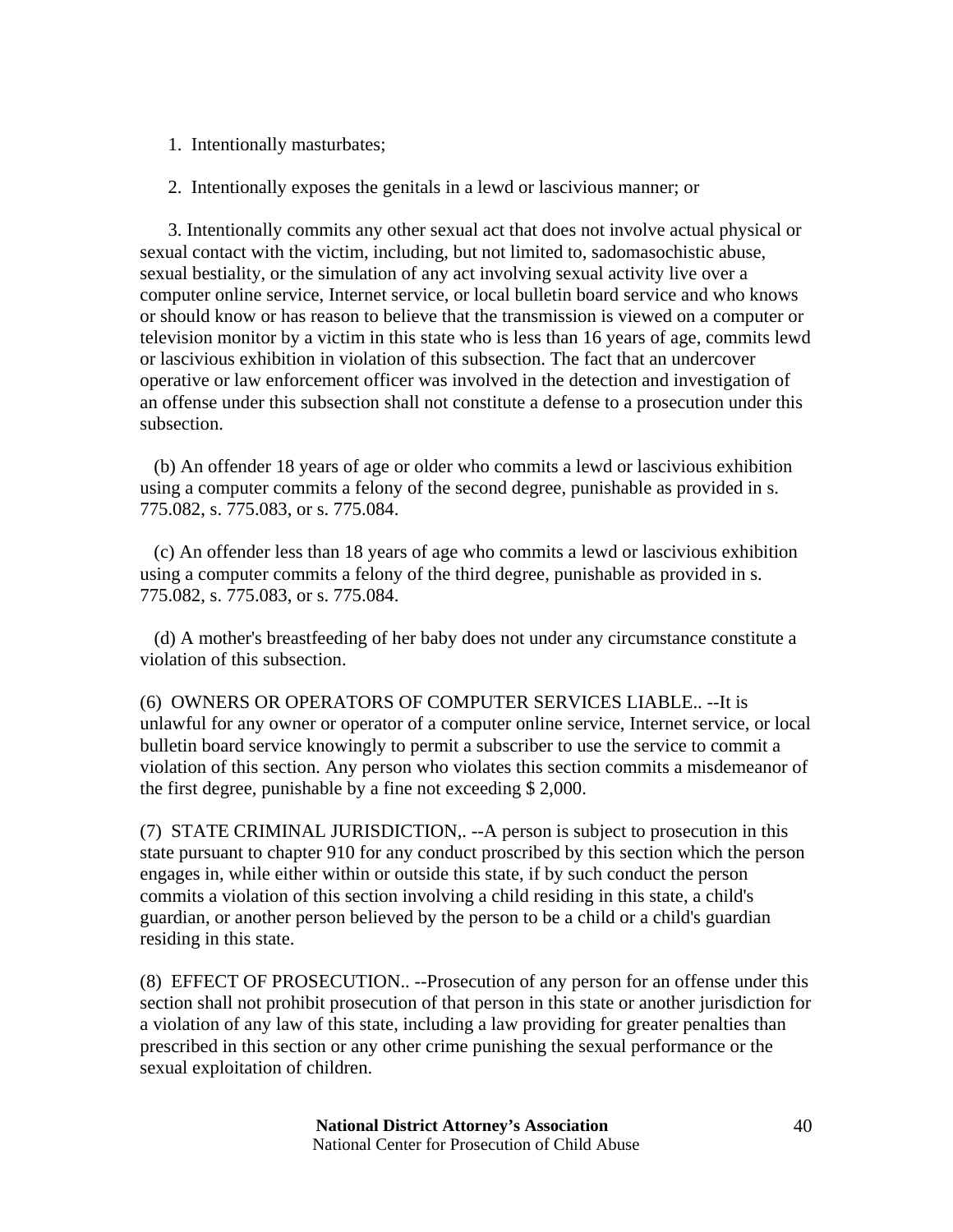1. Intentionally masturbates;

2. Intentionally exposes the genitals in a lewd or lascivious manner; or

 3. Intentionally commits any other sexual act that does not involve actual physical or sexual contact with the victim, including, but not limited to, sadomasochistic abuse, sexual bestiality, or the simulation of any act involving sexual activity live over a computer online service, Internet service, or local bulletin board service and who knows or should know or has reason to believe that the transmission is viewed on a computer or television monitor by a victim in this state who is less than 16 years of age, commits lewd or lascivious exhibition in violation of this subsection. The fact that an undercover operative or law enforcement officer was involved in the detection and investigation of an offense under this subsection shall not constitute a defense to a prosecution under this subsection.

 (b) An offender 18 years of age or older who commits a lewd or lascivious exhibition using a computer commits a felony of the second degree, punishable as provided in s. 775.082, s. 775.083, or s. 775.084.

 (c) An offender less than 18 years of age who commits a lewd or lascivious exhibition using a computer commits a felony of the third degree, punishable as provided in s. 775.082, s. 775.083, or s. 775.084.

 (d) A mother's breastfeeding of her baby does not under any circumstance constitute a violation of this subsection.

(6) OWNERS OR OPERATORS OF COMPUTER SERVICES LIABLE.. --It is unlawful for any owner or operator of a computer online service, Internet service, or local bulletin board service knowingly to permit a subscriber to use the service to commit a violation of this section. Any person who violates this section commits a misdemeanor of the first degree, punishable by a fine not exceeding \$ 2,000.

(7) STATE CRIMINAL JURISDICTION,. --A person is subject to prosecution in this state pursuant to chapter 910 for any conduct proscribed by this section which the person engages in, while either within or outside this state, if by such conduct the person commits a violation of this section involving a child residing in this state, a child's guardian, or another person believed by the person to be a child or a child's guardian residing in this state.

(8) EFFECT OF PROSECUTION.. --Prosecution of any person for an offense under this section shall not prohibit prosecution of that person in this state or another jurisdiction for a violation of any law of this state, including a law providing for greater penalties than prescribed in this section or any other crime punishing the sexual performance or the sexual exploitation of children.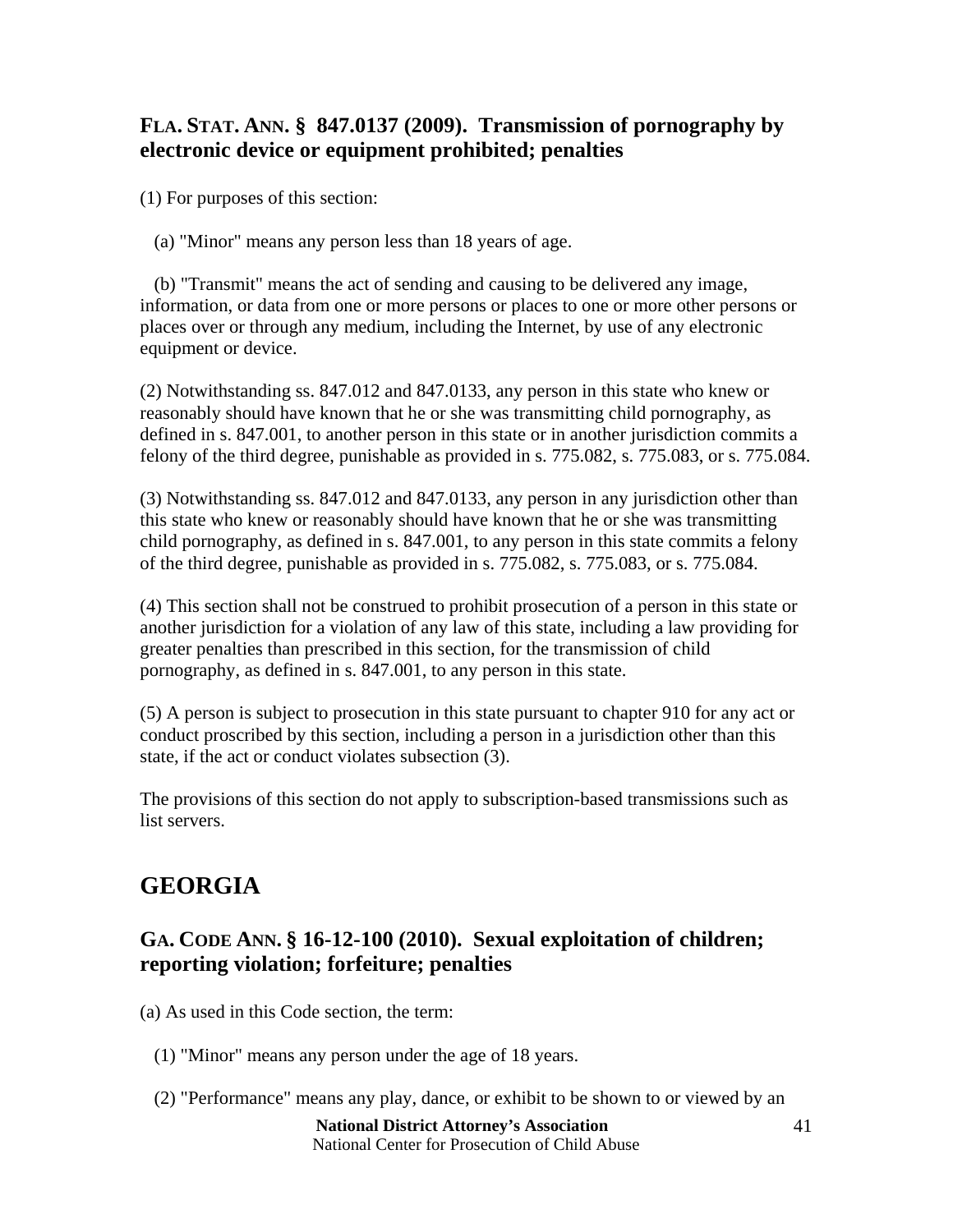#### **FLA. STAT. ANN. § 847.0137 (2009). Transmission of pornography by electronic device or equipment prohibited; penalties**

(1) For purposes of this section:

(a) "Minor" means any person less than 18 years of age.

 (b) "Transmit" means the act of sending and causing to be delivered any image, information, or data from one or more persons or places to one or more other persons or places over or through any medium, including the Internet, by use of any electronic equipment or device.

(2) Notwithstanding ss. 847.012 and 847.0133, any person in this state who knew or reasonably should have known that he or she was transmitting child pornography, as defined in s. 847.001, to another person in this state or in another jurisdiction commits a felony of the third degree, punishable as provided in s. 775.082, s. 775.083, or s. 775.084.

(3) Notwithstanding ss. 847.012 and 847.0133, any person in any jurisdiction other than this state who knew or reasonably should have known that he or she was transmitting child pornography, as defined in s. 847.001, to any person in this state commits a felony of the third degree, punishable as provided in s. 775.082, s. 775.083, or s. 775.084.

(4) This section shall not be construed to prohibit prosecution of a person in this state or another jurisdiction for a violation of any law of this state, including a law providing for greater penalties than prescribed in this section, for the transmission of child pornography, as defined in s. 847.001, to any person in this state.

(5) A person is subject to prosecution in this state pursuant to chapter 910 for any act or conduct proscribed by this section, including a person in a jurisdiction other than this state, if the act or conduct violates subsection (3).

The provisions of this section do not apply to subscription-based transmissions such as list servers.

# **GEORGIA**

### **GA. CODE ANN. § 16-12-100 (2010). Sexual exploitation of children; reporting violation; forfeiture; penalties**

(a) As used in this Code section, the term:

- (1) "Minor" means any person under the age of 18 years.
- (2) "Performance" means any play, dance, or exhibit to be shown to or viewed by an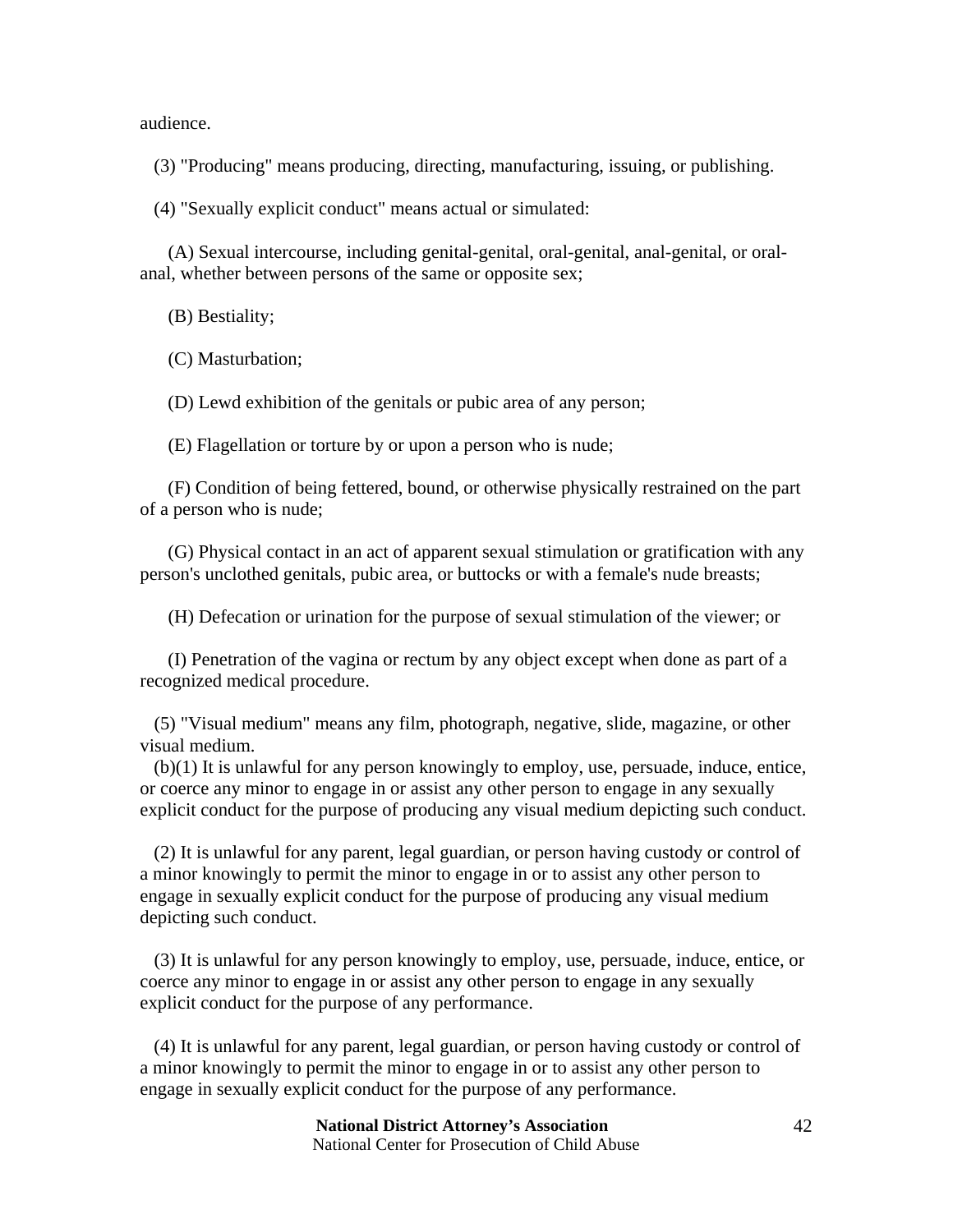audience.

(3) "Producing" means producing, directing, manufacturing, issuing, or publishing.

(4) "Sexually explicit conduct" means actual or simulated:

 (A) Sexual intercourse, including genital-genital, oral-genital, anal-genital, or oralanal, whether between persons of the same or opposite sex;

(B) Bestiality;

(C) Masturbation;

(D) Lewd exhibition of the genitals or pubic area of any person;

(E) Flagellation or torture by or upon a person who is nude;

 (F) Condition of being fettered, bound, or otherwise physically restrained on the part of a person who is nude;

 (G) Physical contact in an act of apparent sexual stimulation or gratification with any person's unclothed genitals, pubic area, or buttocks or with a female's nude breasts;

(H) Defecation or urination for the purpose of sexual stimulation of the viewer; or

 (I) Penetration of the vagina or rectum by any object except when done as part of a recognized medical procedure.

 (5) "Visual medium" means any film, photograph, negative, slide, magazine, or other visual medium.

 (b)(1) It is unlawful for any person knowingly to employ, use, persuade, induce, entice, or coerce any minor to engage in or assist any other person to engage in any sexually explicit conduct for the purpose of producing any visual medium depicting such conduct.

 (2) It is unlawful for any parent, legal guardian, or person having custody or control of a minor knowingly to permit the minor to engage in or to assist any other person to engage in sexually explicit conduct for the purpose of producing any visual medium depicting such conduct.

 (3) It is unlawful for any person knowingly to employ, use, persuade, induce, entice, or coerce any minor to engage in or assist any other person to engage in any sexually explicit conduct for the purpose of any performance.

 (4) It is unlawful for any parent, legal guardian, or person having custody or control of a minor knowingly to permit the minor to engage in or to assist any other person to engage in sexually explicit conduct for the purpose of any performance.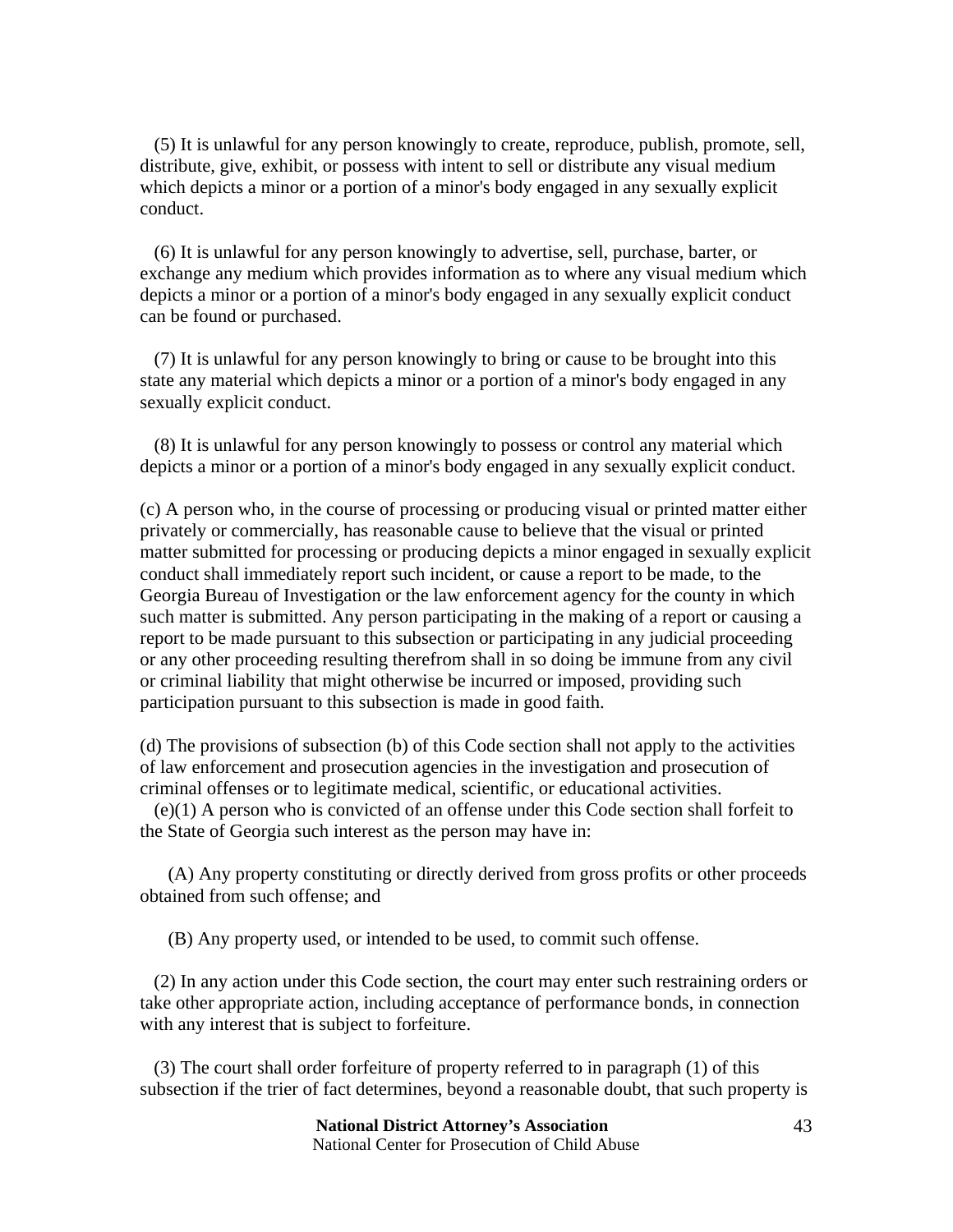(5) It is unlawful for any person knowingly to create, reproduce, publish, promote, sell, distribute, give, exhibit, or possess with intent to sell or distribute any visual medium which depicts a minor or a portion of a minor's body engaged in any sexually explicit conduct.

 (6) It is unlawful for any person knowingly to advertise, sell, purchase, barter, or exchange any medium which provides information as to where any visual medium which depicts a minor or a portion of a minor's body engaged in any sexually explicit conduct can be found or purchased.

 (7) It is unlawful for any person knowingly to bring or cause to be brought into this state any material which depicts a minor or a portion of a minor's body engaged in any sexually explicit conduct.

 (8) It is unlawful for any person knowingly to possess or control any material which depicts a minor or a portion of a minor's body engaged in any sexually explicit conduct.

(c) A person who, in the course of processing or producing visual or printed matter either privately or commercially, has reasonable cause to believe that the visual or printed matter submitted for processing or producing depicts a minor engaged in sexually explicit conduct shall immediately report such incident, or cause a report to be made, to the Georgia Bureau of Investigation or the law enforcement agency for the county in which such matter is submitted. Any person participating in the making of a report or causing a report to be made pursuant to this subsection or participating in any judicial proceeding or any other proceeding resulting therefrom shall in so doing be immune from any civil or criminal liability that might otherwise be incurred or imposed, providing such participation pursuant to this subsection is made in good faith.

(d) The provisions of subsection (b) of this Code section shall not apply to the activities of law enforcement and prosecution agencies in the investigation and prosecution of criminal offenses or to legitimate medical, scientific, or educational activities.

 (e)(1) A person who is convicted of an offense under this Code section shall forfeit to the State of Georgia such interest as the person may have in:

 (A) Any property constituting or directly derived from gross profits or other proceeds obtained from such offense; and

(B) Any property used, or intended to be used, to commit such offense.

 (2) In any action under this Code section, the court may enter such restraining orders or take other appropriate action, including acceptance of performance bonds, in connection with any interest that is subject to forfeiture.

 (3) The court shall order forfeiture of property referred to in paragraph (1) of this subsection if the trier of fact determines, beyond a reasonable doubt, that such property is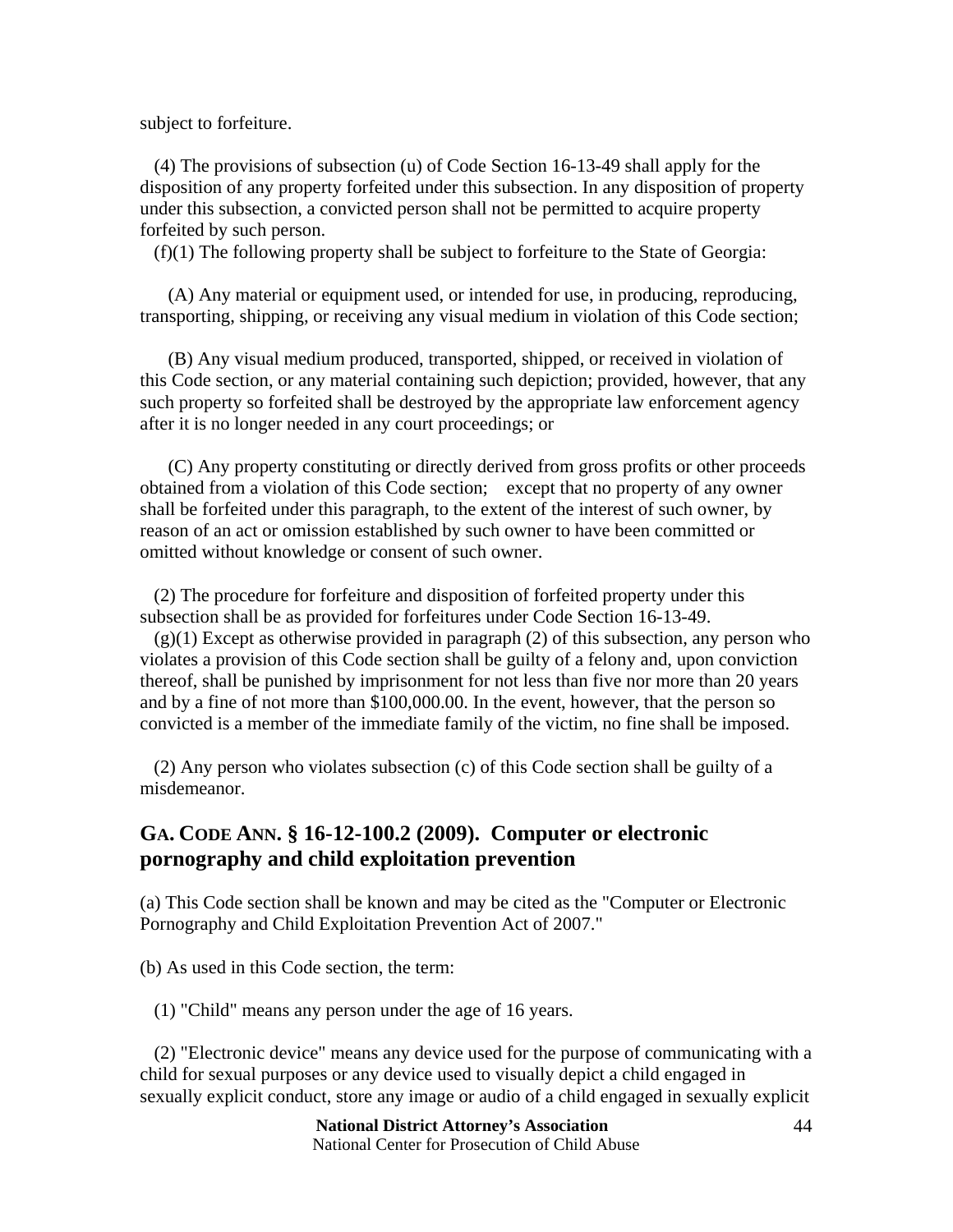subject to forfeiture.

 (4) The provisions of subsection (u) of Code Section 16-13-49 shall apply for the disposition of any property forfeited under this subsection. In any disposition of property under this subsection, a convicted person shall not be permitted to acquire property forfeited by such person.

(f)(1) The following property shall be subject to forfeiture to the State of Georgia:

 (A) Any material or equipment used, or intended for use, in producing, reproducing, transporting, shipping, or receiving any visual medium in violation of this Code section;

 (B) Any visual medium produced, transported, shipped, or received in violation of this Code section, or any material containing such depiction; provided, however, that any such property so forfeited shall be destroyed by the appropriate law enforcement agency after it is no longer needed in any court proceedings; or

 (C) Any property constituting or directly derived from gross profits or other proceeds obtained from a violation of this Code section; except that no property of any owner shall be forfeited under this paragraph, to the extent of the interest of such owner, by reason of an act or omission established by such owner to have been committed or omitted without knowledge or consent of such owner.

 (2) The procedure for forfeiture and disposition of forfeited property under this subsection shall be as provided for forfeitures under Code Section 16-13-49.

 $(g)(1)$  Except as otherwise provided in paragraph (2) of this subsection, any person who violates a provision of this Code section shall be guilty of a felony and, upon conviction thereof, shall be punished by imprisonment for not less than five nor more than 20 years and by a fine of not more than \$100,000.00. In the event, however, that the person so convicted is a member of the immediate family of the victim, no fine shall be imposed.

 (2) Any person who violates subsection (c) of this Code section shall be guilty of a misdemeanor.

#### **GA. CODE ANN. § 16-12-100.2 (2009). Computer or electronic pornography and child exploitation prevention**

(a) This Code section shall be known and may be cited as the "Computer or Electronic Pornography and Child Exploitation Prevention Act of 2007."

(b) As used in this Code section, the term:

(1) "Child" means any person under the age of 16 years.

 (2) "Electronic device" means any device used for the purpose of communicating with a child for sexual purposes or any device used to visually depict a child engaged in sexually explicit conduct, store any image or audio of a child engaged in sexually explicit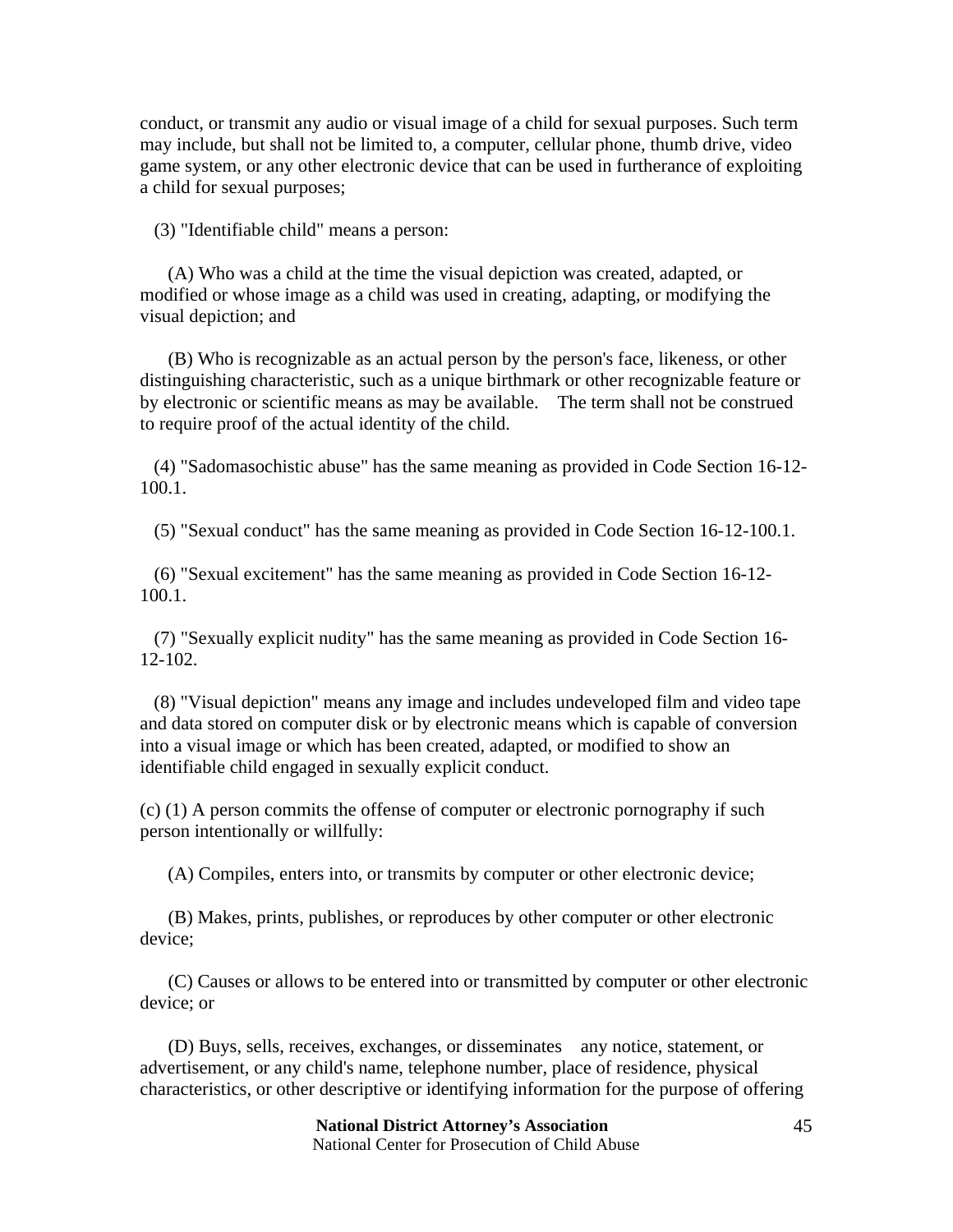conduct, or transmit any audio or visual image of a child for sexual purposes. Such term may include, but shall not be limited to, a computer, cellular phone, thumb drive, video game system, or any other electronic device that can be used in furtherance of exploiting a child for sexual purposes;

(3) "Identifiable child" means a person:

 (A) Who was a child at the time the visual depiction was created, adapted, or modified or whose image as a child was used in creating, adapting, or modifying the visual depiction; and

 (B) Who is recognizable as an actual person by the person's face, likeness, or other distinguishing characteristic, such as a unique birthmark or other recognizable feature or by electronic or scientific means as may be available. The term shall not be construed to require proof of the actual identity of the child.

 (4) "Sadomasochistic abuse" has the same meaning as provided in Code Section 16-12- 100.1.

(5) "Sexual conduct" has the same meaning as provided in Code Section 16-12-100.1.

 (6) "Sexual excitement" has the same meaning as provided in Code Section 16-12- 100.1.

 (7) "Sexually explicit nudity" has the same meaning as provided in Code Section 16- 12-102.

 (8) "Visual depiction" means any image and includes undeveloped film and video tape and data stored on computer disk or by electronic means which is capable of conversion into a visual image or which has been created, adapted, or modified to show an identifiable child engaged in sexually explicit conduct.

(c) (1) A person commits the offense of computer or electronic pornography if such person intentionally or willfully:

(A) Compiles, enters into, or transmits by computer or other electronic device;

 (B) Makes, prints, publishes, or reproduces by other computer or other electronic device;

 (C) Causes or allows to be entered into or transmitted by computer or other electronic device; or

 (D) Buys, sells, receives, exchanges, or disseminates any notice, statement, or advertisement, or any child's name, telephone number, place of residence, physical characteristics, or other descriptive or identifying information for the purpose of offering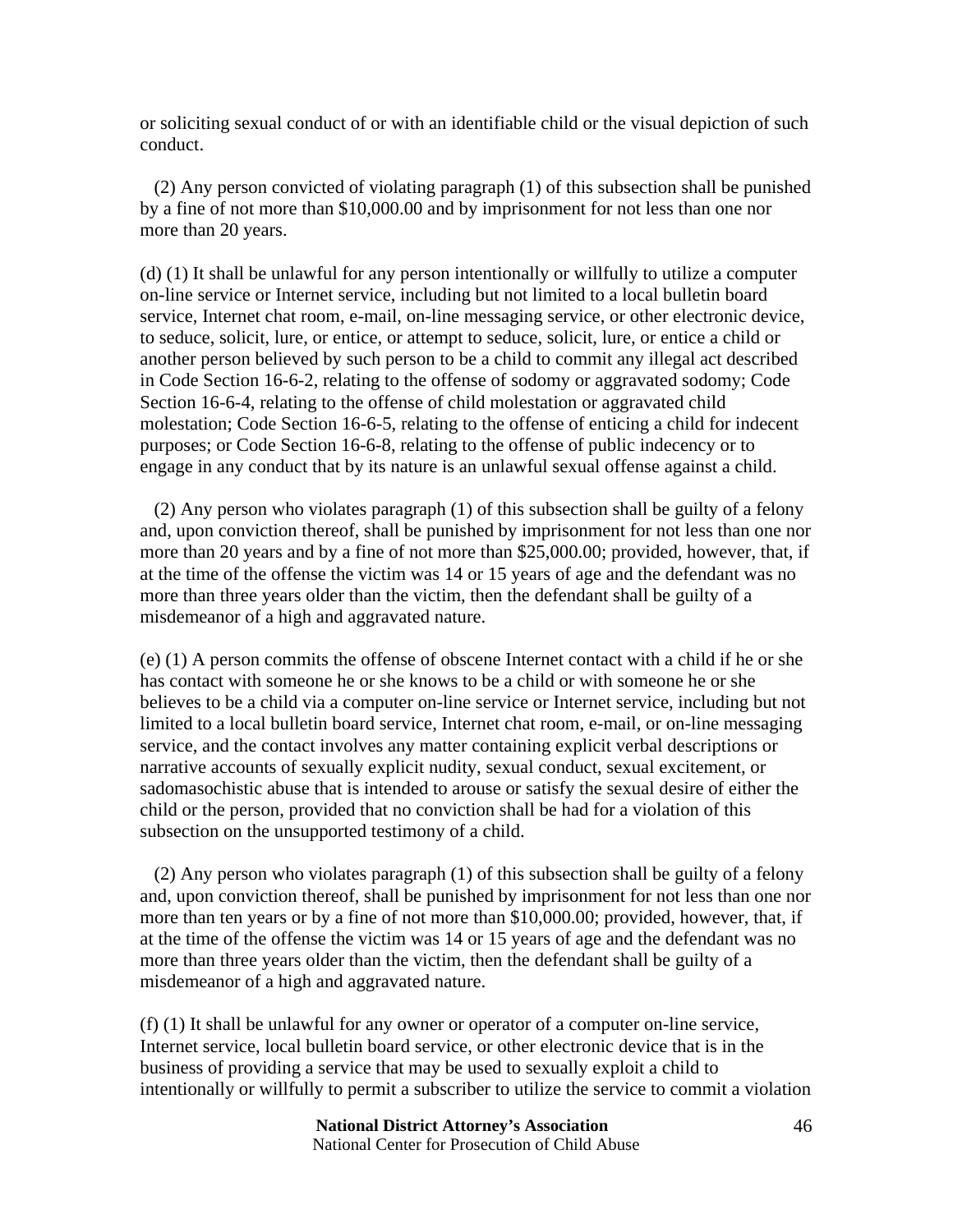or soliciting sexual conduct of or with an identifiable child or the visual depiction of such conduct.

 (2) Any person convicted of violating paragraph (1) of this subsection shall be punished by a fine of not more than \$10,000.00 and by imprisonment for not less than one nor more than 20 years.

(d) (1) It shall be unlawful for any person intentionally or willfully to utilize a computer on-line service or Internet service, including but not limited to a local bulletin board service, Internet chat room, e-mail, on-line messaging service, or other electronic device, to seduce, solicit, lure, or entice, or attempt to seduce, solicit, lure, or entice a child or another person believed by such person to be a child to commit any illegal act described in Code Section 16-6-2, relating to the offense of sodomy or aggravated sodomy; Code Section 16-6-4, relating to the offense of child molestation or aggravated child molestation; Code Section 16-6-5, relating to the offense of enticing a child for indecent purposes; or Code Section 16-6-8, relating to the offense of public indecency or to engage in any conduct that by its nature is an unlawful sexual offense against a child.

 (2) Any person who violates paragraph (1) of this subsection shall be guilty of a felony and, upon conviction thereof, shall be punished by imprisonment for not less than one nor more than 20 years and by a fine of not more than \$25,000.00; provided, however, that, if at the time of the offense the victim was 14 or 15 years of age and the defendant was no more than three years older than the victim, then the defendant shall be guilty of a misdemeanor of a high and aggravated nature.

(e) (1) A person commits the offense of obscene Internet contact with a child if he or she has contact with someone he or she knows to be a child or with someone he or she believes to be a child via a computer on-line service or Internet service, including but not limited to a local bulletin board service, Internet chat room, e-mail, or on-line messaging service, and the contact involves any matter containing explicit verbal descriptions or narrative accounts of sexually explicit nudity, sexual conduct, sexual excitement, or sadomasochistic abuse that is intended to arouse or satisfy the sexual desire of either the child or the person, provided that no conviction shall be had for a violation of this subsection on the unsupported testimony of a child.

 (2) Any person who violates paragraph (1) of this subsection shall be guilty of a felony and, upon conviction thereof, shall be punished by imprisonment for not less than one nor more than ten years or by a fine of not more than \$10,000.00; provided, however, that, if at the time of the offense the victim was 14 or 15 years of age and the defendant was no more than three years older than the victim, then the defendant shall be guilty of a misdemeanor of a high and aggravated nature.

(f) (1) It shall be unlawful for any owner or operator of a computer on-line service, Internet service, local bulletin board service, or other electronic device that is in the business of providing a service that may be used to sexually exploit a child to intentionally or willfully to permit a subscriber to utilize the service to commit a violation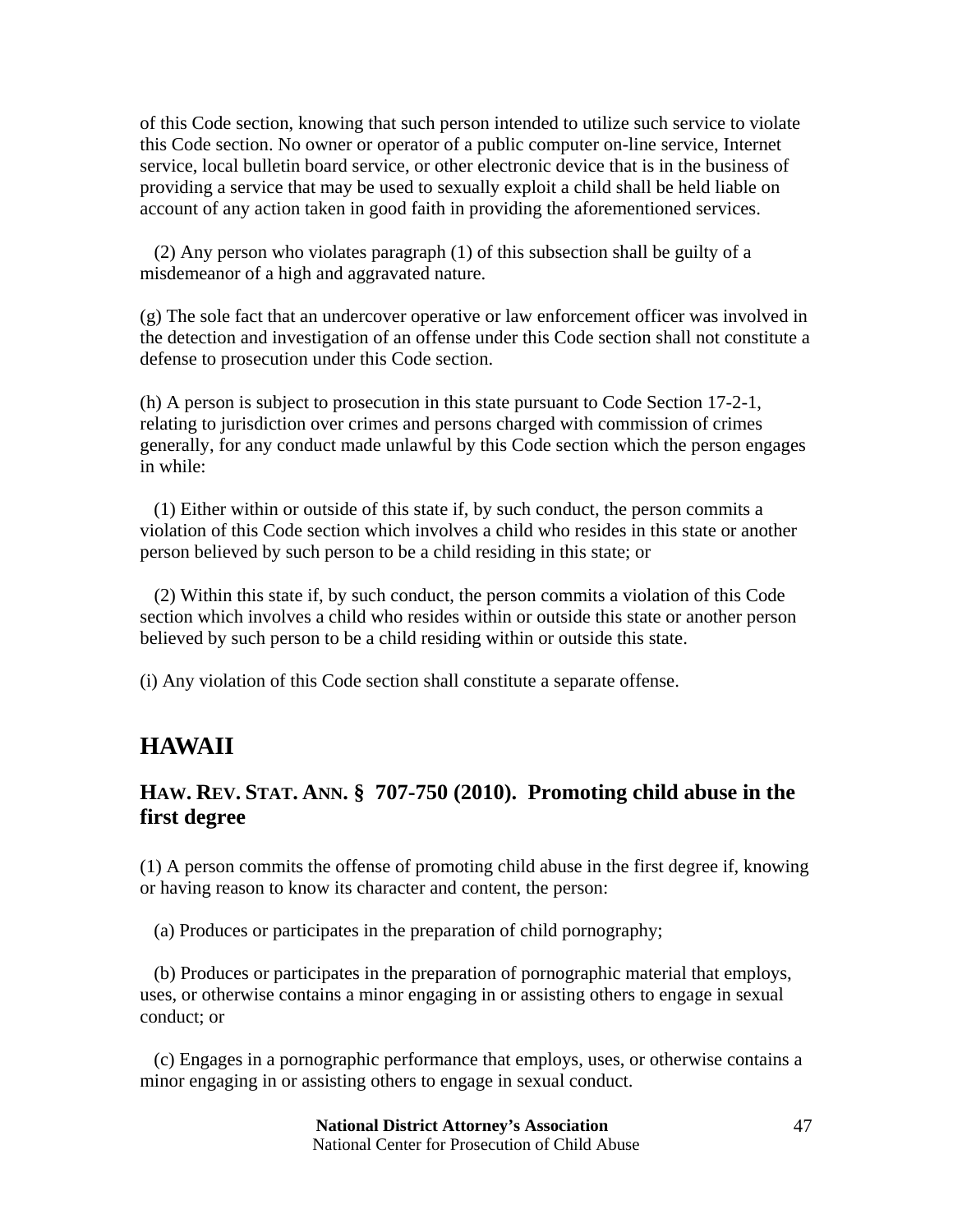of this Code section, knowing that such person intended to utilize such service to violate this Code section. No owner or operator of a public computer on-line service, Internet service, local bulletin board service, or other electronic device that is in the business of providing a service that may be used to sexually exploit a child shall be held liable on account of any action taken in good faith in providing the aforementioned services.

 (2) Any person who violates paragraph (1) of this subsection shall be guilty of a misdemeanor of a high and aggravated nature.

(g) The sole fact that an undercover operative or law enforcement officer was involved in the detection and investigation of an offense under this Code section shall not constitute a defense to prosecution under this Code section.

(h) A person is subject to prosecution in this state pursuant to Code Section 17-2-1, relating to jurisdiction over crimes and persons charged with commission of crimes generally, for any conduct made unlawful by this Code section which the person engages in while:

 (1) Either within or outside of this state if, by such conduct, the person commits a violation of this Code section which involves a child who resides in this state or another person believed by such person to be a child residing in this state; or

 (2) Within this state if, by such conduct, the person commits a violation of this Code section which involves a child who resides within or outside this state or another person believed by such person to be a child residing within or outside this state.

(i) Any violation of this Code section shall constitute a separate offense.

## **HAWAII**

#### **HAW. REV. STAT. ANN. § 707-750 (2010). Promoting child abuse in the first degree**

(1) A person commits the offense of promoting child abuse in the first degree if, knowing or having reason to know its character and content, the person:

(a) Produces or participates in the preparation of child pornography;

 (b) Produces or participates in the preparation of pornographic material that employs, uses, or otherwise contains a minor engaging in or assisting others to engage in sexual conduct; or

 (c) Engages in a pornographic performance that employs, uses, or otherwise contains a minor engaging in or assisting others to engage in sexual conduct.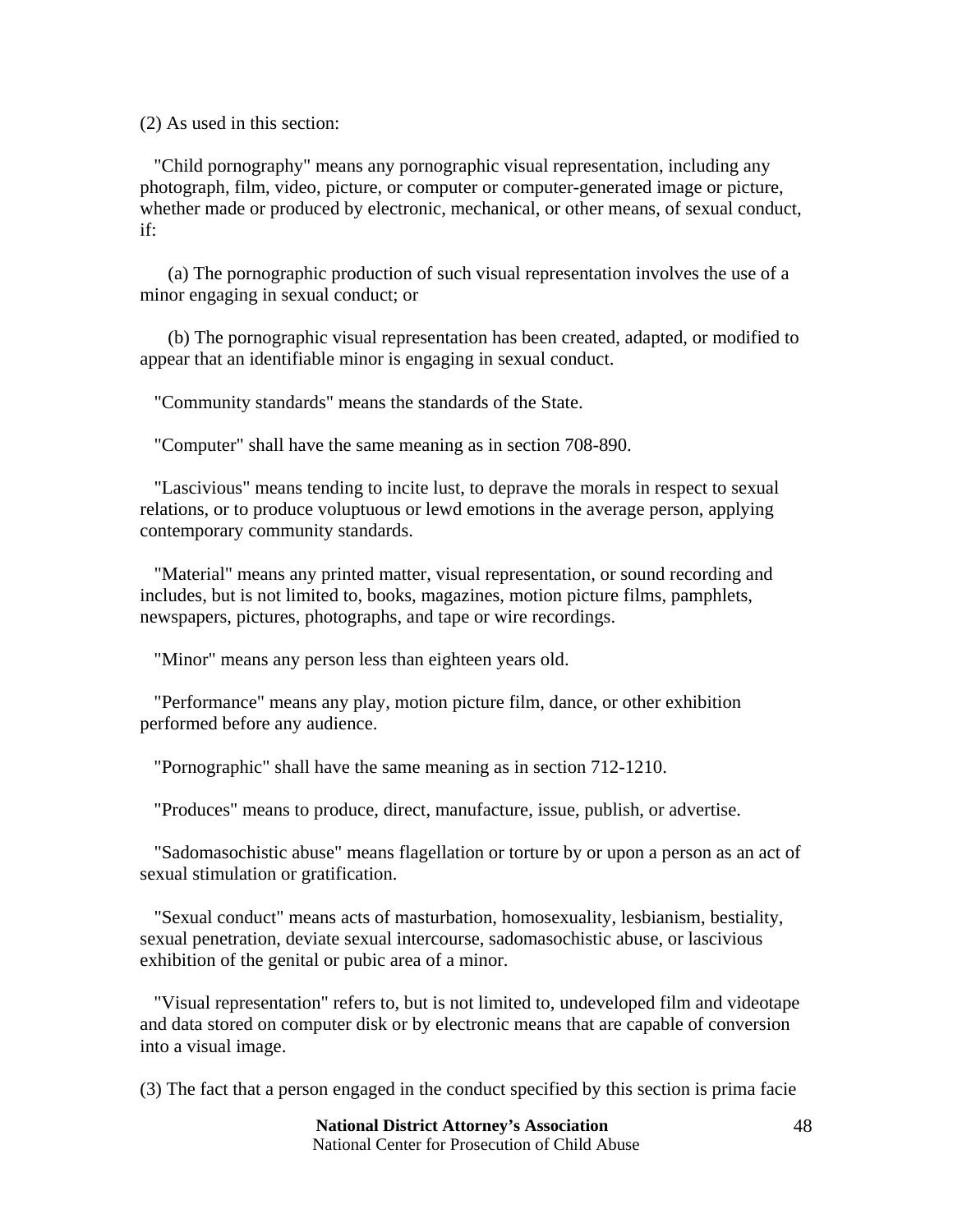(2) As used in this section:

 "Child pornography" means any pornographic visual representation, including any photograph, film, video, picture, or computer or computer-generated image or picture, whether made or produced by electronic, mechanical, or other means, of sexual conduct, if:

 (a) The pornographic production of such visual representation involves the use of a minor engaging in sexual conduct; or

 (b) The pornographic visual representation has been created, adapted, or modified to appear that an identifiable minor is engaging in sexual conduct.

"Community standards" means the standards of the State.

"Computer" shall have the same meaning as in section 708-890.

 "Lascivious" means tending to incite lust, to deprave the morals in respect to sexual relations, or to produce voluptuous or lewd emotions in the average person, applying contemporary community standards.

 "Material" means any printed matter, visual representation, or sound recording and includes, but is not limited to, books, magazines, motion picture films, pamphlets, newspapers, pictures, photographs, and tape or wire recordings.

"Minor" means any person less than eighteen years old.

 "Performance" means any play, motion picture film, dance, or other exhibition performed before any audience.

"Pornographic" shall have the same meaning as in section 712-1210.

"Produces" means to produce, direct, manufacture, issue, publish, or advertise.

 "Sadomasochistic abuse" means flagellation or torture by or upon a person as an act of sexual stimulation or gratification.

 "Sexual conduct" means acts of masturbation, homosexuality, lesbianism, bestiality, sexual penetration, deviate sexual intercourse, sadomasochistic abuse, or lascivious exhibition of the genital or pubic area of a minor.

 "Visual representation" refers to, but is not limited to, undeveloped film and videotape and data stored on computer disk or by electronic means that are capable of conversion into a visual image.

(3) The fact that a person engaged in the conduct specified by this section is prima facie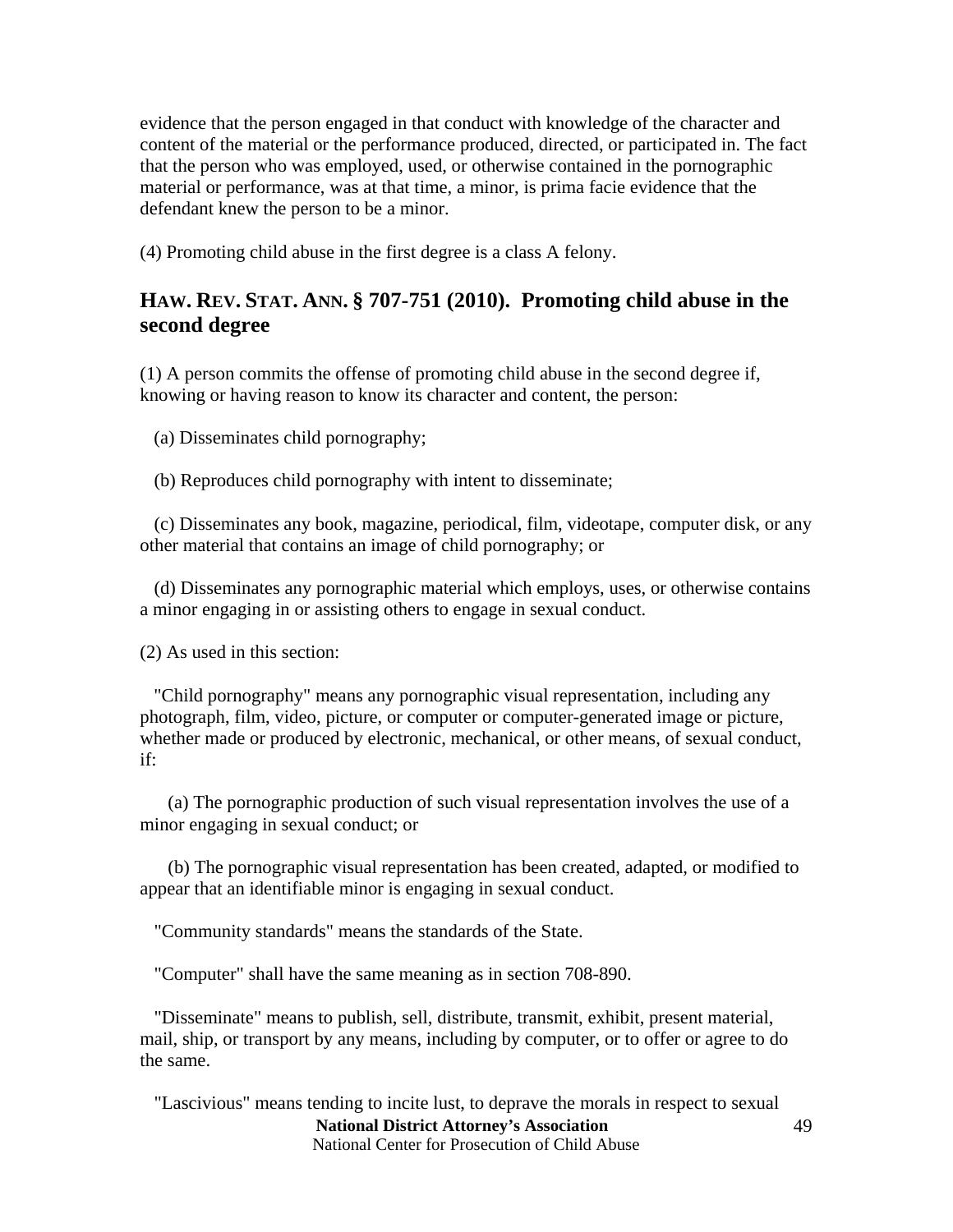evidence that the person engaged in that conduct with knowledge of the character and content of the material or the performance produced, directed, or participated in. The fact that the person who was employed, used, or otherwise contained in the pornographic material or performance, was at that time, a minor, is prima facie evidence that the defendant knew the person to be a minor.

(4) Promoting child abuse in the first degree is a class A felony.

#### **HAW. REV. STAT. ANN. § 707-751 (2010). Promoting child abuse in the second degree**

(1) A person commits the offense of promoting child abuse in the second degree if, knowing or having reason to know its character and content, the person:

(a) Disseminates child pornography;

(b) Reproduces child pornography with intent to disseminate;

 (c) Disseminates any book, magazine, periodical, film, videotape, computer disk, or any other material that contains an image of child pornography; or

 (d) Disseminates any pornographic material which employs, uses, or otherwise contains a minor engaging in or assisting others to engage in sexual conduct.

(2) As used in this section:

 "Child pornography" means any pornographic visual representation, including any photograph, film, video, picture, or computer or computer-generated image or picture, whether made or produced by electronic, mechanical, or other means, of sexual conduct, if:

 (a) The pornographic production of such visual representation involves the use of a minor engaging in sexual conduct; or

 (b) The pornographic visual representation has been created, adapted, or modified to appear that an identifiable minor is engaging in sexual conduct.

"Community standards" means the standards of the State.

"Computer" shall have the same meaning as in section 708-890.

 "Disseminate" means to publish, sell, distribute, transmit, exhibit, present material, mail, ship, or transport by any means, including by computer, or to offer or agree to do the same.

**National District Attorney's Association**  National Center for Prosecution of Child Abuse "Lascivious" means tending to incite lust, to deprave the morals in respect to sexual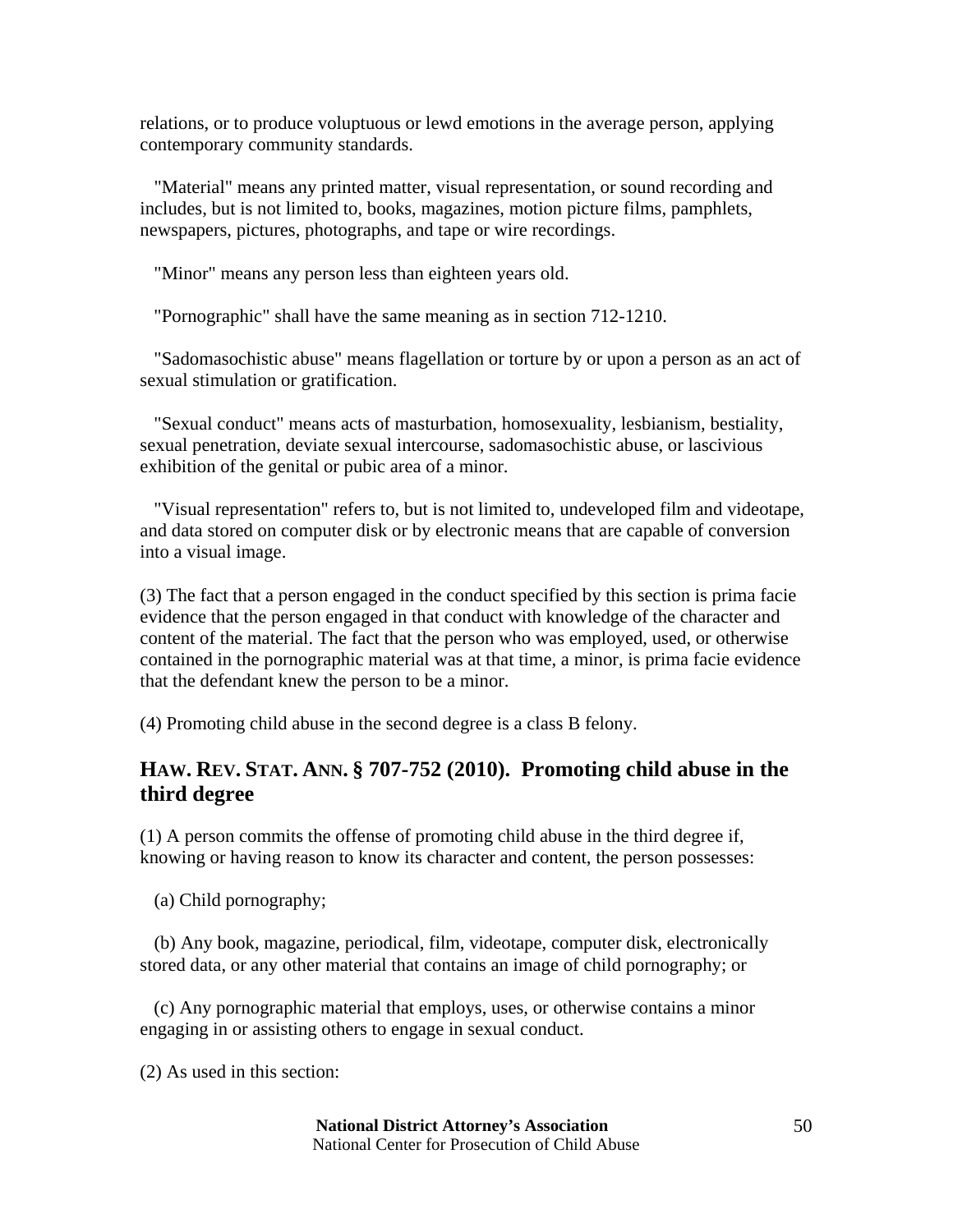relations, or to produce voluptuous or lewd emotions in the average person, applying contemporary community standards.

 "Material" means any printed matter, visual representation, or sound recording and includes, but is not limited to, books, magazines, motion picture films, pamphlets, newspapers, pictures, photographs, and tape or wire recordings.

"Minor" means any person less than eighteen years old.

"Pornographic" shall have the same meaning as in section 712-1210.

 "Sadomasochistic abuse" means flagellation or torture by or upon a person as an act of sexual stimulation or gratification.

 "Sexual conduct" means acts of masturbation, homosexuality, lesbianism, bestiality, sexual penetration, deviate sexual intercourse, sadomasochistic abuse, or lascivious exhibition of the genital or pubic area of a minor.

 "Visual representation" refers to, but is not limited to, undeveloped film and videotape, and data stored on computer disk or by electronic means that are capable of conversion into a visual image.

(3) The fact that a person engaged in the conduct specified by this section is prima facie evidence that the person engaged in that conduct with knowledge of the character and content of the material. The fact that the person who was employed, used, or otherwise contained in the pornographic material was at that time, a minor, is prima facie evidence that the defendant knew the person to be a minor.

(4) Promoting child abuse in the second degree is a class B felony.

#### **HAW. REV. STAT. ANN. § 707-752 (2010). Promoting child abuse in the third degree**

(1) A person commits the offense of promoting child abuse in the third degree if, knowing or having reason to know its character and content, the person possesses:

(a) Child pornography;

 (b) Any book, magazine, periodical, film, videotape, computer disk, electronically stored data, or any other material that contains an image of child pornography; or

 (c) Any pornographic material that employs, uses, or otherwise contains a minor engaging in or assisting others to engage in sexual conduct.

(2) As used in this section: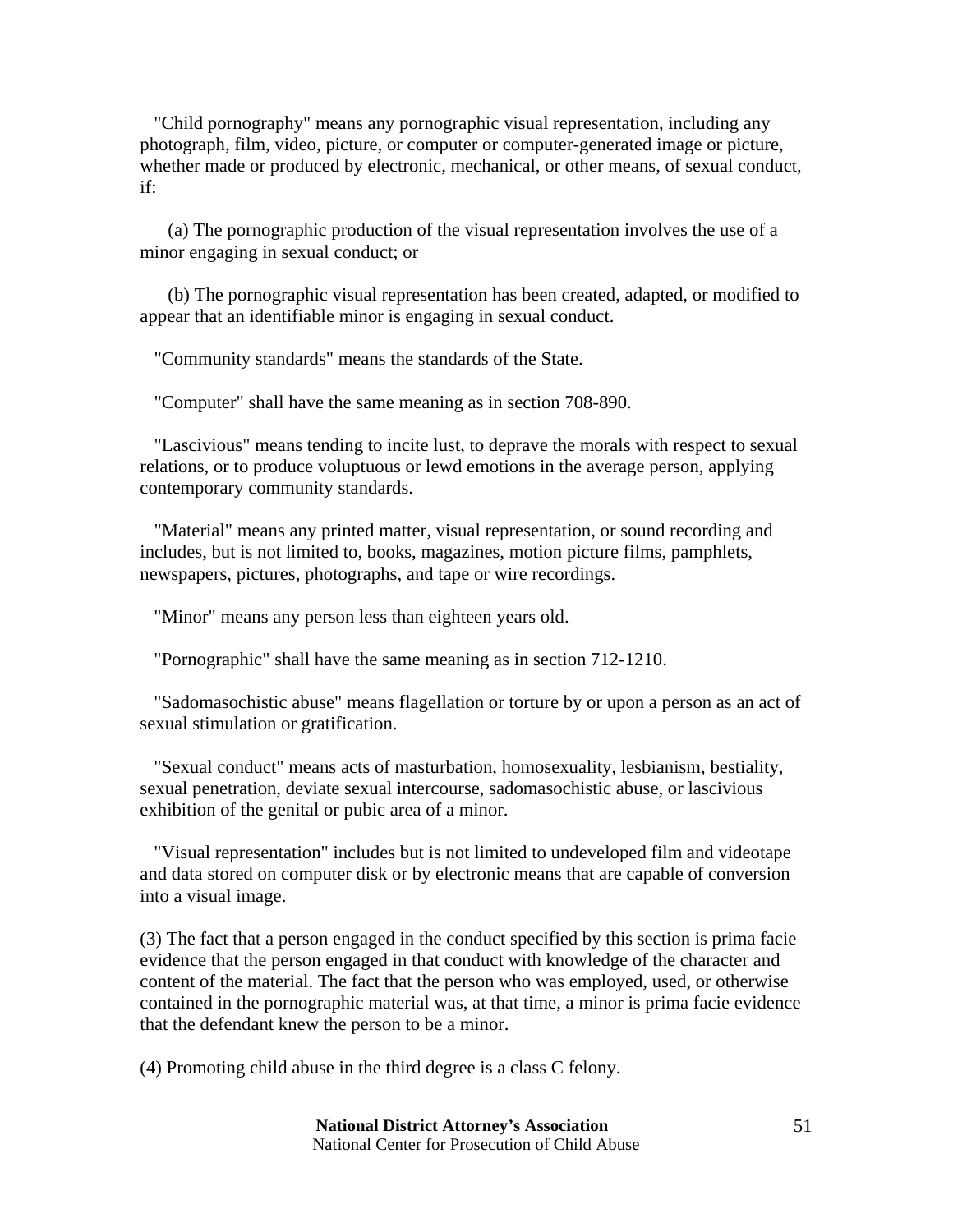"Child pornography" means any pornographic visual representation, including any photograph, film, video, picture, or computer or computer-generated image or picture, whether made or produced by electronic, mechanical, or other means, of sexual conduct, if:

 (a) The pornographic production of the visual representation involves the use of a minor engaging in sexual conduct; or

 (b) The pornographic visual representation has been created, adapted, or modified to appear that an identifiable minor is engaging in sexual conduct.

"Community standards" means the standards of the State.

"Computer" shall have the same meaning as in section 708-890.

 "Lascivious" means tending to incite lust, to deprave the morals with respect to sexual relations, or to produce voluptuous or lewd emotions in the average person, applying contemporary community standards.

 "Material" means any printed matter, visual representation, or sound recording and includes, but is not limited to, books, magazines, motion picture films, pamphlets, newspapers, pictures, photographs, and tape or wire recordings.

"Minor" means any person less than eighteen years old.

"Pornographic" shall have the same meaning as in section 712-1210.

 "Sadomasochistic abuse" means flagellation or torture by or upon a person as an act of sexual stimulation or gratification.

 "Sexual conduct" means acts of masturbation, homosexuality, lesbianism, bestiality, sexual penetration, deviate sexual intercourse, sadomasochistic abuse, or lascivious exhibition of the genital or pubic area of a minor.

 "Visual representation" includes but is not limited to undeveloped film and videotape and data stored on computer disk or by electronic means that are capable of conversion into a visual image.

(3) The fact that a person engaged in the conduct specified by this section is prima facie evidence that the person engaged in that conduct with knowledge of the character and content of the material. The fact that the person who was employed, used, or otherwise contained in the pornographic material was, at that time, a minor is prima facie evidence that the defendant knew the person to be a minor.

(4) Promoting child abuse in the third degree is a class C felony.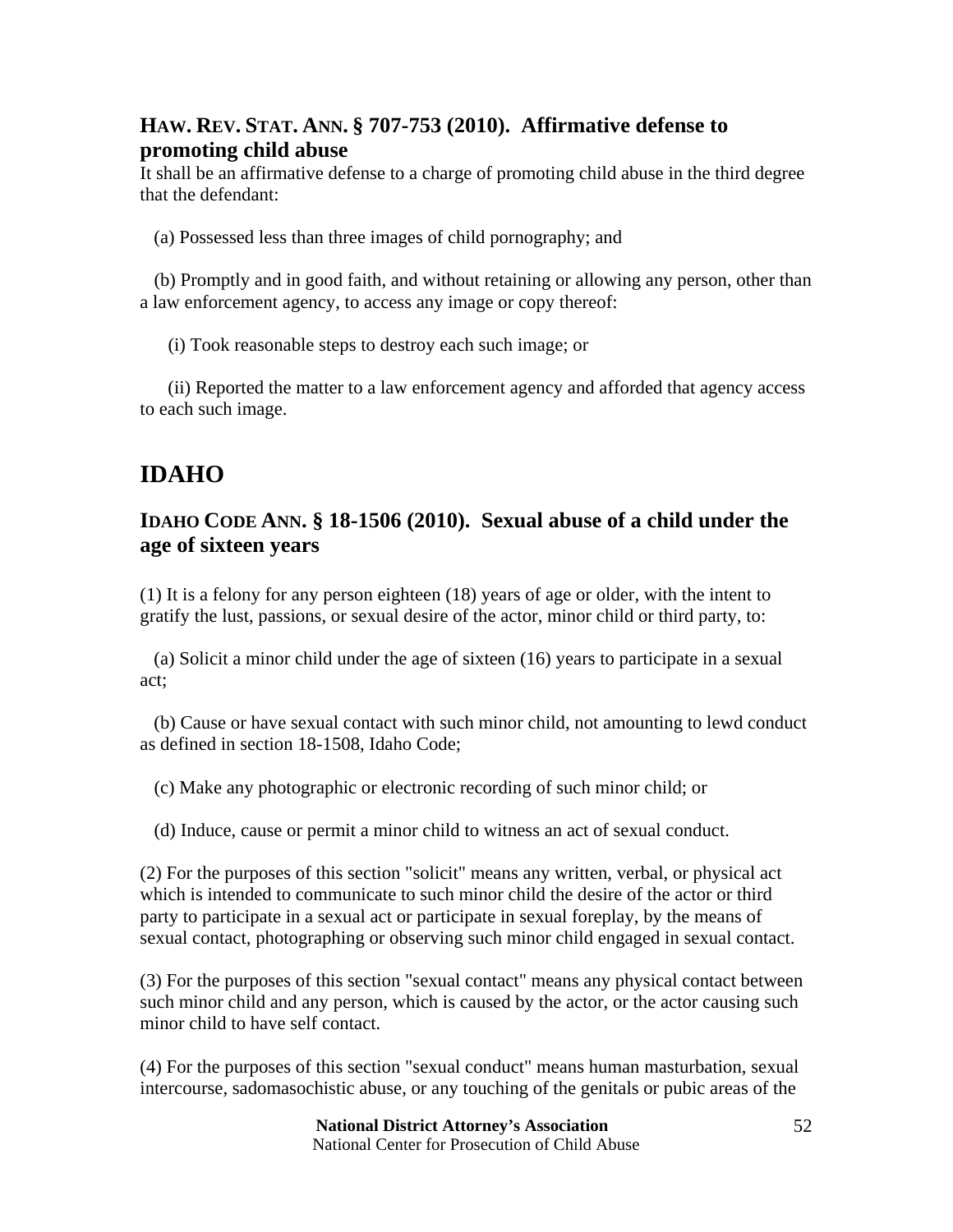#### **HAW. REV. STAT. ANN. § 707-753 (2010). Affirmative defense to promoting child abuse**

It shall be an affirmative defense to a charge of promoting child abuse in the third degree that the defendant:

(a) Possessed less than three images of child pornography; and

 (b) Promptly and in good faith, and without retaining or allowing any person, other than a law enforcement agency, to access any image or copy thereof:

(i) Took reasonable steps to destroy each such image; or

 (ii) Reported the matter to a law enforcement agency and afforded that agency access to each such image.

# **IDAHO**

#### **IDAHO CODE ANN. § 18-1506 (2010). Sexual abuse of a child under the age of sixteen years**

(1) It is a felony for any person eighteen (18) years of age or older, with the intent to gratify the lust, passions, or sexual desire of the actor, minor child or third party, to:

 (a) Solicit a minor child under the age of sixteen (16) years to participate in a sexual act;

 (b) Cause or have sexual contact with such minor child, not amounting to lewd conduct as defined in section 18-1508, Idaho Code;

(c) Make any photographic or electronic recording of such minor child; or

(d) Induce, cause or permit a minor child to witness an act of sexual conduct.

(2) For the purposes of this section "solicit" means any written, verbal, or physical act which is intended to communicate to such minor child the desire of the actor or third party to participate in a sexual act or participate in sexual foreplay, by the means of sexual contact, photographing or observing such minor child engaged in sexual contact.

(3) For the purposes of this section "sexual contact" means any physical contact between such minor child and any person, which is caused by the actor, or the actor causing such minor child to have self contact.

(4) For the purposes of this section "sexual conduct" means human masturbation, sexual intercourse, sadomasochistic abuse, or any touching of the genitals or pubic areas of the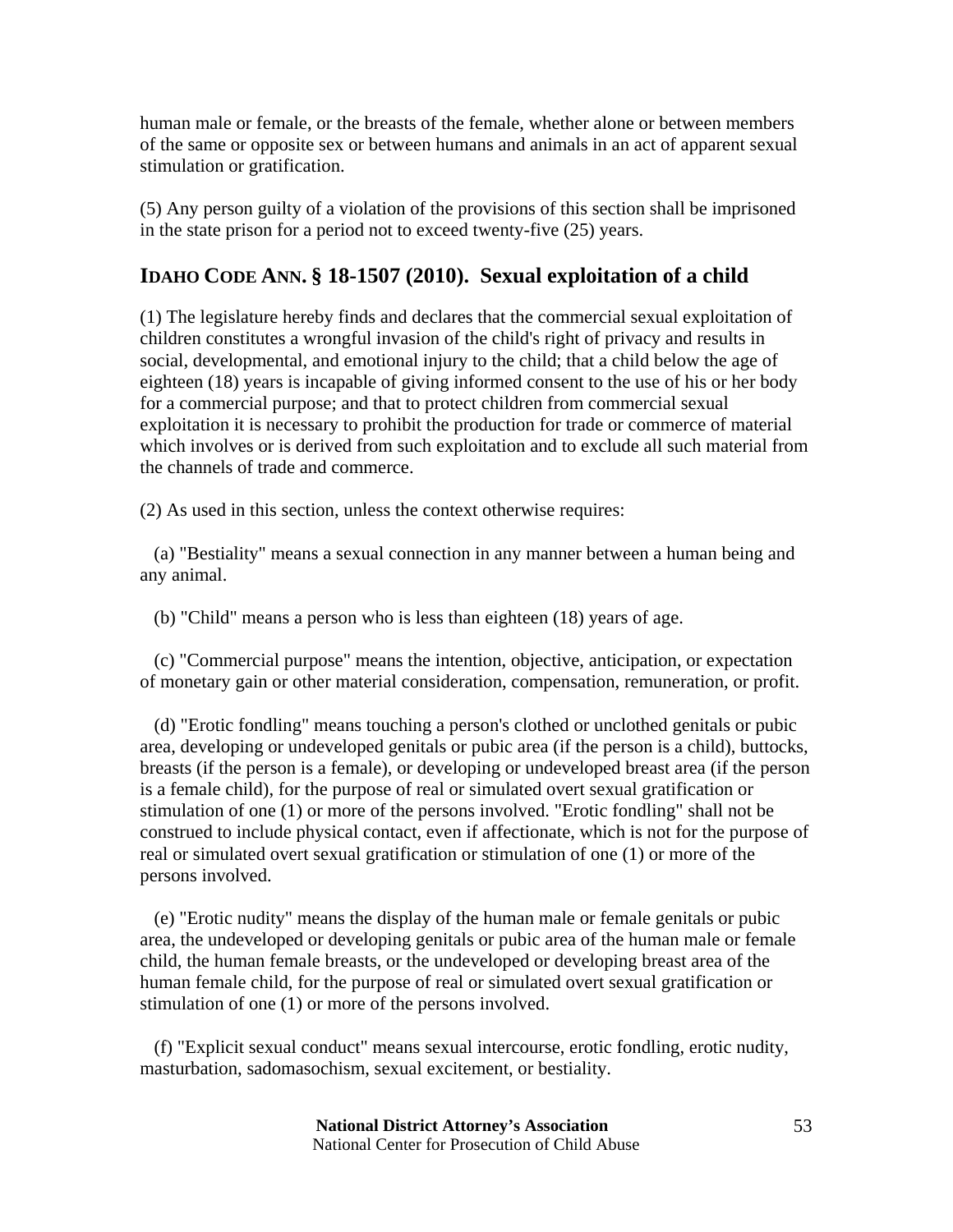human male or female, or the breasts of the female, whether alone or between members of the same or opposite sex or between humans and animals in an act of apparent sexual stimulation or gratification.

(5) Any person guilty of a violation of the provisions of this section shall be imprisoned in the state prison for a period not to exceed twenty-five (25) years.

#### **IDAHO CODE ANN. § 18-1507 (2010). Sexual exploitation of a child**

(1) The legislature hereby finds and declares that the commercial sexual exploitation of children constitutes a wrongful invasion of the child's right of privacy and results in social, developmental, and emotional injury to the child; that a child below the age of eighteen (18) years is incapable of giving informed consent to the use of his or her body for a commercial purpose; and that to protect children from commercial sexual exploitation it is necessary to prohibit the production for trade or commerce of material which involves or is derived from such exploitation and to exclude all such material from the channels of trade and commerce.

(2) As used in this section, unless the context otherwise requires:

 (a) "Bestiality" means a sexual connection in any manner between a human being and any animal.

(b) "Child" means a person who is less than eighteen (18) years of age.

 (c) "Commercial purpose" means the intention, objective, anticipation, or expectation of monetary gain or other material consideration, compensation, remuneration, or profit.

 (d) "Erotic fondling" means touching a person's clothed or unclothed genitals or pubic area, developing or undeveloped genitals or pubic area (if the person is a child), buttocks, breasts (if the person is a female), or developing or undeveloped breast area (if the person is a female child), for the purpose of real or simulated overt sexual gratification or stimulation of one (1) or more of the persons involved. "Erotic fondling" shall not be construed to include physical contact, even if affectionate, which is not for the purpose of real or simulated overt sexual gratification or stimulation of one (1) or more of the persons involved.

 (e) "Erotic nudity" means the display of the human male or female genitals or pubic area, the undeveloped or developing genitals or pubic area of the human male or female child, the human female breasts, or the undeveloped or developing breast area of the human female child, for the purpose of real or simulated overt sexual gratification or stimulation of one (1) or more of the persons involved.

 (f) "Explicit sexual conduct" means sexual intercourse, erotic fondling, erotic nudity, masturbation, sadomasochism, sexual excitement, or bestiality.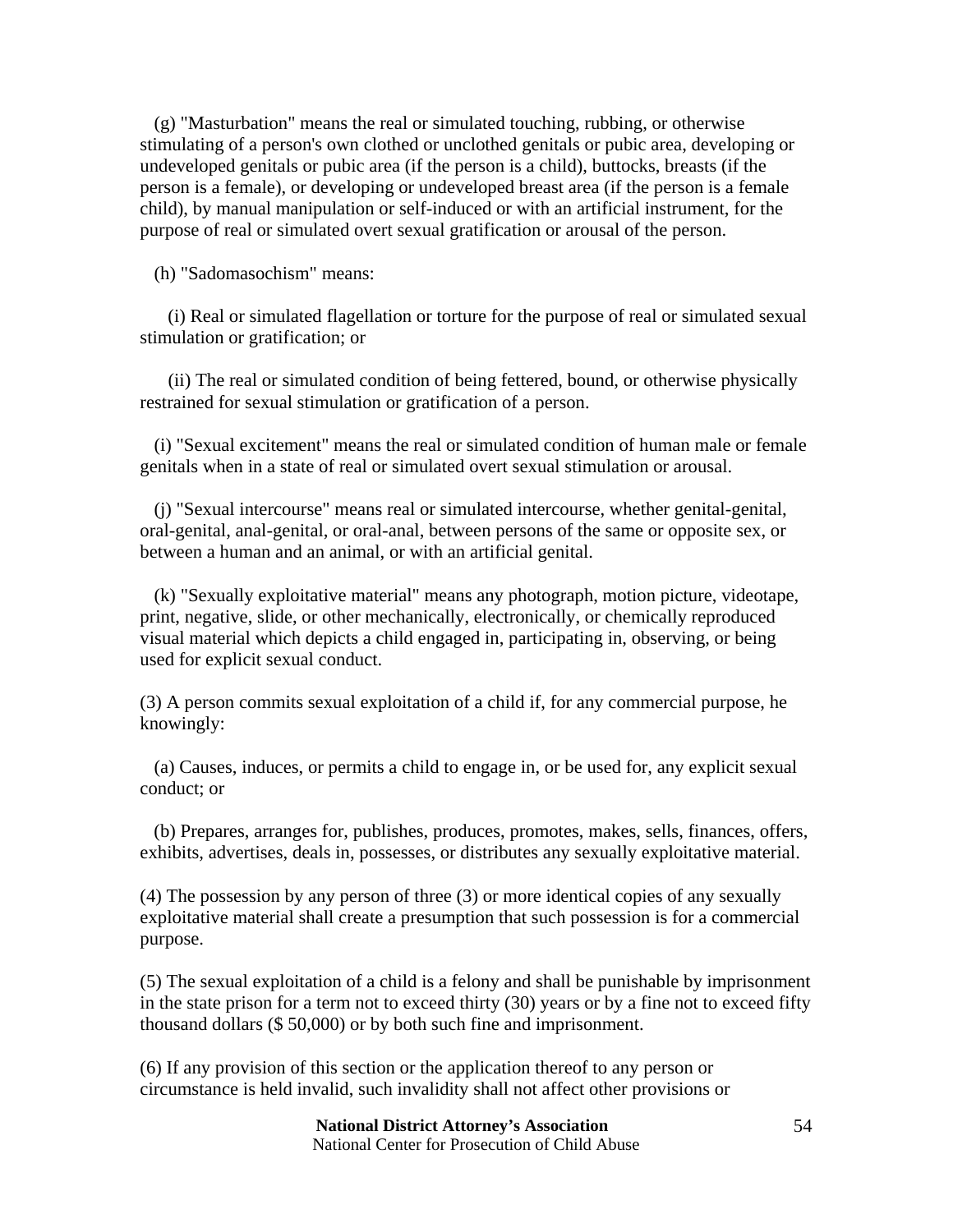(g) "Masturbation" means the real or simulated touching, rubbing, or otherwise stimulating of a person's own clothed or unclothed genitals or pubic area, developing or undeveloped genitals or pubic area (if the person is a child), buttocks, breasts (if the person is a female), or developing or undeveloped breast area (if the person is a female child), by manual manipulation or self-induced or with an artificial instrument, for the purpose of real or simulated overt sexual gratification or arousal of the person.

(h) "Sadomasochism" means:

 (i) Real or simulated flagellation or torture for the purpose of real or simulated sexual stimulation or gratification; or

 (ii) The real or simulated condition of being fettered, bound, or otherwise physically restrained for sexual stimulation or gratification of a person.

 (i) "Sexual excitement" means the real or simulated condition of human male or female genitals when in a state of real or simulated overt sexual stimulation or arousal.

 (j) "Sexual intercourse" means real or simulated intercourse, whether genital-genital, oral-genital, anal-genital, or oral-anal, between persons of the same or opposite sex, or between a human and an animal, or with an artificial genital.

 (k) "Sexually exploitative material" means any photograph, motion picture, videotape, print, negative, slide, or other mechanically, electronically, or chemically reproduced visual material which depicts a child engaged in, participating in, observing, or being used for explicit sexual conduct.

(3) A person commits sexual exploitation of a child if, for any commercial purpose, he knowingly:

 (a) Causes, induces, or permits a child to engage in, or be used for, any explicit sexual conduct; or

 (b) Prepares, arranges for, publishes, produces, promotes, makes, sells, finances, offers, exhibits, advertises, deals in, possesses, or distributes any sexually exploitative material.

(4) The possession by any person of three (3) or more identical copies of any sexually exploitative material shall create a presumption that such possession is for a commercial purpose.

(5) The sexual exploitation of a child is a felony and shall be punishable by imprisonment in the state prison for a term not to exceed thirty (30) years or by a fine not to exceed fifty thousand dollars (\$ 50,000) or by both such fine and imprisonment.

(6) If any provision of this section or the application thereof to any person or circumstance is held invalid, such invalidity shall not affect other provisions or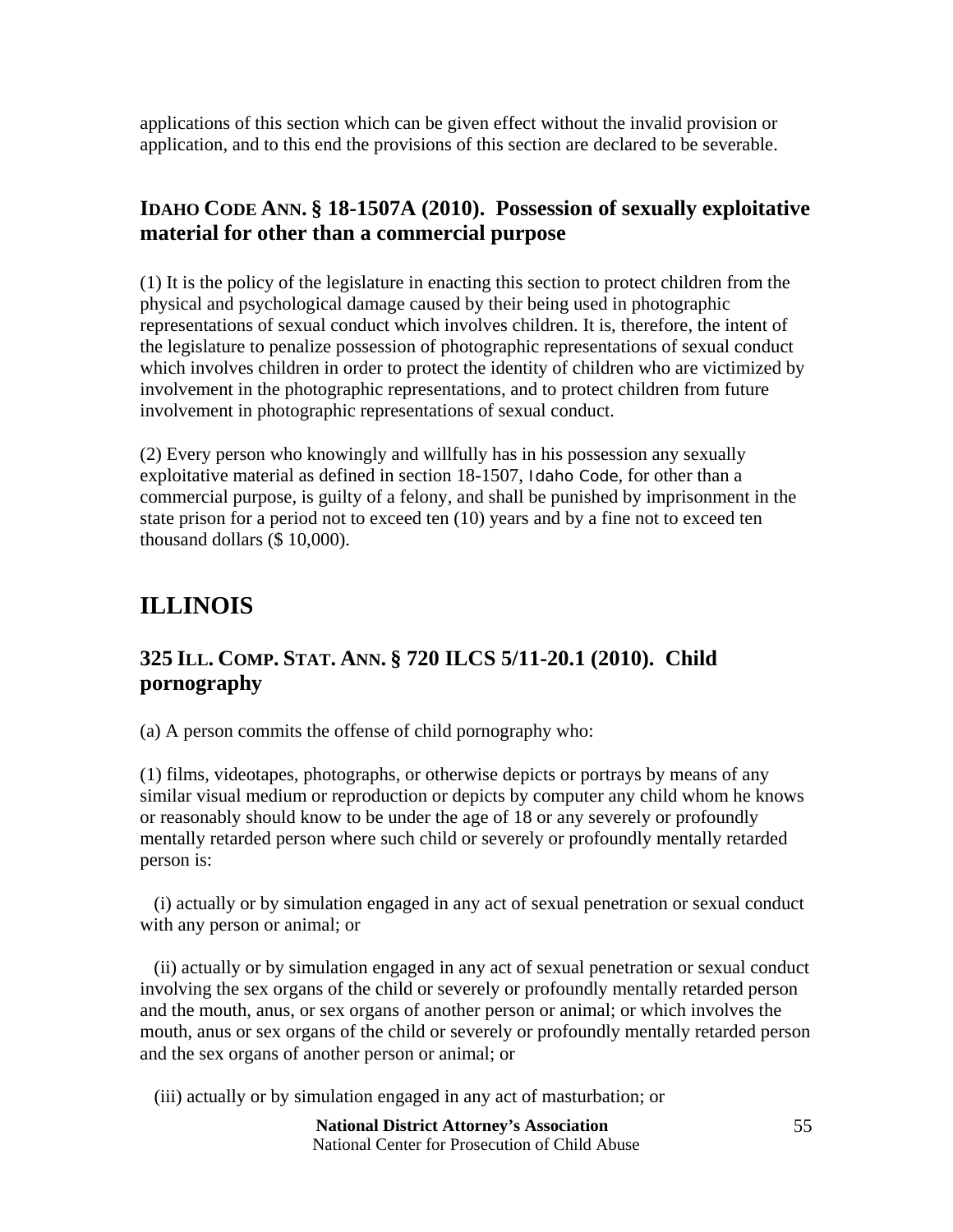applications of this section which can be given effect without the invalid provision or application, and to this end the provisions of this section are declared to be severable.

#### **IDAHO CODE ANN. § 18-1507A (2010). Possession of sexually exploitative material for other than a commercial purpose**

(1) It is the policy of the legislature in enacting this section to protect children from the physical and psychological damage caused by their being used in photographic representations of sexual conduct which involves children. It is, therefore, the intent of the legislature to penalize possession of photographic representations of sexual conduct which involves children in order to protect the identity of children who are victimized by involvement in the photographic representations, and to protect children from future involvement in photographic representations of sexual conduct.

(2) Every person who knowingly and willfully has in his possession any sexually exploitative material as defined in section 18-1507, Idaho Code, for other than a commercial purpose, is guilty of a felony, and shall be punished by imprisonment in the state prison for a period not to exceed ten (10) years and by a fine not to exceed ten thousand dollars (\$ 10,000).

# **ILLINOIS**

### **325 ILL. COMP. STAT. ANN. § 720 ILCS 5/11-20.1 (2010). Child pornography**

(a) A person commits the offense of child pornography who:

(1) films, videotapes, photographs, or otherwise depicts or portrays by means of any similar visual medium or reproduction or depicts by computer any child whom he knows or reasonably should know to be under the age of 18 or any severely or profoundly mentally retarded person where such child or severely or profoundly mentally retarded person is:

 (i) actually or by simulation engaged in any act of sexual penetration or sexual conduct with any person or animal; or

 (ii) actually or by simulation engaged in any act of sexual penetration or sexual conduct involving the sex organs of the child or severely or profoundly mentally retarded person and the mouth, anus, or sex organs of another person or animal; or which involves the mouth, anus or sex organs of the child or severely or profoundly mentally retarded person and the sex organs of another person or animal; or

(iii) actually or by simulation engaged in any act of masturbation; or

**National District Attorney's Association**  National Center for Prosecution of Child Abuse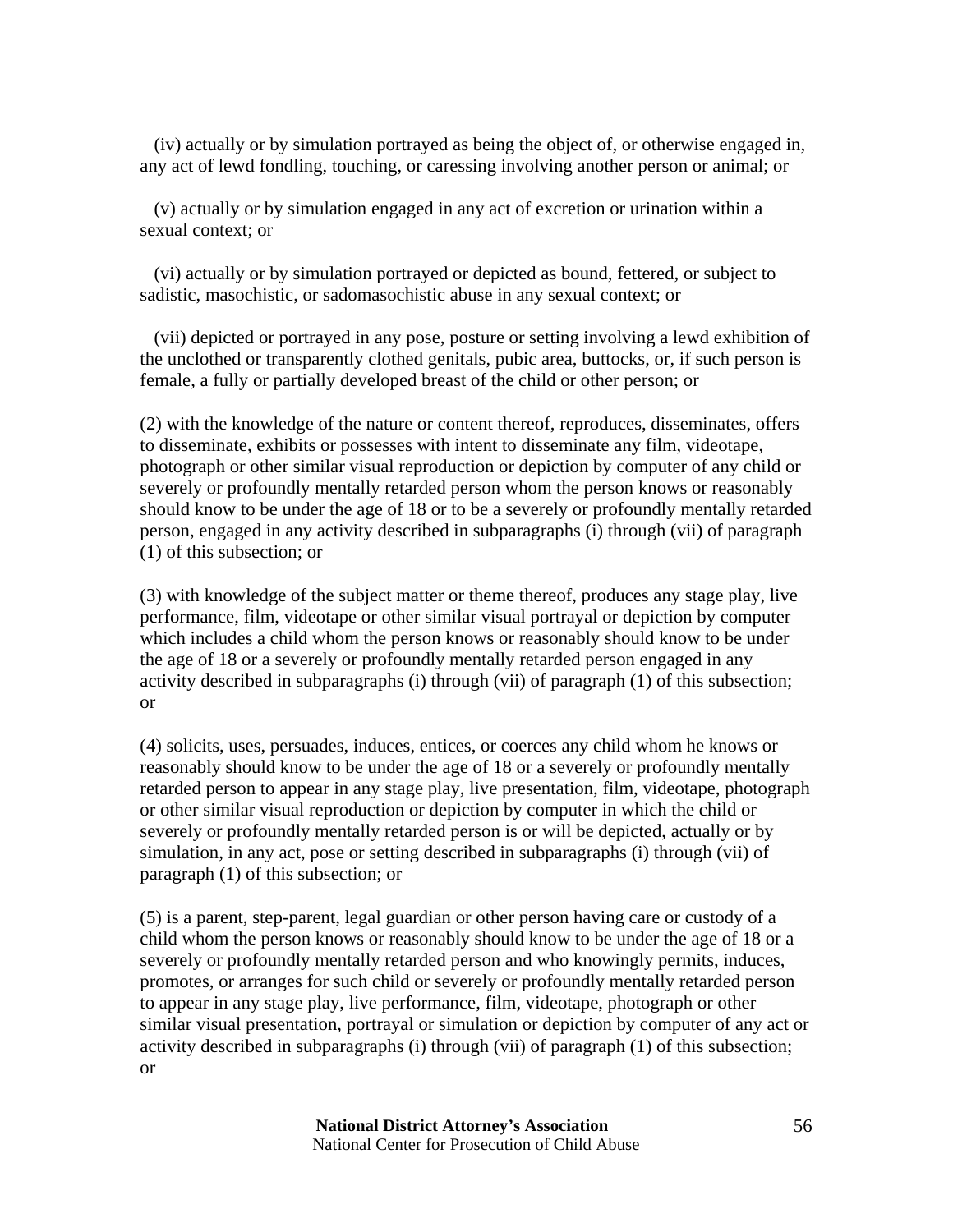(iv) actually or by simulation portrayed as being the object of, or otherwise engaged in, any act of lewd fondling, touching, or caressing involving another person or animal; or

 (v) actually or by simulation engaged in any act of excretion or urination within a sexual context; or

 (vi) actually or by simulation portrayed or depicted as bound, fettered, or subject to sadistic, masochistic, or sadomasochistic abuse in any sexual context; or

 (vii) depicted or portrayed in any pose, posture or setting involving a lewd exhibition of the unclothed or transparently clothed genitals, pubic area, buttocks, or, if such person is female, a fully or partially developed breast of the child or other person; or

(2) with the knowledge of the nature or content thereof, reproduces, disseminates, offers to disseminate, exhibits or possesses with intent to disseminate any film, videotape, photograph or other similar visual reproduction or depiction by computer of any child or severely or profoundly mentally retarded person whom the person knows or reasonably should know to be under the age of 18 or to be a severely or profoundly mentally retarded person, engaged in any activity described in subparagraphs (i) through (vii) of paragraph (1) of this subsection; or

(3) with knowledge of the subject matter or theme thereof, produces any stage play, live performance, film, videotape or other similar visual portrayal or depiction by computer which includes a child whom the person knows or reasonably should know to be under the age of 18 or a severely or profoundly mentally retarded person engaged in any activity described in subparagraphs (i) through (vii) of paragraph (1) of this subsection; or

(4) solicits, uses, persuades, induces, entices, or coerces any child whom he knows or reasonably should know to be under the age of 18 or a severely or profoundly mentally retarded person to appear in any stage play, live presentation, film, videotape, photograph or other similar visual reproduction or depiction by computer in which the child or severely or profoundly mentally retarded person is or will be depicted, actually or by simulation, in any act, pose or setting described in subparagraphs (i) through (vii) of paragraph (1) of this subsection; or

(5) is a parent, step-parent, legal guardian or other person having care or custody of a child whom the person knows or reasonably should know to be under the age of 18 or a severely or profoundly mentally retarded person and who knowingly permits, induces, promotes, or arranges for such child or severely or profoundly mentally retarded person to appear in any stage play, live performance, film, videotape, photograph or other similar visual presentation, portrayal or simulation or depiction by computer of any act or activity described in subparagraphs (i) through (vii) of paragraph (1) of this subsection; or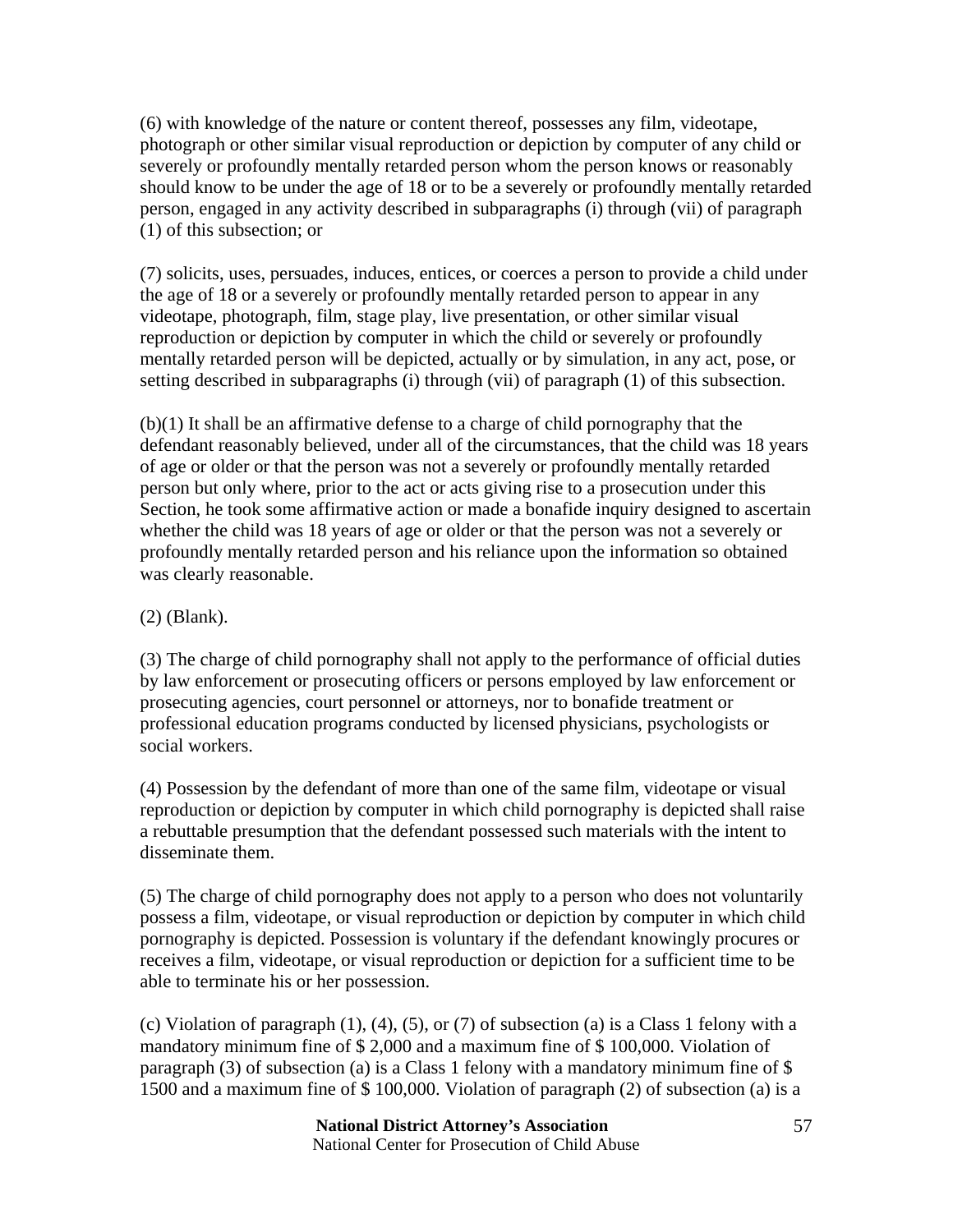(6) with knowledge of the nature or content thereof, possesses any film, videotape, photograph or other similar visual reproduction or depiction by computer of any child or severely or profoundly mentally retarded person whom the person knows or reasonably should know to be under the age of 18 or to be a severely or profoundly mentally retarded person, engaged in any activity described in subparagraphs (i) through (vii) of paragraph (1) of this subsection; or

(7) solicits, uses, persuades, induces, entices, or coerces a person to provide a child under the age of 18 or a severely or profoundly mentally retarded person to appear in any videotape, photograph, film, stage play, live presentation, or other similar visual reproduction or depiction by computer in which the child or severely or profoundly mentally retarded person will be depicted, actually or by simulation, in any act, pose, or setting described in subparagraphs (i) through (vii) of paragraph (1) of this subsection.

(b)(1) It shall be an affirmative defense to a charge of child pornography that the defendant reasonably believed, under all of the circumstances, that the child was 18 years of age or older or that the person was not a severely or profoundly mentally retarded person but only where, prior to the act or acts giving rise to a prosecution under this Section, he took some affirmative action or made a bonafide inquiry designed to ascertain whether the child was 18 years of age or older or that the person was not a severely or profoundly mentally retarded person and his reliance upon the information so obtained was clearly reasonable.

(2) (Blank).

(3) The charge of child pornography shall not apply to the performance of official duties by law enforcement or prosecuting officers or persons employed by law enforcement or prosecuting agencies, court personnel or attorneys, nor to bonafide treatment or professional education programs conducted by licensed physicians, psychologists or social workers.

(4) Possession by the defendant of more than one of the same film, videotape or visual reproduction or depiction by computer in which child pornography is depicted shall raise a rebuttable presumption that the defendant possessed such materials with the intent to disseminate them.

(5) The charge of child pornography does not apply to a person who does not voluntarily possess a film, videotape, or visual reproduction or depiction by computer in which child pornography is depicted. Possession is voluntary if the defendant knowingly procures or receives a film, videotape, or visual reproduction or depiction for a sufficient time to be able to terminate his or her possession.

(c) Violation of paragraph  $(1)$ ,  $(4)$ ,  $(5)$ , or  $(7)$  of subsection  $(a)$  is a Class 1 felony with a mandatory minimum fine of \$ 2,000 and a maximum fine of \$ 100,000. Violation of paragraph (3) of subsection (a) is a Class 1 felony with a mandatory minimum fine of  $$$ 1500 and a maximum fine of \$ 100,000. Violation of paragraph (2) of subsection (a) is a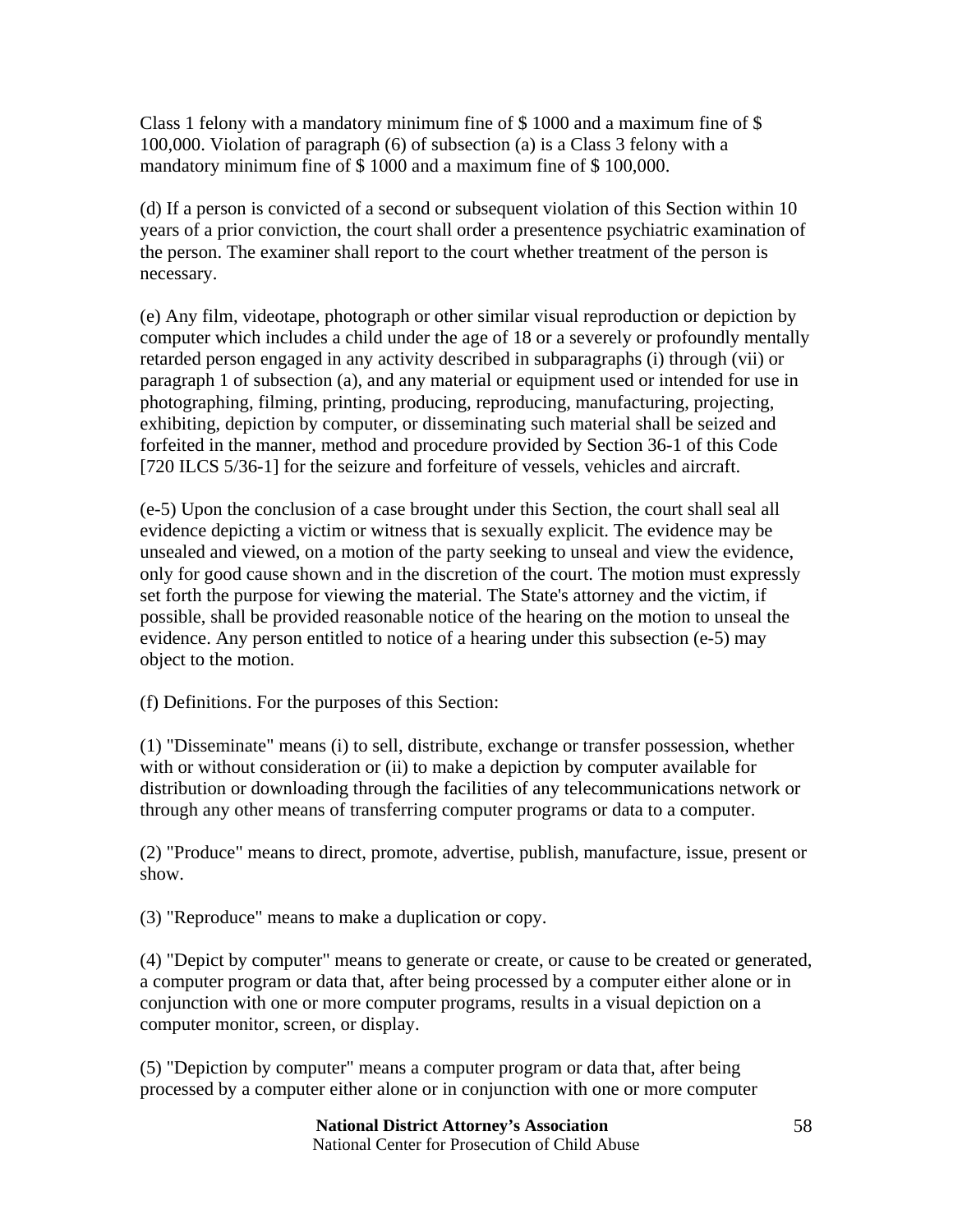Class 1 felony with a mandatory minimum fine of \$ 1000 and a maximum fine of \$ 100,000. Violation of paragraph (6) of subsection (a) is a Class 3 felony with a mandatory minimum fine of \$ 1000 and a maximum fine of \$ 100,000.

(d) If a person is convicted of a second or subsequent violation of this Section within 10 years of a prior conviction, the court shall order a presentence psychiatric examination of the person. The examiner shall report to the court whether treatment of the person is necessary.

(e) Any film, videotape, photograph or other similar visual reproduction or depiction by computer which includes a child under the age of 18 or a severely or profoundly mentally retarded person engaged in any activity described in subparagraphs (i) through (vii) or paragraph 1 of subsection (a), and any material or equipment used or intended for use in photographing, filming, printing, producing, reproducing, manufacturing, projecting, exhibiting, depiction by computer, or disseminating such material shall be seized and forfeited in the manner, method and procedure provided by Section 36-1 of this Code [720 ILCS 5/36-1] for the seizure and forfeiture of vessels, vehicles and aircraft.

(e-5) Upon the conclusion of a case brought under this Section, the court shall seal all evidence depicting a victim or witness that is sexually explicit. The evidence may be unsealed and viewed, on a motion of the party seeking to unseal and view the evidence, only for good cause shown and in the discretion of the court. The motion must expressly set forth the purpose for viewing the material. The State's attorney and the victim, if possible, shall be provided reasonable notice of the hearing on the motion to unseal the evidence. Any person entitled to notice of a hearing under this subsection (e-5) may object to the motion.

(f) Definitions. For the purposes of this Section:

(1) "Disseminate" means (i) to sell, distribute, exchange or transfer possession, whether with or without consideration or (ii) to make a depiction by computer available for distribution or downloading through the facilities of any telecommunications network or through any other means of transferring computer programs or data to a computer.

(2) "Produce" means to direct, promote, advertise, publish, manufacture, issue, present or show.

(3) "Reproduce" means to make a duplication or copy.

(4) "Depict by computer" means to generate or create, or cause to be created or generated, a computer program or data that, after being processed by a computer either alone or in conjunction with one or more computer programs, results in a visual depiction on a computer monitor, screen, or display.

(5) "Depiction by computer" means a computer program or data that, after being processed by a computer either alone or in conjunction with one or more computer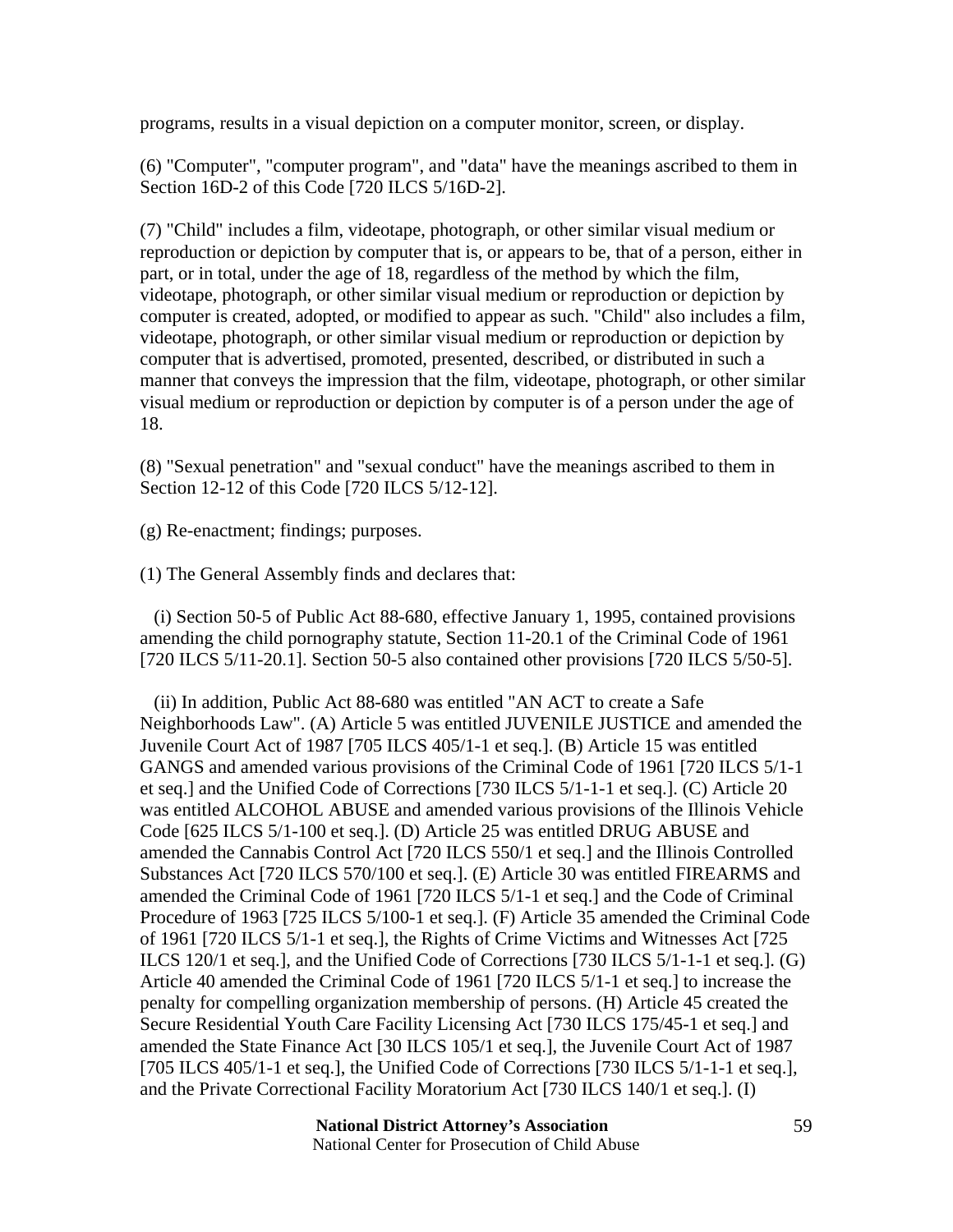programs, results in a visual depiction on a computer monitor, screen, or display.

(6) "Computer", "computer program", and "data" have the meanings ascribed to them in Section 16D-2 of this Code [720 ILCS 5/16D-2].

(7) "Child" includes a film, videotape, photograph, or other similar visual medium or reproduction or depiction by computer that is, or appears to be, that of a person, either in part, or in total, under the age of 18, regardless of the method by which the film, videotape, photograph, or other similar visual medium or reproduction or depiction by computer is created, adopted, or modified to appear as such. "Child" also includes a film, videotape, photograph, or other similar visual medium or reproduction or depiction by computer that is advertised, promoted, presented, described, or distributed in such a manner that conveys the impression that the film, videotape, photograph, or other similar visual medium or reproduction or depiction by computer is of a person under the age of 18.

(8) "Sexual penetration" and "sexual conduct" have the meanings ascribed to them in Section 12-12 of this Code [720 ILCS 5/12-12].

(g) Re-enactment; findings; purposes.

(1) The General Assembly finds and declares that:

 (i) Section 50-5 of Public Act 88-680, effective January 1, 1995, contained provisions amending the child pornography statute, Section 11-20.1 of the Criminal Code of 1961 [720 ILCS 5/11-20.1]. Section 50-5 also contained other provisions [720 ILCS 5/50-5].

 (ii) In addition, Public Act 88-680 was entitled "AN ACT to create a Safe Neighborhoods Law". (A) Article 5 was entitled JUVENILE JUSTICE and amended the Juvenile Court Act of 1987 [705 ILCS 405/1-1 et seq.]. (B) Article 15 was entitled GANGS and amended various provisions of the Criminal Code of 1961 [720 ILCS 5/1-1 et seq.] and the Unified Code of Corrections [730 ILCS 5/1-1-1 et seq.]. (C) Article 20 was entitled ALCOHOL ABUSE and amended various provisions of the Illinois Vehicle Code [625 ILCS 5/1-100 et seq.]. (D) Article 25 was entitled DRUG ABUSE and amended the Cannabis Control Act [720 ILCS 550/1 et seq.] and the Illinois Controlled Substances Act [720 ILCS 570/100 et seq.]. (E) Article 30 was entitled FIREARMS and amended the Criminal Code of 1961 [720 ILCS 5/1-1 et seq.] and the Code of Criminal Procedure of 1963 [725 ILCS 5/100-1 et seq.]. (F) Article 35 amended the Criminal Code of 1961 [720 ILCS 5/1-1 et seq.], the Rights of Crime Victims and Witnesses Act [725 ILCS 120/1 et seq.], and the Unified Code of Corrections [730 ILCS 5/1-1-1 et seq.]. (G) Article 40 amended the Criminal Code of 1961 [720 ILCS 5/1-1 et seq.] to increase the penalty for compelling organization membership of persons. (H) Article 45 created the Secure Residential Youth Care Facility Licensing Act [730 ILCS 175/45-1 et seq.] and amended the State Finance Act [30 ILCS 105/1 et seq.], the Juvenile Court Act of 1987 [705 ILCS 405/1-1 et seq.], the Unified Code of Corrections [730 ILCS 5/1-1-1 et seq.], and the Private Correctional Facility Moratorium Act [730 ILCS 140/1 et seq.]. (I)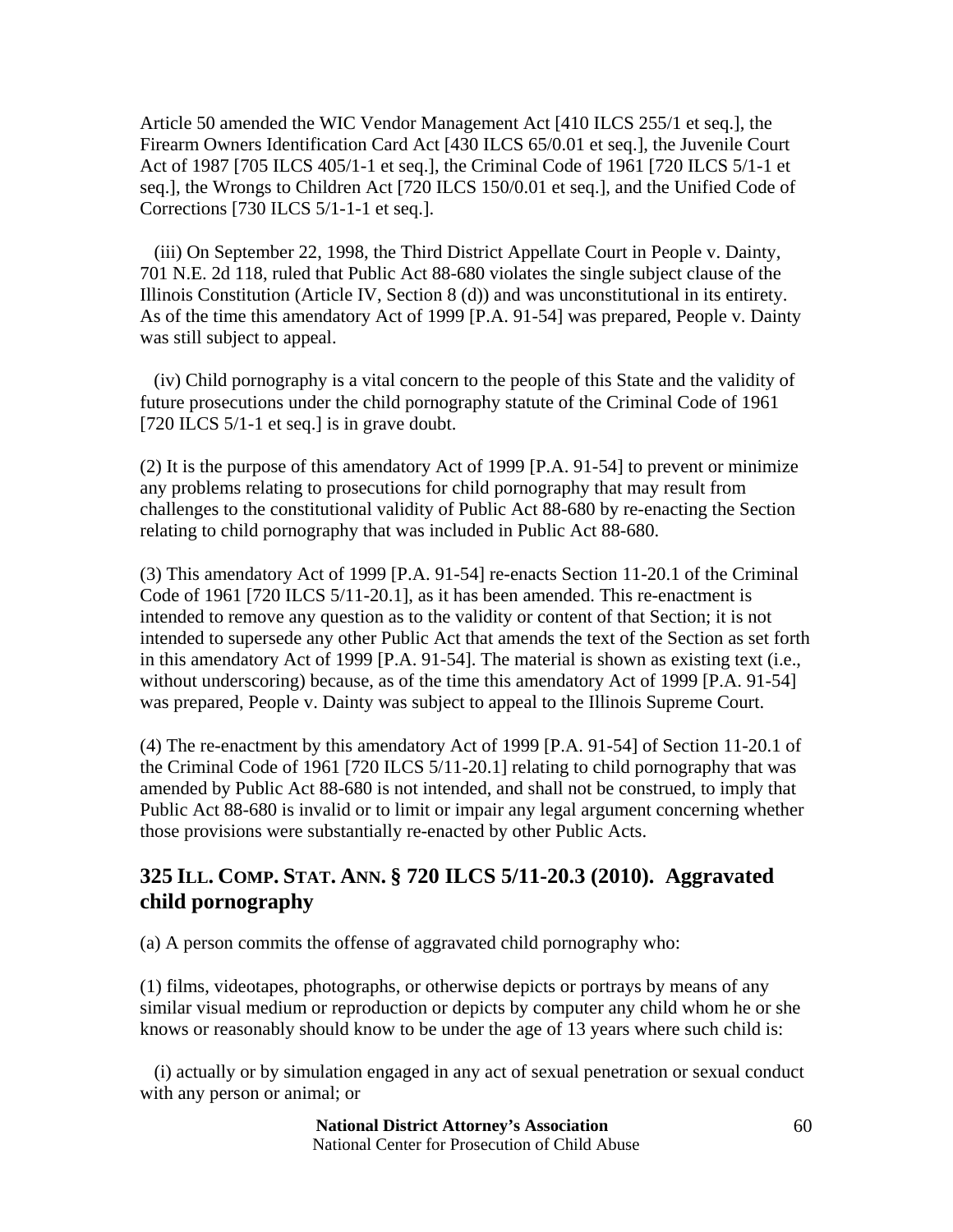Article 50 amended the WIC Vendor Management Act [410 ILCS 255/1 et seq.], the Firearm Owners Identification Card Act [430 ILCS 65/0.01 et seq.], the Juvenile Court Act of 1987 [705 ILCS 405/1-1 et seq.], the Criminal Code of 1961 [720 ILCS 5/1-1 et seq.], the Wrongs to Children Act [720 ILCS 150/0.01 et seq.], and the Unified Code of Corrections [730 ILCS 5/1-1-1 et seq.].

 (iii) On September 22, 1998, the Third District Appellate Court in People v. Dainty, 701 N.E. 2d 118, ruled that Public Act 88-680 violates the single subject clause of the Illinois Constitution (Article IV, Section 8 (d)) and was unconstitutional in its entirety. As of the time this amendatory Act of 1999 [P.A. 91-54] was prepared, People v. Dainty was still subject to appeal.

 (iv) Child pornography is a vital concern to the people of this State and the validity of future prosecutions under the child pornography statute of the Criminal Code of 1961 [720 ILCS 5/1-1 et seq.] is in grave doubt.

(2) It is the purpose of this amendatory Act of 1999 [P.A. 91-54] to prevent or minimize any problems relating to prosecutions for child pornography that may result from challenges to the constitutional validity of Public Act 88-680 by re-enacting the Section relating to child pornography that was included in Public Act 88-680.

(3) This amendatory Act of 1999 [P.A. 91-54] re-enacts Section 11-20.1 of the Criminal Code of 1961 [720 ILCS 5/11-20.1], as it has been amended. This re-enactment is intended to remove any question as to the validity or content of that Section; it is not intended to supersede any other Public Act that amends the text of the Section as set forth in this amendatory Act of 1999 [P.A. 91-54]. The material is shown as existing text (i.e., without underscoring) because, as of the time this amendatory Act of 1999 [P.A. 91-54] was prepared, People v. Dainty was subject to appeal to the Illinois Supreme Court.

(4) The re-enactment by this amendatory Act of 1999 [P.A. 91-54] of Section 11-20.1 of the Criminal Code of 1961 [720 ILCS 5/11-20.1] relating to child pornography that was amended by Public Act 88-680 is not intended, and shall not be construed, to imply that Public Act 88-680 is invalid or to limit or impair any legal argument concerning whether those provisions were substantially re-enacted by other Public Acts.

#### **325 ILL. COMP. STAT. ANN. § 720 ILCS 5/11-20.3 (2010). Aggravated child pornography**

(a) A person commits the offense of aggravated child pornography who:

(1) films, videotapes, photographs, or otherwise depicts or portrays by means of any similar visual medium or reproduction or depicts by computer any child whom he or she knows or reasonably should know to be under the age of 13 years where such child is:

 (i) actually or by simulation engaged in any act of sexual penetration or sexual conduct with any person or animal; or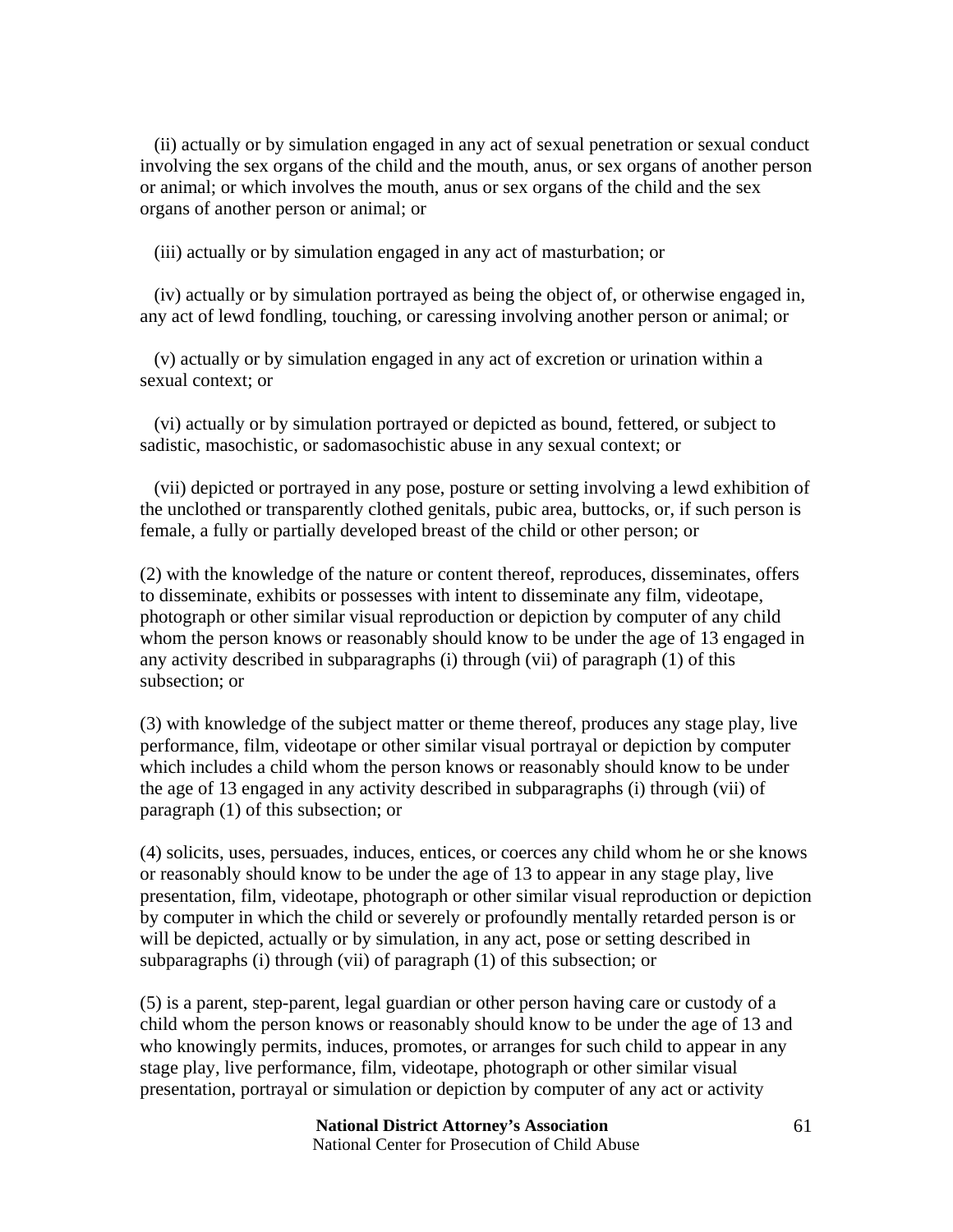(ii) actually or by simulation engaged in any act of sexual penetration or sexual conduct involving the sex organs of the child and the mouth, anus, or sex organs of another person or animal; or which involves the mouth, anus or sex organs of the child and the sex organs of another person or animal; or

(iii) actually or by simulation engaged in any act of masturbation; or

 (iv) actually or by simulation portrayed as being the object of, or otherwise engaged in, any act of lewd fondling, touching, or caressing involving another person or animal; or

 (v) actually or by simulation engaged in any act of excretion or urination within a sexual context; or

 (vi) actually or by simulation portrayed or depicted as bound, fettered, or subject to sadistic, masochistic, or sadomasochistic abuse in any sexual context; or

 (vii) depicted or portrayed in any pose, posture or setting involving a lewd exhibition of the unclothed or transparently clothed genitals, pubic area, buttocks, or, if such person is female, a fully or partially developed breast of the child or other person; or

(2) with the knowledge of the nature or content thereof, reproduces, disseminates, offers to disseminate, exhibits or possesses with intent to disseminate any film, videotape, photograph or other similar visual reproduction or depiction by computer of any child whom the person knows or reasonably should know to be under the age of 13 engaged in any activity described in subparagraphs (i) through (vii) of paragraph (1) of this subsection; or

(3) with knowledge of the subject matter or theme thereof, produces any stage play, live performance, film, videotape or other similar visual portrayal or depiction by computer which includes a child whom the person knows or reasonably should know to be under the age of 13 engaged in any activity described in subparagraphs (i) through (vii) of paragraph (1) of this subsection; or

(4) solicits, uses, persuades, induces, entices, or coerces any child whom he or she knows or reasonably should know to be under the age of 13 to appear in any stage play, live presentation, film, videotape, photograph or other similar visual reproduction or depiction by computer in which the child or severely or profoundly mentally retarded person is or will be depicted, actually or by simulation, in any act, pose or setting described in subparagraphs (i) through (vii) of paragraph (1) of this subsection; or

(5) is a parent, step-parent, legal guardian or other person having care or custody of a child whom the person knows or reasonably should know to be under the age of 13 and who knowingly permits, induces, promotes, or arranges for such child to appear in any stage play, live performance, film, videotape, photograph or other similar visual presentation, portrayal or simulation or depiction by computer of any act or activity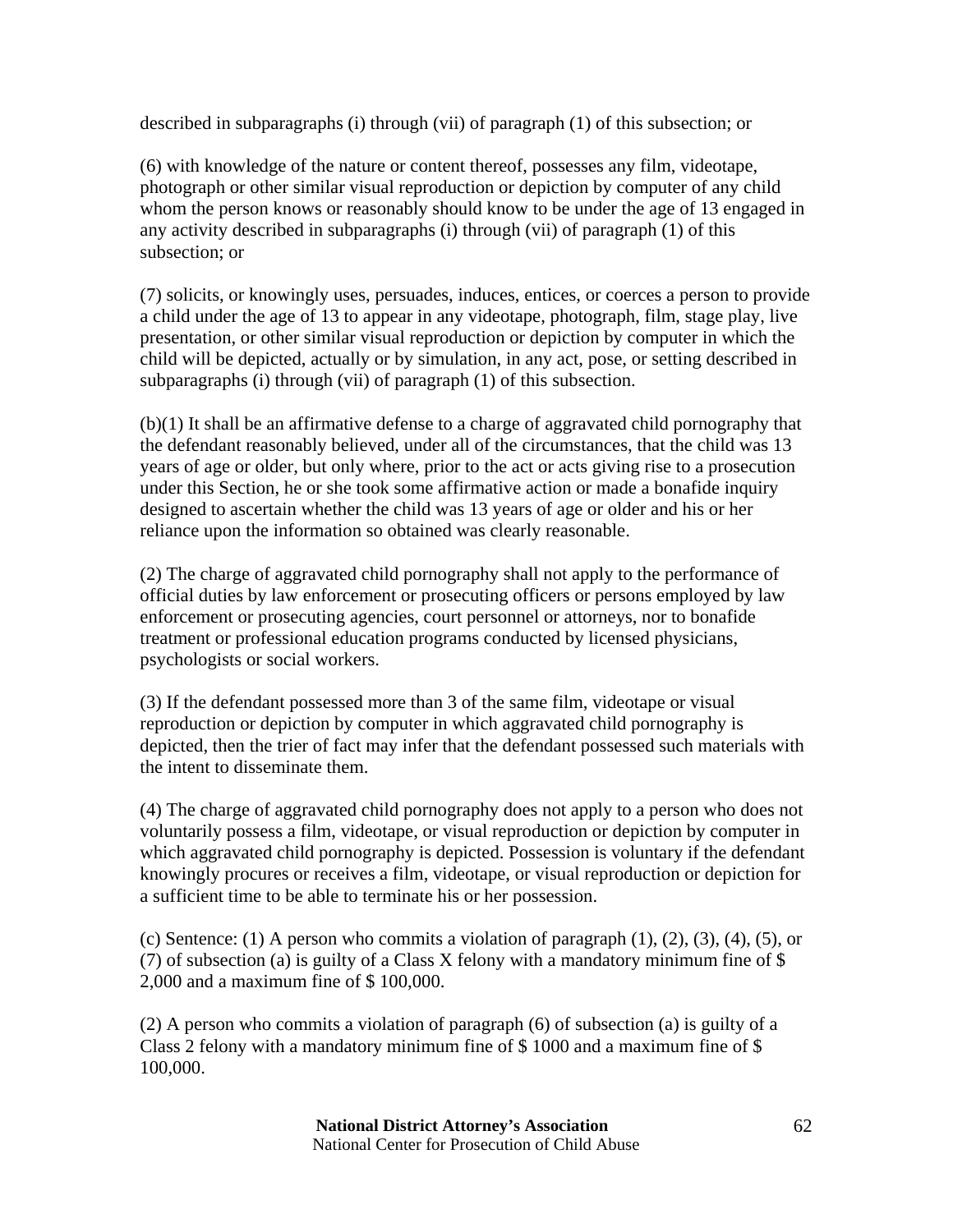described in subparagraphs (i) through (vii) of paragraph (1) of this subsection; or

(6) with knowledge of the nature or content thereof, possesses any film, videotape, photograph or other similar visual reproduction or depiction by computer of any child whom the person knows or reasonably should know to be under the age of 13 engaged in any activity described in subparagraphs (i) through (vii) of paragraph (1) of this subsection; or

(7) solicits, or knowingly uses, persuades, induces, entices, or coerces a person to provide a child under the age of 13 to appear in any videotape, photograph, film, stage play, live presentation, or other similar visual reproduction or depiction by computer in which the child will be depicted, actually or by simulation, in any act, pose, or setting described in subparagraphs (i) through (vii) of paragraph (1) of this subsection.

(b)(1) It shall be an affirmative defense to a charge of aggravated child pornography that the defendant reasonably believed, under all of the circumstances, that the child was 13 years of age or older, but only where, prior to the act or acts giving rise to a prosecution under this Section, he or she took some affirmative action or made a bonafide inquiry designed to ascertain whether the child was 13 years of age or older and his or her reliance upon the information so obtained was clearly reasonable.

(2) The charge of aggravated child pornography shall not apply to the performance of official duties by law enforcement or prosecuting officers or persons employed by law enforcement or prosecuting agencies, court personnel or attorneys, nor to bonafide treatment or professional education programs conducted by licensed physicians, psychologists or social workers.

(3) If the defendant possessed more than 3 of the same film, videotape or visual reproduction or depiction by computer in which aggravated child pornography is depicted, then the trier of fact may infer that the defendant possessed such materials with the intent to disseminate them.

(4) The charge of aggravated child pornography does not apply to a person who does not voluntarily possess a film, videotape, or visual reproduction or depiction by computer in which aggravated child pornography is depicted. Possession is voluntary if the defendant knowingly procures or receives a film, videotape, or visual reproduction or depiction for a sufficient time to be able to terminate his or her possession.

(c) Sentence: (1) A person who commits a violation of paragraph  $(1)$ ,  $(2)$ ,  $(3)$ ,  $(4)$ ,  $(5)$ , or (7) of subsection (a) is guilty of a Class X felony with a mandatory minimum fine of \$ 2,000 and a maximum fine of \$ 100,000.

(2) A person who commits a violation of paragraph (6) of subsection (a) is guilty of a Class 2 felony with a mandatory minimum fine of \$ 1000 and a maximum fine of \$ 100,000.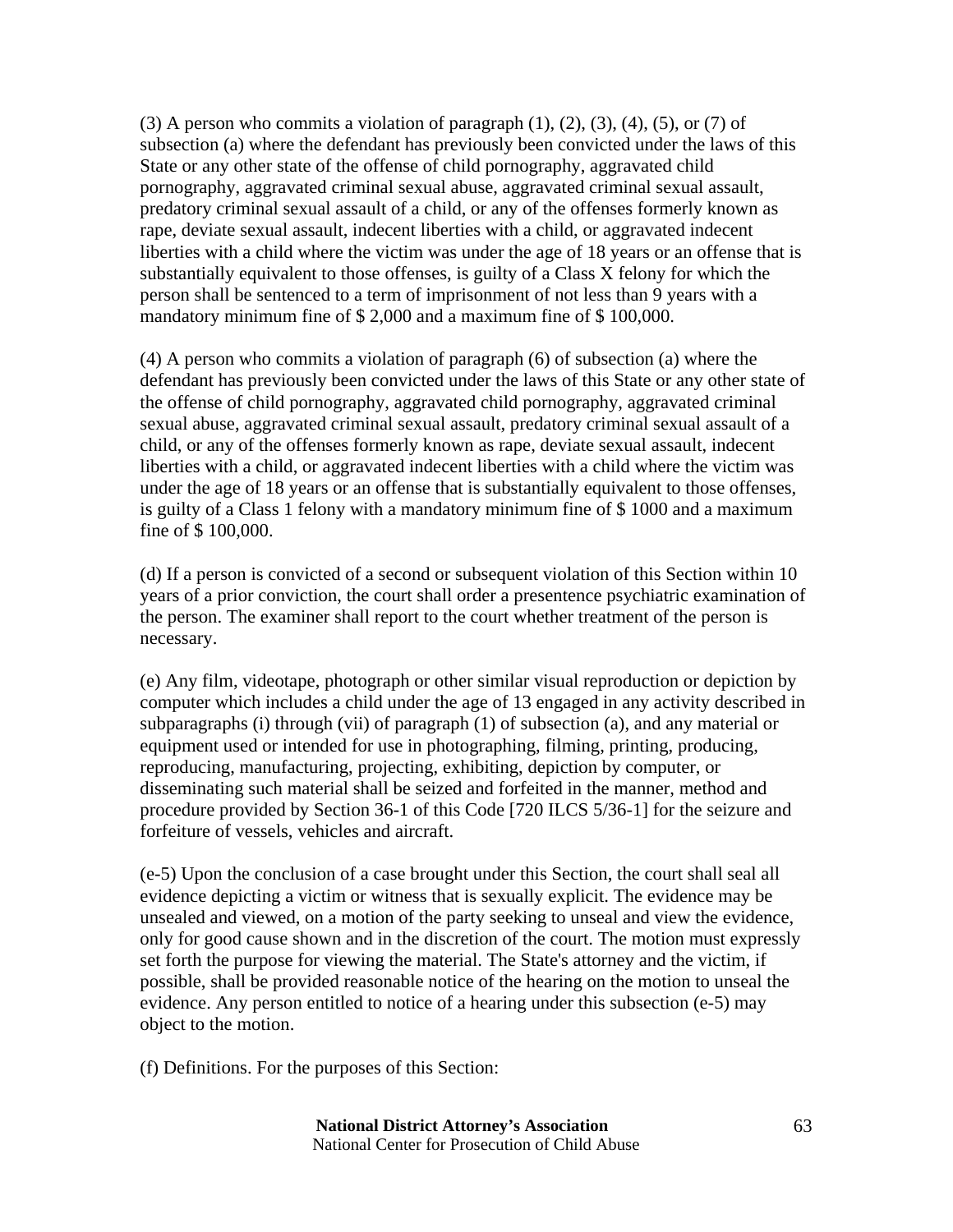$(3)$  A person who commits a violation of paragraph  $(1)$ ,  $(2)$ ,  $(3)$ ,  $(4)$ ,  $(5)$ , or  $(7)$  of subsection (a) where the defendant has previously been convicted under the laws of this State or any other state of the offense of child pornography, aggravated child pornography, aggravated criminal sexual abuse, aggravated criminal sexual assault, predatory criminal sexual assault of a child, or any of the offenses formerly known as rape, deviate sexual assault, indecent liberties with a child, or aggravated indecent liberties with a child where the victim was under the age of 18 years or an offense that is substantially equivalent to those offenses, is guilty of a Class X felony for which the person shall be sentenced to a term of imprisonment of not less than 9 years with a mandatory minimum fine of \$ 2,000 and a maximum fine of \$ 100,000.

(4) A person who commits a violation of paragraph (6) of subsection (a) where the defendant has previously been convicted under the laws of this State or any other state of the offense of child pornography, aggravated child pornography, aggravated criminal sexual abuse, aggravated criminal sexual assault, predatory criminal sexual assault of a child, or any of the offenses formerly known as rape, deviate sexual assault, indecent liberties with a child, or aggravated indecent liberties with a child where the victim was under the age of 18 years or an offense that is substantially equivalent to those offenses, is guilty of a Class 1 felony with a mandatory minimum fine of \$ 1000 and a maximum fine of \$ 100,000.

(d) If a person is convicted of a second or subsequent violation of this Section within 10 years of a prior conviction, the court shall order a presentence psychiatric examination of the person. The examiner shall report to the court whether treatment of the person is necessary.

(e) Any film, videotape, photograph or other similar visual reproduction or depiction by computer which includes a child under the age of 13 engaged in any activity described in subparagraphs (i) through (vii) of paragraph (1) of subsection (a), and any material or equipment used or intended for use in photographing, filming, printing, producing, reproducing, manufacturing, projecting, exhibiting, depiction by computer, or disseminating such material shall be seized and forfeited in the manner, method and procedure provided by Section 36-1 of this Code [720 ILCS 5/36-1] for the seizure and forfeiture of vessels, vehicles and aircraft.

(e-5) Upon the conclusion of a case brought under this Section, the court shall seal all evidence depicting a victim or witness that is sexually explicit. The evidence may be unsealed and viewed, on a motion of the party seeking to unseal and view the evidence, only for good cause shown and in the discretion of the court. The motion must expressly set forth the purpose for viewing the material. The State's attorney and the victim, if possible, shall be provided reasonable notice of the hearing on the motion to unseal the evidence. Any person entitled to notice of a hearing under this subsection (e-5) may object to the motion.

(f) Definitions. For the purposes of this Section: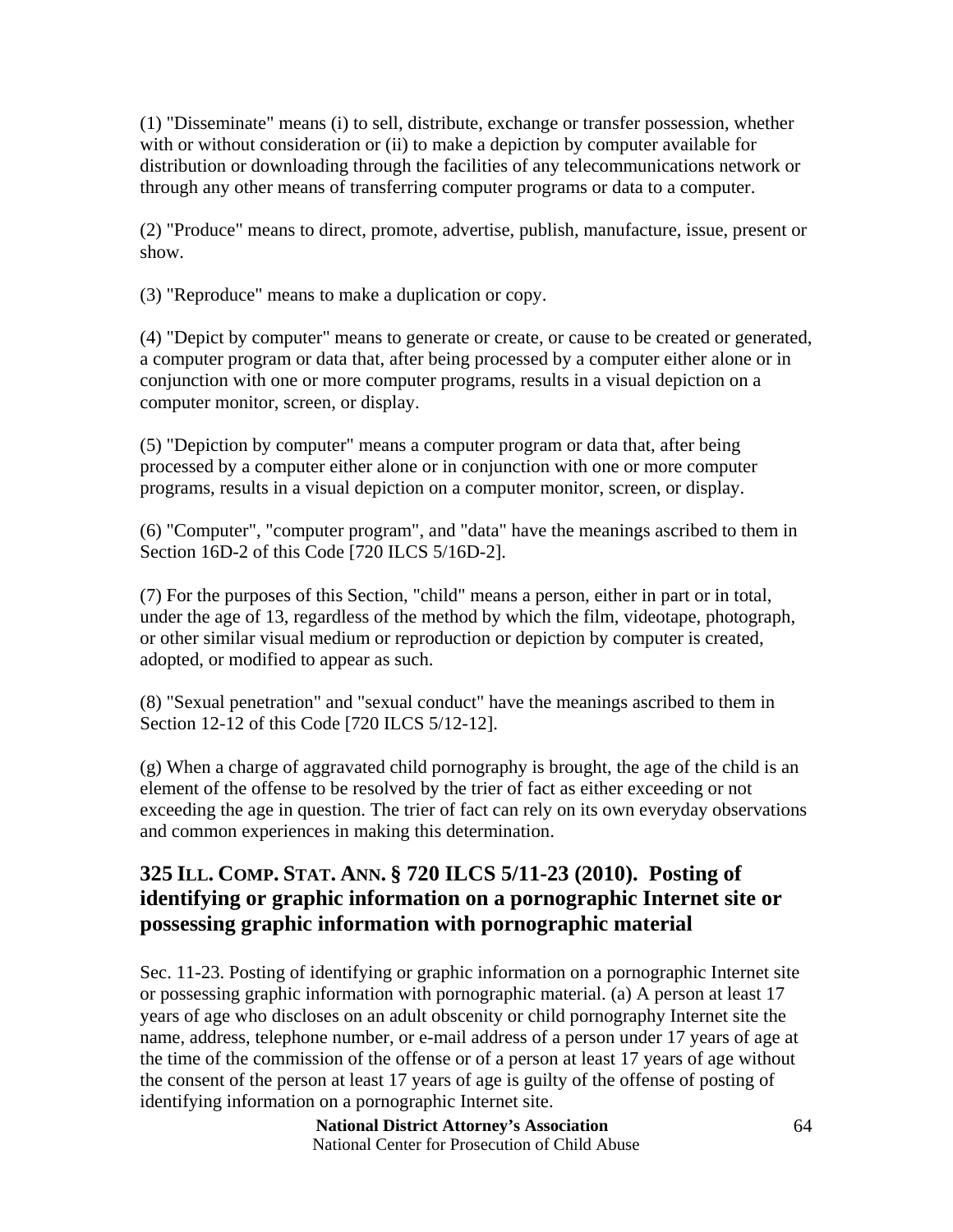(1) "Disseminate" means (i) to sell, distribute, exchange or transfer possession, whether with or without consideration or (ii) to make a depiction by computer available for distribution or downloading through the facilities of any telecommunications network or through any other means of transferring computer programs or data to a computer.

(2) "Produce" means to direct, promote, advertise, publish, manufacture, issue, present or show.

(3) "Reproduce" means to make a duplication or copy.

(4) "Depict by computer" means to generate or create, or cause to be created or generated, a computer program or data that, after being processed by a computer either alone or in conjunction with one or more computer programs, results in a visual depiction on a computer monitor, screen, or display.

(5) "Depiction by computer" means a computer program or data that, after being processed by a computer either alone or in conjunction with one or more computer programs, results in a visual depiction on a computer monitor, screen, or display.

(6) "Computer", "computer program", and "data" have the meanings ascribed to them in Section 16D-2 of this Code [720 ILCS 5/16D-2].

(7) For the purposes of this Section, "child" means a person, either in part or in total, under the age of 13, regardless of the method by which the film, videotape, photograph, or other similar visual medium or reproduction or depiction by computer is created, adopted, or modified to appear as such.

(8) "Sexual penetration" and "sexual conduct" have the meanings ascribed to them in Section 12-12 of this Code [720 ILCS 5/12-12].

(g) When a charge of aggravated child pornography is brought, the age of the child is an element of the offense to be resolved by the trier of fact as either exceeding or not exceeding the age in question. The trier of fact can rely on its own everyday observations and common experiences in making this determination.

#### **325 ILL. COMP. STAT. ANN. § 720 ILCS 5/11-23 (2010). Posting of identifying or graphic information on a pornographic Internet site or possessing graphic information with pornographic material**

Sec. 11-23. Posting of identifying or graphic information on a pornographic Internet site or possessing graphic information with pornographic material. (a) A person at least 17 years of age who discloses on an adult obscenity or child pornography Internet site the name, address, telephone number, or e-mail address of a person under 17 years of age at the time of the commission of the offense or of a person at least 17 years of age without the consent of the person at least 17 years of age is guilty of the offense of posting of identifying information on a pornographic Internet site.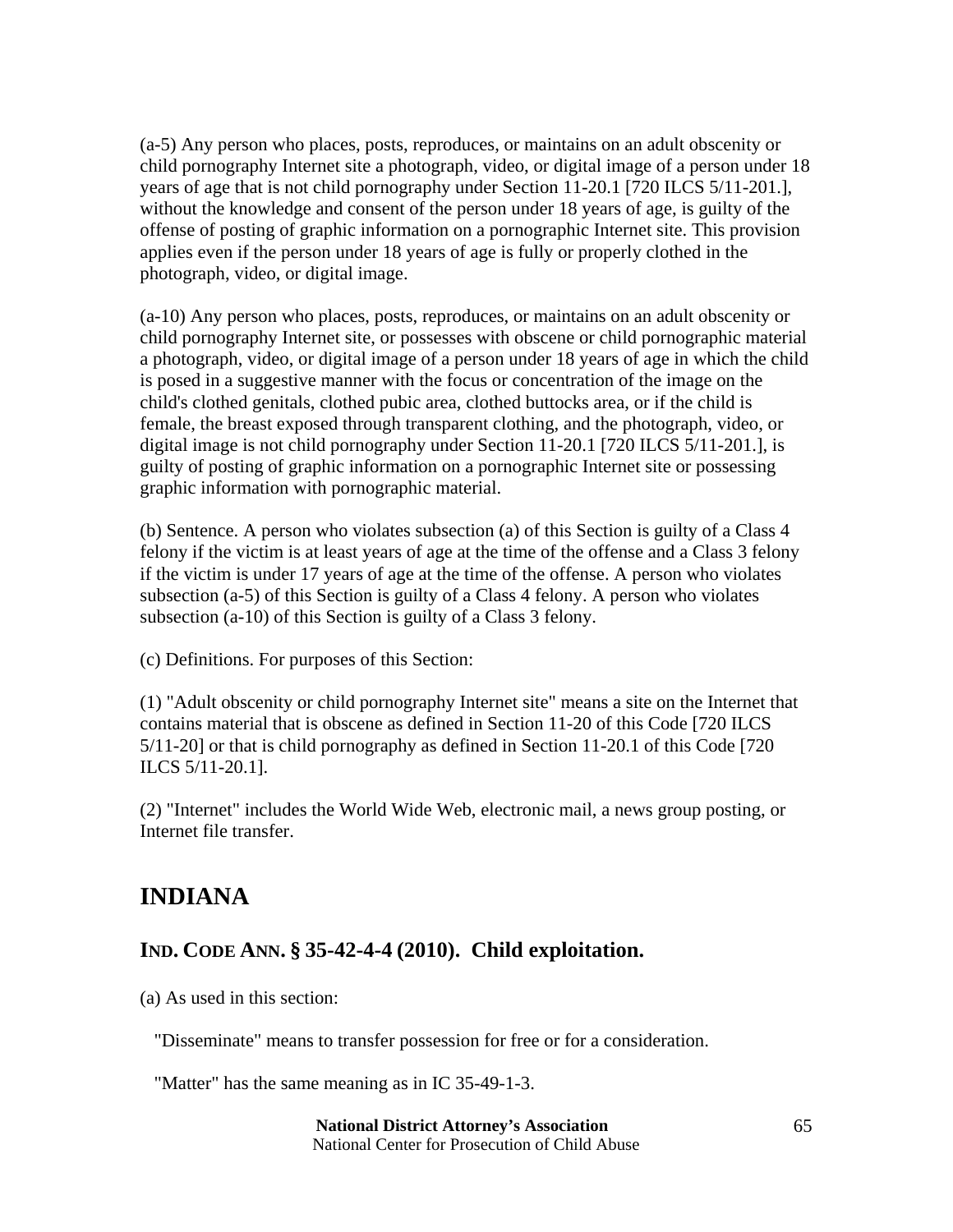(a-5) Any person who places, posts, reproduces, or maintains on an adult obscenity or child pornography Internet site a photograph, video, or digital image of a person under 18 years of age that is not child pornography under Section 11-20.1 [720 ILCS 5/11-201.], without the knowledge and consent of the person under 18 years of age, is guilty of the offense of posting of graphic information on a pornographic Internet site. This provision applies even if the person under 18 years of age is fully or properly clothed in the photograph, video, or digital image.

(a-10) Any person who places, posts, reproduces, or maintains on an adult obscenity or child pornography Internet site, or possesses with obscene or child pornographic material a photograph, video, or digital image of a person under 18 years of age in which the child is posed in a suggestive manner with the focus or concentration of the image on the child's clothed genitals, clothed pubic area, clothed buttocks area, or if the child is female, the breast exposed through transparent clothing, and the photograph, video, or digital image is not child pornography under Section 11-20.1 [720 ILCS 5/11-201.], is guilty of posting of graphic information on a pornographic Internet site or possessing graphic information with pornographic material.

(b) Sentence. A person who violates subsection (a) of this Section is guilty of a Class 4 felony if the victim is at least years of age at the time of the offense and a Class 3 felony if the victim is under 17 years of age at the time of the offense. A person who violates subsection (a-5) of this Section is guilty of a Class 4 felony. A person who violates subsection (a-10) of this Section is guilty of a Class 3 felony.

(c) Definitions. For purposes of this Section:

(1) "Adult obscenity or child pornography Internet site" means a site on the Internet that contains material that is obscene as defined in Section 11-20 of this Code [720 ILCS 5/11-20] or that is child pornography as defined in Section 11-20.1 of this Code [720 ILCS 5/11-20.1].

(2) "Internet" includes the World Wide Web, electronic mail, a news group posting, or Internet file transfer.

## **INDIANA**

### **IND. CODE ANN. § 35-42-4-4 (2010). Child exploitation.**

(a) As used in this section:

"Disseminate" means to transfer possession for free or for a consideration.

"Matter" has the same meaning as in IC 35-49-1-3.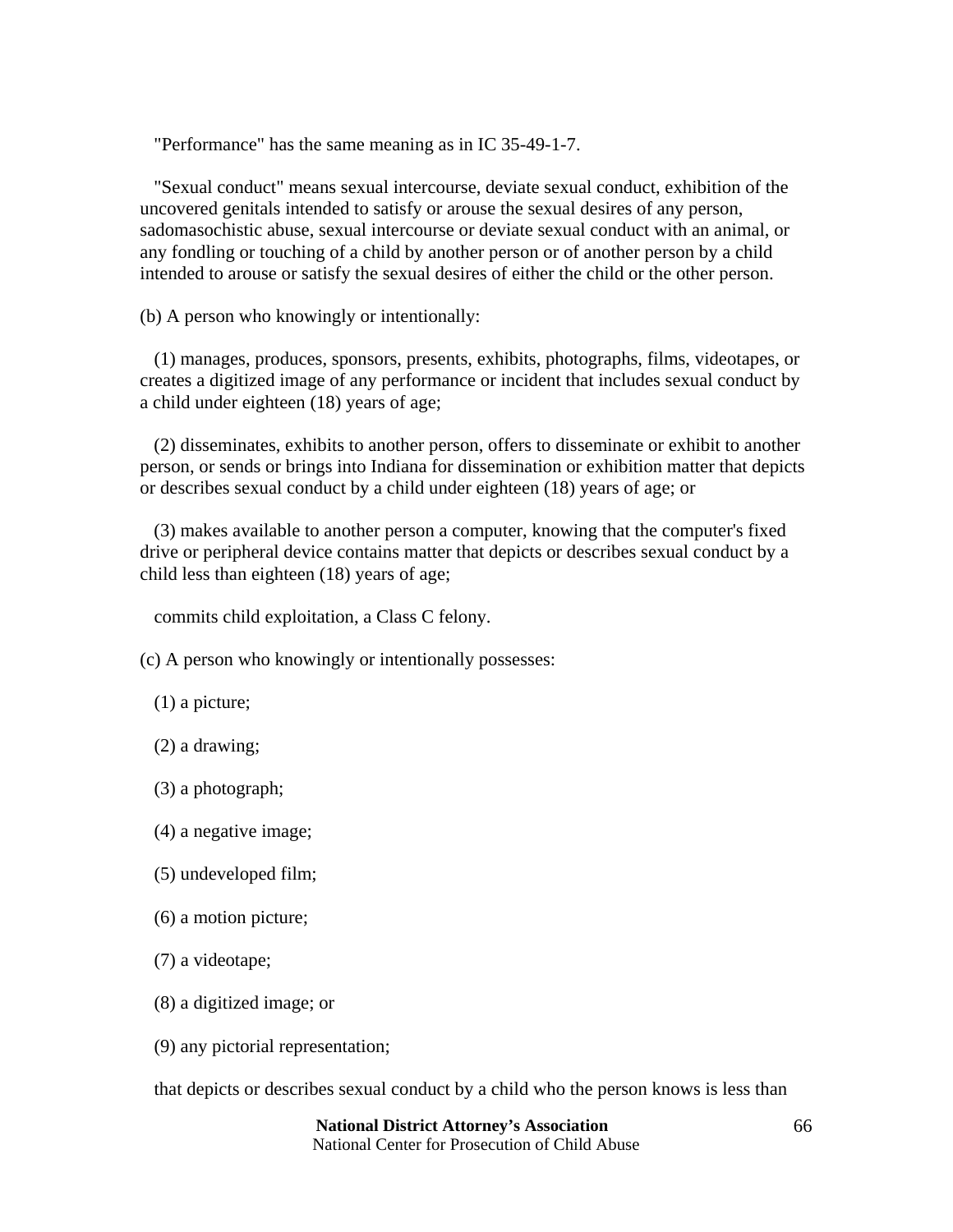"Performance" has the same meaning as in IC 35-49-1-7.

 "Sexual conduct" means sexual intercourse, deviate sexual conduct, exhibition of the uncovered genitals intended to satisfy or arouse the sexual desires of any person, sadomasochistic abuse, sexual intercourse or deviate sexual conduct with an animal, or any fondling or touching of a child by another person or of another person by a child intended to arouse or satisfy the sexual desires of either the child or the other person.

(b) A person who knowingly or intentionally:

 (1) manages, produces, sponsors, presents, exhibits, photographs, films, videotapes, or creates a digitized image of any performance or incident that includes sexual conduct by a child under eighteen (18) years of age;

 (2) disseminates, exhibits to another person, offers to disseminate or exhibit to another person, or sends or brings into Indiana for dissemination or exhibition matter that depicts or describes sexual conduct by a child under eighteen (18) years of age; or

 (3) makes available to another person a computer, knowing that the computer's fixed drive or peripheral device contains matter that depicts or describes sexual conduct by a child less than eighteen (18) years of age;

commits child exploitation, a Class C felony.

(c) A person who knowingly or intentionally possesses:

- (1) a picture;
- (2) a drawing;
- (3) a photograph;
- (4) a negative image;
- (5) undeveloped film;
- (6) a motion picture;
- (7) a videotape;
- (8) a digitized image; or
- (9) any pictorial representation;

that depicts or describes sexual conduct by a child who the person knows is less than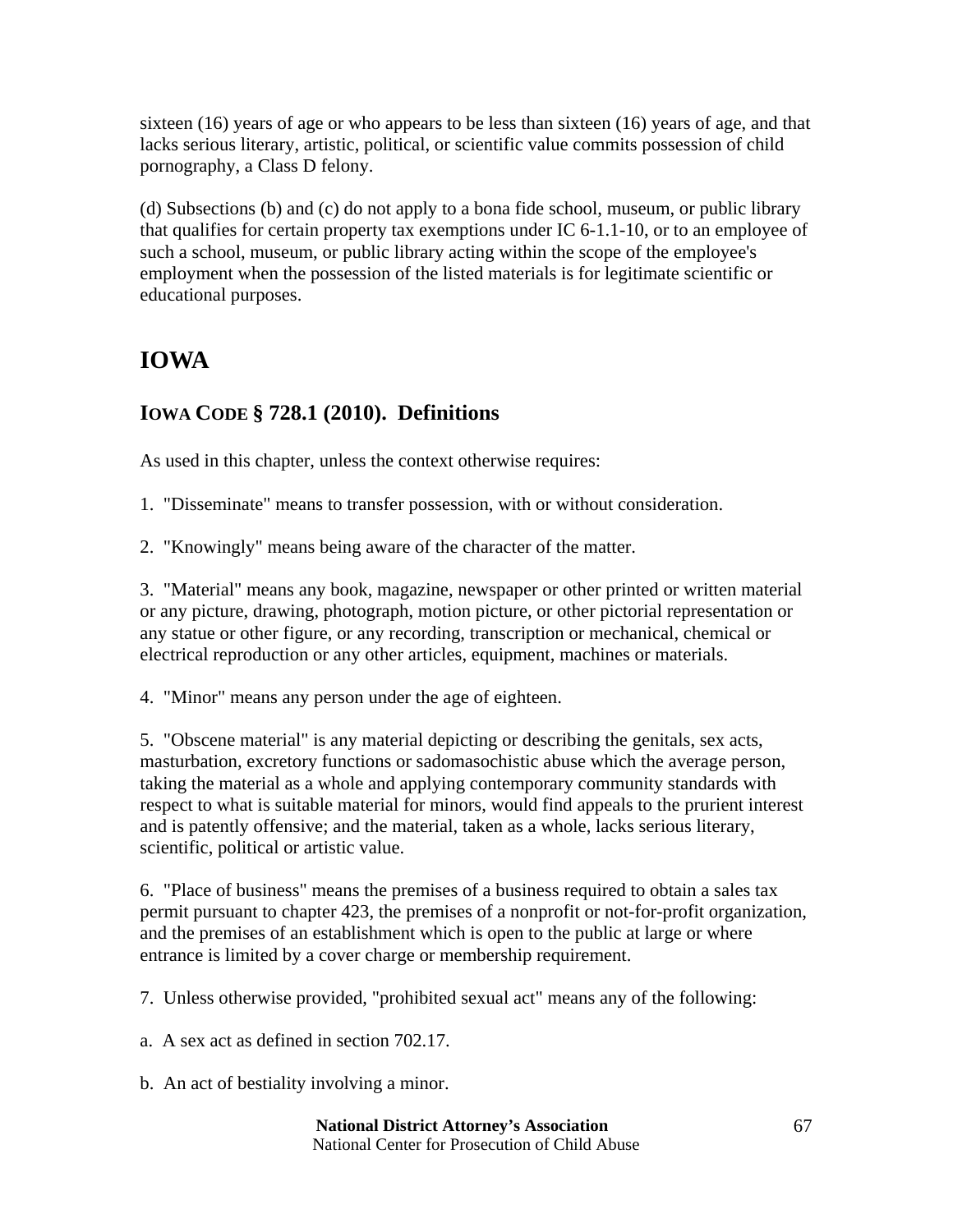sixteen (16) years of age or who appears to be less than sixteen (16) years of age, and that lacks serious literary, artistic, political, or scientific value commits possession of child pornography, a Class D felony.

(d) Subsections (b) and (c) do not apply to a bona fide school, museum, or public library that qualifies for certain property tax exemptions under IC 6-1.1-10, or to an employee of such a school, museum, or public library acting within the scope of the employee's employment when the possession of the listed materials is for legitimate scientific or educational purposes.

# **IOWA**

### **IOWA CODE § 728.1 (2010). Definitions**

As used in this chapter, unless the context otherwise requires:

1. "Disseminate" means to transfer possession, with or without consideration.

2. "Knowingly" means being aware of the character of the matter.

3. "Material" means any book, magazine, newspaper or other printed or written material or any picture, drawing, photograph, motion picture, or other pictorial representation or any statue or other figure, or any recording, transcription or mechanical, chemical or electrical reproduction or any other articles, equipment, machines or materials.

4. "Minor" means any person under the age of eighteen.

5. "Obscene material" is any material depicting or describing the genitals, sex acts, masturbation, excretory functions or sadomasochistic abuse which the average person, taking the material as a whole and applying contemporary community standards with respect to what is suitable material for minors, would find appeals to the prurient interest and is patently offensive; and the material, taken as a whole, lacks serious literary, scientific, political or artistic value.

6. "Place of business" means the premises of a business required to obtain a sales tax permit pursuant to chapter 423, the premises of a nonprofit or not-for-profit organization, and the premises of an establishment which is open to the public at large or where entrance is limited by a cover charge or membership requirement.

7. Unless otherwise provided, "prohibited sexual act" means any of the following:

a. A sex act as defined in section 702.17.

b. An act of bestiality involving a minor.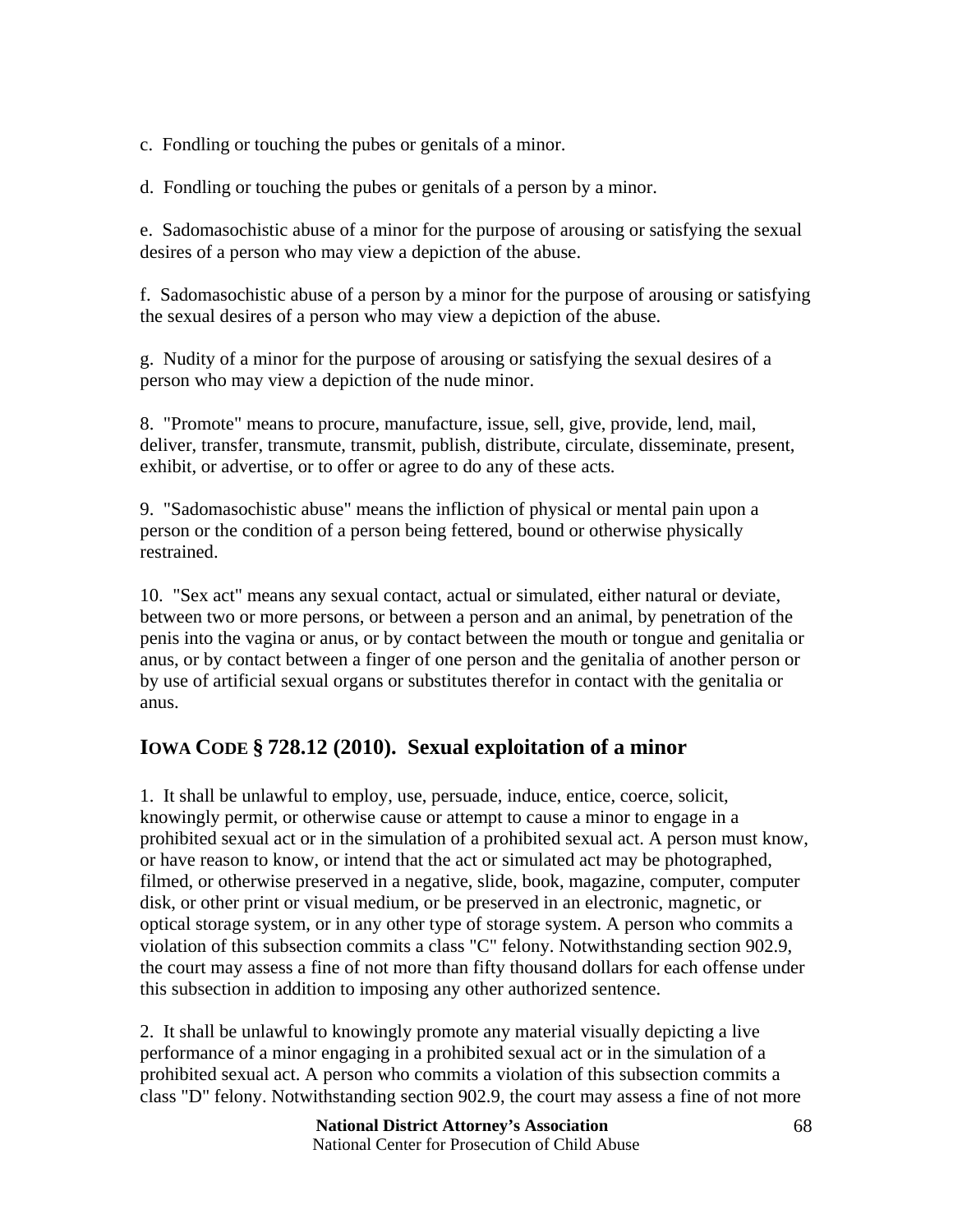c. Fondling or touching the pubes or genitals of a minor.

d. Fondling or touching the pubes or genitals of a person by a minor.

e. Sadomasochistic abuse of a minor for the purpose of arousing or satisfying the sexual desires of a person who may view a depiction of the abuse.

f. Sadomasochistic abuse of a person by a minor for the purpose of arousing or satisfying the sexual desires of a person who may view a depiction of the abuse.

g. Nudity of a minor for the purpose of arousing or satisfying the sexual desires of a person who may view a depiction of the nude minor.

8. "Promote" means to procure, manufacture, issue, sell, give, provide, lend, mail, deliver, transfer, transmute, transmit, publish, distribute, circulate, disseminate, present, exhibit, or advertise, or to offer or agree to do any of these acts.

9. "Sadomasochistic abuse" means the infliction of physical or mental pain upon a person or the condition of a person being fettered, bound or otherwise physically restrained.

10. "Sex act" means any sexual contact, actual or simulated, either natural or deviate, between two or more persons, or between a person and an animal, by penetration of the penis into the vagina or anus, or by contact between the mouth or tongue and genitalia or anus, or by contact between a finger of one person and the genitalia of another person or by use of artificial sexual organs or substitutes therefor in contact with the genitalia or anus.

### **IOWA CODE § 728.12 (2010). Sexual exploitation of a minor**

1. It shall be unlawful to employ, use, persuade, induce, entice, coerce, solicit, knowingly permit, or otherwise cause or attempt to cause a minor to engage in a prohibited sexual act or in the simulation of a prohibited sexual act. A person must know, or have reason to know, or intend that the act or simulated act may be photographed, filmed, or otherwise preserved in a negative, slide, book, magazine, computer, computer disk, or other print or visual medium, or be preserved in an electronic, magnetic, or optical storage system, or in any other type of storage system. A person who commits a violation of this subsection commits a class "C" felony. Notwithstanding section 902.9, the court may assess a fine of not more than fifty thousand dollars for each offense under this subsection in addition to imposing any other authorized sentence.

2. It shall be unlawful to knowingly promote any material visually depicting a live performance of a minor engaging in a prohibited sexual act or in the simulation of a prohibited sexual act. A person who commits a violation of this subsection commits a class "D" felony. Notwithstanding section 902.9, the court may assess a fine of not more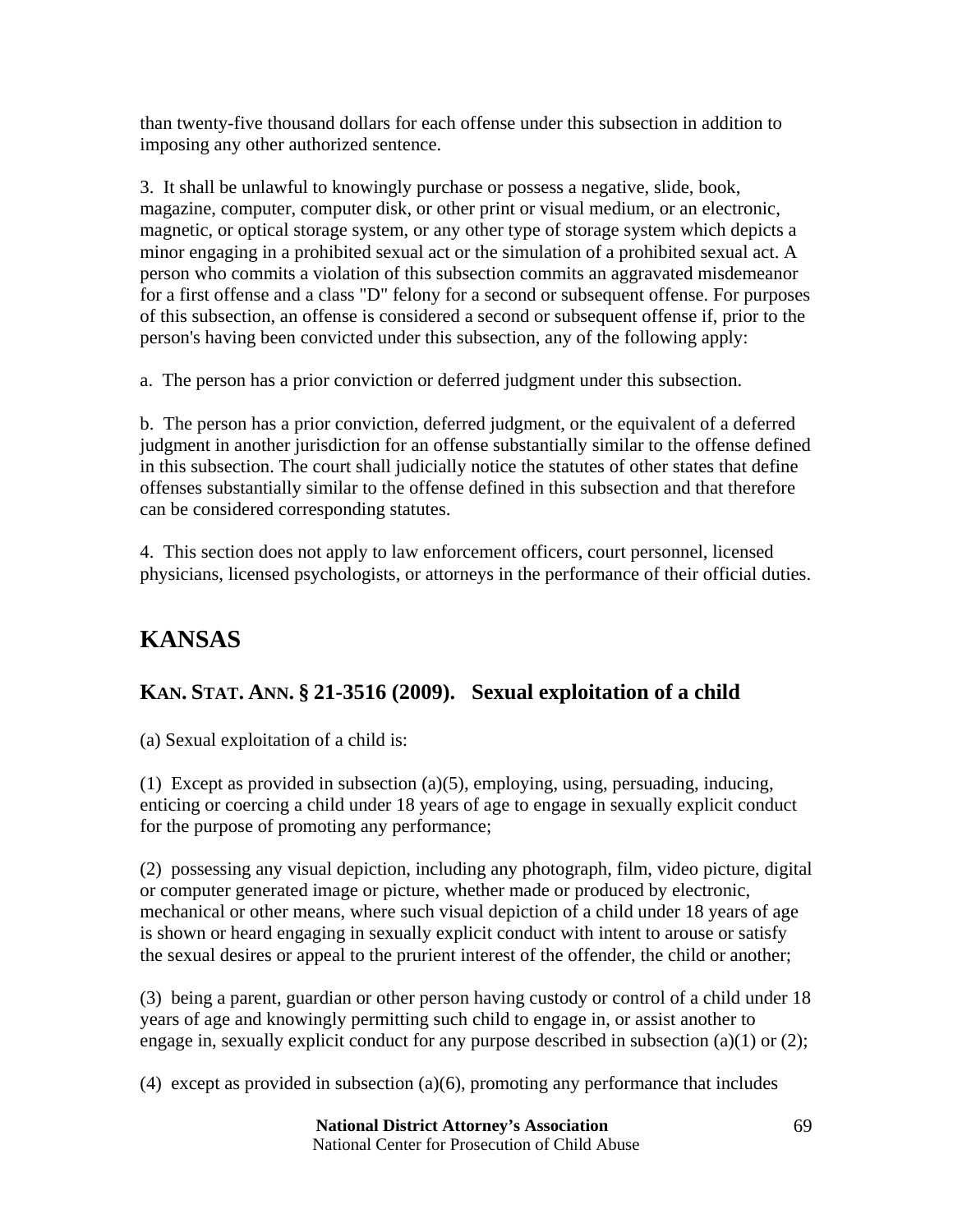than twenty-five thousand dollars for each offense under this subsection in addition to imposing any other authorized sentence.

3. It shall be unlawful to knowingly purchase or possess a negative, slide, book, magazine, computer, computer disk, or other print or visual medium, or an electronic, magnetic, or optical storage system, or any other type of storage system which depicts a minor engaging in a prohibited sexual act or the simulation of a prohibited sexual act. A person who commits a violation of this subsection commits an aggravated misdemeanor for a first offense and a class "D" felony for a second or subsequent offense. For purposes of this subsection, an offense is considered a second or subsequent offense if, prior to the person's having been convicted under this subsection, any of the following apply:

a. The person has a prior conviction or deferred judgment under this subsection.

b. The person has a prior conviction, deferred judgment, or the equivalent of a deferred judgment in another jurisdiction for an offense substantially similar to the offense defined in this subsection. The court shall judicially notice the statutes of other states that define offenses substantially similar to the offense defined in this subsection and that therefore can be considered corresponding statutes.

4. This section does not apply to law enforcement officers, court personnel, licensed physicians, licensed psychologists, or attorneys in the performance of their official duties.

# **KANSAS**

### **KAN. STAT. ANN. § 21-3516 (2009). Sexual exploitation of a child**

(a) Sexual exploitation of a child is:

(1) Except as provided in subsection (a) $(5)$ , employing, using, persuading, inducing, enticing or coercing a child under 18 years of age to engage in sexually explicit conduct for the purpose of promoting any performance;

(2) possessing any visual depiction, including any photograph, film, video picture, digital or computer generated image or picture, whether made or produced by electronic, mechanical or other means, where such visual depiction of a child under 18 years of age is shown or heard engaging in sexually explicit conduct with intent to arouse or satisfy the sexual desires or appeal to the prurient interest of the offender, the child or another;

(3) being a parent, guardian or other person having custody or control of a child under 18 years of age and knowingly permitting such child to engage in, or assist another to engage in, sexually explicit conduct for any purpose described in subsection (a)(1) or (2);

 $(4)$  except as provided in subsection  $(a)(6)$ , promoting any performance that includes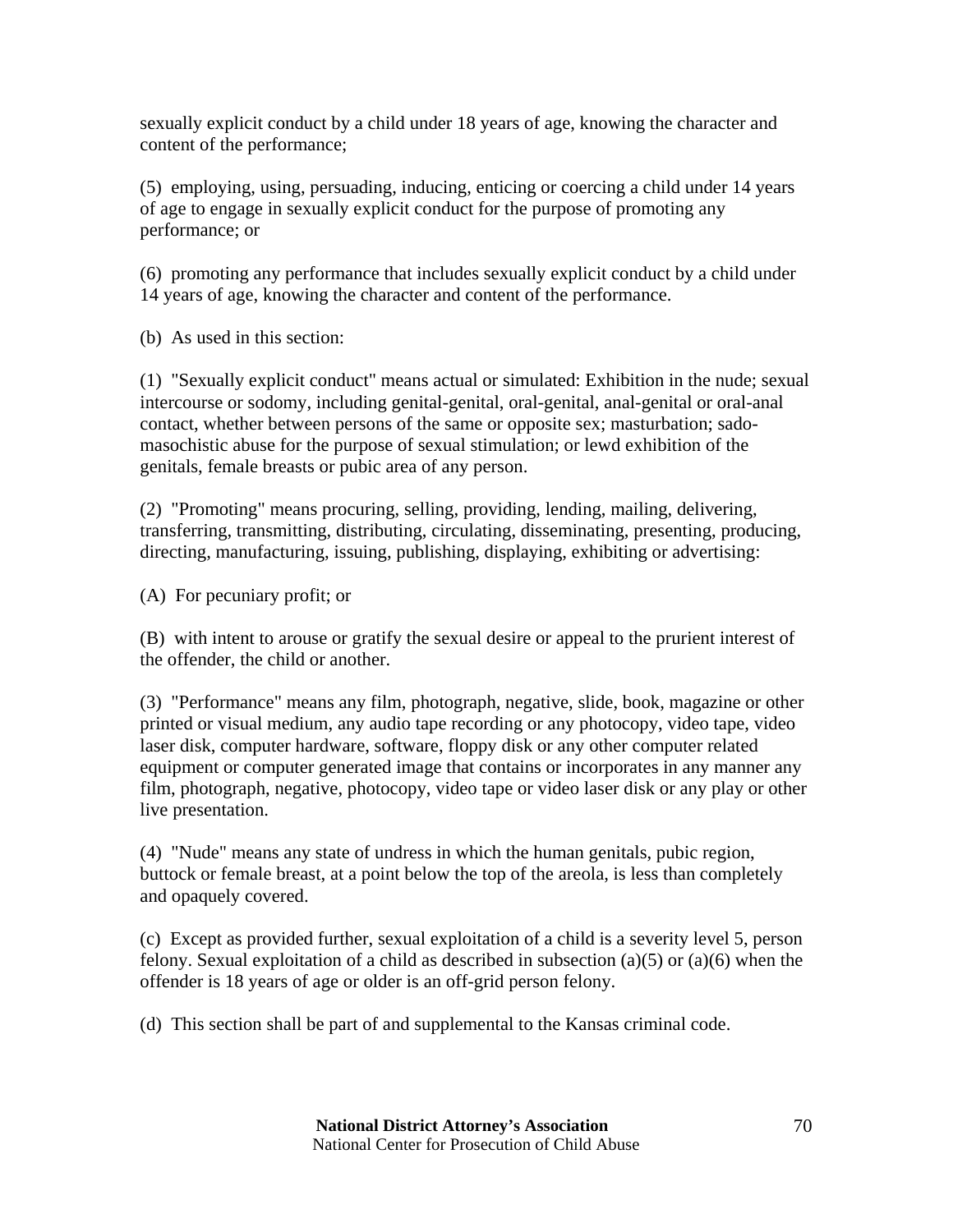sexually explicit conduct by a child under 18 years of age, knowing the character and content of the performance;

(5) employing, using, persuading, inducing, enticing or coercing a child under 14 years of age to engage in sexually explicit conduct for the purpose of promoting any performance; or

(6) promoting any performance that includes sexually explicit conduct by a child under 14 years of age, knowing the character and content of the performance.

(b) As used in this section:

(1) "Sexually explicit conduct" means actual or simulated: Exhibition in the nude; sexual intercourse or sodomy, including genital-genital, oral-genital, anal-genital or oral-anal contact, whether between persons of the same or opposite sex; masturbation; sadomasochistic abuse for the purpose of sexual stimulation; or lewd exhibition of the genitals, female breasts or pubic area of any person.

(2) "Promoting" means procuring, selling, providing, lending, mailing, delivering, transferring, transmitting, distributing, circulating, disseminating, presenting, producing, directing, manufacturing, issuing, publishing, displaying, exhibiting or advertising:

(A) For pecuniary profit; or

(B) with intent to arouse or gratify the sexual desire or appeal to the prurient interest of the offender, the child or another.

(3) "Performance" means any film, photograph, negative, slide, book, magazine or other printed or visual medium, any audio tape recording or any photocopy, video tape, video laser disk, computer hardware, software, floppy disk or any other computer related equipment or computer generated image that contains or incorporates in any manner any film, photograph, negative, photocopy, video tape or video laser disk or any play or other live presentation.

(4) "Nude" means any state of undress in which the human genitals, pubic region, buttock or female breast, at a point below the top of the areola, is less than completely and opaquely covered.

(c) Except as provided further, sexual exploitation of a child is a severity level 5, person felony. Sexual exploitation of a child as described in subsection (a)(5) or (a)(6) when the offender is 18 years of age or older is an off-grid person felony.

(d) This section shall be part of and supplemental to the Kansas criminal code.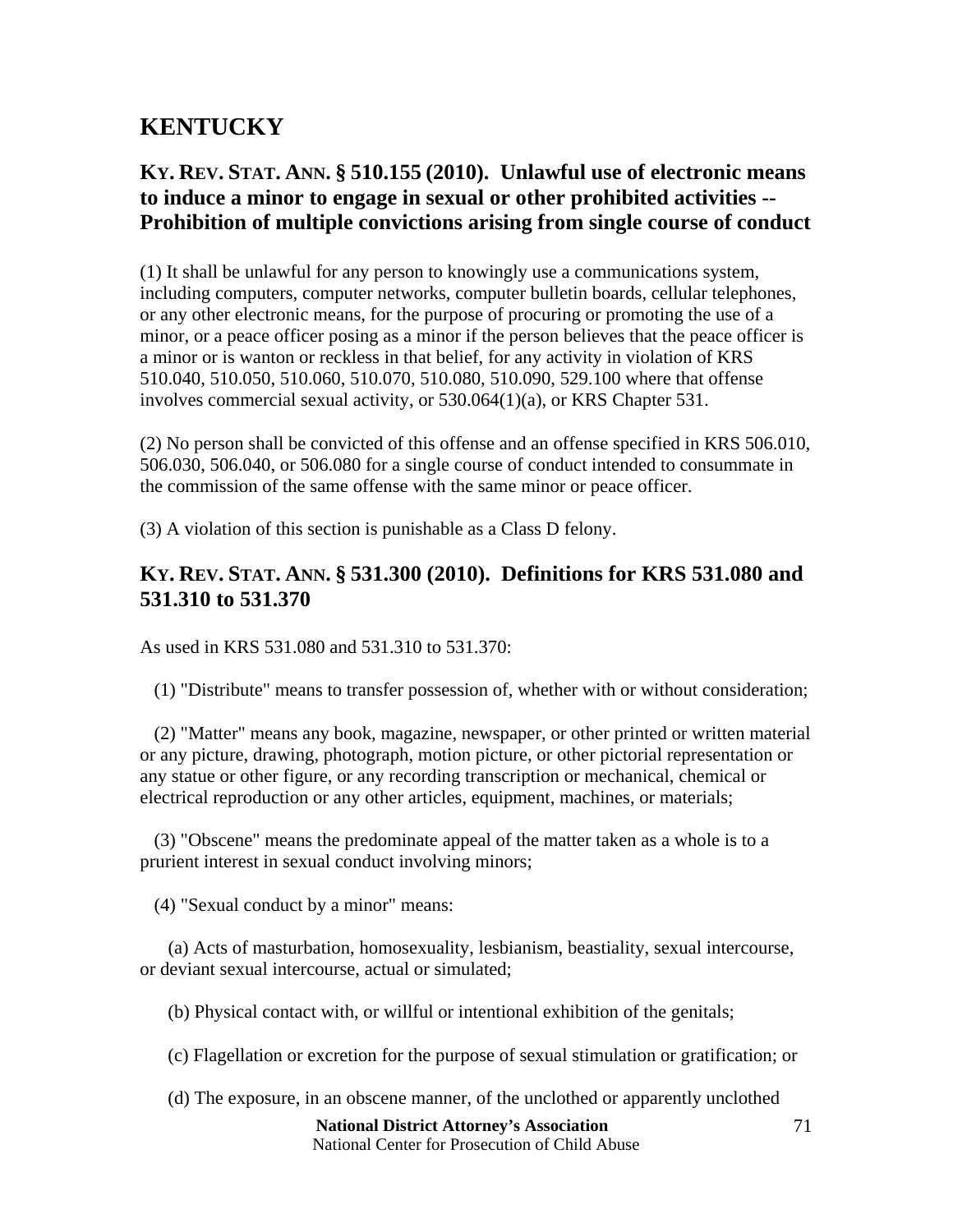# **KENTUCKY**

### **KY. REV. STAT. ANN. § 510.155 (2010). Unlawful use of electronic means to induce a minor to engage in sexual or other prohibited activities -- Prohibition of multiple convictions arising from single course of conduct**

(1) It shall be unlawful for any person to knowingly use a communications system, including computers, computer networks, computer bulletin boards, cellular telephones, or any other electronic means, for the purpose of procuring or promoting the use of a minor, or a peace officer posing as a minor if the person believes that the peace officer is a minor or is wanton or reckless in that belief, for any activity in violation of KRS 510.040, 510.050, 510.060, 510.070, 510.080, 510.090, 529.100 where that offense involves commercial sexual activity, or 530.064(1)(a), or KRS Chapter 531.

(2) No person shall be convicted of this offense and an offense specified in KRS 506.010, 506.030, 506.040, or 506.080 for a single course of conduct intended to consummate in the commission of the same offense with the same minor or peace officer.

(3) A violation of this section is punishable as a Class D felony.

#### **KY. REV. STAT. ANN. § 531.300 (2010). Definitions for KRS 531.080 and 531.310 to 531.370**

As used in KRS 531.080 and 531.310 to 531.370:

(1) "Distribute" means to transfer possession of, whether with or without consideration;

 (2) "Matter" means any book, magazine, newspaper, or other printed or written material or any picture, drawing, photograph, motion picture, or other pictorial representation or any statue or other figure, or any recording transcription or mechanical, chemical or electrical reproduction or any other articles, equipment, machines, or materials;

 (3) "Obscene" means the predominate appeal of the matter taken as a whole is to a prurient interest in sexual conduct involving minors;

(4) "Sexual conduct by a minor" means:

 (a) Acts of masturbation, homosexuality, lesbianism, beastiality, sexual intercourse, or deviant sexual intercourse, actual or simulated;

(b) Physical contact with, or willful or intentional exhibition of the genitals;

(c) Flagellation or excretion for the purpose of sexual stimulation or gratification; or

(d) The exposure, in an obscene manner, of the unclothed or apparently unclothed

#### **National District Attorney's Association**  National Center for Prosecution of Child Abuse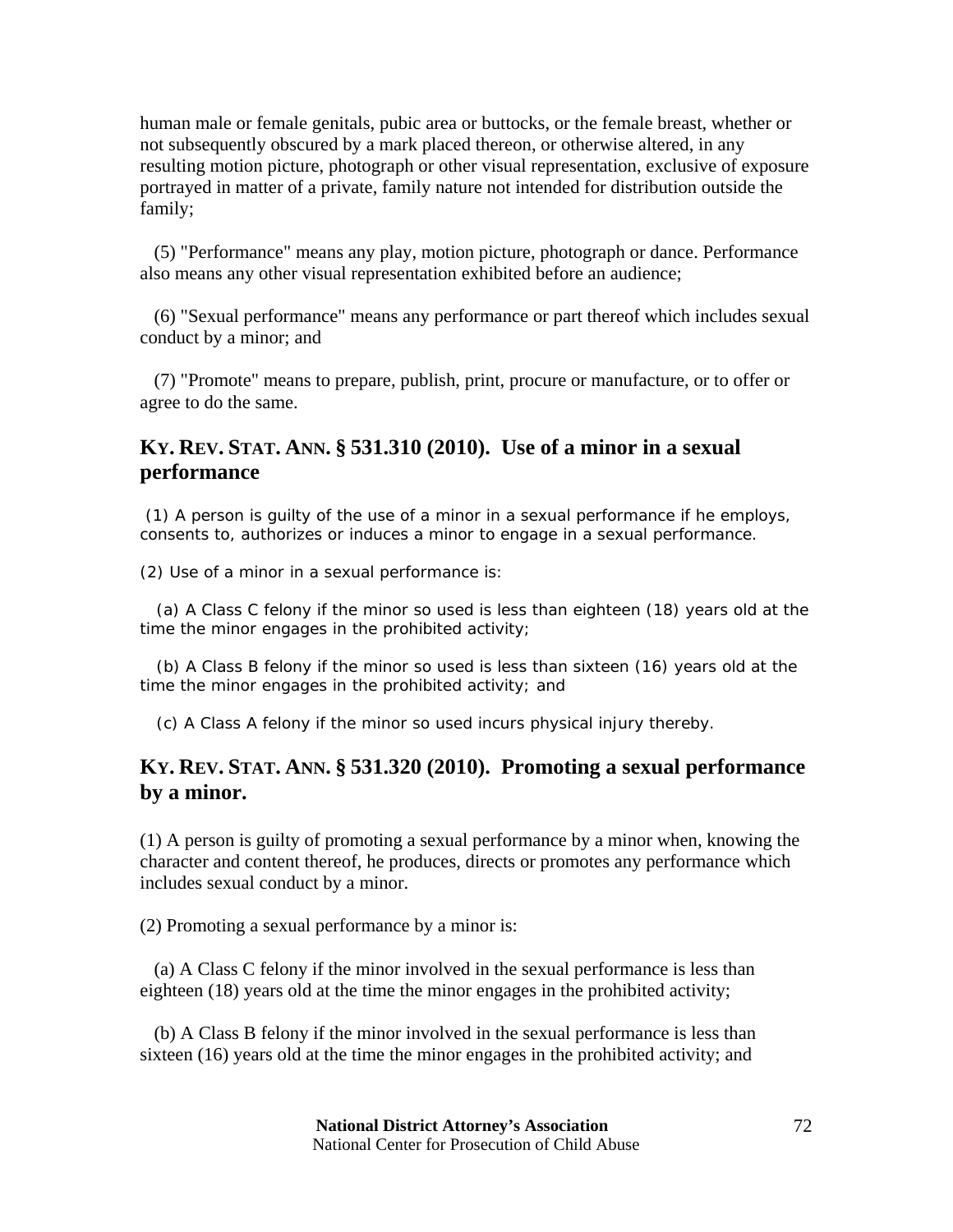human male or female genitals, pubic area or buttocks, or the female breast, whether or not subsequently obscured by a mark placed thereon, or otherwise altered, in any resulting motion picture, photograph or other visual representation, exclusive of exposure portrayed in matter of a private, family nature not intended for distribution outside the family;

 (5) "Performance" means any play, motion picture, photograph or dance. Performance also means any other visual representation exhibited before an audience;

 (6) "Sexual performance" means any performance or part thereof which includes sexual conduct by a minor; and

 (7) "Promote" means to prepare, publish, print, procure or manufacture, or to offer or agree to do the same.

#### **KY. REV. STAT. ANN. § 531.310 (2010). Use of a minor in a sexual performance**

 (1) A person is guilty of the use of a minor in a sexual performance if he employs, consents to, authorizes or induces a minor to engage in a sexual performance.

(2) Use of a minor in a sexual performance is:

 (a) A Class C felony if the minor so used is less than eighteen (18) years old at the time the minor engages in the prohibited activity;

 (b) A Class B felony if the minor so used is less than sixteen (16) years old at the time the minor engages in the prohibited activity; and

(c) A Class A felony if the minor so used incurs physical injury thereby.

#### **KY. REV. STAT. ANN. § 531.320 (2010). Promoting a sexual performance by a minor.**

(1) A person is guilty of promoting a sexual performance by a minor when, knowing the character and content thereof, he produces, directs or promotes any performance which includes sexual conduct by a minor.

(2) Promoting a sexual performance by a minor is:

 (a) A Class C felony if the minor involved in the sexual performance is less than eighteen (18) years old at the time the minor engages in the prohibited activity;

 (b) A Class B felony if the minor involved in the sexual performance is less than sixteen (16) years old at the time the minor engages in the prohibited activity; and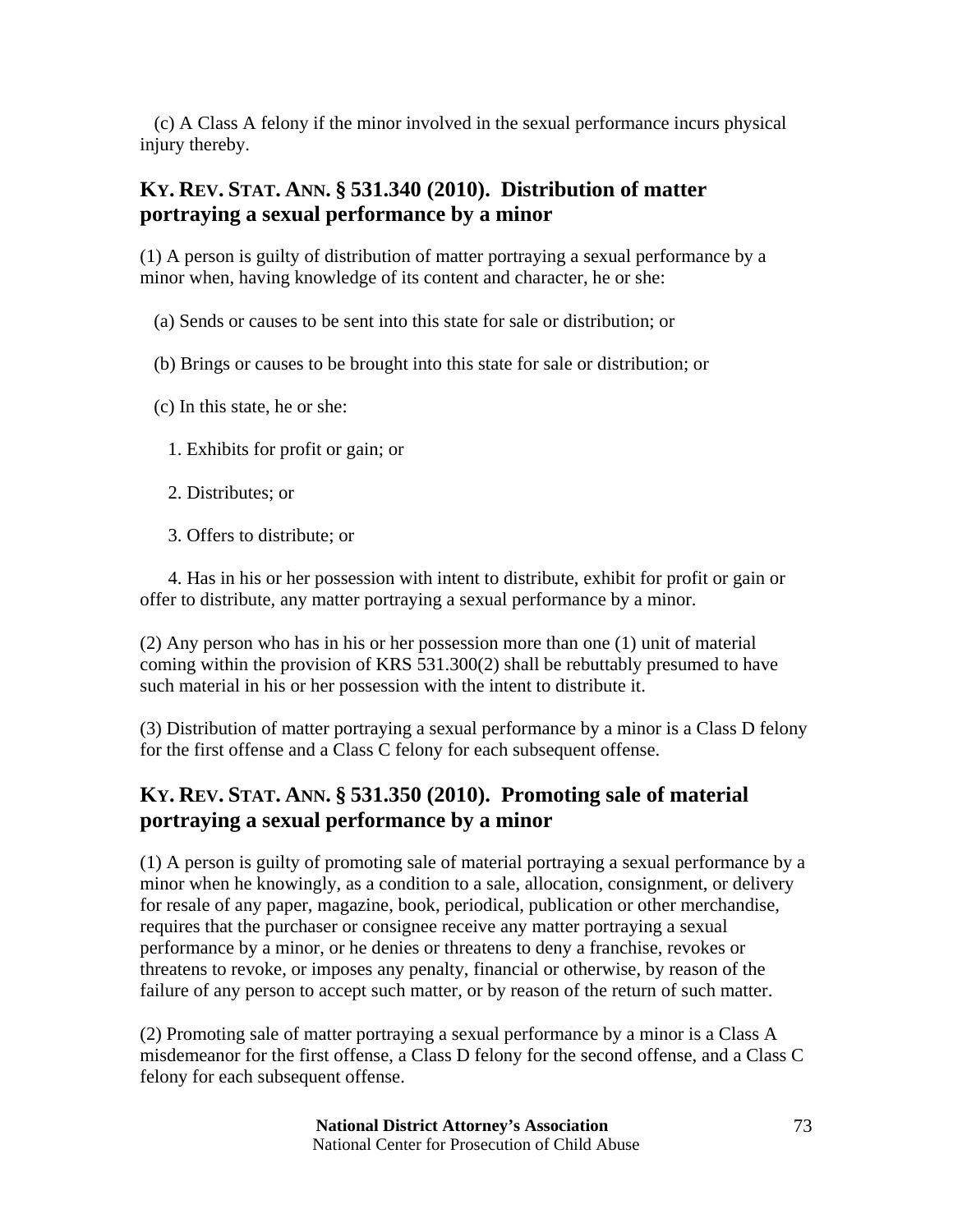(c) A Class A felony if the minor involved in the sexual performance incurs physical injury thereby.

### **KY. REV. STAT. ANN. § 531.340 (2010). Distribution of matter portraying a sexual performance by a minor**

(1) A person is guilty of distribution of matter portraying a sexual performance by a minor when, having knowledge of its content and character, he or she:

(a) Sends or causes to be sent into this state for sale or distribution; or

- (b) Brings or causes to be brought into this state for sale or distribution; or
- (c) In this state, he or she:
	- 1. Exhibits for profit or gain; or
	- 2. Distributes; or
	- 3. Offers to distribute; or

 4. Has in his or her possession with intent to distribute, exhibit for profit or gain or offer to distribute, any matter portraying a sexual performance by a minor.

(2) Any person who has in his or her possession more than one (1) unit of material coming within the provision of KRS 531.300(2) shall be rebuttably presumed to have such material in his or her possession with the intent to distribute it.

(3) Distribution of matter portraying a sexual performance by a minor is a Class D felony for the first offense and a Class C felony for each subsequent offense.

## **KY. REV. STAT. ANN. § 531.350 (2010). Promoting sale of material portraying a sexual performance by a minor**

(1) A person is guilty of promoting sale of material portraying a sexual performance by a minor when he knowingly, as a condition to a sale, allocation, consignment, or delivery for resale of any paper, magazine, book, periodical, publication or other merchandise, requires that the purchaser or consignee receive any matter portraying a sexual performance by a minor, or he denies or threatens to deny a franchise, revokes or threatens to revoke, or imposes any penalty, financial or otherwise, by reason of the failure of any person to accept such matter, or by reason of the return of such matter.

(2) Promoting sale of matter portraying a sexual performance by a minor is a Class A misdemeanor for the first offense, a Class D felony for the second offense, and a Class C felony for each subsequent offense.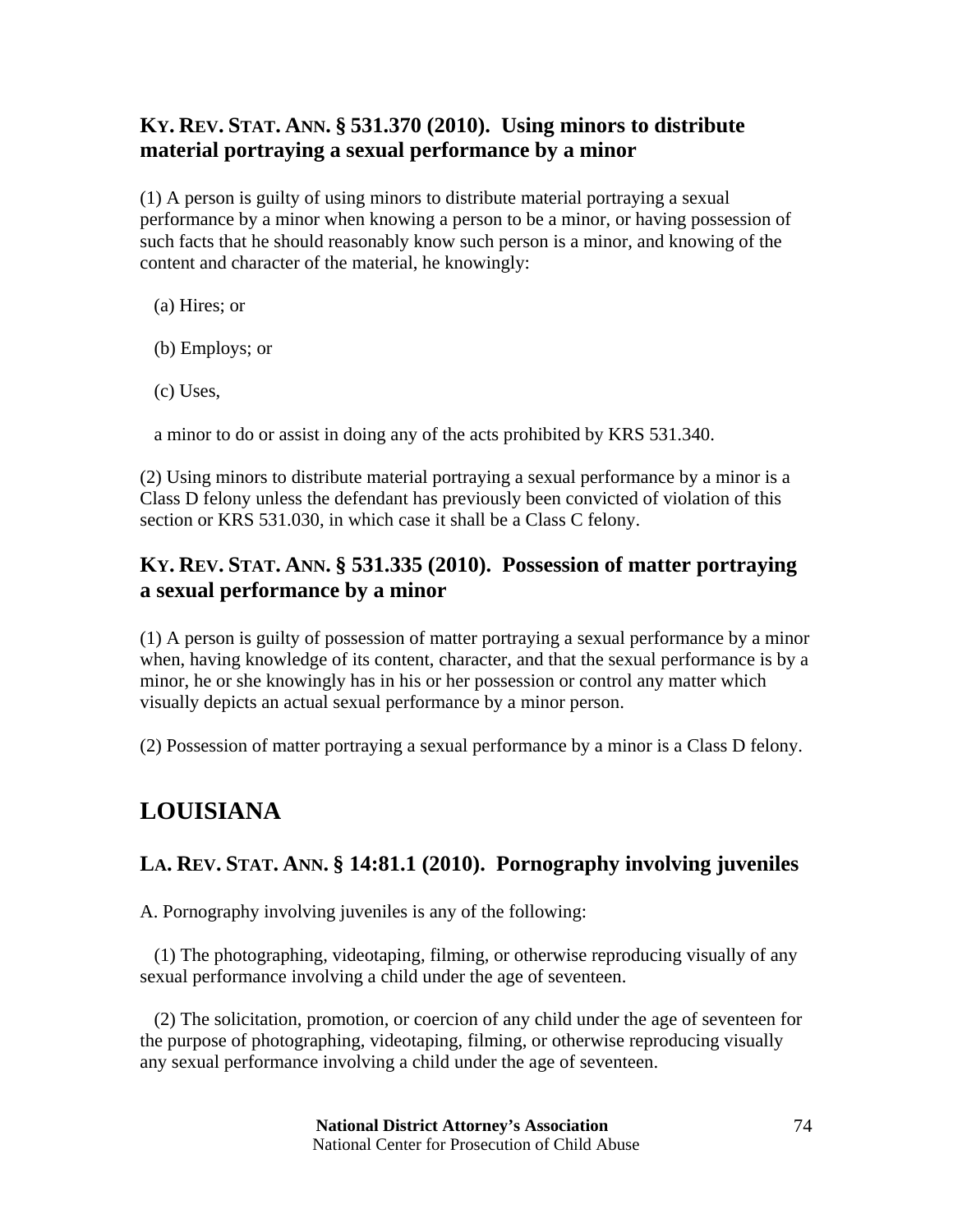## **KY. REV. STAT. ANN. § 531.370 (2010). Using minors to distribute material portraying a sexual performance by a minor**

(1) A person is guilty of using minors to distribute material portraying a sexual performance by a minor when knowing a person to be a minor, or having possession of such facts that he should reasonably know such person is a minor, and knowing of the content and character of the material, he knowingly:

- (a) Hires; or
- (b) Employs; or
- (c) Uses,

a minor to do or assist in doing any of the acts prohibited by KRS 531.340.

(2) Using minors to distribute material portraying a sexual performance by a minor is a Class D felony unless the defendant has previously been convicted of violation of this section or KRS 531.030, in which case it shall be a Class C felony.

### **KY. REV. STAT. ANN. § 531.335 (2010). Possession of matter portraying a sexual performance by a minor**

(1) A person is guilty of possession of matter portraying a sexual performance by a minor when, having knowledge of its content, character, and that the sexual performance is by a minor, he or she knowingly has in his or her possession or control any matter which visually depicts an actual sexual performance by a minor person.

(2) Possession of matter portraying a sexual performance by a minor is a Class D felony.

# **LOUISIANA**

### **LA. REV. STAT. ANN. § 14:81.1 (2010). Pornography involving juveniles**

A. Pornography involving juveniles is any of the following:

 (1) The photographing, videotaping, filming, or otherwise reproducing visually of any sexual performance involving a child under the age of seventeen.

 (2) The solicitation, promotion, or coercion of any child under the age of seventeen for the purpose of photographing, videotaping, filming, or otherwise reproducing visually any sexual performance involving a child under the age of seventeen.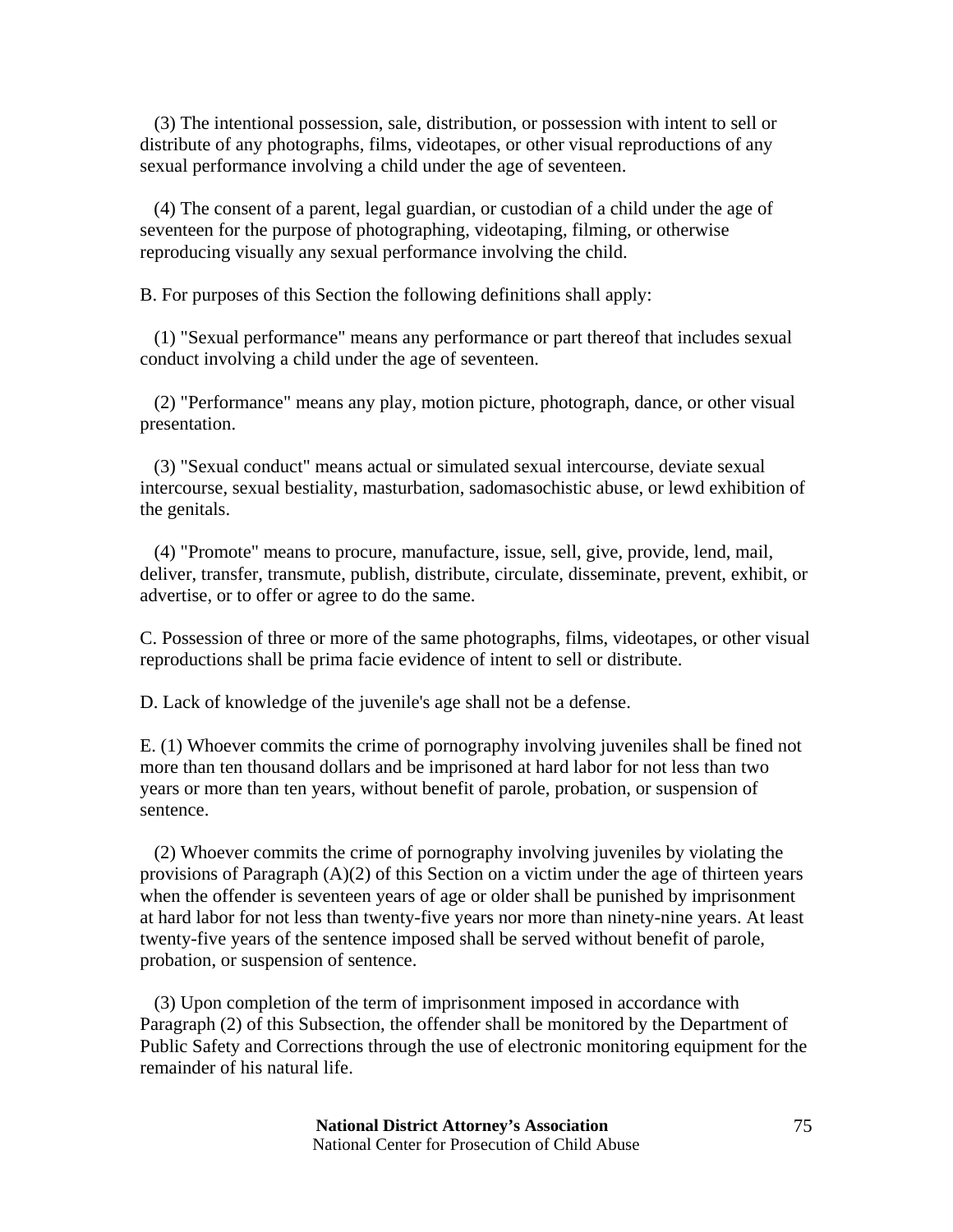(3) The intentional possession, sale, distribution, or possession with intent to sell or distribute of any photographs, films, videotapes, or other visual reproductions of any sexual performance involving a child under the age of seventeen.

 (4) The consent of a parent, legal guardian, or custodian of a child under the age of seventeen for the purpose of photographing, videotaping, filming, or otherwise reproducing visually any sexual performance involving the child.

B. For purposes of this Section the following definitions shall apply:

 (1) "Sexual performance" means any performance or part thereof that includes sexual conduct involving a child under the age of seventeen.

 (2) "Performance" means any play, motion picture, photograph, dance, or other visual presentation.

 (3) "Sexual conduct" means actual or simulated sexual intercourse, deviate sexual intercourse, sexual bestiality, masturbation, sadomasochistic abuse, or lewd exhibition of the genitals.

 (4) "Promote" means to procure, manufacture, issue, sell, give, provide, lend, mail, deliver, transfer, transmute, publish, distribute, circulate, disseminate, prevent, exhibit, or advertise, or to offer or agree to do the same.

C. Possession of three or more of the same photographs, films, videotapes, or other visual reproductions shall be prima facie evidence of intent to sell or distribute.

D. Lack of knowledge of the juvenile's age shall not be a defense.

E. (1) Whoever commits the crime of pornography involving juveniles shall be fined not more than ten thousand dollars and be imprisoned at hard labor for not less than two years or more than ten years, without benefit of parole, probation, or suspension of sentence.

 (2) Whoever commits the crime of pornography involving juveniles by violating the provisions of Paragraph (A)(2) of this Section on a victim under the age of thirteen years when the offender is seventeen years of age or older shall be punished by imprisonment at hard labor for not less than twenty-five years nor more than ninety-nine years. At least twenty-five years of the sentence imposed shall be served without benefit of parole, probation, or suspension of sentence.

 (3) Upon completion of the term of imprisonment imposed in accordance with Paragraph (2) of this Subsection, the offender shall be monitored by the Department of Public Safety and Corrections through the use of electronic monitoring equipment for the remainder of his natural life.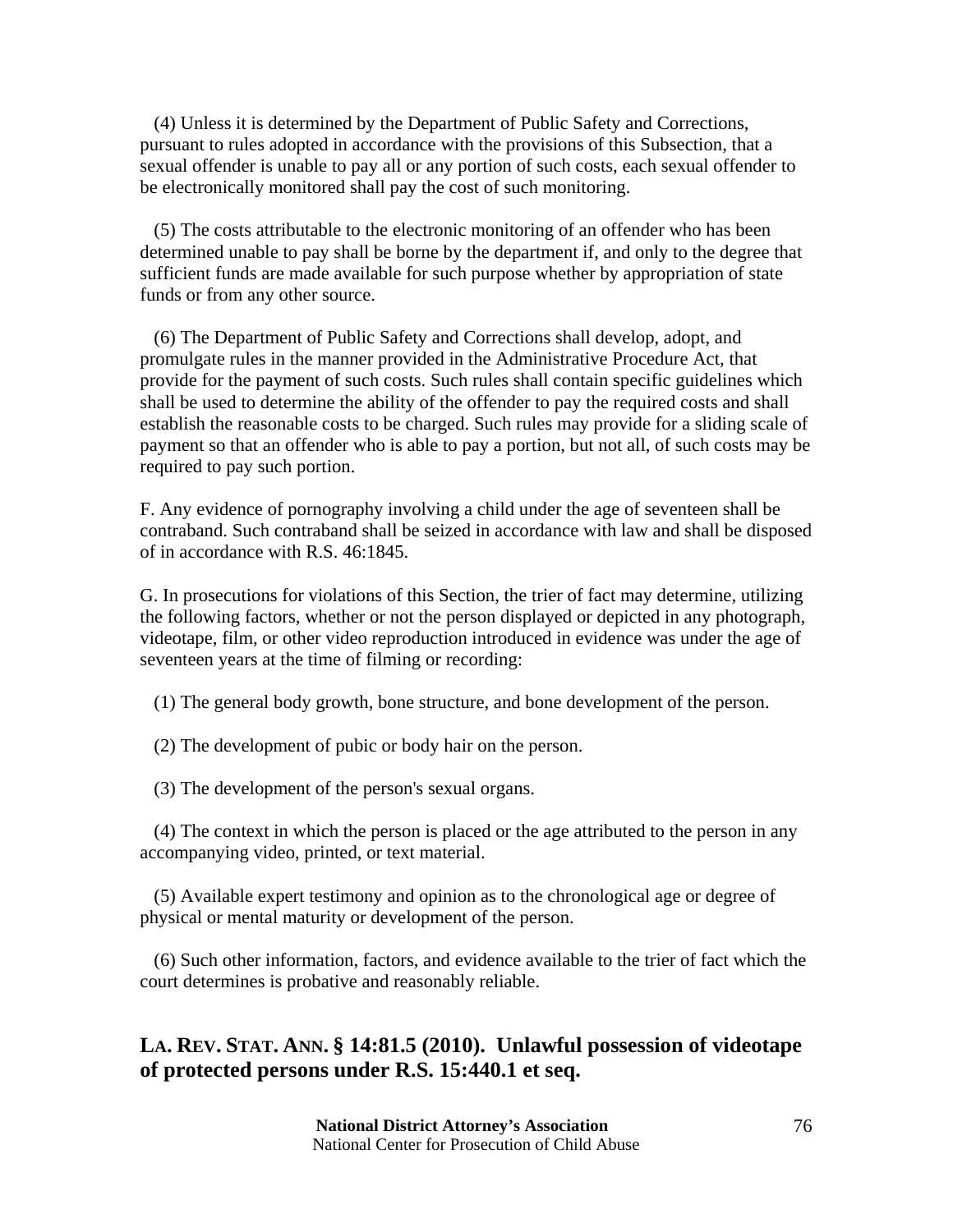(4) Unless it is determined by the Department of Public Safety and Corrections, pursuant to rules adopted in accordance with the provisions of this Subsection, that a sexual offender is unable to pay all or any portion of such costs, each sexual offender to be electronically monitored shall pay the cost of such monitoring.

 (5) The costs attributable to the electronic monitoring of an offender who has been determined unable to pay shall be borne by the department if, and only to the degree that sufficient funds are made available for such purpose whether by appropriation of state funds or from any other source.

 (6) The Department of Public Safety and Corrections shall develop, adopt, and promulgate rules in the manner provided in the Administrative Procedure Act, that provide for the payment of such costs. Such rules shall contain specific guidelines which shall be used to determine the ability of the offender to pay the required costs and shall establish the reasonable costs to be charged. Such rules may provide for a sliding scale of payment so that an offender who is able to pay a portion, but not all, of such costs may be required to pay such portion.

F. Any evidence of pornography involving a child under the age of seventeen shall be contraband. Such contraband shall be seized in accordance with law and shall be disposed of in accordance with R.S. 46:1845.

G. In prosecutions for violations of this Section, the trier of fact may determine, utilizing the following factors, whether or not the person displayed or depicted in any photograph, videotape, film, or other video reproduction introduced in evidence was under the age of seventeen years at the time of filming or recording:

(1) The general body growth, bone structure, and bone development of the person.

(2) The development of pubic or body hair on the person.

(3) The development of the person's sexual organs.

 (4) The context in which the person is placed or the age attributed to the person in any accompanying video, printed, or text material.

 (5) Available expert testimony and opinion as to the chronological age or degree of physical or mental maturity or development of the person.

 (6) Such other information, factors, and evidence available to the trier of fact which the court determines is probative and reasonably reliable.

## **LA. REV. STAT. ANN. § 14:81.5 (2010). Unlawful possession of videotape of protected persons under R.S. 15:440.1 et seq.**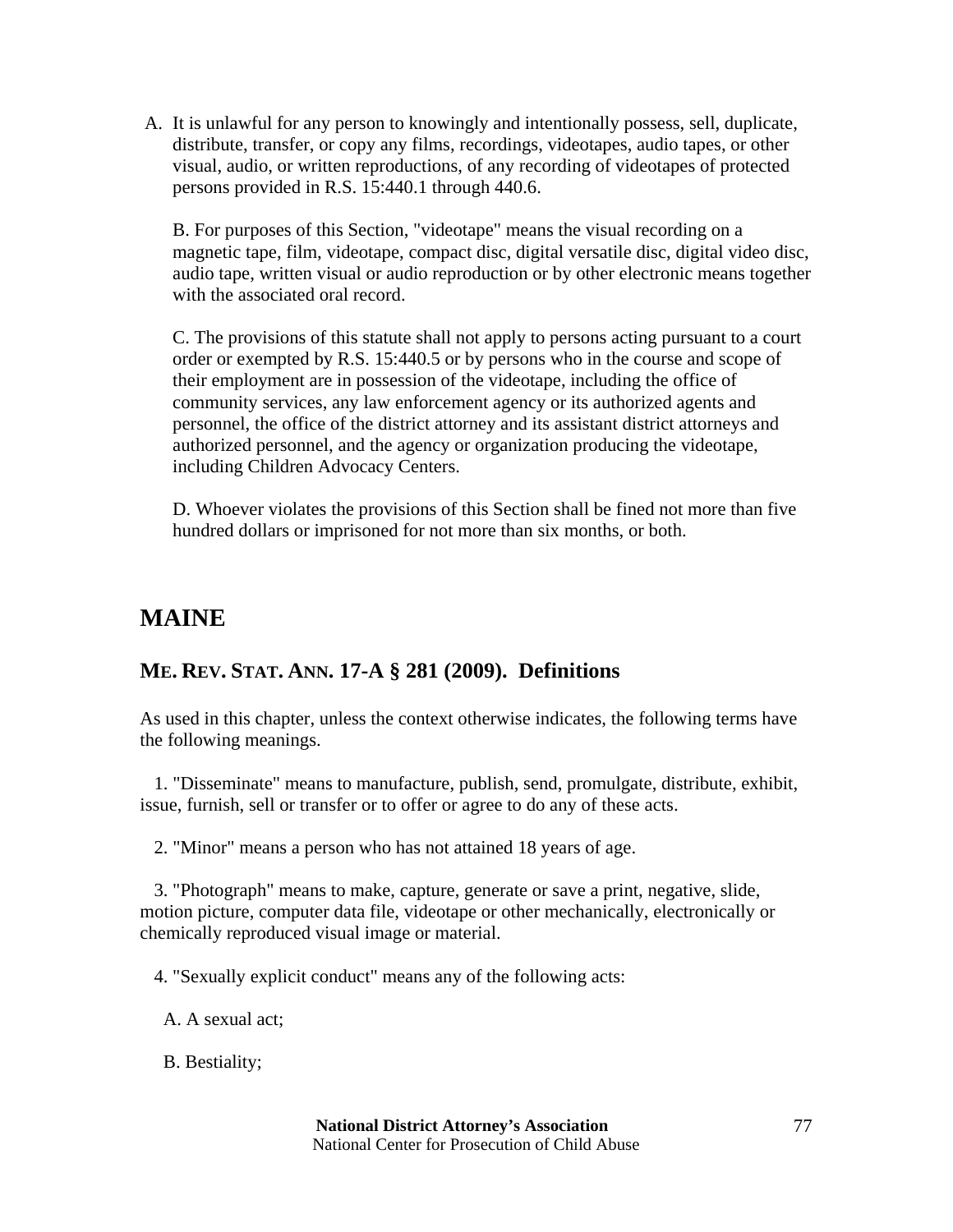A. It is unlawful for any person to knowingly and intentionally possess, sell, duplicate, distribute, transfer, or copy any films, recordings, videotapes, audio tapes, or other visual, audio, or written reproductions, of any recording of videotapes of protected persons provided in R.S. 15:440.1 through 440.6.

B. For purposes of this Section, "videotape" means the visual recording on a magnetic tape, film, videotape, compact disc, digital versatile disc, digital video disc, audio tape, written visual or audio reproduction or by other electronic means together with the associated oral record.

C. The provisions of this statute shall not apply to persons acting pursuant to a court order or exempted by R.S. 15:440.5 or by persons who in the course and scope of their employment are in possession of the videotape, including the office of community services, any law enforcement agency or its authorized agents and personnel, the office of the district attorney and its assistant district attorneys and authorized personnel, and the agency or organization producing the videotape, including Children Advocacy Centers.

D. Whoever violates the provisions of this Section shall be fined not more than five hundred dollars or imprisoned for not more than six months, or both.

# **MAINE**

### **ME. REV. STAT. ANN. 17-A § 281 (2009). Definitions**

As used in this chapter, unless the context otherwise indicates, the following terms have the following meanings.

 1. "Disseminate" means to manufacture, publish, send, promulgate, distribute, exhibit, issue, furnish, sell or transfer or to offer or agree to do any of these acts.

2. "Minor" means a person who has not attained 18 years of age.

 3. "Photograph" means to make, capture, generate or save a print, negative, slide, motion picture, computer data file, videotape or other mechanically, electronically or chemically reproduced visual image or material.

4. "Sexually explicit conduct" means any of the following acts:

A. A sexual act;

B. Bestiality;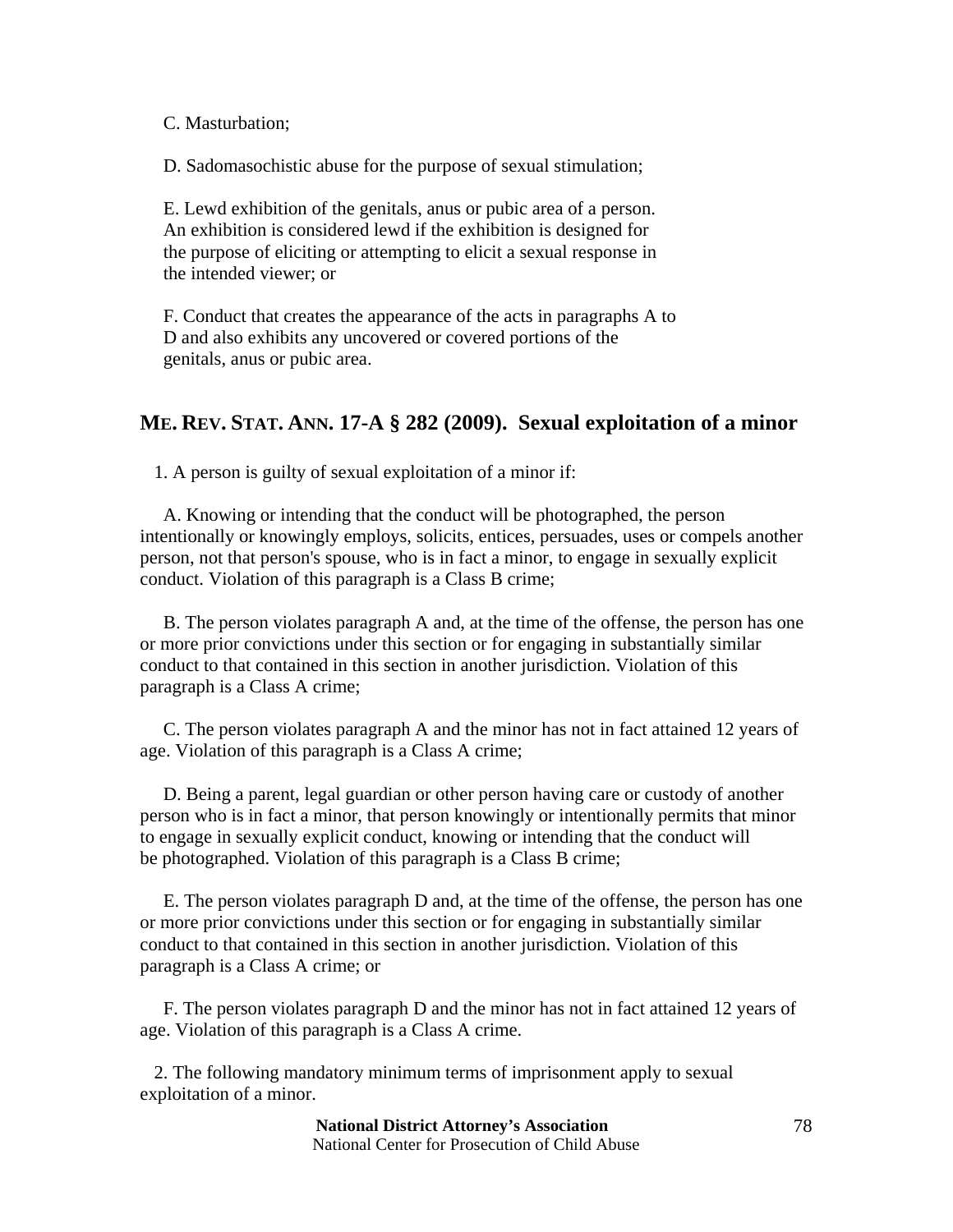C. Masturbation;

D. Sadomasochistic abuse for the purpose of sexual stimulation;

 E. Lewd exhibition of the genitals, anus or pubic area of a person. An exhibition is considered lewd if the exhibition is designed for the purpose of eliciting or attempting to elicit a sexual response in the intended viewer; or

 F. Conduct that creates the appearance of the acts in paragraphs A to D and also exhibits any uncovered or covered portions of the genitals, anus or pubic area.

### **ME. REV. STAT. ANN. 17-A § 282 (2009). Sexual exploitation of a minor**

1. A person is guilty of sexual exploitation of a minor if:

 A. Knowing or intending that the conduct will be photographed, the person intentionally or knowingly employs, solicits, entices, persuades, uses or compels another person, not that person's spouse, who is in fact a minor, to engage in sexually explicit conduct. Violation of this paragraph is a Class B crime;

 B. The person violates paragraph A and, at the time of the offense, the person has one or more prior convictions under this section or for engaging in substantially similar conduct to that contained in this section in another jurisdiction. Violation of this paragraph is a Class A crime;

 C. The person violates paragraph A and the minor has not in fact attained 12 years of age. Violation of this paragraph is a Class A crime;

 D. Being a parent, legal guardian or other person having care or custody of another person who is in fact a minor, that person knowingly or intentionally permits that minor to engage in sexually explicit conduct, knowing or intending that the conduct will be photographed. Violation of this paragraph is a Class B crime;

 E. The person violates paragraph D and, at the time of the offense, the person has one or more prior convictions under this section or for engaging in substantially similar conduct to that contained in this section in another jurisdiction. Violation of this paragraph is a Class A crime; or

 F. The person violates paragraph D and the minor has not in fact attained 12 years of age. Violation of this paragraph is a Class A crime.

 2. The following mandatory minimum terms of imprisonment apply to sexual exploitation of a minor.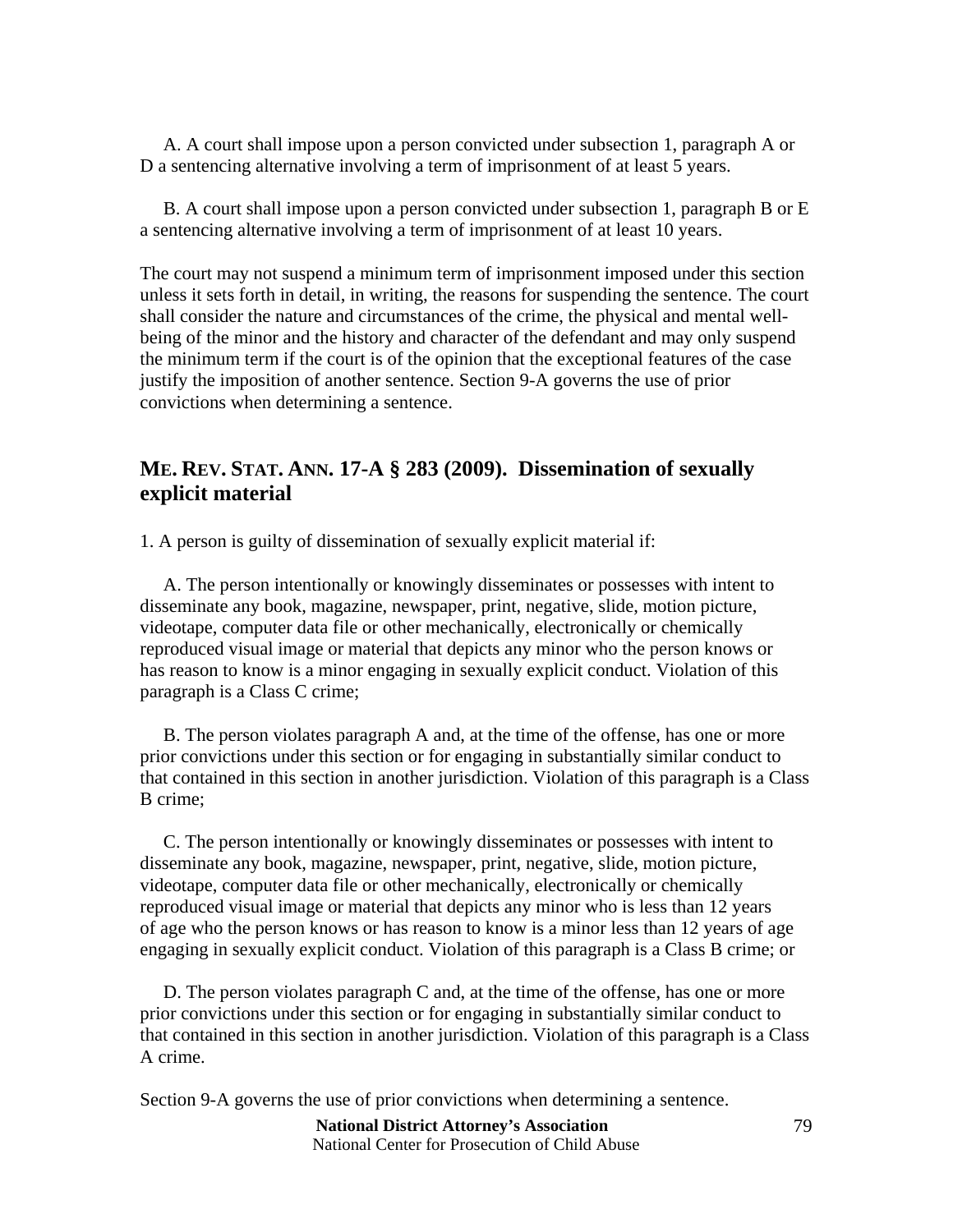A. A court shall impose upon a person convicted under subsection 1, paragraph A or D a sentencing alternative involving a term of imprisonment of at least 5 years.

 B. A court shall impose upon a person convicted under subsection 1, paragraph B or E a sentencing alternative involving a term of imprisonment of at least 10 years.

The court may not suspend a minimum term of imprisonment imposed under this section unless it sets forth in detail, in writing, the reasons for suspending the sentence. The court shall consider the nature and circumstances of the crime, the physical and mental wellbeing of the minor and the history and character of the defendant and may only suspend the minimum term if the court is of the opinion that the exceptional features of the case justify the imposition of another sentence. Section 9-A governs the use of prior convictions when determining a sentence.

### **ME. REV. STAT. ANN. 17-A § 283 (2009). Dissemination of sexually explicit material**

1. A person is guilty of dissemination of sexually explicit material if:

 A. The person intentionally or knowingly disseminates or possesses with intent to disseminate any book, magazine, newspaper, print, negative, slide, motion picture, videotape, computer data file or other mechanically, electronically or chemically reproduced visual image or material that depicts any minor who the person knows or has reason to know is a minor engaging in sexually explicit conduct. Violation of this paragraph is a Class C crime;

 B. The person violates paragraph A and, at the time of the offense, has one or more prior convictions under this section or for engaging in substantially similar conduct to that contained in this section in another jurisdiction. Violation of this paragraph is a Class B crime;

 C. The person intentionally or knowingly disseminates or possesses with intent to disseminate any book, magazine, newspaper, print, negative, slide, motion picture, videotape, computer data file or other mechanically, electronically or chemically reproduced visual image or material that depicts any minor who is less than 12 years of age who the person knows or has reason to know is a minor less than 12 years of age engaging in sexually explicit conduct. Violation of this paragraph is a Class B crime; or

 D. The person violates paragraph C and, at the time of the offense, has one or more prior convictions under this section or for engaging in substantially similar conduct to that contained in this section in another jurisdiction. Violation of this paragraph is a Class A crime.

Section 9-A governs the use of prior convictions when determining a sentence.

**National District Attorney's Association**  National Center for Prosecution of Child Abuse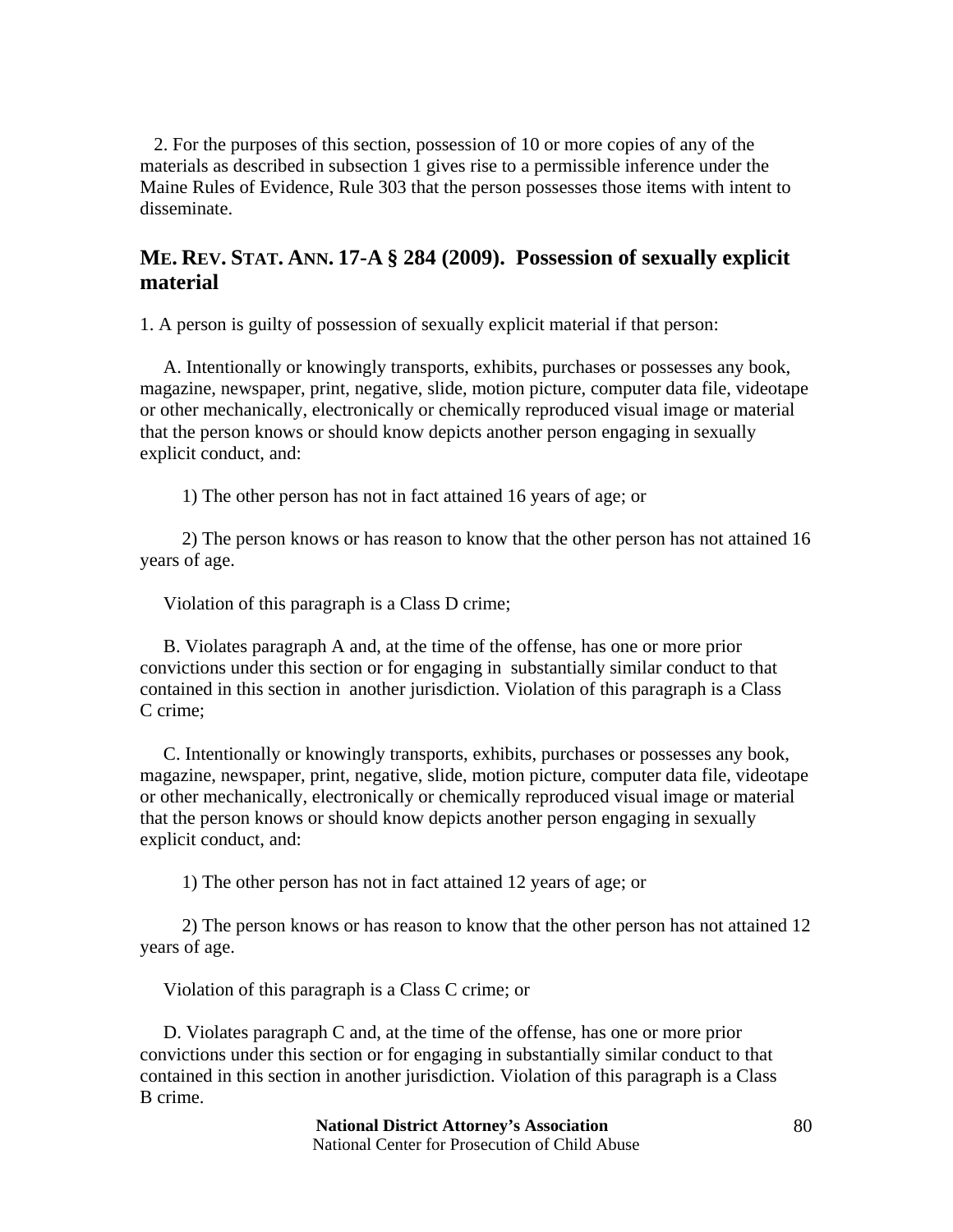2. For the purposes of this section, possession of 10 or more copies of any of the materials as described in subsection 1 gives rise to a permissible inference under the Maine Rules of Evidence, Rule 303 that the person possesses those items with intent to disseminate.

### **ME. REV. STAT. ANN. 17-A § 284 (2009). Possession of sexually explicit material**

1. A person is guilty of possession of sexually explicit material if that person:

 A. Intentionally or knowingly transports, exhibits, purchases or possesses any book, magazine, newspaper, print, negative, slide, motion picture, computer data file, videotape or other mechanically, electronically or chemically reproduced visual image or material that the person knows or should know depicts another person engaging in sexually explicit conduct, and:

1) The other person has not in fact attained 16 years of age; or

 2) The person knows or has reason to know that the other person has not attained 16 years of age.

Violation of this paragraph is a Class D crime;

 B. Violates paragraph A and, at the time of the offense, has one or more prior convictions under this section or for engaging in substantially similar conduct to that contained in this section in another jurisdiction. Violation of this paragraph is a Class C crime;

 C. Intentionally or knowingly transports, exhibits, purchases or possesses any book, magazine, newspaper, print, negative, slide, motion picture, computer data file, videotape or other mechanically, electronically or chemically reproduced visual image or material that the person knows or should know depicts another person engaging in sexually explicit conduct, and:

1) The other person has not in fact attained 12 years of age; or

 2) The person knows or has reason to know that the other person has not attained 12 years of age.

Violation of this paragraph is a Class C crime; or

 D. Violates paragraph C and, at the time of the offense, has one or more prior convictions under this section or for engaging in substantially similar conduct to that contained in this section in another jurisdiction. Violation of this paragraph is a Class B crime.

> **National District Attorney's Association**  National Center for Prosecution of Child Abuse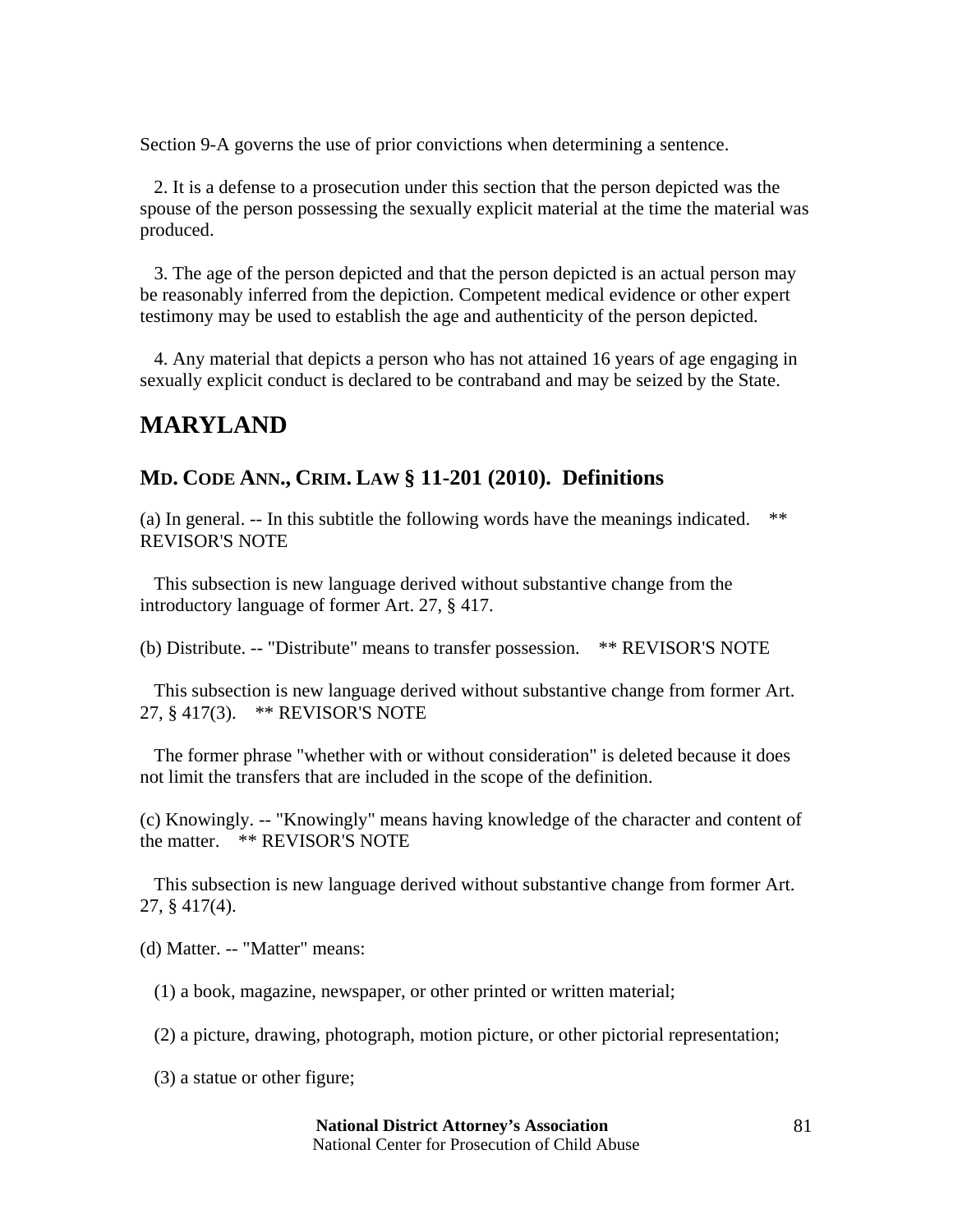Section 9-A governs the use of prior convictions when determining a sentence.

 2. It is a defense to a prosecution under this section that the person depicted was the spouse of the person possessing the sexually explicit material at the time the material was produced.

 3. The age of the person depicted and that the person depicted is an actual person may be reasonably inferred from the depiction. Competent medical evidence or other expert testimony may be used to establish the age and authenticity of the person depicted.

 4. Any material that depicts a person who has not attained 16 years of age engaging in sexually explicit conduct is declared to be contraband and may be seized by the State.

## **MARYLAND**

#### **MD. CODE ANN., CRIM. LAW § 11-201 (2010). Definitions**

(a) In general. -- In this subtitle the following words have the meanings indicated.  $**$ REVISOR'S NOTE

 This subsection is new language derived without substantive change from the introductory language of former Art. 27, § 417.

(b) Distribute. -- "Distribute" means to transfer possession. \*\* REVISOR'S NOTE

 This subsection is new language derived without substantive change from former Art. 27, § 417(3). \*\* REVISOR'S NOTE

 The former phrase "whether with or without consideration" is deleted because it does not limit the transfers that are included in the scope of the definition.

(c) Knowingly. -- "Knowingly" means having knowledge of the character and content of the matter. \*\* REVISOR'S NOTE

 This subsection is new language derived without substantive change from former Art. 27, § 417(4).

(d) Matter. -- "Matter" means:

(1) a book, magazine, newspaper, or other printed or written material;

(2) a picture, drawing, photograph, motion picture, or other pictorial representation;

(3) a statue or other figure;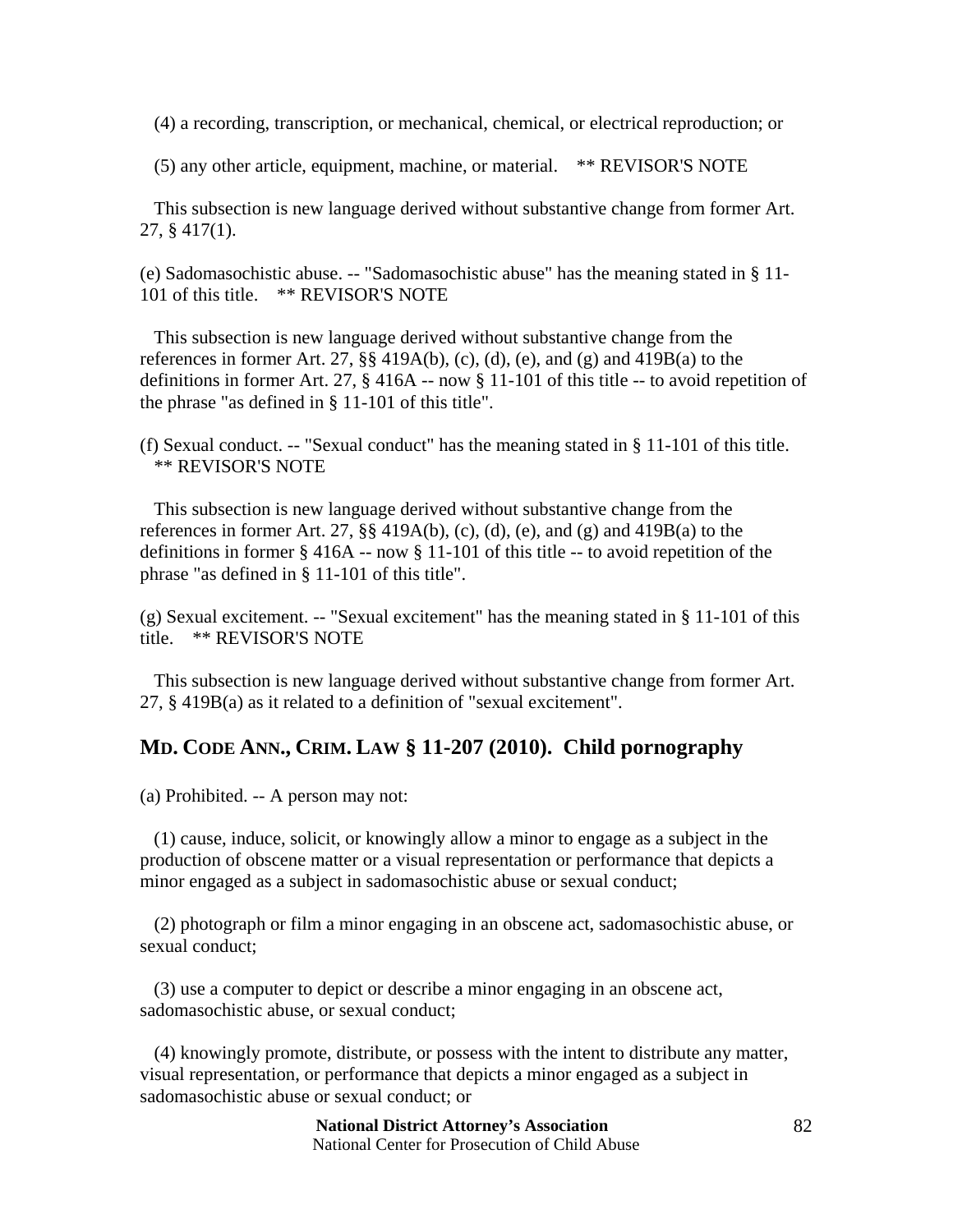(4) a recording, transcription, or mechanical, chemical, or electrical reproduction; or

(5) any other article, equipment, machine, or material. \*\* REVISOR'S NOTE

 This subsection is new language derived without substantive change from former Art. 27, § 417(1).

(e) Sadomasochistic abuse. -- "Sadomasochistic abuse" has the meaning stated in § 11- 101 of this title. \*\* REVISOR'S NOTE

 This subsection is new language derived without substantive change from the references in former Art. 27,  $\S$  $\S$  419A(b), (c), (d), (e), and (g) and 419B(a) to the definitions in former Art. 27, § 416A -- now § 11-101 of this title -- to avoid repetition of the phrase "as defined in § 11-101 of this title".

(f) Sexual conduct. -- "Sexual conduct" has the meaning stated in § 11-101 of this title. \*\* REVISOR'S NOTE

 This subsection is new language derived without substantive change from the references in former Art. 27,  $\S$  $\S$  419A(b), (c), (d), (e), and (g) and 419B(a) to the definitions in former § 416A -- now § 11-101 of this title -- to avoid repetition of the phrase "as defined in § 11-101 of this title".

(g) Sexual excitement. -- "Sexual excitement" has the meaning stated in § 11-101 of this title. \*\* REVISOR'S NOTE

 This subsection is new language derived without substantive change from former Art. 27, § 419B(a) as it related to a definition of "sexual excitement".

### **MD. CODE ANN., CRIM. LAW § 11-207 (2010). Child pornography**

(a) Prohibited. -- A person may not:

 (1) cause, induce, solicit, or knowingly allow a minor to engage as a subject in the production of obscene matter or a visual representation or performance that depicts a minor engaged as a subject in sadomasochistic abuse or sexual conduct;

 (2) photograph or film a minor engaging in an obscene act, sadomasochistic abuse, or sexual conduct;

 (3) use a computer to depict or describe a minor engaging in an obscene act, sadomasochistic abuse, or sexual conduct;

 (4) knowingly promote, distribute, or possess with the intent to distribute any matter, visual representation, or performance that depicts a minor engaged as a subject in sadomasochistic abuse or sexual conduct; or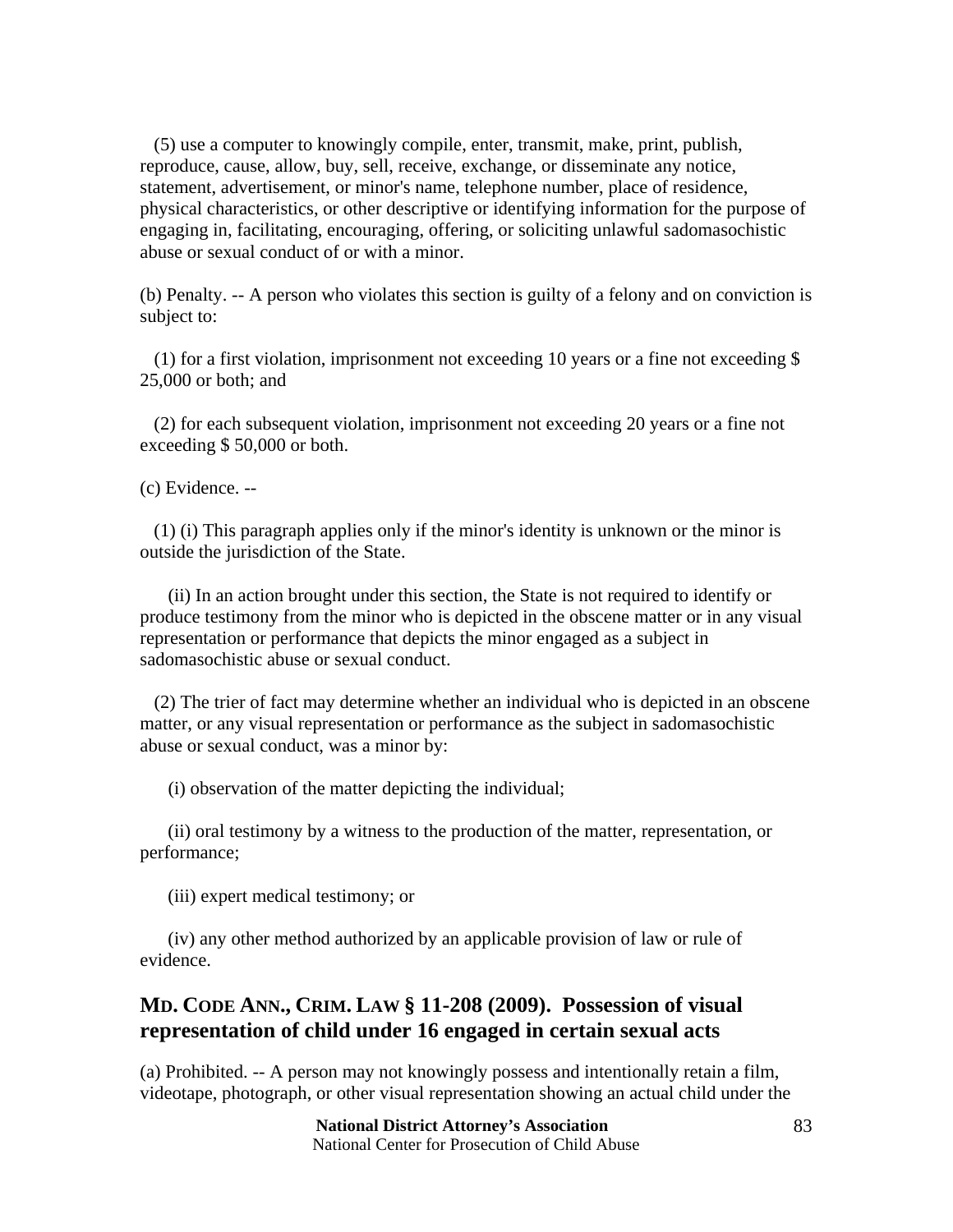(5) use a computer to knowingly compile, enter, transmit, make, print, publish, reproduce, cause, allow, buy, sell, receive, exchange, or disseminate any notice, statement, advertisement, or minor's name, telephone number, place of residence, physical characteristics, or other descriptive or identifying information for the purpose of engaging in, facilitating, encouraging, offering, or soliciting unlawful sadomasochistic abuse or sexual conduct of or with a minor.

(b) Penalty. -- A person who violates this section is guilty of a felony and on conviction is subject to:

 (1) for a first violation, imprisonment not exceeding 10 years or a fine not exceeding \$ 25,000 or both; and

 (2) for each subsequent violation, imprisonment not exceeding 20 years or a fine not exceeding \$ 50,000 or both.

(c) Evidence. --

 (1) (i) This paragraph applies only if the minor's identity is unknown or the minor is outside the jurisdiction of the State.

 (ii) In an action brought under this section, the State is not required to identify or produce testimony from the minor who is depicted in the obscene matter or in any visual representation or performance that depicts the minor engaged as a subject in sadomasochistic abuse or sexual conduct.

 (2) The trier of fact may determine whether an individual who is depicted in an obscene matter, or any visual representation or performance as the subject in sadomasochistic abuse or sexual conduct, was a minor by:

(i) observation of the matter depicting the individual;

 (ii) oral testimony by a witness to the production of the matter, representation, or performance;

(iii) expert medical testimony; or

 (iv) any other method authorized by an applicable provision of law or rule of evidence.

#### **MD. CODE ANN., CRIM. LAW § 11-208 (2009). Possession of visual representation of child under 16 engaged in certain sexual acts**

(a) Prohibited. -- A person may not knowingly possess and intentionally retain a film, videotape, photograph, or other visual representation showing an actual child under the

> **National District Attorney's Association**  National Center for Prosecution of Child Abuse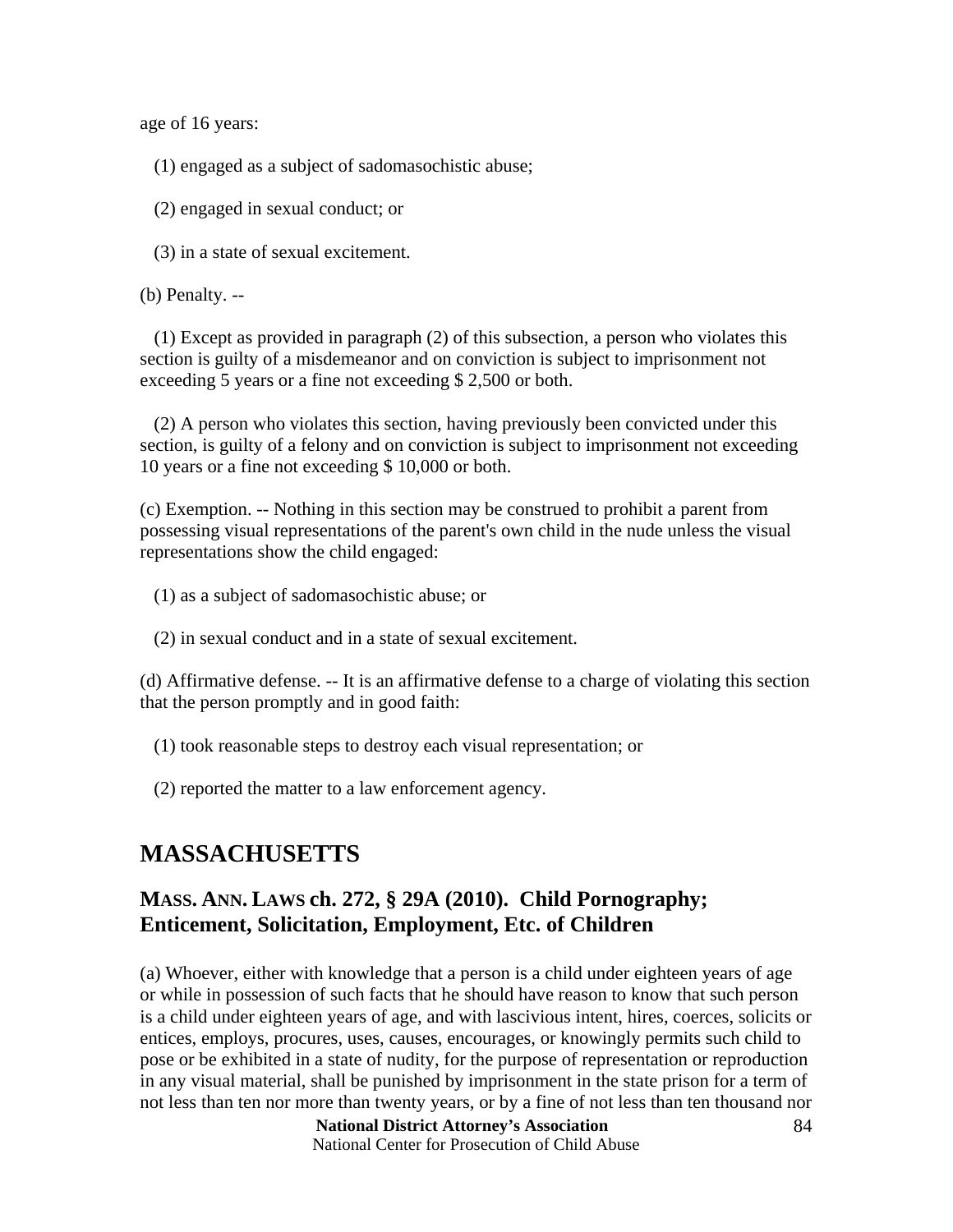age of 16 years:

(1) engaged as a subject of sadomasochistic abuse;

(2) engaged in sexual conduct; or

(3) in a state of sexual excitement.

(b) Penalty. --

 (1) Except as provided in paragraph (2) of this subsection, a person who violates this section is guilty of a misdemeanor and on conviction is subject to imprisonment not exceeding 5 years or a fine not exceeding \$ 2,500 or both.

 (2) A person who violates this section, having previously been convicted under this section, is guilty of a felony and on conviction is subject to imprisonment not exceeding 10 years or a fine not exceeding \$ 10,000 or both.

(c) Exemption. -- Nothing in this section may be construed to prohibit a parent from possessing visual representations of the parent's own child in the nude unless the visual representations show the child engaged:

(1) as a subject of sadomasochistic abuse; or

(2) in sexual conduct and in a state of sexual excitement.

(d) Affirmative defense. -- It is an affirmative defense to a charge of violating this section that the person promptly and in good faith:

(1) took reasonable steps to destroy each visual representation; or

(2) reported the matter to a law enforcement agency.

# **MASSACHUSETTS**

### **MASS. ANN. LAWS ch. 272, § 29A (2010). Child Pornography; Enticement, Solicitation, Employment, Etc. of Children**

(a) Whoever, either with knowledge that a person is a child under eighteen years of age or while in possession of such facts that he should have reason to know that such person is a child under eighteen years of age, and with lascivious intent, hires, coerces, solicits or entices, employs, procures, uses, causes, encourages, or knowingly permits such child to pose or be exhibited in a state of nudity, for the purpose of representation or reproduction in any visual material, shall be punished by imprisonment in the state prison for a term of not less than ten nor more than twenty years, or by a fine of not less than ten thousand nor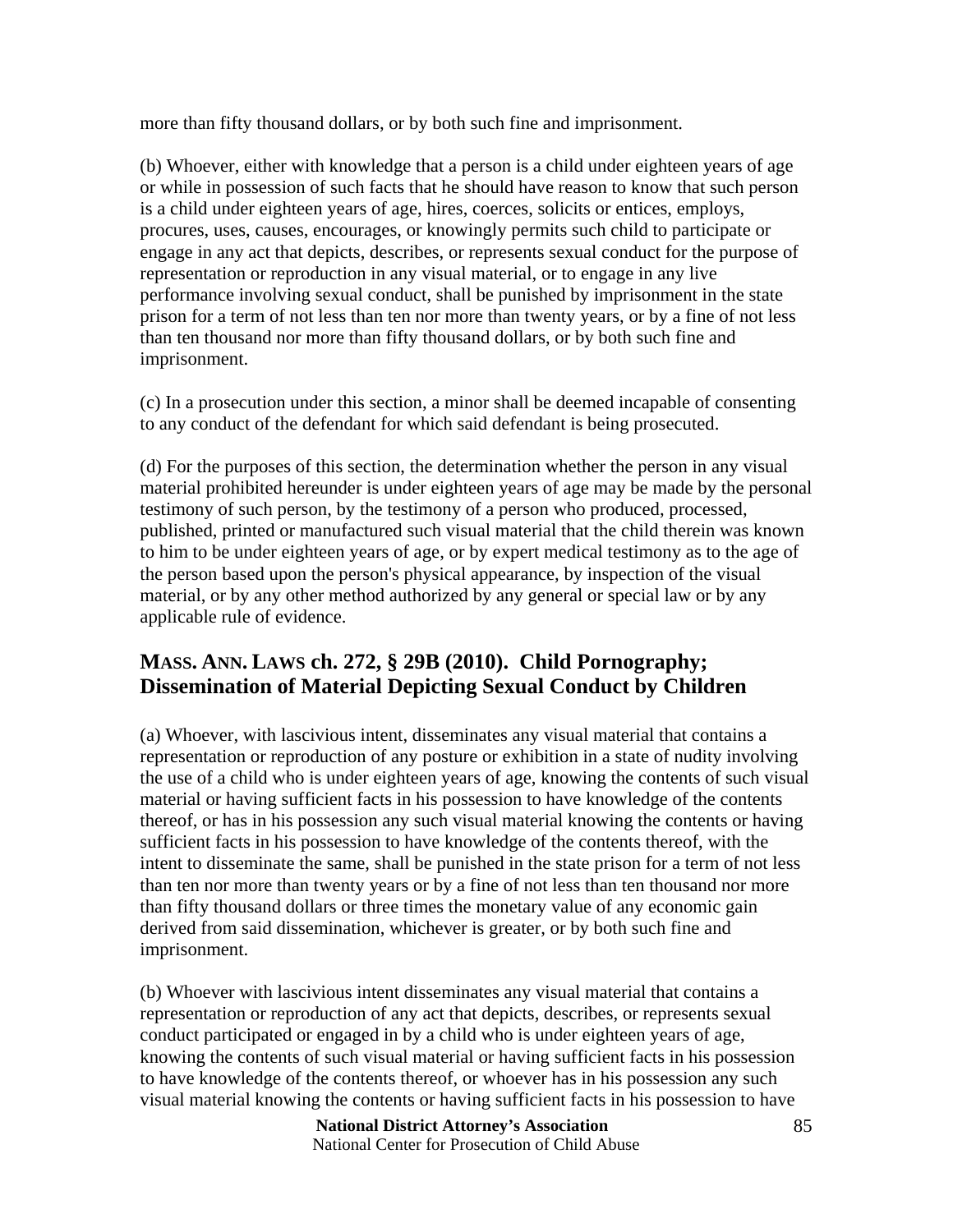more than fifty thousand dollars, or by both such fine and imprisonment.

(b) Whoever, either with knowledge that a person is a child under eighteen years of age or while in possession of such facts that he should have reason to know that such person is a child under eighteen years of age, hires, coerces, solicits or entices, employs, procures, uses, causes, encourages, or knowingly permits such child to participate or engage in any act that depicts, describes, or represents sexual conduct for the purpose of representation or reproduction in any visual material, or to engage in any live performance involving sexual conduct, shall be punished by imprisonment in the state prison for a term of not less than ten nor more than twenty years, or by a fine of not less than ten thousand nor more than fifty thousand dollars, or by both such fine and imprisonment.

(c) In a prosecution under this section, a minor shall be deemed incapable of consenting to any conduct of the defendant for which said defendant is being prosecuted.

(d) For the purposes of this section, the determination whether the person in any visual material prohibited hereunder is under eighteen years of age may be made by the personal testimony of such person, by the testimony of a person who produced, processed, published, printed or manufactured such visual material that the child therein was known to him to be under eighteen years of age, or by expert medical testimony as to the age of the person based upon the person's physical appearance, by inspection of the visual material, or by any other method authorized by any general or special law or by any applicable rule of evidence.

# **MASS. ANN. LAWS ch. 272, § 29B (2010). Child Pornography; Dissemination of Material Depicting Sexual Conduct by Children**

(a) Whoever, with lascivious intent, disseminates any visual material that contains a representation or reproduction of any posture or exhibition in a state of nudity involving the use of a child who is under eighteen years of age, knowing the contents of such visual material or having sufficient facts in his possession to have knowledge of the contents thereof, or has in his possession any such visual material knowing the contents or having sufficient facts in his possession to have knowledge of the contents thereof, with the intent to disseminate the same, shall be punished in the state prison for a term of not less than ten nor more than twenty years or by a fine of not less than ten thousand nor more than fifty thousand dollars or three times the monetary value of any economic gain derived from said dissemination, whichever is greater, or by both such fine and imprisonment.

(b) Whoever with lascivious intent disseminates any visual material that contains a representation or reproduction of any act that depicts, describes, or represents sexual conduct participated or engaged in by a child who is under eighteen years of age, knowing the contents of such visual material or having sufficient facts in his possession to have knowledge of the contents thereof, or whoever has in his possession any such visual material knowing the contents or having sufficient facts in his possession to have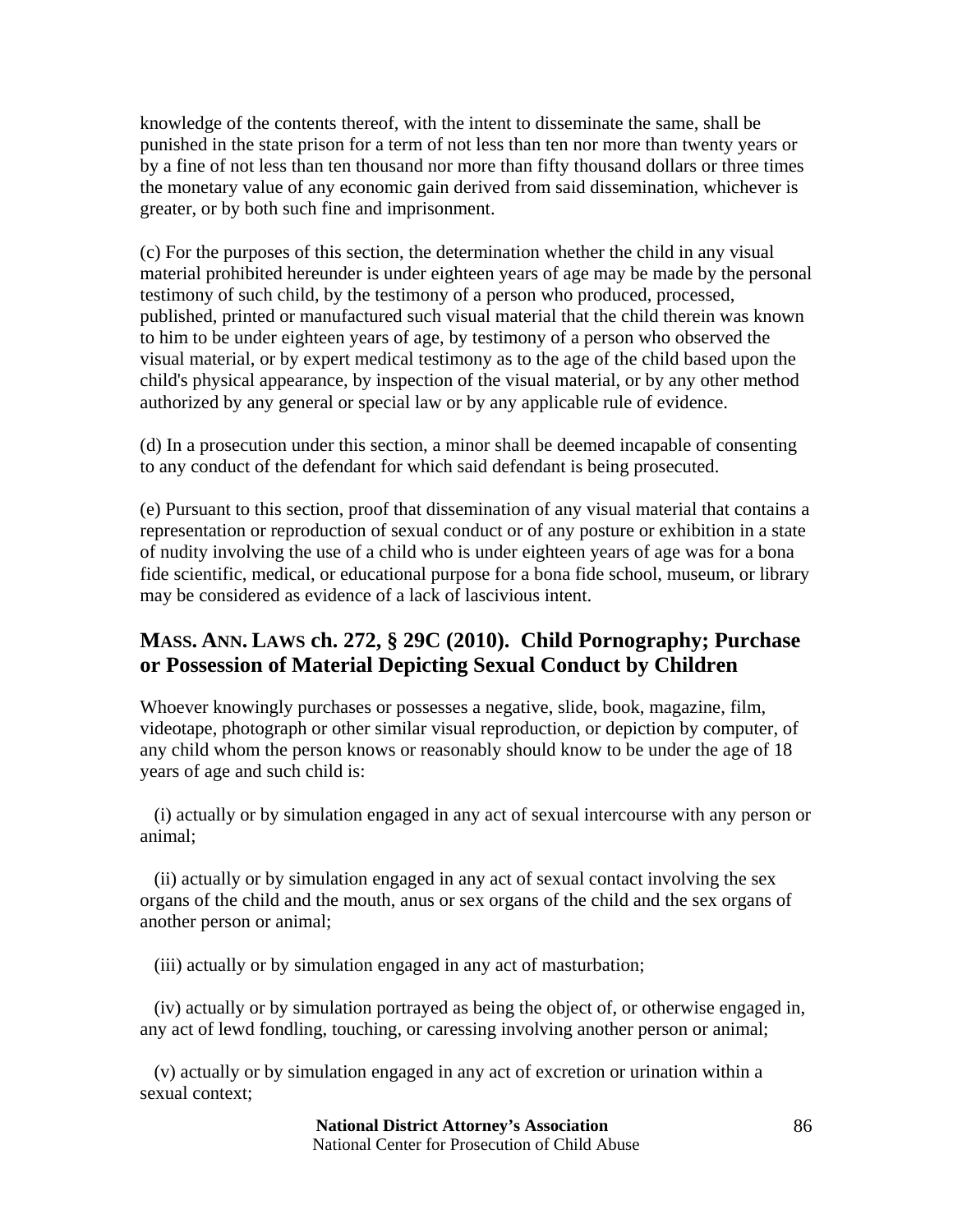knowledge of the contents thereof, with the intent to disseminate the same, shall be punished in the state prison for a term of not less than ten nor more than twenty years or by a fine of not less than ten thousand nor more than fifty thousand dollars or three times the monetary value of any economic gain derived from said dissemination, whichever is greater, or by both such fine and imprisonment.

(c) For the purposes of this section, the determination whether the child in any visual material prohibited hereunder is under eighteen years of age may be made by the personal testimony of such child, by the testimony of a person who produced, processed, published, printed or manufactured such visual material that the child therein was known to him to be under eighteen years of age, by testimony of a person who observed the visual material, or by expert medical testimony as to the age of the child based upon the child's physical appearance, by inspection of the visual material, or by any other method authorized by any general or special law or by any applicable rule of evidence.

(d) In a prosecution under this section, a minor shall be deemed incapable of consenting to any conduct of the defendant for which said defendant is being prosecuted.

(e) Pursuant to this section, proof that dissemination of any visual material that contains a representation or reproduction of sexual conduct or of any posture or exhibition in a state of nudity involving the use of a child who is under eighteen years of age was for a bona fide scientific, medical, or educational purpose for a bona fide school, museum, or library may be considered as evidence of a lack of lascivious intent.

### **MASS. ANN. LAWS ch. 272, § 29C (2010). Child Pornography; Purchase or Possession of Material Depicting Sexual Conduct by Children**

Whoever knowingly purchases or possesses a negative, slide, book, magazine, film, videotape, photograph or other similar visual reproduction, or depiction by computer, of any child whom the person knows or reasonably should know to be under the age of 18 years of age and such child is:

 (i) actually or by simulation engaged in any act of sexual intercourse with any person or animal;

 (ii) actually or by simulation engaged in any act of sexual contact involving the sex organs of the child and the mouth, anus or sex organs of the child and the sex organs of another person or animal;

(iii) actually or by simulation engaged in any act of masturbation;

 (iv) actually or by simulation portrayed as being the object of, or otherwise engaged in, any act of lewd fondling, touching, or caressing involving another person or animal;

 (v) actually or by simulation engaged in any act of excretion or urination within a sexual context;

> **National District Attorney's Association**  National Center for Prosecution of Child Abuse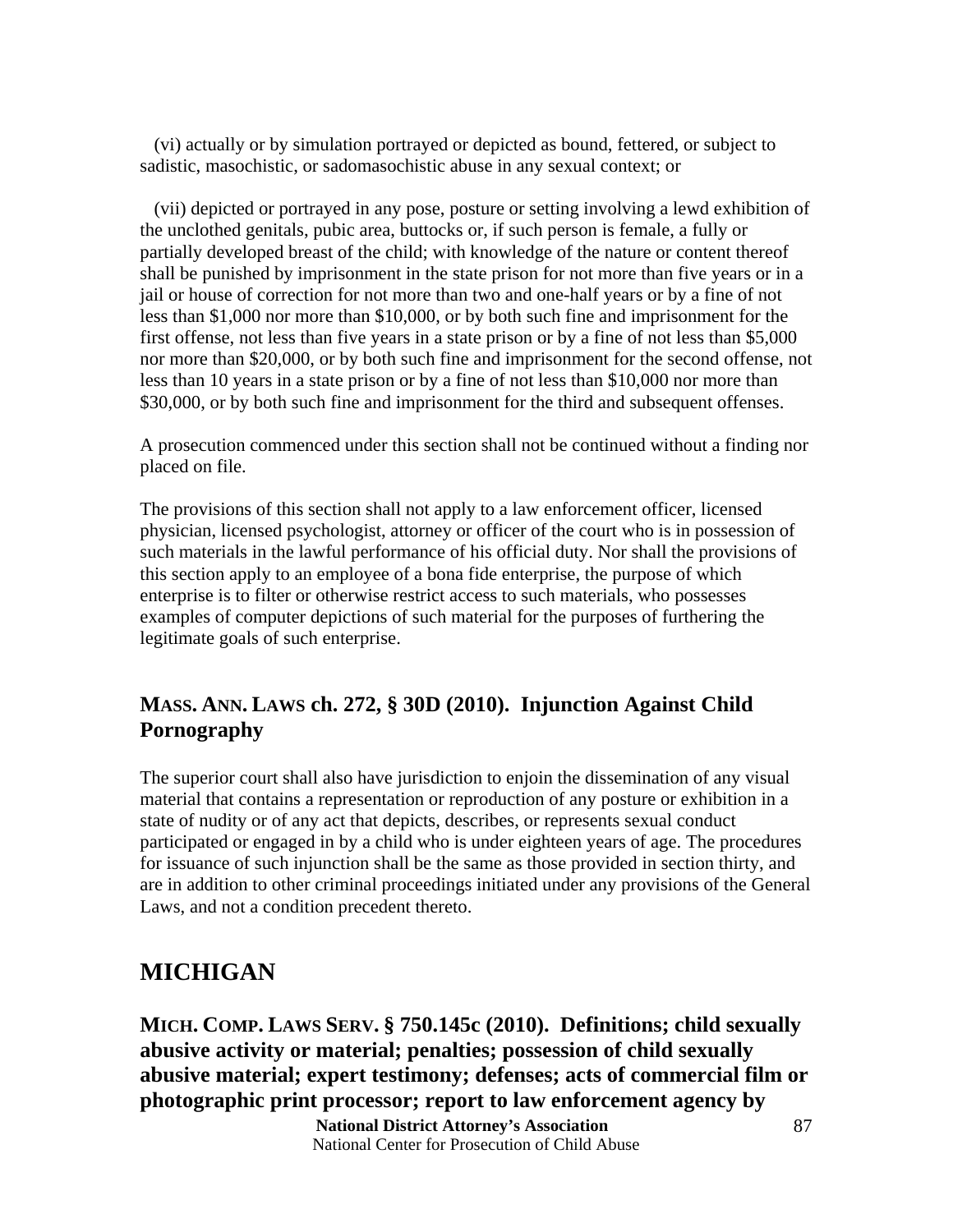(vi) actually or by simulation portrayed or depicted as bound, fettered, or subject to sadistic, masochistic, or sadomasochistic abuse in any sexual context; or

 (vii) depicted or portrayed in any pose, posture or setting involving a lewd exhibition of the unclothed genitals, pubic area, buttocks or, if such person is female, a fully or partially developed breast of the child; with knowledge of the nature or content thereof shall be punished by imprisonment in the state prison for not more than five years or in a jail or house of correction for not more than two and one-half years or by a fine of not less than \$1,000 nor more than \$10,000, or by both such fine and imprisonment for the first offense, not less than five years in a state prison or by a fine of not less than \$5,000 nor more than \$20,000, or by both such fine and imprisonment for the second offense, not less than 10 years in a state prison or by a fine of not less than \$10,000 nor more than \$30,000, or by both such fine and imprisonment for the third and subsequent offenses.

A prosecution commenced under this section shall not be continued without a finding nor placed on file.

The provisions of this section shall not apply to a law enforcement officer, licensed physician, licensed psychologist, attorney or officer of the court who is in possession of such materials in the lawful performance of his official duty. Nor shall the provisions of this section apply to an employee of a bona fide enterprise, the purpose of which enterprise is to filter or otherwise restrict access to such materials, who possesses examples of computer depictions of such material for the purposes of furthering the legitimate goals of such enterprise.

## **MASS. ANN. LAWS ch. 272, § 30D (2010). Injunction Against Child Pornography**

The superior court shall also have jurisdiction to enjoin the dissemination of any visual material that contains a representation or reproduction of any posture or exhibition in a state of nudity or of any act that depicts, describes, or represents sexual conduct participated or engaged in by a child who is under eighteen years of age. The procedures for issuance of such injunction shall be the same as those provided in section thirty, and are in addition to other criminal proceedings initiated under any provisions of the General Laws, and not a condition precedent thereto.

# **MICHIGAN**

**MICH. COMP. LAWS SERV. § 750.145c (2010). Definitions; child sexually abusive activity or material; penalties; possession of child sexually abusive material; expert testimony; defenses; acts of commercial film or photographic print processor; report to law enforcement agency by**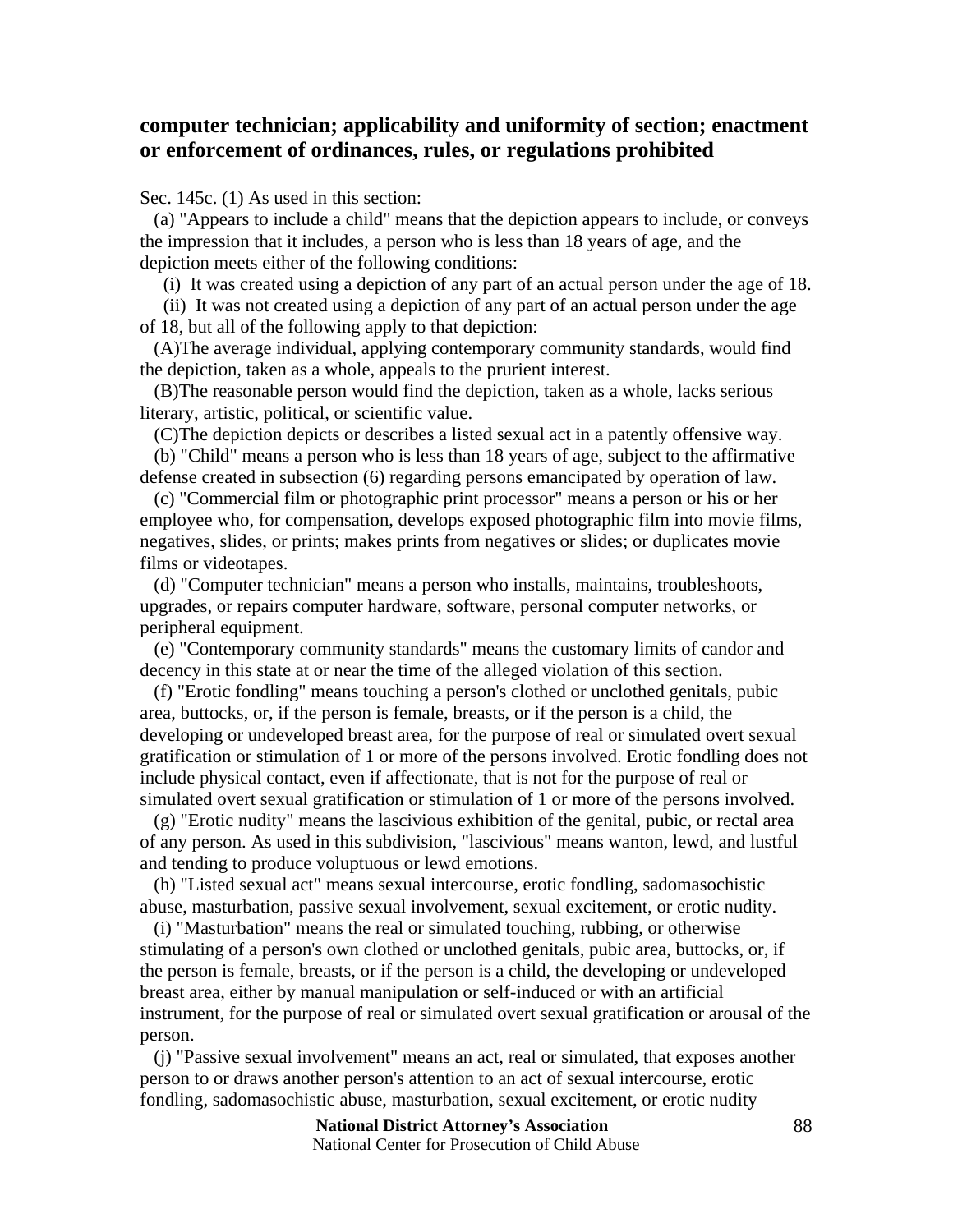### **computer technician; applicability and uniformity of section; enactment or enforcement of ordinances, rules, or regulations prohibited**

Sec. 145c. (1) As used in this section:

 (a) "Appears to include a child" means that the depiction appears to include, or conveys the impression that it includes, a person who is less than 18 years of age, and the depiction meets either of the following conditions:

(i) It was created using a depiction of any part of an actual person under the age of 18.

 (ii) It was not created using a depiction of any part of an actual person under the age of 18, but all of the following apply to that depiction:

 (A)The average individual, applying contemporary community standards, would find the depiction, taken as a whole, appeals to the prurient interest.

 (B)The reasonable person would find the depiction, taken as a whole, lacks serious literary, artistic, political, or scientific value.

(C)The depiction depicts or describes a listed sexual act in a patently offensive way.

 (b) "Child" means a person who is less than 18 years of age, subject to the affirmative defense created in subsection (6) regarding persons emancipated by operation of law.

 (c) "Commercial film or photographic print processor" means a person or his or her employee who, for compensation, develops exposed photographic film into movie films, negatives, slides, or prints; makes prints from negatives or slides; or duplicates movie films or videotapes.

 (d) "Computer technician" means a person who installs, maintains, troubleshoots, upgrades, or repairs computer hardware, software, personal computer networks, or peripheral equipment.

 (e) "Contemporary community standards" means the customary limits of candor and decency in this state at or near the time of the alleged violation of this section.

 (f) "Erotic fondling" means touching a person's clothed or unclothed genitals, pubic area, buttocks, or, if the person is female, breasts, or if the person is a child, the developing or undeveloped breast area, for the purpose of real or simulated overt sexual gratification or stimulation of 1 or more of the persons involved. Erotic fondling does not include physical contact, even if affectionate, that is not for the purpose of real or simulated overt sexual gratification or stimulation of 1 or more of the persons involved.

 (g) "Erotic nudity" means the lascivious exhibition of the genital, pubic, or rectal area of any person. As used in this subdivision, "lascivious" means wanton, lewd, and lustful and tending to produce voluptuous or lewd emotions.

 (h) "Listed sexual act" means sexual intercourse, erotic fondling, sadomasochistic abuse, masturbation, passive sexual involvement, sexual excitement, or erotic nudity.

 (i) "Masturbation" means the real or simulated touching, rubbing, or otherwise stimulating of a person's own clothed or unclothed genitals, pubic area, buttocks, or, if the person is female, breasts, or if the person is a child, the developing or undeveloped breast area, either by manual manipulation or self-induced or with an artificial instrument, for the purpose of real or simulated overt sexual gratification or arousal of the person.

 (j) "Passive sexual involvement" means an act, real or simulated, that exposes another person to or draws another person's attention to an act of sexual intercourse, erotic fondling, sadomasochistic abuse, masturbation, sexual excitement, or erotic nudity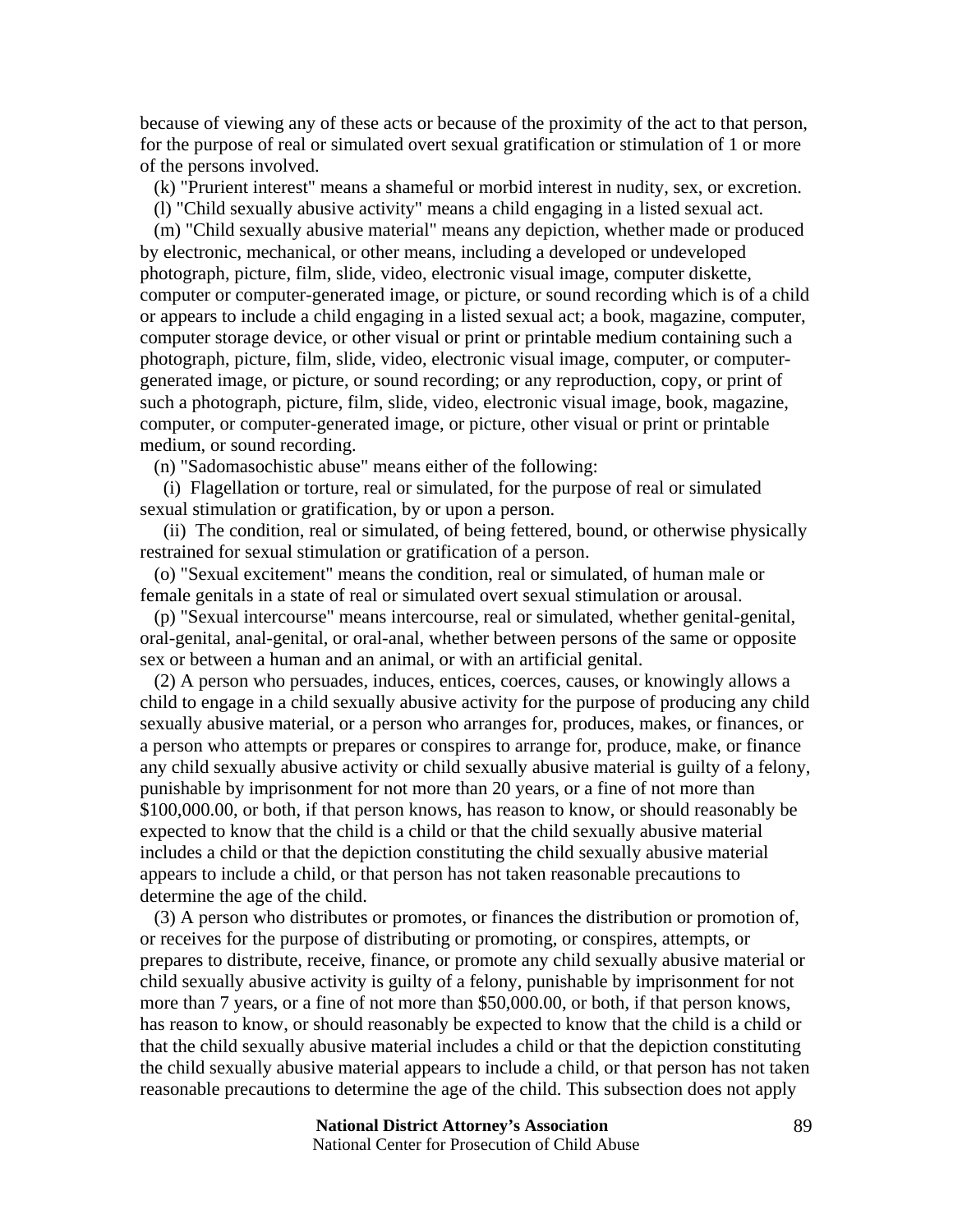because of viewing any of these acts or because of the proximity of the act to that person, for the purpose of real or simulated overt sexual gratification or stimulation of 1 or more of the persons involved.

(k) "Prurient interest" means a shameful or morbid interest in nudity, sex, or excretion.

(l) "Child sexually abusive activity" means a child engaging in a listed sexual act.

 (m) "Child sexually abusive material" means any depiction, whether made or produced by electronic, mechanical, or other means, including a developed or undeveloped photograph, picture, film, slide, video, electronic visual image, computer diskette, computer or computer-generated image, or picture, or sound recording which is of a child or appears to include a child engaging in a listed sexual act; a book, magazine, computer, computer storage device, or other visual or print or printable medium containing such a photograph, picture, film, slide, video, electronic visual image, computer, or computergenerated image, or picture, or sound recording; or any reproduction, copy, or print of such a photograph, picture, film, slide, video, electronic visual image, book, magazine, computer, or computer-generated image, or picture, other visual or print or printable medium, or sound recording.

(n) "Sadomasochistic abuse" means either of the following:

 (i) Flagellation or torture, real or simulated, for the purpose of real or simulated sexual stimulation or gratification, by or upon a person.

 (ii) The condition, real or simulated, of being fettered, bound, or otherwise physically restrained for sexual stimulation or gratification of a person.

 (o) "Sexual excitement" means the condition, real or simulated, of human male or female genitals in a state of real or simulated overt sexual stimulation or arousal.

 (p) "Sexual intercourse" means intercourse, real or simulated, whether genital-genital, oral-genital, anal-genital, or oral-anal, whether between persons of the same or opposite sex or between a human and an animal, or with an artificial genital.

 (2) A person who persuades, induces, entices, coerces, causes, or knowingly allows a child to engage in a child sexually abusive activity for the purpose of producing any child sexually abusive material, or a person who arranges for, produces, makes, or finances, or a person who attempts or prepares or conspires to arrange for, produce, make, or finance any child sexually abusive activity or child sexually abusive material is guilty of a felony, punishable by imprisonment for not more than 20 years, or a fine of not more than \$100,000.00, or both, if that person knows, has reason to know, or should reasonably be expected to know that the child is a child or that the child sexually abusive material includes a child or that the depiction constituting the child sexually abusive material appears to include a child, or that person has not taken reasonable precautions to determine the age of the child.

 (3) A person who distributes or promotes, or finances the distribution or promotion of, or receives for the purpose of distributing or promoting, or conspires, attempts, or prepares to distribute, receive, finance, or promote any child sexually abusive material or child sexually abusive activity is guilty of a felony, punishable by imprisonment for not more than 7 years, or a fine of not more than \$50,000.00, or both, if that person knows, has reason to know, or should reasonably be expected to know that the child is a child or that the child sexually abusive material includes a child or that the depiction constituting the child sexually abusive material appears to include a child, or that person has not taken reasonable precautions to determine the age of the child. This subsection does not apply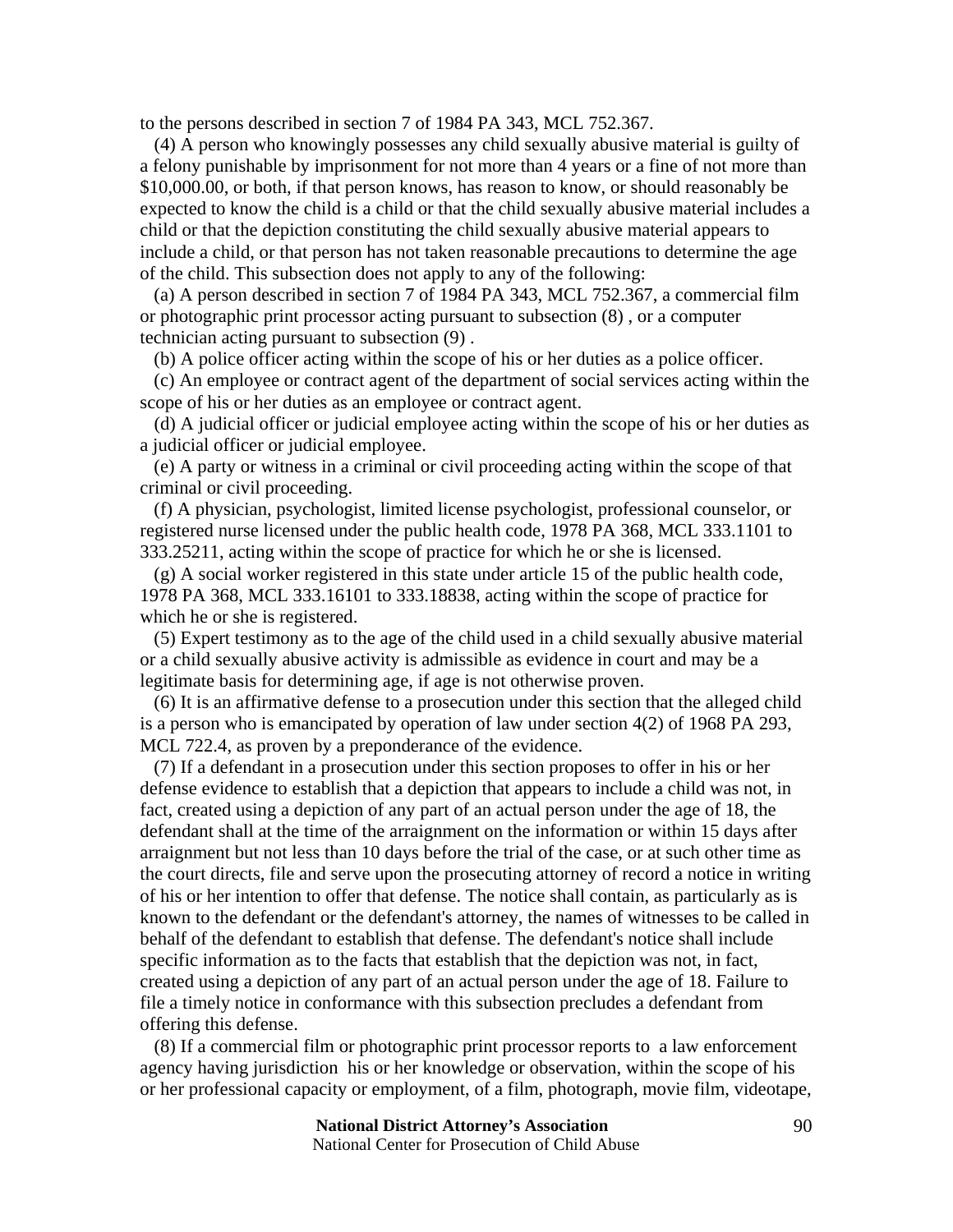to the persons described in section 7 of 1984 PA 343, MCL 752.367.

 (4) A person who knowingly possesses any child sexually abusive material is guilty of a felony punishable by imprisonment for not more than 4 years or a fine of not more than \$10,000.00, or both, if that person knows, has reason to know, or should reasonably be expected to know the child is a child or that the child sexually abusive material includes a child or that the depiction constituting the child sexually abusive material appears to include a child, or that person has not taken reasonable precautions to determine the age of the child. This subsection does not apply to any of the following:

 (a) A person described in section 7 of 1984 PA 343, MCL 752.367, a commercial film or photographic print processor acting pursuant to subsection (8) , or a computer technician acting pursuant to subsection (9) .

(b) A police officer acting within the scope of his or her duties as a police officer.

 (c) An employee or contract agent of the department of social services acting within the scope of his or her duties as an employee or contract agent.

 (d) A judicial officer or judicial employee acting within the scope of his or her duties as a judicial officer or judicial employee.

 (e) A party or witness in a criminal or civil proceeding acting within the scope of that criminal or civil proceeding.

 (f) A physician, psychologist, limited license psychologist, professional counselor, or registered nurse licensed under the public health code, 1978 PA 368, MCL 333.1101 to 333.25211, acting within the scope of practice for which he or she is licensed.

 (g) A social worker registered in this state under article 15 of the public health code, 1978 PA 368, MCL 333.16101 to 333.18838, acting within the scope of practice for which he or she is registered.

 (5) Expert testimony as to the age of the child used in a child sexually abusive material or a child sexually abusive activity is admissible as evidence in court and may be a legitimate basis for determining age, if age is not otherwise proven.

 (6) It is an affirmative defense to a prosecution under this section that the alleged child is a person who is emancipated by operation of law under section 4(2) of 1968 PA 293, MCL 722.4, as proven by a preponderance of the evidence.

 (7) If a defendant in a prosecution under this section proposes to offer in his or her defense evidence to establish that a depiction that appears to include a child was not, in fact, created using a depiction of any part of an actual person under the age of 18, the defendant shall at the time of the arraignment on the information or within 15 days after arraignment but not less than 10 days before the trial of the case, or at such other time as the court directs, file and serve upon the prosecuting attorney of record a notice in writing of his or her intention to offer that defense. The notice shall contain, as particularly as is known to the defendant or the defendant's attorney, the names of witnesses to be called in behalf of the defendant to establish that defense. The defendant's notice shall include specific information as to the facts that establish that the depiction was not, in fact, created using a depiction of any part of an actual person under the age of 18. Failure to file a timely notice in conformance with this subsection precludes a defendant from offering this defense.

 (8) If a commercial film or photographic print processor reports to a law enforcement agency having jurisdiction his or her knowledge or observation, within the scope of his or her professional capacity or employment, of a film, photograph, movie film, videotape,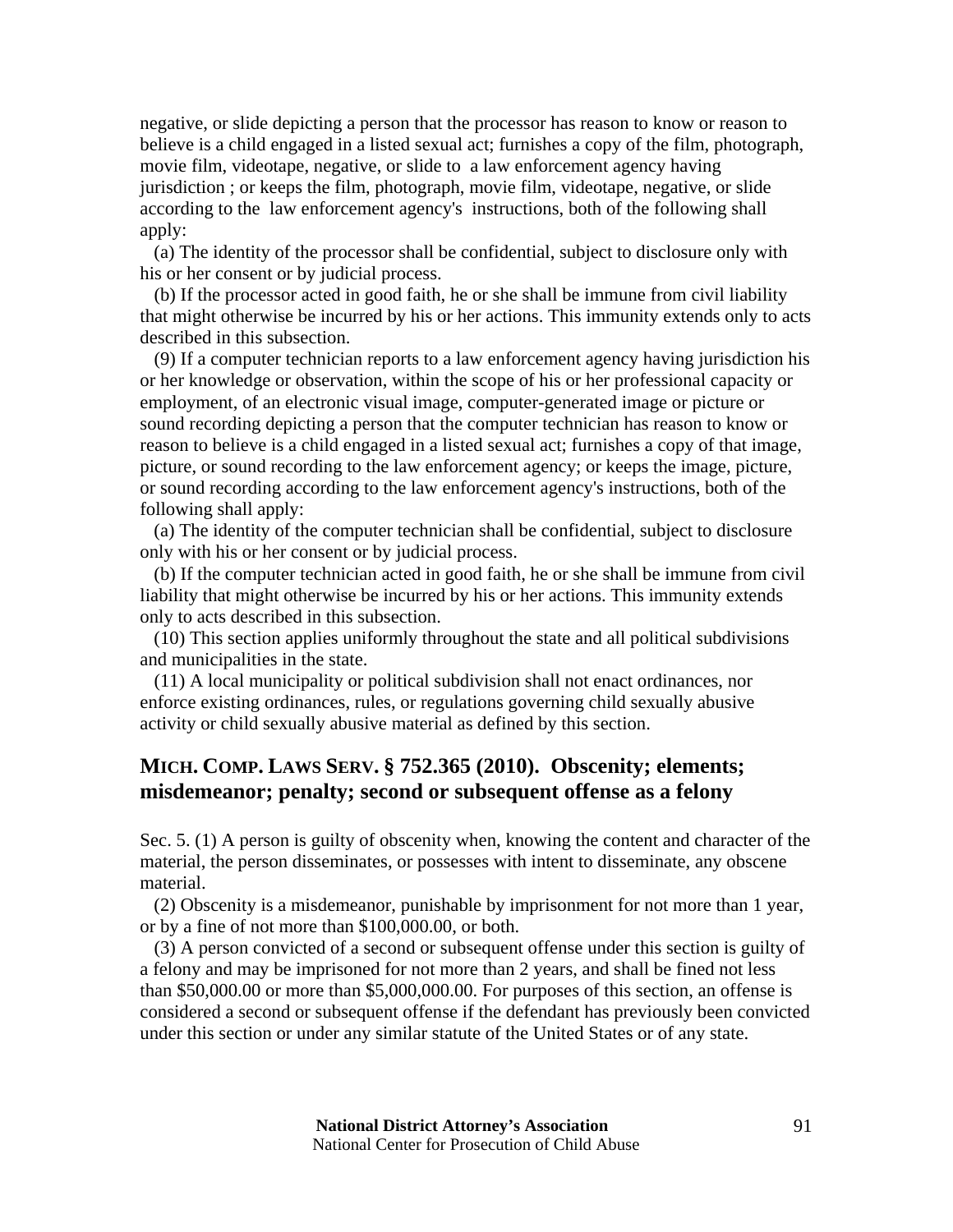negative, or slide depicting a person that the processor has reason to know or reason to believe is a child engaged in a listed sexual act; furnishes a copy of the film, photograph, movie film, videotape, negative, or slide to a law enforcement agency having jurisdiction ; or keeps the film, photograph, movie film, videotape, negative, or slide according to the law enforcement agency's instructions, both of the following shall apply:

 (a) The identity of the processor shall be confidential, subject to disclosure only with his or her consent or by judicial process.

 (b) If the processor acted in good faith, he or she shall be immune from civil liability that might otherwise be incurred by his or her actions. This immunity extends only to acts described in this subsection.

 (9) If a computer technician reports to a law enforcement agency having jurisdiction his or her knowledge or observation, within the scope of his or her professional capacity or employment, of an electronic visual image, computer-generated image or picture or sound recording depicting a person that the computer technician has reason to know or reason to believe is a child engaged in a listed sexual act; furnishes a copy of that image, picture, or sound recording to the law enforcement agency; or keeps the image, picture, or sound recording according to the law enforcement agency's instructions, both of the following shall apply:

 (a) The identity of the computer technician shall be confidential, subject to disclosure only with his or her consent or by judicial process.

 (b) If the computer technician acted in good faith, he or she shall be immune from civil liability that might otherwise be incurred by his or her actions. This immunity extends only to acts described in this subsection.

 (10) This section applies uniformly throughout the state and all political subdivisions and municipalities in the state.

 (11) A local municipality or political subdivision shall not enact ordinances, nor enforce existing ordinances, rules, or regulations governing child sexually abusive activity or child sexually abusive material as defined by this section.

### **MICH. COMP. LAWS SERV. § 752.365 (2010). Obscenity; elements; misdemeanor; penalty; second or subsequent offense as a felony**

Sec. 5. (1) A person is guilty of obscenity when, knowing the content and character of the material, the person disseminates, or possesses with intent to disseminate, any obscene material.

 (2) Obscenity is a misdemeanor, punishable by imprisonment for not more than 1 year, or by a fine of not more than \$100,000.00, or both.

 (3) A person convicted of a second or subsequent offense under this section is guilty of a felony and may be imprisoned for not more than 2 years, and shall be fined not less than \$50,000.00 or more than \$5,000,000.00. For purposes of this section, an offense is considered a second or subsequent offense if the defendant has previously been convicted under this section or under any similar statute of the United States or of any state.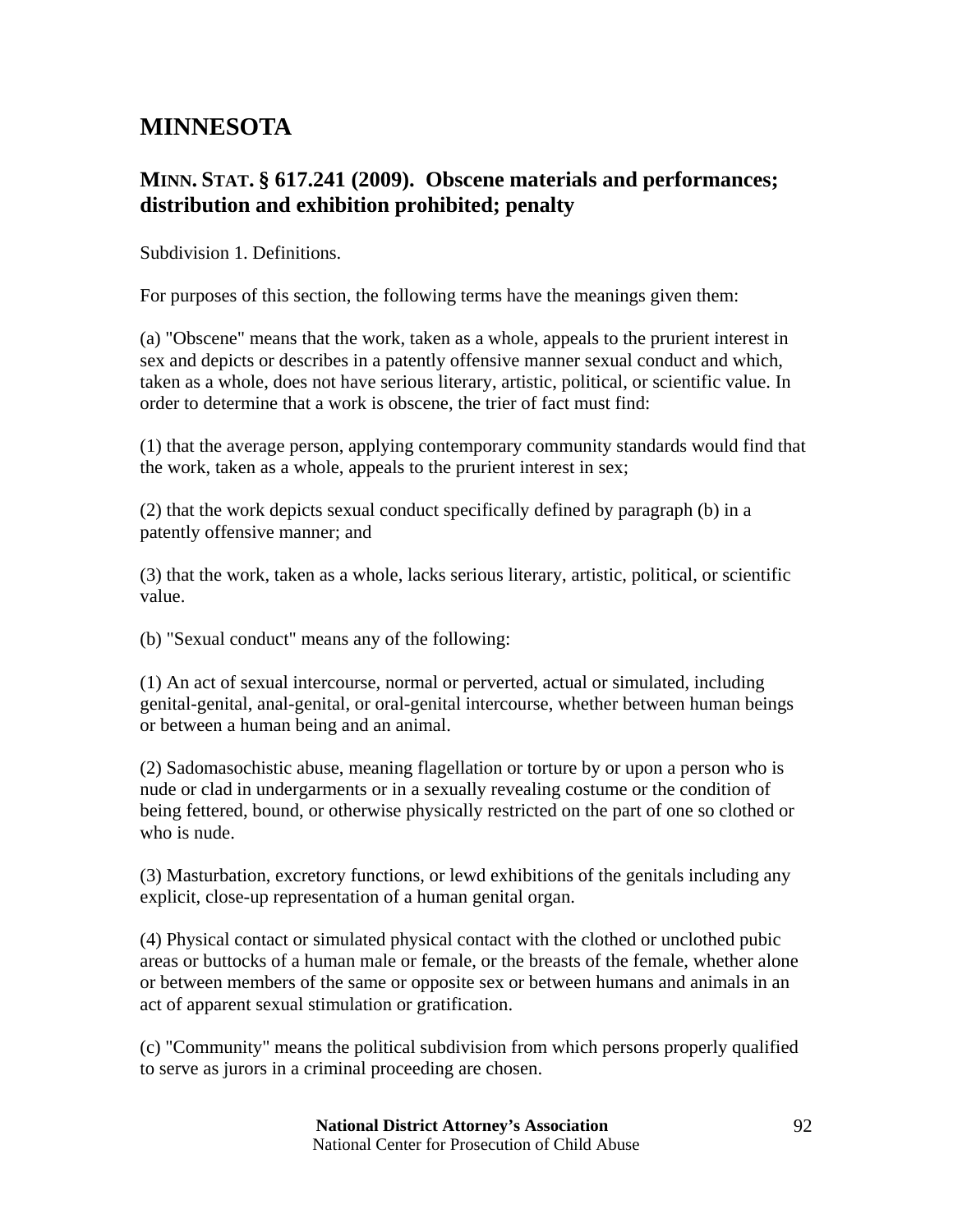# **MINNESOTA**

### **MINN. STAT. § 617.241 (2009). Obscene materials and performances; distribution and exhibition prohibited; penalty**

Subdivision 1. Definitions.

For purposes of this section, the following terms have the meanings given them:

(a) "Obscene" means that the work, taken as a whole, appeals to the prurient interest in sex and depicts or describes in a patently offensive manner sexual conduct and which, taken as a whole, does not have serious literary, artistic, political, or scientific value. In order to determine that a work is obscene, the trier of fact must find:

(1) that the average person, applying contemporary community standards would find that the work, taken as a whole, appeals to the prurient interest in sex;

(2) that the work depicts sexual conduct specifically defined by paragraph (b) in a patently offensive manner; and

(3) that the work, taken as a whole, lacks serious literary, artistic, political, or scientific value.

(b) "Sexual conduct" means any of the following:

(1) An act of sexual intercourse, normal or perverted, actual or simulated, including genital-genital, anal-genital, or oral-genital intercourse, whether between human beings or between a human being and an animal.

(2) Sadomasochistic abuse, meaning flagellation or torture by or upon a person who is nude or clad in undergarments or in a sexually revealing costume or the condition of being fettered, bound, or otherwise physically restricted on the part of one so clothed or who is nude.

(3) Masturbation, excretory functions, or lewd exhibitions of the genitals including any explicit, close-up representation of a human genital organ.

(4) Physical contact or simulated physical contact with the clothed or unclothed pubic areas or buttocks of a human male or female, or the breasts of the female, whether alone or between members of the same or opposite sex or between humans and animals in an act of apparent sexual stimulation or gratification.

(c) "Community" means the political subdivision from which persons properly qualified to serve as jurors in a criminal proceeding are chosen.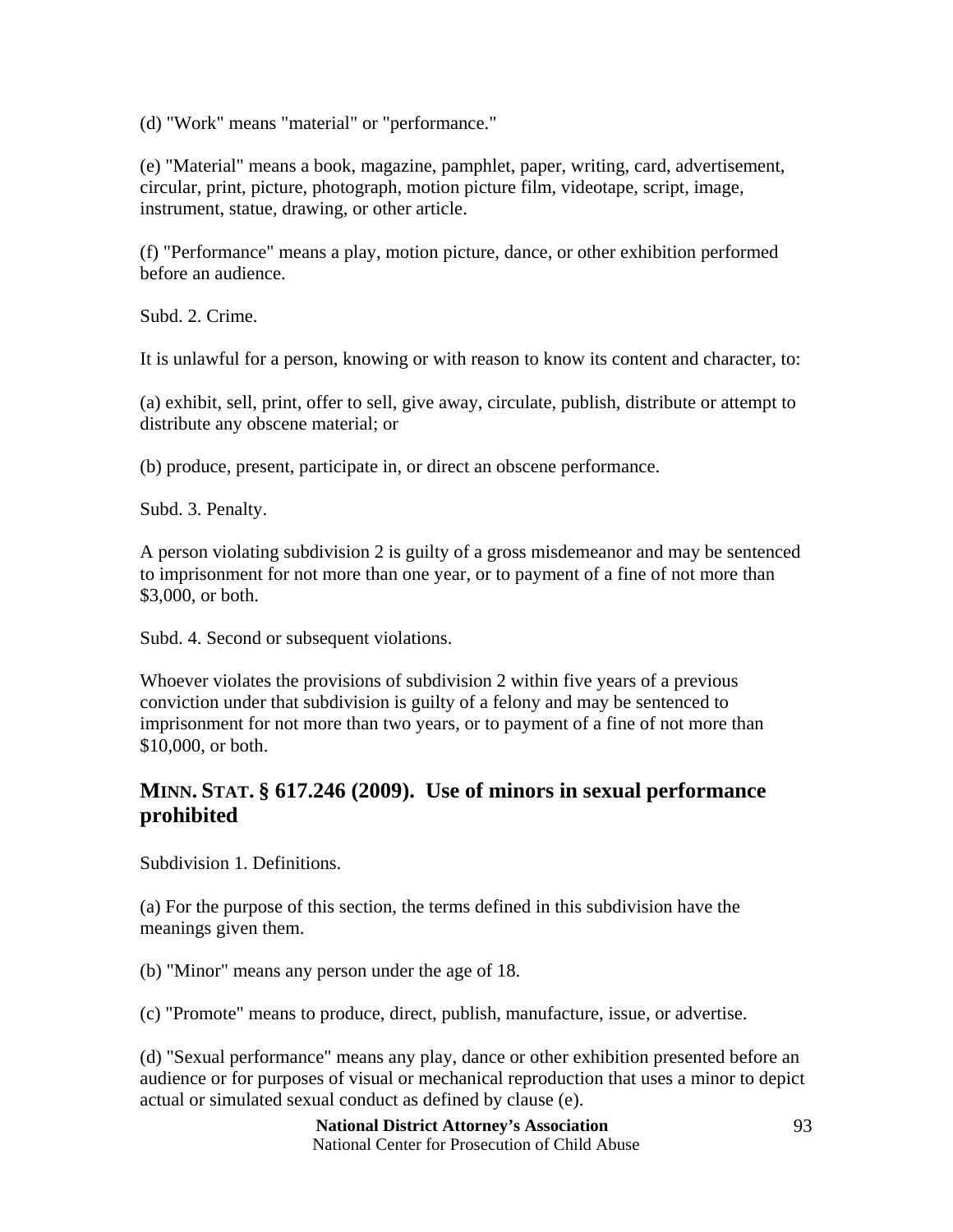(d) "Work" means "material" or "performance."

(e) "Material" means a book, magazine, pamphlet, paper, writing, card, advertisement, circular, print, picture, photograph, motion picture film, videotape, script, image, instrument, statue, drawing, or other article.

(f) "Performance" means a play, motion picture, dance, or other exhibition performed before an audience.

Subd. 2. Crime.

It is unlawful for a person, knowing or with reason to know its content and character, to:

(a) exhibit, sell, print, offer to sell, give away, circulate, publish, distribute or attempt to distribute any obscene material; or

(b) produce, present, participate in, or direct an obscene performance.

Subd. 3. Penalty.

A person violating subdivision 2 is guilty of a gross misdemeanor and may be sentenced to imprisonment for not more than one year, or to payment of a fine of not more than \$3,000, or both.

Subd. 4. Second or subsequent violations.

Whoever violates the provisions of subdivision 2 within five years of a previous conviction under that subdivision is guilty of a felony and may be sentenced to imprisonment for not more than two years, or to payment of a fine of not more than \$10,000, or both.

### **MINN. STAT. § 617.246 (2009). Use of minors in sexual performance prohibited**

Subdivision 1. Definitions.

(a) For the purpose of this section, the terms defined in this subdivision have the meanings given them.

(b) "Minor" means any person under the age of 18.

(c) "Promote" means to produce, direct, publish, manufacture, issue, or advertise.

(d) "Sexual performance" means any play, dance or other exhibition presented before an audience or for purposes of visual or mechanical reproduction that uses a minor to depict actual or simulated sexual conduct as defined by clause (e).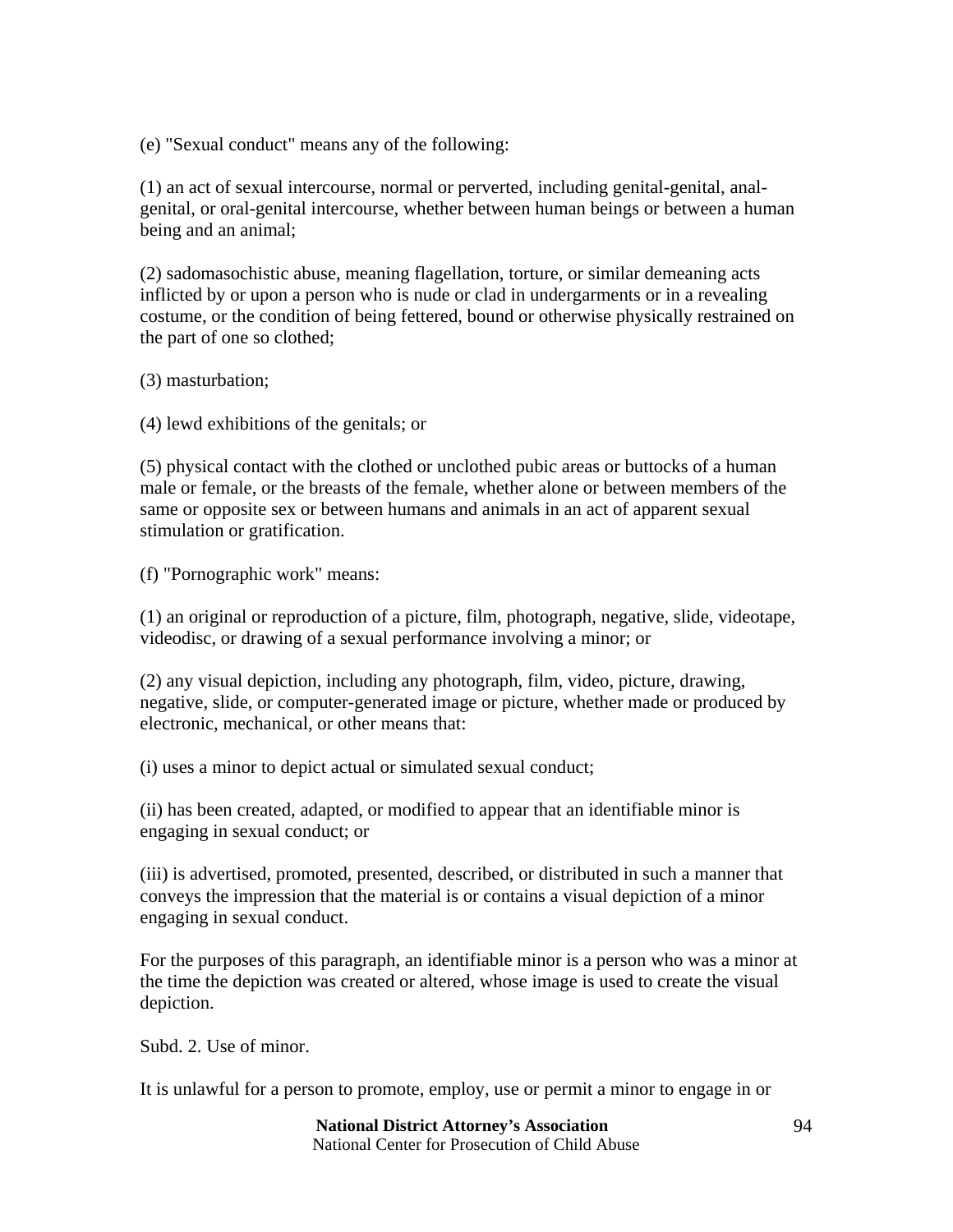(e) "Sexual conduct" means any of the following:

(1) an act of sexual intercourse, normal or perverted, including genital-genital, analgenital, or oral-genital intercourse, whether between human beings or between a human being and an animal;

(2) sadomasochistic abuse, meaning flagellation, torture, or similar demeaning acts inflicted by or upon a person who is nude or clad in undergarments or in a revealing costume, or the condition of being fettered, bound or otherwise physically restrained on the part of one so clothed;

(3) masturbation;

(4) lewd exhibitions of the genitals; or

(5) physical contact with the clothed or unclothed pubic areas or buttocks of a human male or female, or the breasts of the female, whether alone or between members of the same or opposite sex or between humans and animals in an act of apparent sexual stimulation or gratification.

(f) "Pornographic work" means:

(1) an original or reproduction of a picture, film, photograph, negative, slide, videotape, videodisc, or drawing of a sexual performance involving a minor; or

(2) any visual depiction, including any photograph, film, video, picture, drawing, negative, slide, or computer-generated image or picture, whether made or produced by electronic, mechanical, or other means that:

(i) uses a minor to depict actual or simulated sexual conduct;

(ii) has been created, adapted, or modified to appear that an identifiable minor is engaging in sexual conduct; or

(iii) is advertised, promoted, presented, described, or distributed in such a manner that conveys the impression that the material is or contains a visual depiction of a minor engaging in sexual conduct.

For the purposes of this paragraph, an identifiable minor is a person who was a minor at the time the depiction was created or altered, whose image is used to create the visual depiction.

Subd. 2. Use of minor.

It is unlawful for a person to promote, employ, use or permit a minor to engage in or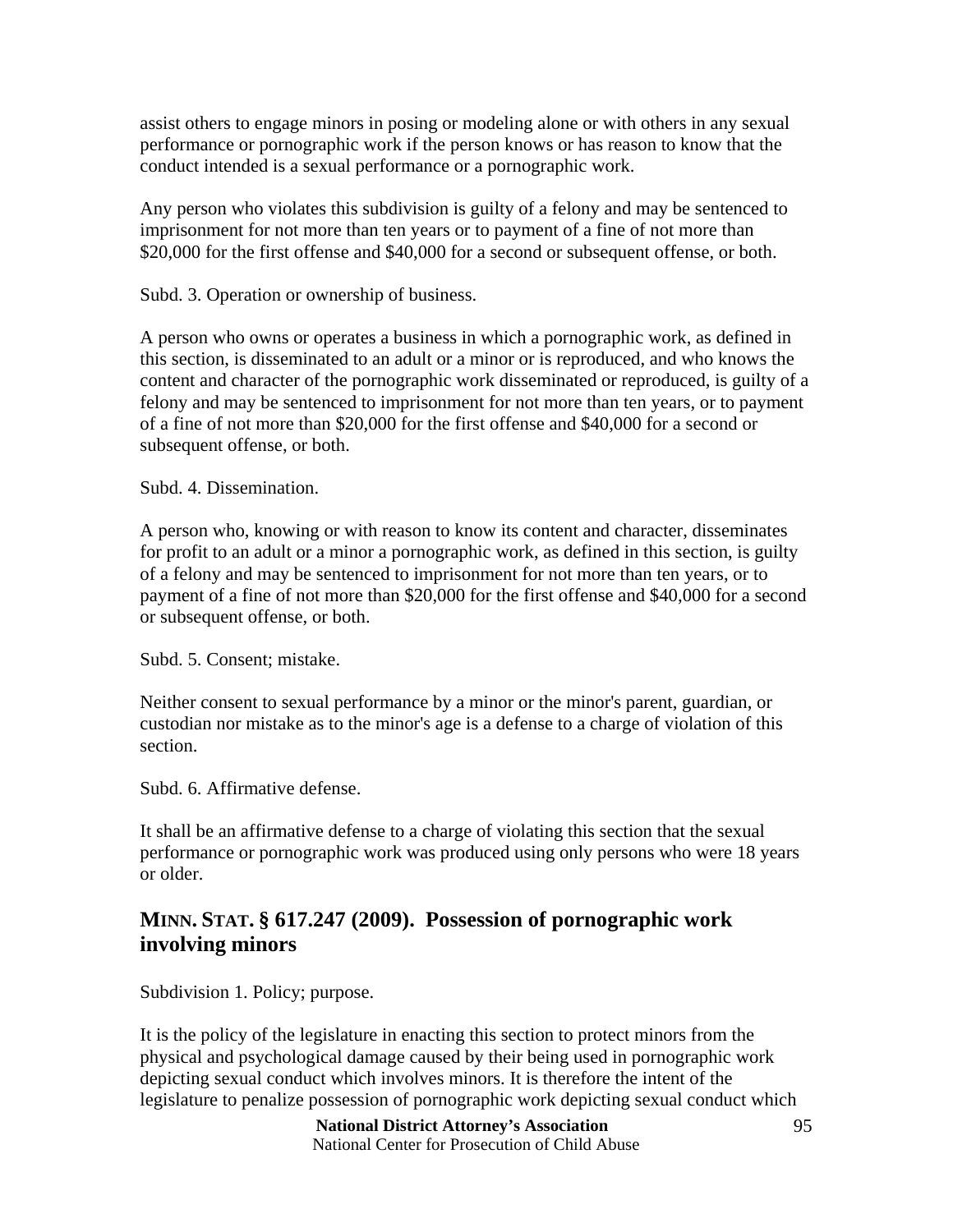assist others to engage minors in posing or modeling alone or with others in any sexual performance or pornographic work if the person knows or has reason to know that the conduct intended is a sexual performance or a pornographic work.

Any person who violates this subdivision is guilty of a felony and may be sentenced to imprisonment for not more than ten years or to payment of a fine of not more than \$20,000 for the first offense and \$40,000 for a second or subsequent offense, or both.

Subd. 3. Operation or ownership of business.

A person who owns or operates a business in which a pornographic work, as defined in this section, is disseminated to an adult or a minor or is reproduced, and who knows the content and character of the pornographic work disseminated or reproduced, is guilty of a felony and may be sentenced to imprisonment for not more than ten years, or to payment of a fine of not more than \$20,000 for the first offense and \$40,000 for a second or subsequent offense, or both.

Subd. 4. Dissemination.

A person who, knowing or with reason to know its content and character, disseminates for profit to an adult or a minor a pornographic work, as defined in this section, is guilty of a felony and may be sentenced to imprisonment for not more than ten years, or to payment of a fine of not more than \$20,000 for the first offense and \$40,000 for a second or subsequent offense, or both.

Subd. 5. Consent; mistake.

Neither consent to sexual performance by a minor or the minor's parent, guardian, or custodian nor mistake as to the minor's age is a defense to a charge of violation of this section.

Subd. 6. Affirmative defense.

It shall be an affirmative defense to a charge of violating this section that the sexual performance or pornographic work was produced using only persons who were 18 years or older.

### **MINN. STAT. § 617.247 (2009). Possession of pornographic work involving minors**

Subdivision 1. Policy; purpose.

It is the policy of the legislature in enacting this section to protect minors from the physical and psychological damage caused by their being used in pornographic work depicting sexual conduct which involves minors. It is therefore the intent of the legislature to penalize possession of pornographic work depicting sexual conduct which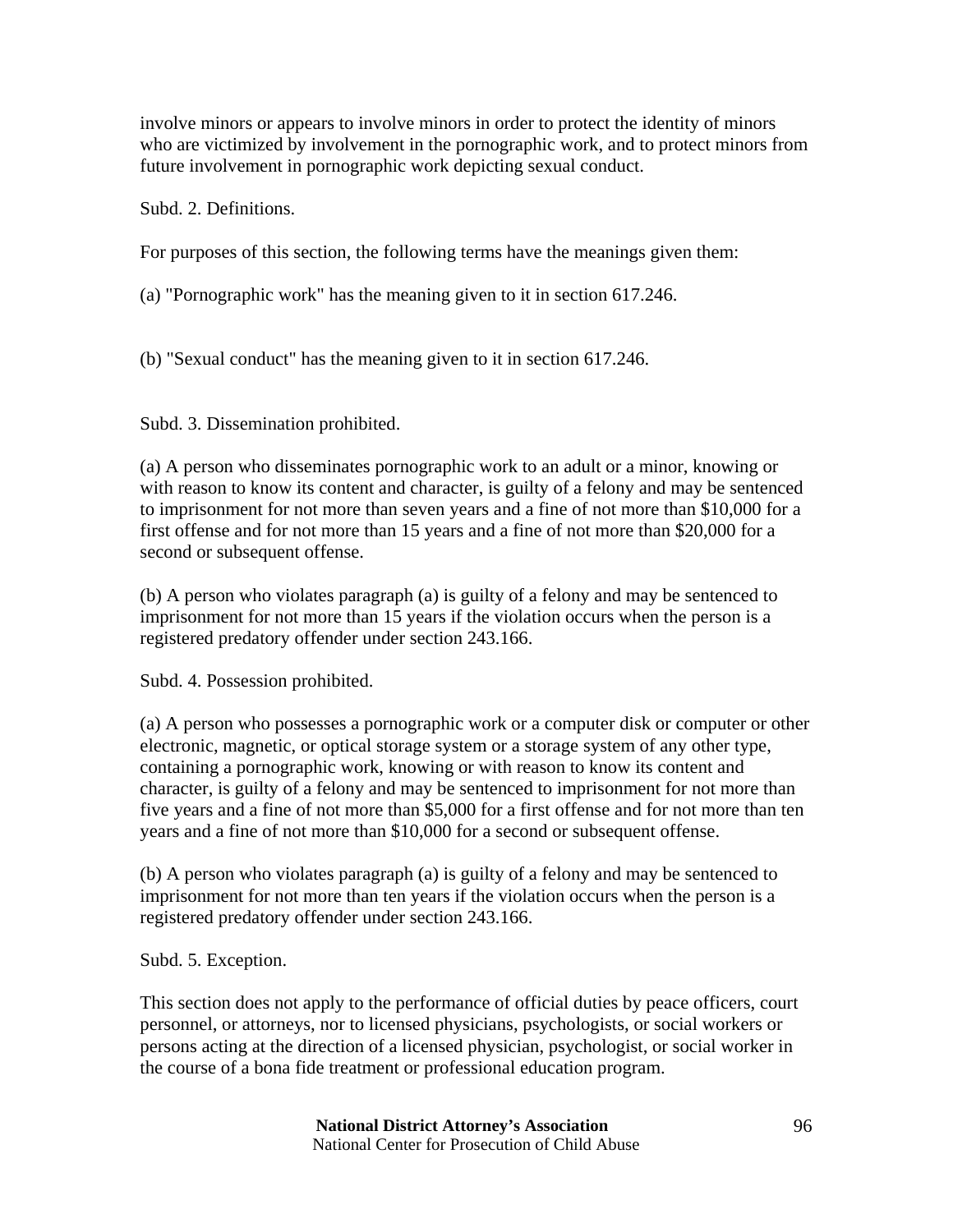involve minors or appears to involve minors in order to protect the identity of minors who are victimized by involvement in the pornographic work, and to protect minors from future involvement in pornographic work depicting sexual conduct.

Subd. 2. Definitions.

For purposes of this section, the following terms have the meanings given them:

(a) "Pornographic work" has the meaning given to it in section 617.246.

(b) "Sexual conduct" has the meaning given to it in section 617.246.

Subd. 3. Dissemination prohibited.

(a) A person who disseminates pornographic work to an adult or a minor, knowing or with reason to know its content and character, is guilty of a felony and may be sentenced to imprisonment for not more than seven years and a fine of not more than \$10,000 for a first offense and for not more than 15 years and a fine of not more than \$20,000 for a second or subsequent offense.

(b) A person who violates paragraph (a) is guilty of a felony and may be sentenced to imprisonment for not more than 15 years if the violation occurs when the person is a registered predatory offender under section 243.166.

Subd. 4. Possession prohibited.

(a) A person who possesses a pornographic work or a computer disk or computer or other electronic, magnetic, or optical storage system or a storage system of any other type, containing a pornographic work, knowing or with reason to know its content and character, is guilty of a felony and may be sentenced to imprisonment for not more than five years and a fine of not more than \$5,000 for a first offense and for not more than ten years and a fine of not more than \$10,000 for a second or subsequent offense.

(b) A person who violates paragraph (a) is guilty of a felony and may be sentenced to imprisonment for not more than ten years if the violation occurs when the person is a registered predatory offender under section 243.166.

Subd. 5. Exception.

This section does not apply to the performance of official duties by peace officers, court personnel, or attorneys, nor to licensed physicians, psychologists, or social workers or persons acting at the direction of a licensed physician, psychologist, or social worker in the course of a bona fide treatment or professional education program.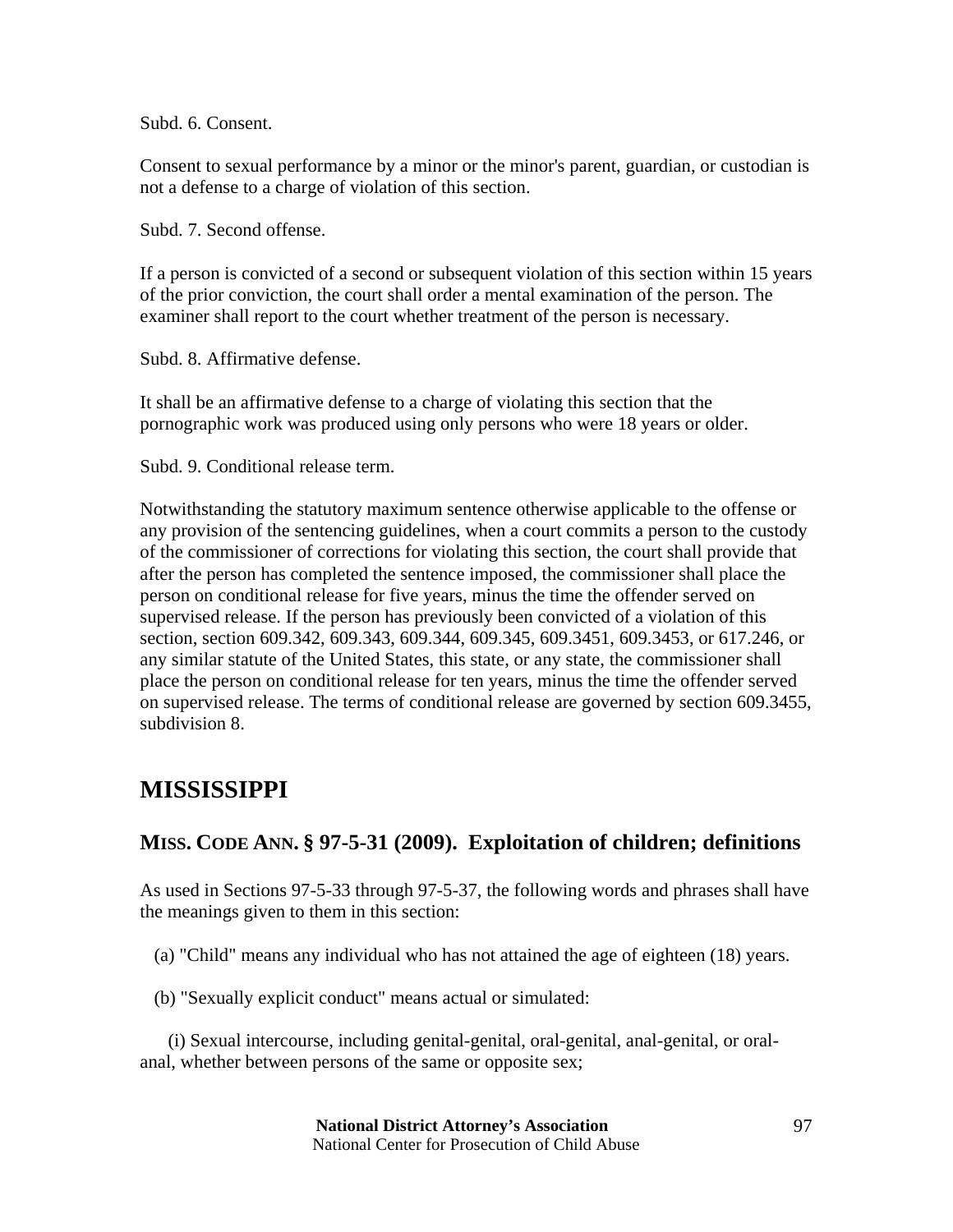Subd. 6. Consent.

Consent to sexual performance by a minor or the minor's parent, guardian, or custodian is not a defense to a charge of violation of this section.

Subd. 7. Second offense.

If a person is convicted of a second or subsequent violation of this section within 15 years of the prior conviction, the court shall order a mental examination of the person. The examiner shall report to the court whether treatment of the person is necessary.

Subd. 8. Affirmative defense.

It shall be an affirmative defense to a charge of violating this section that the pornographic work was produced using only persons who were 18 years or older.

Subd. 9. Conditional release term.

Notwithstanding the statutory maximum sentence otherwise applicable to the offense or any provision of the sentencing guidelines, when a court commits a person to the custody of the commissioner of corrections for violating this section, the court shall provide that after the person has completed the sentence imposed, the commissioner shall place the person on conditional release for five years, minus the time the offender served on supervised release. If the person has previously been convicted of a violation of this section, section 609.342, 609.343, 609.344, 609.345, 609.3451, 609.3453, or 617.246, or any similar statute of the United States, this state, or any state, the commissioner shall place the person on conditional release for ten years, minus the time the offender served on supervised release. The terms of conditional release are governed by section 609.3455, subdivision 8.

# **MISSISSIPPI**

### **MISS. CODE ANN. § 97-5-31 (2009). Exploitation of children; definitions**

As used in Sections 97-5-33 through 97-5-37, the following words and phrases shall have the meanings given to them in this section:

- (a) "Child" means any individual who has not attained the age of eighteen (18) years.
- (b) "Sexually explicit conduct" means actual or simulated:

 (i) Sexual intercourse, including genital-genital, oral-genital, anal-genital, or oralanal, whether between persons of the same or opposite sex;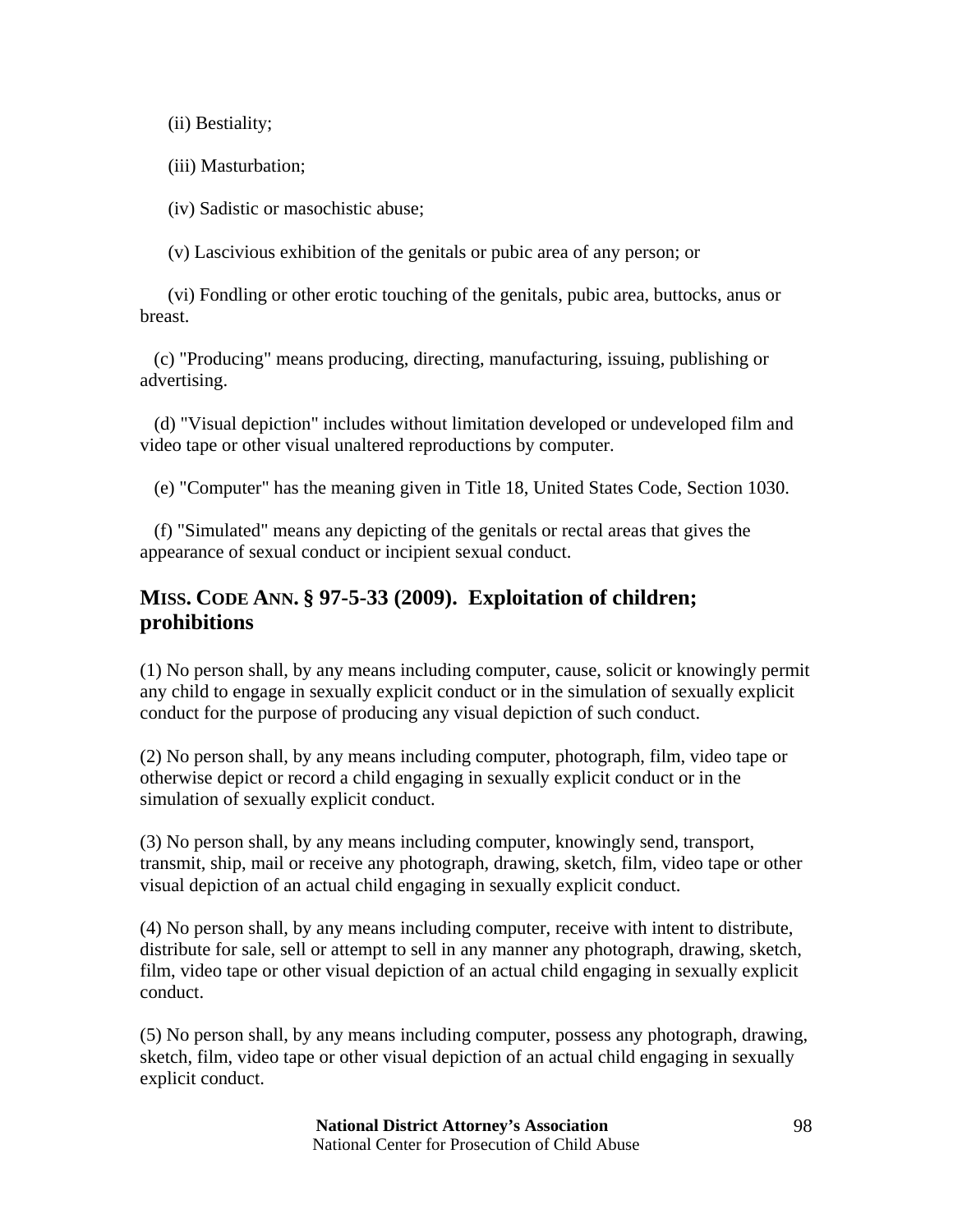(ii) Bestiality;

(iii) Masturbation;

(iv) Sadistic or masochistic abuse;

(v) Lascivious exhibition of the genitals or pubic area of any person; or

 (vi) Fondling or other erotic touching of the genitals, pubic area, buttocks, anus or breast.

 (c) "Producing" means producing, directing, manufacturing, issuing, publishing or advertising.

 (d) "Visual depiction" includes without limitation developed or undeveloped film and video tape or other visual unaltered reproductions by computer.

(e) "Computer" has the meaning given in Title 18, United States Code, Section 1030.

 (f) "Simulated" means any depicting of the genitals or rectal areas that gives the appearance of sexual conduct or incipient sexual conduct.

## **MISS. CODE ANN. § 97-5-33 (2009). Exploitation of children; prohibitions**

(1) No person shall, by any means including computer, cause, solicit or knowingly permit any child to engage in sexually explicit conduct or in the simulation of sexually explicit conduct for the purpose of producing any visual depiction of such conduct.

(2) No person shall, by any means including computer, photograph, film, video tape or otherwise depict or record a child engaging in sexually explicit conduct or in the simulation of sexually explicit conduct.

(3) No person shall, by any means including computer, knowingly send, transport, transmit, ship, mail or receive any photograph, drawing, sketch, film, video tape or other visual depiction of an actual child engaging in sexually explicit conduct.

(4) No person shall, by any means including computer, receive with intent to distribute, distribute for sale, sell or attempt to sell in any manner any photograph, drawing, sketch, film, video tape or other visual depiction of an actual child engaging in sexually explicit conduct.

(5) No person shall, by any means including computer, possess any photograph, drawing, sketch, film, video tape or other visual depiction of an actual child engaging in sexually explicit conduct.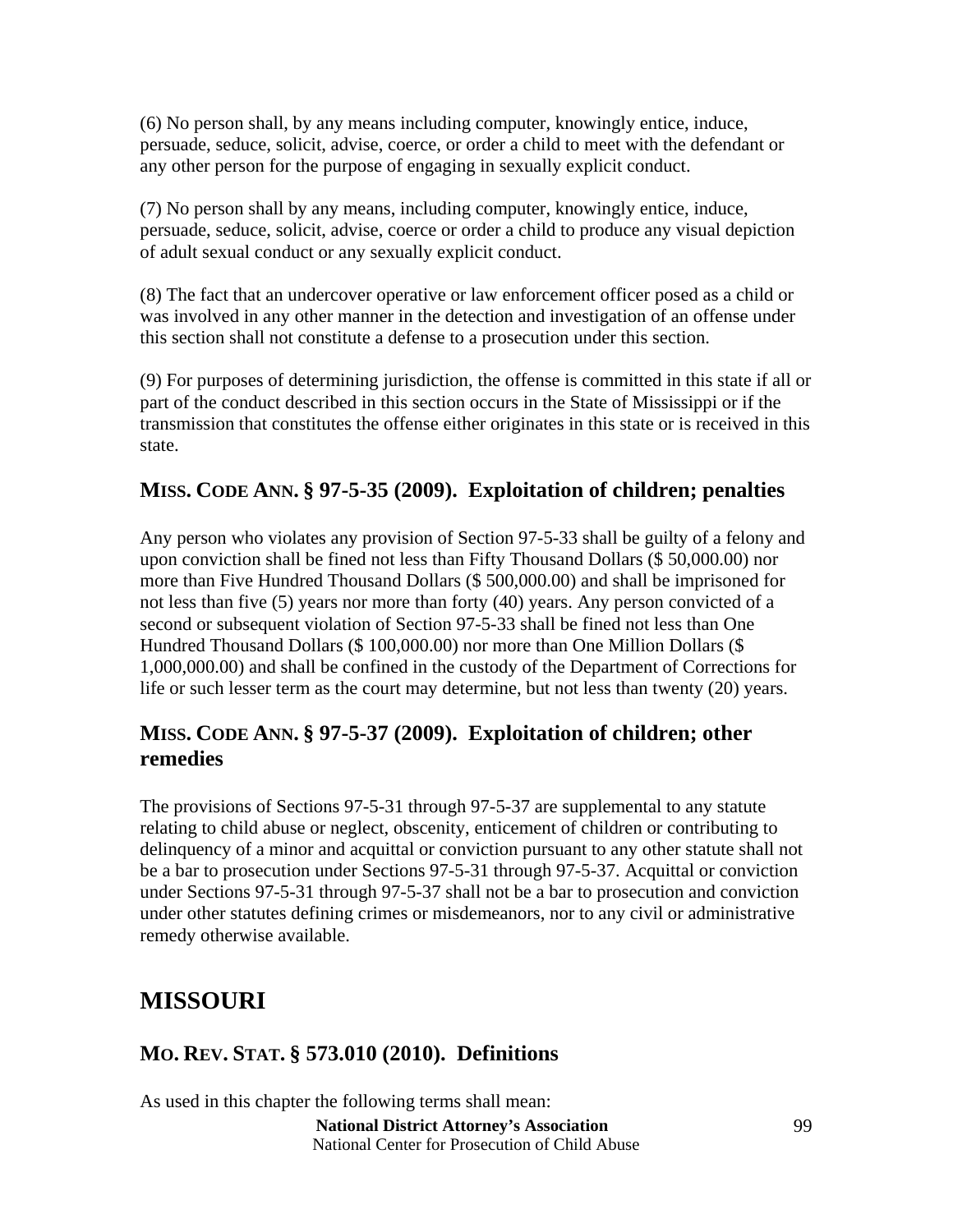(6) No person shall, by any means including computer, knowingly entice, induce, persuade, seduce, solicit, advise, coerce, or order a child to meet with the defendant or any other person for the purpose of engaging in sexually explicit conduct.

(7) No person shall by any means, including computer, knowingly entice, induce, persuade, seduce, solicit, advise, coerce or order a child to produce any visual depiction of adult sexual conduct or any sexually explicit conduct.

(8) The fact that an undercover operative or law enforcement officer posed as a child or was involved in any other manner in the detection and investigation of an offense under this section shall not constitute a defense to a prosecution under this section.

(9) For purposes of determining jurisdiction, the offense is committed in this state if all or part of the conduct described in this section occurs in the State of Mississippi or if the transmission that constitutes the offense either originates in this state or is received in this state.

## **MISS. CODE ANN. § 97-5-35 (2009). Exploitation of children; penalties**

Any person who violates any provision of Section 97-5-33 shall be guilty of a felony and upon conviction shall be fined not less than Fifty Thousand Dollars (\$ 50,000.00) nor more than Five Hundred Thousand Dollars (\$ 500,000.00) and shall be imprisoned for not less than five (5) years nor more than forty (40) years. Any person convicted of a second or subsequent violation of Section 97-5-33 shall be fined not less than One Hundred Thousand Dollars (\$ 100,000.00) nor more than One Million Dollars (\$ 1,000,000.00) and shall be confined in the custody of the Department of Corrections for life or such lesser term as the court may determine, but not less than twenty (20) years.

### **MISS. CODE ANN. § 97-5-37 (2009). Exploitation of children; other remedies**

The provisions of Sections 97-5-31 through 97-5-37 are supplemental to any statute relating to child abuse or neglect, obscenity, enticement of children or contributing to delinquency of a minor and acquittal or conviction pursuant to any other statute shall not be a bar to prosecution under Sections 97-5-31 through 97-5-37. Acquittal or conviction under Sections 97-5-31 through 97-5-37 shall not be a bar to prosecution and conviction under other statutes defining crimes or misdemeanors, nor to any civil or administrative remedy otherwise available.

# **MISSOURI**

### **MO. REV. STAT. § 573.010 (2010). Definitions**

As used in this chapter the following terms shall mean:

**National District Attorney's Association**  National Center for Prosecution of Child Abuse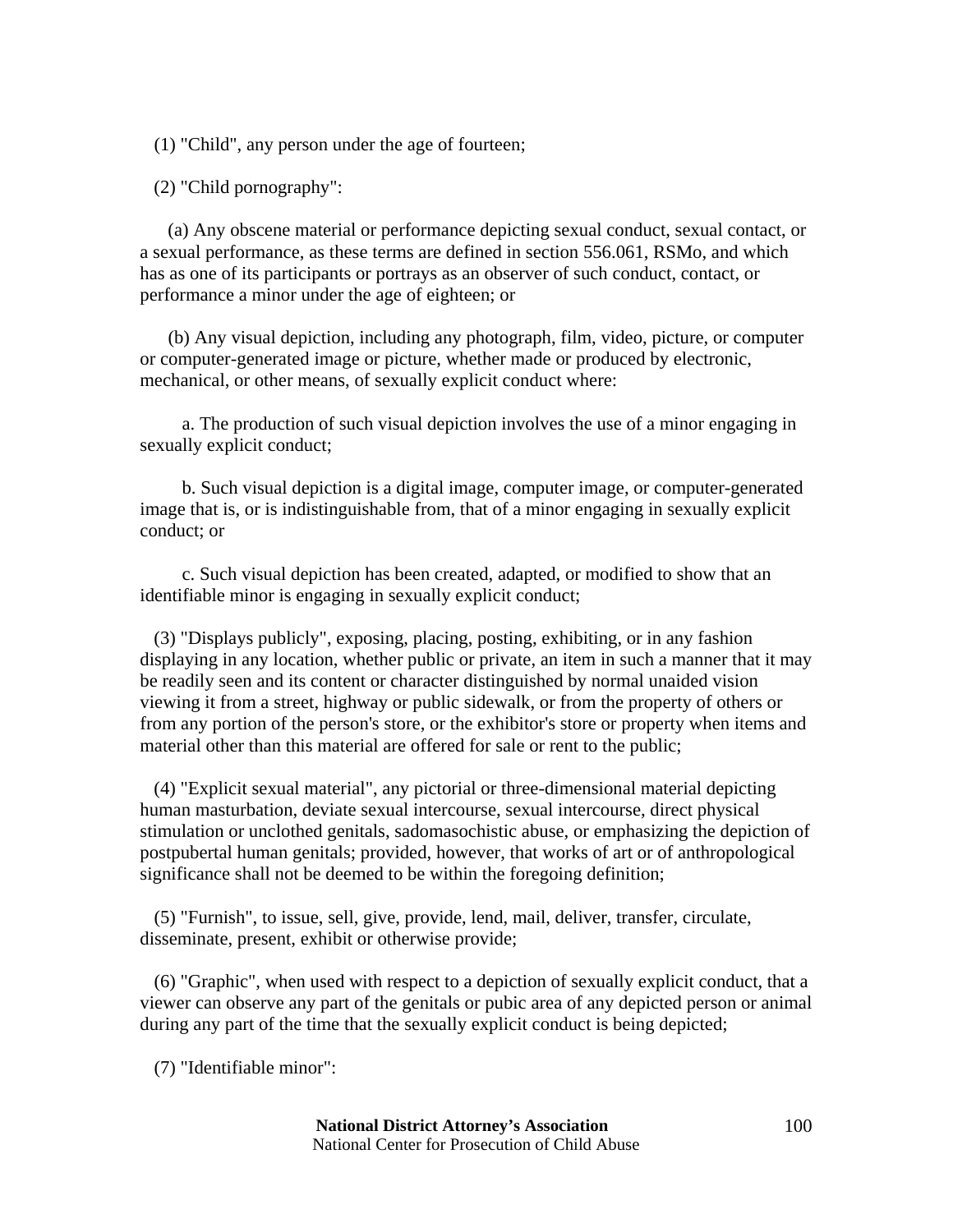(1) "Child", any person under the age of fourteen;

(2) "Child pornography":

 (a) Any obscene material or performance depicting sexual conduct, sexual contact, or a sexual performance, as these terms are defined in section 556.061, RSMo, and which has as one of its participants or portrays as an observer of such conduct, contact, or performance a minor under the age of eighteen; or

 (b) Any visual depiction, including any photograph, film, video, picture, or computer or computer-generated image or picture, whether made or produced by electronic, mechanical, or other means, of sexually explicit conduct where:

 a. The production of such visual depiction involves the use of a minor engaging in sexually explicit conduct;

 b. Such visual depiction is a digital image, computer image, or computer-generated image that is, or is indistinguishable from, that of a minor engaging in sexually explicit conduct; or

 c. Such visual depiction has been created, adapted, or modified to show that an identifiable minor is engaging in sexually explicit conduct;

 (3) "Displays publicly", exposing, placing, posting, exhibiting, or in any fashion displaying in any location, whether public or private, an item in such a manner that it may be readily seen and its content or character distinguished by normal unaided vision viewing it from a street, highway or public sidewalk, or from the property of others or from any portion of the person's store, or the exhibitor's store or property when items and material other than this material are offered for sale or rent to the public;

 (4) "Explicit sexual material", any pictorial or three-dimensional material depicting human masturbation, deviate sexual intercourse, sexual intercourse, direct physical stimulation or unclothed genitals, sadomasochistic abuse, or emphasizing the depiction of postpubertal human genitals; provided, however, that works of art or of anthropological significance shall not be deemed to be within the foregoing definition;

 (5) "Furnish", to issue, sell, give, provide, lend, mail, deliver, transfer, circulate, disseminate, present, exhibit or otherwise provide;

 (6) "Graphic", when used with respect to a depiction of sexually explicit conduct, that a viewer can observe any part of the genitals or pubic area of any depicted person or animal during any part of the time that the sexually explicit conduct is being depicted;

(7) "Identifiable minor":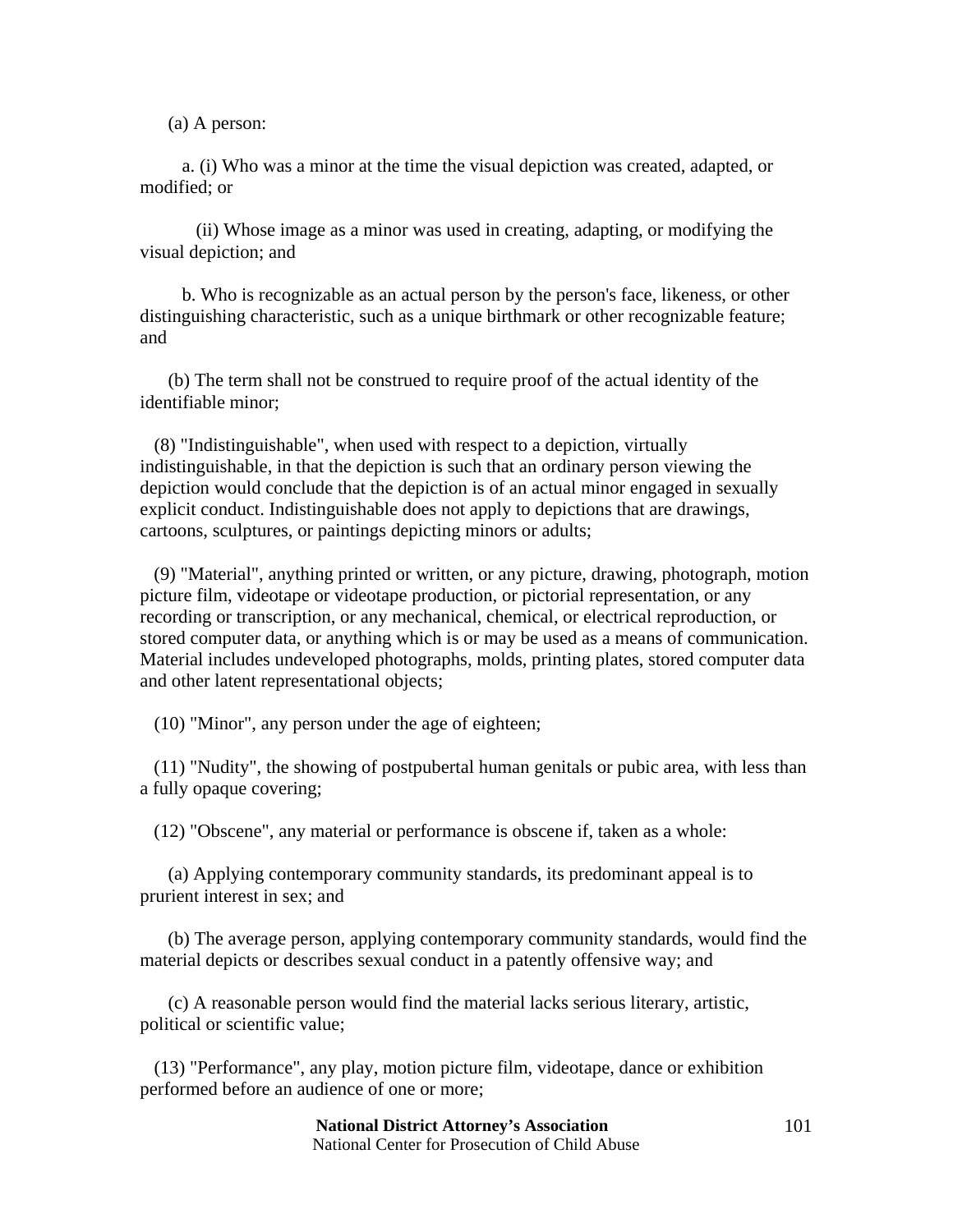(a) A person:

 a. (i) Who was a minor at the time the visual depiction was created, adapted, or modified; or

 (ii) Whose image as a minor was used in creating, adapting, or modifying the visual depiction; and

 b. Who is recognizable as an actual person by the person's face, likeness, or other distinguishing characteristic, such as a unique birthmark or other recognizable feature; and

 (b) The term shall not be construed to require proof of the actual identity of the identifiable minor;

 (8) "Indistinguishable", when used with respect to a depiction, virtually indistinguishable, in that the depiction is such that an ordinary person viewing the depiction would conclude that the depiction is of an actual minor engaged in sexually explicit conduct. Indistinguishable does not apply to depictions that are drawings, cartoons, sculptures, or paintings depicting minors or adults;

 (9) "Material", anything printed or written, or any picture, drawing, photograph, motion picture film, videotape or videotape production, or pictorial representation, or any recording or transcription, or any mechanical, chemical, or electrical reproduction, or stored computer data, or anything which is or may be used as a means of communication. Material includes undeveloped photographs, molds, printing plates, stored computer data and other latent representational objects;

(10) "Minor", any person under the age of eighteen;

 (11) "Nudity", the showing of postpubertal human genitals or pubic area, with less than a fully opaque covering;

(12) "Obscene", any material or performance is obscene if, taken as a whole:

 (a) Applying contemporary community standards, its predominant appeal is to prurient interest in sex; and

 (b) The average person, applying contemporary community standards, would find the material depicts or describes sexual conduct in a patently offensive way; and

 (c) A reasonable person would find the material lacks serious literary, artistic, political or scientific value;

 (13) "Performance", any play, motion picture film, videotape, dance or exhibition performed before an audience of one or more;

> **National District Attorney's Association**  National Center for Prosecution of Child Abuse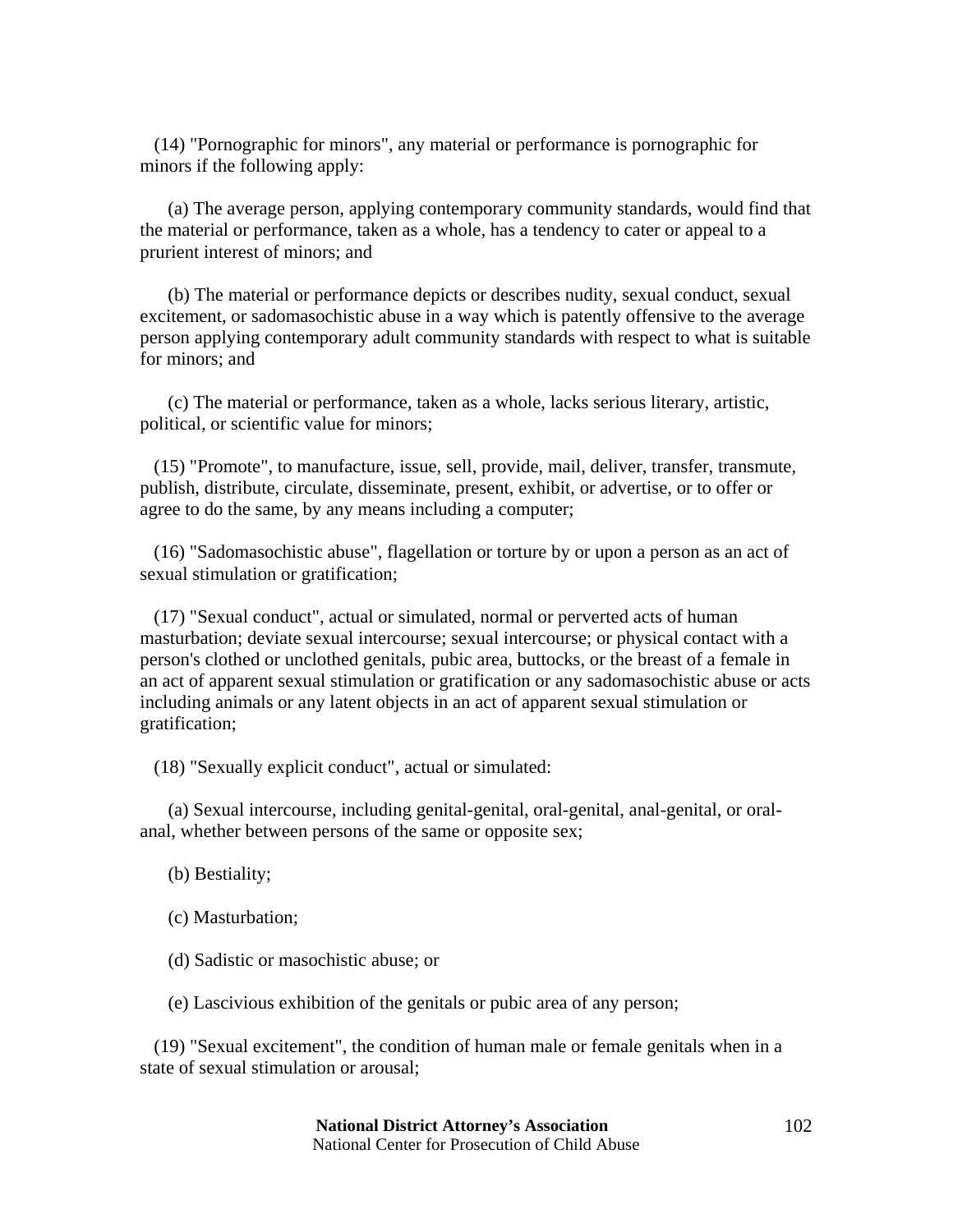(14) "Pornographic for minors", any material or performance is pornographic for minors if the following apply:

 (a) The average person, applying contemporary community standards, would find that the material or performance, taken as a whole, has a tendency to cater or appeal to a prurient interest of minors; and

 (b) The material or performance depicts or describes nudity, sexual conduct, sexual excitement, or sadomasochistic abuse in a way which is patently offensive to the average person applying contemporary adult community standards with respect to what is suitable for minors; and

 (c) The material or performance, taken as a whole, lacks serious literary, artistic, political, or scientific value for minors;

 (15) "Promote", to manufacture, issue, sell, provide, mail, deliver, transfer, transmute, publish, distribute, circulate, disseminate, present, exhibit, or advertise, or to offer or agree to do the same, by any means including a computer;

 (16) "Sadomasochistic abuse", flagellation or torture by or upon a person as an act of sexual stimulation or gratification;

 (17) "Sexual conduct", actual or simulated, normal or perverted acts of human masturbation; deviate sexual intercourse; sexual intercourse; or physical contact with a person's clothed or unclothed genitals, pubic area, buttocks, or the breast of a female in an act of apparent sexual stimulation or gratification or any sadomasochistic abuse or acts including animals or any latent objects in an act of apparent sexual stimulation or gratification;

(18) "Sexually explicit conduct", actual or simulated:

 (a) Sexual intercourse, including genital-genital, oral-genital, anal-genital, or oralanal, whether between persons of the same or opposite sex;

(b) Bestiality;

(c) Masturbation;

(d) Sadistic or masochistic abuse; or

(e) Lascivious exhibition of the genitals or pubic area of any person;

 (19) "Sexual excitement", the condition of human male or female genitals when in a state of sexual stimulation or arousal;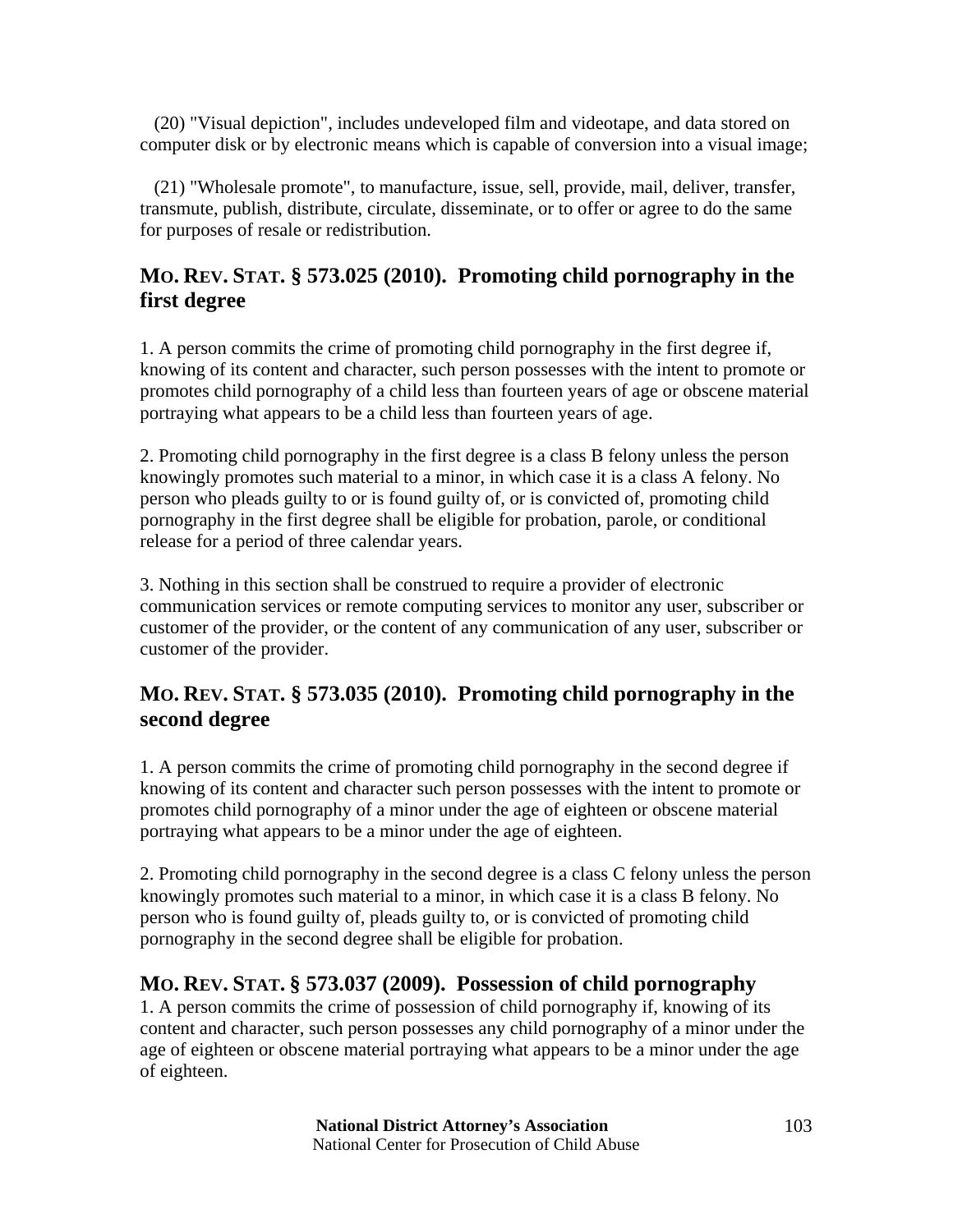(20) "Visual depiction", includes undeveloped film and videotape, and data stored on computer disk or by electronic means which is capable of conversion into a visual image;

 (21) "Wholesale promote", to manufacture, issue, sell, provide, mail, deliver, transfer, transmute, publish, distribute, circulate, disseminate, or to offer or agree to do the same for purposes of resale or redistribution.

## **MO. REV. STAT. § 573.025 (2010). Promoting child pornography in the first degree**

1. A person commits the crime of promoting child pornography in the first degree if, knowing of its content and character, such person possesses with the intent to promote or promotes child pornography of a child less than fourteen years of age or obscene material portraying what appears to be a child less than fourteen years of age.

2. Promoting child pornography in the first degree is a class B felony unless the person knowingly promotes such material to a minor, in which case it is a class A felony. No person who pleads guilty to or is found guilty of, or is convicted of, promoting child pornography in the first degree shall be eligible for probation, parole, or conditional release for a period of three calendar years.

3. Nothing in this section shall be construed to require a provider of electronic communication services or remote computing services to monitor any user, subscriber or customer of the provider, or the content of any communication of any user, subscriber or customer of the provider.

## **MO. REV. STAT. § 573.035 (2010). Promoting child pornography in the second degree**

1. A person commits the crime of promoting child pornography in the second degree if knowing of its content and character such person possesses with the intent to promote or promotes child pornography of a minor under the age of eighteen or obscene material portraying what appears to be a minor under the age of eighteen.

2. Promoting child pornography in the second degree is a class C felony unless the person knowingly promotes such material to a minor, in which case it is a class B felony. No person who is found guilty of, pleads guilty to, or is convicted of promoting child pornography in the second degree shall be eligible for probation.

### **MO. REV. STAT. § 573.037 (2009). Possession of child pornography**

1. A person commits the crime of possession of child pornography if, knowing of its content and character, such person possesses any child pornography of a minor under the age of eighteen or obscene material portraying what appears to be a minor under the age of eighteen.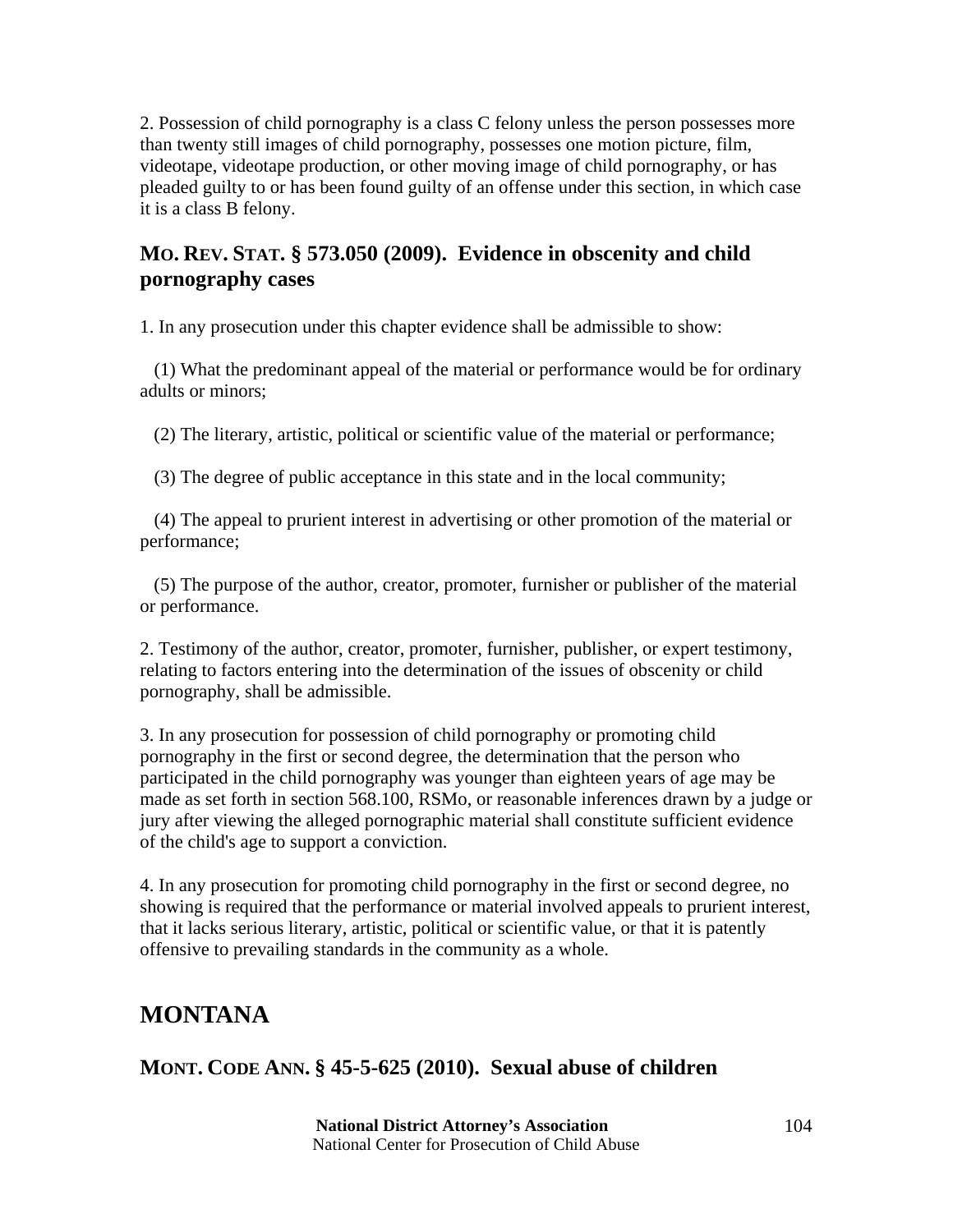2. Possession of child pornography is a class C felony unless the person possesses more than twenty still images of child pornography, possesses one motion picture, film, videotape, videotape production, or other moving image of child pornography, or has pleaded guilty to or has been found guilty of an offense under this section, in which case it is a class B felony.

### **MO. REV. STAT. § 573.050 (2009). Evidence in obscenity and child pornography cases**

1. In any prosecution under this chapter evidence shall be admissible to show:

 (1) What the predominant appeal of the material or performance would be for ordinary adults or minors;

(2) The literary, artistic, political or scientific value of the material or performance;

(3) The degree of public acceptance in this state and in the local community;

 (4) The appeal to prurient interest in advertising or other promotion of the material or performance;

 (5) The purpose of the author, creator, promoter, furnisher or publisher of the material or performance.

2. Testimony of the author, creator, promoter, furnisher, publisher, or expert testimony, relating to factors entering into the determination of the issues of obscenity or child pornography, shall be admissible.

3. In any prosecution for possession of child pornography or promoting child pornography in the first or second degree, the determination that the person who participated in the child pornography was younger than eighteen years of age may be made as set forth in section 568.100, RSMo, or reasonable inferences drawn by a judge or jury after viewing the alleged pornographic material shall constitute sufficient evidence of the child's age to support a conviction.

4. In any prosecution for promoting child pornography in the first or second degree, no showing is required that the performance or material involved appeals to prurient interest, that it lacks serious literary, artistic, political or scientific value, or that it is patently offensive to prevailing standards in the community as a whole.

# **MONTANA**

### **MONT. CODE ANN. § 45-5-625 (2010). Sexual abuse of children**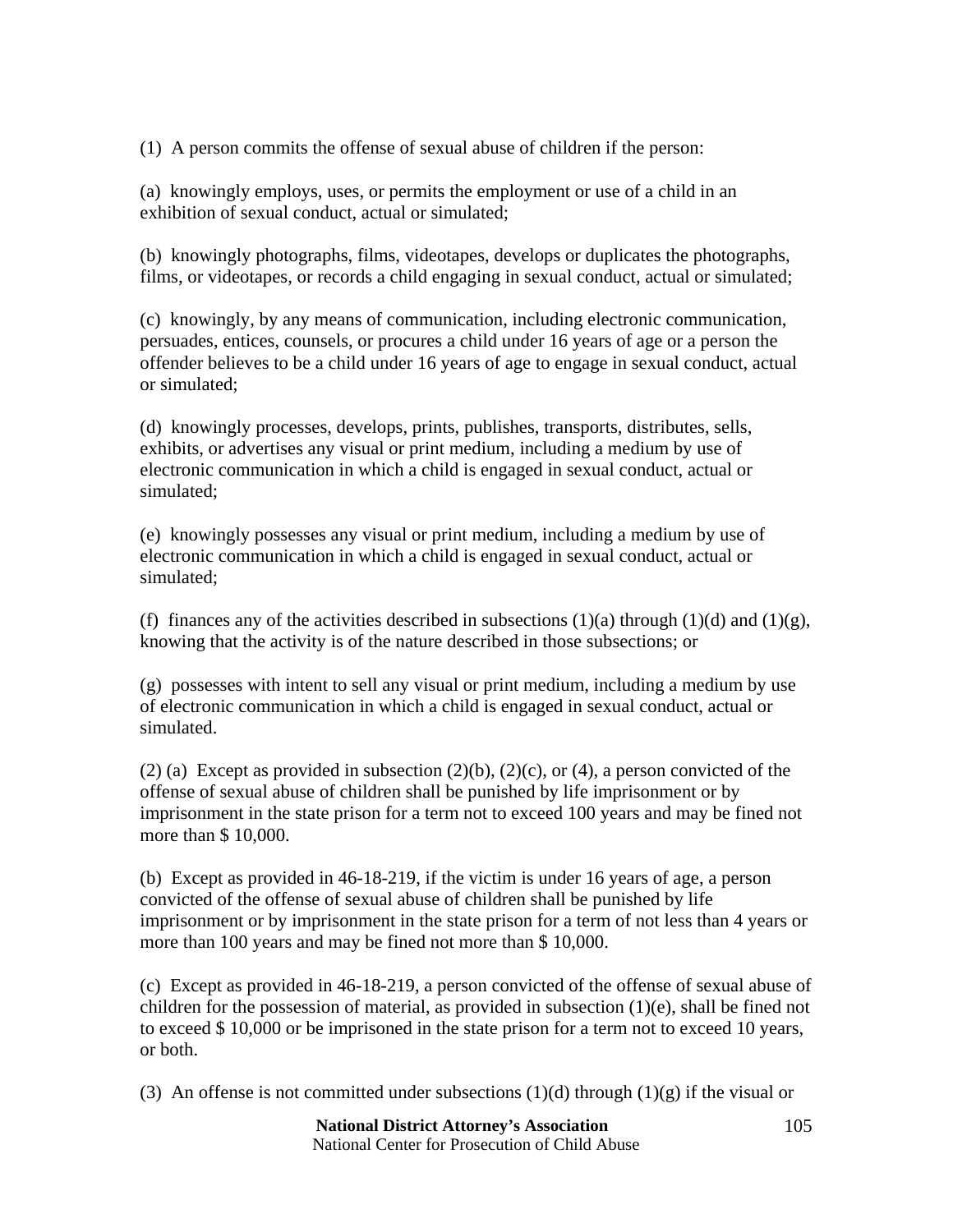(1) A person commits the offense of sexual abuse of children if the person:

(a) knowingly employs, uses, or permits the employment or use of a child in an exhibition of sexual conduct, actual or simulated;

(b) knowingly photographs, films, videotapes, develops or duplicates the photographs, films, or videotapes, or records a child engaging in sexual conduct, actual or simulated;

(c) knowingly, by any means of communication, including electronic communication, persuades, entices, counsels, or procures a child under 16 years of age or a person the offender believes to be a child under 16 years of age to engage in sexual conduct, actual or simulated;

(d) knowingly processes, develops, prints, publishes, transports, distributes, sells, exhibits, or advertises any visual or print medium, including a medium by use of electronic communication in which a child is engaged in sexual conduct, actual or simulated;

(e) knowingly possesses any visual or print medium, including a medium by use of electronic communication in which a child is engaged in sexual conduct, actual or simulated;

(f) finances any of the activities described in subsections (1)(a) through (1)(d) and (1)(g), knowing that the activity is of the nature described in those subsections; or

(g) possesses with intent to sell any visual or print medium, including a medium by use of electronic communication in which a child is engaged in sexual conduct, actual or simulated.

(2) (a) Except as provided in subsection  $(2)(b)$ ,  $(2)(c)$ , or  $(4)$ , a person convicted of the offense of sexual abuse of children shall be punished by life imprisonment or by imprisonment in the state prison for a term not to exceed 100 years and may be fined not more than \$ 10,000.

(b) Except as provided in 46-18-219, if the victim is under 16 years of age, a person convicted of the offense of sexual abuse of children shall be punished by life imprisonment or by imprisonment in the state prison for a term of not less than 4 years or more than 100 years and may be fined not more than \$ 10,000.

(c) Except as provided in 46-18-219, a person convicted of the offense of sexual abuse of children for the possession of material, as provided in subsection (1)(e), shall be fined not to exceed \$ 10,000 or be imprisoned in the state prison for a term not to exceed 10 years, or both.

(3) An offense is not committed under subsections  $(1)(d)$  through  $(1)(g)$  if the visual or

**National District Attorney's Association**  National Center for Prosecution of Child Abuse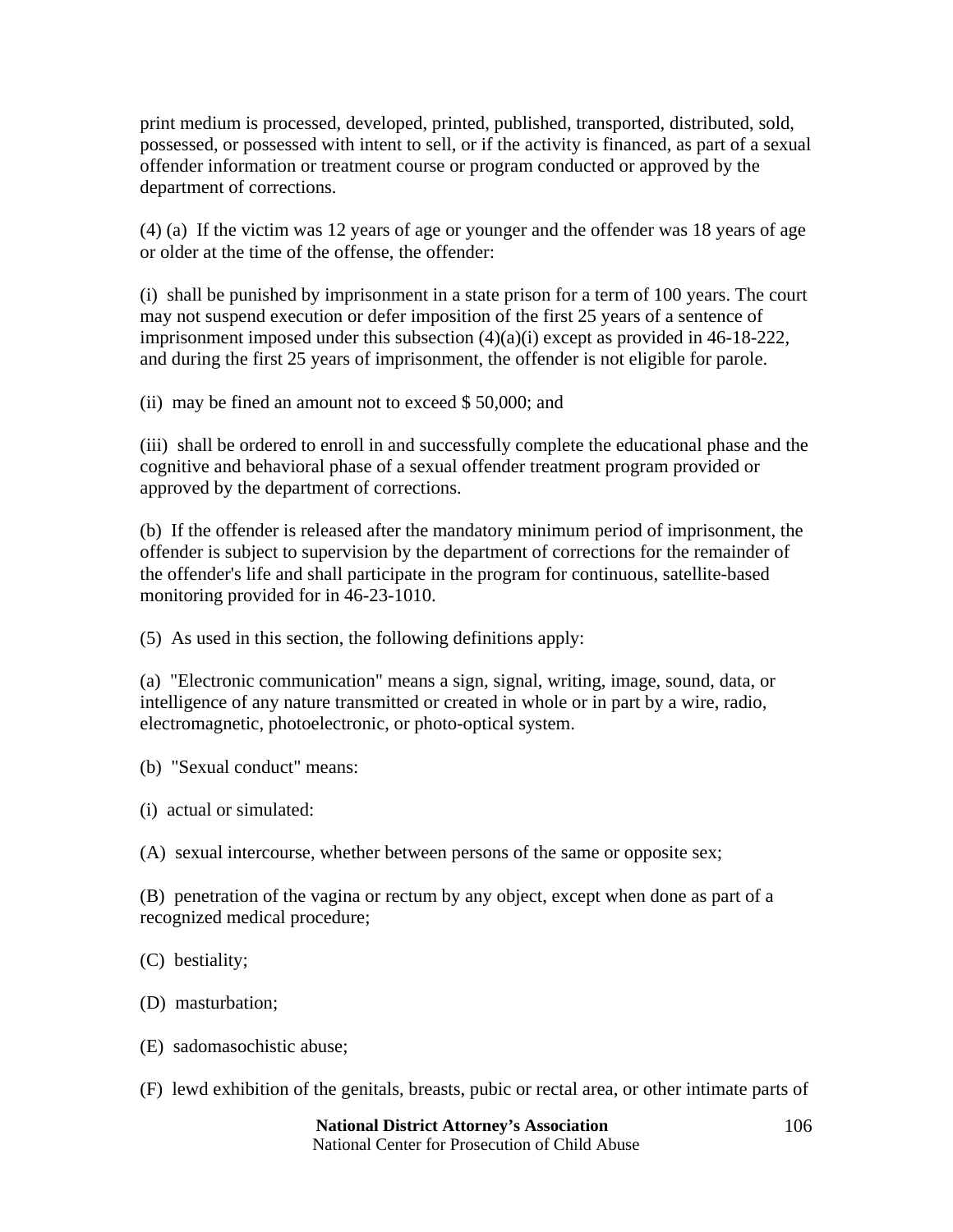print medium is processed, developed, printed, published, transported, distributed, sold, possessed, or possessed with intent to sell, or if the activity is financed, as part of a sexual offender information or treatment course or program conducted or approved by the department of corrections.

(4) (a) If the victim was 12 years of age or younger and the offender was 18 years of age or older at the time of the offense, the offender:

(i) shall be punished by imprisonment in a state prison for a term of 100 years. The court may not suspend execution or defer imposition of the first 25 years of a sentence of imprisonment imposed under this subsection (4)(a)(i) except as provided in 46-18-222, and during the first 25 years of imprisonment, the offender is not eligible for parole.

(ii) may be fined an amount not to exceed \$ 50,000; and

(iii) shall be ordered to enroll in and successfully complete the educational phase and the cognitive and behavioral phase of a sexual offender treatment program provided or approved by the department of corrections.

(b) If the offender is released after the mandatory minimum period of imprisonment, the offender is subject to supervision by the department of corrections for the remainder of the offender's life and shall participate in the program for continuous, satellite-based monitoring provided for in 46-23-1010.

(5) As used in this section, the following definitions apply:

(a) "Electronic communication" means a sign, signal, writing, image, sound, data, or intelligence of any nature transmitted or created in whole or in part by a wire, radio, electromagnetic, photoelectronic, or photo-optical system.

(b) "Sexual conduct" means:

(i) actual or simulated:

(A) sexual intercourse, whether between persons of the same or opposite sex;

(B) penetration of the vagina or rectum by any object, except when done as part of a recognized medical procedure;

(C) bestiality;

(D) masturbation;

- (E) sadomasochistic abuse;
- (F) lewd exhibition of the genitals, breasts, pubic or rectal area, or other intimate parts of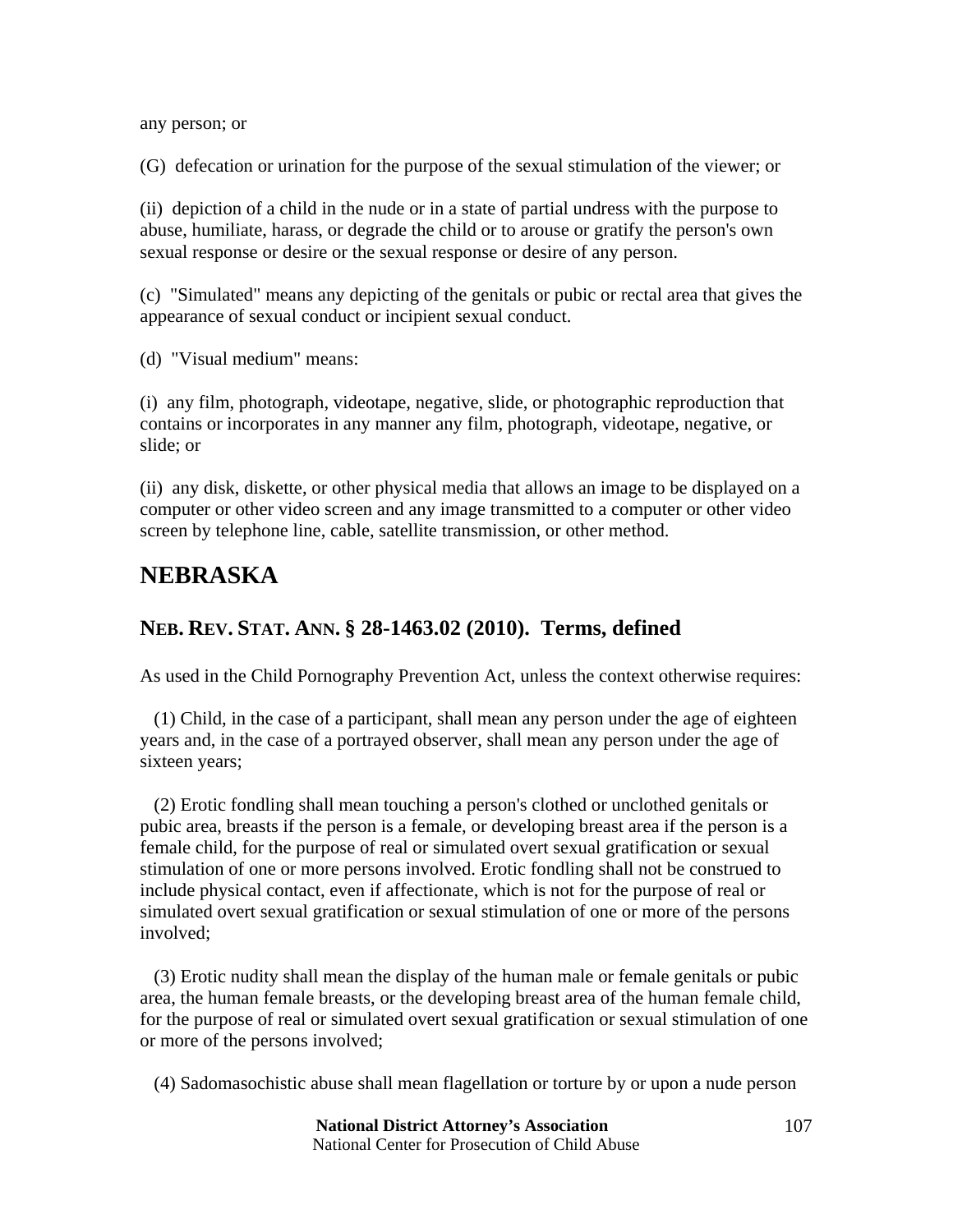any person; or

(G) defecation or urination for the purpose of the sexual stimulation of the viewer; or

(ii) depiction of a child in the nude or in a state of partial undress with the purpose to abuse, humiliate, harass, or degrade the child or to arouse or gratify the person's own sexual response or desire or the sexual response or desire of any person.

(c) "Simulated" means any depicting of the genitals or pubic or rectal area that gives the appearance of sexual conduct or incipient sexual conduct.

(d) "Visual medium" means:

(i) any film, photograph, videotape, negative, slide, or photographic reproduction that contains or incorporates in any manner any film, photograph, videotape, negative, or slide; or

(ii) any disk, diskette, or other physical media that allows an image to be displayed on a computer or other video screen and any image transmitted to a computer or other video screen by telephone line, cable, satellite transmission, or other method.

# **NEBRASKA**

#### **NEB. REV. STAT. ANN. § 28-1463.02 (2010). Terms, defined**

As used in the Child Pornography Prevention Act, unless the context otherwise requires:

 (1) Child, in the case of a participant, shall mean any person under the age of eighteen years and, in the case of a portrayed observer, shall mean any person under the age of sixteen years;

 (2) Erotic fondling shall mean touching a person's clothed or unclothed genitals or pubic area, breasts if the person is a female, or developing breast area if the person is a female child, for the purpose of real or simulated overt sexual gratification or sexual stimulation of one or more persons involved. Erotic fondling shall not be construed to include physical contact, even if affectionate, which is not for the purpose of real or simulated overt sexual gratification or sexual stimulation of one or more of the persons involved;

 (3) Erotic nudity shall mean the display of the human male or female genitals or pubic area, the human female breasts, or the developing breast area of the human female child, for the purpose of real or simulated overt sexual gratification or sexual stimulation of one or more of the persons involved;

(4) Sadomasochistic abuse shall mean flagellation or torture by or upon a nude person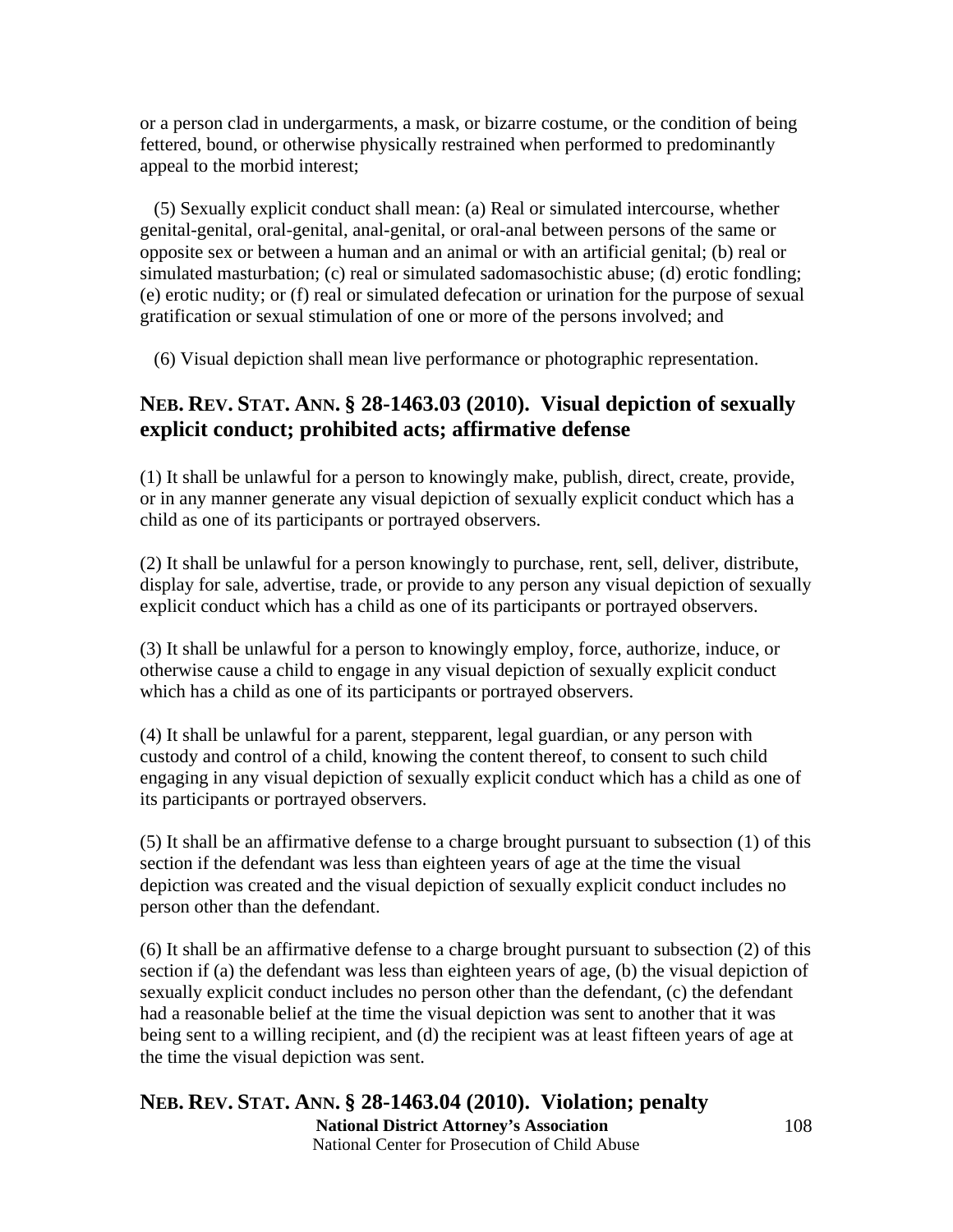or a person clad in undergarments, a mask, or bizarre costume, or the condition of being fettered, bound, or otherwise physically restrained when performed to predominantly appeal to the morbid interest;

 (5) Sexually explicit conduct shall mean: (a) Real or simulated intercourse, whether genital-genital, oral-genital, anal-genital, or oral-anal between persons of the same or opposite sex or between a human and an animal or with an artificial genital; (b) real or simulated masturbation; (c) real or simulated sadomasochistic abuse; (d) erotic fondling; (e) erotic nudity; or (f) real or simulated defecation or urination for the purpose of sexual gratification or sexual stimulation of one or more of the persons involved; and

(6) Visual depiction shall mean live performance or photographic representation.

### **NEB. REV. STAT. ANN. § 28-1463.03 (2010). Visual depiction of sexually explicit conduct; prohibited acts; affirmative defense**

(1) It shall be unlawful for a person to knowingly make, publish, direct, create, provide, or in any manner generate any visual depiction of sexually explicit conduct which has a child as one of its participants or portrayed observers.

(2) It shall be unlawful for a person knowingly to purchase, rent, sell, deliver, distribute, display for sale, advertise, trade, or provide to any person any visual depiction of sexually explicit conduct which has a child as one of its participants or portrayed observers.

(3) It shall be unlawful for a person to knowingly employ, force, authorize, induce, or otherwise cause a child to engage in any visual depiction of sexually explicit conduct which has a child as one of its participants or portrayed observers.

(4) It shall be unlawful for a parent, stepparent, legal guardian, or any person with custody and control of a child, knowing the content thereof, to consent to such child engaging in any visual depiction of sexually explicit conduct which has a child as one of its participants or portrayed observers.

(5) It shall be an affirmative defense to a charge brought pursuant to subsection (1) of this section if the defendant was less than eighteen years of age at the time the visual depiction was created and the visual depiction of sexually explicit conduct includes no person other than the defendant.

(6) It shall be an affirmative defense to a charge brought pursuant to subsection (2) of this section if (a) the defendant was less than eighteen years of age, (b) the visual depiction of sexually explicit conduct includes no person other than the defendant, (c) the defendant had a reasonable belief at the time the visual depiction was sent to another that it was being sent to a willing recipient, and (d) the recipient was at least fifteen years of age at the time the visual depiction was sent.

#### **National District Attorney's Association**  National Center for Prosecution of Child Abuse **NEB. REV. STAT. ANN. § 28-1463.04 (2010). Violation; penalty**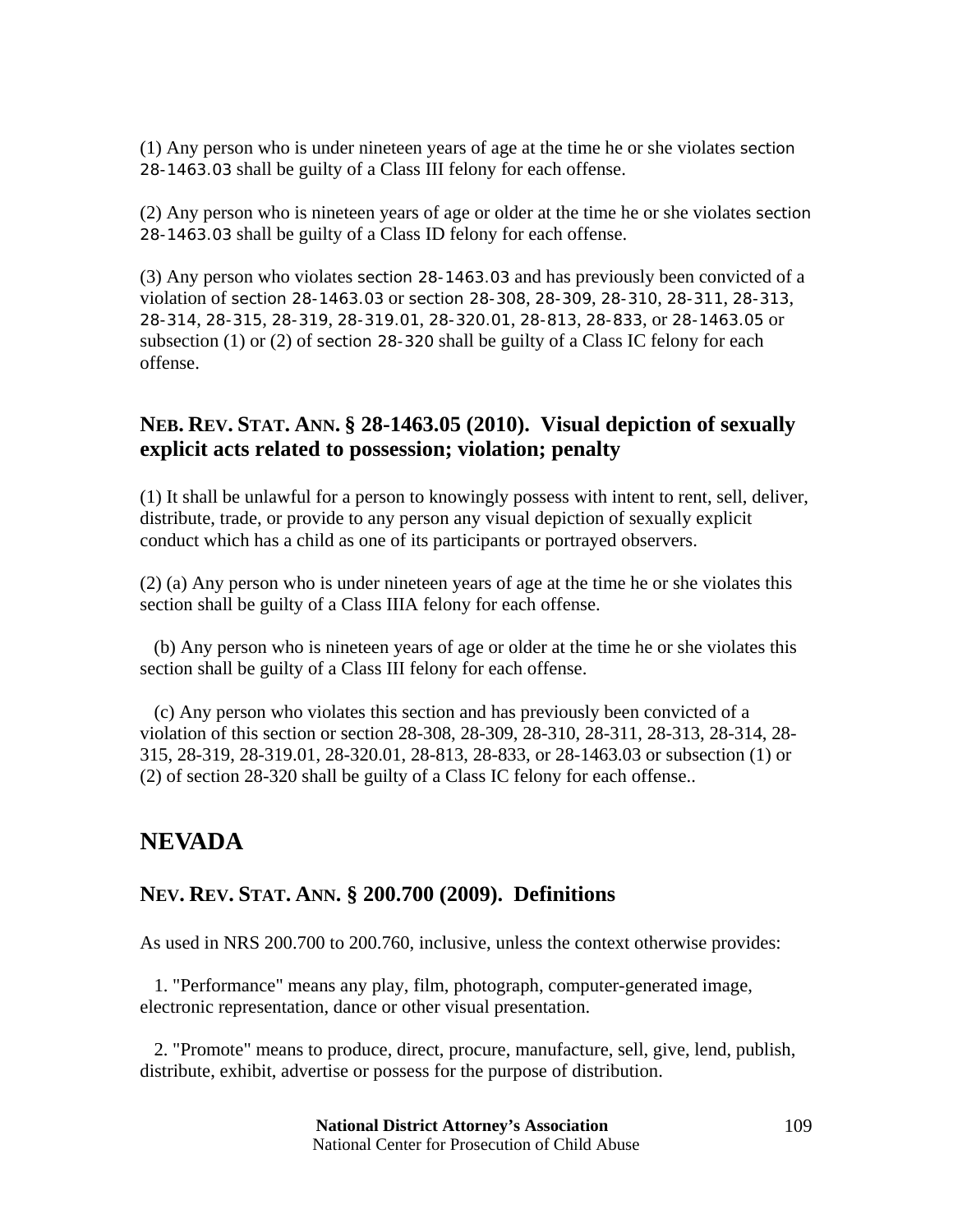(1) Any person who is under nineteen years of age at the time he or she violates section 28-1463.03 shall be guilty of a Class III felony for each offense.

(2) Any person who is nineteen years of age or older at the time he or she violates section 28-1463.03 shall be guilty of a Class ID felony for each offense.

(3) Any person who violates section 28-1463.03 and has previously been convicted of a violation of section 28-1463.03 or section 28-308, 28-309, 28-310, 28-311, 28-313, 28-314, 28-315, 28-319, 28-319.01, 28-320.01, 28-813, 28-833, or 28-1463.05 or subsection (1) or (2) of section 28-320 shall be guilty of a Class IC felony for each offense.

#### **NEB. REV. STAT. ANN. § 28-1463.05 (2010). Visual depiction of sexually explicit acts related to possession; violation; penalty**

(1) It shall be unlawful for a person to knowingly possess with intent to rent, sell, deliver, distribute, trade, or provide to any person any visual depiction of sexually explicit conduct which has a child as one of its participants or portrayed observers.

(2) (a) Any person who is under nineteen years of age at the time he or she violates this section shall be guilty of a Class IIIA felony for each offense.

 (b) Any person who is nineteen years of age or older at the time he or she violates this section shall be guilty of a Class III felony for each offense.

 (c) Any person who violates this section and has previously been convicted of a violation of this section or section 28-308, 28-309, 28-310, 28-311, 28-313, 28-314, 28- 315, 28-319, 28-319.01, 28-320.01, 28-813, 28-833, or 28-1463.03 or subsection (1) or (2) of section 28-320 shall be guilty of a Class IC felony for each offense..

## **NEVADA**

#### **NEV. REV. STAT. ANN. § 200.700 (2009). Definitions**

As used in NRS 200.700 to 200.760, inclusive, unless the context otherwise provides:

 1. "Performance" means any play, film, photograph, computer-generated image, electronic representation, dance or other visual presentation.

 2. "Promote" means to produce, direct, procure, manufacture, sell, give, lend, publish, distribute, exhibit, advertise or possess for the purpose of distribution.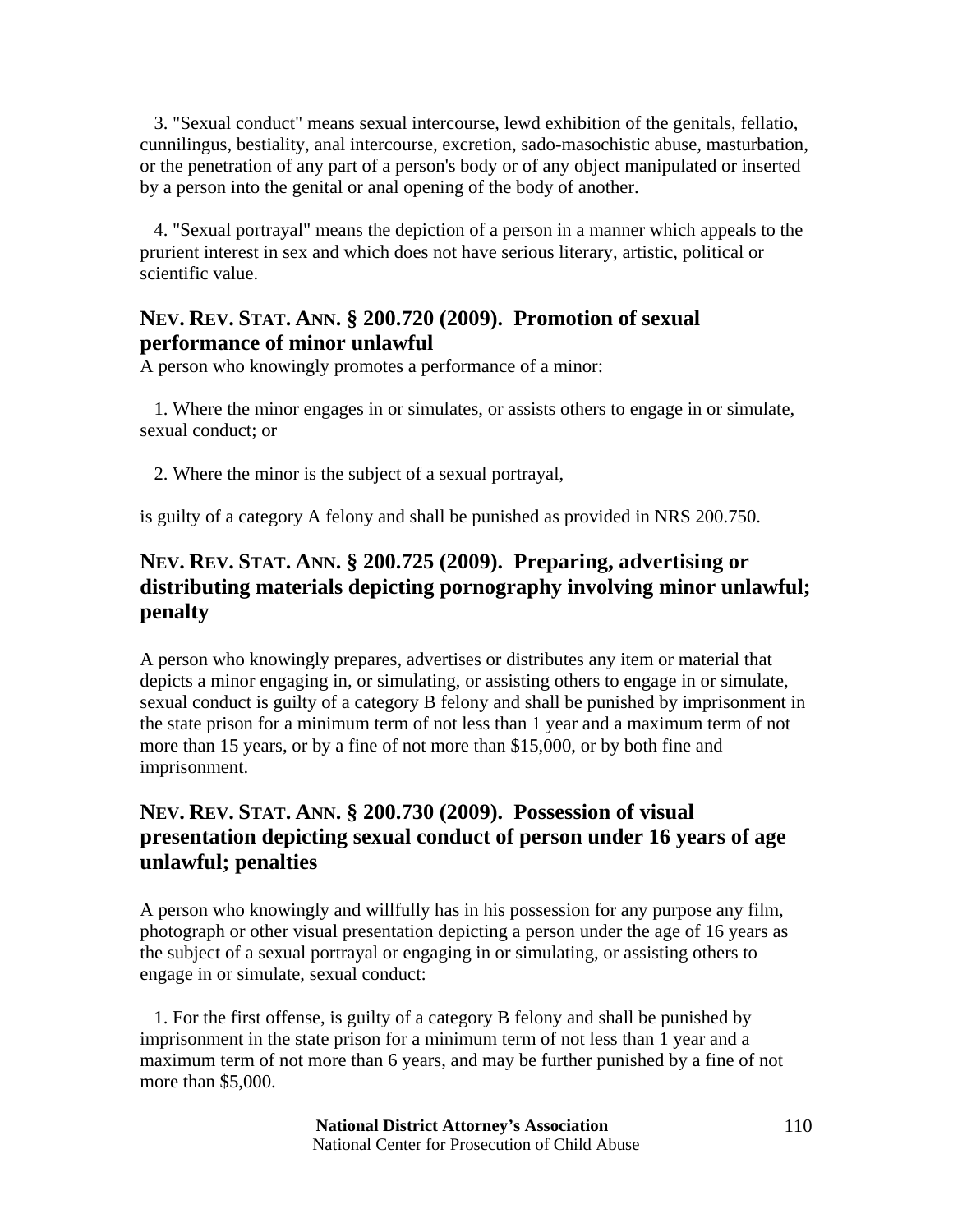3. "Sexual conduct" means sexual intercourse, lewd exhibition of the genitals, fellatio, cunnilingus, bestiality, anal intercourse, excretion, sado-masochistic abuse, masturbation, or the penetration of any part of a person's body or of any object manipulated or inserted by a person into the genital or anal opening of the body of another.

 4. "Sexual portrayal" means the depiction of a person in a manner which appeals to the prurient interest in sex and which does not have serious literary, artistic, political or scientific value.

#### **NEV. REV. STAT. ANN. § 200.720 (2009). Promotion of sexual performance of minor unlawful**

A person who knowingly promotes a performance of a minor:

 1. Where the minor engages in or simulates, or assists others to engage in or simulate, sexual conduct; or

2. Where the minor is the subject of a sexual portrayal,

is guilty of a category A felony and shall be punished as provided in NRS 200.750.

## **NEV. REV. STAT. ANN. § 200.725 (2009). Preparing, advertising or distributing materials depicting pornography involving minor unlawful; penalty**

A person who knowingly prepares, advertises or distributes any item or material that depicts a minor engaging in, or simulating, or assisting others to engage in or simulate, sexual conduct is guilty of a category B felony and shall be punished by imprisonment in the state prison for a minimum term of not less than 1 year and a maximum term of not more than 15 years, or by a fine of not more than \$15,000, or by both fine and imprisonment.

## **NEV. REV. STAT. ANN. § 200.730 (2009). Possession of visual presentation depicting sexual conduct of person under 16 years of age unlawful; penalties**

A person who knowingly and willfully has in his possession for any purpose any film, photograph or other visual presentation depicting a person under the age of 16 years as the subject of a sexual portrayal or engaging in or simulating, or assisting others to engage in or simulate, sexual conduct:

 1. For the first offense, is guilty of a category B felony and shall be punished by imprisonment in the state prison for a minimum term of not less than 1 year and a maximum term of not more than 6 years, and may be further punished by a fine of not more than \$5,000.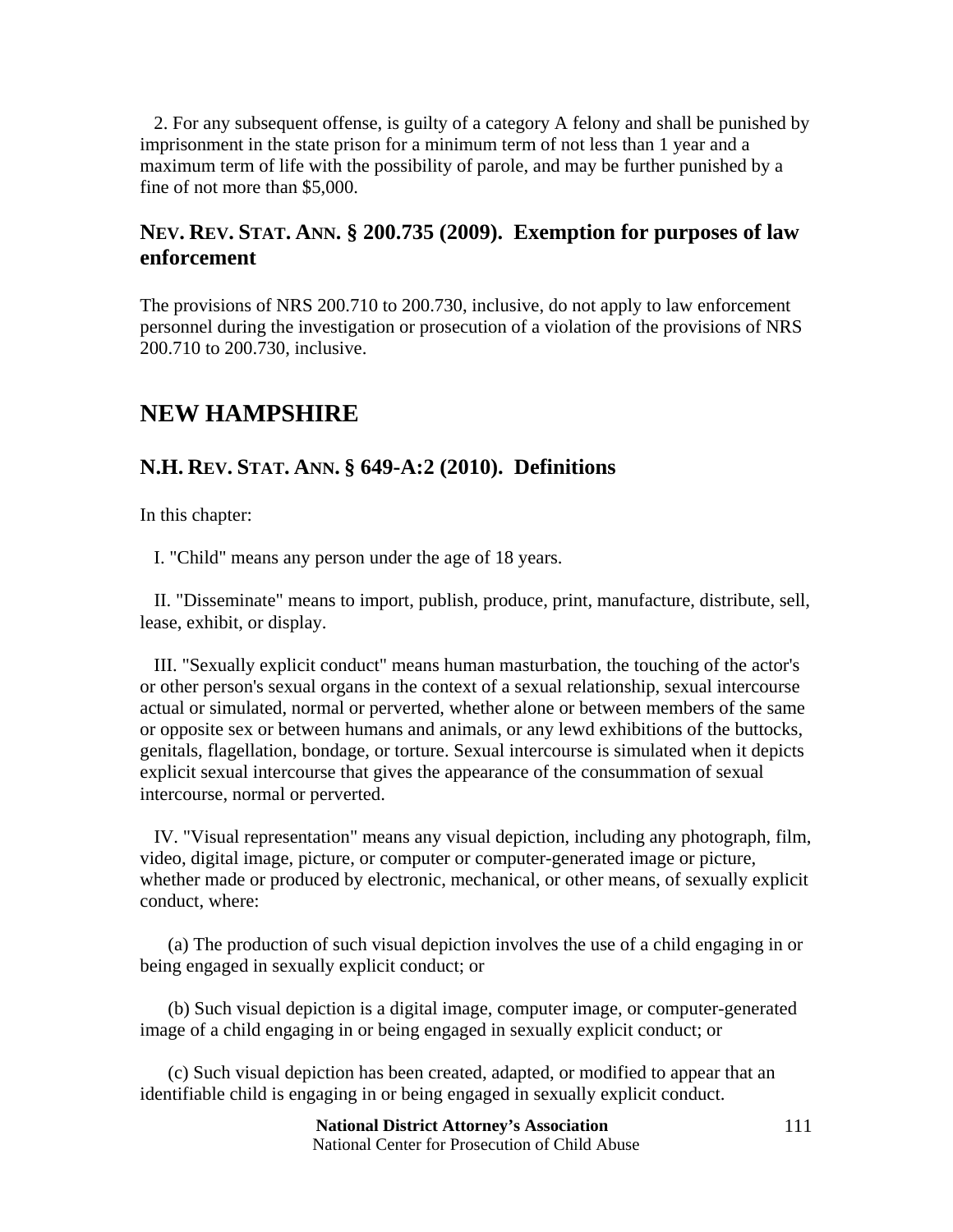2. For any subsequent offense, is guilty of a category A felony and shall be punished by imprisonment in the state prison for a minimum term of not less than 1 year and a maximum term of life with the possibility of parole, and may be further punished by a fine of not more than \$5,000.

#### **NEV. REV. STAT. ANN. § 200.735 (2009). Exemption for purposes of law enforcement**

The provisions of NRS 200.710 to 200.730, inclusive, do not apply to law enforcement personnel during the investigation or prosecution of a violation of the provisions of NRS 200.710 to 200.730, inclusive.

## **NEW HAMPSHIRE**

#### **N.H. REV. STAT. ANN. § 649-A:2 (2010). Definitions**

In this chapter:

I. "Child" means any person under the age of 18 years.

 II. "Disseminate" means to import, publish, produce, print, manufacture, distribute, sell, lease, exhibit, or display.

 III. "Sexually explicit conduct" means human masturbation, the touching of the actor's or other person's sexual organs in the context of a sexual relationship, sexual intercourse actual or simulated, normal or perverted, whether alone or between members of the same or opposite sex or between humans and animals, or any lewd exhibitions of the buttocks, genitals, flagellation, bondage, or torture. Sexual intercourse is simulated when it depicts explicit sexual intercourse that gives the appearance of the consummation of sexual intercourse, normal or perverted.

 IV. "Visual representation" means any visual depiction, including any photograph, film, video, digital image, picture, or computer or computer-generated image or picture, whether made or produced by electronic, mechanical, or other means, of sexually explicit conduct, where:

 (a) The production of such visual depiction involves the use of a child engaging in or being engaged in sexually explicit conduct; or

 (b) Such visual depiction is a digital image, computer image, or computer-generated image of a child engaging in or being engaged in sexually explicit conduct; or

 (c) Such visual depiction has been created, adapted, or modified to appear that an identifiable child is engaging in or being engaged in sexually explicit conduct.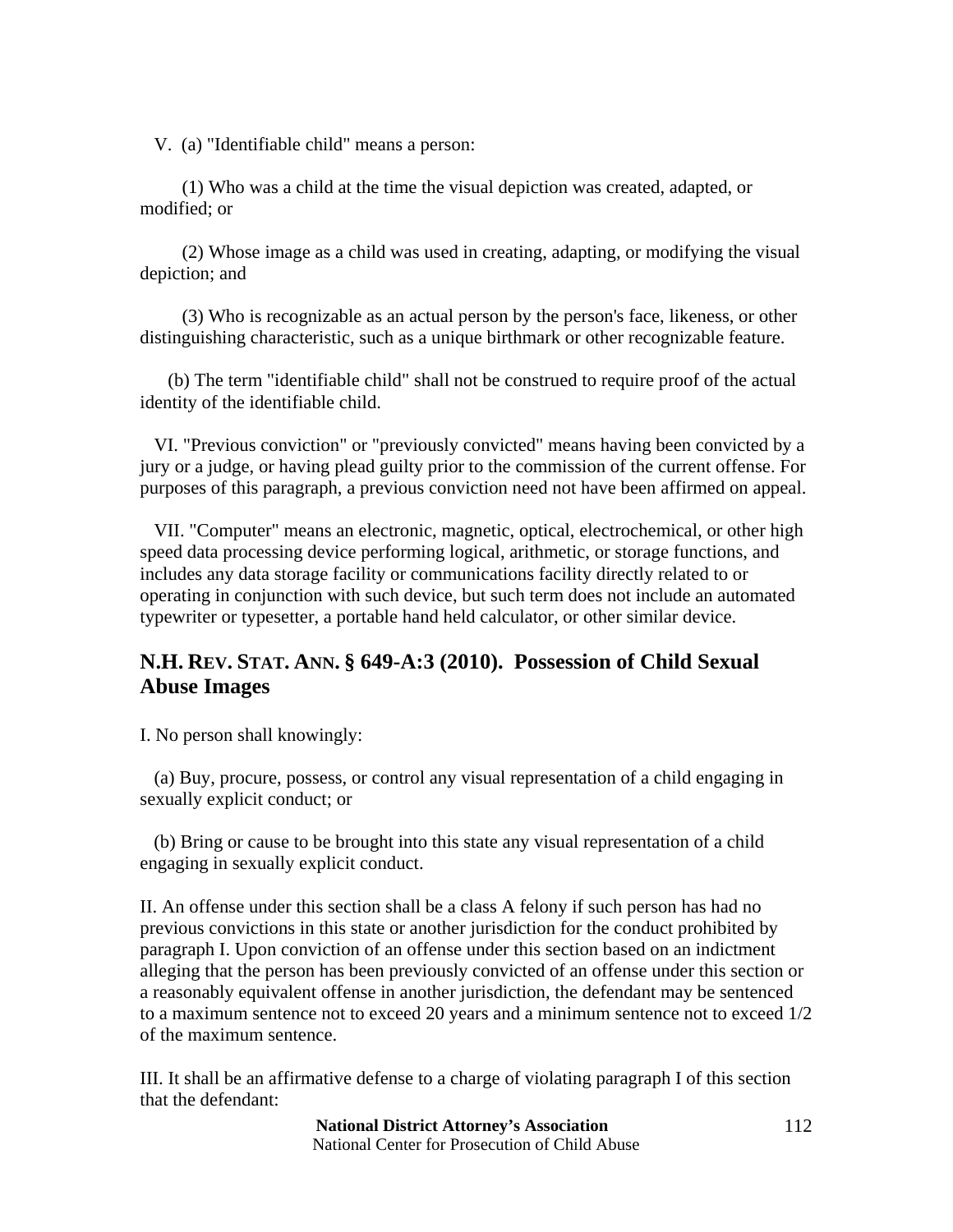V. (a) "Identifiable child" means a person:

 (1) Who was a child at the time the visual depiction was created, adapted, or modified; or

 (2) Whose image as a child was used in creating, adapting, or modifying the visual depiction; and

 (3) Who is recognizable as an actual person by the person's face, likeness, or other distinguishing characteristic, such as a unique birthmark or other recognizable feature.

 (b) The term "identifiable child" shall not be construed to require proof of the actual identity of the identifiable child.

 VI. "Previous conviction" or "previously convicted" means having been convicted by a jury or a judge, or having plead guilty prior to the commission of the current offense. For purposes of this paragraph, a previous conviction need not have been affirmed on appeal.

 VII. "Computer" means an electronic, magnetic, optical, electrochemical, or other high speed data processing device performing logical, arithmetic, or storage functions, and includes any data storage facility or communications facility directly related to or operating in conjunction with such device, but such term does not include an automated typewriter or typesetter, a portable hand held calculator, or other similar device.

## **N.H. REV. STAT. ANN. § 649-A:3 (2010). Possession of Child Sexual Abuse Images**

I. No person shall knowingly:

 (a) Buy, procure, possess, or control any visual representation of a child engaging in sexually explicit conduct; or

 (b) Bring or cause to be brought into this state any visual representation of a child engaging in sexually explicit conduct.

II. An offense under this section shall be a class A felony if such person has had no previous convictions in this state or another jurisdiction for the conduct prohibited by paragraph I. Upon conviction of an offense under this section based on an indictment alleging that the person has been previously convicted of an offense under this section or a reasonably equivalent offense in another jurisdiction, the defendant may be sentenced to a maximum sentence not to exceed 20 years and a minimum sentence not to exceed 1/2 of the maximum sentence.

III. It shall be an affirmative defense to a charge of violating paragraph I of this section that the defendant: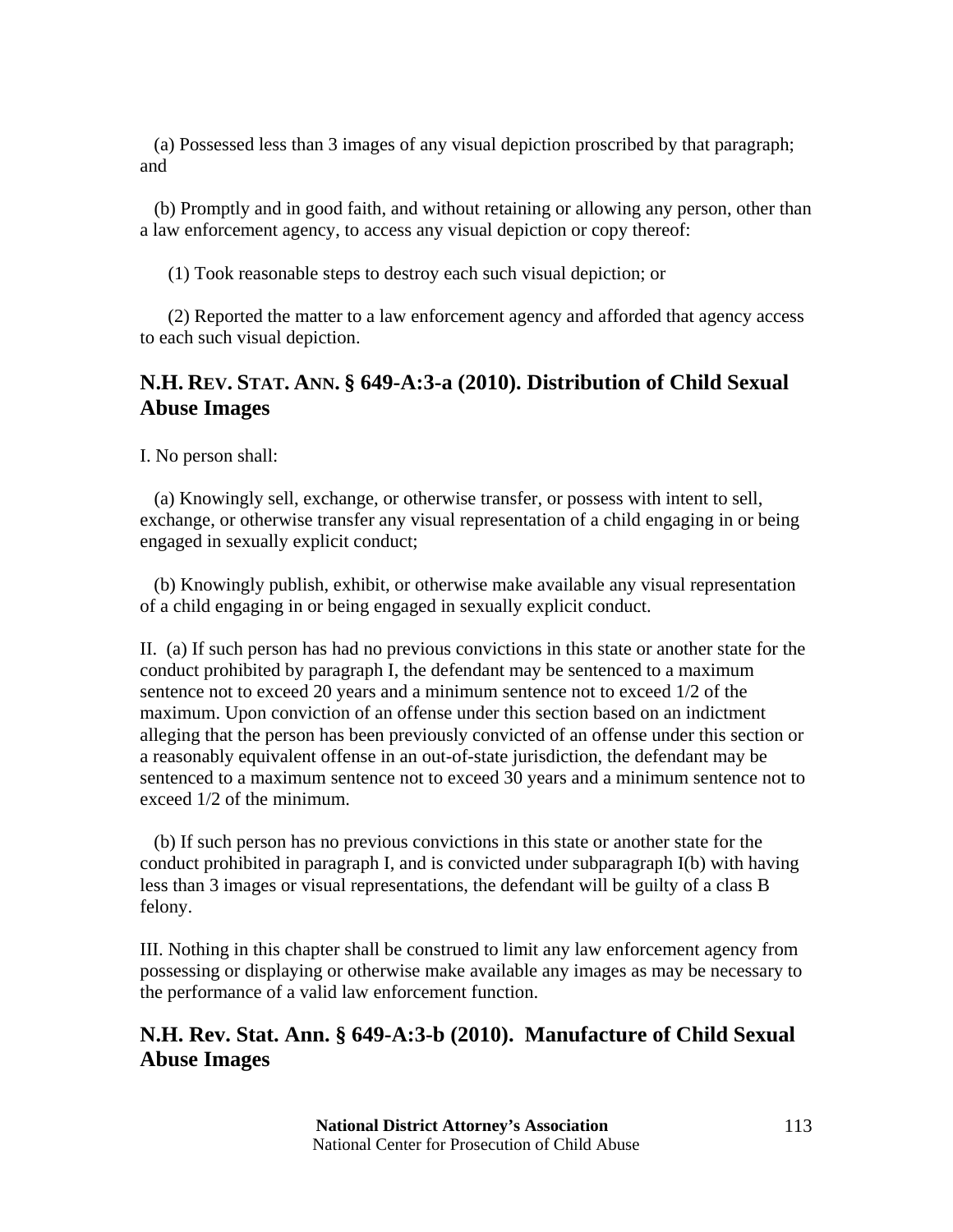(a) Possessed less than 3 images of any visual depiction proscribed by that paragraph; and

 (b) Promptly and in good faith, and without retaining or allowing any person, other than a law enforcement agency, to access any visual depiction or copy thereof:

(1) Took reasonable steps to destroy each such visual depiction; or

 (2) Reported the matter to a law enforcement agency and afforded that agency access to each such visual depiction.

## **N.H. REV. STAT. ANN. § 649-A:3-a (2010). Distribution of Child Sexual Abuse Images**

I. No person shall:

 (a) Knowingly sell, exchange, or otherwise transfer, or possess with intent to sell, exchange, or otherwise transfer any visual representation of a child engaging in or being engaged in sexually explicit conduct;

 (b) Knowingly publish, exhibit, or otherwise make available any visual representation of a child engaging in or being engaged in sexually explicit conduct.

II. (a) If such person has had no previous convictions in this state or another state for the conduct prohibited by paragraph I, the defendant may be sentenced to a maximum sentence not to exceed 20 years and a minimum sentence not to exceed 1/2 of the maximum. Upon conviction of an offense under this section based on an indictment alleging that the person has been previously convicted of an offense under this section or a reasonably equivalent offense in an out-of-state jurisdiction, the defendant may be sentenced to a maximum sentence not to exceed 30 years and a minimum sentence not to exceed 1/2 of the minimum.

 (b) If such person has no previous convictions in this state or another state for the conduct prohibited in paragraph I, and is convicted under subparagraph I(b) with having less than 3 images or visual representations, the defendant will be guilty of a class B felony.

III. Nothing in this chapter shall be construed to limit any law enforcement agency from possessing or displaying or otherwise make available any images as may be necessary to the performance of a valid law enforcement function.

#### **N.H. Rev. Stat. Ann. § 649-A:3-b (2010). Manufacture of Child Sexual Abuse Images**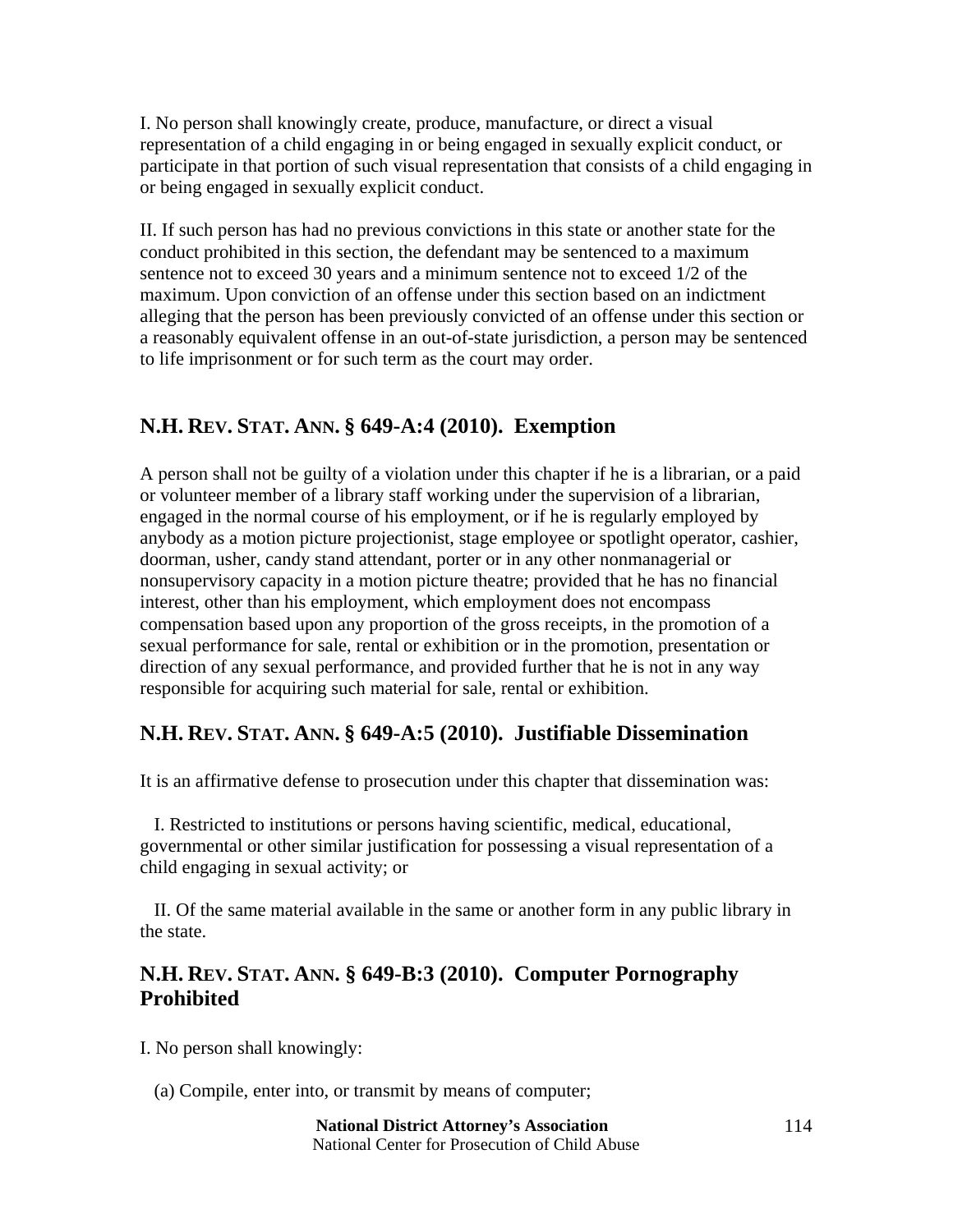I. No person shall knowingly create, produce, manufacture, or direct a visual representation of a child engaging in or being engaged in sexually explicit conduct, or participate in that portion of such visual representation that consists of a child engaging in or being engaged in sexually explicit conduct.

II. If such person has had no previous convictions in this state or another state for the conduct prohibited in this section, the defendant may be sentenced to a maximum sentence not to exceed 30 years and a minimum sentence not to exceed 1/2 of the maximum. Upon conviction of an offense under this section based on an indictment alleging that the person has been previously convicted of an offense under this section or a reasonably equivalent offense in an out-of-state jurisdiction, a person may be sentenced to life imprisonment or for such term as the court may order.

## **N.H. REV. STAT. ANN. § 649-A:4 (2010). Exemption**

A person shall not be guilty of a violation under this chapter if he is a librarian, or a paid or volunteer member of a library staff working under the supervision of a librarian, engaged in the normal course of his employment, or if he is regularly employed by anybody as a motion picture projectionist, stage employee or spotlight operator, cashier, doorman, usher, candy stand attendant, porter or in any other nonmanagerial or nonsupervisory capacity in a motion picture theatre; provided that he has no financial interest, other than his employment, which employment does not encompass compensation based upon any proportion of the gross receipts, in the promotion of a sexual performance for sale, rental or exhibition or in the promotion, presentation or direction of any sexual performance, and provided further that he is not in any way responsible for acquiring such material for sale, rental or exhibition.

#### **N.H. REV. STAT. ANN. § 649-A:5 (2010). Justifiable Dissemination**

It is an affirmative defense to prosecution under this chapter that dissemination was:

 I. Restricted to institutions or persons having scientific, medical, educational, governmental or other similar justification for possessing a visual representation of a child engaging in sexual activity; or

 II. Of the same material available in the same or another form in any public library in the state.

#### **N.H. REV. STAT. ANN. § 649-B:3 (2010). Computer Pornography Prohibited**

I. No person shall knowingly:

(a) Compile, enter into, or transmit by means of computer;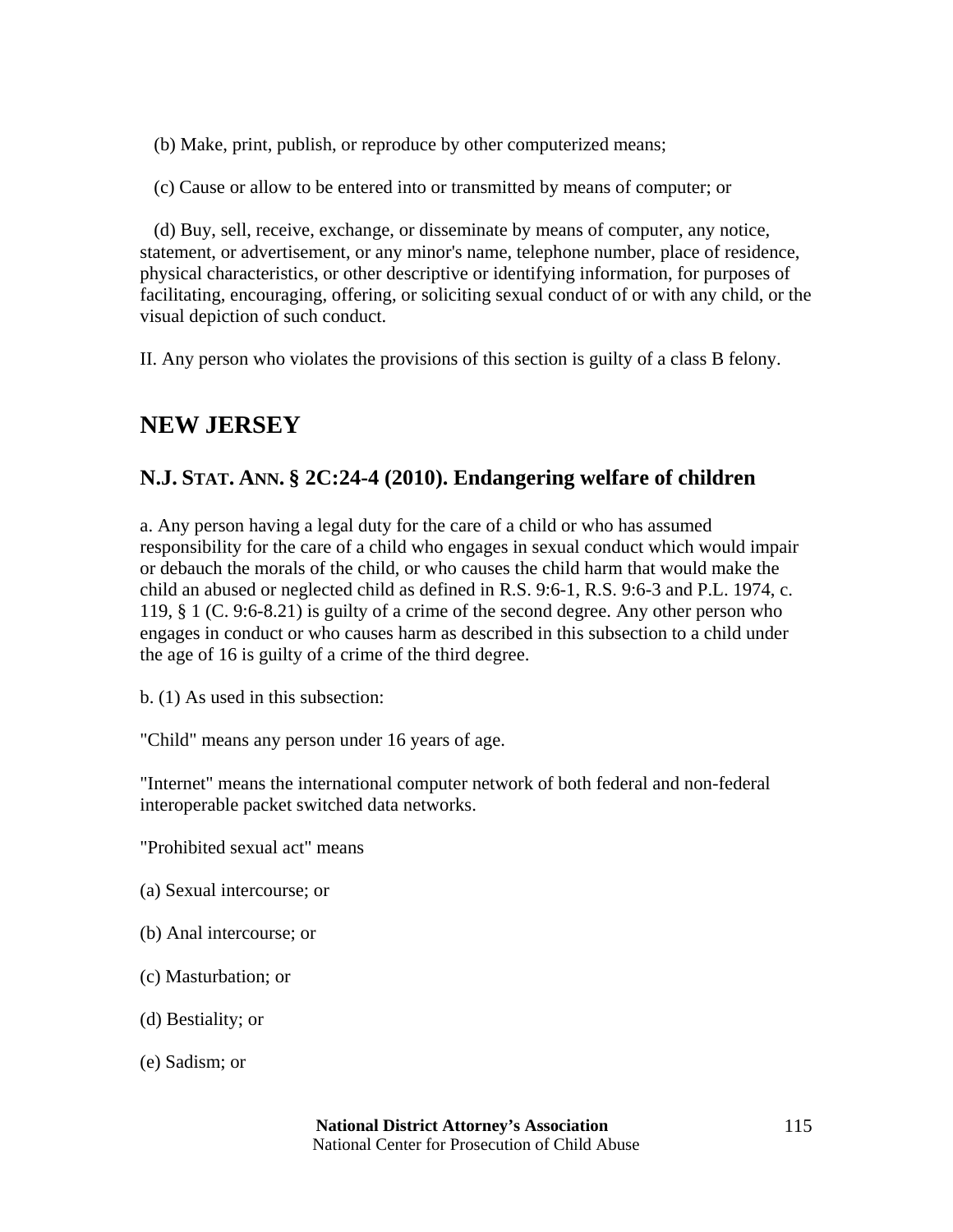- (b) Make, print, publish, or reproduce by other computerized means;
- (c) Cause or allow to be entered into or transmitted by means of computer; or

 (d) Buy, sell, receive, exchange, or disseminate by means of computer, any notice, statement, or advertisement, or any minor's name, telephone number, place of residence, physical characteristics, or other descriptive or identifying information, for purposes of facilitating, encouraging, offering, or soliciting sexual conduct of or with any child, or the visual depiction of such conduct.

II. Any person who violates the provisions of this section is guilty of a class B felony.

## **NEW JERSEY**

## **N.J. STAT. ANN. § 2C:24-4 (2010). Endangering welfare of children**

a. Any person having a legal duty for the care of a child or who has assumed responsibility for the care of a child who engages in sexual conduct which would impair or debauch the morals of the child, or who causes the child harm that would make the child an abused or neglected child as defined in R.S. 9:6-1, R.S. 9:6-3 and P.L. 1974, c. 119, § 1 (C. 9:6-8.21) is guilty of a crime of the second degree. Any other person who engages in conduct or who causes harm as described in this subsection to a child under the age of 16 is guilty of a crime of the third degree.

b. (1) As used in this subsection:

"Child" means any person under 16 years of age.

"Internet" means the international computer network of both federal and non-federal interoperable packet switched data networks.

- "Prohibited sexual act" means
- (a) Sexual intercourse; or
- (b) Anal intercourse; or
- (c) Masturbation; or
- (d) Bestiality; or
- (e) Sadism; or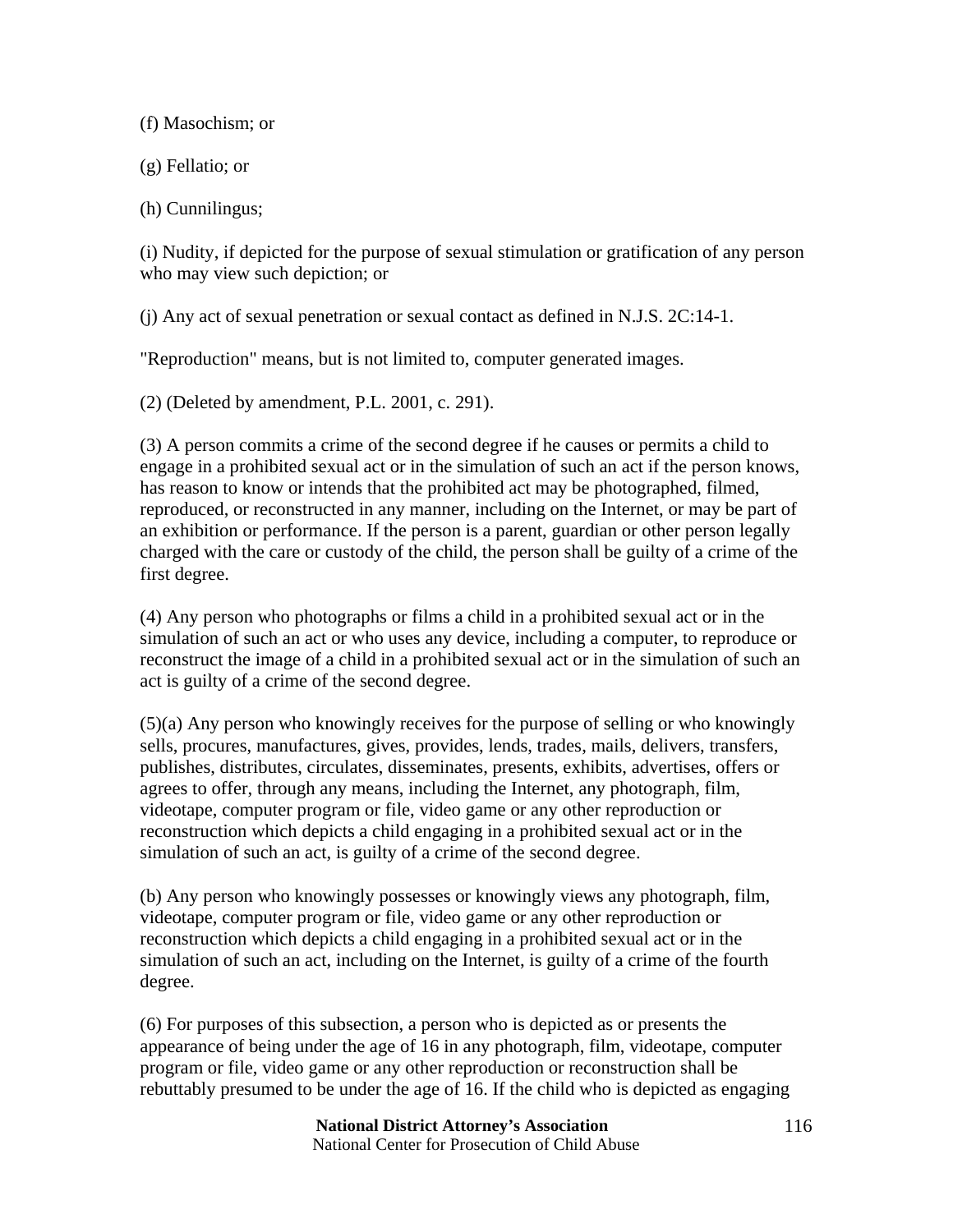(f) Masochism; or

(g) Fellatio; or

(h) Cunnilingus;

(i) Nudity, if depicted for the purpose of sexual stimulation or gratification of any person who may view such depiction; or

(j) Any act of sexual penetration or sexual contact as defined in N.J.S. 2C:14-1.

"Reproduction" means, but is not limited to, computer generated images.

(2) (Deleted by amendment, P.L. 2001, c. 291).

(3) A person commits a crime of the second degree if he causes or permits a child to engage in a prohibited sexual act or in the simulation of such an act if the person knows, has reason to know or intends that the prohibited act may be photographed, filmed, reproduced, or reconstructed in any manner, including on the Internet, or may be part of an exhibition or performance. If the person is a parent, guardian or other person legally charged with the care or custody of the child, the person shall be guilty of a crime of the first degree.

(4) Any person who photographs or films a child in a prohibited sexual act or in the simulation of such an act or who uses any device, including a computer, to reproduce or reconstruct the image of a child in a prohibited sexual act or in the simulation of such an act is guilty of a crime of the second degree.

(5)(a) Any person who knowingly receives for the purpose of selling or who knowingly sells, procures, manufactures, gives, provides, lends, trades, mails, delivers, transfers, publishes, distributes, circulates, disseminates, presents, exhibits, advertises, offers or agrees to offer, through any means, including the Internet, any photograph, film, videotape, computer program or file, video game or any other reproduction or reconstruction which depicts a child engaging in a prohibited sexual act or in the simulation of such an act, is guilty of a crime of the second degree.

(b) Any person who knowingly possesses or knowingly views any photograph, film, videotape, computer program or file, video game or any other reproduction or reconstruction which depicts a child engaging in a prohibited sexual act or in the simulation of such an act, including on the Internet, is guilty of a crime of the fourth degree.

(6) For purposes of this subsection, a person who is depicted as or presents the appearance of being under the age of 16 in any photograph, film, videotape, computer program or file, video game or any other reproduction or reconstruction shall be rebuttably presumed to be under the age of 16. If the child who is depicted as engaging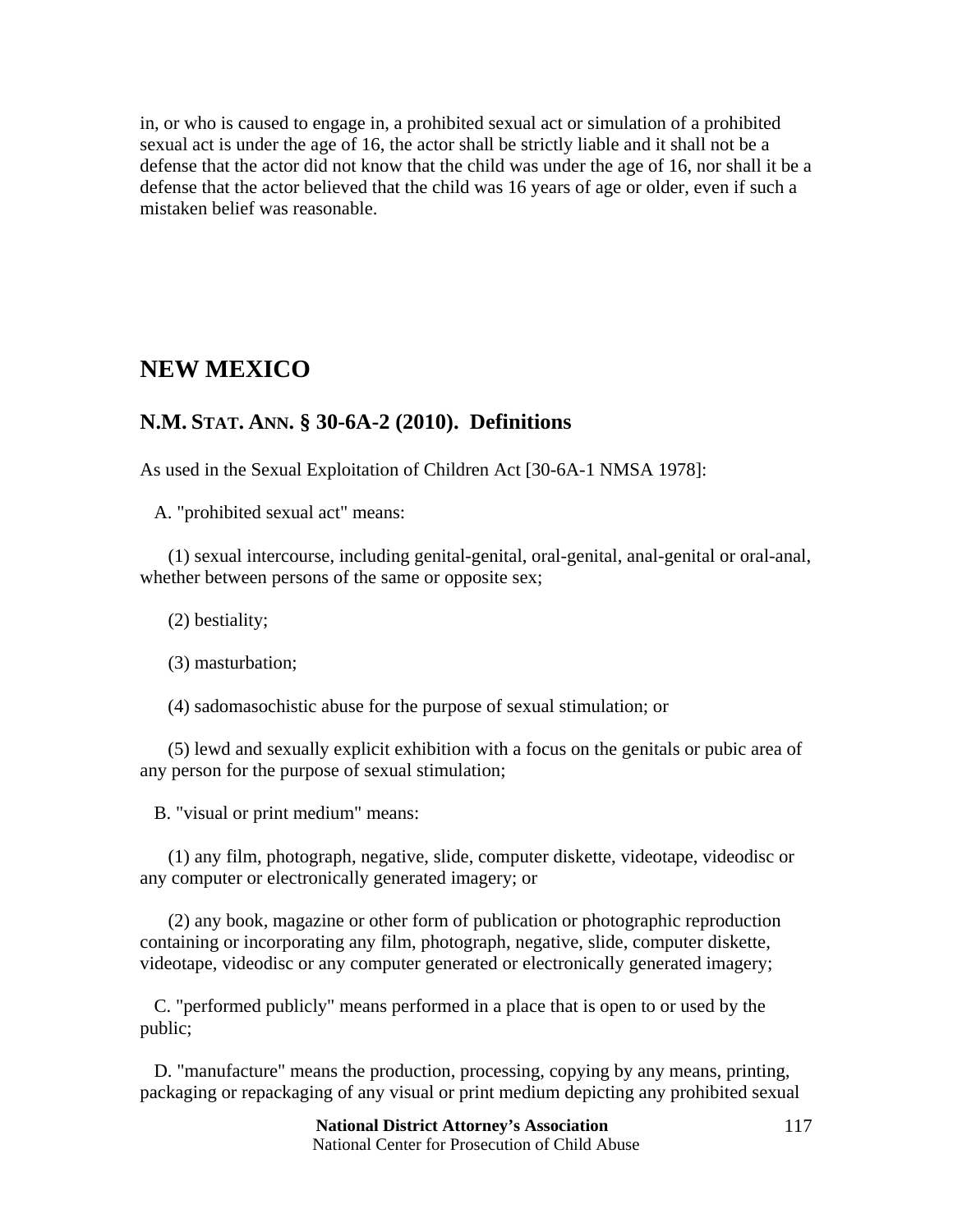in, or who is caused to engage in, a prohibited sexual act or simulation of a prohibited sexual act is under the age of 16, the actor shall be strictly liable and it shall not be a defense that the actor did not know that the child was under the age of 16, nor shall it be a defense that the actor believed that the child was 16 years of age or older, even if such a mistaken belief was reasonable.

## **NEW MEXICO**

#### **N.M. STAT. ANN. § 30-6A-2 (2010). Definitions**

As used in the Sexual Exploitation of Children Act [30-6A-1 NMSA 1978]:

A. "prohibited sexual act" means:

 (1) sexual intercourse, including genital-genital, oral-genital, anal-genital or oral-anal, whether between persons of the same or opposite sex;

(2) bestiality;

(3) masturbation;

(4) sadomasochistic abuse for the purpose of sexual stimulation; or

 (5) lewd and sexually explicit exhibition with a focus on the genitals or pubic area of any person for the purpose of sexual stimulation;

B. "visual or print medium" means:

 (1) any film, photograph, negative, slide, computer diskette, videotape, videodisc or any computer or electronically generated imagery; or

 (2) any book, magazine or other form of publication or photographic reproduction containing or incorporating any film, photograph, negative, slide, computer diskette, videotape, videodisc or any computer generated or electronically generated imagery;

 C. "performed publicly" means performed in a place that is open to or used by the public;

 D. "manufacture" means the production, processing, copying by any means, printing, packaging or repackaging of any visual or print medium depicting any prohibited sexual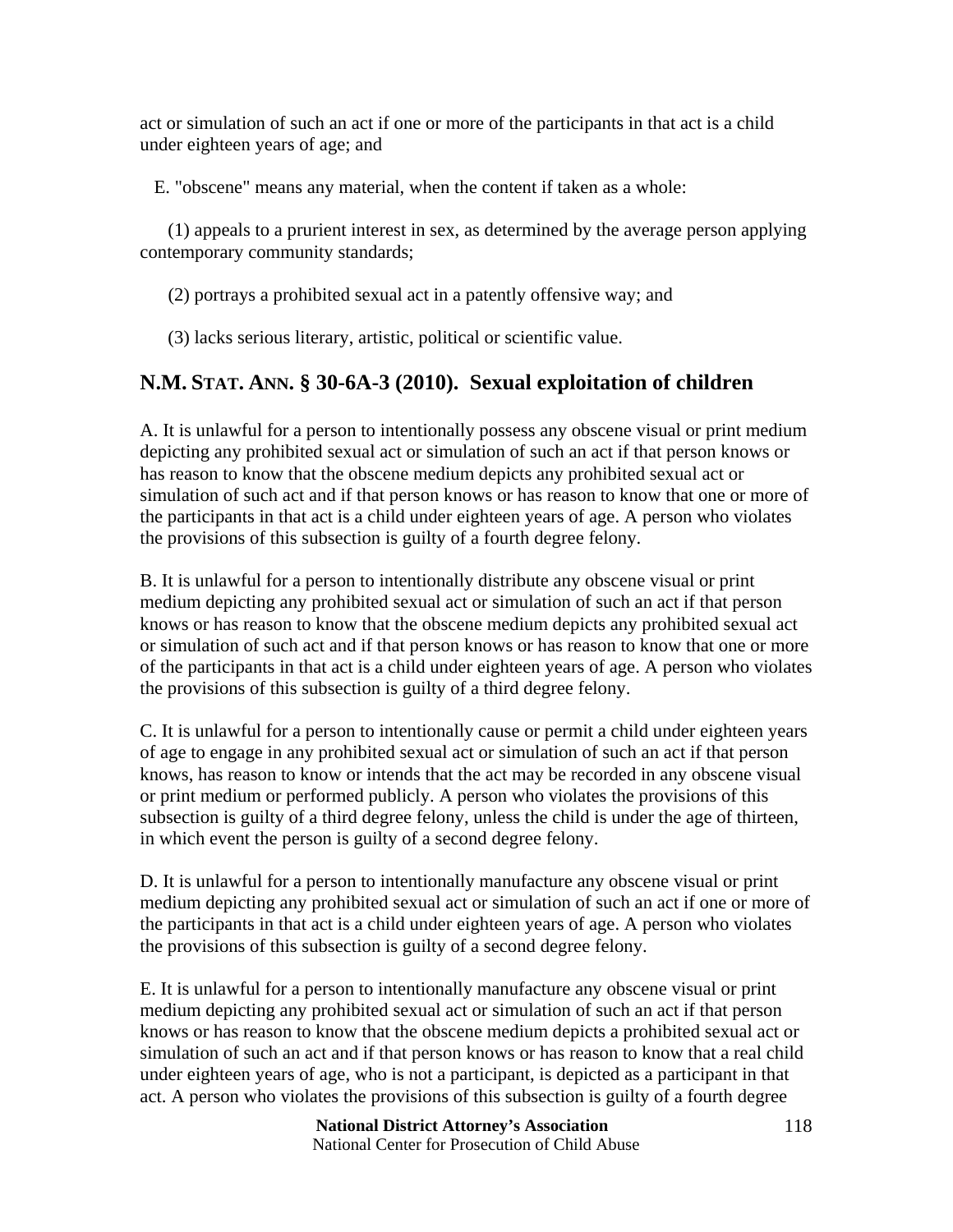act or simulation of such an act if one or more of the participants in that act is a child under eighteen years of age; and

E. "obscene" means any material, when the content if taken as a whole:

 (1) appeals to a prurient interest in sex, as determined by the average person applying contemporary community standards;

(2) portrays a prohibited sexual act in a patently offensive way; and

(3) lacks serious literary, artistic, political or scientific value.

## **N.M. STAT. ANN. § 30-6A-3 (2010). Sexual exploitation of children**

A. It is unlawful for a person to intentionally possess any obscene visual or print medium depicting any prohibited sexual act or simulation of such an act if that person knows or has reason to know that the obscene medium depicts any prohibited sexual act or simulation of such act and if that person knows or has reason to know that one or more of the participants in that act is a child under eighteen years of age. A person who violates the provisions of this subsection is guilty of a fourth degree felony.

B. It is unlawful for a person to intentionally distribute any obscene visual or print medium depicting any prohibited sexual act or simulation of such an act if that person knows or has reason to know that the obscene medium depicts any prohibited sexual act or simulation of such act and if that person knows or has reason to know that one or more of the participants in that act is a child under eighteen years of age. A person who violates the provisions of this subsection is guilty of a third degree felony.

C. It is unlawful for a person to intentionally cause or permit a child under eighteen years of age to engage in any prohibited sexual act or simulation of such an act if that person knows, has reason to know or intends that the act may be recorded in any obscene visual or print medium or performed publicly. A person who violates the provisions of this subsection is guilty of a third degree felony, unless the child is under the age of thirteen, in which event the person is guilty of a second degree felony.

D. It is unlawful for a person to intentionally manufacture any obscene visual or print medium depicting any prohibited sexual act or simulation of such an act if one or more of the participants in that act is a child under eighteen years of age. A person who violates the provisions of this subsection is guilty of a second degree felony.

E. It is unlawful for a person to intentionally manufacture any obscene visual or print medium depicting any prohibited sexual act or simulation of such an act if that person knows or has reason to know that the obscene medium depicts a prohibited sexual act or simulation of such an act and if that person knows or has reason to know that a real child under eighteen years of age, who is not a participant, is depicted as a participant in that act. A person who violates the provisions of this subsection is guilty of a fourth degree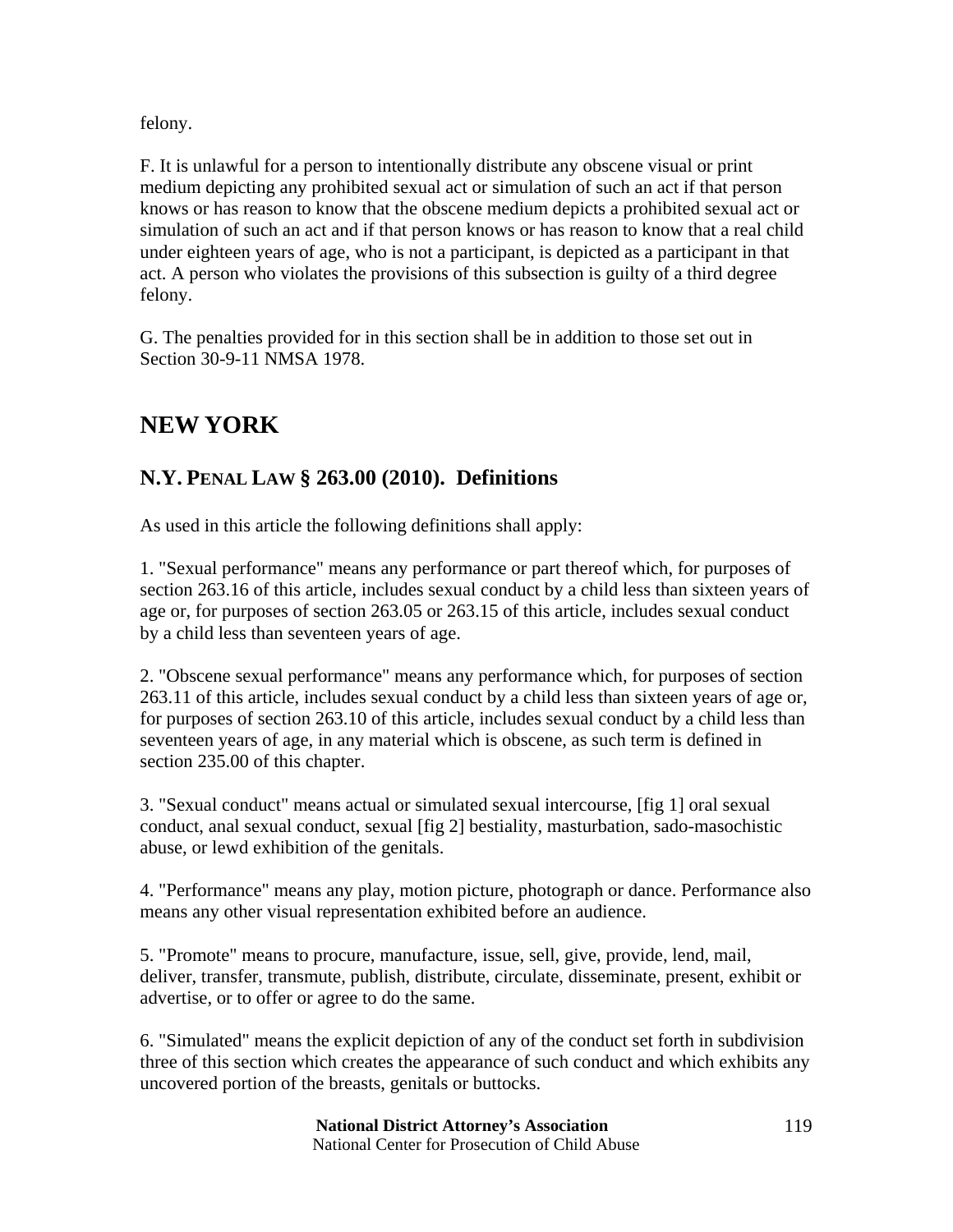felony.

F. It is unlawful for a person to intentionally distribute any obscene visual or print medium depicting any prohibited sexual act or simulation of such an act if that person knows or has reason to know that the obscene medium depicts a prohibited sexual act or simulation of such an act and if that person knows or has reason to know that a real child under eighteen years of age, who is not a participant, is depicted as a participant in that act. A person who violates the provisions of this subsection is guilty of a third degree felony.

G. The penalties provided for in this section shall be in addition to those set out in Section 30-9-11 NMSA 1978.

## **NEW YORK**

## **N.Y. PENAL LAW § 263.00 (2010). Definitions**

As used in this article the following definitions shall apply:

1. "Sexual performance" means any performance or part thereof which, for purposes of section 263.16 of this article, includes sexual conduct by a child less than sixteen years of age or, for purposes of section 263.05 or 263.15 of this article, includes sexual conduct by a child less than seventeen years of age.

2. "Obscene sexual performance" means any performance which, for purposes of section 263.11 of this article, includes sexual conduct by a child less than sixteen years of age or, for purposes of section 263.10 of this article, includes sexual conduct by a child less than seventeen years of age, in any material which is obscene, as such term is defined in section 235.00 of this chapter.

3. "Sexual conduct" means actual or simulated sexual intercourse, [fig 1] oral sexual conduct, anal sexual conduct, sexual [fig 2] bestiality, masturbation, sado-masochistic abuse, or lewd exhibition of the genitals.

4. "Performance" means any play, motion picture, photograph or dance. Performance also means any other visual representation exhibited before an audience.

5. "Promote" means to procure, manufacture, issue, sell, give, provide, lend, mail, deliver, transfer, transmute, publish, distribute, circulate, disseminate, present, exhibit or advertise, or to offer or agree to do the same.

6. "Simulated" means the explicit depiction of any of the conduct set forth in subdivision three of this section which creates the appearance of such conduct and which exhibits any uncovered portion of the breasts, genitals or buttocks.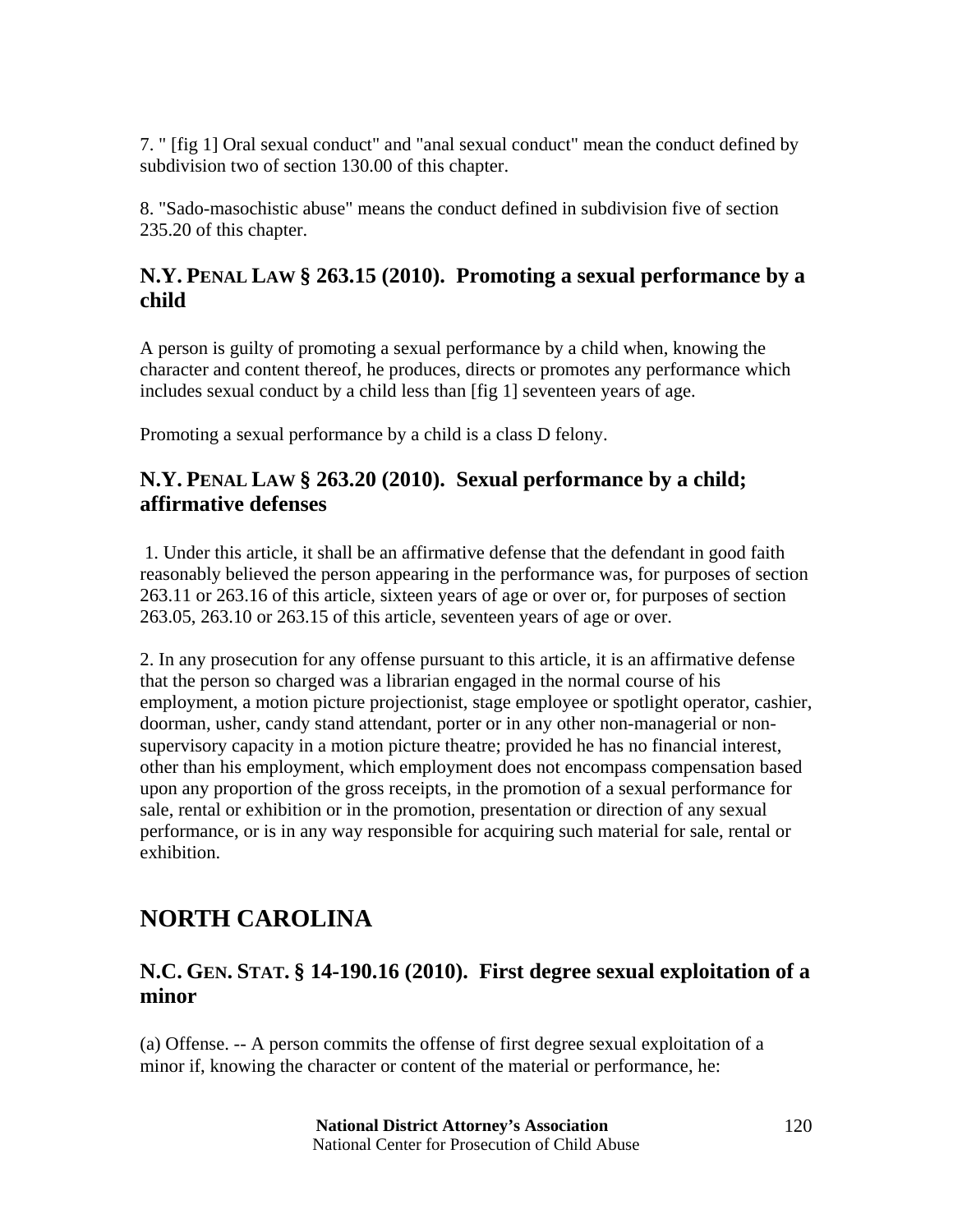7. " [fig 1] Oral sexual conduct" and "anal sexual conduct" mean the conduct defined by subdivision two of section 130.00 of this chapter.

8. "Sado-masochistic abuse" means the conduct defined in subdivision five of section 235.20 of this chapter.

### **N.Y. PENAL LAW § 263.15 (2010). Promoting a sexual performance by a child**

A person is guilty of promoting a sexual performance by a child when, knowing the character and content thereof, he produces, directs or promotes any performance which includes sexual conduct by a child less than [fig 1] seventeen years of age.

Promoting a sexual performance by a child is a class D felony.

#### **N.Y. PENAL LAW § 263.20 (2010). Sexual performance by a child; affirmative defenses**

 1. Under this article, it shall be an affirmative defense that the defendant in good faith reasonably believed the person appearing in the performance was, for purposes of section 263.11 or 263.16 of this article, sixteen years of age or over or, for purposes of section 263.05, 263.10 or 263.15 of this article, seventeen years of age or over.

2. In any prosecution for any offense pursuant to this article, it is an affirmative defense that the person so charged was a librarian engaged in the normal course of his employment, a motion picture projectionist, stage employee or spotlight operator, cashier, doorman, usher, candy stand attendant, porter or in any other non-managerial or nonsupervisory capacity in a motion picture theatre; provided he has no financial interest, other than his employment, which employment does not encompass compensation based upon any proportion of the gross receipts, in the promotion of a sexual performance for sale, rental or exhibition or in the promotion, presentation or direction of any sexual performance, or is in any way responsible for acquiring such material for sale, rental or exhibition.

# **NORTH CAROLINA**

## **N.C. GEN. STAT. § 14-190.16 (2010). First degree sexual exploitation of a minor**

(a) Offense. -- A person commits the offense of first degree sexual exploitation of a minor if, knowing the character or content of the material or performance, he: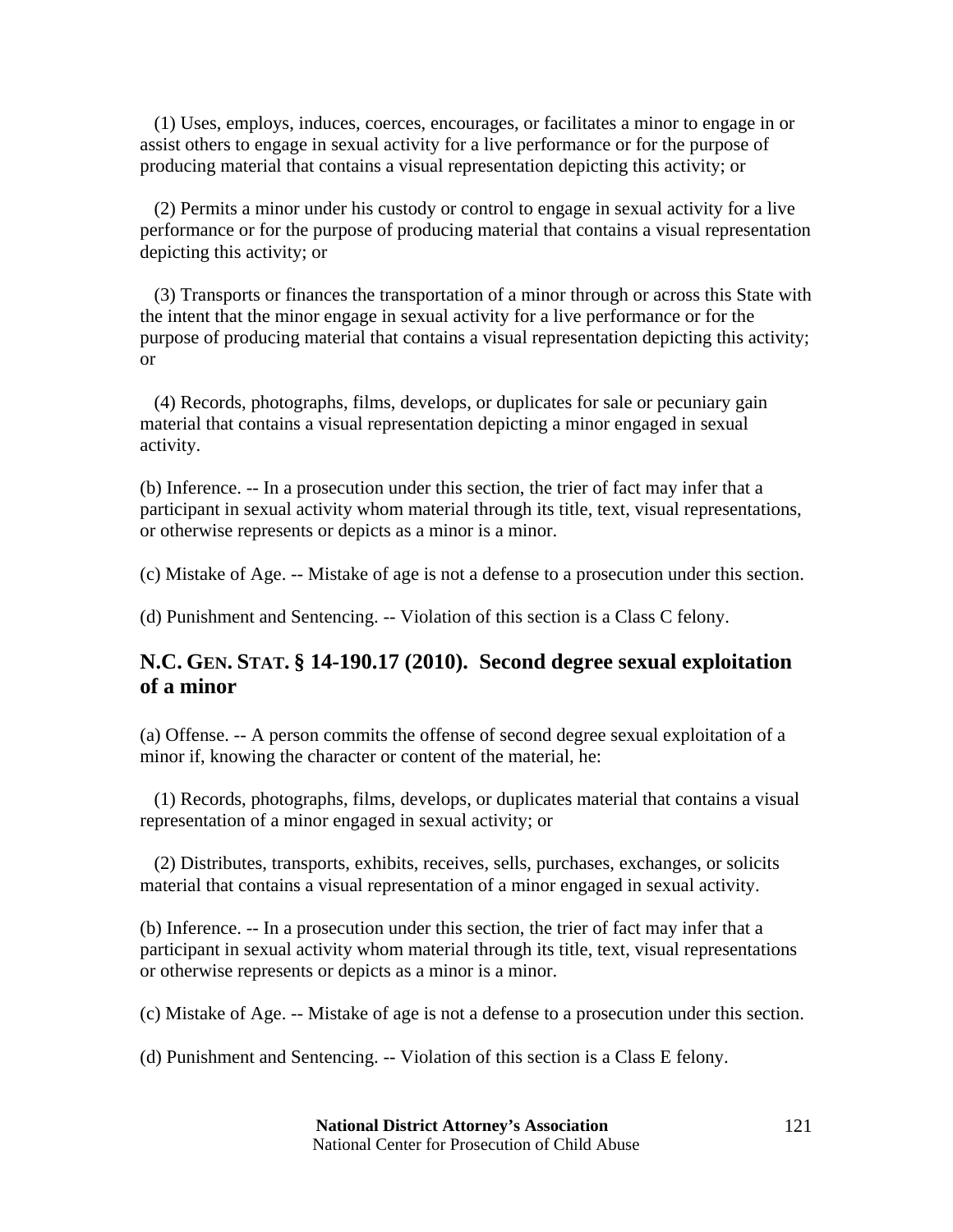(1) Uses, employs, induces, coerces, encourages, or facilitates a minor to engage in or assist others to engage in sexual activity for a live performance or for the purpose of producing material that contains a visual representation depicting this activity; or

 (2) Permits a minor under his custody or control to engage in sexual activity for a live performance or for the purpose of producing material that contains a visual representation depicting this activity; or

 (3) Transports or finances the transportation of a minor through or across this State with the intent that the minor engage in sexual activity for a live performance or for the purpose of producing material that contains a visual representation depicting this activity; or

 (4) Records, photographs, films, develops, or duplicates for sale or pecuniary gain material that contains a visual representation depicting a minor engaged in sexual activity.

(b) Inference. -- In a prosecution under this section, the trier of fact may infer that a participant in sexual activity whom material through its title, text, visual representations, or otherwise represents or depicts as a minor is a minor.

(c) Mistake of Age. -- Mistake of age is not a defense to a prosecution under this section.

(d) Punishment and Sentencing. -- Violation of this section is a Class C felony.

#### **N.C. GEN. STAT. § 14-190.17 (2010). Second degree sexual exploitation of a minor**

(a) Offense. -- A person commits the offense of second degree sexual exploitation of a minor if, knowing the character or content of the material, he:

 (1) Records, photographs, films, develops, or duplicates material that contains a visual representation of a minor engaged in sexual activity; or

 (2) Distributes, transports, exhibits, receives, sells, purchases, exchanges, or solicits material that contains a visual representation of a minor engaged in sexual activity.

(b) Inference. -- In a prosecution under this section, the trier of fact may infer that a participant in sexual activity whom material through its title, text, visual representations or otherwise represents or depicts as a minor is a minor.

(c) Mistake of Age. -- Mistake of age is not a defense to a prosecution under this section.

(d) Punishment and Sentencing. -- Violation of this section is a Class E felony.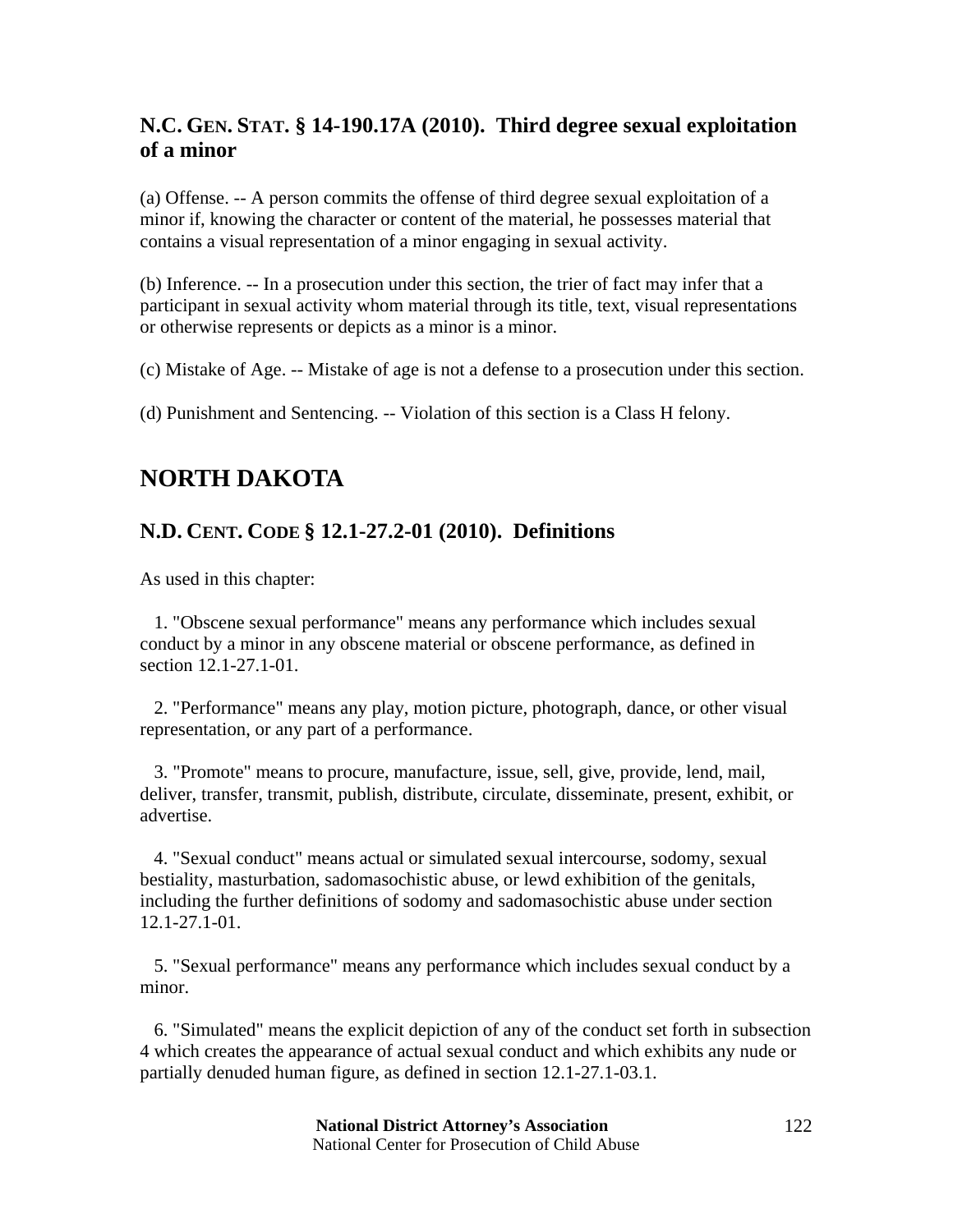## **N.C. GEN. STAT. § 14-190.17A (2010). Third degree sexual exploitation of a minor**

(a) Offense. -- A person commits the offense of third degree sexual exploitation of a minor if, knowing the character or content of the material, he possesses material that contains a visual representation of a minor engaging in sexual activity.

(b) Inference. -- In a prosecution under this section, the trier of fact may infer that a participant in sexual activity whom material through its title, text, visual representations or otherwise represents or depicts as a minor is a minor.

(c) Mistake of Age. -- Mistake of age is not a defense to a prosecution under this section.

(d) Punishment and Sentencing. -- Violation of this section is a Class H felony.

## **NORTH DAKOTA**

#### **N.D. CENT. CODE § 12.1-27.2-01 (2010). Definitions**

As used in this chapter:

 1. "Obscene sexual performance" means any performance which includes sexual conduct by a minor in any obscene material or obscene performance, as defined in section 12.1-27.1-01.

 2. "Performance" means any play, motion picture, photograph, dance, or other visual representation, or any part of a performance.

 3. "Promote" means to procure, manufacture, issue, sell, give, provide, lend, mail, deliver, transfer, transmit, publish, distribute, circulate, disseminate, present, exhibit, or advertise.

 4. "Sexual conduct" means actual or simulated sexual intercourse, sodomy, sexual bestiality, masturbation, sadomasochistic abuse, or lewd exhibition of the genitals, including the further definitions of sodomy and sadomasochistic abuse under section 12.1-27.1-01.

 5. "Sexual performance" means any performance which includes sexual conduct by a minor.

 6. "Simulated" means the explicit depiction of any of the conduct set forth in subsection 4 which creates the appearance of actual sexual conduct and which exhibits any nude or partially denuded human figure, as defined in section 12.1-27.1-03.1.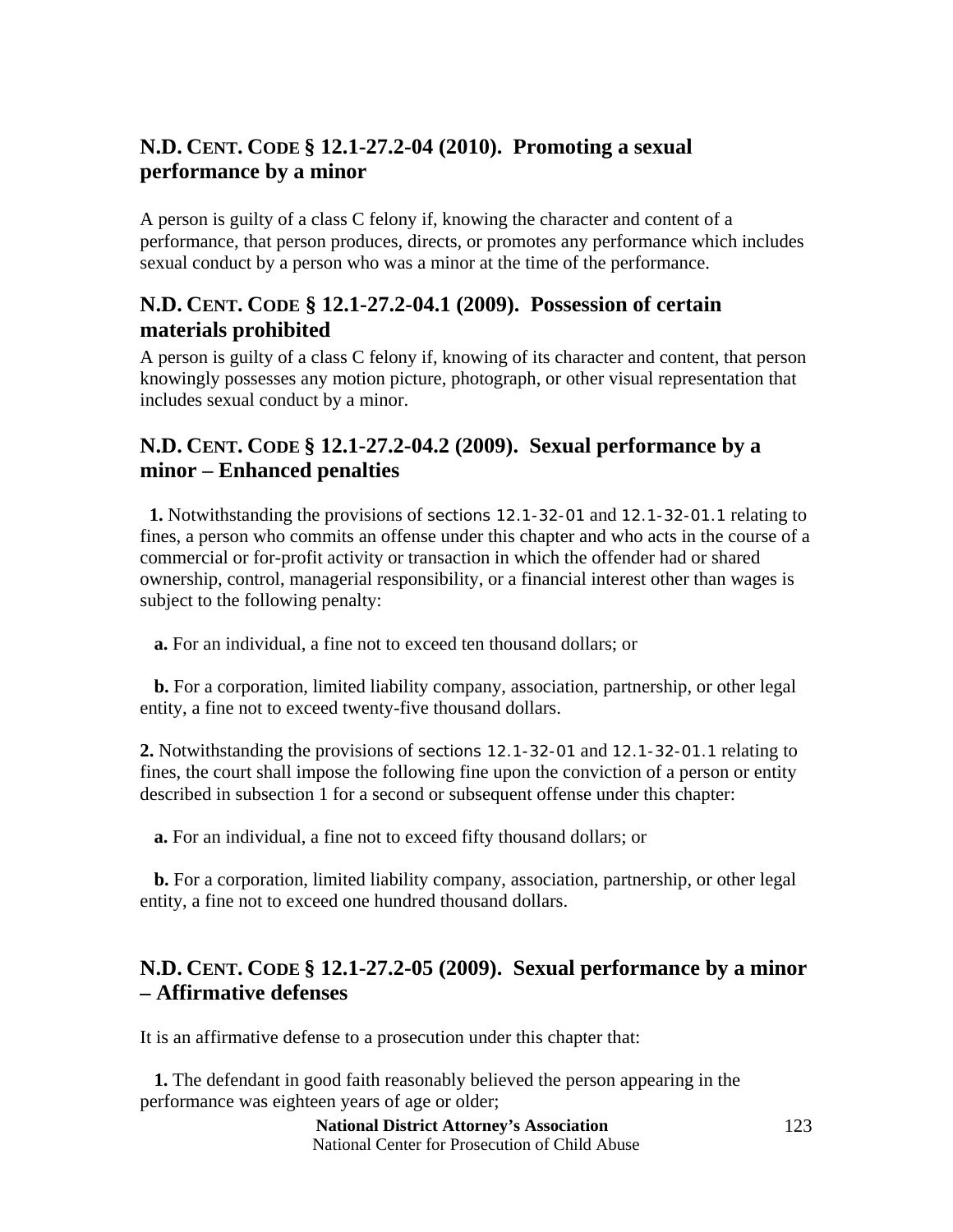## **N.D. CENT. CODE § 12.1-27.2-04 (2010). Promoting a sexual performance by a minor**

A person is guilty of a class C felony if, knowing the character and content of a performance, that person produces, directs, or promotes any performance which includes sexual conduct by a person who was a minor at the time of the performance.

#### **N.D. CENT. CODE § 12.1-27.2-04.1 (2009). Possession of certain materials prohibited**

A person is guilty of a class C felony if, knowing of its character and content, that person knowingly possesses any motion picture, photograph, or other visual representation that includes sexual conduct by a minor.

## **N.D. CENT. CODE § 12.1-27.2-04.2 (2009). Sexual performance by a minor – Enhanced penalties**

 **1.** Notwithstanding the provisions of sections 12.1-32-01 and 12.1-32-01.1 relating to fines, a person who commits an offense under this chapter and who acts in the course of a commercial or for-profit activity or transaction in which the offender had or shared ownership, control, managerial responsibility, or a financial interest other than wages is subject to the following penalty:

**a.** For an individual, a fine not to exceed ten thousand dollars; or

 **b.** For a corporation, limited liability company, association, partnership, or other legal entity, a fine not to exceed twenty-five thousand dollars.

**2.** Notwithstanding the provisions of sections 12.1-32-01 and 12.1-32-01.1 relating to fines, the court shall impose the following fine upon the conviction of a person or entity described in subsection 1 for a second or subsequent offense under this chapter:

**a.** For an individual, a fine not to exceed fifty thousand dollars; or

 **b.** For a corporation, limited liability company, association, partnership, or other legal entity, a fine not to exceed one hundred thousand dollars.

## **N.D. CENT. CODE § 12.1-27.2-05 (2009). Sexual performance by a minor – Affirmative defenses**

It is an affirmative defense to a prosecution under this chapter that:

 **1.** The defendant in good faith reasonably believed the person appearing in the performance was eighteen years of age or older;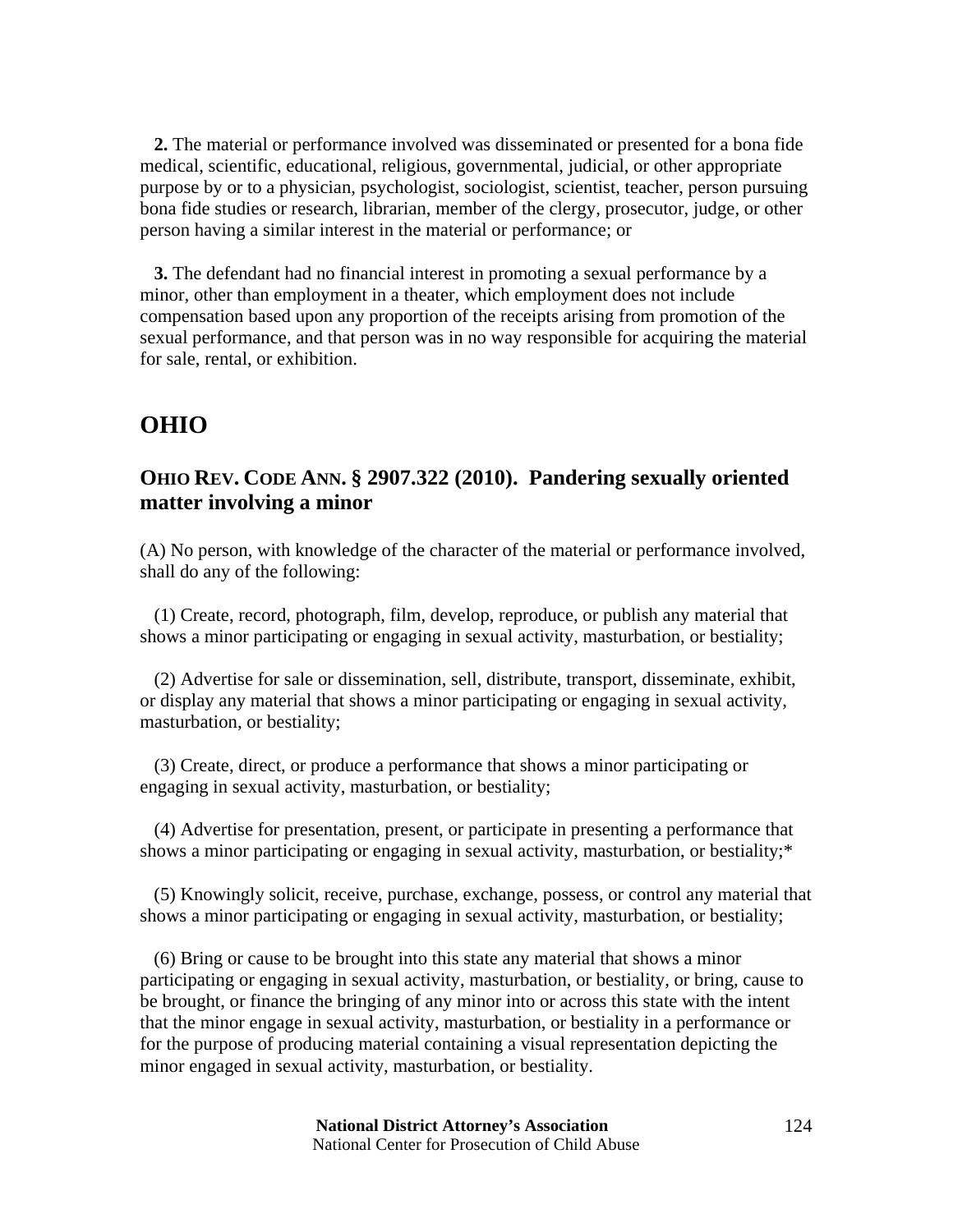**2.** The material or performance involved was disseminated or presented for a bona fide medical, scientific, educational, religious, governmental, judicial, or other appropriate purpose by or to a physician, psychologist, sociologist, scientist, teacher, person pursuing bona fide studies or research, librarian, member of the clergy, prosecutor, judge, or other person having a similar interest in the material or performance; or

 **3.** The defendant had no financial interest in promoting a sexual performance by a minor, other than employment in a theater, which employment does not include compensation based upon any proportion of the receipts arising from promotion of the sexual performance, and that person was in no way responsible for acquiring the material for sale, rental, or exhibition.

## **OHIO**

#### **OHIO REV. CODE ANN. § 2907.322 (2010). Pandering sexually oriented matter involving a minor**

(A) No person, with knowledge of the character of the material or performance involved, shall do any of the following:

 (1) Create, record, photograph, film, develop, reproduce, or publish any material that shows a minor participating or engaging in sexual activity, masturbation, or bestiality;

 (2) Advertise for sale or dissemination, sell, distribute, transport, disseminate, exhibit, or display any material that shows a minor participating or engaging in sexual activity, masturbation, or bestiality;

 (3) Create, direct, or produce a performance that shows a minor participating or engaging in sexual activity, masturbation, or bestiality;

 (4) Advertise for presentation, present, or participate in presenting a performance that shows a minor participating or engaging in sexual activity, masturbation, or bestiality;\*

 (5) Knowingly solicit, receive, purchase, exchange, possess, or control any material that shows a minor participating or engaging in sexual activity, masturbation, or bestiality;

 (6) Bring or cause to be brought into this state any material that shows a minor participating or engaging in sexual activity, masturbation, or bestiality, or bring, cause to be brought, or finance the bringing of any minor into or across this state with the intent that the minor engage in sexual activity, masturbation, or bestiality in a performance or for the purpose of producing material containing a visual representation depicting the minor engaged in sexual activity, masturbation, or bestiality.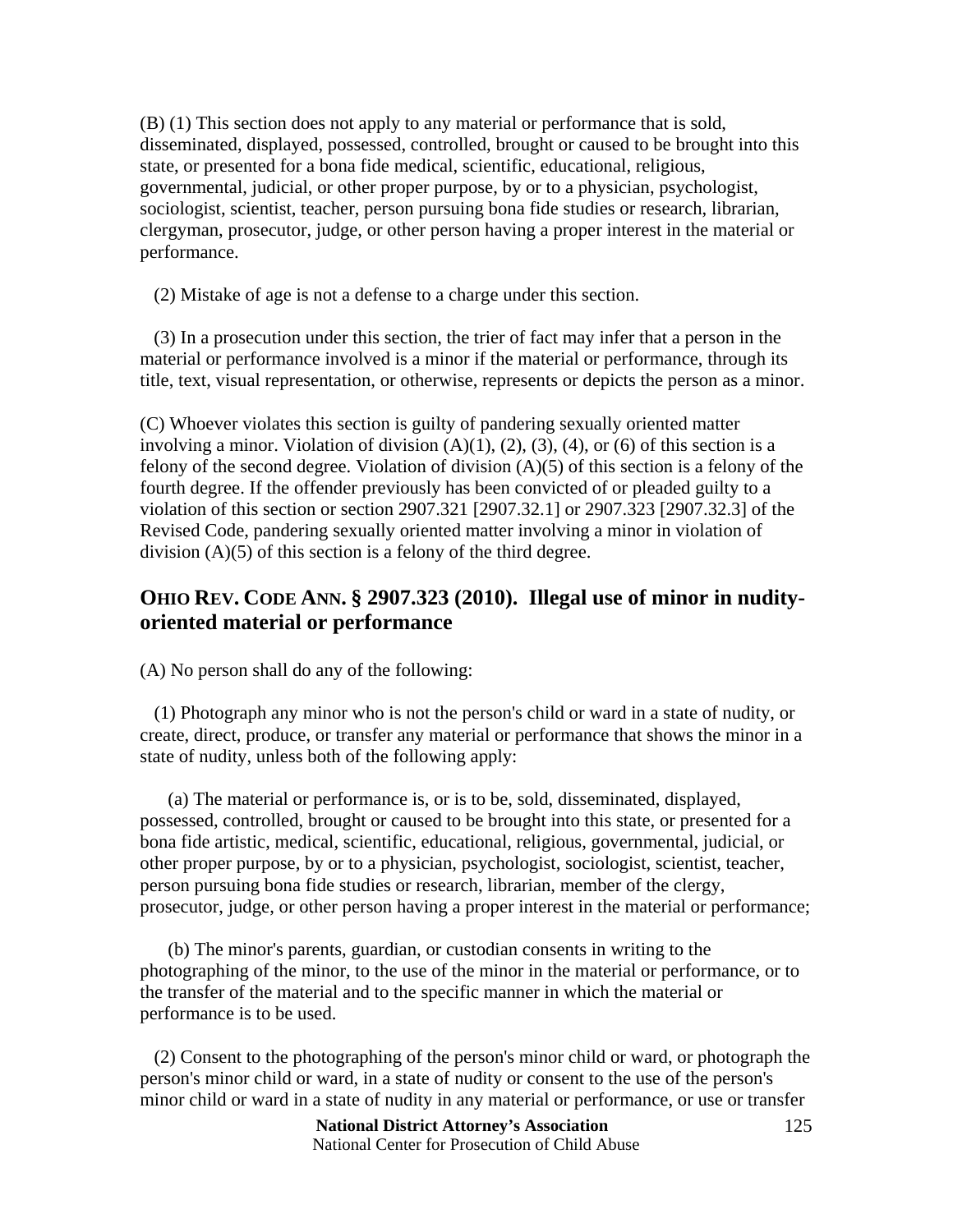(B) (1) This section does not apply to any material or performance that is sold, disseminated, displayed, possessed, controlled, brought or caused to be brought into this state, or presented for a bona fide medical, scientific, educational, religious, governmental, judicial, or other proper purpose, by or to a physician, psychologist, sociologist, scientist, teacher, person pursuing bona fide studies or research, librarian, clergyman, prosecutor, judge, or other person having a proper interest in the material or performance.

(2) Mistake of age is not a defense to a charge under this section.

 (3) In a prosecution under this section, the trier of fact may infer that a person in the material or performance involved is a minor if the material or performance, through its title, text, visual representation, or otherwise, represents or depicts the person as a minor.

(C) Whoever violates this section is guilty of pandering sexually oriented matter involving a minor. Violation of division  $(A)(1)$ ,  $(2)$ ,  $(3)$ ,  $(4)$ , or  $(6)$  of this section is a felony of the second degree. Violation of division (A)(5) of this section is a felony of the fourth degree. If the offender previously has been convicted of or pleaded guilty to a violation of this section or section 2907.321 [2907.32.1] or 2907.323 [2907.32.3] of the Revised Code, pandering sexually oriented matter involving a minor in violation of division (A)(5) of this section is a felony of the third degree.

#### **OHIO REV. CODE ANN. § 2907.323 (2010). Illegal use of minor in nudityoriented material or performance**

(A) No person shall do any of the following:

 (1) Photograph any minor who is not the person's child or ward in a state of nudity, or create, direct, produce, or transfer any material or performance that shows the minor in a state of nudity, unless both of the following apply:

 (a) The material or performance is, or is to be, sold, disseminated, displayed, possessed, controlled, brought or caused to be brought into this state, or presented for a bona fide artistic, medical, scientific, educational, religious, governmental, judicial, or other proper purpose, by or to a physician, psychologist, sociologist, scientist, teacher, person pursuing bona fide studies or research, librarian, member of the clergy, prosecutor, judge, or other person having a proper interest in the material or performance;

 (b) The minor's parents, guardian, or custodian consents in writing to the photographing of the minor, to the use of the minor in the material or performance, or to the transfer of the material and to the specific manner in which the material or performance is to be used.

 (2) Consent to the photographing of the person's minor child or ward, or photograph the person's minor child or ward, in a state of nudity or consent to the use of the person's minor child or ward in a state of nudity in any material or performance, or use or transfer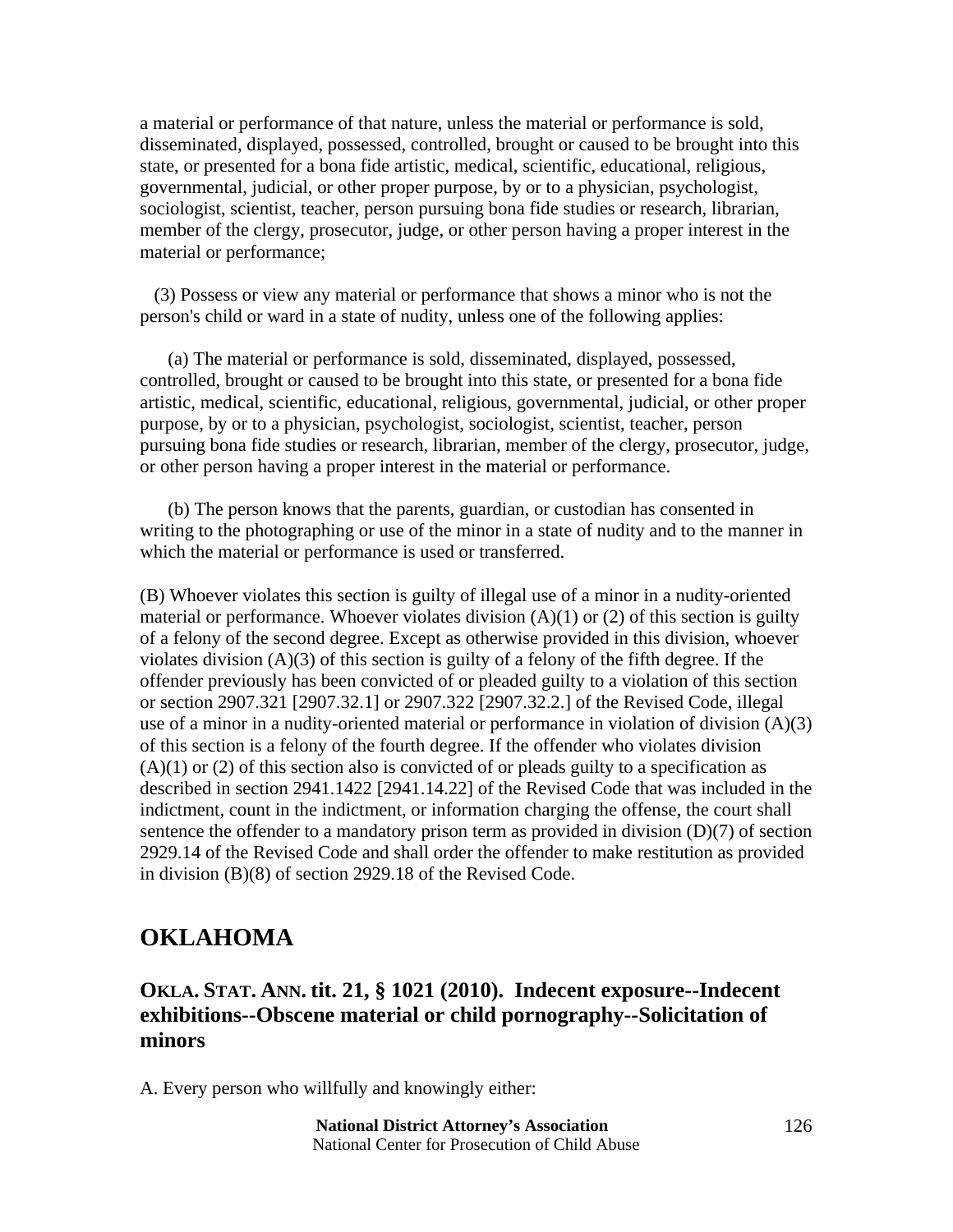a material or performance of that nature, unless the material or performance is sold, disseminated, displayed, possessed, controlled, brought or caused to be brought into this state, or presented for a bona fide artistic, medical, scientific, educational, religious, governmental, judicial, or other proper purpose, by or to a physician, psychologist, sociologist, scientist, teacher, person pursuing bona fide studies or research, librarian, member of the clergy, prosecutor, judge, or other person having a proper interest in the material or performance;

 (3) Possess or view any material or performance that shows a minor who is not the person's child or ward in a state of nudity, unless one of the following applies:

 (a) The material or performance is sold, disseminated, displayed, possessed, controlled, brought or caused to be brought into this state, or presented for a bona fide artistic, medical, scientific, educational, religious, governmental, judicial, or other proper purpose, by or to a physician, psychologist, sociologist, scientist, teacher, person pursuing bona fide studies or research, librarian, member of the clergy, prosecutor, judge, or other person having a proper interest in the material or performance.

 (b) The person knows that the parents, guardian, or custodian has consented in writing to the photographing or use of the minor in a state of nudity and to the manner in which the material or performance is used or transferred.

(B) Whoever violates this section is guilty of illegal use of a minor in a nudity-oriented material or performance. Whoever violates division  $(A)(1)$  or  $(2)$  of this section is guilty of a felony of the second degree. Except as otherwise provided in this division, whoever violates division (A)(3) of this section is guilty of a felony of the fifth degree. If the offender previously has been convicted of or pleaded guilty to a violation of this section or section 2907.321 [2907.32.1] or 2907.322 [2907.32.2.] of the Revised Code, illegal use of a minor in a nudity-oriented material or performance in violation of division (A)(3) of this section is a felony of the fourth degree. If the offender who violates division  $(A)(1)$  or  $(2)$  of this section also is convicted of or pleads guilty to a specification as described in section 2941.1422 [2941.14.22] of the Revised Code that was included in the indictment, count in the indictment, or information charging the offense, the court shall sentence the offender to a mandatory prison term as provided in division (D)(7) of section 2929.14 of the Revised Code and shall order the offender to make restitution as provided in division (B)(8) of section 2929.18 of the Revised Code.

## **OKLAHOMA**

#### **OKLA. STAT. ANN. tit. 21, § 1021 (2010). Indecent exposure--Indecent exhibitions--Obscene material or child pornography--Solicitation of minors**

A. Every person who willfully and knowingly either: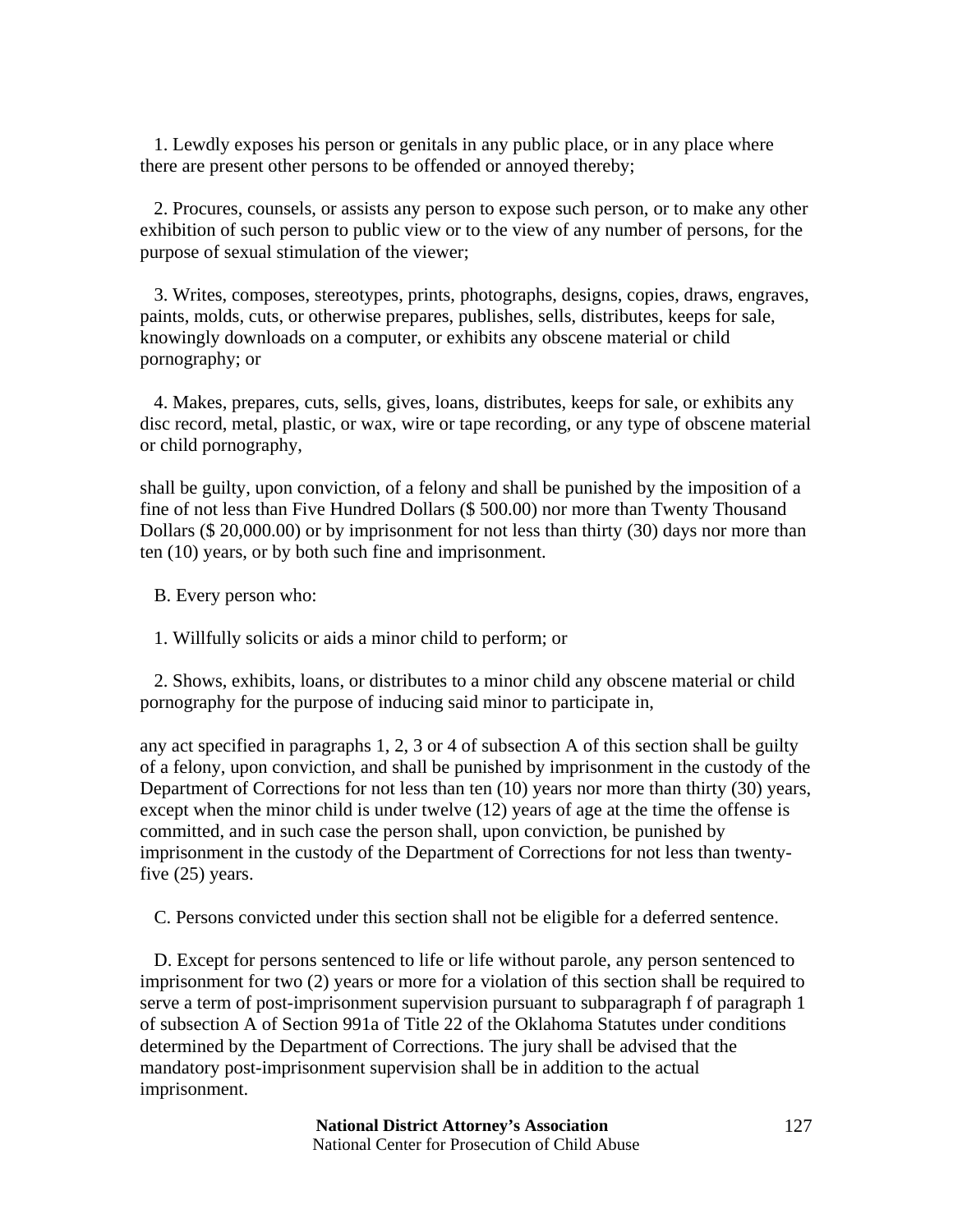1. Lewdly exposes his person or genitals in any public place, or in any place where there are present other persons to be offended or annoyed thereby;

 2. Procures, counsels, or assists any person to expose such person, or to make any other exhibition of such person to public view or to the view of any number of persons, for the purpose of sexual stimulation of the viewer;

 3. Writes, composes, stereotypes, prints, photographs, designs, copies, draws, engraves, paints, molds, cuts, or otherwise prepares, publishes, sells, distributes, keeps for sale, knowingly downloads on a computer, or exhibits any obscene material or child pornography; or

 4. Makes, prepares, cuts, sells, gives, loans, distributes, keeps for sale, or exhibits any disc record, metal, plastic, or wax, wire or tape recording, or any type of obscene material or child pornography,

shall be guilty, upon conviction, of a felony and shall be punished by the imposition of a fine of not less than Five Hundred Dollars (\$ 500.00) nor more than Twenty Thousand Dollars (\$ 20,000.00) or by imprisonment for not less than thirty (30) days nor more than ten (10) years, or by both such fine and imprisonment.

B. Every person who:

1. Willfully solicits or aids a minor child to perform; or

 2. Shows, exhibits, loans, or distributes to a minor child any obscene material or child pornography for the purpose of inducing said minor to participate in,

any act specified in paragraphs 1, 2, 3 or 4 of subsection A of this section shall be guilty of a felony, upon conviction, and shall be punished by imprisonment in the custody of the Department of Corrections for not less than ten (10) years nor more than thirty (30) years, except when the minor child is under twelve (12) years of age at the time the offense is committed, and in such case the person shall, upon conviction, be punished by imprisonment in the custody of the Department of Corrections for not less than twentyfive (25) years.

C. Persons convicted under this section shall not be eligible for a deferred sentence.

 D. Except for persons sentenced to life or life without parole, any person sentenced to imprisonment for two (2) years or more for a violation of this section shall be required to serve a term of post-imprisonment supervision pursuant to subparagraph f of paragraph 1 of subsection A of Section 991a of Title 22 of the Oklahoma Statutes under conditions determined by the Department of Corrections. The jury shall be advised that the mandatory post-imprisonment supervision shall be in addition to the actual imprisonment.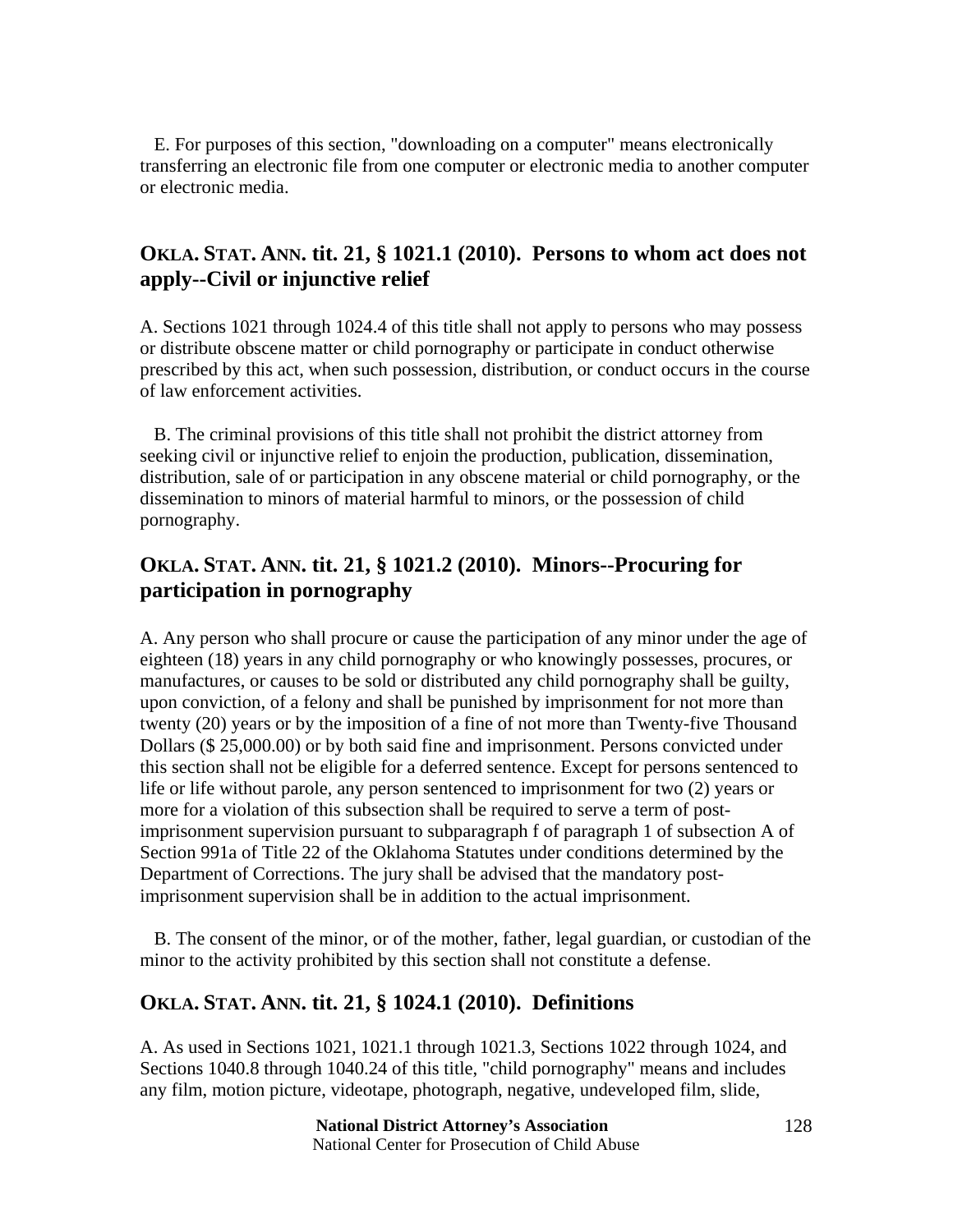E. For purposes of this section, "downloading on a computer" means electronically transferring an electronic file from one computer or electronic media to another computer or electronic media.

#### **OKLA. STAT. ANN. tit. 21, § 1021.1 (2010). Persons to whom act does not apply--Civil or injunctive relief**

A. Sections 1021 through 1024.4 of this title shall not apply to persons who may possess or distribute obscene matter or child pornography or participate in conduct otherwise prescribed by this act, when such possession, distribution, or conduct occurs in the course of law enforcement activities.

 B. The criminal provisions of this title shall not prohibit the district attorney from seeking civil or injunctive relief to enjoin the production, publication, dissemination, distribution, sale of or participation in any obscene material or child pornography, or the dissemination to minors of material harmful to minors, or the possession of child pornography.

#### **OKLA. STAT. ANN. tit. 21, § 1021.2 (2010). Minors--Procuring for participation in pornography**

A. Any person who shall procure or cause the participation of any minor under the age of eighteen (18) years in any child pornography or who knowingly possesses, procures, or manufactures, or causes to be sold or distributed any child pornography shall be guilty, upon conviction, of a felony and shall be punished by imprisonment for not more than twenty (20) years or by the imposition of a fine of not more than Twenty-five Thousand Dollars (\$ 25,000.00) or by both said fine and imprisonment. Persons convicted under this section shall not be eligible for a deferred sentence. Except for persons sentenced to life or life without parole, any person sentenced to imprisonment for two (2) years or more for a violation of this subsection shall be required to serve a term of postimprisonment supervision pursuant to subparagraph f of paragraph 1 of subsection A of Section 991a of Title 22 of the Oklahoma Statutes under conditions determined by the Department of Corrections. The jury shall be advised that the mandatory postimprisonment supervision shall be in addition to the actual imprisonment.

 B. The consent of the minor, or of the mother, father, legal guardian, or custodian of the minor to the activity prohibited by this section shall not constitute a defense.

#### **OKLA. STAT. ANN. tit. 21, § 1024.1 (2010). Definitions**

A. As used in Sections 1021, 1021.1 through 1021.3, Sections 1022 through 1024, and Sections 1040.8 through 1040.24 of this title, "child pornography" means and includes any film, motion picture, videotape, photograph, negative, undeveloped film, slide,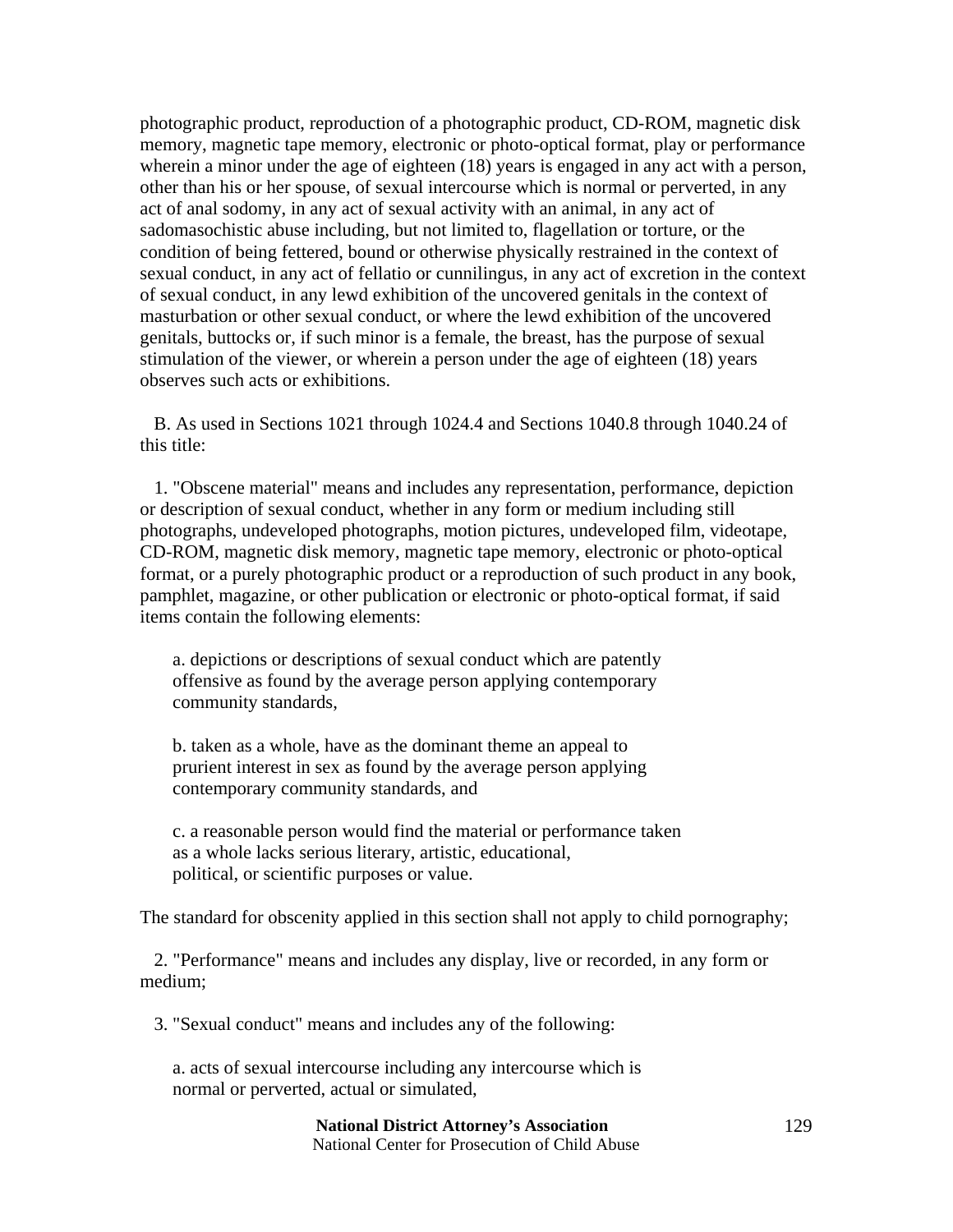photographic product, reproduction of a photographic product, CD-ROM, magnetic disk memory, magnetic tape memory, electronic or photo-optical format, play or performance wherein a minor under the age of eighteen (18) years is engaged in any act with a person, other than his or her spouse, of sexual intercourse which is normal or perverted, in any act of anal sodomy, in any act of sexual activity with an animal, in any act of sadomasochistic abuse including, but not limited to, flagellation or torture, or the condition of being fettered, bound or otherwise physically restrained in the context of sexual conduct, in any act of fellatio or cunnilingus, in any act of excretion in the context of sexual conduct, in any lewd exhibition of the uncovered genitals in the context of masturbation or other sexual conduct, or where the lewd exhibition of the uncovered genitals, buttocks or, if such minor is a female, the breast, has the purpose of sexual stimulation of the viewer, or wherein a person under the age of eighteen (18) years observes such acts or exhibitions.

 B. As used in Sections 1021 through 1024.4 and Sections 1040.8 through 1040.24 of this title:

 1. "Obscene material" means and includes any representation, performance, depiction or description of sexual conduct, whether in any form or medium including still photographs, undeveloped photographs, motion pictures, undeveloped film, videotape, CD-ROM, magnetic disk memory, magnetic tape memory, electronic or photo-optical format, or a purely photographic product or a reproduction of such product in any book, pamphlet, magazine, or other publication or electronic or photo-optical format, if said items contain the following elements:

 a. depictions or descriptions of sexual conduct which are patently offensive as found by the average person applying contemporary community standards,

 b. taken as a whole, have as the dominant theme an appeal to prurient interest in sex as found by the average person applying contemporary community standards, and

 c. a reasonable person would find the material or performance taken as a whole lacks serious literary, artistic, educational, political, or scientific purposes or value.

The standard for obscenity applied in this section shall not apply to child pornography;

 2. "Performance" means and includes any display, live or recorded, in any form or medium;

3. "Sexual conduct" means and includes any of the following:

 a. acts of sexual intercourse including any intercourse which is normal or perverted, actual or simulated,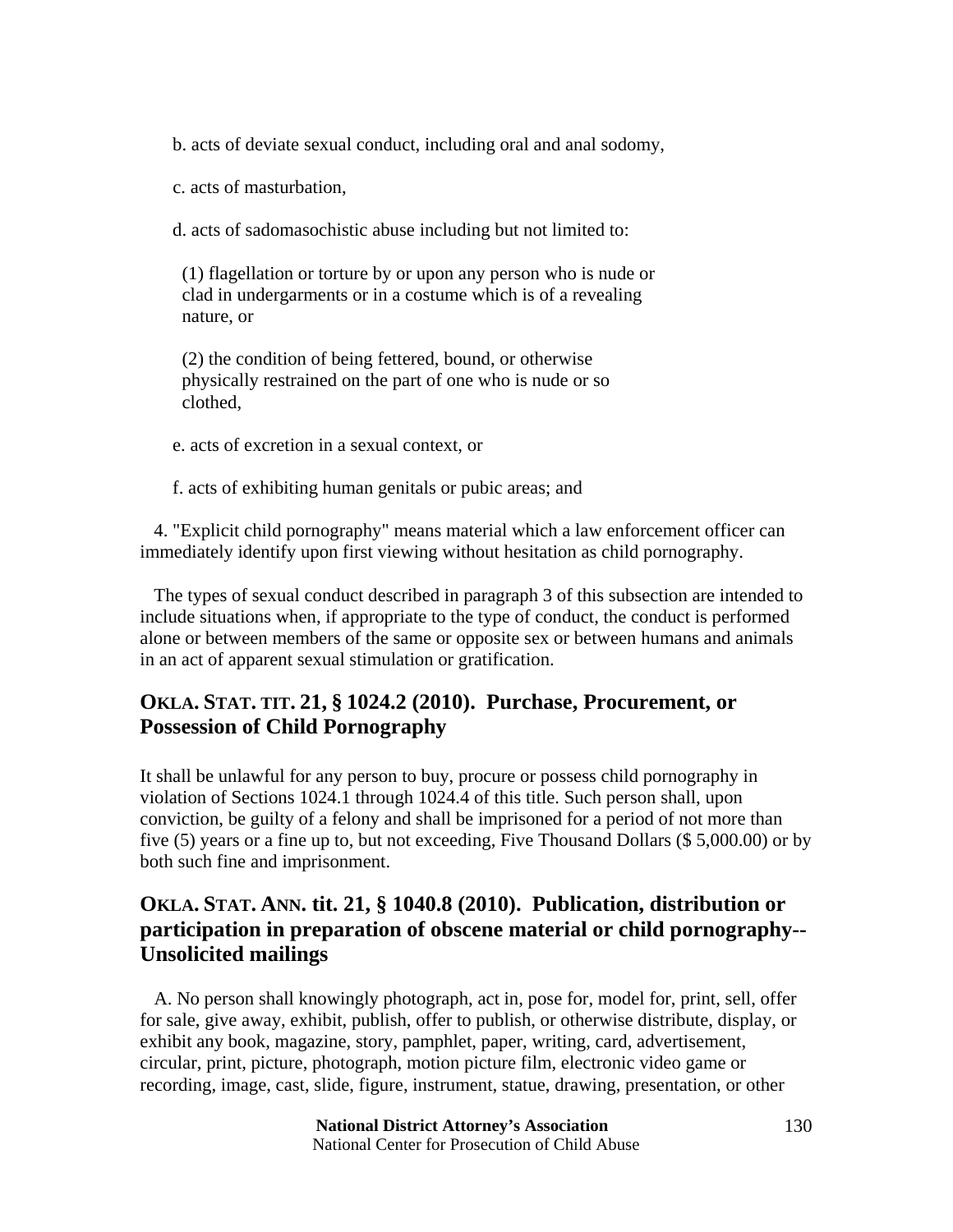b. acts of deviate sexual conduct, including oral and anal sodomy,

c. acts of masturbation,

d. acts of sadomasochistic abuse including but not limited to:

 (1) flagellation or torture by or upon any person who is nude or clad in undergarments or in a costume which is of a revealing nature, or

 (2) the condition of being fettered, bound, or otherwise physically restrained on the part of one who is nude or so clothed,

e. acts of excretion in a sexual context, or

f. acts of exhibiting human genitals or pubic areas; and

 4. "Explicit child pornography" means material which a law enforcement officer can immediately identify upon first viewing without hesitation as child pornography.

 The types of sexual conduct described in paragraph 3 of this subsection are intended to include situations when, if appropriate to the type of conduct, the conduct is performed alone or between members of the same or opposite sex or between humans and animals in an act of apparent sexual stimulation or gratification.

#### **OKLA. STAT. TIT. 21, § 1024.2 (2010). Purchase, Procurement, or Possession of Child Pornography**

It shall be unlawful for any person to buy, procure or possess child pornography in violation of Sections 1024.1 through 1024.4 of this title. Such person shall, upon conviction, be guilty of a felony and shall be imprisoned for a period of not more than five (5) years or a fine up to, but not exceeding, Five Thousand Dollars (\$ 5,000.00) or by both such fine and imprisonment.

#### **OKLA. STAT. ANN. tit. 21, § 1040.8 (2010). Publication, distribution or participation in preparation of obscene material or child pornography-- Unsolicited mailings**

 A. No person shall knowingly photograph, act in, pose for, model for, print, sell, offer for sale, give away, exhibit, publish, offer to publish, or otherwise distribute, display, or exhibit any book, magazine, story, pamphlet, paper, writing, card, advertisement, circular, print, picture, photograph, motion picture film, electronic video game or recording, image, cast, slide, figure, instrument, statue, drawing, presentation, or other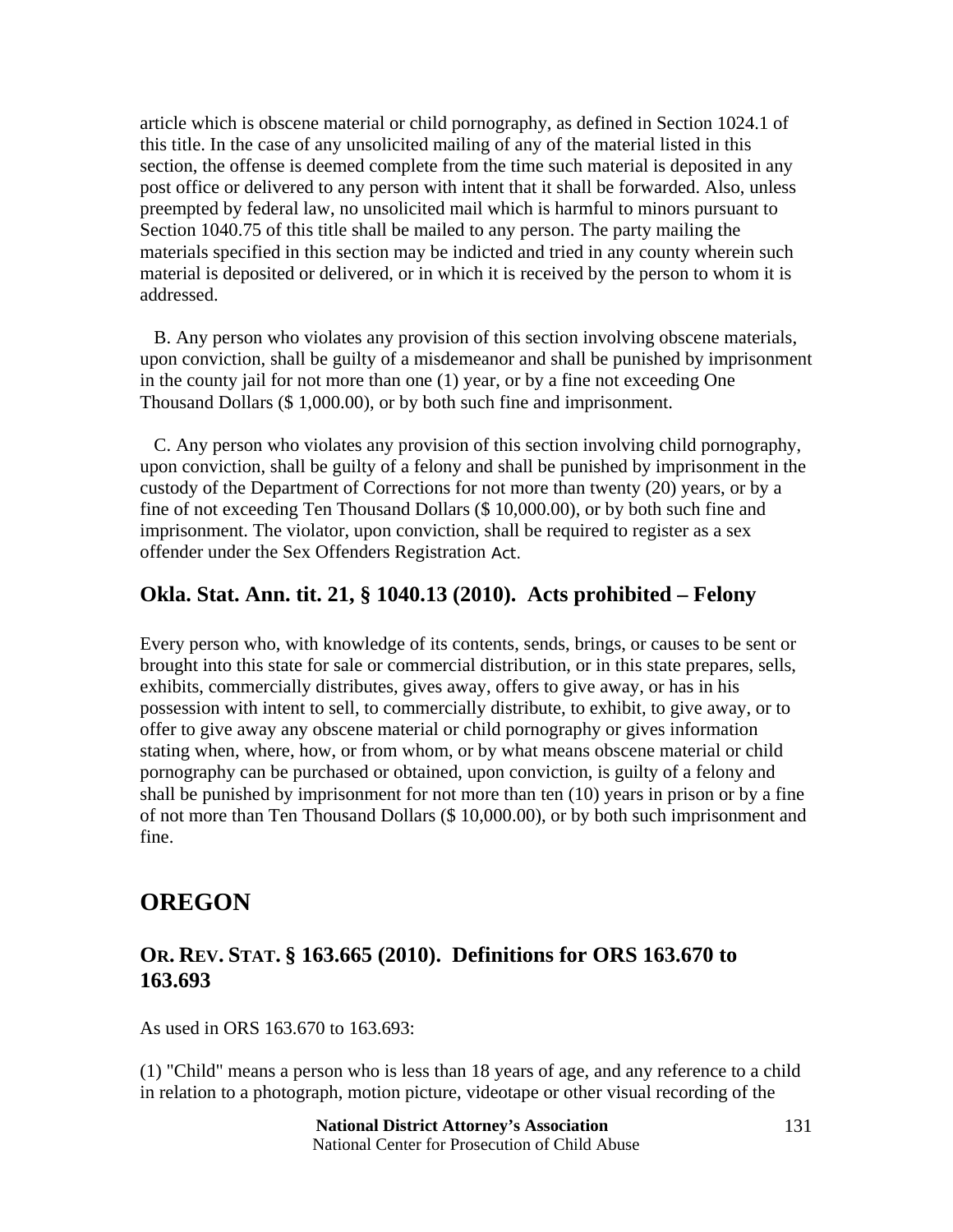article which is obscene material or child pornography, as defined in Section 1024.1 of this title. In the case of any unsolicited mailing of any of the material listed in this section, the offense is deemed complete from the time such material is deposited in any post office or delivered to any person with intent that it shall be forwarded. Also, unless preempted by federal law, no unsolicited mail which is harmful to minors pursuant to Section 1040.75 of this title shall be mailed to any person. The party mailing the materials specified in this section may be indicted and tried in any county wherein such material is deposited or delivered, or in which it is received by the person to whom it is addressed.

 B. Any person who violates any provision of this section involving obscene materials, upon conviction, shall be guilty of a misdemeanor and shall be punished by imprisonment in the county jail for not more than one (1) year, or by a fine not exceeding One Thousand Dollars (\$ 1,000.00), or by both such fine and imprisonment.

 C. Any person who violates any provision of this section involving child pornography, upon conviction, shall be guilty of a felony and shall be punished by imprisonment in the custody of the Department of Corrections for not more than twenty (20) years, or by a fine of not exceeding Ten Thousand Dollars (\$ 10,000.00), or by both such fine and imprisonment. The violator, upon conviction, shall be required to register as a sex offender under the Sex Offenders Registration Act.

#### **Okla. Stat. Ann. tit. 21, § 1040.13 (2010). Acts prohibited – Felony**

Every person who, with knowledge of its contents, sends, brings, or causes to be sent or brought into this state for sale or commercial distribution, or in this state prepares, sells, exhibits, commercially distributes, gives away, offers to give away, or has in his possession with intent to sell, to commercially distribute, to exhibit, to give away, or to offer to give away any obscene material or child pornography or gives information stating when, where, how, or from whom, or by what means obscene material or child pornography can be purchased or obtained, upon conviction, is guilty of a felony and shall be punished by imprisonment for not more than ten (10) years in prison or by a fine of not more than Ten Thousand Dollars (\$ 10,000.00), or by both such imprisonment and fine.

## **OREGON**

## **OR. REV. STAT. § 163.665 (2010). Definitions for ORS 163.670 to 163.693**

As used in ORS 163.670 to 163.693:

(1) "Child" means a person who is less than 18 years of age, and any reference to a child in relation to a photograph, motion picture, videotape or other visual recording of the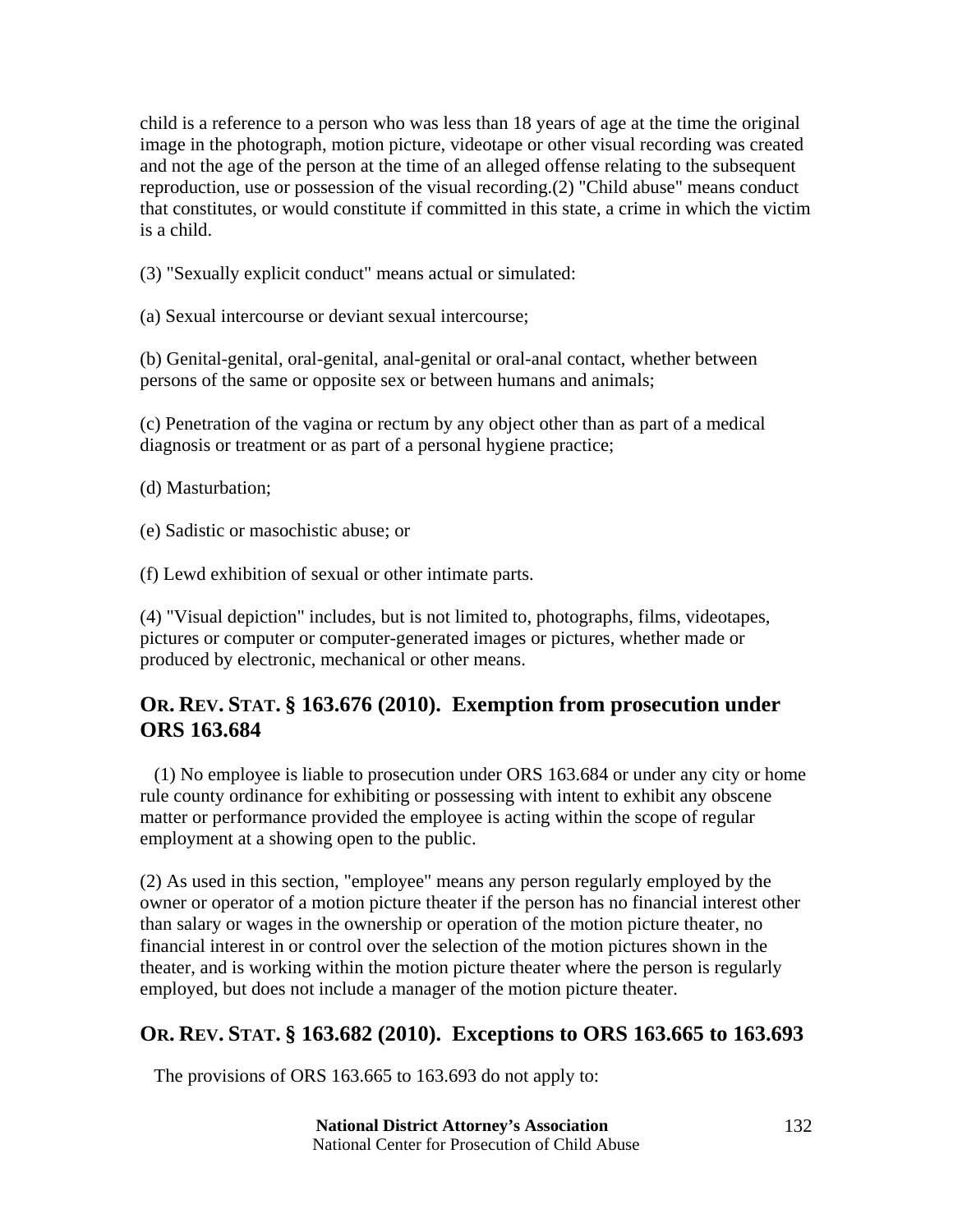child is a reference to a person who was less than 18 years of age at the time the original image in the photograph, motion picture, videotape or other visual recording was created and not the age of the person at the time of an alleged offense relating to the subsequent reproduction, use or possession of the visual recording.(2) "Child abuse" means conduct that constitutes, or would constitute if committed in this state, a crime in which the victim is a child.

(3) "Sexually explicit conduct" means actual or simulated:

(a) Sexual intercourse or deviant sexual intercourse;

(b) Genital-genital, oral-genital, anal-genital or oral-anal contact, whether between persons of the same or opposite sex or between humans and animals;

(c) Penetration of the vagina or rectum by any object other than as part of a medical diagnosis or treatment or as part of a personal hygiene practice;

(d) Masturbation;

(e) Sadistic or masochistic abuse; or

(f) Lewd exhibition of sexual or other intimate parts.

(4) "Visual depiction" includes, but is not limited to, photographs, films, videotapes, pictures or computer or computer-generated images or pictures, whether made or produced by electronic, mechanical or other means.

## **OR. REV. STAT. § 163.676 (2010). Exemption from prosecution under ORS 163.684**

 (1) No employee is liable to prosecution under ORS 163.684 or under any city or home rule county ordinance for exhibiting or possessing with intent to exhibit any obscene matter or performance provided the employee is acting within the scope of regular employment at a showing open to the public.

(2) As used in this section, "employee" means any person regularly employed by the owner or operator of a motion picture theater if the person has no financial interest other than salary or wages in the ownership or operation of the motion picture theater, no financial interest in or control over the selection of the motion pictures shown in the theater, and is working within the motion picture theater where the person is regularly employed, but does not include a manager of the motion picture theater.

## **OR. REV. STAT. § 163.682 (2010). Exceptions to ORS 163.665 to 163.693**

The provisions of ORS 163.665 to 163.693 do not apply to: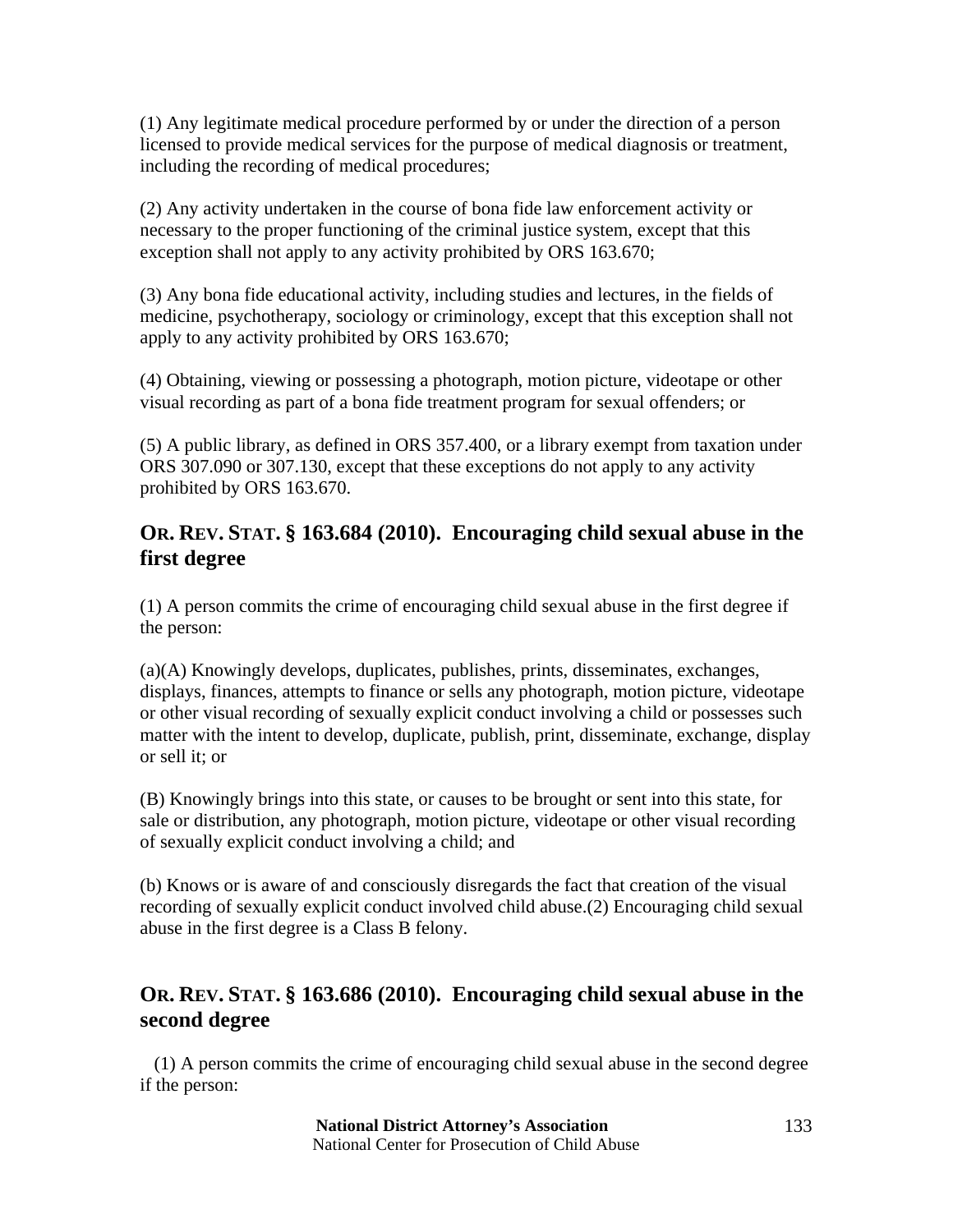(1) Any legitimate medical procedure performed by or under the direction of a person licensed to provide medical services for the purpose of medical diagnosis or treatment, including the recording of medical procedures;

(2) Any activity undertaken in the course of bona fide law enforcement activity or necessary to the proper functioning of the criminal justice system, except that this exception shall not apply to any activity prohibited by ORS 163.670;

(3) Any bona fide educational activity, including studies and lectures, in the fields of medicine, psychotherapy, sociology or criminology, except that this exception shall not apply to any activity prohibited by ORS 163.670;

(4) Obtaining, viewing or possessing a photograph, motion picture, videotape or other visual recording as part of a bona fide treatment program for sexual offenders; or

(5) A public library, as defined in ORS 357.400, or a library exempt from taxation under ORS 307.090 or 307.130, except that these exceptions do not apply to any activity prohibited by ORS 163.670.

## **OR. REV. STAT. § 163.684 (2010). Encouraging child sexual abuse in the first degree**

(1) A person commits the crime of encouraging child sexual abuse in the first degree if the person:

(a)(A) Knowingly develops, duplicates, publishes, prints, disseminates, exchanges, displays, finances, attempts to finance or sells any photograph, motion picture, videotape or other visual recording of sexually explicit conduct involving a child or possesses such matter with the intent to develop, duplicate, publish, print, disseminate, exchange, display or sell it; or

(B) Knowingly brings into this state, or causes to be brought or sent into this state, for sale or distribution, any photograph, motion picture, videotape or other visual recording of sexually explicit conduct involving a child; and

(b) Knows or is aware of and consciously disregards the fact that creation of the visual recording of sexually explicit conduct involved child abuse.(2) Encouraging child sexual abuse in the first degree is a Class B felony.

## **OR. REV. STAT. § 163.686 (2010). Encouraging child sexual abuse in the second degree**

 (1) A person commits the crime of encouraging child sexual abuse in the second degree if the person: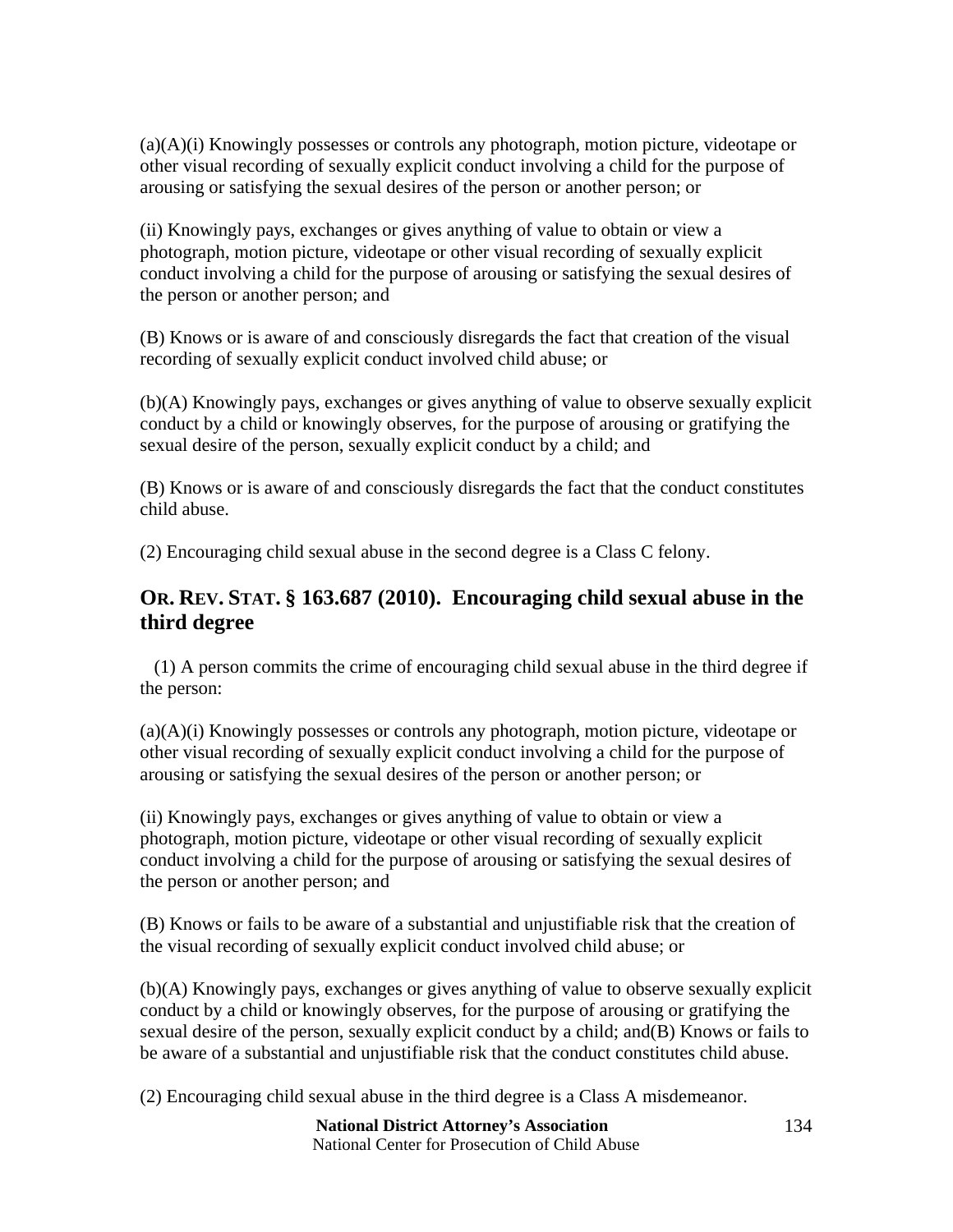(a)(A)(i) Knowingly possesses or controls any photograph, motion picture, videotape or other visual recording of sexually explicit conduct involving a child for the purpose of arousing or satisfying the sexual desires of the person or another person; or

(ii) Knowingly pays, exchanges or gives anything of value to obtain or view a photograph, motion picture, videotape or other visual recording of sexually explicit conduct involving a child for the purpose of arousing or satisfying the sexual desires of the person or another person; and

(B) Knows or is aware of and consciously disregards the fact that creation of the visual recording of sexually explicit conduct involved child abuse; or

(b)(A) Knowingly pays, exchanges or gives anything of value to observe sexually explicit conduct by a child or knowingly observes, for the purpose of arousing or gratifying the sexual desire of the person, sexually explicit conduct by a child; and

(B) Knows or is aware of and consciously disregards the fact that the conduct constitutes child abuse.

(2) Encouraging child sexual abuse in the second degree is a Class C felony.

## **OR. REV. STAT. § 163.687 (2010). Encouraging child sexual abuse in the third degree**

 (1) A person commits the crime of encouraging child sexual abuse in the third degree if the person:

(a)(A)(i) Knowingly possesses or controls any photograph, motion picture, videotape or other visual recording of sexually explicit conduct involving a child for the purpose of arousing or satisfying the sexual desires of the person or another person; or

(ii) Knowingly pays, exchanges or gives anything of value to obtain or view a photograph, motion picture, videotape or other visual recording of sexually explicit conduct involving a child for the purpose of arousing or satisfying the sexual desires of the person or another person; and

(B) Knows or fails to be aware of a substantial and unjustifiable risk that the creation of the visual recording of sexually explicit conduct involved child abuse; or

(b)(A) Knowingly pays, exchanges or gives anything of value to observe sexually explicit conduct by a child or knowingly observes, for the purpose of arousing or gratifying the sexual desire of the person, sexually explicit conduct by a child; and(B) Knows or fails to be aware of a substantial and unjustifiable risk that the conduct constitutes child abuse.

(2) Encouraging child sexual abuse in the third degree is a Class A misdemeanor.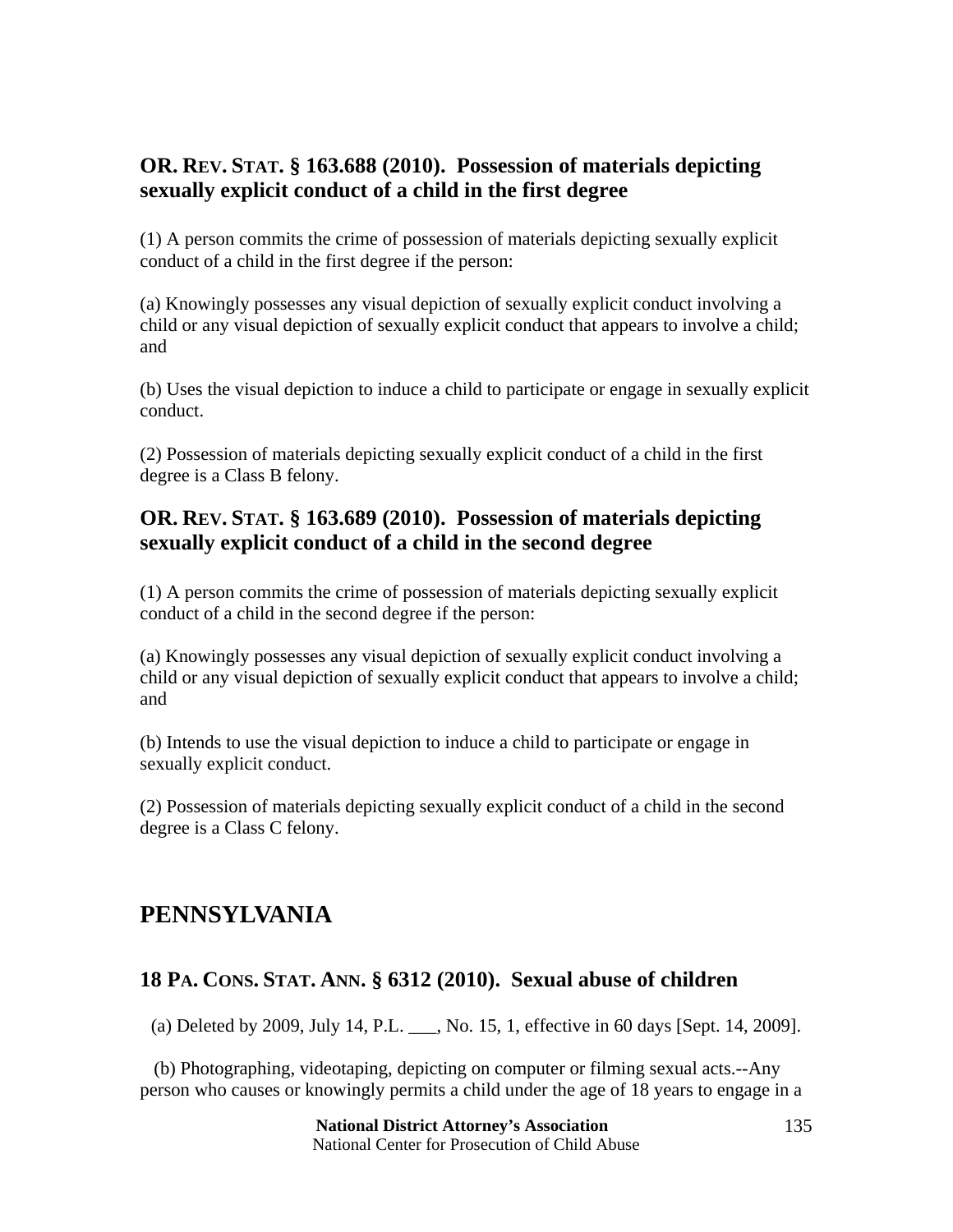## **OR. REV. STAT. § 163.688 (2010). Possession of materials depicting sexually explicit conduct of a child in the first degree**

(1) A person commits the crime of possession of materials depicting sexually explicit conduct of a child in the first degree if the person:

(a) Knowingly possesses any visual depiction of sexually explicit conduct involving a child or any visual depiction of sexually explicit conduct that appears to involve a child; and

(b) Uses the visual depiction to induce a child to participate or engage in sexually explicit conduct.

(2) Possession of materials depicting sexually explicit conduct of a child in the first degree is a Class B felony.

## **OR. REV. STAT. § 163.689 (2010). Possession of materials depicting sexually explicit conduct of a child in the second degree**

(1) A person commits the crime of possession of materials depicting sexually explicit conduct of a child in the second degree if the person:

(a) Knowingly possesses any visual depiction of sexually explicit conduct involving a child or any visual depiction of sexually explicit conduct that appears to involve a child; and

(b) Intends to use the visual depiction to induce a child to participate or engage in sexually explicit conduct.

(2) Possession of materials depicting sexually explicit conduct of a child in the second degree is a Class C felony.

## **PENNSYLVANIA**

#### **18 PA. CONS. STAT. ANN. § 6312 (2010). Sexual abuse of children**

(a) Deleted by 2009, July 14, P.L. \_\_\_, No. 15, 1, effective in 60 days [Sept. 14, 2009].

 (b) Photographing, videotaping, depicting on computer or filming sexual acts.--Any person who causes or knowingly permits a child under the age of 18 years to engage in a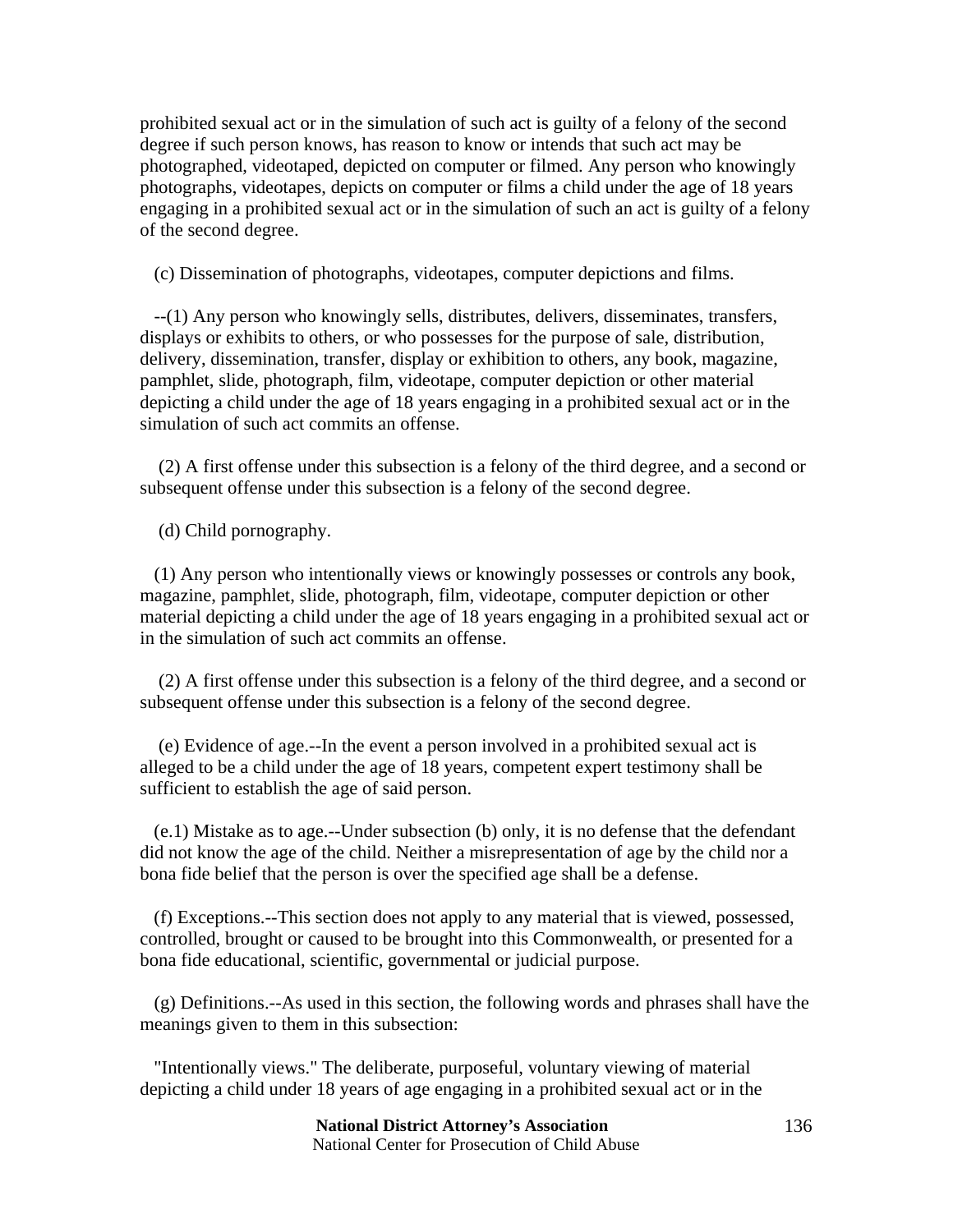prohibited sexual act or in the simulation of such act is guilty of a felony of the second degree if such person knows, has reason to know or intends that such act may be photographed, videotaped, depicted on computer or filmed. Any person who knowingly photographs, videotapes, depicts on computer or films a child under the age of 18 years engaging in a prohibited sexual act or in the simulation of such an act is guilty of a felony of the second degree.

(c) Dissemination of photographs, videotapes, computer depictions and films.

 --(1) Any person who knowingly sells, distributes, delivers, disseminates, transfers, displays or exhibits to others, or who possesses for the purpose of sale, distribution, delivery, dissemination, transfer, display or exhibition to others, any book, magazine, pamphlet, slide, photograph, film, videotape, computer depiction or other material depicting a child under the age of 18 years engaging in a prohibited sexual act or in the simulation of such act commits an offense.

 (2) A first offense under this subsection is a felony of the third degree, and a second or subsequent offense under this subsection is a felony of the second degree.

(d) Child pornography.

 (1) Any person who intentionally views or knowingly possesses or controls any book, magazine, pamphlet, slide, photograph, film, videotape, computer depiction or other material depicting a child under the age of 18 years engaging in a prohibited sexual act or in the simulation of such act commits an offense.

 (2) A first offense under this subsection is a felony of the third degree, and a second or subsequent offense under this subsection is a felony of the second degree.

 (e) Evidence of age.--In the event a person involved in a prohibited sexual act is alleged to be a child under the age of 18 years, competent expert testimony shall be sufficient to establish the age of said person.

 (e.1) Mistake as to age.--Under subsection (b) only, it is no defense that the defendant did not know the age of the child. Neither a misrepresentation of age by the child nor a bona fide belief that the person is over the specified age shall be a defense.

 (f) Exceptions.--This section does not apply to any material that is viewed, possessed, controlled, brought or caused to be brought into this Commonwealth, or presented for a bona fide educational, scientific, governmental or judicial purpose.

 (g) Definitions.--As used in this section, the following words and phrases shall have the meanings given to them in this subsection:

 "Intentionally views." The deliberate, purposeful, voluntary viewing of material depicting a child under 18 years of age engaging in a prohibited sexual act or in the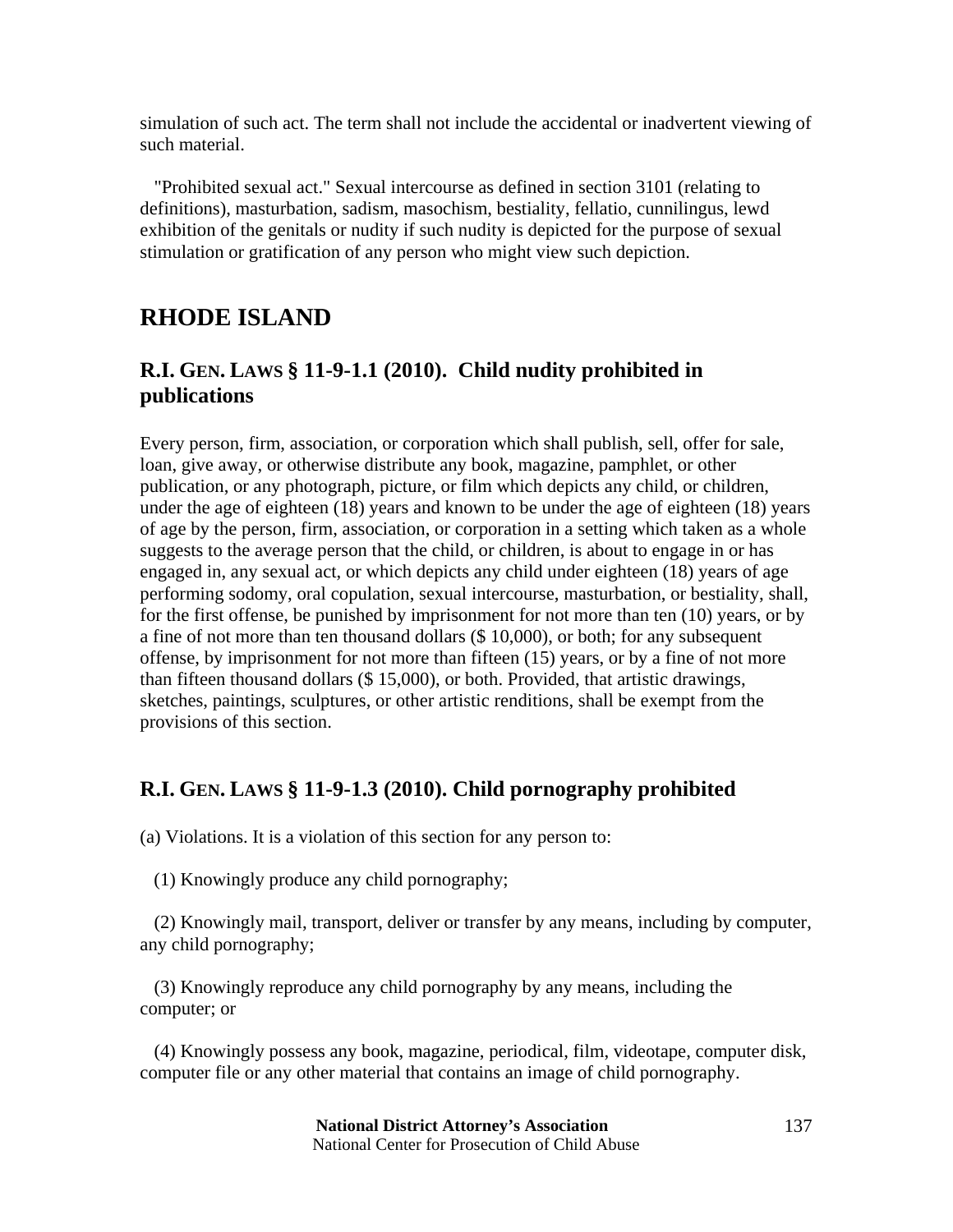simulation of such act. The term shall not include the accidental or inadvertent viewing of such material.

 "Prohibited sexual act." Sexual intercourse as defined in section 3101 (relating to definitions), masturbation, sadism, masochism, bestiality, fellatio, cunnilingus, lewd exhibition of the genitals or nudity if such nudity is depicted for the purpose of sexual stimulation or gratification of any person who might view such depiction.

## **RHODE ISLAND**

#### **R.I. GEN. LAWS § 11-9-1.1 (2010). Child nudity prohibited in publications**

Every person, firm, association, or corporation which shall publish, sell, offer for sale, loan, give away, or otherwise distribute any book, magazine, pamphlet, or other publication, or any photograph, picture, or film which depicts any child, or children, under the age of eighteen (18) years and known to be under the age of eighteen (18) years of age by the person, firm, association, or corporation in a setting which taken as a whole suggests to the average person that the child, or children, is about to engage in or has engaged in, any sexual act, or which depicts any child under eighteen (18) years of age performing sodomy, oral copulation, sexual intercourse, masturbation, or bestiality, shall, for the first offense, be punished by imprisonment for not more than ten (10) years, or by a fine of not more than ten thousand dollars (\$ 10,000), or both; for any subsequent offense, by imprisonment for not more than fifteen (15) years, or by a fine of not more than fifteen thousand dollars (\$ 15,000), or both. Provided, that artistic drawings, sketches, paintings, sculptures, or other artistic renditions, shall be exempt from the provisions of this section.

#### **R.I. GEN. LAWS § 11-9-1.3 (2010). Child pornography prohibited**

(a) Violations. It is a violation of this section for any person to:

(1) Knowingly produce any child pornography;

 (2) Knowingly mail, transport, deliver or transfer by any means, including by computer, any child pornography;

 (3) Knowingly reproduce any child pornography by any means, including the computer; or

 (4) Knowingly possess any book, magazine, periodical, film, videotape, computer disk, computer file or any other material that contains an image of child pornography.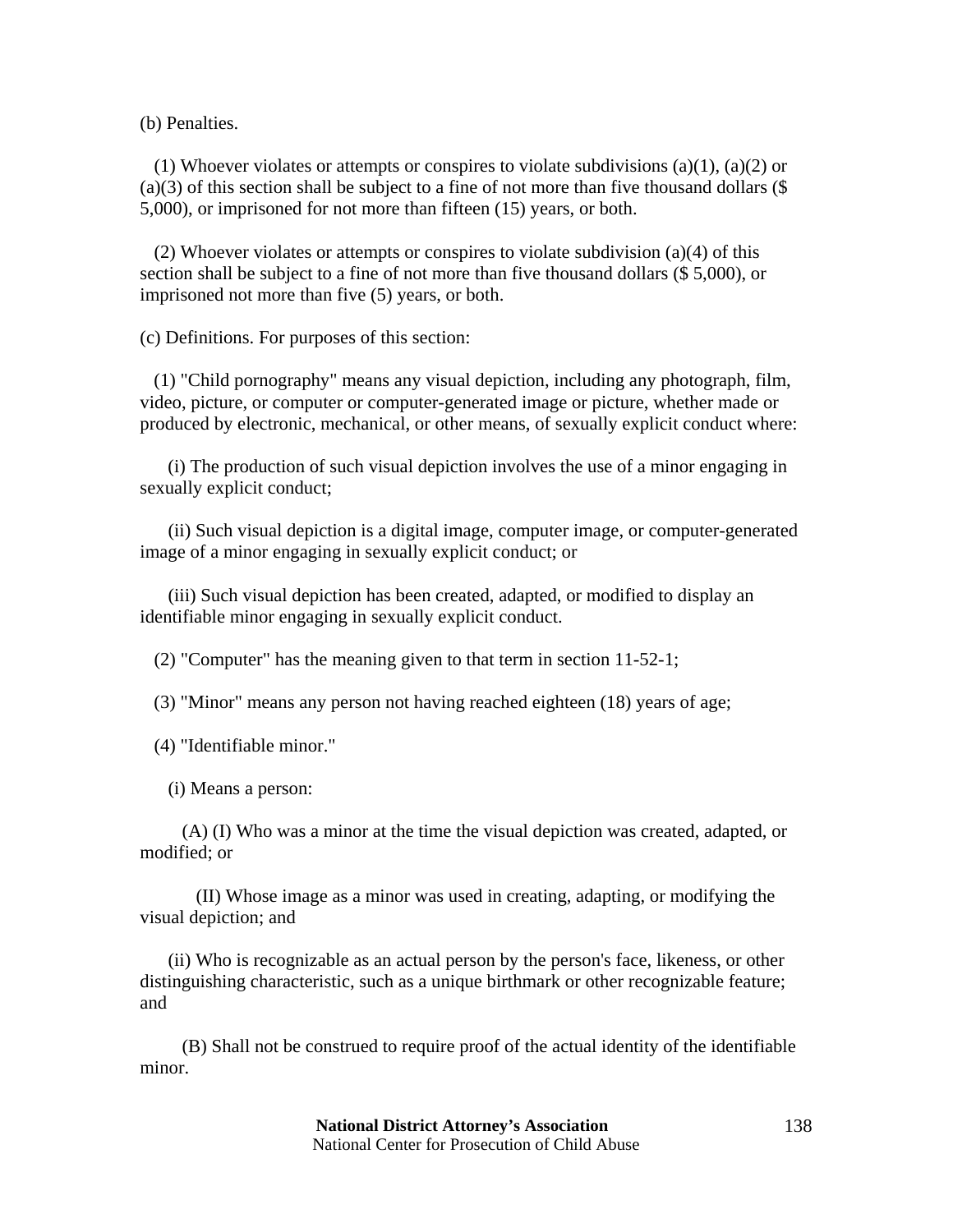(b) Penalties.

(1) Whoever violates or attempts or conspires to violate subdivisions (a)(1), (a)(2) or  $(a)(3)$  of this section shall be subject to a fine of not more than five thousand dollars (\$) 5,000), or imprisoned for not more than fifteen (15) years, or both.

 (2) Whoever violates or attempts or conspires to violate subdivision (a)(4) of this section shall be subject to a fine of not more than five thousand dollars (\$ 5,000), or imprisoned not more than five (5) years, or both.

(c) Definitions. For purposes of this section:

 (1) "Child pornography" means any visual depiction, including any photograph, film, video, picture, or computer or computer-generated image or picture, whether made or produced by electronic, mechanical, or other means, of sexually explicit conduct where:

 (i) The production of such visual depiction involves the use of a minor engaging in sexually explicit conduct;

 (ii) Such visual depiction is a digital image, computer image, or computer-generated image of a minor engaging in sexually explicit conduct; or

 (iii) Such visual depiction has been created, adapted, or modified to display an identifiable minor engaging in sexually explicit conduct.

(2) "Computer" has the meaning given to that term in section 11-52-1;

(3) "Minor" means any person not having reached eighteen (18) years of age;

(4) "Identifiable minor."

(i) Means a person:

 (A) (I) Who was a minor at the time the visual depiction was created, adapted, or modified; or

 (II) Whose image as a minor was used in creating, adapting, or modifying the visual depiction; and

 (ii) Who is recognizable as an actual person by the person's face, likeness, or other distinguishing characteristic, such as a unique birthmark or other recognizable feature; and

 (B) Shall not be construed to require proof of the actual identity of the identifiable minor.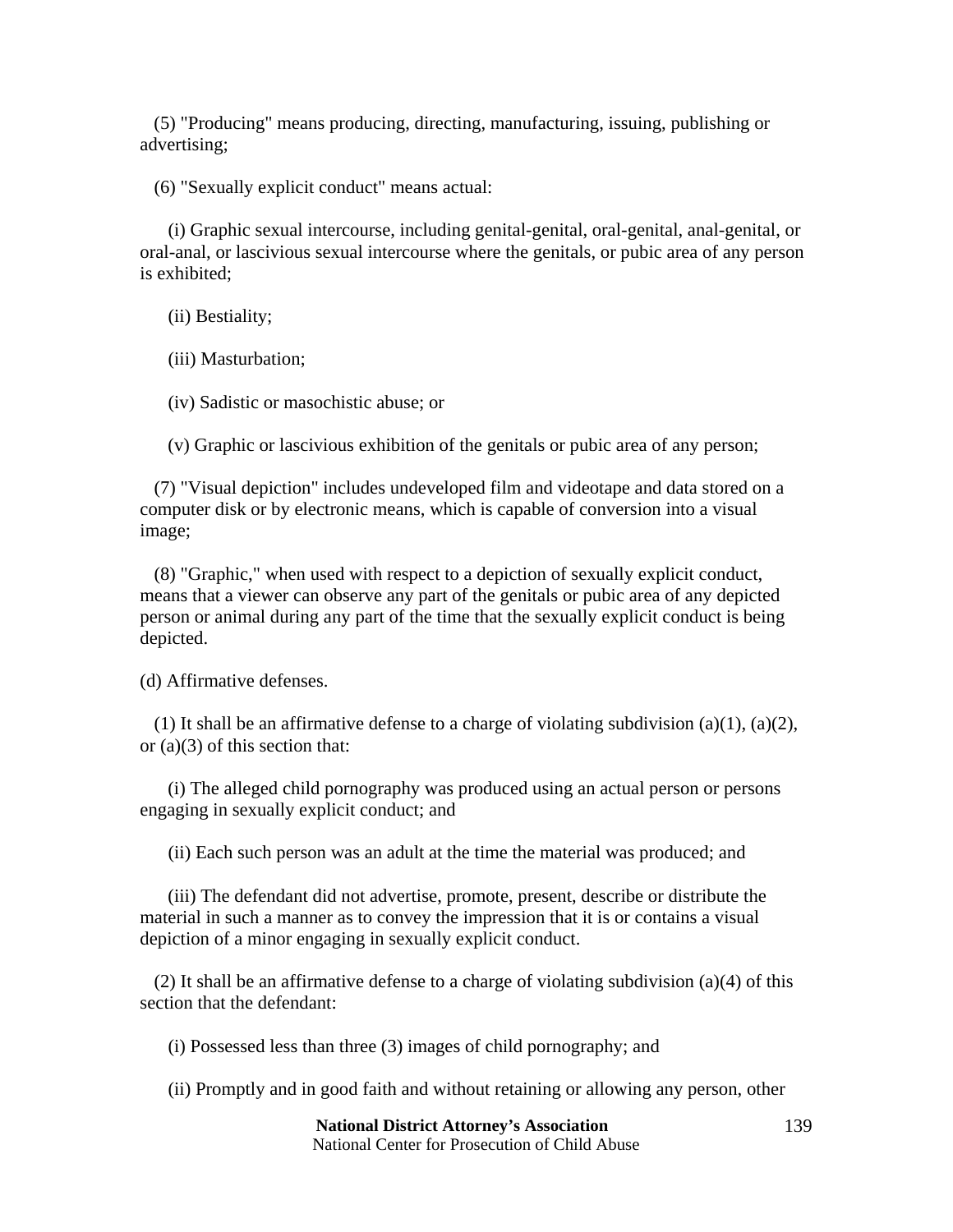(5) "Producing" means producing, directing, manufacturing, issuing, publishing or advertising;

(6) "Sexually explicit conduct" means actual:

 (i) Graphic sexual intercourse, including genital-genital, oral-genital, anal-genital, or oral-anal, or lascivious sexual intercourse where the genitals, or pubic area of any person is exhibited;

(ii) Bestiality;

(iii) Masturbation;

(iv) Sadistic or masochistic abuse; or

(v) Graphic or lascivious exhibition of the genitals or pubic area of any person;

 (7) "Visual depiction" includes undeveloped film and videotape and data stored on a computer disk or by electronic means, which is capable of conversion into a visual image;

 (8) "Graphic," when used with respect to a depiction of sexually explicit conduct, means that a viewer can observe any part of the genitals or pubic area of any depicted person or animal during any part of the time that the sexually explicit conduct is being depicted.

(d) Affirmative defenses.

(1) It shall be an affirmative defense to a charge of violating subdivision  $(a)(1)$ ,  $(a)(2)$ , or  $(a)(3)$  of this section that:

 (i) The alleged child pornography was produced using an actual person or persons engaging in sexually explicit conduct; and

(ii) Each such person was an adult at the time the material was produced; and

 (iii) The defendant did not advertise, promote, present, describe or distribute the material in such a manner as to convey the impression that it is or contains a visual depiction of a minor engaging in sexually explicit conduct.

 (2) It shall be an affirmative defense to a charge of violating subdivision (a)(4) of this section that the defendant:

(i) Possessed less than three (3) images of child pornography; and

(ii) Promptly and in good faith and without retaining or allowing any person, other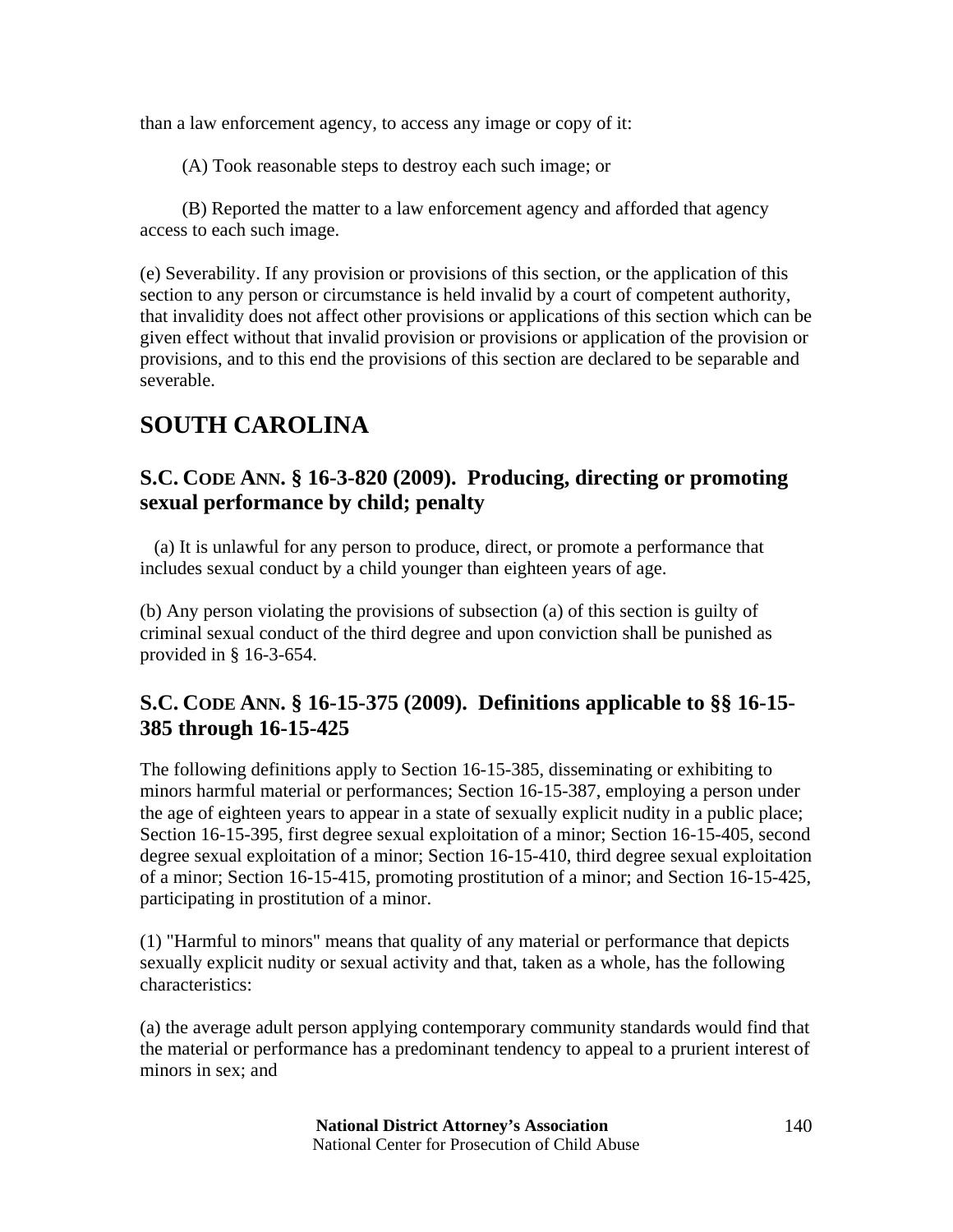than a law enforcement agency, to access any image or copy of it:

(A) Took reasonable steps to destroy each such image; or

 (B) Reported the matter to a law enforcement agency and afforded that agency access to each such image.

(e) Severability. If any provision or provisions of this section, or the application of this section to any person or circumstance is held invalid by a court of competent authority, that invalidity does not affect other provisions or applications of this section which can be given effect without that invalid provision or provisions or application of the provision or provisions, and to this end the provisions of this section are declared to be separable and severable.

## **SOUTH CAROLINA**

## **S.C. CODE ANN. § 16-3-820 (2009). Producing, directing or promoting sexual performance by child; penalty**

 (a) It is unlawful for any person to produce, direct, or promote a performance that includes sexual conduct by a child younger than eighteen years of age.

(b) Any person violating the provisions of subsection (a) of this section is guilty of criminal sexual conduct of the third degree and upon conviction shall be punished as provided in § 16-3-654.

## **S.C. CODE ANN. § 16-15-375 (2009). Definitions applicable to §§ 16-15- 385 through 16-15-425**

The following definitions apply to Section 16-15-385, disseminating or exhibiting to minors harmful material or performances; Section 16-15-387, employing a person under the age of eighteen years to appear in a state of sexually explicit nudity in a public place; Section 16-15-395, first degree sexual exploitation of a minor; Section 16-15-405, second degree sexual exploitation of a minor; Section 16-15-410, third degree sexual exploitation of a minor; Section 16-15-415, promoting prostitution of a minor; and Section 16-15-425, participating in prostitution of a minor.

(1) "Harmful to minors" means that quality of any material or performance that depicts sexually explicit nudity or sexual activity and that, taken as a whole, has the following characteristics:

(a) the average adult person applying contemporary community standards would find that the material or performance has a predominant tendency to appeal to a prurient interest of minors in sex; and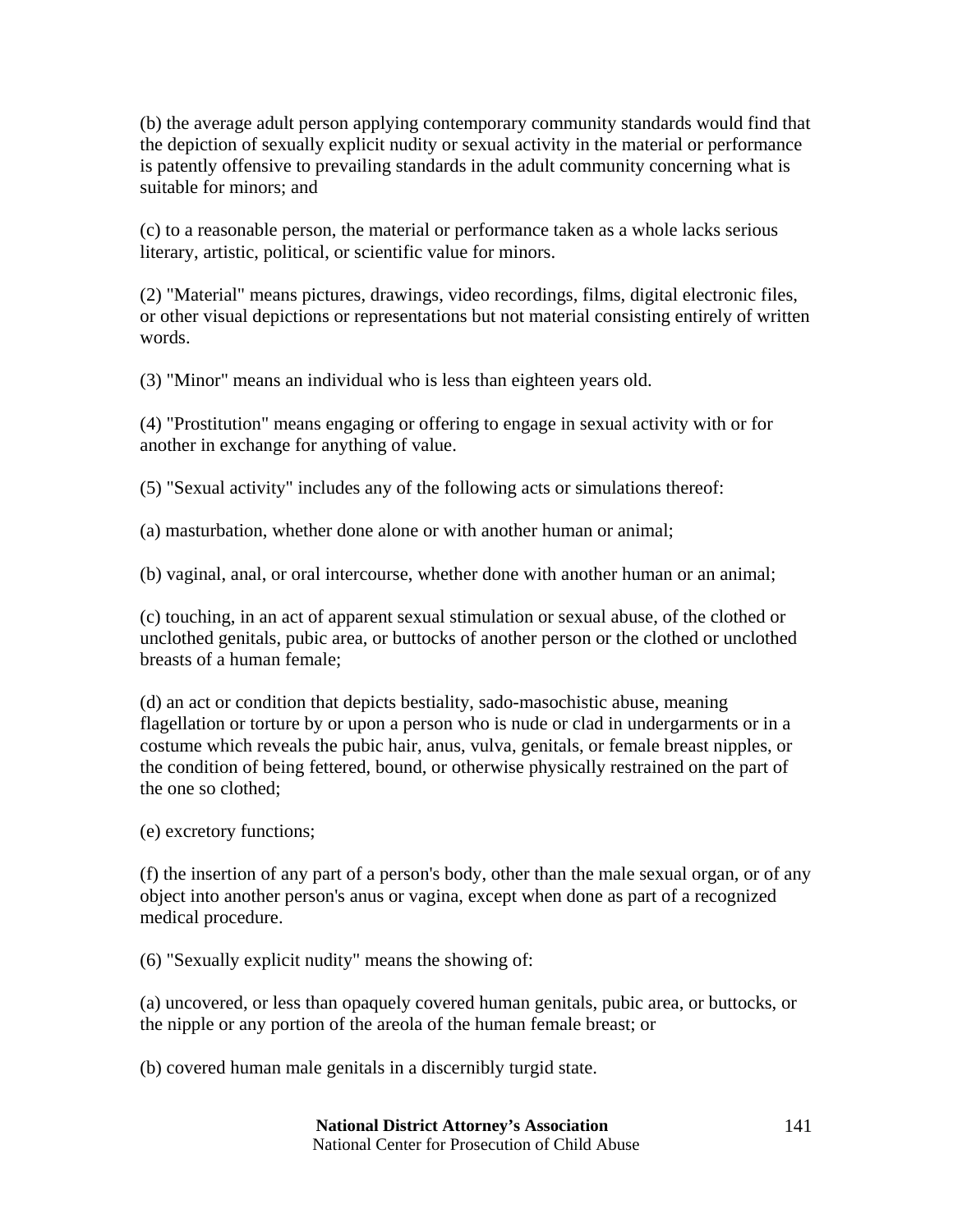(b) the average adult person applying contemporary community standards would find that the depiction of sexually explicit nudity or sexual activity in the material or performance is patently offensive to prevailing standards in the adult community concerning what is suitable for minors; and

(c) to a reasonable person, the material or performance taken as a whole lacks serious literary, artistic, political, or scientific value for minors.

(2) "Material" means pictures, drawings, video recordings, films, digital electronic files, or other visual depictions or representations but not material consisting entirely of written words.

(3) "Minor" means an individual who is less than eighteen years old.

(4) "Prostitution" means engaging or offering to engage in sexual activity with or for another in exchange for anything of value.

(5) "Sexual activity" includes any of the following acts or simulations thereof:

(a) masturbation, whether done alone or with another human or animal;

(b) vaginal, anal, or oral intercourse, whether done with another human or an animal;

(c) touching, in an act of apparent sexual stimulation or sexual abuse, of the clothed or unclothed genitals, pubic area, or buttocks of another person or the clothed or unclothed breasts of a human female;

(d) an act or condition that depicts bestiality, sado-masochistic abuse, meaning flagellation or torture by or upon a person who is nude or clad in undergarments or in a costume which reveals the pubic hair, anus, vulva, genitals, or female breast nipples, or the condition of being fettered, bound, or otherwise physically restrained on the part of the one so clothed;

(e) excretory functions;

(f) the insertion of any part of a person's body, other than the male sexual organ, or of any object into another person's anus or vagina, except when done as part of a recognized medical procedure.

(6) "Sexually explicit nudity" means the showing of:

(a) uncovered, or less than opaquely covered human genitals, pubic area, or buttocks, or the nipple or any portion of the areola of the human female breast; or

(b) covered human male genitals in a discernibly turgid state.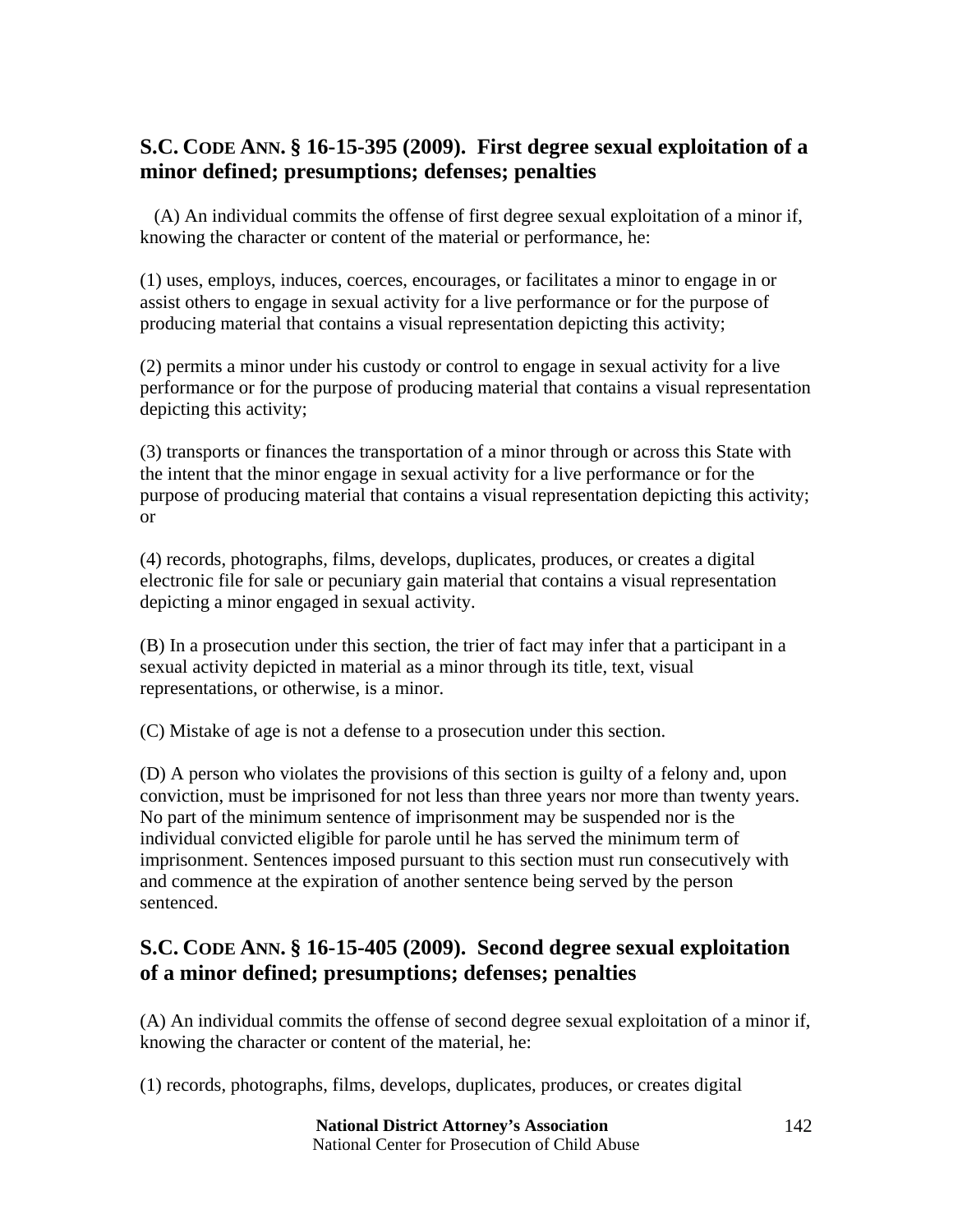## **S.C. CODE ANN. § 16-15-395 (2009). First degree sexual exploitation of a minor defined; presumptions; defenses; penalties**

 (A) An individual commits the offense of first degree sexual exploitation of a minor if, knowing the character or content of the material or performance, he:

(1) uses, employs, induces, coerces, encourages, or facilitates a minor to engage in or assist others to engage in sexual activity for a live performance or for the purpose of producing material that contains a visual representation depicting this activity;

(2) permits a minor under his custody or control to engage in sexual activity for a live performance or for the purpose of producing material that contains a visual representation depicting this activity;

(3) transports or finances the transportation of a minor through or across this State with the intent that the minor engage in sexual activity for a live performance or for the purpose of producing material that contains a visual representation depicting this activity; or

(4) records, photographs, films, develops, duplicates, produces, or creates a digital electronic file for sale or pecuniary gain material that contains a visual representation depicting a minor engaged in sexual activity.

(B) In a prosecution under this section, the trier of fact may infer that a participant in a sexual activity depicted in material as a minor through its title, text, visual representations, or otherwise, is a minor.

(C) Mistake of age is not a defense to a prosecution under this section.

(D) A person who violates the provisions of this section is guilty of a felony and, upon conviction, must be imprisoned for not less than three years nor more than twenty years. No part of the minimum sentence of imprisonment may be suspended nor is the individual convicted eligible for parole until he has served the minimum term of imprisonment. Sentences imposed pursuant to this section must run consecutively with and commence at the expiration of another sentence being served by the person sentenced.

## **S.C. CODE ANN. § 16-15-405 (2009). Second degree sexual exploitation of a minor defined; presumptions; defenses; penalties**

(A) An individual commits the offense of second degree sexual exploitation of a minor if, knowing the character or content of the material, he:

(1) records, photographs, films, develops, duplicates, produces, or creates digital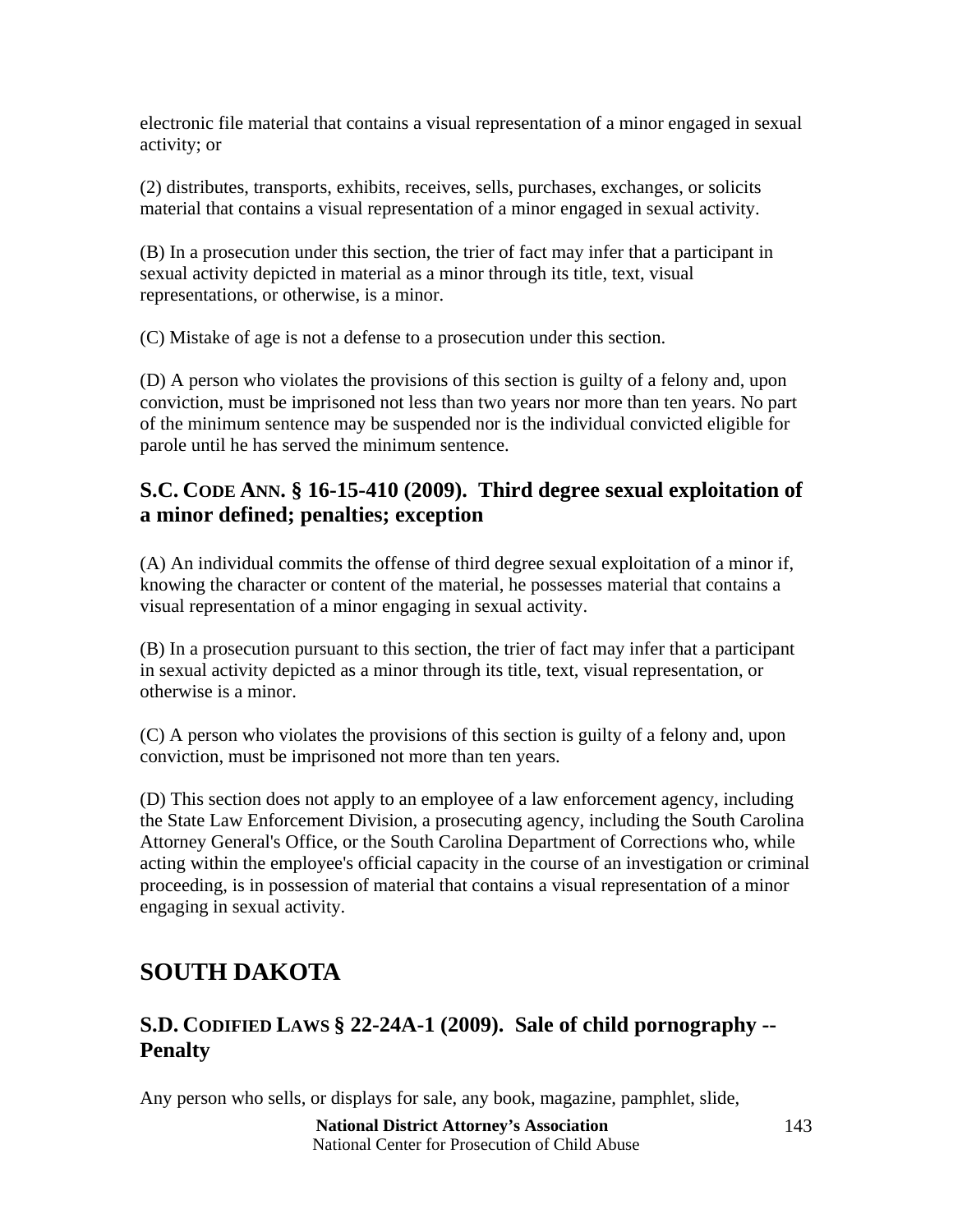electronic file material that contains a visual representation of a minor engaged in sexual activity; or

(2) distributes, transports, exhibits, receives, sells, purchases, exchanges, or solicits material that contains a visual representation of a minor engaged in sexual activity.

(B) In a prosecution under this section, the trier of fact may infer that a participant in sexual activity depicted in material as a minor through its title, text, visual representations, or otherwise, is a minor.

(C) Mistake of age is not a defense to a prosecution under this section.

(D) A person who violates the provisions of this section is guilty of a felony and, upon conviction, must be imprisoned not less than two years nor more than ten years. No part of the minimum sentence may be suspended nor is the individual convicted eligible for parole until he has served the minimum sentence.

## **S.C. CODE ANN. § 16-15-410 (2009). Third degree sexual exploitation of a minor defined; penalties; exception**

(A) An individual commits the offense of third degree sexual exploitation of a minor if, knowing the character or content of the material, he possesses material that contains a visual representation of a minor engaging in sexual activity.

(B) In a prosecution pursuant to this section, the trier of fact may infer that a participant in sexual activity depicted as a minor through its title, text, visual representation, or otherwise is a minor.

(C) A person who violates the provisions of this section is guilty of a felony and, upon conviction, must be imprisoned not more than ten years.

(D) This section does not apply to an employee of a law enforcement agency, including the State Law Enforcement Division, a prosecuting agency, including the South Carolina Attorney General's Office, or the South Carolina Department of Corrections who, while acting within the employee's official capacity in the course of an investigation or criminal proceeding, is in possession of material that contains a visual representation of a minor engaging in sexual activity.

# **SOUTH DAKOTA**

## **S.D. CODIFIED LAWS § 22-24A-1 (2009). Sale of child pornography -- Penalty**

Any person who sells, or displays for sale, any book, magazine, pamphlet, slide,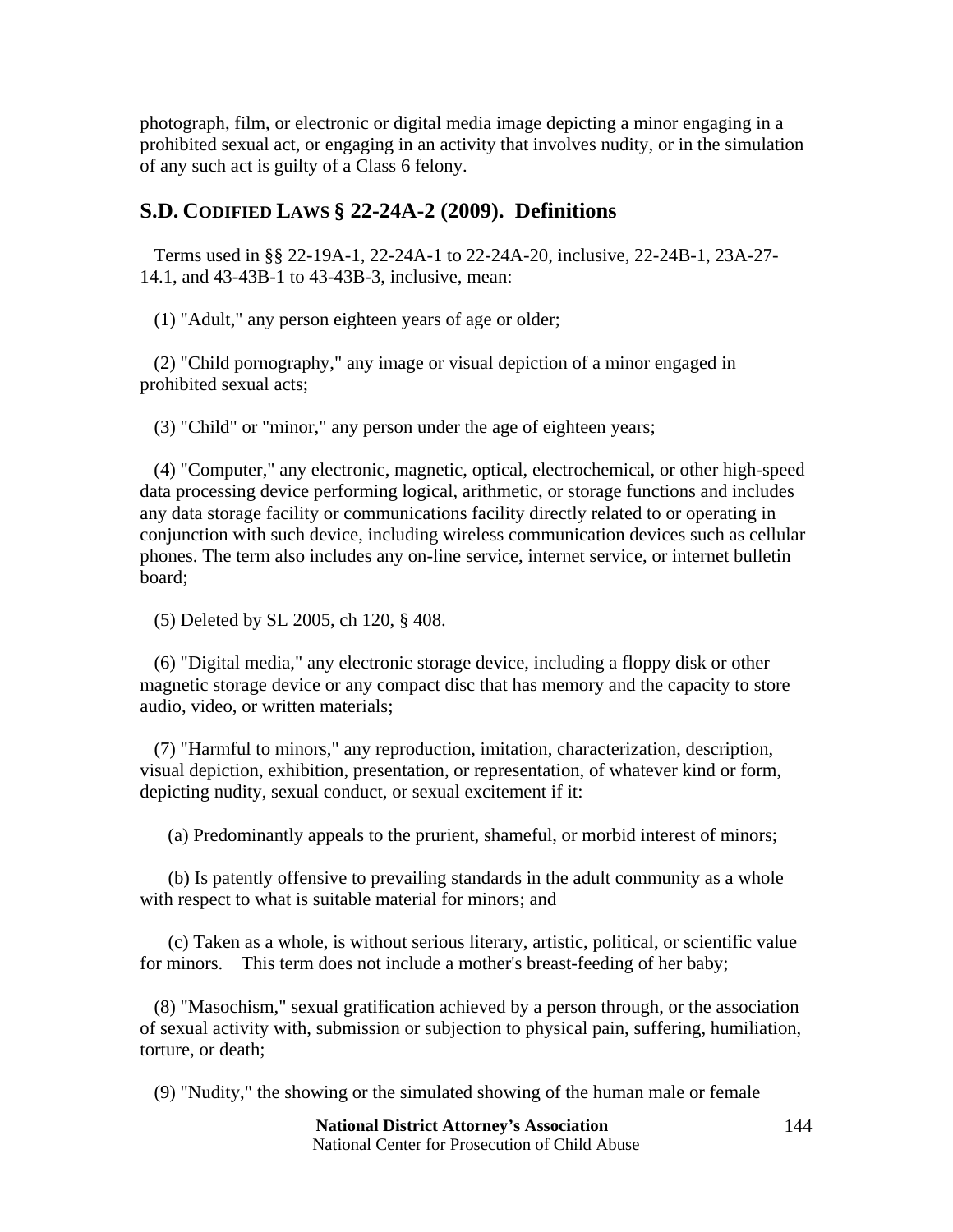photograph, film, or electronic or digital media image depicting a minor engaging in a prohibited sexual act, or engaging in an activity that involves nudity, or in the simulation of any such act is guilty of a Class 6 felony.

#### **S.D. CODIFIED LAWS § 22-24A-2 (2009). Definitions**

 Terms used in §§ 22-19A-1, 22-24A-1 to 22-24A-20, inclusive, 22-24B-1, 23A-27- 14.1, and 43-43B-1 to 43-43B-3, inclusive, mean:

(1) "Adult," any person eighteen years of age or older;

 (2) "Child pornography," any image or visual depiction of a minor engaged in prohibited sexual acts;

(3) "Child" or "minor," any person under the age of eighteen years;

 (4) "Computer," any electronic, magnetic, optical, electrochemical, or other high-speed data processing device performing logical, arithmetic, or storage functions and includes any data storage facility or communications facility directly related to or operating in conjunction with such device, including wireless communication devices such as cellular phones. The term also includes any on-line service, internet service, or internet bulletin board;

(5) Deleted by SL 2005, ch 120, § 408.

 (6) "Digital media," any electronic storage device, including a floppy disk or other magnetic storage device or any compact disc that has memory and the capacity to store audio, video, or written materials;

 (7) "Harmful to minors," any reproduction, imitation, characterization, description, visual depiction, exhibition, presentation, or representation, of whatever kind or form, depicting nudity, sexual conduct, or sexual excitement if it:

(a) Predominantly appeals to the prurient, shameful, or morbid interest of minors;

 (b) Is patently offensive to prevailing standards in the adult community as a whole with respect to what is suitable material for minors; and

 (c) Taken as a whole, is without serious literary, artistic, political, or scientific value for minors. This term does not include a mother's breast-feeding of her baby;

 (8) "Masochism," sexual gratification achieved by a person through, or the association of sexual activity with, submission or subjection to physical pain, suffering, humiliation, torture, or death;

(9) "Nudity," the showing or the simulated showing of the human male or female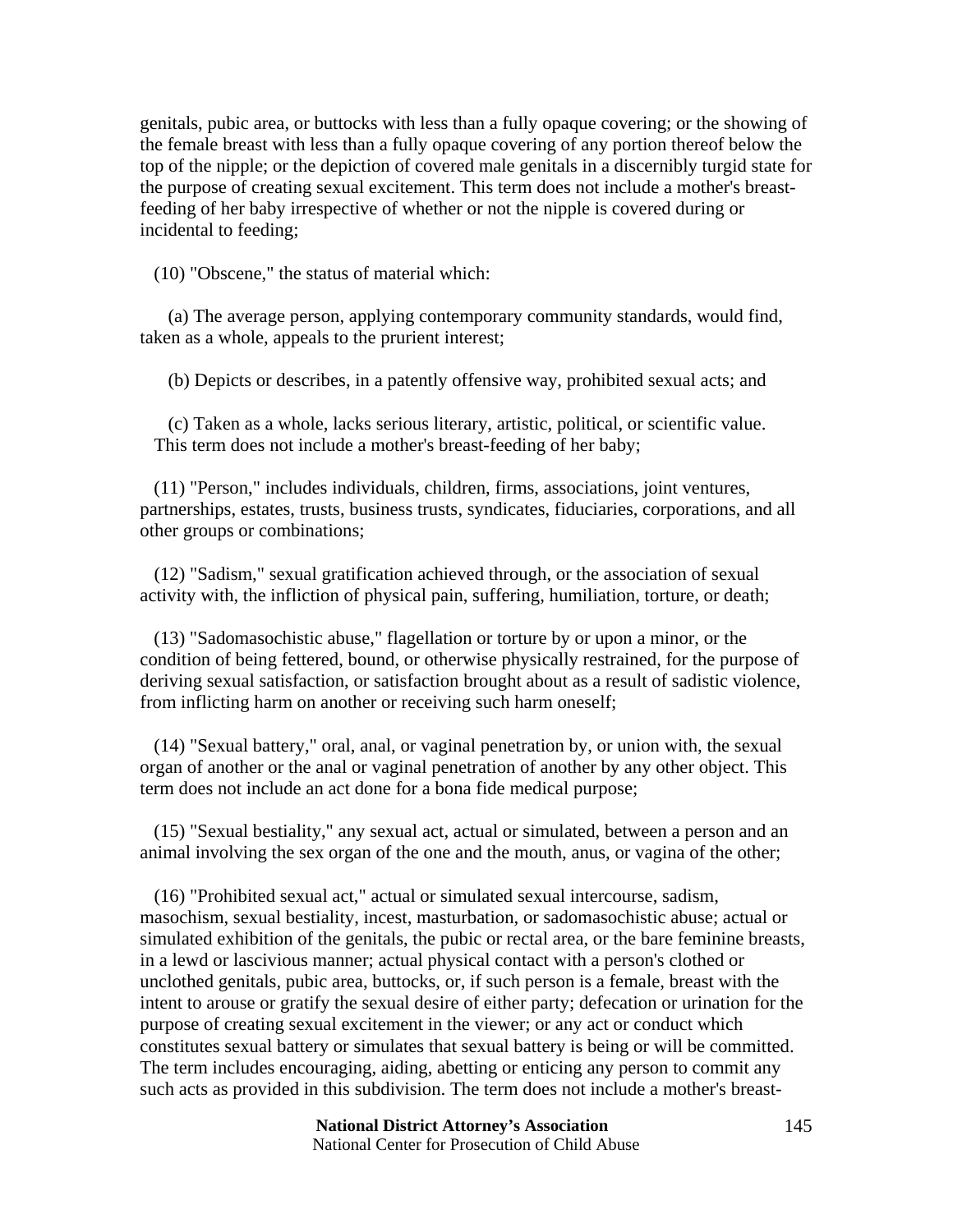genitals, pubic area, or buttocks with less than a fully opaque covering; or the showing of the female breast with less than a fully opaque covering of any portion thereof below the top of the nipple; or the depiction of covered male genitals in a discernibly turgid state for the purpose of creating sexual excitement. This term does not include a mother's breastfeeding of her baby irrespective of whether or not the nipple is covered during or incidental to feeding;

(10) "Obscene," the status of material which:

 (a) The average person, applying contemporary community standards, would find, taken as a whole, appeals to the prurient interest;

(b) Depicts or describes, in a patently offensive way, prohibited sexual acts; and

 (c) Taken as a whole, lacks serious literary, artistic, political, or scientific value. This term does not include a mother's breast-feeding of her baby;

 (11) "Person," includes individuals, children, firms, associations, joint ventures, partnerships, estates, trusts, business trusts, syndicates, fiduciaries, corporations, and all other groups or combinations;

 (12) "Sadism," sexual gratification achieved through, or the association of sexual activity with, the infliction of physical pain, suffering, humiliation, torture, or death;

 (13) "Sadomasochistic abuse," flagellation or torture by or upon a minor, or the condition of being fettered, bound, or otherwise physically restrained, for the purpose of deriving sexual satisfaction, or satisfaction brought about as a result of sadistic violence, from inflicting harm on another or receiving such harm oneself;

 (14) "Sexual battery," oral, anal, or vaginal penetration by, or union with, the sexual organ of another or the anal or vaginal penetration of another by any other object. This term does not include an act done for a bona fide medical purpose;

 (15) "Sexual bestiality," any sexual act, actual or simulated, between a person and an animal involving the sex organ of the one and the mouth, anus, or vagina of the other;

 (16) "Prohibited sexual act," actual or simulated sexual intercourse, sadism, masochism, sexual bestiality, incest, masturbation, or sadomasochistic abuse; actual or simulated exhibition of the genitals, the pubic or rectal area, or the bare feminine breasts, in a lewd or lascivious manner; actual physical contact with a person's clothed or unclothed genitals, pubic area, buttocks, or, if such person is a female, breast with the intent to arouse or gratify the sexual desire of either party; defecation or urination for the purpose of creating sexual excitement in the viewer; or any act or conduct which constitutes sexual battery or simulates that sexual battery is being or will be committed. The term includes encouraging, aiding, abetting or enticing any person to commit any such acts as provided in this subdivision. The term does not include a mother's breast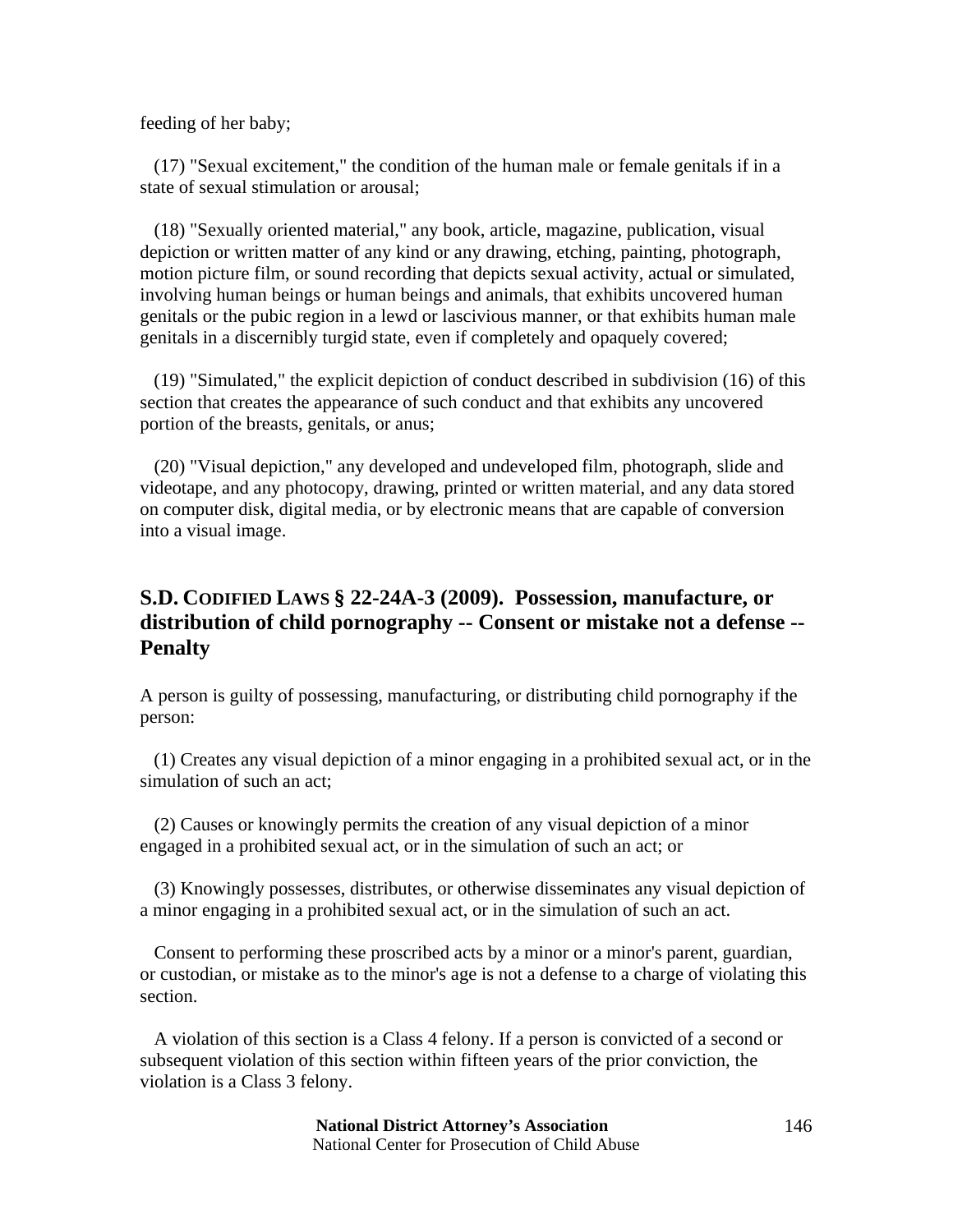feeding of her baby;

 (17) "Sexual excitement," the condition of the human male or female genitals if in a state of sexual stimulation or arousal;

 (18) "Sexually oriented material," any book, article, magazine, publication, visual depiction or written matter of any kind or any drawing, etching, painting, photograph, motion picture film, or sound recording that depicts sexual activity, actual or simulated, involving human beings or human beings and animals, that exhibits uncovered human genitals or the pubic region in a lewd or lascivious manner, or that exhibits human male genitals in a discernibly turgid state, even if completely and opaquely covered;

 (19) "Simulated," the explicit depiction of conduct described in subdivision (16) of this section that creates the appearance of such conduct and that exhibits any uncovered portion of the breasts, genitals, or anus;

 (20) "Visual depiction," any developed and undeveloped film, photograph, slide and videotape, and any photocopy, drawing, printed or written material, and any data stored on computer disk, digital media, or by electronic means that are capable of conversion into a visual image.

## **S.D. CODIFIED LAWS § 22-24A-3 (2009). Possession, manufacture, or distribution of child pornography -- Consent or mistake not a defense -- Penalty**

A person is guilty of possessing, manufacturing, or distributing child pornography if the person:

 (1) Creates any visual depiction of a minor engaging in a prohibited sexual act, or in the simulation of such an act;

 (2) Causes or knowingly permits the creation of any visual depiction of a minor engaged in a prohibited sexual act, or in the simulation of such an act; or

 (3) Knowingly possesses, distributes, or otherwise disseminates any visual depiction of a minor engaging in a prohibited sexual act, or in the simulation of such an act.

 Consent to performing these proscribed acts by a minor or a minor's parent, guardian, or custodian, or mistake as to the minor's age is not a defense to a charge of violating this section.

 A violation of this section is a Class 4 felony. If a person is convicted of a second or subsequent violation of this section within fifteen years of the prior conviction, the violation is a Class 3 felony.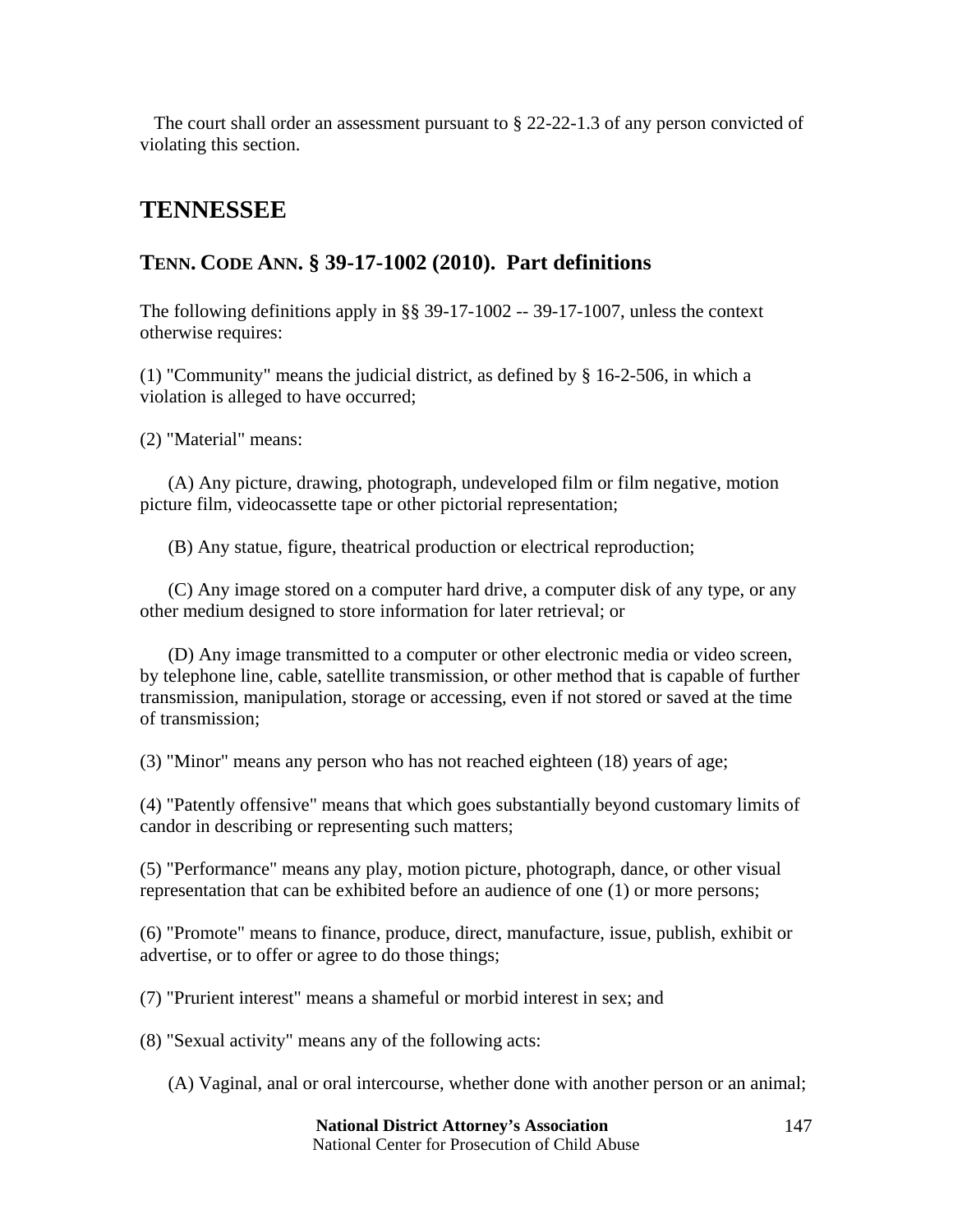The court shall order an assessment pursuant to § 22-22-1.3 of any person convicted of violating this section.

## **TENNESSEE**

## **TENN. CODE ANN. § 39-17-1002 (2010). Part definitions**

The following definitions apply in §§ 39-17-1002  $-$  39-17-1007, unless the context otherwise requires:

(1) "Community" means the judicial district, as defined by § 16-2-506, in which a violation is alleged to have occurred;

(2) "Material" means:

 (A) Any picture, drawing, photograph, undeveloped film or film negative, motion picture film, videocassette tape or other pictorial representation;

(B) Any statue, figure, theatrical production or electrical reproduction;

 (C) Any image stored on a computer hard drive, a computer disk of any type, or any other medium designed to store information for later retrieval; or

 (D) Any image transmitted to a computer or other electronic media or video screen, by telephone line, cable, satellite transmission, or other method that is capable of further transmission, manipulation, storage or accessing, even if not stored or saved at the time of transmission;

(3) "Minor" means any person who has not reached eighteen (18) years of age;

(4) "Patently offensive" means that which goes substantially beyond customary limits of candor in describing or representing such matters;

(5) "Performance" means any play, motion picture, photograph, dance, or other visual representation that can be exhibited before an audience of one (1) or more persons;

(6) "Promote" means to finance, produce, direct, manufacture, issue, publish, exhibit or advertise, or to offer or agree to do those things;

(7) "Prurient interest" means a shameful or morbid interest in sex; and

(8) "Sexual activity" means any of the following acts:

(A) Vaginal, anal or oral intercourse, whether done with another person or an animal;

## **National District Attorney's Association**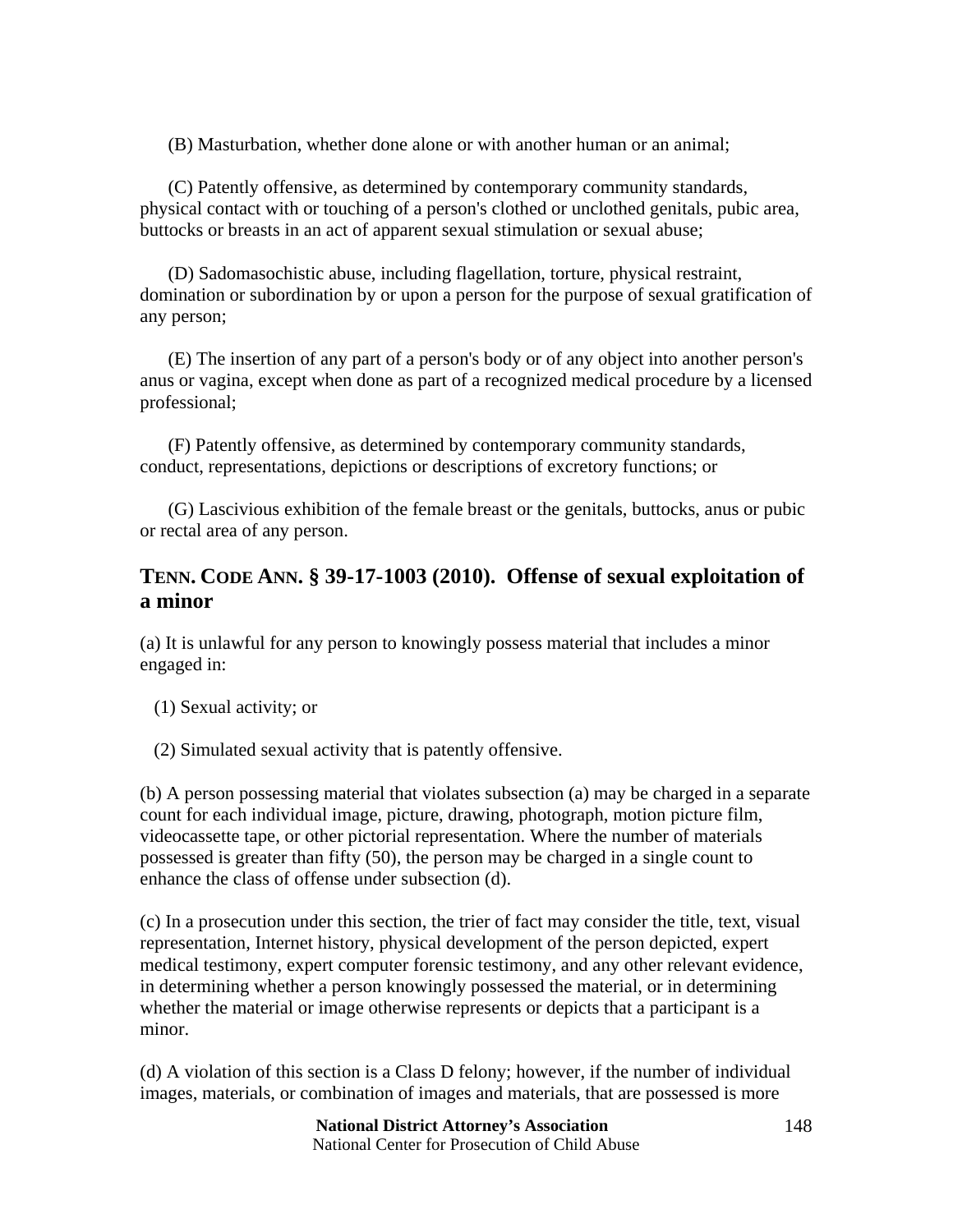(B) Masturbation, whether done alone or with another human or an animal;

 (C) Patently offensive, as determined by contemporary community standards, physical contact with or touching of a person's clothed or unclothed genitals, pubic area, buttocks or breasts in an act of apparent sexual stimulation or sexual abuse;

 (D) Sadomasochistic abuse, including flagellation, torture, physical restraint, domination or subordination by or upon a person for the purpose of sexual gratification of any person;

 (E) The insertion of any part of a person's body or of any object into another person's anus or vagina, except when done as part of a recognized medical procedure by a licensed professional;

 (F) Patently offensive, as determined by contemporary community standards, conduct, representations, depictions or descriptions of excretory functions; or

 (G) Lascivious exhibition of the female breast or the genitals, buttocks, anus or pubic or rectal area of any person.

## **TENN. CODE ANN. § 39-17-1003 (2010). Offense of sexual exploitation of a minor**

(a) It is unlawful for any person to knowingly possess material that includes a minor engaged in:

(1) Sexual activity; or

(2) Simulated sexual activity that is patently offensive.

(b) A person possessing material that violates subsection (a) may be charged in a separate count for each individual image, picture, drawing, photograph, motion picture film, videocassette tape, or other pictorial representation. Where the number of materials possessed is greater than fifty (50), the person may be charged in a single count to enhance the class of offense under subsection (d).

(c) In a prosecution under this section, the trier of fact may consider the title, text, visual representation, Internet history, physical development of the person depicted, expert medical testimony, expert computer forensic testimony, and any other relevant evidence, in determining whether a person knowingly possessed the material, or in determining whether the material or image otherwise represents or depicts that a participant is a minor.

(d) A violation of this section is a Class D felony; however, if the number of individual images, materials, or combination of images and materials, that are possessed is more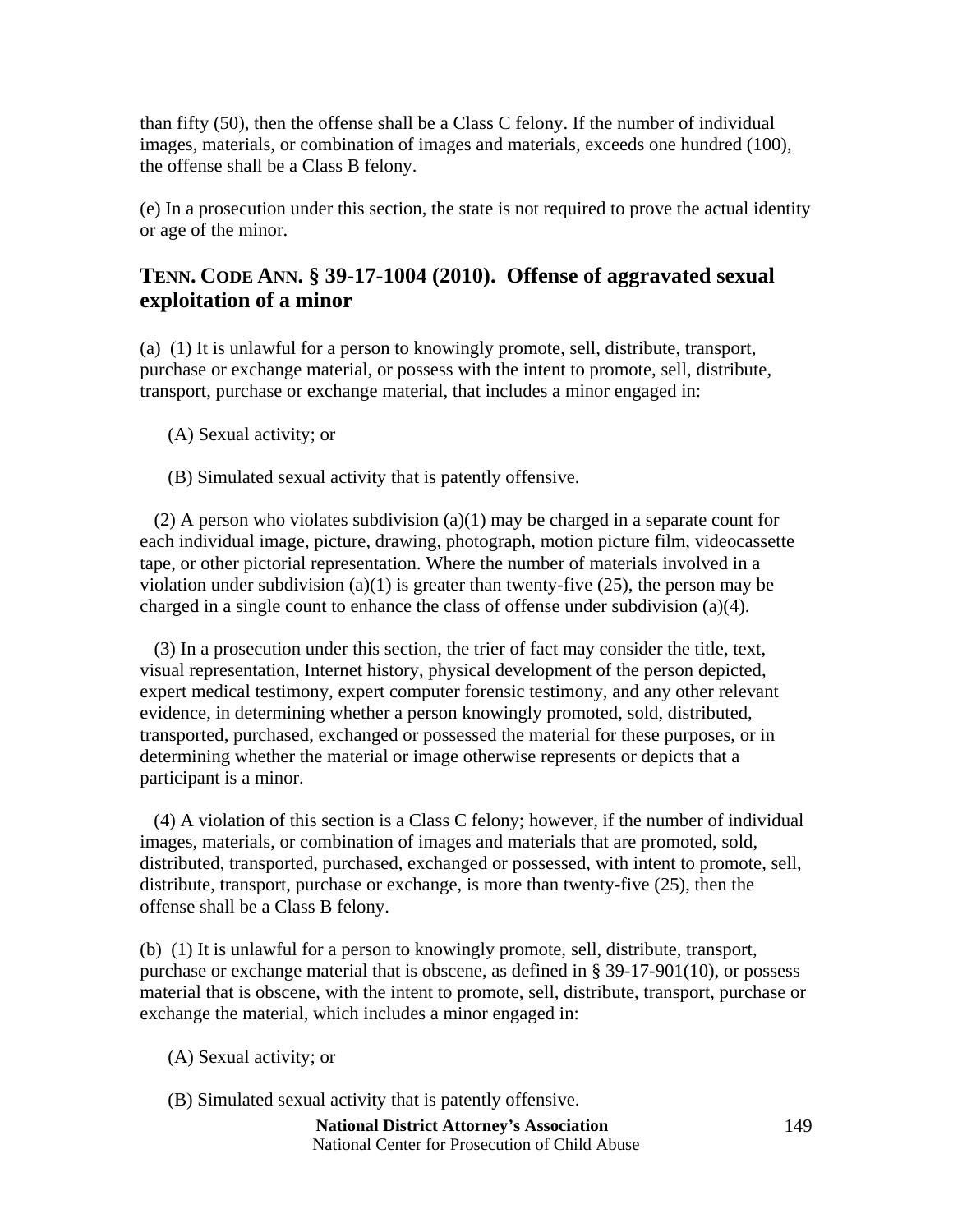than fifty (50), then the offense shall be a Class C felony. If the number of individual images, materials, or combination of images and materials, exceeds one hundred (100), the offense shall be a Class B felony.

(e) In a prosecution under this section, the state is not required to prove the actual identity or age of the minor.

## **TENN. CODE ANN. § 39-17-1004 (2010). Offense of aggravated sexual exploitation of a minor**

(a) (1) It is unlawful for a person to knowingly promote, sell, distribute, transport, purchase or exchange material, or possess with the intent to promote, sell, distribute, transport, purchase or exchange material, that includes a minor engaged in:

- (A) Sexual activity; or
- (B) Simulated sexual activity that is patently offensive.

 (2) A person who violates subdivision (a)(1) may be charged in a separate count for each individual image, picture, drawing, photograph, motion picture film, videocassette tape, or other pictorial representation. Where the number of materials involved in a violation under subdivision  $(a)(1)$  is greater than twenty-five  $(25)$ , the person may be charged in a single count to enhance the class of offense under subdivision (a)(4).

 (3) In a prosecution under this section, the trier of fact may consider the title, text, visual representation, Internet history, physical development of the person depicted, expert medical testimony, expert computer forensic testimony, and any other relevant evidence, in determining whether a person knowingly promoted, sold, distributed, transported, purchased, exchanged or possessed the material for these purposes, or in determining whether the material or image otherwise represents or depicts that a participant is a minor.

 (4) A violation of this section is a Class C felony; however, if the number of individual images, materials, or combination of images and materials that are promoted, sold, distributed, transported, purchased, exchanged or possessed, with intent to promote, sell, distribute, transport, purchase or exchange, is more than twenty-five (25), then the offense shall be a Class B felony.

(b) (1) It is unlawful for a person to knowingly promote, sell, distribute, transport, purchase or exchange material that is obscene, as defined in § 39-17-901(10), or possess material that is obscene, with the intent to promote, sell, distribute, transport, purchase or exchange the material, which includes a minor engaged in:

- (A) Sexual activity; or
- (B) Simulated sexual activity that is patently offensive.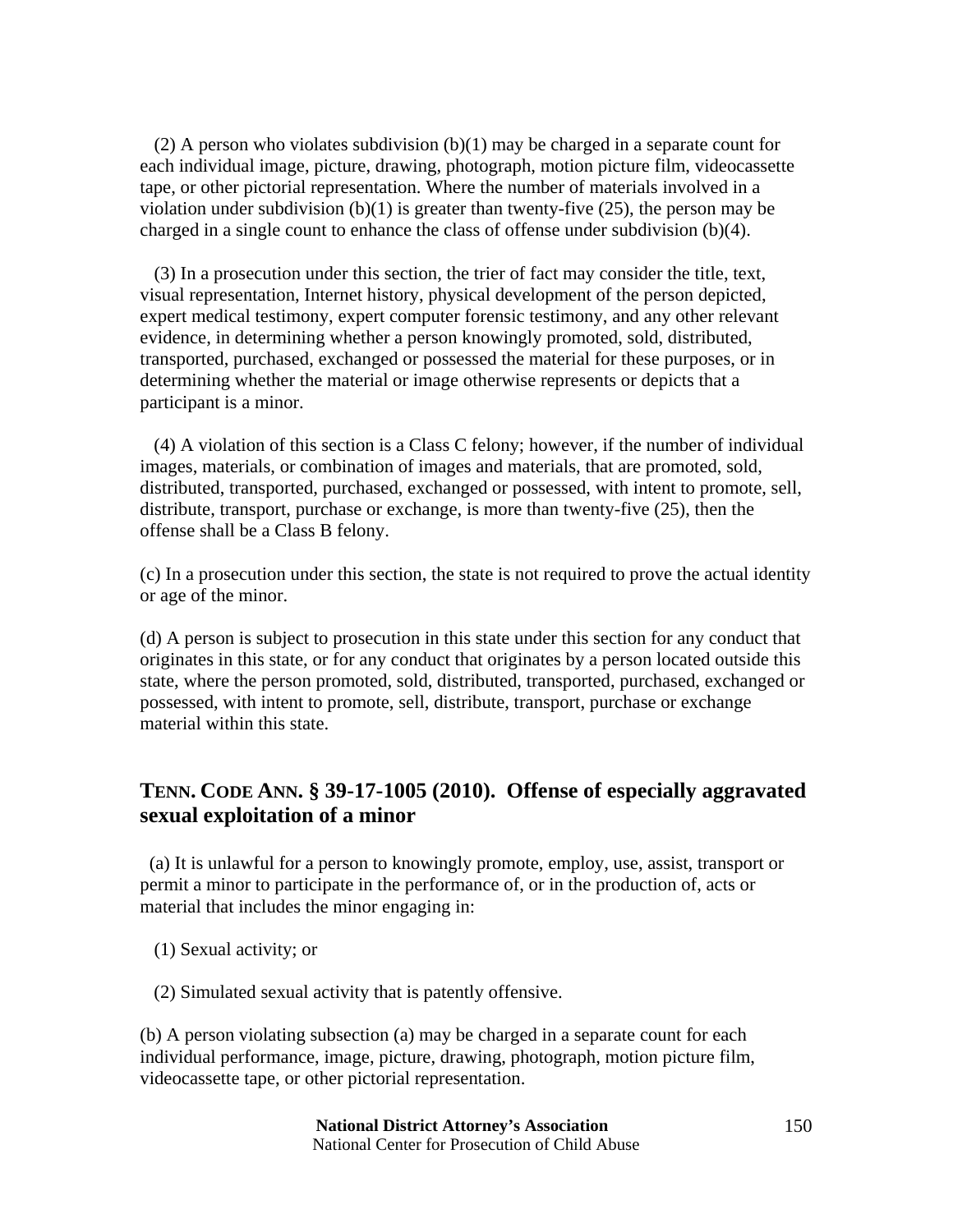(2) A person who violates subdivision (b)(1) may be charged in a separate count for each individual image, picture, drawing, photograph, motion picture film, videocassette tape, or other pictorial representation. Where the number of materials involved in a violation under subdivision  $(b)(1)$  is greater than twenty-five  $(25)$ , the person may be charged in a single count to enhance the class of offense under subdivision (b)(4).

 (3) In a prosecution under this section, the trier of fact may consider the title, text, visual representation, Internet history, physical development of the person depicted, expert medical testimony, expert computer forensic testimony, and any other relevant evidence, in determining whether a person knowingly promoted, sold, distributed, transported, purchased, exchanged or possessed the material for these purposes, or in determining whether the material or image otherwise represents or depicts that a participant is a minor.

 (4) A violation of this section is a Class C felony; however, if the number of individual images, materials, or combination of images and materials, that are promoted, sold, distributed, transported, purchased, exchanged or possessed, with intent to promote, sell, distribute, transport, purchase or exchange, is more than twenty-five (25), then the offense shall be a Class B felony.

(c) In a prosecution under this section, the state is not required to prove the actual identity or age of the minor.

(d) A person is subject to prosecution in this state under this section for any conduct that originates in this state, or for any conduct that originates by a person located outside this state, where the person promoted, sold, distributed, transported, purchased, exchanged or possessed, with intent to promote, sell, distribute, transport, purchase or exchange material within this state.

## **TENN. CODE ANN. § 39-17-1005 (2010). Offense of especially aggravated sexual exploitation of a minor**

 (a) It is unlawful for a person to knowingly promote, employ, use, assist, transport or permit a minor to participate in the performance of, or in the production of, acts or material that includes the minor engaging in:

(1) Sexual activity; or

(2) Simulated sexual activity that is patently offensive.

(b) A person violating subsection (a) may be charged in a separate count for each individual performance, image, picture, drawing, photograph, motion picture film, videocassette tape, or other pictorial representation.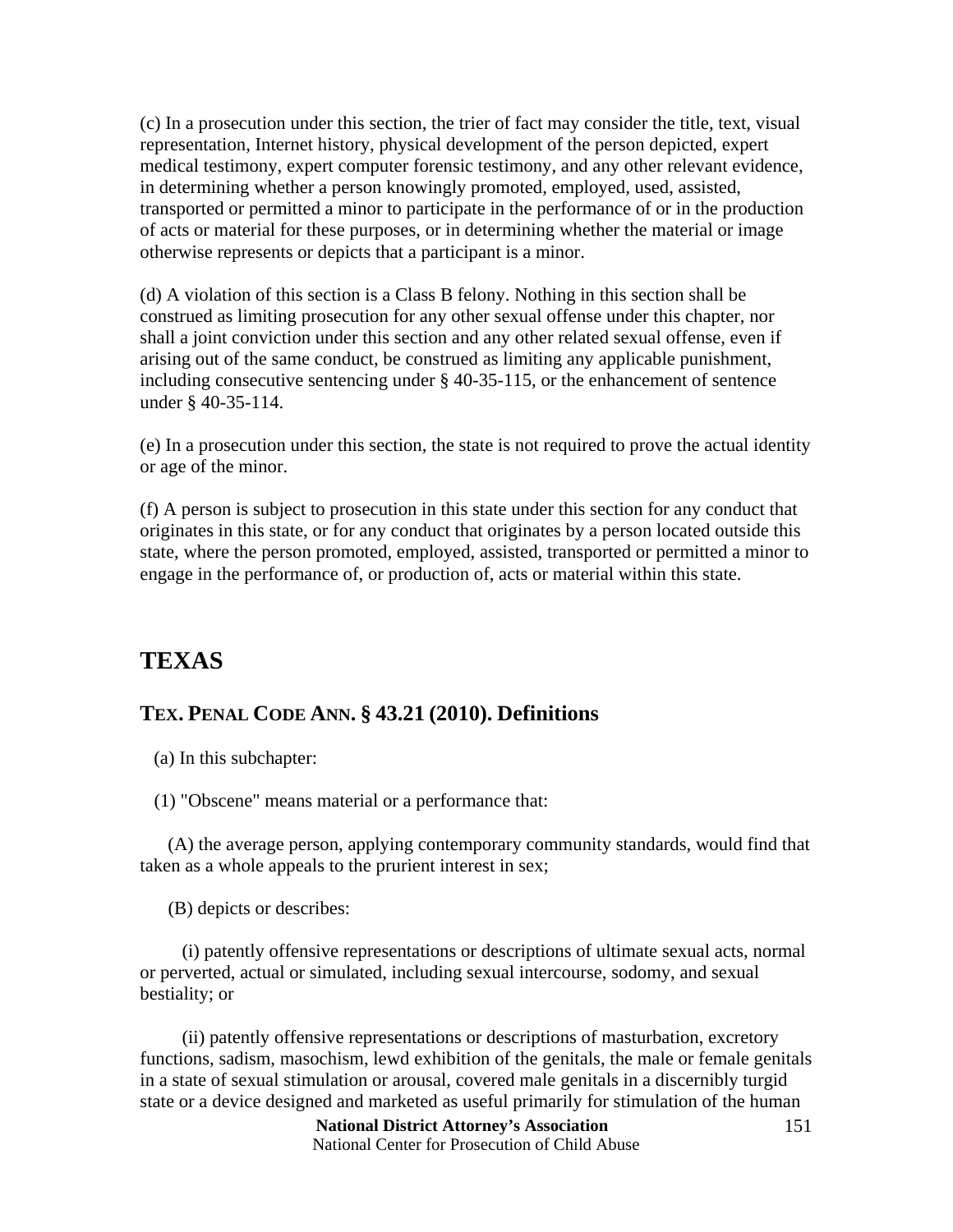(c) In a prosecution under this section, the trier of fact may consider the title, text, visual representation, Internet history, physical development of the person depicted, expert medical testimony, expert computer forensic testimony, and any other relevant evidence, in determining whether a person knowingly promoted, employed, used, assisted, transported or permitted a minor to participate in the performance of or in the production of acts or material for these purposes, or in determining whether the material or image otherwise represents or depicts that a participant is a minor.

(d) A violation of this section is a Class B felony. Nothing in this section shall be construed as limiting prosecution for any other sexual offense under this chapter, nor shall a joint conviction under this section and any other related sexual offense, even if arising out of the same conduct, be construed as limiting any applicable punishment, including consecutive sentencing under § 40-35-115, or the enhancement of sentence under § 40-35-114.

(e) In a prosecution under this section, the state is not required to prove the actual identity or age of the minor.

(f) A person is subject to prosecution in this state under this section for any conduct that originates in this state, or for any conduct that originates by a person located outside this state, where the person promoted, employed, assisted, transported or permitted a minor to engage in the performance of, or production of, acts or material within this state.

## **TEXAS**

#### **TEX. PENAL CODE ANN. § 43.21 (2010). Definitions**

(a) In this subchapter:

(1) "Obscene" means material or a performance that:

 (A) the average person, applying contemporary community standards, would find that taken as a whole appeals to the prurient interest in sex;

(B) depicts or describes:

 (i) patently offensive representations or descriptions of ultimate sexual acts, normal or perverted, actual or simulated, including sexual intercourse, sodomy, and sexual bestiality; or

 (ii) patently offensive representations or descriptions of masturbation, excretory functions, sadism, masochism, lewd exhibition of the genitals, the male or female genitals in a state of sexual stimulation or arousal, covered male genitals in a discernibly turgid state or a device designed and marketed as useful primarily for stimulation of the human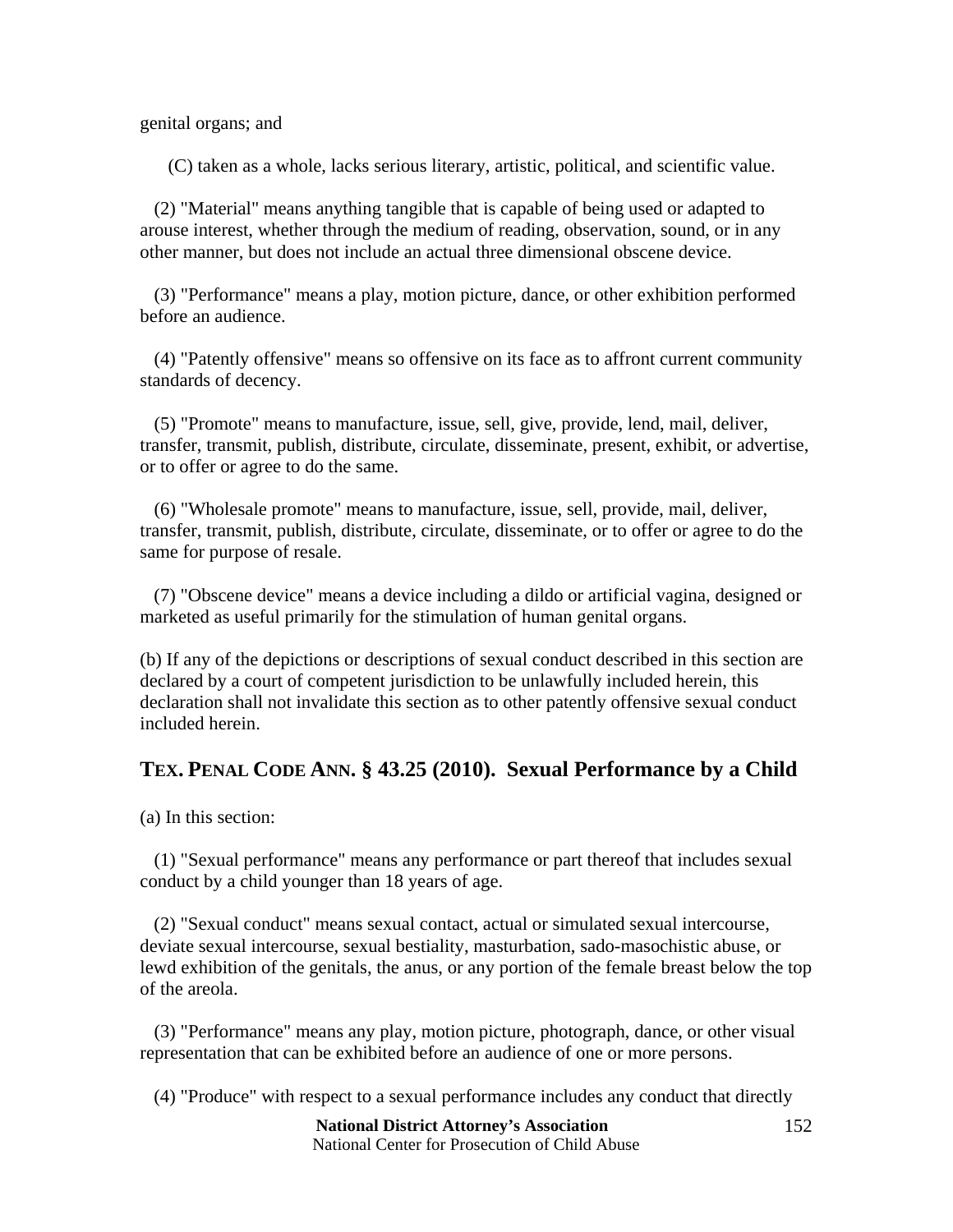genital organs; and

(C) taken as a whole, lacks serious literary, artistic, political, and scientific value.

 (2) "Material" means anything tangible that is capable of being used or adapted to arouse interest, whether through the medium of reading, observation, sound, or in any other manner, but does not include an actual three dimensional obscene device.

 (3) "Performance" means a play, motion picture, dance, or other exhibition performed before an audience.

 (4) "Patently offensive" means so offensive on its face as to affront current community standards of decency.

 (5) "Promote" means to manufacture, issue, sell, give, provide, lend, mail, deliver, transfer, transmit, publish, distribute, circulate, disseminate, present, exhibit, or advertise, or to offer or agree to do the same.

 (6) "Wholesale promote" means to manufacture, issue, sell, provide, mail, deliver, transfer, transmit, publish, distribute, circulate, disseminate, or to offer or agree to do the same for purpose of resale.

 (7) "Obscene device" means a device including a dildo or artificial vagina, designed or marketed as useful primarily for the stimulation of human genital organs.

(b) If any of the depictions or descriptions of sexual conduct described in this section are declared by a court of competent jurisdiction to be unlawfully included herein, this declaration shall not invalidate this section as to other patently offensive sexual conduct included herein.

#### **TEX. PENAL CODE ANN. § 43.25 (2010). Sexual Performance by a Child**

(a) In this section:

 (1) "Sexual performance" means any performance or part thereof that includes sexual conduct by a child younger than 18 years of age.

 (2) "Sexual conduct" means sexual contact, actual or simulated sexual intercourse, deviate sexual intercourse, sexual bestiality, masturbation, sado-masochistic abuse, or lewd exhibition of the genitals, the anus, or any portion of the female breast below the top of the areola.

 (3) "Performance" means any play, motion picture, photograph, dance, or other visual representation that can be exhibited before an audience of one or more persons.

(4) "Produce" with respect to a sexual performance includes any conduct that directly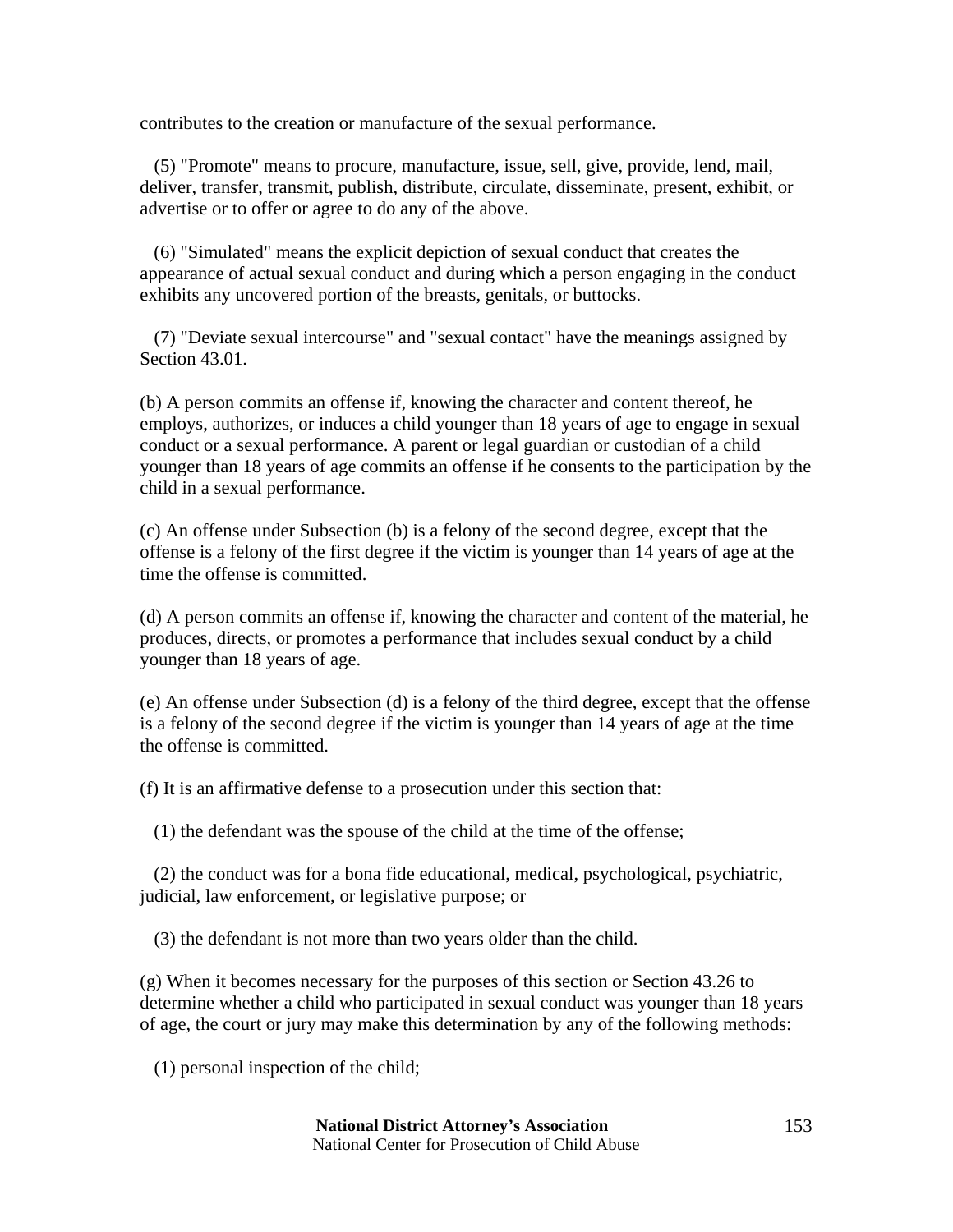contributes to the creation or manufacture of the sexual performance.

 (5) "Promote" means to procure, manufacture, issue, sell, give, provide, lend, mail, deliver, transfer, transmit, publish, distribute, circulate, disseminate, present, exhibit, or advertise or to offer or agree to do any of the above.

 (6) "Simulated" means the explicit depiction of sexual conduct that creates the appearance of actual sexual conduct and during which a person engaging in the conduct exhibits any uncovered portion of the breasts, genitals, or buttocks.

 (7) "Deviate sexual intercourse" and "sexual contact" have the meanings assigned by Section 43.01.

(b) A person commits an offense if, knowing the character and content thereof, he employs, authorizes, or induces a child younger than 18 years of age to engage in sexual conduct or a sexual performance. A parent or legal guardian or custodian of a child younger than 18 years of age commits an offense if he consents to the participation by the child in a sexual performance.

(c) An offense under Subsection (b) is a felony of the second degree, except that the offense is a felony of the first degree if the victim is younger than 14 years of age at the time the offense is committed.

(d) A person commits an offense if, knowing the character and content of the material, he produces, directs, or promotes a performance that includes sexual conduct by a child younger than 18 years of age.

(e) An offense under Subsection (d) is a felony of the third degree, except that the offense is a felony of the second degree if the victim is younger than 14 years of age at the time the offense is committed.

(f) It is an affirmative defense to a prosecution under this section that:

(1) the defendant was the spouse of the child at the time of the offense;

 (2) the conduct was for a bona fide educational, medical, psychological, psychiatric, judicial, law enforcement, or legislative purpose; or

(3) the defendant is not more than two years older than the child.

(g) When it becomes necessary for the purposes of this section or Section 43.26 to determine whether a child who participated in sexual conduct was younger than 18 years of age, the court or jury may make this determination by any of the following methods:

(1) personal inspection of the child;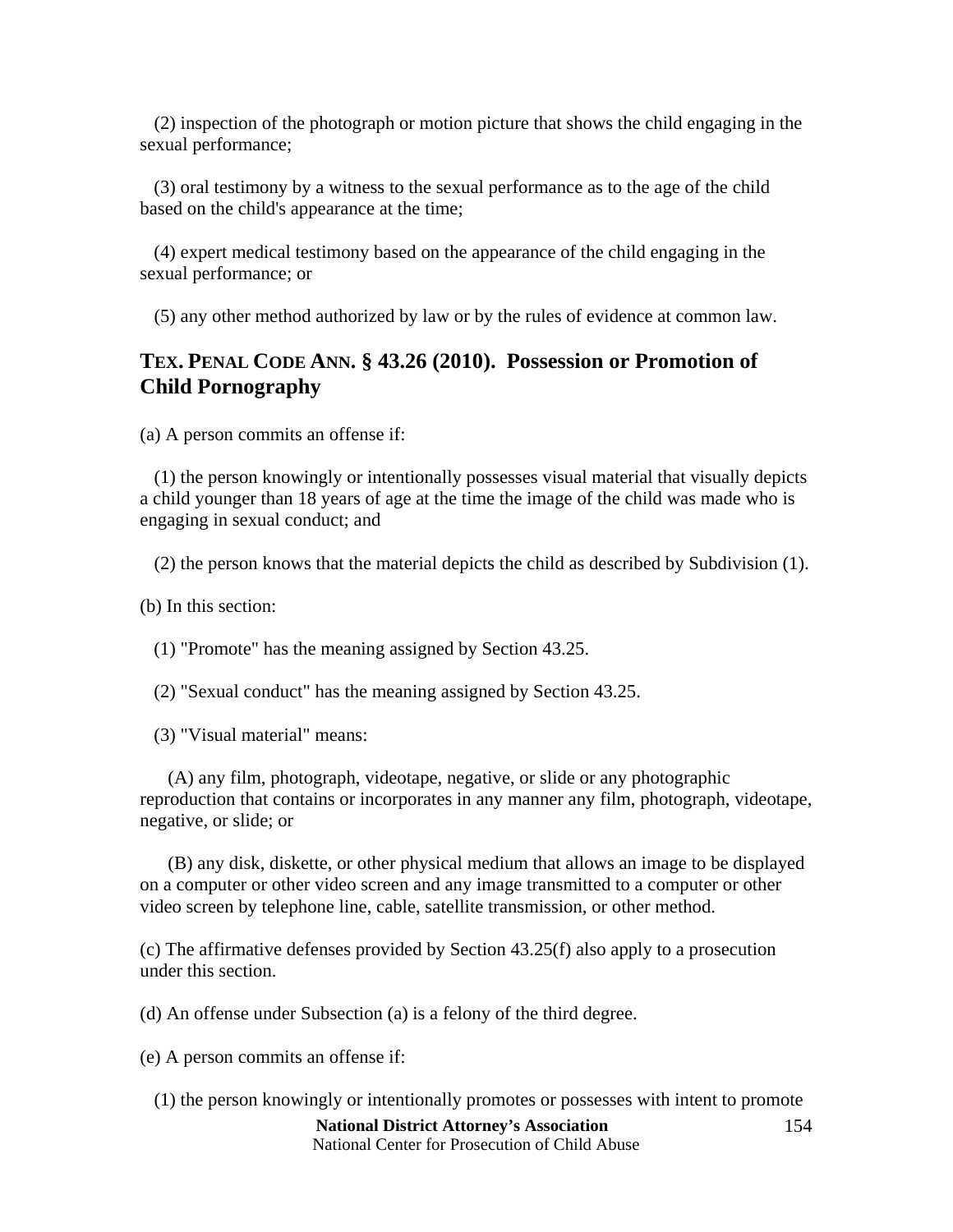(2) inspection of the photograph or motion picture that shows the child engaging in the sexual performance;

 (3) oral testimony by a witness to the sexual performance as to the age of the child based on the child's appearance at the time;

 (4) expert medical testimony based on the appearance of the child engaging in the sexual performance; or

(5) any other method authorized by law or by the rules of evidence at common law.

## **TEX. PENAL CODE ANN. § 43.26 (2010). Possession or Promotion of Child Pornography**

(a) A person commits an offense if:

 (1) the person knowingly or intentionally possesses visual material that visually depicts a child younger than 18 years of age at the time the image of the child was made who is engaging in sexual conduct; and

(2) the person knows that the material depicts the child as described by Subdivision (1).

(b) In this section:

(1) "Promote" has the meaning assigned by Section 43.25.

(2) "Sexual conduct" has the meaning assigned by Section 43.25.

(3) "Visual material" means:

 (A) any film, photograph, videotape, negative, or slide or any photographic reproduction that contains or incorporates in any manner any film, photograph, videotape, negative, or slide; or

 (B) any disk, diskette, or other physical medium that allows an image to be displayed on a computer or other video screen and any image transmitted to a computer or other video screen by telephone line, cable, satellite transmission, or other method.

(c) The affirmative defenses provided by Section 43.25(f) also apply to a prosecution under this section.

(d) An offense under Subsection (a) is a felony of the third degree.

(e) A person commits an offense if:

(1) the person knowingly or intentionally promotes or possesses with intent to promote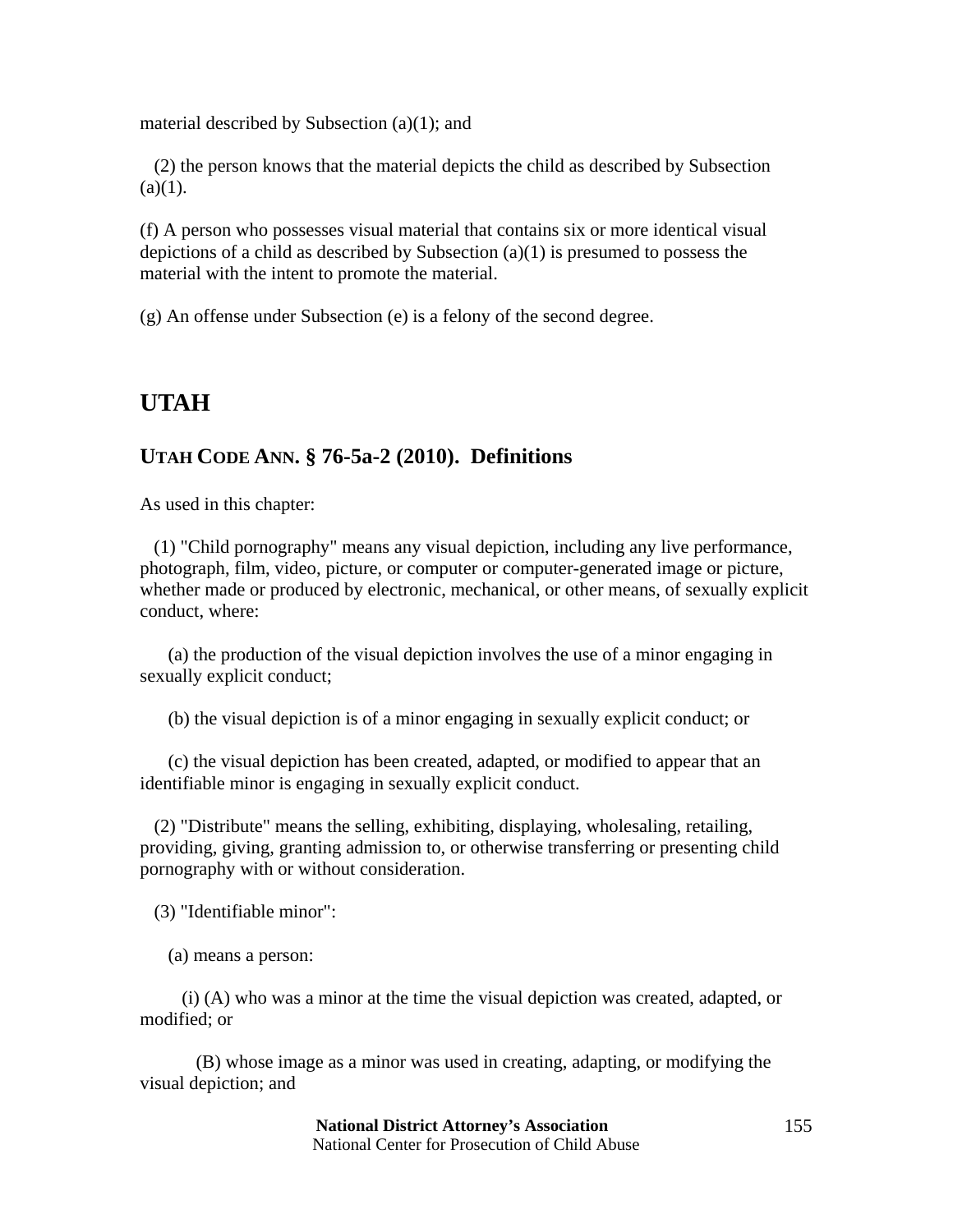material described by Subsection (a)(1); and

 (2) the person knows that the material depicts the child as described by Subsection  $(a)(1)$ .

(f) A person who possesses visual material that contains six or more identical visual depictions of a child as described by Subsection (a)(1) is presumed to possess the material with the intent to promote the material.

(g) An offense under Subsection (e) is a felony of the second degree.

# **UTAH**

## **UTAH CODE ANN. § 76-5a-2 (2010). Definitions**

As used in this chapter:

 (1) "Child pornography" means any visual depiction, including any live performance, photograph, film, video, picture, or computer or computer-generated image or picture, whether made or produced by electronic, mechanical, or other means, of sexually explicit conduct, where:

 (a) the production of the visual depiction involves the use of a minor engaging in sexually explicit conduct;

(b) the visual depiction is of a minor engaging in sexually explicit conduct; or

 (c) the visual depiction has been created, adapted, or modified to appear that an identifiable minor is engaging in sexually explicit conduct.

 (2) "Distribute" means the selling, exhibiting, displaying, wholesaling, retailing, providing, giving, granting admission to, or otherwise transferring or presenting child pornography with or without consideration.

(3) "Identifiable minor":

(a) means a person:

 (i) (A) who was a minor at the time the visual depiction was created, adapted, or modified; or

 (B) whose image as a minor was used in creating, adapting, or modifying the visual depiction; and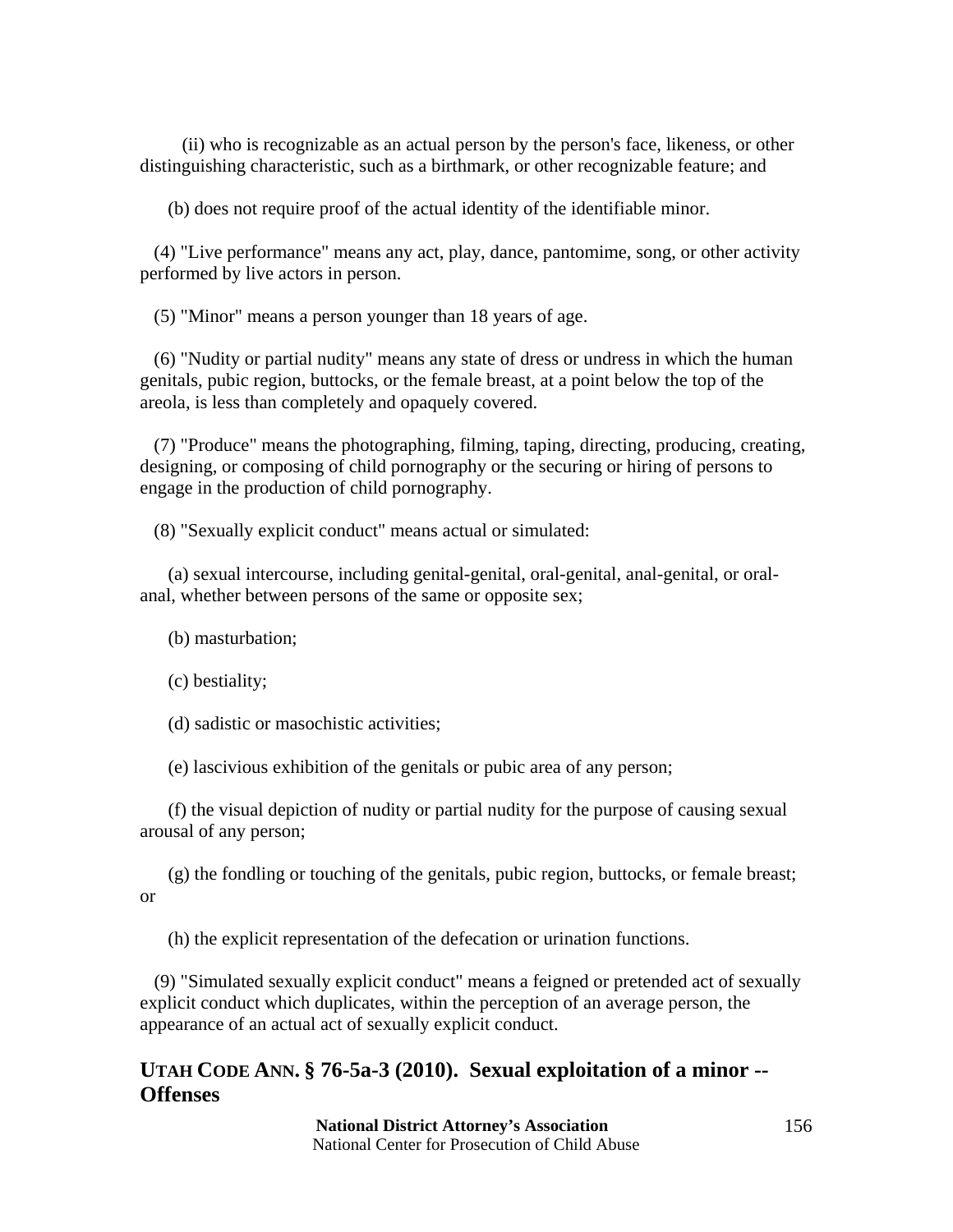(ii) who is recognizable as an actual person by the person's face, likeness, or other distinguishing characteristic, such as a birthmark, or other recognizable feature; and

(b) does not require proof of the actual identity of the identifiable minor.

 (4) "Live performance" means any act, play, dance, pantomime, song, or other activity performed by live actors in person.

(5) "Minor" means a person younger than 18 years of age.

 (6) "Nudity or partial nudity" means any state of dress or undress in which the human genitals, pubic region, buttocks, or the female breast, at a point below the top of the areola, is less than completely and opaquely covered.

 (7) "Produce" means the photographing, filming, taping, directing, producing, creating, designing, or composing of child pornography or the securing or hiring of persons to engage in the production of child pornography.

(8) "Sexually explicit conduct" means actual or simulated:

 (a) sexual intercourse, including genital-genital, oral-genital, anal-genital, or oralanal, whether between persons of the same or opposite sex;

(b) masturbation;

(c) bestiality;

(d) sadistic or masochistic activities;

(e) lascivious exhibition of the genitals or pubic area of any person;

 (f) the visual depiction of nudity or partial nudity for the purpose of causing sexual arousal of any person;

 (g) the fondling or touching of the genitals, pubic region, buttocks, or female breast; or

(h) the explicit representation of the defecation or urination functions.

 (9) "Simulated sexually explicit conduct" means a feigned or pretended act of sexually explicit conduct which duplicates, within the perception of an average person, the appearance of an actual act of sexually explicit conduct.

## **UTAH CODE ANN. § 76-5a-3 (2010). Sexual exploitation of a minor -- Offenses**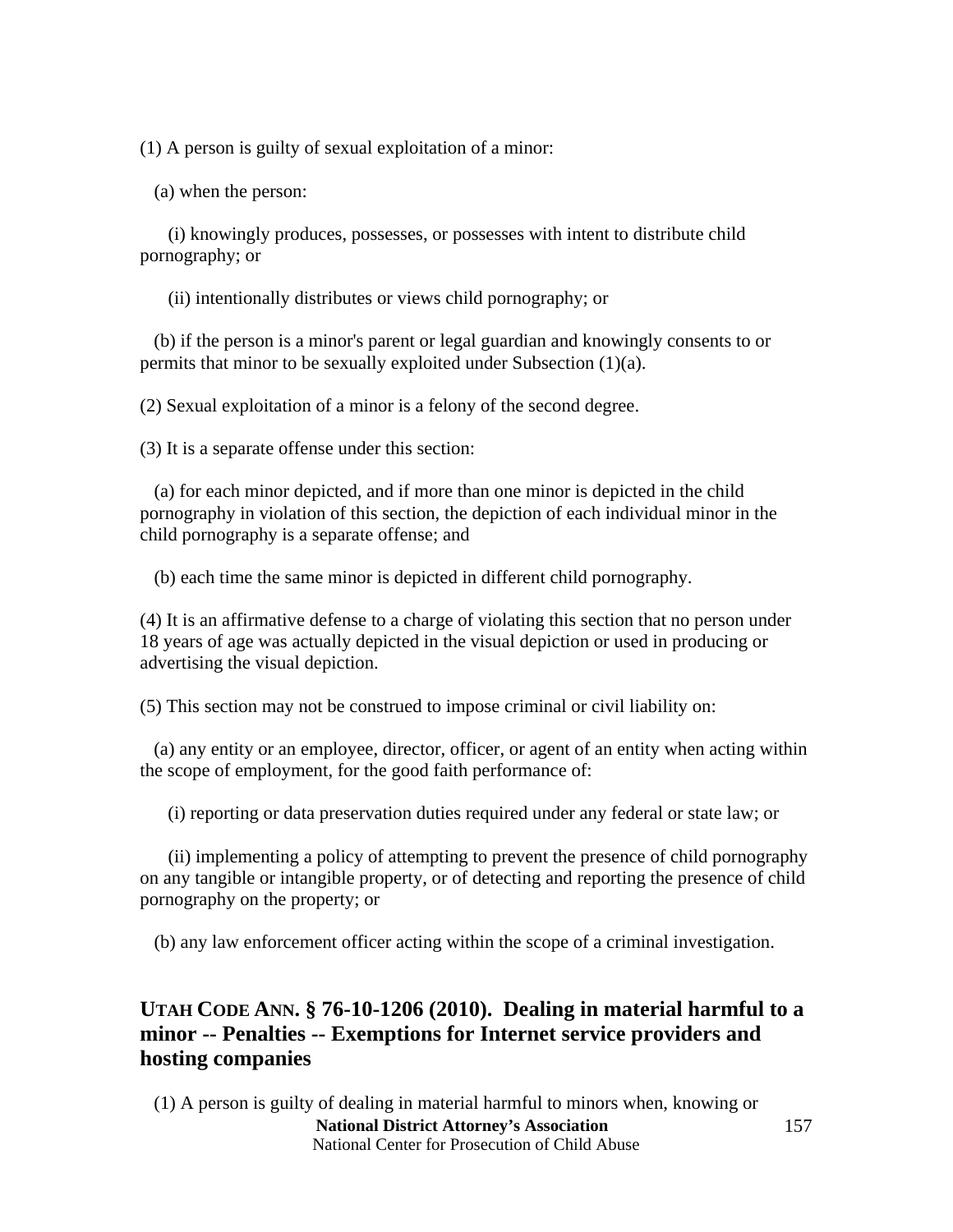(1) A person is guilty of sexual exploitation of a minor:

(a) when the person:

 (i) knowingly produces, possesses, or possesses with intent to distribute child pornography; or

(ii) intentionally distributes or views child pornography; or

 (b) if the person is a minor's parent or legal guardian and knowingly consents to or permits that minor to be sexually exploited under Subsection (1)(a).

(2) Sexual exploitation of a minor is a felony of the second degree.

(3) It is a separate offense under this section:

 (a) for each minor depicted, and if more than one minor is depicted in the child pornography in violation of this section, the depiction of each individual minor in the child pornography is a separate offense; and

(b) each time the same minor is depicted in different child pornography.

(4) It is an affirmative defense to a charge of violating this section that no person under 18 years of age was actually depicted in the visual depiction or used in producing or advertising the visual depiction.

(5) This section may not be construed to impose criminal or civil liability on:

 (a) any entity or an employee, director, officer, or agent of an entity when acting within the scope of employment, for the good faith performance of:

(i) reporting or data preservation duties required under any federal or state law; or

 (ii) implementing a policy of attempting to prevent the presence of child pornography on any tangible or intangible property, or of detecting and reporting the presence of child pornography on the property; or

(b) any law enforcement officer acting within the scope of a criminal investigation.

## **UTAH CODE ANN. § 76-10-1206 (2010). Dealing in material harmful to a minor -- Penalties -- Exemptions for Internet service providers and hosting companies**

**National District Attorney's Association**  National Center for Prosecution of Child Abuse (1) A person is guilty of dealing in material harmful to minors when, knowing or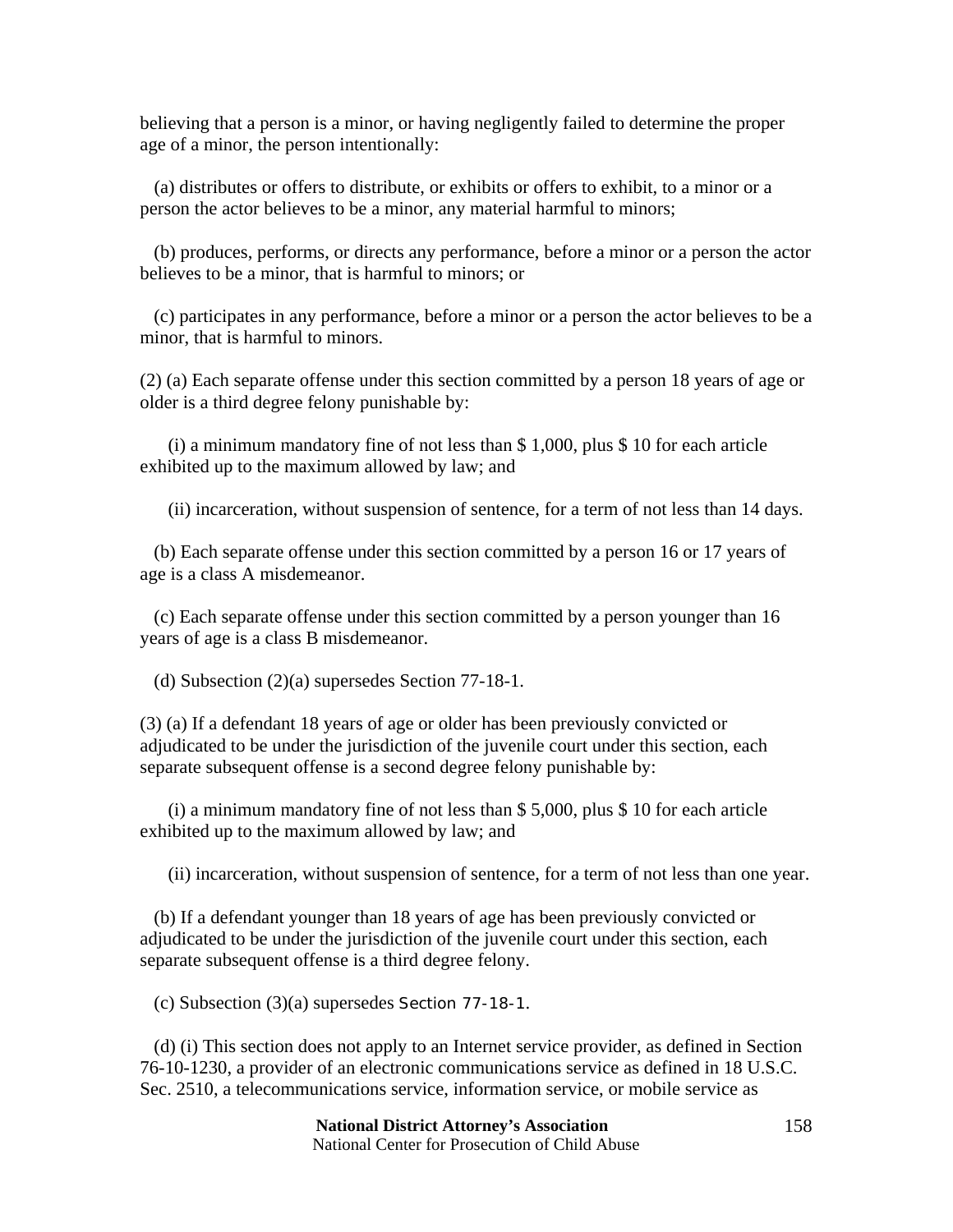believing that a person is a minor, or having negligently failed to determine the proper age of a minor, the person intentionally:

 (a) distributes or offers to distribute, or exhibits or offers to exhibit, to a minor or a person the actor believes to be a minor, any material harmful to minors;

 (b) produces, performs, or directs any performance, before a minor or a person the actor believes to be a minor, that is harmful to minors; or

 (c) participates in any performance, before a minor or a person the actor believes to be a minor, that is harmful to minors.

(2) (a) Each separate offense under this section committed by a person 18 years of age or older is a third degree felony punishable by:

 (i) a minimum mandatory fine of not less than \$ 1,000, plus \$ 10 for each article exhibited up to the maximum allowed by law; and

(ii) incarceration, without suspension of sentence, for a term of not less than 14 days.

 (b) Each separate offense under this section committed by a person 16 or 17 years of age is a class A misdemeanor.

 (c) Each separate offense under this section committed by a person younger than 16 years of age is a class B misdemeanor.

(d) Subsection (2)(a) supersedes Section 77-18-1.

(3) (a) If a defendant 18 years of age or older has been previously convicted or adjudicated to be under the jurisdiction of the juvenile court under this section, each separate subsequent offense is a second degree felony punishable by:

 (i) a minimum mandatory fine of not less than \$ 5,000, plus \$ 10 for each article exhibited up to the maximum allowed by law; and

(ii) incarceration, without suspension of sentence, for a term of not less than one year.

 (b) If a defendant younger than 18 years of age has been previously convicted or adjudicated to be under the jurisdiction of the juvenile court under this section, each separate subsequent offense is a third degree felony.

(c) Subsection (3)(a) supersedes Section 77-18-1.

 (d) (i) This section does not apply to an Internet service provider, as defined in Section 76-10-1230, a provider of an electronic communications service as defined in 18 U.S.C. Sec. 2510, a telecommunications service, information service, or mobile service as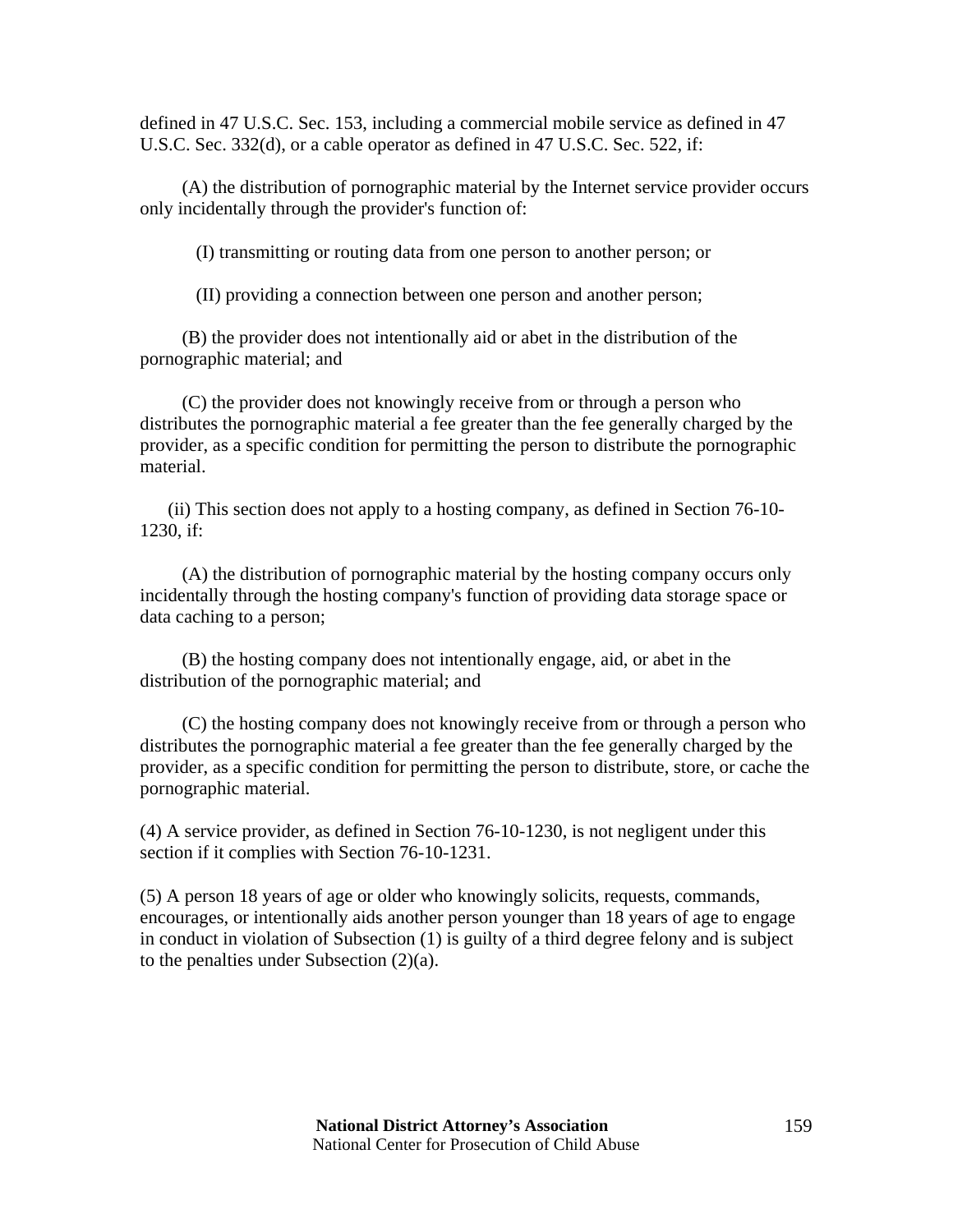defined in 47 U.S.C. Sec. 153, including a commercial mobile service as defined in 47 U.S.C. Sec. 332(d), or a cable operator as defined in 47 U.S.C. Sec. 522, if:

 (A) the distribution of pornographic material by the Internet service provider occurs only incidentally through the provider's function of:

(I) transmitting or routing data from one person to another person; or

(II) providing a connection between one person and another person;

 (B) the provider does not intentionally aid or abet in the distribution of the pornographic material; and

 (C) the provider does not knowingly receive from or through a person who distributes the pornographic material a fee greater than the fee generally charged by the provider, as a specific condition for permitting the person to distribute the pornographic material.

 (ii) This section does not apply to a hosting company, as defined in Section 76-10- 1230, if:

 (A) the distribution of pornographic material by the hosting company occurs only incidentally through the hosting company's function of providing data storage space or data caching to a person;

 (B) the hosting company does not intentionally engage, aid, or abet in the distribution of the pornographic material; and

 (C) the hosting company does not knowingly receive from or through a person who distributes the pornographic material a fee greater than the fee generally charged by the provider, as a specific condition for permitting the person to distribute, store, or cache the pornographic material.

(4) A service provider, as defined in Section 76-10-1230, is not negligent under this section if it complies with Section 76-10-1231.

(5) A person 18 years of age or older who knowingly solicits, requests, commands, encourages, or intentionally aids another person younger than 18 years of age to engage in conduct in violation of Subsection (1) is guilty of a third degree felony and is subject to the penalties under Subsection (2)(a).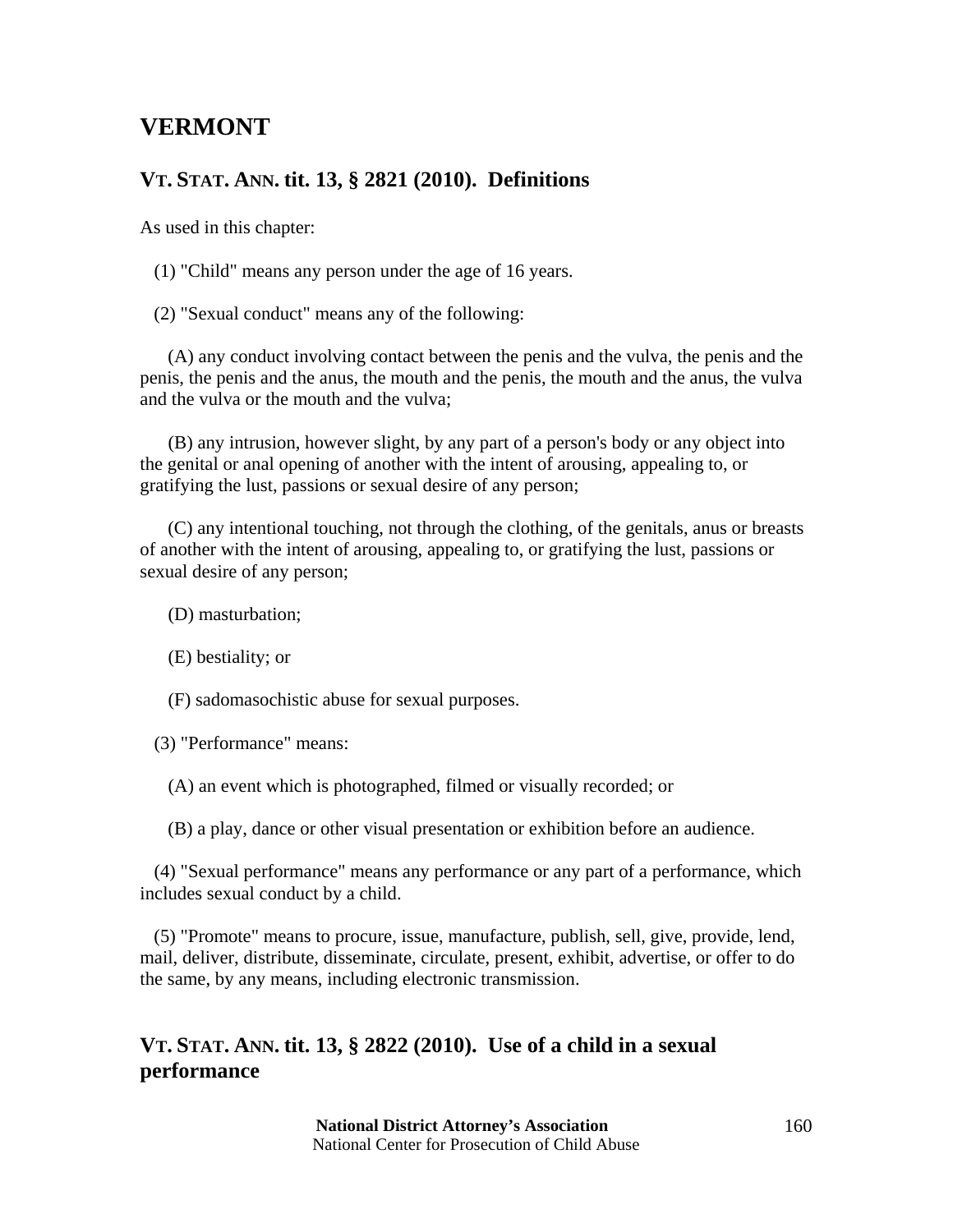## **VERMONT**

#### **VT. STAT. ANN. tit. 13, § 2821 (2010). Definitions**

As used in this chapter:

(1) "Child" means any person under the age of 16 years.

(2) "Sexual conduct" means any of the following:

 (A) any conduct involving contact between the penis and the vulva, the penis and the penis, the penis and the anus, the mouth and the penis, the mouth and the anus, the vulva and the vulva or the mouth and the vulva;

 (B) any intrusion, however slight, by any part of a person's body or any object into the genital or anal opening of another with the intent of arousing, appealing to, or gratifying the lust, passions or sexual desire of any person;

 (C) any intentional touching, not through the clothing, of the genitals, anus or breasts of another with the intent of arousing, appealing to, or gratifying the lust, passions or sexual desire of any person;

(D) masturbation;

(E) bestiality; or

(F) sadomasochistic abuse for sexual purposes.

(3) "Performance" means:

(A) an event which is photographed, filmed or visually recorded; or

(B) a play, dance or other visual presentation or exhibition before an audience.

 (4) "Sexual performance" means any performance or any part of a performance, which includes sexual conduct by a child.

 (5) "Promote" means to procure, issue, manufacture, publish, sell, give, provide, lend, mail, deliver, distribute, disseminate, circulate, present, exhibit, advertise, or offer to do the same, by any means, including electronic transmission.

## **VT. STAT. ANN. tit. 13, § 2822 (2010). Use of a child in a sexual performance**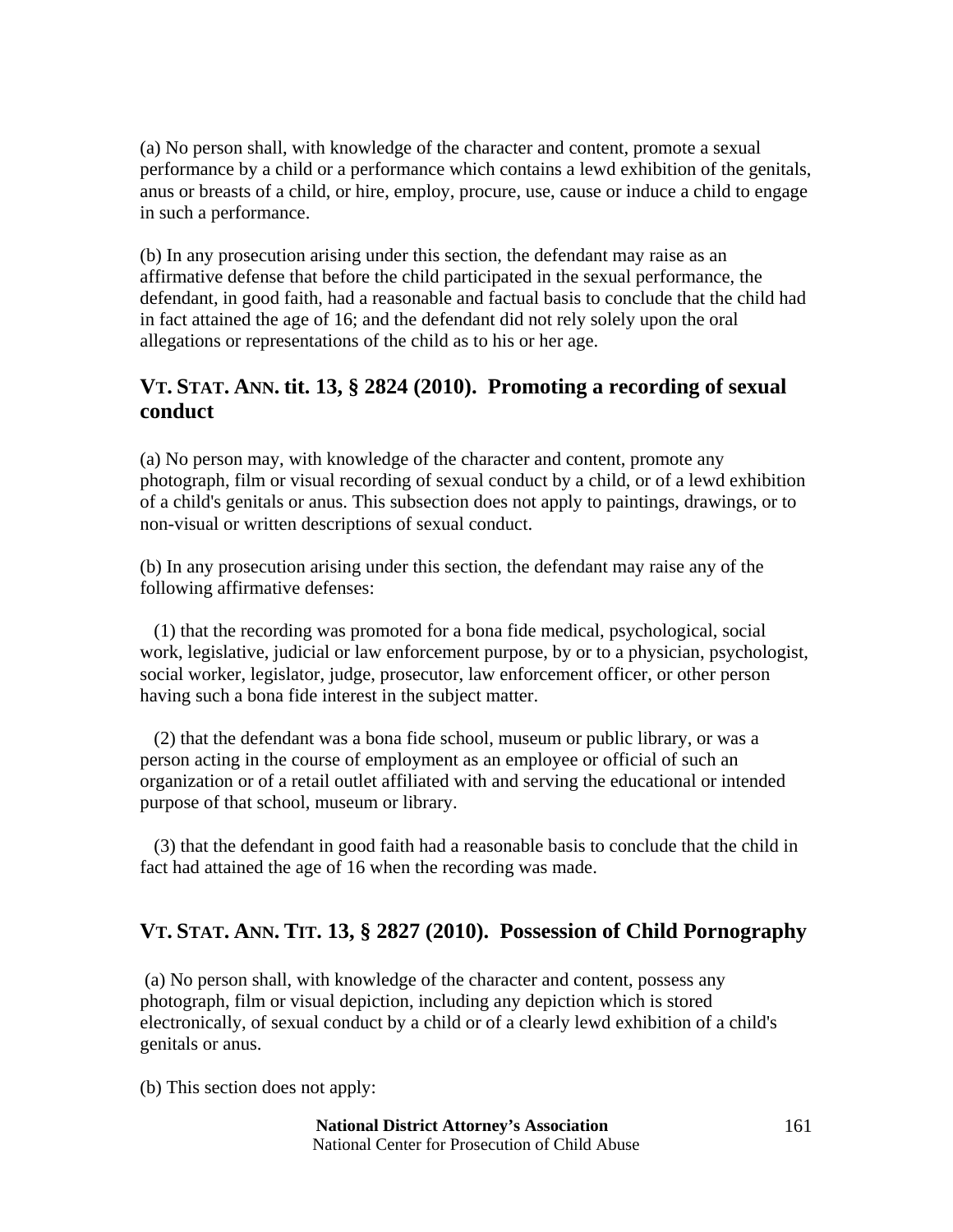(a) No person shall, with knowledge of the character and content, promote a sexual performance by a child or a performance which contains a lewd exhibition of the genitals, anus or breasts of a child, or hire, employ, procure, use, cause or induce a child to engage in such a performance.

(b) In any prosecution arising under this section, the defendant may raise as an affirmative defense that before the child participated in the sexual performance, the defendant, in good faith, had a reasonable and factual basis to conclude that the child had in fact attained the age of 16; and the defendant did not rely solely upon the oral allegations or representations of the child as to his or her age.

## **VT. STAT. ANN. tit. 13, § 2824 (2010). Promoting a recording of sexual conduct**

(a) No person may, with knowledge of the character and content, promote any photograph, film or visual recording of sexual conduct by a child, or of a lewd exhibition of a child's genitals or anus. This subsection does not apply to paintings, drawings, or to non-visual or written descriptions of sexual conduct.

(b) In any prosecution arising under this section, the defendant may raise any of the following affirmative defenses:

 (1) that the recording was promoted for a bona fide medical, psychological, social work, legislative, judicial or law enforcement purpose, by or to a physician, psychologist, social worker, legislator, judge, prosecutor, law enforcement officer, or other person having such a bona fide interest in the subject matter.

 (2) that the defendant was a bona fide school, museum or public library, or was a person acting in the course of employment as an employee or official of such an organization or of a retail outlet affiliated with and serving the educational or intended purpose of that school, museum or library.

 (3) that the defendant in good faith had a reasonable basis to conclude that the child in fact had attained the age of 16 when the recording was made.

## **VT. STAT. ANN. TIT. 13, § 2827 (2010). Possession of Child Pornography**

 (a) No person shall, with knowledge of the character and content, possess any photograph, film or visual depiction, including any depiction which is stored electronically, of sexual conduct by a child or of a clearly lewd exhibition of a child's genitals or anus.

(b) This section does not apply: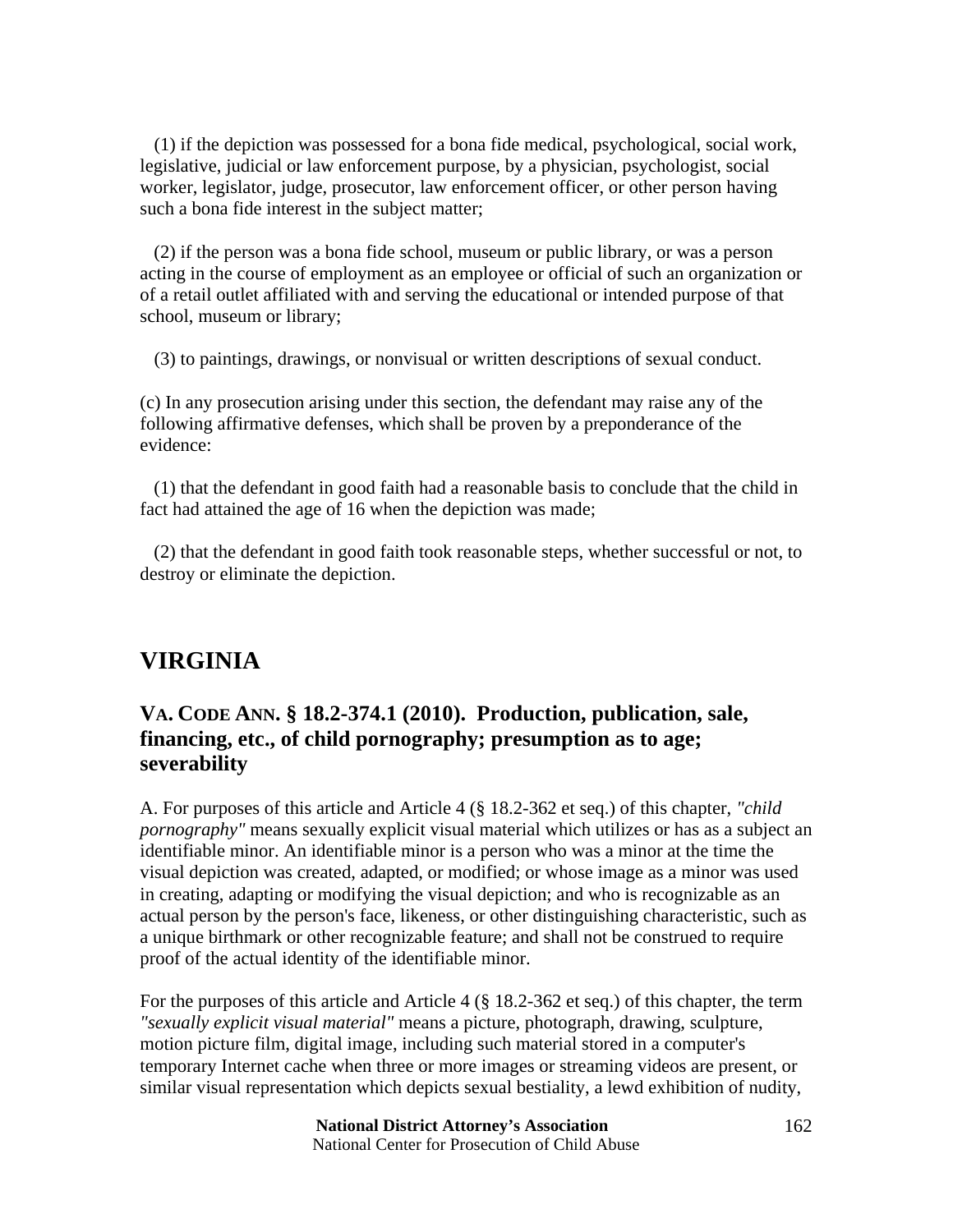(1) if the depiction was possessed for a bona fide medical, psychological, social work, legislative, judicial or law enforcement purpose, by a physician, psychologist, social worker, legislator, judge, prosecutor, law enforcement officer, or other person having such a bona fide interest in the subject matter;

 (2) if the person was a bona fide school, museum or public library, or was a person acting in the course of employment as an employee or official of such an organization or of a retail outlet affiliated with and serving the educational or intended purpose of that school, museum or library;

(3) to paintings, drawings, or nonvisual or written descriptions of sexual conduct.

(c) In any prosecution arising under this section, the defendant may raise any of the following affirmative defenses, which shall be proven by a preponderance of the evidence:

 (1) that the defendant in good faith had a reasonable basis to conclude that the child in fact had attained the age of 16 when the depiction was made;

 (2) that the defendant in good faith took reasonable steps, whether successful or not, to destroy or eliminate the depiction.

## **VIRGINIA**

## **VA. CODE ANN. § 18.2-374.1 (2010). Production, publication, sale, financing, etc., of child pornography; presumption as to age; severability**

A. For purposes of this article and Article 4 (§ 18.2-362 et seq.) of this chapter, *"child pornography"* means sexually explicit visual material which utilizes or has as a subject an identifiable minor. An identifiable minor is a person who was a minor at the time the visual depiction was created, adapted, or modified; or whose image as a minor was used in creating, adapting or modifying the visual depiction; and who is recognizable as an actual person by the person's face, likeness, or other distinguishing characteristic, such as a unique birthmark or other recognizable feature; and shall not be construed to require proof of the actual identity of the identifiable minor.

For the purposes of this article and Article 4 (§ 18.2-362 et seq.) of this chapter, the term *"sexually explicit visual material"* means a picture, photograph, drawing, sculpture, motion picture film, digital image, including such material stored in a computer's temporary Internet cache when three or more images or streaming videos are present, or similar visual representation which depicts sexual bestiality, a lewd exhibition of nudity,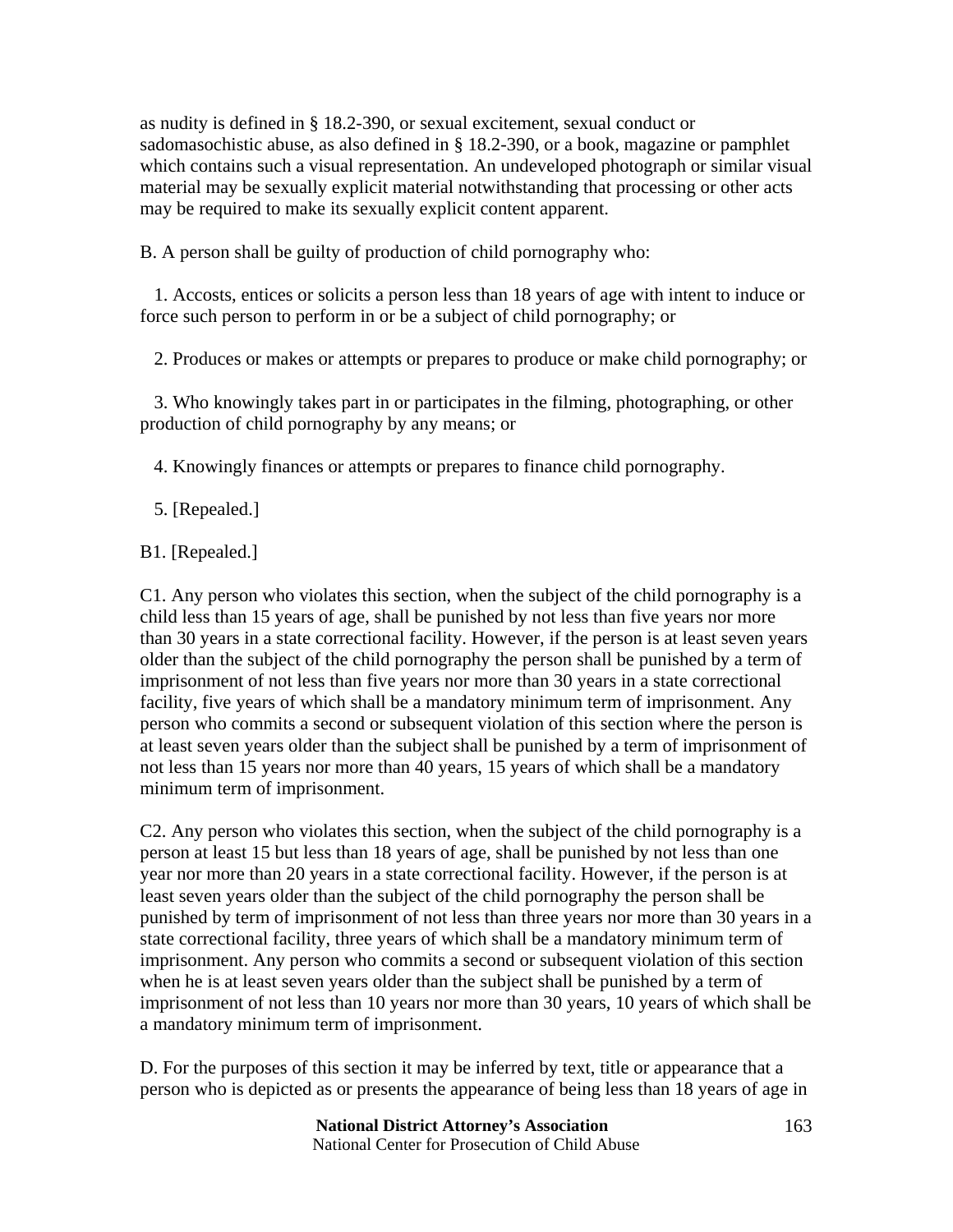as nudity is defined in § 18.2-390, or sexual excitement, sexual conduct or sadomasochistic abuse, as also defined in § 18.2-390, or a book, magazine or pamphlet which contains such a visual representation. An undeveloped photograph or similar visual material may be sexually explicit material notwithstanding that processing or other acts may be required to make its sexually explicit content apparent.

B. A person shall be guilty of production of child pornography who:

 1. Accosts, entices or solicits a person less than 18 years of age with intent to induce or force such person to perform in or be a subject of child pornography; or

2. Produces or makes or attempts or prepares to produce or make child pornography; or

 3. Who knowingly takes part in or participates in the filming, photographing, or other production of child pornography by any means; or

4. Knowingly finances or attempts or prepares to finance child pornography.

#### 5. [Repealed.]

#### B1. [Repealed.]

C1. Any person who violates this section, when the subject of the child pornography is a child less than 15 years of age, shall be punished by not less than five years nor more than 30 years in a state correctional facility. However, if the person is at least seven years older than the subject of the child pornography the person shall be punished by a term of imprisonment of not less than five years nor more than 30 years in a state correctional facility, five years of which shall be a mandatory minimum term of imprisonment. Any person who commits a second or subsequent violation of this section where the person is at least seven years older than the subject shall be punished by a term of imprisonment of not less than 15 years nor more than 40 years, 15 years of which shall be a mandatory minimum term of imprisonment.

C2. Any person who violates this section, when the subject of the child pornography is a person at least 15 but less than 18 years of age, shall be punished by not less than one year nor more than 20 years in a state correctional facility. However, if the person is at least seven years older than the subject of the child pornography the person shall be punished by term of imprisonment of not less than three years nor more than 30 years in a state correctional facility, three years of which shall be a mandatory minimum term of imprisonment. Any person who commits a second or subsequent violation of this section when he is at least seven years older than the subject shall be punished by a term of imprisonment of not less than 10 years nor more than 30 years, 10 years of which shall be a mandatory minimum term of imprisonment.

D. For the purposes of this section it may be inferred by text, title or appearance that a person who is depicted as or presents the appearance of being less than 18 years of age in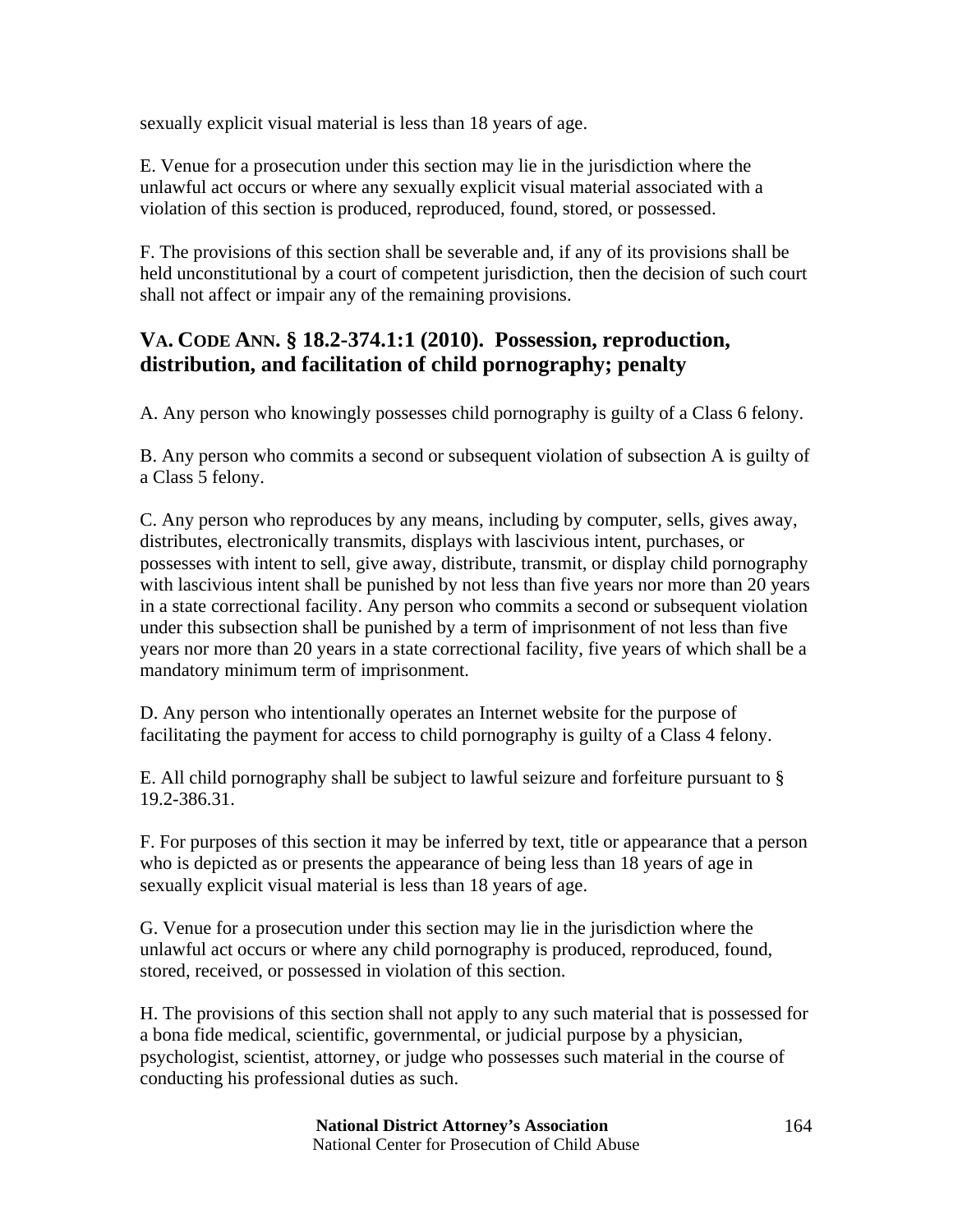sexually explicit visual material is less than 18 years of age.

E. Venue for a prosecution under this section may lie in the jurisdiction where the unlawful act occurs or where any sexually explicit visual material associated with a violation of this section is produced, reproduced, found, stored, or possessed.

F. The provisions of this section shall be severable and, if any of its provisions shall be held unconstitutional by a court of competent jurisdiction, then the decision of such court shall not affect or impair any of the remaining provisions.

## **VA. CODE ANN. § 18.2-374.1:1 (2010). Possession, reproduction, distribution, and facilitation of child pornography; penalty**

A. Any person who knowingly possesses child pornography is guilty of a Class 6 felony.

B. Any person who commits a second or subsequent violation of subsection A is guilty of a Class 5 felony.

C. Any person who reproduces by any means, including by computer, sells, gives away, distributes, electronically transmits, displays with lascivious intent, purchases, or possesses with intent to sell, give away, distribute, transmit, or display child pornography with lascivious intent shall be punished by not less than five years nor more than 20 years in a state correctional facility. Any person who commits a second or subsequent violation under this subsection shall be punished by a term of imprisonment of not less than five years nor more than 20 years in a state correctional facility, five years of which shall be a mandatory minimum term of imprisonment.

D. Any person who intentionally operates an Internet website for the purpose of facilitating the payment for access to child pornography is guilty of a Class 4 felony.

E. All child pornography shall be subject to lawful seizure and forfeiture pursuant to § 19.2-386.31.

F. For purposes of this section it may be inferred by text, title or appearance that a person who is depicted as or presents the appearance of being less than 18 years of age in sexually explicit visual material is less than 18 years of age.

G. Venue for a prosecution under this section may lie in the jurisdiction where the unlawful act occurs or where any child pornography is produced, reproduced, found, stored, received, or possessed in violation of this section.

H. The provisions of this section shall not apply to any such material that is possessed for a bona fide medical, scientific, governmental, or judicial purpose by a physician, psychologist, scientist, attorney, or judge who possesses such material in the course of conducting his professional duties as such.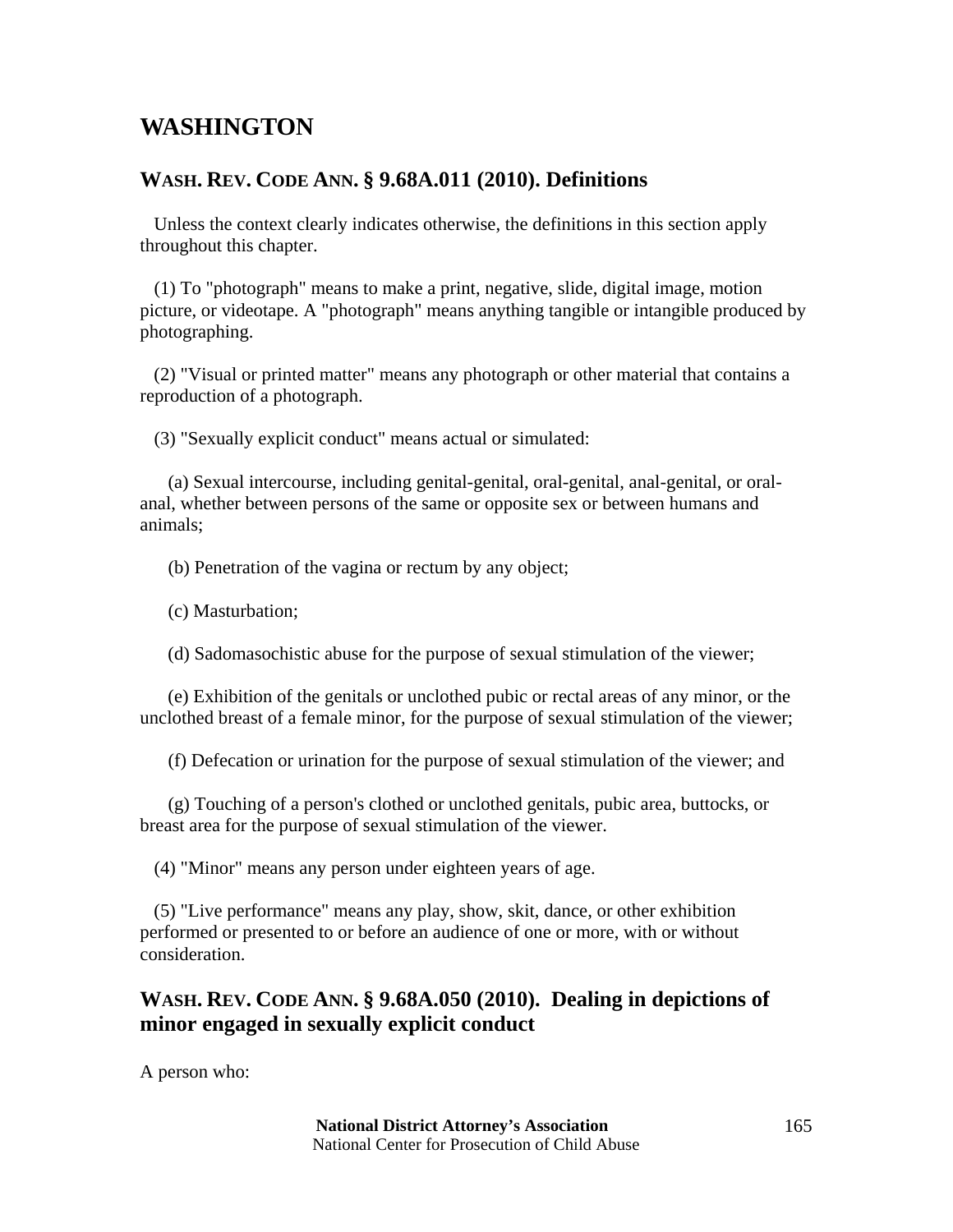## **WASHINGTON**

#### **WASH. REV. CODE ANN. § 9.68A.011 (2010). Definitions**

 Unless the context clearly indicates otherwise, the definitions in this section apply throughout this chapter.

 (1) To "photograph" means to make a print, negative, slide, digital image, motion picture, or videotape. A "photograph" means anything tangible or intangible produced by photographing.

 (2) "Visual or printed matter" means any photograph or other material that contains a reproduction of a photograph.

(3) "Sexually explicit conduct" means actual or simulated:

 (a) Sexual intercourse, including genital-genital, oral-genital, anal-genital, or oralanal, whether between persons of the same or opposite sex or between humans and animals;

(b) Penetration of the vagina or rectum by any object;

(c) Masturbation;

(d) Sadomasochistic abuse for the purpose of sexual stimulation of the viewer;

 (e) Exhibition of the genitals or unclothed pubic or rectal areas of any minor, or the unclothed breast of a female minor, for the purpose of sexual stimulation of the viewer;

(f) Defecation or urination for the purpose of sexual stimulation of the viewer; and

 (g) Touching of a person's clothed or unclothed genitals, pubic area, buttocks, or breast area for the purpose of sexual stimulation of the viewer.

(4) "Minor" means any person under eighteen years of age.

 (5) "Live performance" means any play, show, skit, dance, or other exhibition performed or presented to or before an audience of one or more, with or without consideration.

## **WASH. REV. CODE ANN. § 9.68A.050 (2010). Dealing in depictions of minor engaged in sexually explicit conduct**

A person who: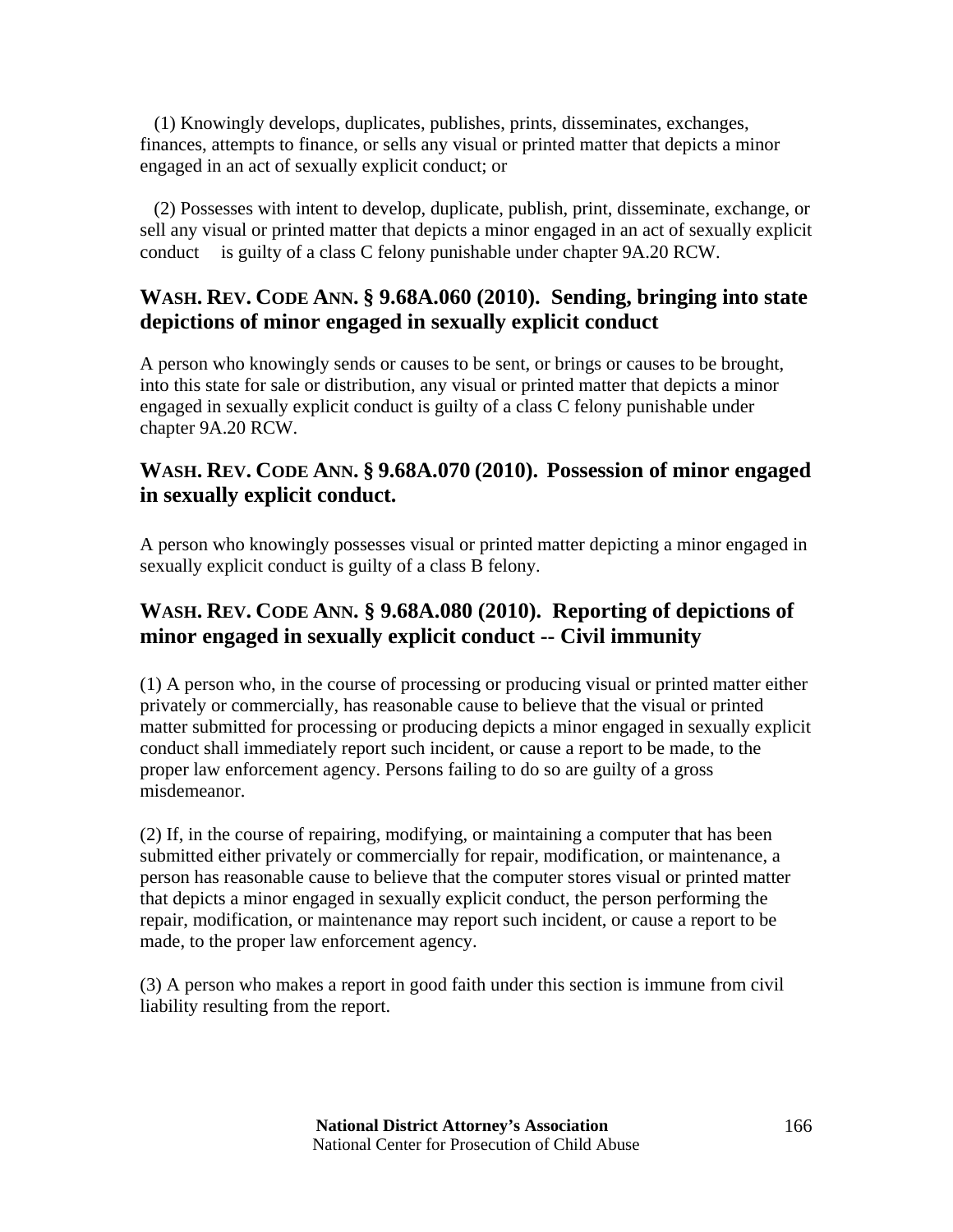(1) Knowingly develops, duplicates, publishes, prints, disseminates, exchanges, finances, attempts to finance, or sells any visual or printed matter that depicts a minor engaged in an act of sexually explicit conduct; or

 (2) Possesses with intent to develop, duplicate, publish, print, disseminate, exchange, or sell any visual or printed matter that depicts a minor engaged in an act of sexually explicit conduct is guilty of a class C felony punishable under chapter 9A.20 RCW.

## **WASH. REV. CODE ANN. § 9.68A.060 (2010). Sending, bringing into state depictions of minor engaged in sexually explicit conduct**

A person who knowingly sends or causes to be sent, or brings or causes to be brought, into this state for sale or distribution, any visual or printed matter that depicts a minor engaged in sexually explicit conduct is guilty of a class C felony punishable under chapter 9A.20 RCW.

## **WASH. REV. CODE ANN. § 9.68A.070 (2010). Possession of minor engaged in sexually explicit conduct.**

A person who knowingly possesses visual or printed matter depicting a minor engaged in sexually explicit conduct is guilty of a class B felony.

## **WASH. REV. CODE ANN. § 9.68A.080 (2010). Reporting of depictions of minor engaged in sexually explicit conduct -- Civil immunity**

(1) A person who, in the course of processing or producing visual or printed matter either privately or commercially, has reasonable cause to believe that the visual or printed matter submitted for processing or producing depicts a minor engaged in sexually explicit conduct shall immediately report such incident, or cause a report to be made, to the proper law enforcement agency. Persons failing to do so are guilty of a gross misdemeanor.

(2) If, in the course of repairing, modifying, or maintaining a computer that has been submitted either privately or commercially for repair, modification, or maintenance, a person has reasonable cause to believe that the computer stores visual or printed matter that depicts a minor engaged in sexually explicit conduct, the person performing the repair, modification, or maintenance may report such incident, or cause a report to be made, to the proper law enforcement agency.

(3) A person who makes a report in good faith under this section is immune from civil liability resulting from the report.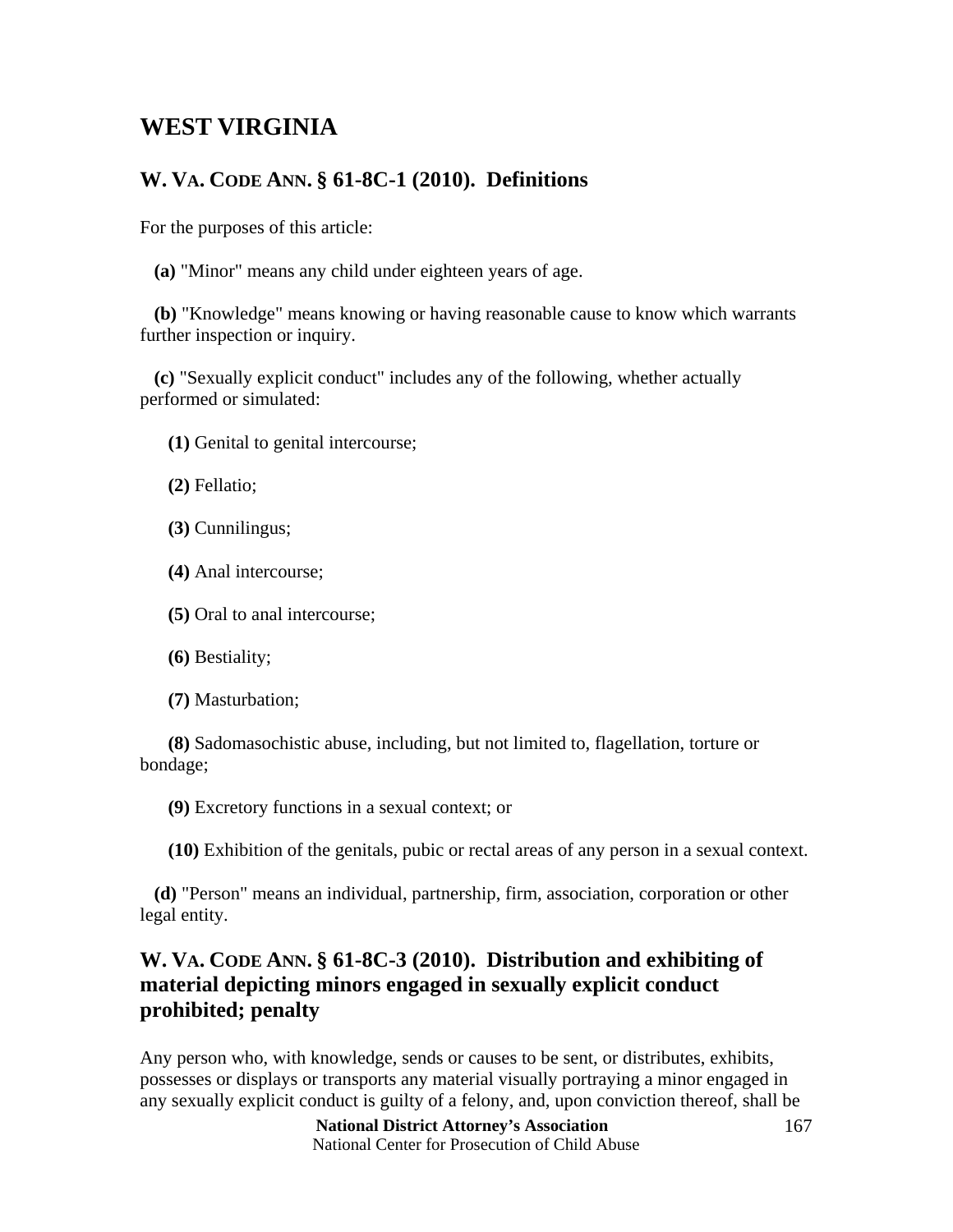## **WEST VIRGINIA**

### **W. VA. CODE ANN. § 61-8C-1 (2010). Definitions**

For the purposes of this article:

**(a)** "Minor" means any child under eighteen years of age.

 **(b)** "Knowledge" means knowing or having reasonable cause to know which warrants further inspection or inquiry.

 **(c)** "Sexually explicit conduct" includes any of the following, whether actually performed or simulated:

**(1)** Genital to genital intercourse;

**(2)** Fellatio;

**(3)** Cunnilingus;

**(4)** Anal intercourse;

**(5)** Oral to anal intercourse;

**(6)** Bestiality;

**(7)** Masturbation;

 **(8)** Sadomasochistic abuse, including, but not limited to, flagellation, torture or bondage;

**(9)** Excretory functions in a sexual context; or

**(10)** Exhibition of the genitals, pubic or rectal areas of any person in a sexual context.

 **(d)** "Person" means an individual, partnership, firm, association, corporation or other legal entity.

## **W. VA. CODE ANN. § 61-8C-3 (2010). Distribution and exhibiting of material depicting minors engaged in sexually explicit conduct prohibited; penalty**

Any person who, with knowledge, sends or causes to be sent, or distributes, exhibits, possesses or displays or transports any material visually portraying a minor engaged in any sexually explicit conduct is guilty of a felony, and, upon conviction thereof, shall be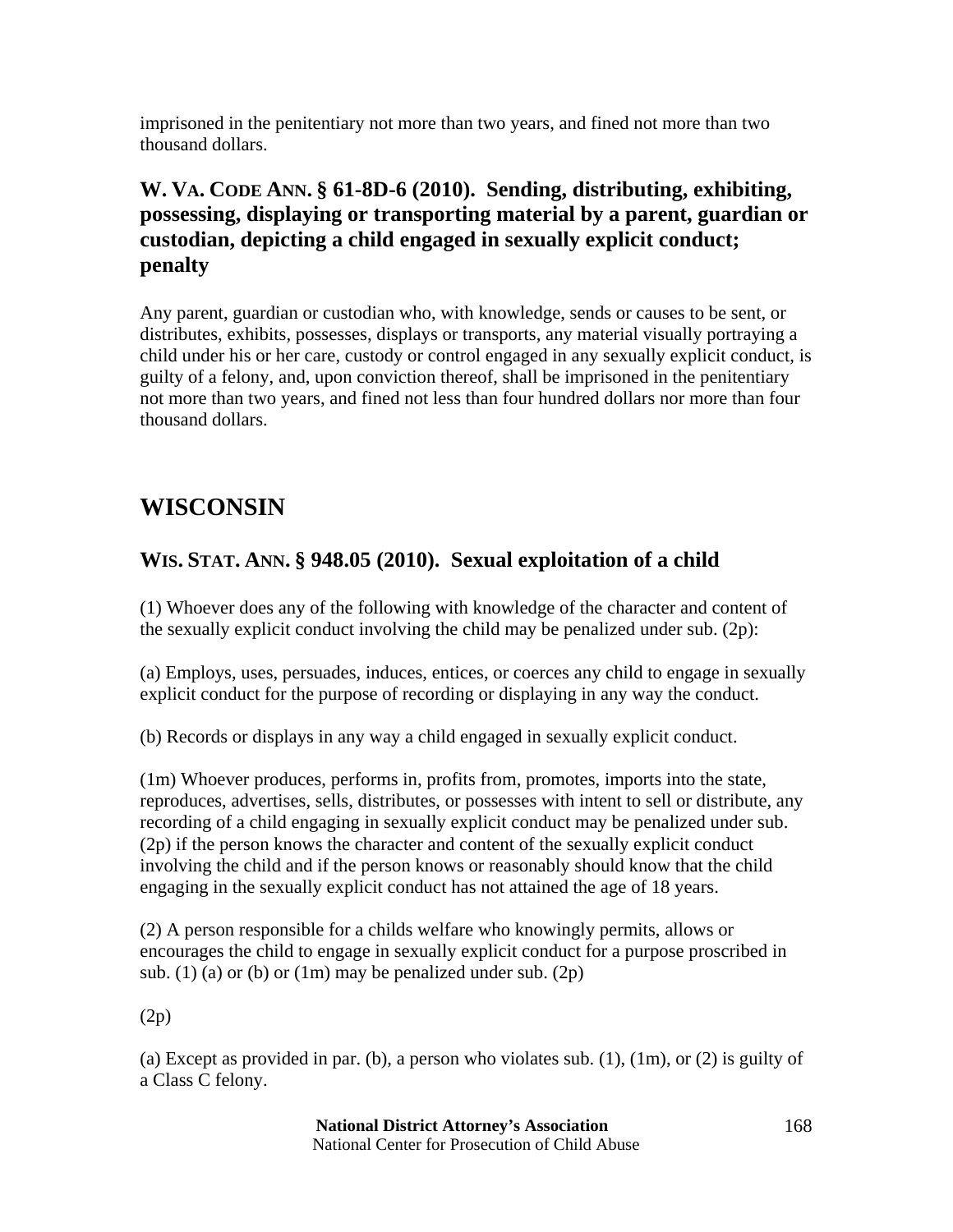imprisoned in the penitentiary not more than two years, and fined not more than two thousand dollars.

## **W. VA. CODE ANN. § 61-8D-6 (2010). Sending, distributing, exhibiting, possessing, displaying or transporting material by a parent, guardian or custodian, depicting a child engaged in sexually explicit conduct; penalty**

Any parent, guardian or custodian who, with knowledge, sends or causes to be sent, or distributes, exhibits, possesses, displays or transports, any material visually portraying a child under his or her care, custody or control engaged in any sexually explicit conduct, is guilty of a felony, and, upon conviction thereof, shall be imprisoned in the penitentiary not more than two years, and fined not less than four hundred dollars nor more than four thousand dollars.

## **WISCONSIN**

## **WIS. STAT. ANN. § 948.05 (2010). Sexual exploitation of a child**

(1) Whoever does any of the following with knowledge of the character and content of the sexually explicit conduct involving the child may be penalized under sub. (2p):

(a) Employs, uses, persuades, induces, entices, or coerces any child to engage in sexually explicit conduct for the purpose of recording or displaying in any way the conduct.

(b) Records or displays in any way a child engaged in sexually explicit conduct.

(1m) Whoever produces, performs in, profits from, promotes, imports into the state, reproduces, advertises, sells, distributes, or possesses with intent to sell or distribute, any recording of a child engaging in sexually explicit conduct may be penalized under sub. (2p) if the person knows the character and content of the sexually explicit conduct involving the child and if the person knows or reasonably should know that the child engaging in the sexually explicit conduct has not attained the age of 18 years.

(2) A person responsible for a childs welfare who knowingly permits, allows or encourages the child to engage in sexually explicit conduct for a purpose proscribed in sub. (1) (a) or (b) or (1m) may be penalized under sub. (2p)

(2p)

(a) Except as provided in par. (b), a person who violates sub.  $(1)$ ,  $(1m)$ , or  $(2)$  is guilty of a Class C felony.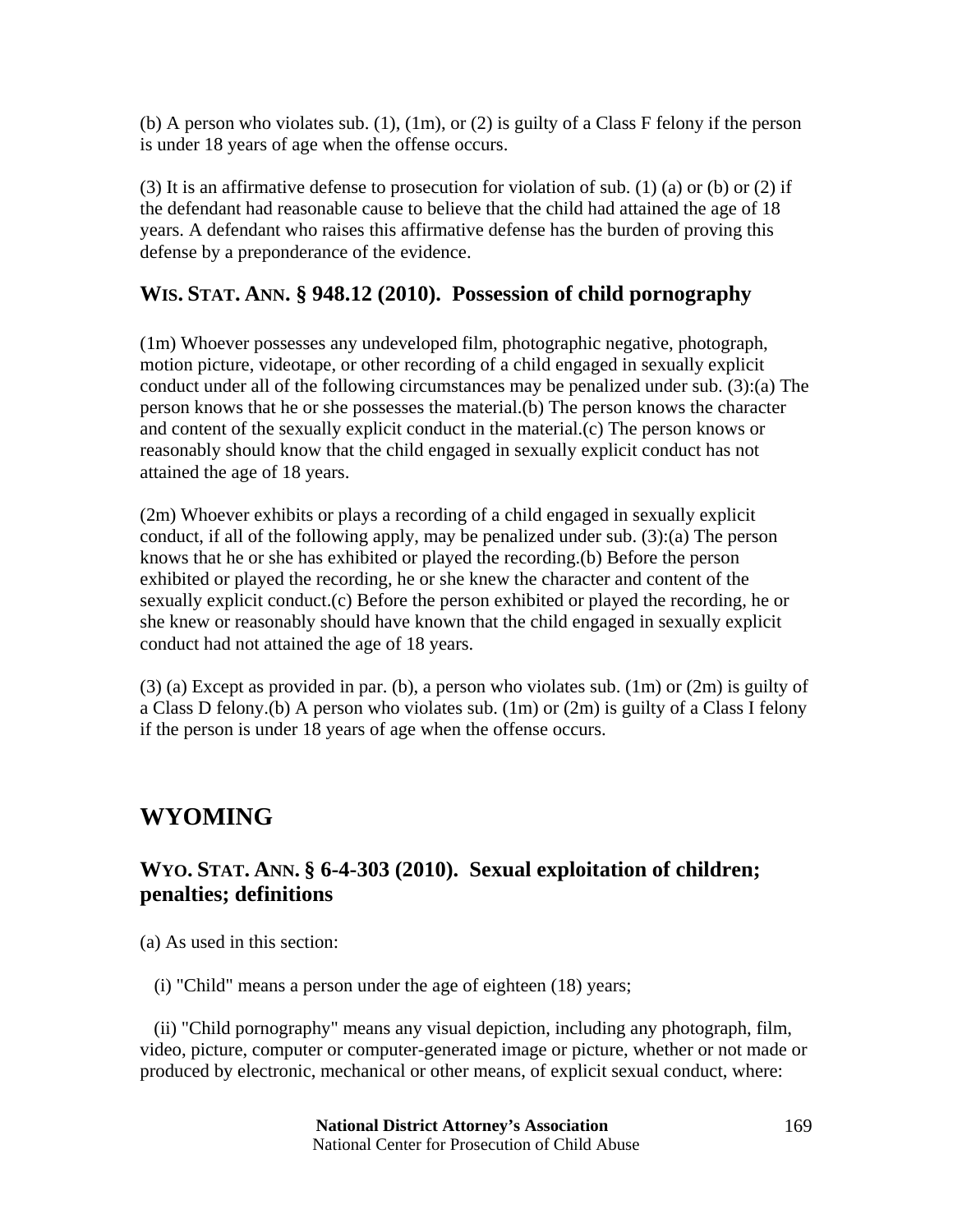(b) A person who violates sub.  $(1)$ ,  $(1m)$ , or  $(2)$  is guilty of a Class F felony if the person is under 18 years of age when the offense occurs.

(3) It is an affirmative defense to prosecution for violation of sub. (1) (a) or (b) or (2) if the defendant had reasonable cause to believe that the child had attained the age of 18 years. A defendant who raises this affirmative defense has the burden of proving this defense by a preponderance of the evidence.

## **WIS. STAT. ANN. § 948.12 (2010). Possession of child pornography**

(1m) Whoever possesses any undeveloped film, photographic negative, photograph, motion picture, videotape, or other recording of a child engaged in sexually explicit conduct under all of the following circumstances may be penalized under sub. (3):(a) The person knows that he or she possesses the material.(b) The person knows the character and content of the sexually explicit conduct in the material.(c) The person knows or reasonably should know that the child engaged in sexually explicit conduct has not attained the age of 18 years.

(2m) Whoever exhibits or plays a recording of a child engaged in sexually explicit conduct, if all of the following apply, may be penalized under sub. (3):(a) The person knows that he or she has exhibited or played the recording.(b) Before the person exhibited or played the recording, he or she knew the character and content of the sexually explicit conduct.(c) Before the person exhibited or played the recording, he or she knew or reasonably should have known that the child engaged in sexually explicit conduct had not attained the age of 18 years.

 $(3)$  (a) Except as provided in par. (b), a person who violates sub. (1m) or  $(2m)$  is guilty of a Class D felony.(b) A person who violates sub. (1m) or (2m) is guilty of a Class I felony if the person is under 18 years of age when the offense occurs.

## **WYOMING**

## **WYO. STAT. ANN. § 6-4-303 (2010). Sexual exploitation of children; penalties; definitions**

(a) As used in this section:

(i) "Child" means a person under the age of eighteen (18) years;

 (ii) "Child pornography" means any visual depiction, including any photograph, film, video, picture, computer or computer-generated image or picture, whether or not made or produced by electronic, mechanical or other means, of explicit sexual conduct, where: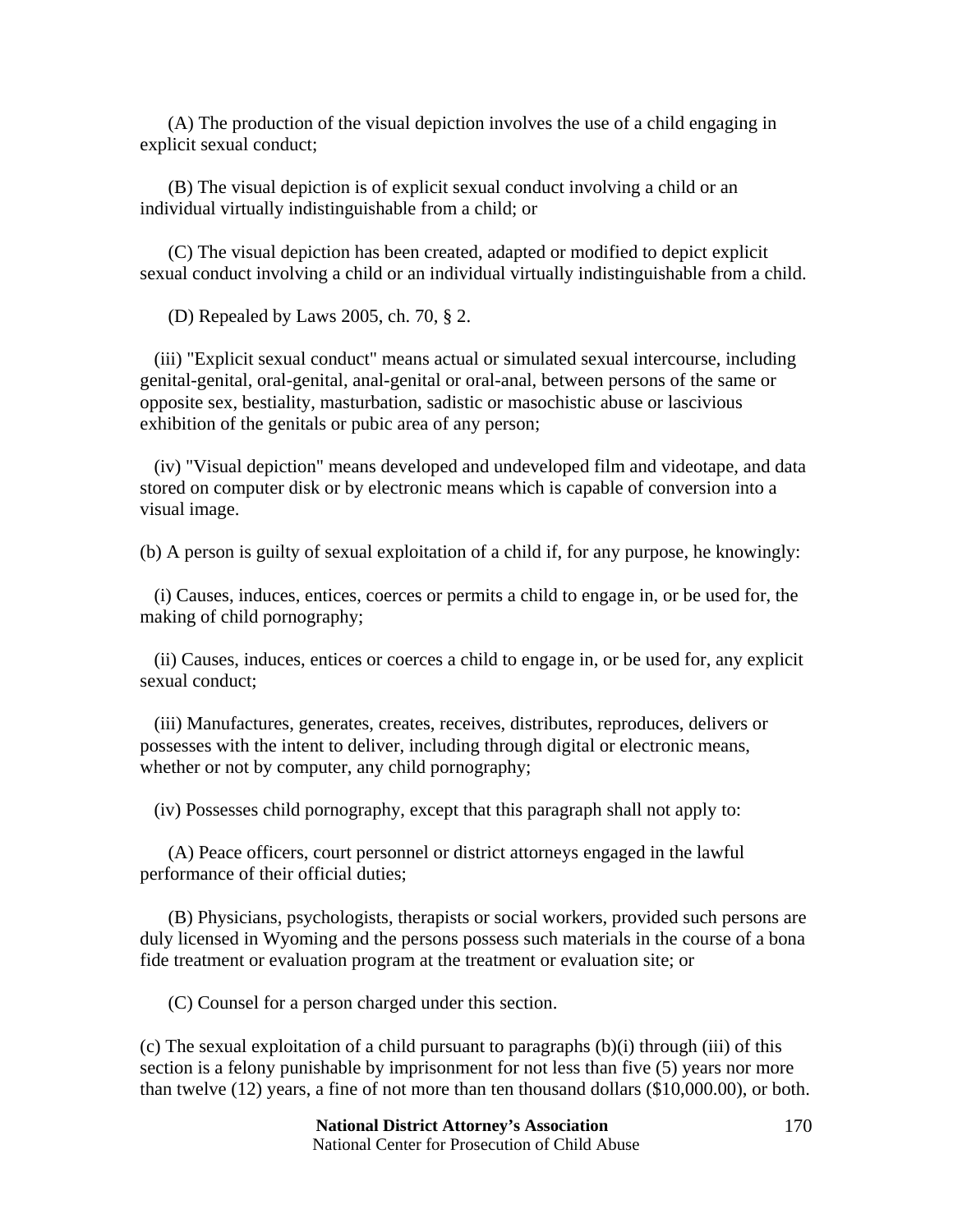(A) The production of the visual depiction involves the use of a child engaging in explicit sexual conduct;

 (B) The visual depiction is of explicit sexual conduct involving a child or an individual virtually indistinguishable from a child; or

 (C) The visual depiction has been created, adapted or modified to depict explicit sexual conduct involving a child or an individual virtually indistinguishable from a child.

(D) Repealed by Laws 2005, ch. 70, § 2.

 (iii) "Explicit sexual conduct" means actual or simulated sexual intercourse, including genital-genital, oral-genital, anal-genital or oral-anal, between persons of the same or opposite sex, bestiality, masturbation, sadistic or masochistic abuse or lascivious exhibition of the genitals or pubic area of any person;

 (iv) "Visual depiction" means developed and undeveloped film and videotape, and data stored on computer disk or by electronic means which is capable of conversion into a visual image.

(b) A person is guilty of sexual exploitation of a child if, for any purpose, he knowingly:

 (i) Causes, induces, entices, coerces or permits a child to engage in, or be used for, the making of child pornography;

 (ii) Causes, induces, entices or coerces a child to engage in, or be used for, any explicit sexual conduct;

 (iii) Manufactures, generates, creates, receives, distributes, reproduces, delivers or possesses with the intent to deliver, including through digital or electronic means, whether or not by computer, any child pornography;

(iv) Possesses child pornography, except that this paragraph shall not apply to:

 (A) Peace officers, court personnel or district attorneys engaged in the lawful performance of their official duties;

 (B) Physicians, psychologists, therapists or social workers, provided such persons are duly licensed in Wyoming and the persons possess such materials in the course of a bona fide treatment or evaluation program at the treatment or evaluation site; or

(C) Counsel for a person charged under this section.

(c) The sexual exploitation of a child pursuant to paragraphs (b)(i) through (iii) of this section is a felony punishable by imprisonment for not less than five (5) years nor more than twelve (12) years, a fine of not more than ten thousand dollars (\$10,000.00), or both.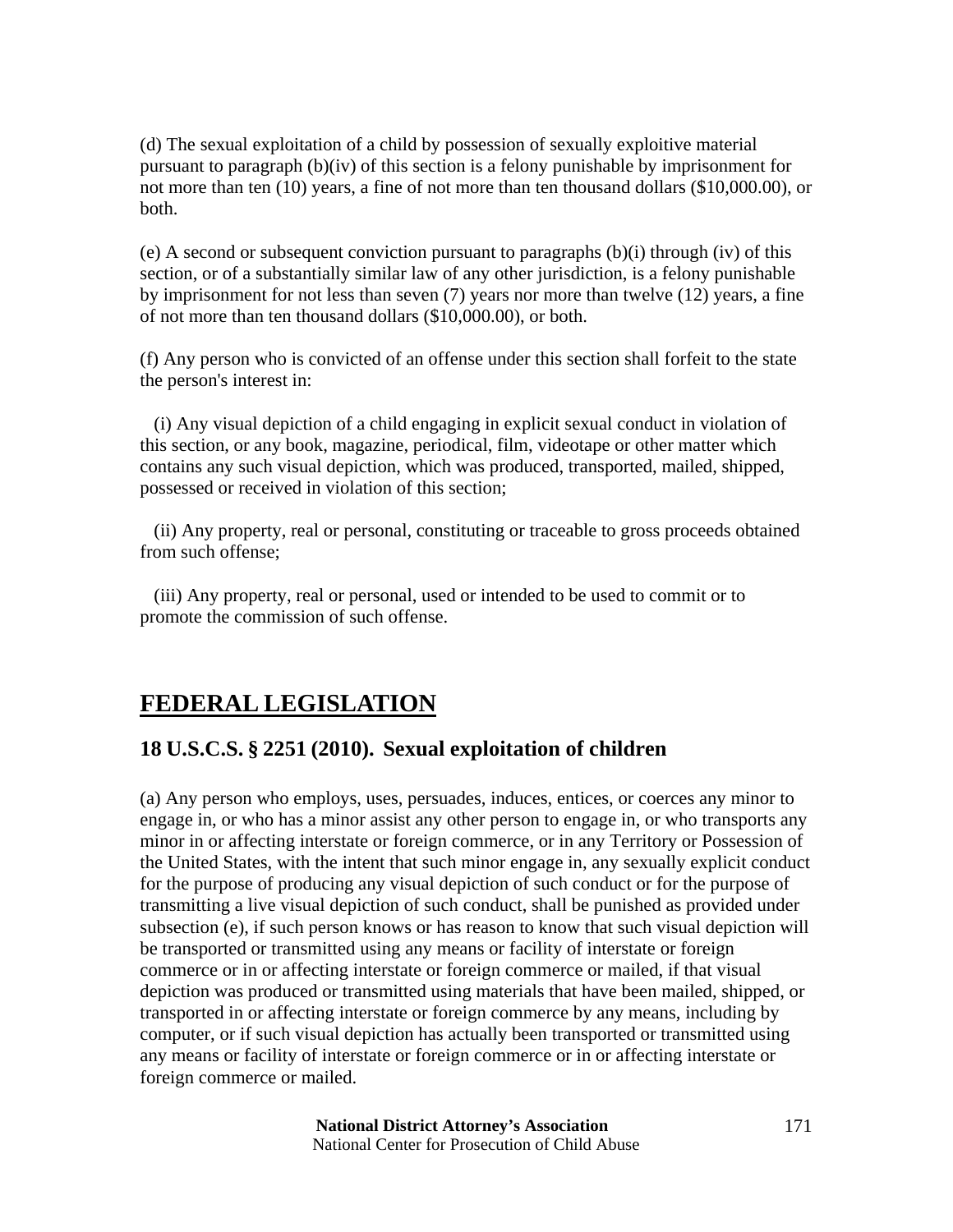(d) The sexual exploitation of a child by possession of sexually exploitive material pursuant to paragraph (b)(iv) of this section is a felony punishable by imprisonment for not more than ten (10) years, a fine of not more than ten thousand dollars (\$10,000.00), or both.

(e) A second or subsequent conviction pursuant to paragraphs (b)(i) through (iv) of this section, or of a substantially similar law of any other jurisdiction, is a felony punishable by imprisonment for not less than seven (7) years nor more than twelve (12) years, a fine of not more than ten thousand dollars (\$10,000.00), or both.

(f) Any person who is convicted of an offense under this section shall forfeit to the state the person's interest in:

 (i) Any visual depiction of a child engaging in explicit sexual conduct in violation of this section, or any book, magazine, periodical, film, videotape or other matter which contains any such visual depiction, which was produced, transported, mailed, shipped, possessed or received in violation of this section;

 (ii) Any property, real or personal, constituting or traceable to gross proceeds obtained from such offense;

 (iii) Any property, real or personal, used or intended to be used to commit or to promote the commission of such offense.

## **FEDERAL LEGISLATION**

## **18 U.S.C.S. § 2251 (2010). Sexual exploitation of children**

(a) Any person who employs, uses, persuades, induces, entices, or coerces any minor to engage in, or who has a minor assist any other person to engage in, or who transports any minor in or affecting interstate or foreign commerce, or in any Territory or Possession of the United States, with the intent that such minor engage in, any sexually explicit conduct for the purpose of producing any visual depiction of such conduct or for the purpose of transmitting a live visual depiction of such conduct, shall be punished as provided under subsection (e), if such person knows or has reason to know that such visual depiction will be transported or transmitted using any means or facility of interstate or foreign commerce or in or affecting interstate or foreign commerce or mailed, if that visual depiction was produced or transmitted using materials that have been mailed, shipped, or transported in or affecting interstate or foreign commerce by any means, including by computer, or if such visual depiction has actually been transported or transmitted using any means or facility of interstate or foreign commerce or in or affecting interstate or foreign commerce or mailed.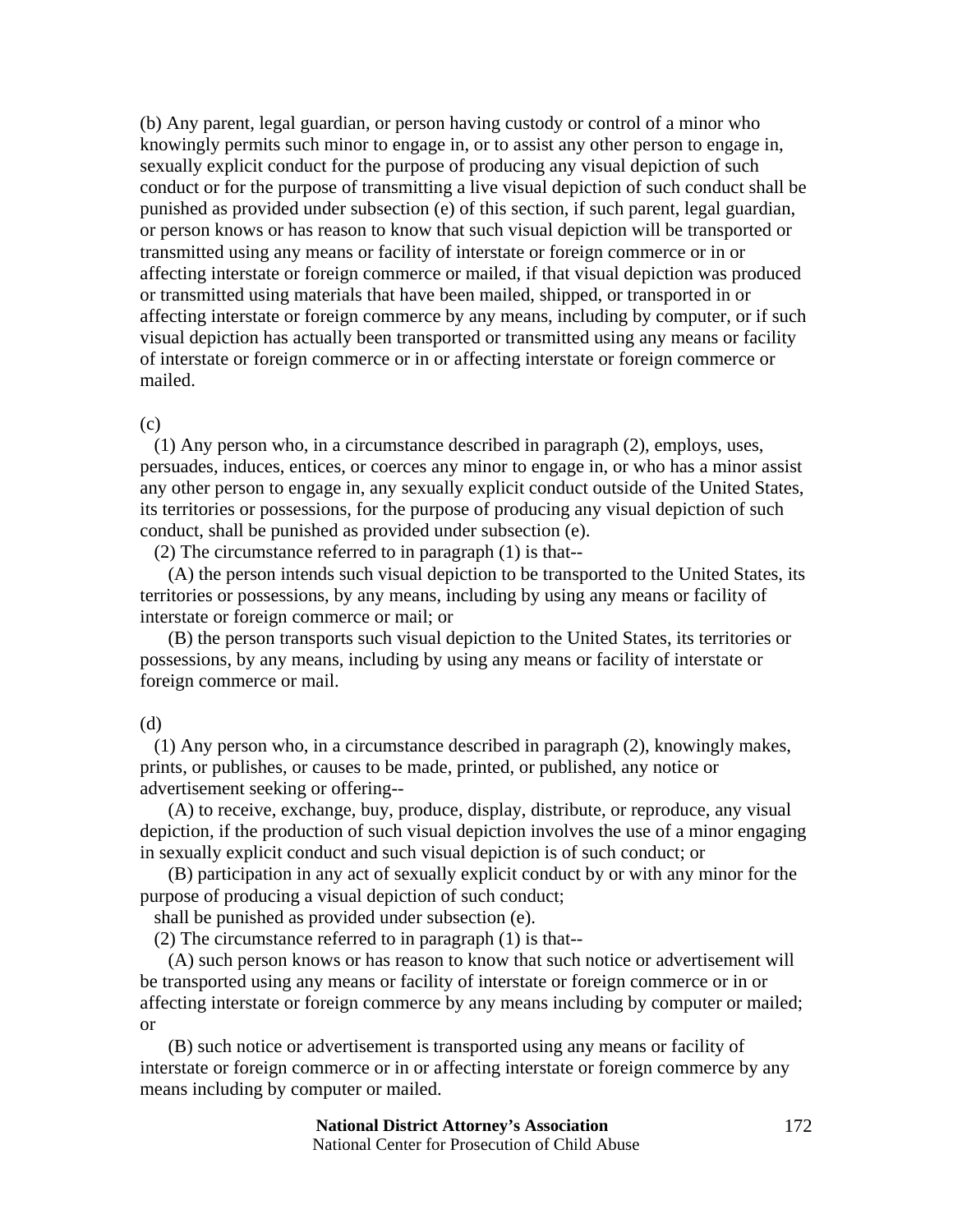(b) Any parent, legal guardian, or person having custody or control of a minor who knowingly permits such minor to engage in, or to assist any other person to engage in, sexually explicit conduct for the purpose of producing any visual depiction of such conduct or for the purpose of transmitting a live visual depiction of such conduct shall be punished as provided under subsection (e) of this section, if such parent, legal guardian, or person knows or has reason to know that such visual depiction will be transported or transmitted using any means or facility of interstate or foreign commerce or in or affecting interstate or foreign commerce or mailed, if that visual depiction was produced or transmitted using materials that have been mailed, shipped, or transported in or affecting interstate or foreign commerce by any means, including by computer, or if such visual depiction has actually been transported or transmitted using any means or facility of interstate or foreign commerce or in or affecting interstate or foreign commerce or mailed.

#### $(c)$

 (1) Any person who, in a circumstance described in paragraph (2), employs, uses, persuades, induces, entices, or coerces any minor to engage in, or who has a minor assist any other person to engage in, any sexually explicit conduct outside of the United States, its territories or possessions, for the purpose of producing any visual depiction of such conduct, shall be punished as provided under subsection (e).

(2) The circumstance referred to in paragraph (1) is that--

 (A) the person intends such visual depiction to be transported to the United States, its territories or possessions, by any means, including by using any means or facility of interstate or foreign commerce or mail; or

 (B) the person transports such visual depiction to the United States, its territories or possessions, by any means, including by using any means or facility of interstate or foreign commerce or mail.

#### (d)

 (1) Any person who, in a circumstance described in paragraph (2), knowingly makes, prints, or publishes, or causes to be made, printed, or published, any notice or advertisement seeking or offering--

 (A) to receive, exchange, buy, produce, display, distribute, or reproduce, any visual depiction, if the production of such visual depiction involves the use of a minor engaging in sexually explicit conduct and such visual depiction is of such conduct; or

 (B) participation in any act of sexually explicit conduct by or with any minor for the purpose of producing a visual depiction of such conduct;

shall be punished as provided under subsection (e).

(2) The circumstance referred to in paragraph (1) is that--

 (A) such person knows or has reason to know that such notice or advertisement will be transported using any means or facility of interstate or foreign commerce or in or affecting interstate or foreign commerce by any means including by computer or mailed; or

 (B) such notice or advertisement is transported using any means or facility of interstate or foreign commerce or in or affecting interstate or foreign commerce by any means including by computer or mailed.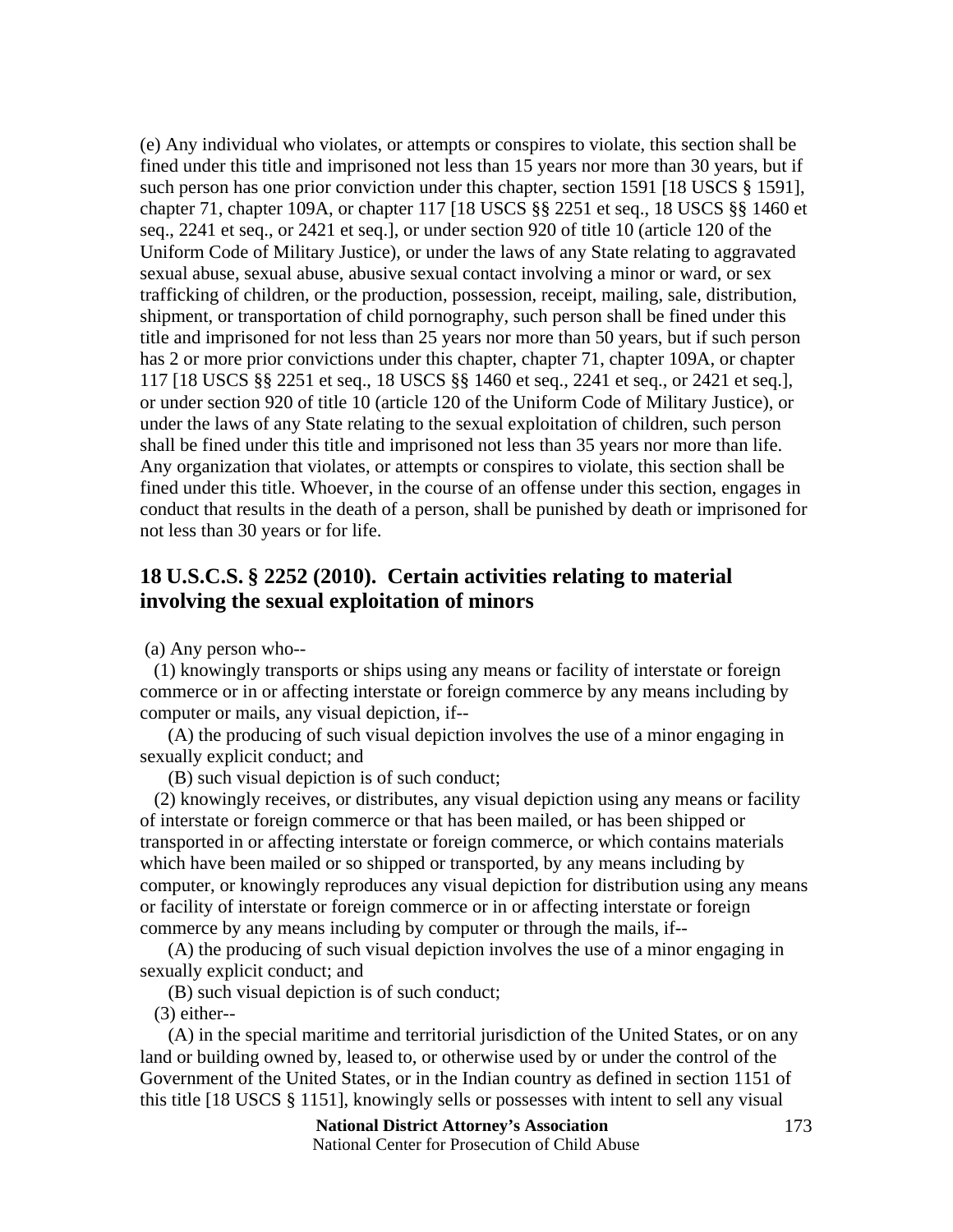(e) Any individual who violates, or attempts or conspires to violate, this section shall be fined under this title and imprisoned not less than 15 years nor more than 30 years, but if such person has one prior conviction under this chapter, section 1591 [18 USCS § 1591], chapter 71, chapter 109A, or chapter 117 [18 USCS §§ 2251 et seq., 18 USCS §§ 1460 et seq., 2241 et seq., or 2421 et seq.], or under section 920 of title 10 (article 120 of the Uniform Code of Military Justice), or under the laws of any State relating to aggravated sexual abuse, sexual abuse, abusive sexual contact involving a minor or ward, or sex trafficking of children, or the production, possession, receipt, mailing, sale, distribution, shipment, or transportation of child pornography, such person shall be fined under this title and imprisoned for not less than 25 years nor more than 50 years, but if such person has 2 or more prior convictions under this chapter, chapter 71, chapter 109A, or chapter 117 [18 USCS §§ 2251 et seq., 18 USCS §§ 1460 et seq., 2241 et seq., or 2421 et seq.], or under section 920 of title 10 (article 120 of the Uniform Code of Military Justice), or under the laws of any State relating to the sexual exploitation of children, such person shall be fined under this title and imprisoned not less than 35 years nor more than life. Any organization that violates, or attempts or conspires to violate, this section shall be fined under this title. Whoever, in the course of an offense under this section, engages in conduct that results in the death of a person, shall be punished by death or imprisoned for not less than 30 years or for life.

#### **18 U.S.C.S. § 2252 (2010). Certain activities relating to material involving the sexual exploitation of minors**

(a) Any person who--

 (1) knowingly transports or ships using any means or facility of interstate or foreign commerce or in or affecting interstate or foreign commerce by any means including by computer or mails, any visual depiction, if--

 (A) the producing of such visual depiction involves the use of a minor engaging in sexually explicit conduct; and

(B) such visual depiction is of such conduct;

 (2) knowingly receives, or distributes, any visual depiction using any means or facility of interstate or foreign commerce or that has been mailed, or has been shipped or transported in or affecting interstate or foreign commerce, or which contains materials which have been mailed or so shipped or transported, by any means including by computer, or knowingly reproduces any visual depiction for distribution using any means or facility of interstate or foreign commerce or in or affecting interstate or foreign commerce by any means including by computer or through the mails, if--

 (A) the producing of such visual depiction involves the use of a minor engaging in sexually explicit conduct; and

(B) such visual depiction is of such conduct;

(3) either--

 (A) in the special maritime and territorial jurisdiction of the United States, or on any land or building owned by, leased to, or otherwise used by or under the control of the Government of the United States, or in the Indian country as defined in section 1151 of this title [18 USCS § 1151], knowingly sells or possesses with intent to sell any visual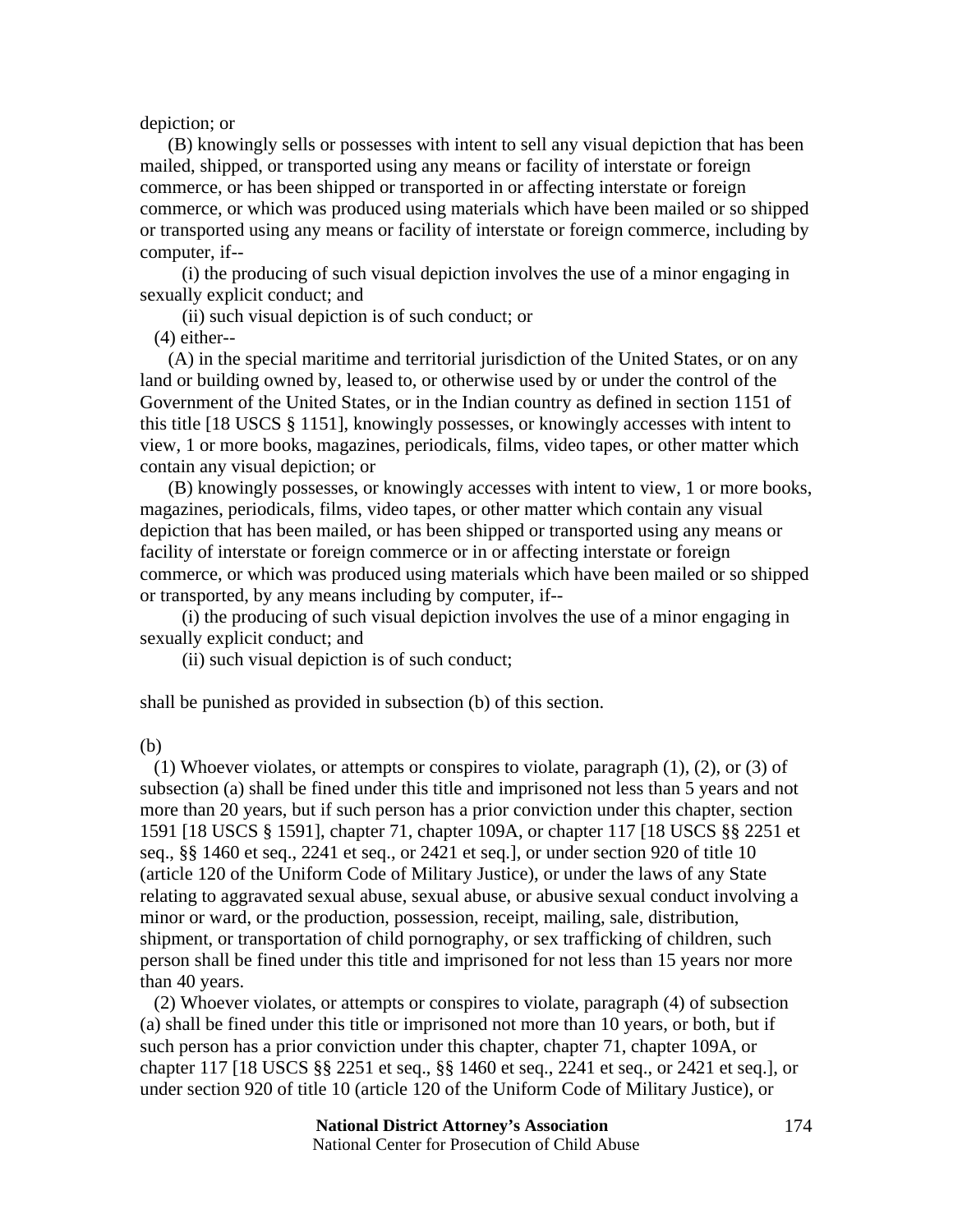depiction; or

 (B) knowingly sells or possesses with intent to sell any visual depiction that has been mailed, shipped, or transported using any means or facility of interstate or foreign commerce, or has been shipped or transported in or affecting interstate or foreign commerce, or which was produced using materials which have been mailed or so shipped or transported using any means or facility of interstate or foreign commerce, including by computer, if--

 (i) the producing of such visual depiction involves the use of a minor engaging in sexually explicit conduct; and

(ii) such visual depiction is of such conduct; or

(4) either--

 (A) in the special maritime and territorial jurisdiction of the United States, or on any land or building owned by, leased to, or otherwise used by or under the control of the Government of the United States, or in the Indian country as defined in section 1151 of this title [18 USCS § 1151], knowingly possesses, or knowingly accesses with intent to view, 1 or more books, magazines, periodicals, films, video tapes, or other matter which contain any visual depiction; or

 (B) knowingly possesses, or knowingly accesses with intent to view, 1 or more books, magazines, periodicals, films, video tapes, or other matter which contain any visual depiction that has been mailed, or has been shipped or transported using any means or facility of interstate or foreign commerce or in or affecting interstate or foreign commerce, or which was produced using materials which have been mailed or so shipped or transported, by any means including by computer, if--

 (i) the producing of such visual depiction involves the use of a minor engaging in sexually explicit conduct; and

(ii) such visual depiction is of such conduct;

shall be punished as provided in subsection (b) of this section.

#### (b)

 (1) Whoever violates, or attempts or conspires to violate, paragraph (1), (2), or (3) of subsection (a) shall be fined under this title and imprisoned not less than 5 years and not more than 20 years, but if such person has a prior conviction under this chapter, section 1591 [18 USCS § 1591], chapter 71, chapter 109A, or chapter 117 [18 USCS §§ 2251 et seq., §§ 1460 et seq., 2241 et seq., or 2421 et seq.], or under section 920 of title 10 (article 120 of the Uniform Code of Military Justice), or under the laws of any State relating to aggravated sexual abuse, sexual abuse, or abusive sexual conduct involving a minor or ward, or the production, possession, receipt, mailing, sale, distribution, shipment, or transportation of child pornography, or sex trafficking of children, such person shall be fined under this title and imprisoned for not less than 15 years nor more than 40 years.

 (2) Whoever violates, or attempts or conspires to violate, paragraph (4) of subsection (a) shall be fined under this title or imprisoned not more than 10 years, or both, but if such person has a prior conviction under this chapter, chapter 71, chapter 109A, or chapter 117 [18 USCS §§ 2251 et seq., §§ 1460 et seq., 2241 et seq., or 2421 et seq.], or under section 920 of title 10 (article 120 of the Uniform Code of Military Justice), or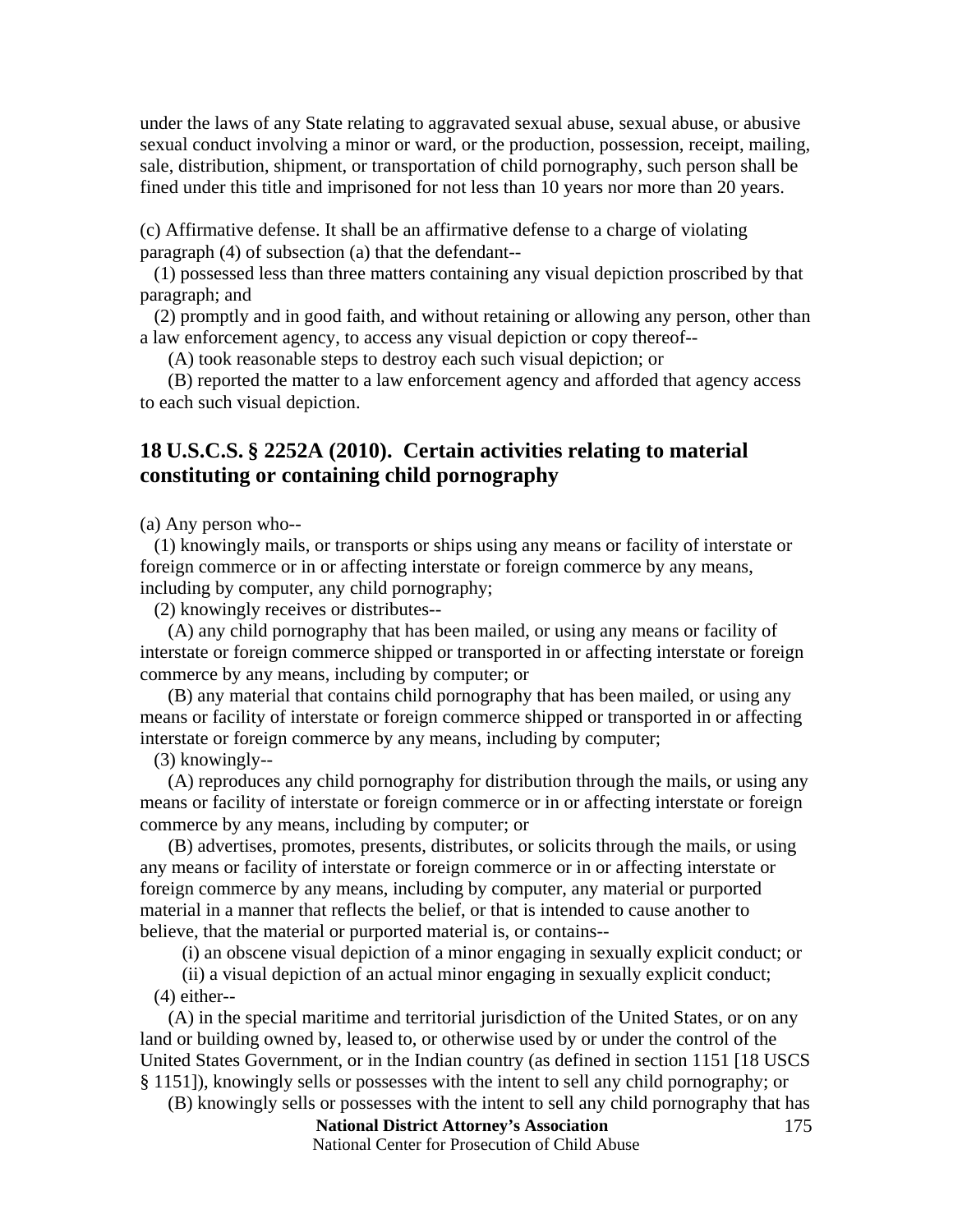under the laws of any State relating to aggravated sexual abuse, sexual abuse, or abusive sexual conduct involving a minor or ward, or the production, possession, receipt, mailing, sale, distribution, shipment, or transportation of child pornography, such person shall be fined under this title and imprisoned for not less than 10 years nor more than 20 years.

(c) Affirmative defense. It shall be an affirmative defense to a charge of violating paragraph (4) of subsection (a) that the defendant--

 (1) possessed less than three matters containing any visual depiction proscribed by that paragraph; and

 (2) promptly and in good faith, and without retaining or allowing any person, other than a law enforcement agency, to access any visual depiction or copy thereof--

(A) took reasonable steps to destroy each such visual depiction; or

 (B) reported the matter to a law enforcement agency and afforded that agency access to each such visual depiction.

#### **18 U.S.C.S. § 2252A (2010). Certain activities relating to material constituting or containing child pornography**

(a) Any person who--

 (1) knowingly mails, or transports or ships using any means or facility of interstate or foreign commerce or in or affecting interstate or foreign commerce by any means, including by computer, any child pornography;

(2) knowingly receives or distributes--

 (A) any child pornography that has been mailed, or using any means or facility of interstate or foreign commerce shipped or transported in or affecting interstate or foreign commerce by any means, including by computer; or

 (B) any material that contains child pornography that has been mailed, or using any means or facility of interstate or foreign commerce shipped or transported in or affecting interstate or foreign commerce by any means, including by computer;

(3) knowingly--

 (A) reproduces any child pornography for distribution through the mails, or using any means or facility of interstate or foreign commerce or in or affecting interstate or foreign commerce by any means, including by computer; or

 (B) advertises, promotes, presents, distributes, or solicits through the mails, or using any means or facility of interstate or foreign commerce or in or affecting interstate or foreign commerce by any means, including by computer, any material or purported material in a manner that reflects the belief, or that is intended to cause another to believe, that the material or purported material is, or contains--

(i) an obscene visual depiction of a minor engaging in sexually explicit conduct; or

 (ii) a visual depiction of an actual minor engaging in sexually explicit conduct; (4) either--

 (A) in the special maritime and territorial jurisdiction of the United States, or on any land or building owned by, leased to, or otherwise used by or under the control of the United States Government, or in the Indian country (as defined in section 1151 [18 USCS § 1151]), knowingly sells or possesses with the intent to sell any child pornography; or

(B) knowingly sells or possesses with the intent to sell any child pornography that has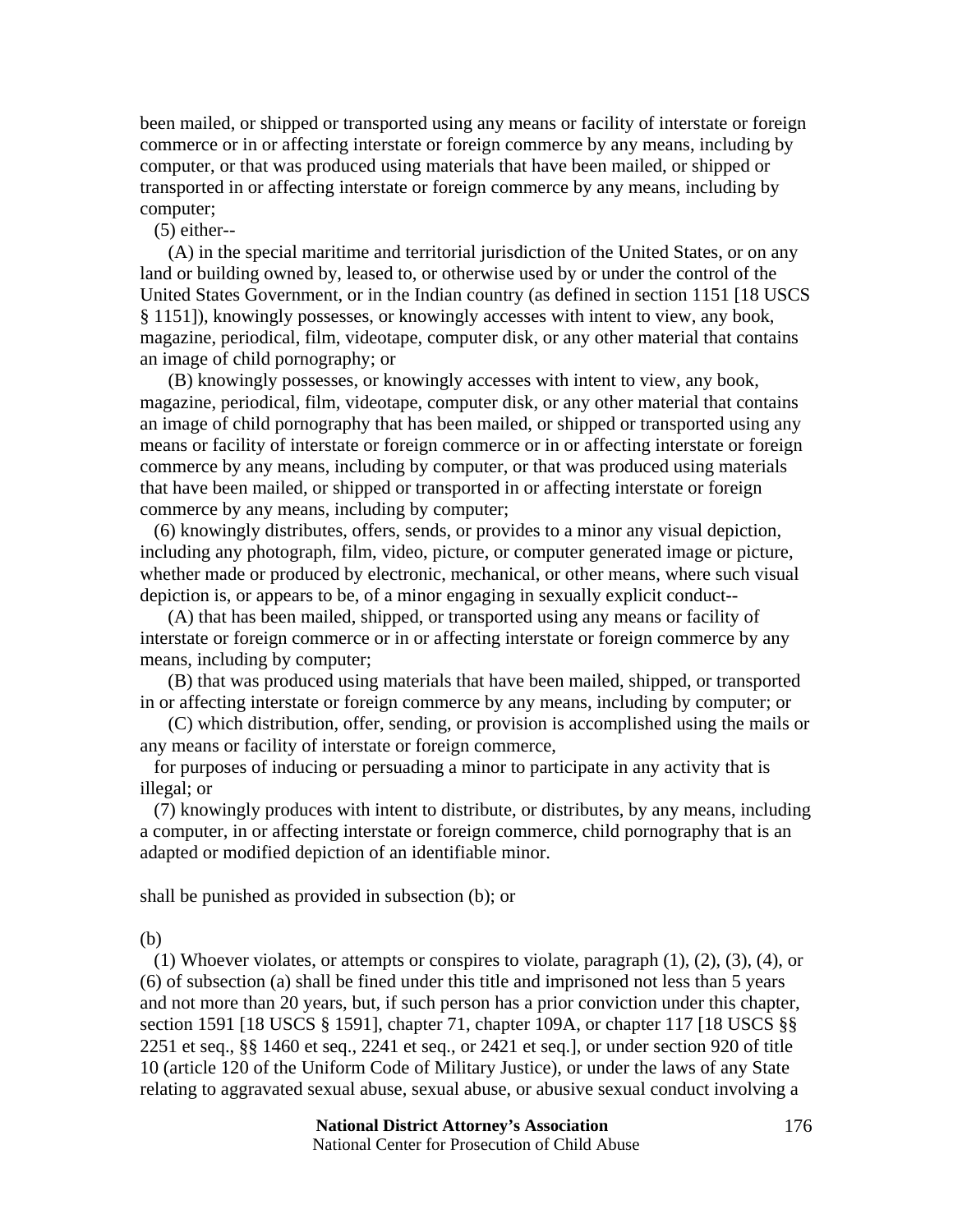been mailed, or shipped or transported using any means or facility of interstate or foreign commerce or in or affecting interstate or foreign commerce by any means, including by computer, or that was produced using materials that have been mailed, or shipped or transported in or affecting interstate or foreign commerce by any means, including by computer;

(5) either--

 (A) in the special maritime and territorial jurisdiction of the United States, or on any land or building owned by, leased to, or otherwise used by or under the control of the United States Government, or in the Indian country (as defined in section 1151 [18 USCS § 1151]), knowingly possesses, or knowingly accesses with intent to view, any book, magazine, periodical, film, videotape, computer disk, or any other material that contains an image of child pornography; or

 (B) knowingly possesses, or knowingly accesses with intent to view, any book, magazine, periodical, film, videotape, computer disk, or any other material that contains an image of child pornography that has been mailed, or shipped or transported using any means or facility of interstate or foreign commerce or in or affecting interstate or foreign commerce by any means, including by computer, or that was produced using materials that have been mailed, or shipped or transported in or affecting interstate or foreign commerce by any means, including by computer;

 (6) knowingly distributes, offers, sends, or provides to a minor any visual depiction, including any photograph, film, video, picture, or computer generated image or picture, whether made or produced by electronic, mechanical, or other means, where such visual depiction is, or appears to be, of a minor engaging in sexually explicit conduct--

 (A) that has been mailed, shipped, or transported using any means or facility of interstate or foreign commerce or in or affecting interstate or foreign commerce by any means, including by computer;

 (B) that was produced using materials that have been mailed, shipped, or transported in or affecting interstate or foreign commerce by any means, including by computer; or

 (C) which distribution, offer, sending, or provision is accomplished using the mails or any means or facility of interstate or foreign commerce,

 for purposes of inducing or persuading a minor to participate in any activity that is illegal; or

 (7) knowingly produces with intent to distribute, or distributes, by any means, including a computer, in or affecting interstate or foreign commerce, child pornography that is an adapted or modified depiction of an identifiable minor.

shall be punished as provided in subsection (b); or

#### (b)

 (1) Whoever violates, or attempts or conspires to violate, paragraph (1), (2), (3), (4), or (6) of subsection (a) shall be fined under this title and imprisoned not less than 5 years and not more than 20 years, but, if such person has a prior conviction under this chapter, section 1591 [18 USCS § 1591], chapter 71, chapter 109A, or chapter 117 [18 USCS §§ 2251 et seq., §§ 1460 et seq., 2241 et seq., or 2421 et seq.], or under section 920 of title 10 (article 120 of the Uniform Code of Military Justice), or under the laws of any State relating to aggravated sexual abuse, sexual abuse, or abusive sexual conduct involving a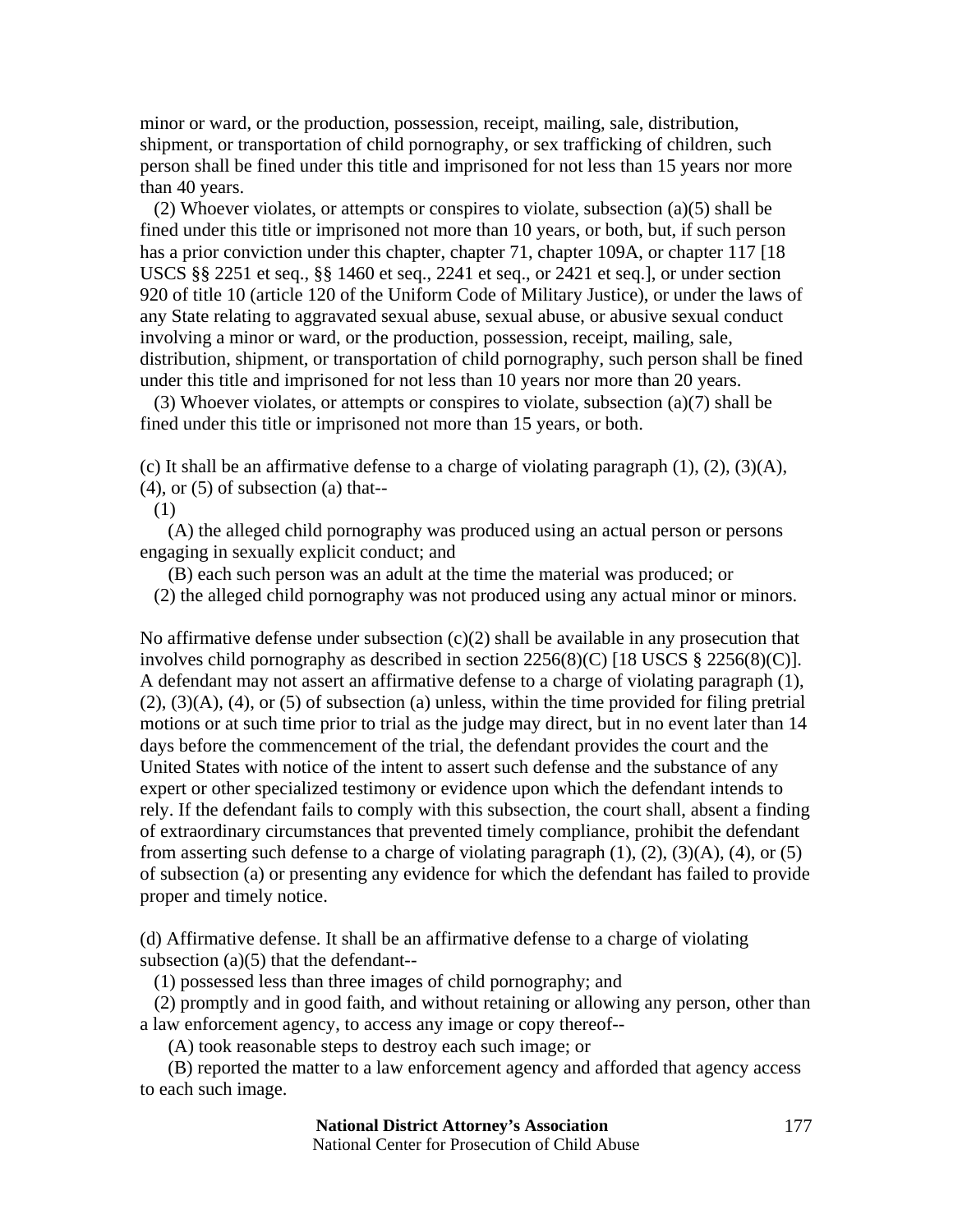minor or ward, or the production, possession, receipt, mailing, sale, distribution, shipment, or transportation of child pornography, or sex trafficking of children, such person shall be fined under this title and imprisoned for not less than 15 years nor more than 40 years.

 (2) Whoever violates, or attempts or conspires to violate, subsection (a)(5) shall be fined under this title or imprisoned not more than 10 years, or both, but, if such person has a prior conviction under this chapter, chapter 71, chapter 109A, or chapter 117 [18] USCS §§ 2251 et seq., §§ 1460 et seq., 2241 et seq., or 2421 et seq.], or under section 920 of title 10 (article 120 of the Uniform Code of Military Justice), or under the laws of any State relating to aggravated sexual abuse, sexual abuse, or abusive sexual conduct involving a minor or ward, or the production, possession, receipt, mailing, sale, distribution, shipment, or transportation of child pornography, such person shall be fined under this title and imprisoned for not less than 10 years nor more than 20 years.

 (3) Whoever violates, or attempts or conspires to violate, subsection (a)(7) shall be fined under this title or imprisoned not more than 15 years, or both.

(c) It shall be an affirmative defense to a charge of violating paragraph (1), (2), (3)(A),  $(4)$ , or  $(5)$  of subsection  $(a)$  that--

(1)

 (A) the alleged child pornography was produced using an actual person or persons engaging in sexually explicit conduct; and

(B) each such person was an adult at the time the material was produced; or

(2) the alleged child pornography was not produced using any actual minor or minors.

No affirmative defense under subsection  $(c)(2)$  shall be available in any prosecution that involves child pornography as described in section 2256(8)(C) [18 USCS § 2256(8)(C)]. A defendant may not assert an affirmative defense to a charge of violating paragraph (1), (2), (3)(A), (4), or (5) of subsection (a) unless, within the time provided for filing pretrial motions or at such time prior to trial as the judge may direct, but in no event later than 14 days before the commencement of the trial, the defendant provides the court and the United States with notice of the intent to assert such defense and the substance of any expert or other specialized testimony or evidence upon which the defendant intends to rely. If the defendant fails to comply with this subsection, the court shall, absent a finding of extraordinary circumstances that prevented timely compliance, prohibit the defendant from asserting such defense to a charge of violating paragraph  $(1)$ ,  $(2)$ ,  $(3)(A)$ ,  $(4)$ , or  $(5)$ of subsection (a) or presenting any evidence for which the defendant has failed to provide proper and timely notice.

(d) Affirmative defense. It shall be an affirmative defense to a charge of violating subsection (a)(5) that the defendant--

(1) possessed less than three images of child pornography; and

 (2) promptly and in good faith, and without retaining or allowing any person, other than a law enforcement agency, to access any image or copy thereof--

(A) took reasonable steps to destroy each such image; or

 (B) reported the matter to a law enforcement agency and afforded that agency access to each such image.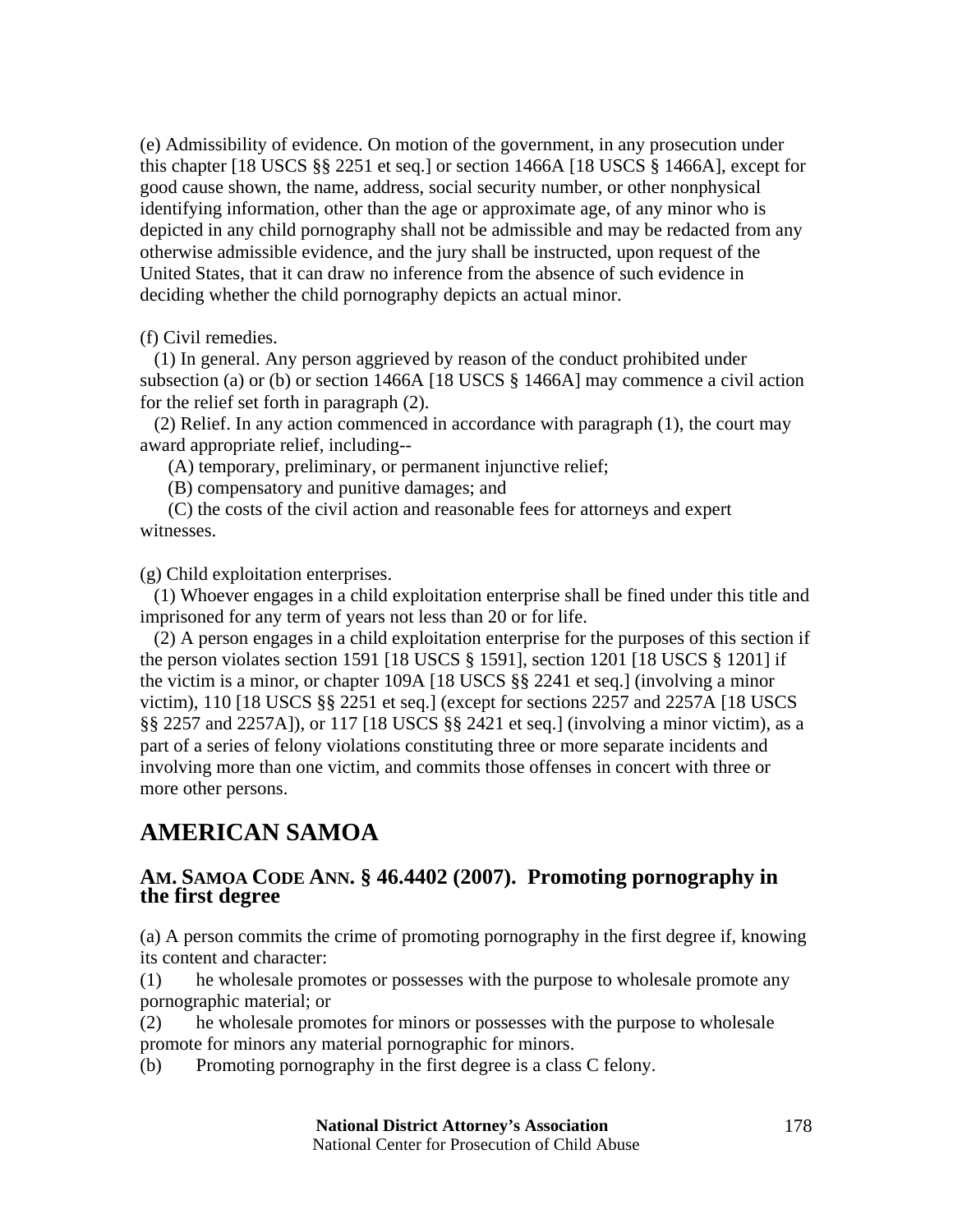(e) Admissibility of evidence. On motion of the government, in any prosecution under this chapter [18 USCS §§ 2251 et seq.] or section 1466A [18 USCS § 1466A], except for good cause shown, the name, address, social security number, or other nonphysical identifying information, other than the age or approximate age, of any minor who is depicted in any child pornography shall not be admissible and may be redacted from any otherwise admissible evidence, and the jury shall be instructed, upon request of the United States, that it can draw no inference from the absence of such evidence in deciding whether the child pornography depicts an actual minor.

#### (f) Civil remedies.

 (1) In general. Any person aggrieved by reason of the conduct prohibited under subsection (a) or (b) or section 1466A [18 USCS § 1466A] may commence a civil action for the relief set forth in paragraph (2).

 (2) Relief. In any action commenced in accordance with paragraph (1), the court may award appropriate relief, including--

(A) temporary, preliminary, or permanent injunctive relief;

(B) compensatory and punitive damages; and

 (C) the costs of the civil action and reasonable fees for attorneys and expert witnesses.

(g) Child exploitation enterprises.

 (1) Whoever engages in a child exploitation enterprise shall be fined under this title and imprisoned for any term of years not less than 20 or for life.

 (2) A person engages in a child exploitation enterprise for the purposes of this section if the person violates section 1591 [18 USCS § 1591], section 1201 [18 USCS § 1201] if the victim is a minor, or chapter 109A [18 USCS §§ 2241 et seq.] (involving a minor victim), 110 [18 USCS §§ 2251 et seq.] (except for sections 2257 and 2257A [18 USCS §§ 2257 and 2257A]), or 117 [18 USCS §§ 2421 et seq.] (involving a minor victim), as a part of a series of felony violations constituting three or more separate incidents and involving more than one victim, and commits those offenses in concert with three or more other persons.

## **AMERICAN SAMOA**

# **AM. SAMOA CODE ANN. § 46.4402 (2007). Promoting pornography in the first degree**

(a) A person commits the crime of promoting pornography in the first degree if, knowing its content and character:

(1) he wholesale promotes or possesses with the purpose to wholesale promote any pornographic material; or

(2) he wholesale promotes for minors or possesses with the purpose to wholesale promote for minors any material pornographic for minors.

(b) Promoting pornography in the first degree is a class C felony.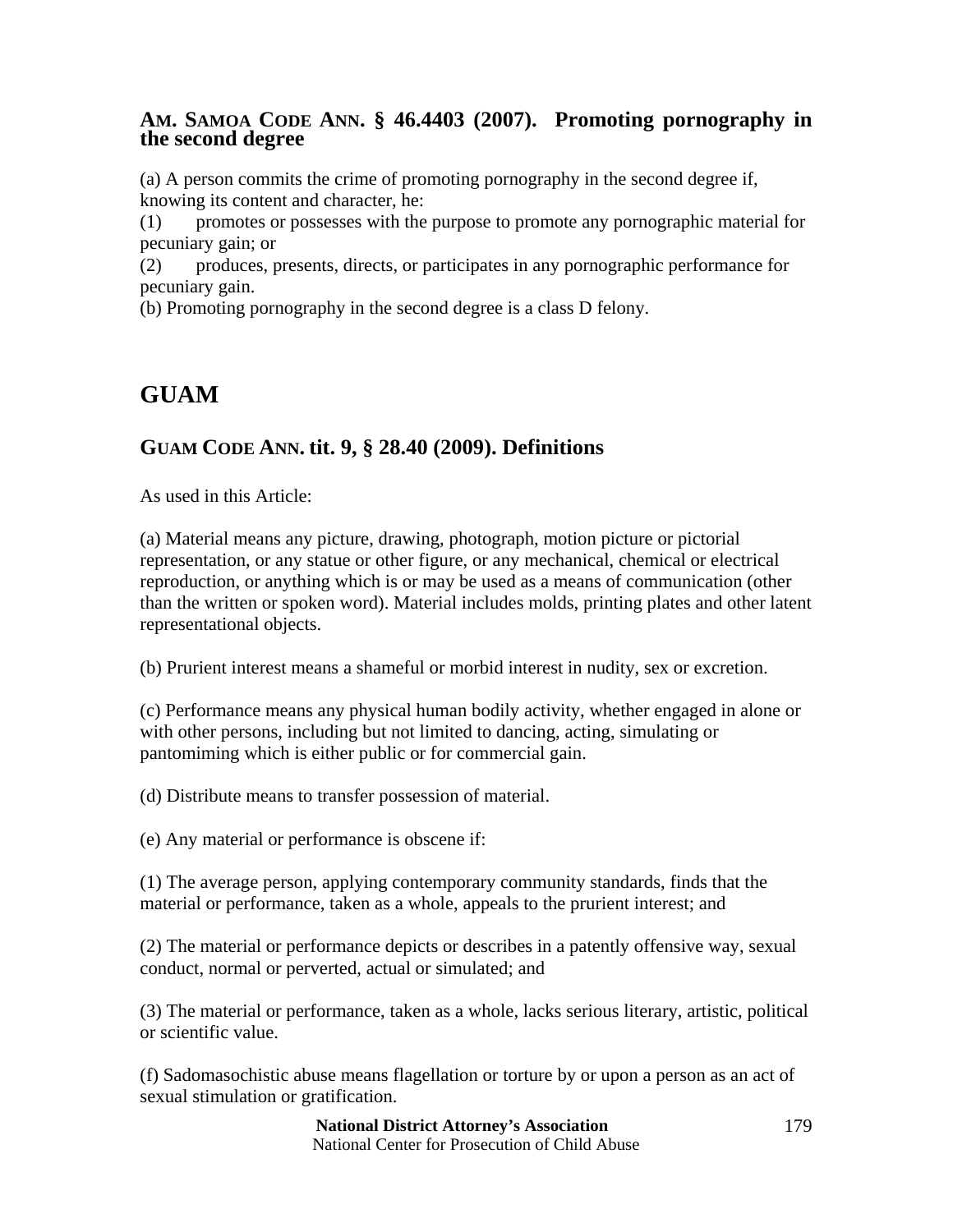# **AM. SAMOA CODE ANN. § 46.4403 (2007). Promoting pornography in the second degree**

(a) A person commits the crime of promoting pornography in the second degree if, knowing its content and character, he:

(1) promotes or possesses with the purpose to promote any pornographic material for pecuniary gain; or

(2) produces, presents, directs, or participates in any pornographic performance for pecuniary gain.

(b) Promoting pornography in the second degree is a class D felony.

## **GUAM**

## **GUAM CODE ANN. tit. 9, § 28.40 (2009). Definitions**

As used in this Article:

(a) Material means any picture, drawing, photograph, motion picture or pictorial representation, or any statue or other figure, or any mechanical, chemical or electrical reproduction, or anything which is or may be used as a means of communication (other than the written or spoken word). Material includes molds, printing plates and other latent representational objects.

(b) Prurient interest means a shameful or morbid interest in nudity, sex or excretion.

(c) Performance means any physical human bodily activity, whether engaged in alone or with other persons, including but not limited to dancing, acting, simulating or pantomiming which is either public or for commercial gain.

(d) Distribute means to transfer possession of material.

(e) Any material or performance is obscene if:

(1) The average person, applying contemporary community standards, finds that the material or performance, taken as a whole, appeals to the prurient interest; and

(2) The material or performance depicts or describes in a patently offensive way, sexual conduct, normal or perverted, actual or simulated; and

(3) The material or performance, taken as a whole, lacks serious literary, artistic, political or scientific value.

(f) Sadomasochistic abuse means flagellation or torture by or upon a person as an act of sexual stimulation or gratification.